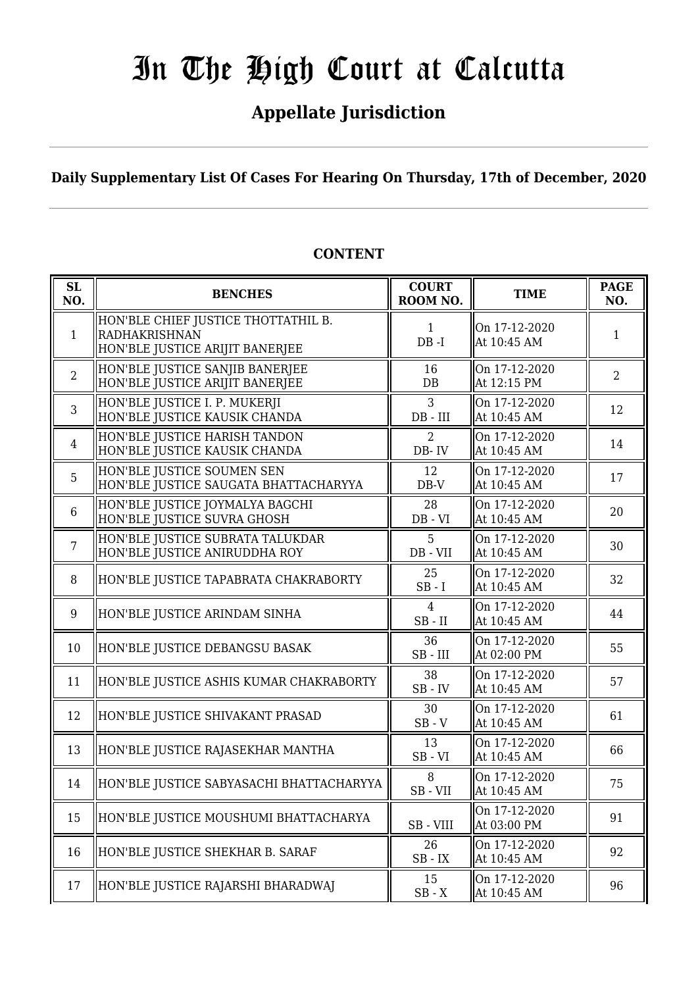## **Appellate Jurisdiction**

**Daily Supplementary List Of Cases For Hearing On Thursday, 17th of December, 2020**

| SL<br>NO.      | <b>BENCHES</b>                                                                                 | <b>COURT</b><br>ROOM NO.                        | <b>TIME</b>                  | <b>PAGE</b><br>NO. |
|----------------|------------------------------------------------------------------------------------------------|-------------------------------------------------|------------------------------|--------------------|
| 1              | HON'BLE CHIEF JUSTICE THOTTATHIL B.<br><b>RADHAKRISHNAN</b><br>HON'BLE JUSTICE ARIJIT BANERJEE | $\mathbf{1}$<br>$DB - I$                        | On 17-12-2020<br>At 10:45 AM | $\mathbf{1}$       |
| $\overline{2}$ | HON'BLE JUSTICE SANJIB BANERJEE<br>HON'BLE JUSTICE ARIJIT BANERJEE                             | 16<br>DB                                        | On 17-12-2020<br>At 12:15 PM | $\overline{2}$     |
| $\overline{3}$ | HON'BLE JUSTICE I. P. MUKERJI<br>HON'BLE JUSTICE KAUSIK CHANDA                                 | 3<br>$DB$ - $III$                               | On 17-12-2020<br>At 10:45 AM | 12                 |
| $\overline{4}$ | HON'BLE JUSTICE HARISH TANDON<br>HON'BLE JUSTICE KAUSIK CHANDA                                 | $\overline{2}$<br>DB-IV                         | On 17-12-2020<br>At 10:45 AM | 14                 |
| 5              | HON'BLE JUSTICE SOUMEN SEN<br>HON'BLE JUSTICE SAUGATA BHATTACHARYYA                            | 12<br>$DB-V$                                    | On 17-12-2020<br>At 10:45 AM | 17                 |
| 6              | HON'BLE JUSTICE JOYMALYA BAGCHI<br>HON'BLE JUSTICE SUVRA GHOSH                                 | 28<br>$DB - VI$                                 | On 17-12-2020<br>At 10:45 AM | 20                 |
| $\overline{7}$ | HON'BLE JUSTICE SUBRATA TALUKDAR<br>HON'BLE JUSTICE ANIRUDDHA ROY                              | 5<br>DB - VII                                   | On 17-12-2020<br>At 10:45 AM | 30                 |
| 8              | HON'BLE JUSTICE TAPABRATA CHAKRABORTY                                                          | 25<br>$SB - I$                                  | On 17-12-2020<br>At 10:45 AM | 32                 |
| 9              | HON'BLE JUSTICE ARINDAM SINHA                                                                  | $\overline{4}$<br>$SB$ - $II$                   | On 17-12-2020<br>At 10:45 AM | 44                 |
| 10             | HON'BLE JUSTICE DEBANGSU BASAK                                                                 | 36<br>$SB$ - $III$                              | On 17-12-2020<br>At 02:00 PM | 55                 |
| 11             | HON'BLE JUSTICE ASHIS KUMAR CHAKRABORTY                                                        | 38<br>$SB$ - $IV$                               | On 17-12-2020<br>At 10:45 AM | 57                 |
| 12             | HON'BLE JUSTICE SHIVAKANT PRASAD                                                               | 30<br>$SB - V$                                  | On 17-12-2020<br>At 10:45 AM | 61                 |
| 13             | HON'BLE JUSTICE RAJASEKHAR MANTHA                                                              | 13<br>$SB - VI$                                 | On 17-12-2020<br>At 10:45 AM | 66                 |
| 14             | HON'BLE JUSTICE SABYASACHI BHATTACHARYYA                                                       | 8<br>SB-VII                                     | On 17-12-2020<br>At 10:45 AM | 75                 |
| 15             | HON'BLE JUSTICE MOUSHUMI BHATTACHARYA                                                          | SB - VIII                                       | On 17-12-2020<br>At 03:00 PM | 91                 |
| 16             | HON'BLE JUSTICE SHEKHAR B. SARAF                                                               | 26<br>$\operatorname{SB}$ - $\operatorname{IX}$ | On 17-12-2020<br>At 10:45 AM | 92                 |
| 17             | HON'BLE JUSTICE RAJARSHI BHARADWAJ                                                             | 15<br>$SB - X$                                  | On 17-12-2020<br>At 10:45 AM | 96                 |

#### **CONTENT**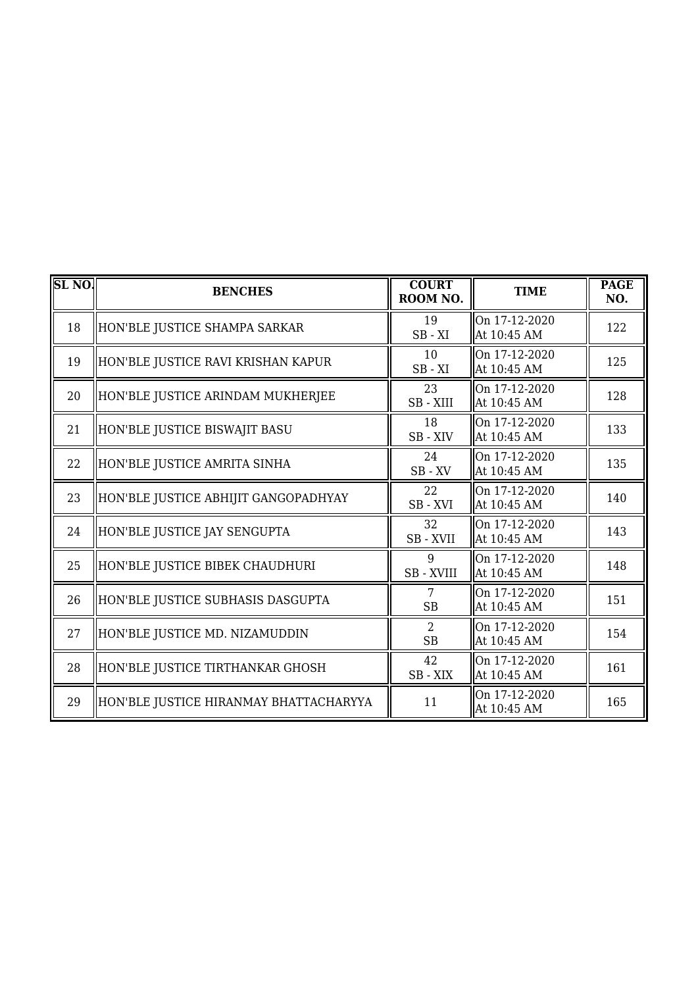| <b>SL NO.</b> | <b>BENCHES</b>                         | <b>COURT</b><br>ROOM NO.  | <b>TIME</b>                  | <b>PAGE</b><br>NO. |
|---------------|----------------------------------------|---------------------------|------------------------------|--------------------|
| 18            | HON'BLE JUSTICE SHAMPA SARKAR          | 19<br>$SB - XI$           | On 17-12-2020<br>At 10:45 AM | 122                |
| 19            | HON'BLE JUSTICE RAVI KRISHAN KAPUR     | 10<br>$SB - XI$           | On 17-12-2020<br>At 10:45 AM | 125                |
| 20            | HON'BLE JUSTICE ARINDAM MUKHERJEE      | 23<br>SB-XIII             | On 17-12-2020<br>At 10:45 AM | 128                |
| 21            | HON'BLE JUSTICE BISWAJIT BASU          | 18<br>SB-XIV              | On 17-12-2020<br>At 10:45 AM | 133                |
| 22            | HON'BLE JUSTICE AMRITA SINHA           | 24<br>$\rm SB$ - $\rm XV$ | On 17-12-2020<br>At 10:45 AM | 135                |
| 23            | HON'BLE JUSTICE ABHIJIT GANGOPADHYAY   | 22<br>SB-XVI              | On 17-12-2020<br>At 10:45 AM | 140                |
| 24            | HON'BLE JUSTICE JAY SENGUPTA           | 32<br>SB - XVII           | On 17-12-2020<br>At 10:45 AM | 143                |
| 25            | HON'BLE JUSTICE BIBEK CHAUDHURI        | 9<br>SB - XVIII           | On 17-12-2020<br>At 10:45 AM | 148                |
| 26            | HON'BLE JUSTICE SUBHASIS DASGUPTA      | 7<br><b>SB</b>            | On 17-12-2020<br>At 10:45 AM | 151                |
| 27            | HON'BLE JUSTICE MD. NIZAMUDDIN         | $\mathcal{L}$<br>SB       | On 17-12-2020<br>At 10:45 AM | 154                |
| 28            | HON'BLE JUSTICE TIRTHANKAR GHOSH       | 42<br>$SB - XIX$          | On 17-12-2020<br>At 10:45 AM | 161                |
| 29            | HON'BLE JUSTICE HIRANMAY BHATTACHARYYA | 11                        | On 17-12-2020<br>At 10:45 AM | 165                |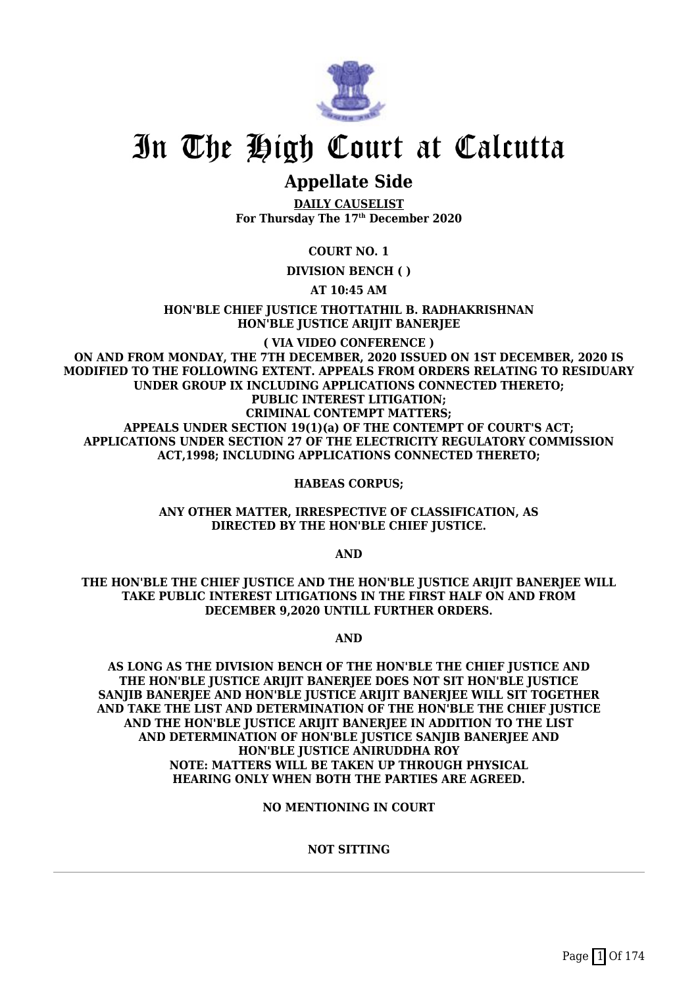

### **Appellate Side**

**DAILY CAUSELIST For Thursday The 17th December 2020**

**COURT NO. 1**

**DIVISION BENCH ( )**

**AT 10:45 AM**

**HON'BLE CHIEF JUSTICE THOTTATHIL B. RADHAKRISHNAN HON'BLE JUSTICE ARIJIT BANERJEE**

**( VIA VIDEO CONFERENCE ) ON AND FROM MONDAY, THE 7TH DECEMBER, 2020 ISSUED ON 1ST DECEMBER, 2020 IS MODIFIED TO THE FOLLOWING EXTENT. APPEALS FROM ORDERS RELATING TO RESIDUARY UNDER GROUP IX INCLUDING APPLICATIONS CONNECTED THERETO; PUBLIC INTEREST LITIGATION; CRIMINAL CONTEMPT MATTERS; APPEALS UNDER SECTION 19(1)(a) OF THE CONTEMPT OF COURT'S ACT; APPLICATIONS UNDER SECTION 27 OF THE ELECTRICITY REGULATORY COMMISSION ACT,1998; INCLUDING APPLICATIONS CONNECTED THERETO;**

**HABEAS CORPUS;**

**ANY OTHER MATTER, IRRESPECTIVE OF CLASSIFICATION, AS DIRECTED BY THE HON'BLE CHIEF JUSTICE.**

**AND**

**THE HON'BLE THE CHIEF JUSTICE AND THE HON'BLE JUSTICE ARIJIT BANERJEE WILL TAKE PUBLIC INTEREST LITIGATIONS IN THE FIRST HALF ON AND FROM DECEMBER 9,2020 UNTILL FURTHER ORDERS.**

**AND**

**AS LONG AS THE DIVISION BENCH OF THE HON'BLE THE CHIEF JUSTICE AND THE HON'BLE JUSTICE ARIJIT BANERJEE DOES NOT SIT HON'BLE JUSTICE SANJIB BANERJEE AND HON'BLE JUSTICE ARIJIT BANERJEE WILL SIT TOGETHER AND TAKE THE LIST AND DETERMINATION OF THE HON'BLE THE CHIEF JUSTICE AND THE HON'BLE JUSTICE ARIJIT BANERJEE IN ADDITION TO THE LIST AND DETERMINATION OF HON'BLE JUSTICE SANJIB BANERJEE AND HON'BLE JUSTICE ANIRUDDHA ROY NOTE: MATTERS WILL BE TAKEN UP THROUGH PHYSICAL HEARING ONLY WHEN BOTH THE PARTIES ARE AGREED.**

**NO MENTIONING IN COURT**

**NOT SITTING**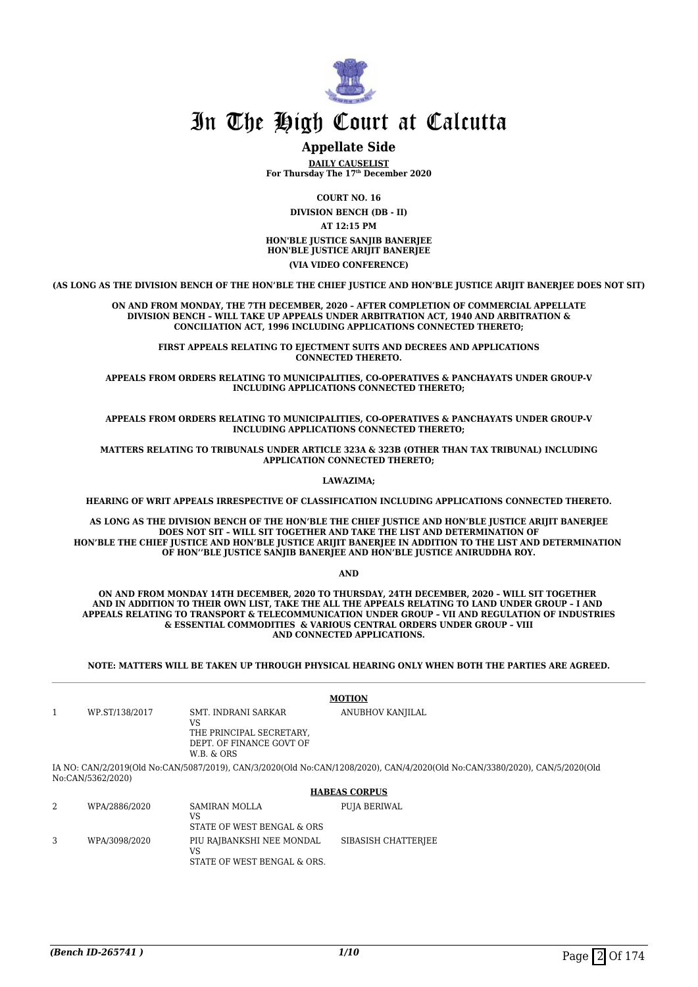

#### **Appellate Side**

**DAILY CAUSELIST For Thursday The 17th December 2020**

> **COURT NO. 16 DIVISION BENCH (DB - II)**

**AT 12:15 PM**

**HON'BLE JUSTICE SANJIB BANERJEE HON'BLE JUSTICE ARIJIT BANERJEE (VIA VIDEO CONFERENCE)**

**(AS LONG AS THE DIVISION BENCH OF THE HON'BLE THE CHIEF JUSTICE AND HON'BLE JUSTICE ARIJIT BANERJEE DOES NOT SIT)**

#### **ON AND FROM MONDAY, THE 7TH DECEMBER, 2020 – AFTER COMPLETION OF COMMERCIAL APPELLATE DIVISION BENCH – WILL TAKE UP APPEALS UNDER ARBITRATION ACT, 1940 AND ARBITRATION & CONCILIATION ACT, 1996 INCLUDING APPLICATIONS CONNECTED THERETO;**

**FIRST APPEALS RELATING TO EJECTMENT SUITS AND DECREES AND APPLICATIONS CONNECTED THERETO.**

**APPEALS FROM ORDERS RELATING TO MUNICIPALITIES, CO-OPERATIVES & PANCHAYATS UNDER GROUP-V INCLUDING APPLICATIONS CONNECTED THERETO;**

**APPEALS FROM ORDERS RELATING TO MUNICIPALITIES, CO-OPERATIVES & PANCHAYATS UNDER GROUP-V INCLUDING APPLICATIONS CONNECTED THERETO;**

**MATTERS RELATING TO TRIBUNALS UNDER ARTICLE 323A & 323B (OTHER THAN TAX TRIBUNAL) INCLUDING APPLICATION CONNECTED THERETO;**

**LAWAZIMA;**

**HEARING OF WRIT APPEALS IRRESPECTIVE OF CLASSIFICATION INCLUDING APPLICATIONS CONNECTED THERETO.**

**AS LONG AS THE DIVISION BENCH OF THE HON'BLE THE CHIEF JUSTICE AND HON'BLE JUSTICE ARIJIT BANERJEE DOES NOT SIT – WILL SIT TOGETHER AND TAKE THE LIST AND DETERMINATION OF HON'BLE THE CHIEF JUSTICE AND HON'BLE JUSTICE ARIJIT BANERJEE IN ADDITION TO THE LIST AND DETERMINATION OF HON''BLE JUSTICE SANJIB BANERJEE AND HON'BLE JUSTICE ANIRUDDHA ROY.**

**AND**

**ON AND FROM MONDAY 14TH DECEMBER, 2020 TO THURSDAY, 24TH DECEMBER, 2020 – WILL SIT TOGETHER AND IN ADDITION TO THEIR OWN LIST, TAKE THE ALL THE APPEALS RELATING TO LAND UNDER GROUP – I AND APPEALS RELATING TO TRANSPORT & TELECOMMUNICATION UNDER GROUP – VII AND REGULATION OF INDUSTRIES & ESSENTIAL COMMODITIES & VARIOUS CENTRAL ORDERS UNDER GROUP – VIII AND CONNECTED APPLICATIONS.**

**NOTE: MATTERS WILL BE TAKEN UP THROUGH PHYSICAL HEARING ONLY WHEN BOTH THE PARTIES ARE AGREED.**

|   |                   |                                                                                                 | <b>MOTION</b>                                                                                                               |
|---|-------------------|-------------------------------------------------------------------------------------------------|-----------------------------------------------------------------------------------------------------------------------------|
| 1 | WP.ST/138/2017    | SMT. INDRANI SARKAR<br>VS<br>THE PRINCIPAL SECRETARY.<br>DEPT. OF FINANCE GOVT OF<br>W.B. & ORS | ANUBHOV KANJILAL                                                                                                            |
|   | No:CAN/5362/2020) |                                                                                                 | IA NO: CAN/2/2019(Old No:CAN/5087/2019), CAN/3/2020(Old No:CAN/1208/2020), CAN/4/2020(Old No:CAN/3380/2020), CAN/5/2020(Old |
|   |                   |                                                                                                 | <b>HABEAS CORPUS</b>                                                                                                        |
| 2 | WPA/2886/2020     | <b>SAMIRAN MOLLA</b><br>VS<br>STATE OF WEST BENGAL & ORS                                        | PUJA BERIWAL                                                                                                                |
| 3 | WPA/3098/2020     | PIU RAIBANKSHI NEE MONDAL                                                                       | SIBASISH CHATTERIEE                                                                                                         |

VS

STATE OF WEST BENGAL & ORS.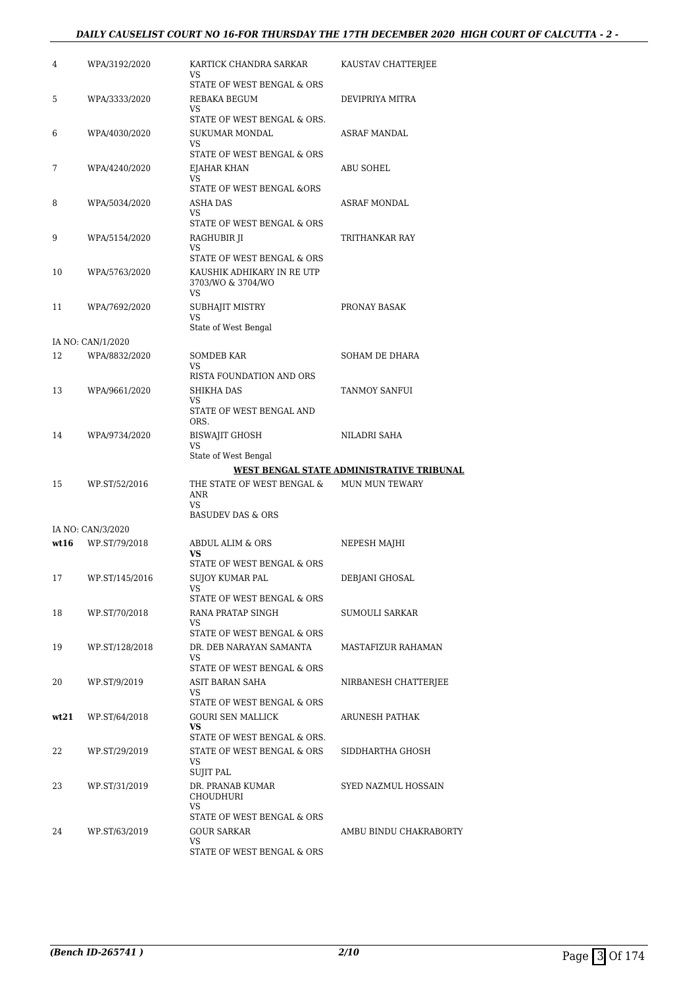#### *DAILY CAUSELIST COURT NO 16-FOR THURSDAY THE 17TH DECEMBER 2020 HIGH COURT OF CALCUTTA - 2 -*

| 4    | WPA/3192/2020     | KARTICK CHANDRA SARKAR<br>VS                          | KAUSTAV CHATTERJEE                        |
|------|-------------------|-------------------------------------------------------|-------------------------------------------|
|      |                   | STATE OF WEST BENGAL & ORS                            |                                           |
| 5    | WPA/3333/2020     | REBAKA BEGUM<br>VS                                    | DEVIPRIYA MITRA                           |
|      |                   | STATE OF WEST BENGAL & ORS.                           |                                           |
| 6    | WPA/4030/2020     | <b>SUKUMAR MONDAL</b><br>VS                           | ASRAF MANDAL                              |
|      |                   | STATE OF WEST BENGAL & ORS                            |                                           |
| 7    | WPA/4240/2020     | EJAHAR KHAN<br>VS                                     | ABU SOHEL                                 |
|      |                   | STATE OF WEST BENGAL &ORS                             |                                           |
| 8    | WPA/5034/2020     | ASHA DAS                                              | ASRAF MONDAL                              |
|      |                   | VS<br>STATE OF WEST BENGAL & ORS                      |                                           |
| 9    | WPA/5154/2020     | RAGHUBIR JI                                           | TRITHANKAR RAY                            |
|      |                   | VS<br>STATE OF WEST BENGAL & ORS                      |                                           |
| 10   | WPA/5763/2020     | KAUSHIK ADHIKARY IN RE UTP<br>3703/WO & 3704/WO<br>VS |                                           |
| 11   | WPA/7692/2020     | SUBHAJIT MISTRY                                       | PRONAY BASAK                              |
|      |                   | VS<br>State of West Bengal                            |                                           |
|      | IA NO: CAN/1/2020 |                                                       |                                           |
| 12   | WPA/8832/2020     | <b>SOMDEB KAR</b>                                     | SOHAM DE DHARA                            |
|      |                   | VS<br>RISTA FOUNDATION AND ORS                        |                                           |
| 13   | WPA/9661/2020     | SHIKHA DAS                                            | TANMOY SANFUI                             |
|      |                   | VS<br>STATE OF WEST BENGAL AND<br>ORS.                |                                           |
| 14   | WPA/9734/2020     | <b>BISWAJIT GHOSH</b>                                 | NILADRI SAHA                              |
|      |                   | VS<br>State of West Bengal                            |                                           |
|      |                   |                                                       |                                           |
|      |                   |                                                       | WEST BENGAL STATE ADMINISTRATIVE TRIBUNAL |
| 15   | WP.ST/52/2016     | THE STATE OF WEST BENGAL &<br><b>ANR</b>              | <b>MUN MUN TEWARY</b>                     |
|      |                   | VS<br><b>BASUDEV DAS &amp; ORS</b>                    |                                           |
|      | IA NO: CAN/3/2020 |                                                       |                                           |
| wt16 | WP.ST/79/2018     | ABDUL ALIM & ORS<br>VS<br>STATE OF WEST BENGAL & ORS  | NEPESH MAJHI                              |
| 17   | WP.ST/145/2016    | SUJOY KUMAR PAL                                       | DEBJANI GHOSAL                            |
|      |                   | VS<br>STATE OF WEST BENGAL & ORS                      |                                           |
| 18   | WP.ST/70/2018     | RANA PRATAP SINGH                                     | SUMOULI SARKAR                            |
|      |                   | VS                                                    |                                           |
| 19   | WP.ST/128/2018    | STATE OF WEST BENGAL & ORS<br>DR. DEB NARAYAN SAMANTA | MASTAFIZUR RAHAMAN                        |
|      |                   | VS                                                    |                                           |
| 20   | WP.ST/9/2019      | STATE OF WEST BENGAL & ORS<br>ASIT BARAN SAHA         |                                           |
|      |                   | VS                                                    | NIRBANESH CHATTERJEE                      |
|      |                   | STATE OF WEST BENGAL & ORS                            | <b>ARUNESH PATHAK</b>                     |
| wt21 | WP.ST/64/2018     | GOURI SEN MALLICK<br>VS.                              |                                           |
|      |                   | STATE OF WEST BENGAL & ORS.                           |                                           |
| 22   | WP.ST/29/2019     | STATE OF WEST BENGAL & ORS<br>VS                      | SIDDHARTHA GHOSH                          |
|      |                   | <b>SUJIT PAL</b>                                      |                                           |
| 23   | WP.ST/31/2019     | DR. PRANAB KUMAR<br>CHOUDHURI<br>VS                   | SYED NAZMUL HOSSAIN                       |
|      |                   | STATE OF WEST BENGAL & ORS                            |                                           |
| 24   | WP.ST/63/2019     | GOUR SARKAR<br>VS<br>STATE OF WEST BENGAL & ORS       | AMBU BINDU CHAKRABORTY                    |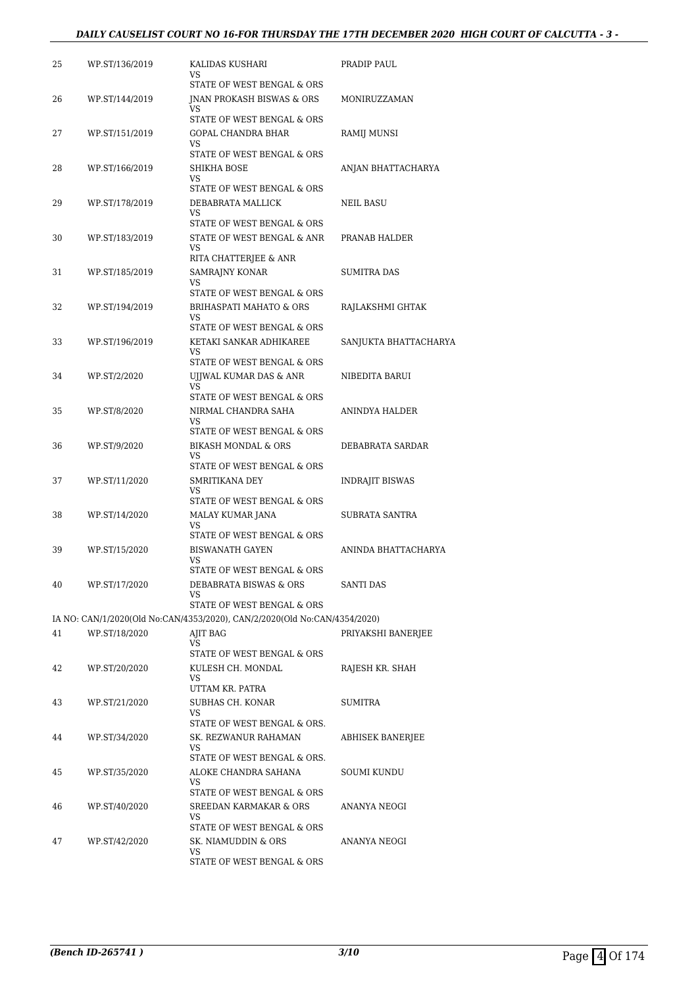#### *DAILY CAUSELIST COURT NO 16-FOR THURSDAY THE 17TH DECEMBER 2020 HIGH COURT OF CALCUTTA - 3 -*

| 25 | WP.ST/136/2019 | KALIDAS KUSHARI<br>VS.                                                    | PRADIP PAUL           |
|----|----------------|---------------------------------------------------------------------------|-----------------------|
|    |                | STATE OF WEST BENGAL & ORS                                                |                       |
| 26 | WP.ST/144/2019 | <b>INAN PROKASH BISWAS &amp; ORS</b><br>VS.                               | MONIRUZZAMAN          |
|    |                | STATE OF WEST BENGAL & ORS                                                |                       |
| 27 | WP.ST/151/2019 | GOPAL CHANDRA BHAR<br>VS                                                  | RAMIJ MUNSI           |
|    |                | STATE OF WEST BENGAL & ORS                                                |                       |
| 28 | WP.ST/166/2019 | SHIKHA BOSE<br>VS<br>STATE OF WEST BENGAL & ORS                           | ANJAN BHATTACHARYA    |
| 29 | WP.ST/178/2019 | DEBABRATA MALLICK                                                         | NEIL BASU             |
|    |                | VS.<br>STATE OF WEST BENGAL & ORS                                         |                       |
| 30 | WP.ST/183/2019 | STATE OF WEST BENGAL & ANR                                                | PRANAB HALDER         |
|    |                | VS<br>RITA CHATTERJEE & ANR                                               |                       |
| 31 | WP.ST/185/2019 | SAMRAJNY KONAR                                                            | <b>SUMITRA DAS</b>    |
|    |                | VS<br>STATE OF WEST BENGAL & ORS                                          |                       |
| 32 | WP.ST/194/2019 | BRIHASPATI MAHATO & ORS                                                   | RAJLAKSHMI GHTAK      |
|    |                | VS                                                                        |                       |
|    |                | STATE OF WEST BENGAL & ORS                                                |                       |
| 33 | WP.ST/196/2019 | KETAKI SANKAR ADHIKAREE<br><b>VS</b>                                      | SANJUKTA BHATTACHARYA |
|    |                | STATE OF WEST BENGAL & ORS                                                |                       |
| 34 | WP.ST/2/2020   | UJJWAL KUMAR DAS & ANR<br>VS                                              | NIBEDITA BARUI        |
|    |                | STATE OF WEST BENGAL & ORS                                                |                       |
| 35 | WP.ST/8/2020   | NIRMAL CHANDRA SAHA<br>VS                                                 | ANINDYA HALDER        |
|    |                | STATE OF WEST BENGAL & ORS                                                |                       |
| 36 | WP.ST/9/2020   | <b>BIKASH MONDAL &amp; ORS</b>                                            | DEBABRATA SARDAR      |
|    |                | VS<br>STATE OF WEST BENGAL & ORS                                          |                       |
| 37 | WP.ST/11/2020  | SMRITIKANA DEY                                                            | INDRAJIT BISWAS       |
|    |                | VS<br>STATE OF WEST BENGAL & ORS                                          |                       |
| 38 | WP.ST/14/2020  | MALAY KUMAR JANA                                                          | <b>SUBRATA SANTRA</b> |
|    |                | VS                                                                        |                       |
| 39 | WP.ST/15/2020  | STATE OF WEST BENGAL & ORS<br><b>BISWANATH GAYEN</b>                      | ANINDA BHATTACHARYA   |
|    |                | VS                                                                        |                       |
|    |                | STATE OF WEST BENGAL & ORS                                                |                       |
| 40 | WP.ST/17/2020  | DEBABRATA BISWAS & ORS<br>VS                                              | SANTI DAS             |
|    |                | STATE OF WEST BENGAL & ORS                                                |                       |
|    |                | IA NO: CAN/1/2020(Old No:CAN/4353/2020), CAN/2/2020(Old No:CAN/4354/2020) |                       |
| 41 | WP.ST/18/2020  | AJIT BAG<br>VS                                                            | PRIYAKSHI BANERJEE    |
|    |                | STATE OF WEST BENGAL & ORS                                                |                       |
| 42 | WP.ST/20/2020  | KULESH CH. MONDAL                                                         | RAJESH KR. SHAH       |
|    |                | VS<br>UTTAM KR. PATRA                                                     |                       |
| 43 | WP.ST/21/2020  | SUBHAS CH. KONAR                                                          | SUMITRA               |
|    |                | VS<br>STATE OF WEST BENGAL & ORS.                                         |                       |
| 44 | WP.ST/34/2020  | SK. REZWANUR RAHAMAN                                                      | ABHISEK BANERJEE      |
|    |                | VS                                                                        |                       |
| 45 | WP.ST/35/2020  | STATE OF WEST BENGAL & ORS.<br>ALOKE CHANDRA SAHANA                       | SOUMI KUNDU           |
|    |                | <b>VS</b>                                                                 |                       |
|    |                | STATE OF WEST BENGAL & ORS                                                |                       |
| 46 | WP.ST/40/2020  | SREEDAN KARMAKAR & ORS<br>VS                                              | ANANYA NEOGI          |
|    |                | STATE OF WEST BENGAL & ORS                                                |                       |
| 47 | WP.ST/42/2020  | SK. NIAMUDDIN & ORS<br>VS                                                 | ANANYA NEOGI          |
|    |                | STATE OF WEST BENGAL & ORS                                                |                       |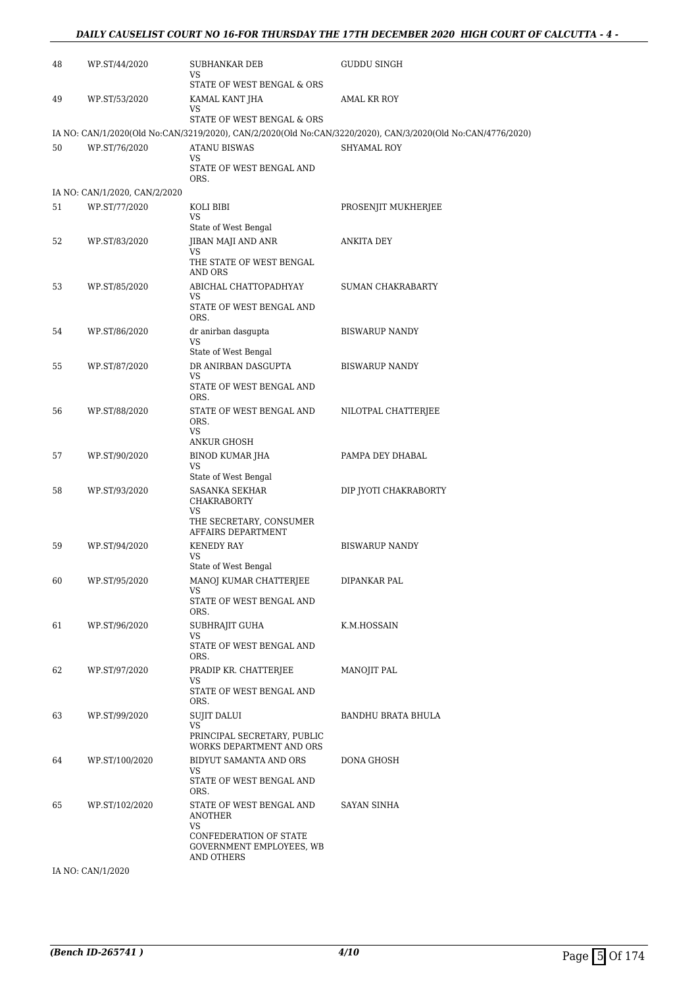#### *DAILY CAUSELIST COURT NO 16-FOR THURSDAY THE 17TH DECEMBER 2020 HIGH COURT OF CALCUTTA - 4 -*

| 48 | WP.ST/44/2020                 | SUBHANKAR DEB<br>VS<br>STATE OF WEST BENGAL & ORS             | GUDDU SINGH                                                                                                 |
|----|-------------------------------|---------------------------------------------------------------|-------------------------------------------------------------------------------------------------------------|
| 49 | WP.ST/53/2020                 | KAMAL KANT JHA<br>VS                                          | AMAL KR ROY                                                                                                 |
|    |                               | STATE OF WEST BENGAL & ORS                                    |                                                                                                             |
|    |                               |                                                               | IA NO: CAN/1/2020(Old No:CAN/3219/2020), CAN/2/2020(Old No:CAN/3220/2020), CAN/3/2020(Old No:CAN/4776/2020) |
| 50 | WP.ST/76/2020                 | <b>ATANU BISWAS</b><br>VS.                                    | <b>SHYAMAL ROY</b>                                                                                          |
|    |                               | STATE OF WEST BENGAL AND<br>ORS.                              |                                                                                                             |
|    | IA NO: CAN/1/2020, CAN/2/2020 |                                                               |                                                                                                             |
| 51 | WP.ST/77/2020                 | KOLI BIBI<br>VS                                               | PROSENJIT MUKHERJEE                                                                                         |
|    |                               | State of West Bengal                                          |                                                                                                             |
| 52 | WP.ST/83/2020                 | JIBAN MAJI AND ANR                                            | ANKITA DEY                                                                                                  |
|    |                               | VS<br>THE STATE OF WEST BENGAL<br>AND ORS                     |                                                                                                             |
| 53 | WP.ST/85/2020                 | ABICHAL CHATTOPADHYAY                                         | <b>SUMAN CHAKRABARTY</b>                                                                                    |
|    |                               | VS.<br>STATE OF WEST BENGAL AND<br>ORS.                       |                                                                                                             |
| 54 | WP.ST/86/2020                 | dr anirban dasgupta                                           | <b>BISWARUP NANDY</b>                                                                                       |
|    |                               | VS                                                            |                                                                                                             |
| 55 | WP.ST/87/2020                 | State of West Bengal<br>DR ANIRBAN DASGUPTA                   | <b>BISWARUP NANDY</b>                                                                                       |
|    |                               | VS                                                            |                                                                                                             |
|    |                               | STATE OF WEST BENGAL AND<br>ORS.                              |                                                                                                             |
| 56 | WP.ST/88/2020                 | STATE OF WEST BENGAL AND<br>ORS.                              | NILOTPAL CHATTERJEE                                                                                         |
|    |                               | <b>VS</b><br><b>ANKUR GHOSH</b>                               |                                                                                                             |
| 57 | WP.ST/90/2020                 | BINOD KUMAR JHA                                               | PAMPA DEY DHABAL                                                                                            |
|    |                               | VS<br>State of West Bengal                                    |                                                                                                             |
| 58 | WP.ST/93/2020                 | SASANKA SEKHAR<br><b>CHAKRABORTY</b>                          | DIP JYOTI CHAKRABORTY                                                                                       |
|    |                               | VS<br>THE SECRETARY, CONSUMER<br>AFFAIRS DEPARTMENT           |                                                                                                             |
| 59 | WP.ST/94/2020                 | <b>KENEDY RAY</b>                                             | <b>BISWARUP NANDY</b>                                                                                       |
|    |                               | VS                                                            |                                                                                                             |
| 60 | WP.ST/95/2020                 | State of West Bengal<br>MANOJ KUMAR CHATTERJEE                | DIPANKAR PAL                                                                                                |
|    |                               | VS                                                            |                                                                                                             |
|    |                               | STATE OF WEST BENGAL AND<br>ORS.                              |                                                                                                             |
| 61 | WP.ST/96/2020                 | SUBHRAJIT GUHA                                                | K.M.HOSSAIN                                                                                                 |
|    |                               | VS.<br>STATE OF WEST BENGAL AND                               |                                                                                                             |
|    |                               | ORS.                                                          |                                                                                                             |
| 62 | WP.ST/97/2020                 | PRADIP KR. CHATTERJEE<br>VS                                   | MANOJIT PAL                                                                                                 |
|    |                               | STATE OF WEST BENGAL AND<br>ORS.                              |                                                                                                             |
| 63 | WP.ST/99/2020                 | <b>SUJIT DALUI</b>                                            | BANDHU BRATA BHULA                                                                                          |
|    |                               | VS<br>PRINCIPAL SECRETARY, PUBLIC<br>WORKS DEPARTMENT AND ORS |                                                                                                             |
| 64 | WP.ST/100/2020                | BIDYUT SAMANTA AND ORS                                        | DONA GHOSH                                                                                                  |
|    |                               | VS<br>STATE OF WEST BENGAL AND<br>ORS.                        |                                                                                                             |
| 65 | WP.ST/102/2020                | STATE OF WEST BENGAL AND<br>ANOTHER                           | SAYAN SINHA                                                                                                 |
|    |                               | VS.<br>CONFEDERATION OF STATE<br>GOVERNMENT EMPLOYEES, WB     |                                                                                                             |
|    |                               | AND OTHERS                                                    |                                                                                                             |
|    | IA NO: CAN/1/2020             |                                                               |                                                                                                             |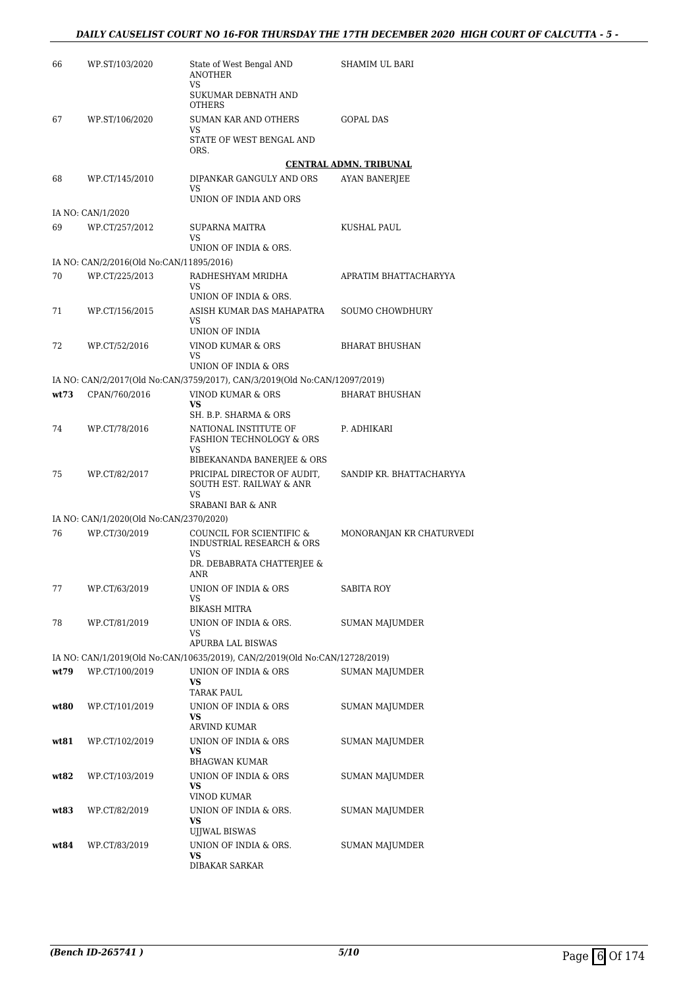| 66   | WP.ST/103/2020                           | State of West Bengal AND<br><b>ANOTHER</b>                                  | SHAMIM UL BARI                |
|------|------------------------------------------|-----------------------------------------------------------------------------|-------------------------------|
|      |                                          | VS<br>SUKUMAR DEBNATH AND<br><b>OTHERS</b>                                  |                               |
| 67   | WP.ST/106/2020                           | SUMAN KAR AND OTHERS                                                        | <b>GOPAL DAS</b>              |
|      |                                          | VS<br>STATE OF WEST BENGAL AND<br>ORS.                                      |                               |
|      |                                          |                                                                             | <b>CENTRAL ADMN. TRIBUNAL</b> |
| 68   | WP.CT/145/2010                           | DIPANKAR GANGULY AND ORS<br><b>VS</b>                                       | AYAN BANERJEE                 |
|      |                                          | UNION OF INDIA AND ORS                                                      |                               |
| 69   | IA NO: CAN/1/2020<br>WP.CT/257/2012      | SUPARNA MAITRA                                                              | KUSHAL PAUL                   |
|      |                                          | VS                                                                          |                               |
|      |                                          | UNION OF INDIA & ORS.                                                       |                               |
|      | IA NO: CAN/2/2016(Old No:CAN/11895/2016) |                                                                             |                               |
| 70   | WP.CT/225/2013                           | RADHESHYAM MRIDHA<br>VS.<br>UNION OF INDIA & ORS.                           | APRATIM BHATTACHARYYA         |
| 71   | WP.CT/156/2015                           | ASISH KUMAR DAS MAHAPATRA                                                   | SOUMO CHOWDHURY               |
|      |                                          | VS<br>UNION OF INDIA                                                        |                               |
| 72   | WP.CT/52/2016                            | VINOD KUMAR & ORS                                                           | <b>BHARAT BHUSHAN</b>         |
|      |                                          | VS<br>UNION OF INDIA & ORS                                                  |                               |
|      |                                          | IA NO: CAN/2/2017(Old No:CAN/3759/2017), CAN/3/2019(Old No:CAN/12097/2019)  |                               |
| wt73 | CPAN/760/2016                            | VINOD KUMAR & ORS                                                           | <b>BHARAT BHUSHAN</b>         |
|      |                                          | <b>VS</b>                                                                   |                               |
|      |                                          | SH. B.P. SHARMA & ORS                                                       |                               |
| 74   | WP.CT/78/2016                            | NATIONAL INSTITUTE OF<br>FASHION TECHNOLOGY & ORS<br>VS                     | P. ADHIKARI                   |
|      |                                          | BIBEKANANDA BANERJEE & ORS                                                  |                               |
| 75   | WP.CT/82/2017                            | PRICIPAL DIRECTOR OF AUDIT,<br>SOUTH EST. RAILWAY & ANR<br><b>VS</b>        | SANDIP KR. BHATTACHARYYA      |
|      |                                          | SRABANI BAR & ANR                                                           |                               |
|      | IA NO: CAN/1/2020(Old No:CAN/2370/2020)  |                                                                             |                               |
| 76   | WP.CT/30/2019                            | COUNCIL FOR SCIENTIFIC &<br><b>INDUSTRIAL RESEARCH &amp; ORS</b><br>VS      | MONORANJAN KR CHATURVEDI      |
|      |                                          | DR. DEBABRATA CHATTERJEE &<br><b>ANR</b>                                    |                               |
| 77   | WP.CT/63/2019                            | UNION OF INDIA & ORS<br>VS                                                  | SABITA ROY                    |
|      |                                          | <b>BIKASH MITRA</b>                                                         |                               |
| 78   | WP.CT/81/2019                            | UNION OF INDIA & ORS.<br>VS                                                 | SUMAN MAJUMDER                |
|      |                                          | APURBA LAL BISWAS                                                           |                               |
|      |                                          | IA NO: CAN/1/2019(Old No:CAN/10635/2019), CAN/2/2019(Old No:CAN/12728/2019) |                               |
| wt79 | WP.CT/100/2019                           | UNION OF INDIA & ORS<br>VS<br><b>TARAK PAUL</b>                             | <b>SUMAN MAJUMDER</b>         |
| wt80 | WP.CT/101/2019                           | UNION OF INDIA & ORS<br>VS                                                  | SUMAN MAJUMDER                |
|      |                                          | ARVIND KUMAR                                                                |                               |
| wt81 | WP.CT/102/2019                           | UNION OF INDIA & ORS<br>VS<br><b>BHAGWAN KUMAR</b>                          | SUMAN MAJUMDER                |
| wt82 | WP.CT/103/2019                           | UNION OF INDIA & ORS                                                        | SUMAN MAJUMDER                |
|      |                                          | <b>VS</b><br>VINOD KUMAR                                                    |                               |
| wt83 | WP.CT/82/2019                            | UNION OF INDIA & ORS.                                                       | SUMAN MAJUMDER                |
|      |                                          | VS<br>UJJWAL BISWAS                                                         |                               |
| wt84 | WP.CT/83/2019                            | UNION OF INDIA & ORS.<br><b>VS</b>                                          | SUMAN MAJUMDER                |
|      |                                          | DIBAKAR SARKAR                                                              |                               |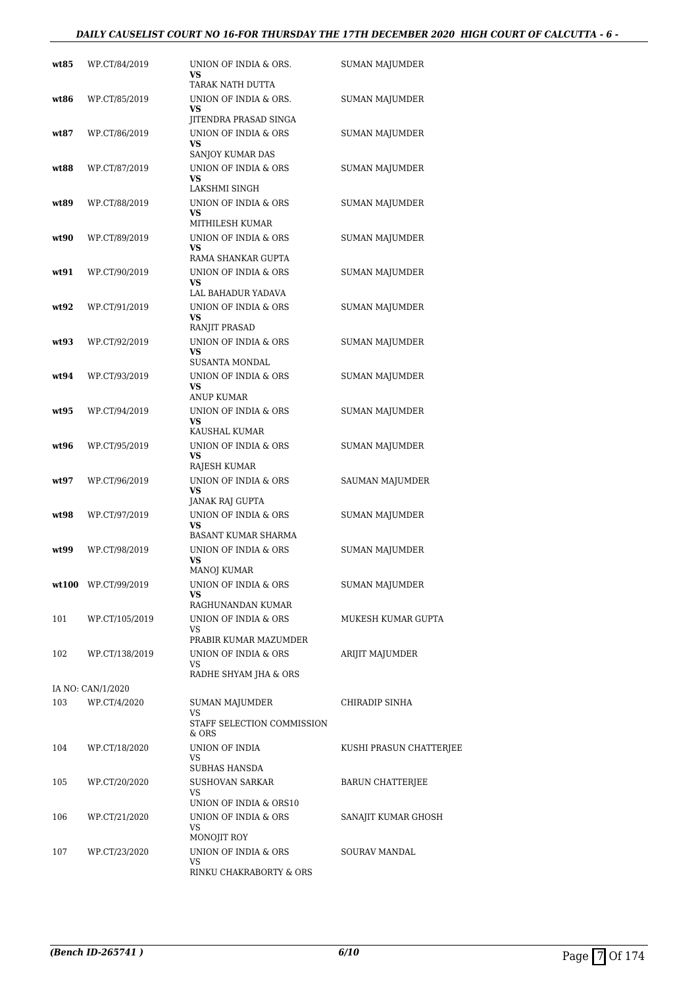#### *DAILY CAUSELIST COURT NO 16-FOR THURSDAY THE 17TH DECEMBER 2020 HIGH COURT OF CALCUTTA - 6 -*

| wt85  | WP.CT/84/2019         | UNION OF INDIA & ORS.<br>VS<br>TARAK NATH DUTTA                               | SUMAN MAJUMDER          |
|-------|-----------------------|-------------------------------------------------------------------------------|-------------------------|
| wt86  | WP.CT/85/2019         | UNION OF INDIA & ORS.<br><b>VS</b>                                            | <b>SUMAN MAJUMDER</b>   |
| wt87  | WP.CT/86/2019         | JITENDRA PRASAD SINGA<br>UNION OF INDIA & ORS<br><b>VS</b>                    | SUMAN MAJUMDER          |
| wt88  | WP.CT/87/2019         | SANJOY KUMAR DAS<br>UNION OF INDIA & ORS<br><b>VS</b>                         | SUMAN MAJUMDER          |
| wt89  | WP.CT/88/2019         | LAKSHMI SINGH<br>UNION OF INDIA & ORS<br><b>VS</b>                            | SUMAN MAJUMDER          |
| wt90  | WP.CT/89/2019         | MITHILESH KUMAR<br>UNION OF INDIA & ORS<br>VS                                 | SUMAN MAJUMDER          |
| wt91  | WP.CT/90/2019         | RAMA SHANKAR GUPTA<br>UNION OF INDIA & ORS<br><b>VS</b>                       | SUMAN MAJUMDER          |
| wt92  | WP.CT/91/2019         | LAL BAHADUR YADAVA<br>UNION OF INDIA & ORS<br>VS                              | SUMAN MAJUMDER          |
| wt93  | WP.CT/92/2019         | RANJIT PRASAD<br>UNION OF INDIA & ORS<br>VS                                   | SUMAN MAJUMDER          |
| wt94  | WP.CT/93/2019         | <b>SUSANTA MONDAL</b><br>UNION OF INDIA & ORS<br>VS                           | SUMAN MAJUMDER          |
| wt95  | WP.CT/94/2019         | ANUP KUMAR<br>UNION OF INDIA & ORS<br><b>VS</b>                               | SUMAN MAJUMDER          |
| wt96  | WP.CT/95/2019         | KAUSHAL KUMAR<br>UNION OF INDIA & ORS<br>VS                                   | SUMAN MAJUMDER          |
| wt97  | WP.CT/96/2019         | RAJESH KUMAR<br>UNION OF INDIA & ORS<br><b>VS</b>                             | SAUMAN MAJUMDER         |
| wt98  | WP.CT/97/2019         | JANAK RAJ GUPTA<br>UNION OF INDIA & ORS<br>VS                                 | SUMAN MAJUMDER          |
| wt.99 | WP.CT/98/2019         | <b>BASANT KUMAR SHARMA</b><br>UNION OF INDIA & ORS<br>VS                      | SUMAN MAJUMDER          |
|       | $wt100$ WP.CT/99/2019 | <b>MANOJ KUMAR</b><br>UNION OF INDIA & ORS<br>VS                              | SUMAN MAJUMDER          |
| 101   | WP.CT/105/2019        | RAGHUNANDAN KUMAR<br>UNION OF INDIA & ORS<br>VS.                              | MUKESH KUMAR GUPTA      |
| 102   | WP.CT/138/2019        | PRABIR KUMAR MAZUMDER<br>UNION OF INDIA & ORS<br>VS.<br>RADHE SHYAM JHA & ORS | ARIJIT MAJUMDER         |
|       | IA NO: CAN/1/2020     |                                                                               |                         |
| 103   | WP.CT/4/2020          | SUMAN MAJUMDER<br>VS<br>STAFF SELECTION COMMISSION                            | CHIRADIP SINHA          |
| 104   | WP.CT/18/2020         | & ORS<br>UNION OF INDIA<br>VS<br>SUBHAS HANSDA                                | KUSHI PRASUN CHATTERJEE |
| 105   | WP.CT/20/2020         | SUSHOVAN SARKAR<br>VS<br>UNION OF INDIA & ORS10                               | BARUN CHATTERJEE        |
| 106   | WP.CT/21/2020         | UNION OF INDIA & ORS<br>VS                                                    | SANAJIT KUMAR GHOSH     |
| 107   | WP.CT/23/2020         | MONOJIT ROY<br>UNION OF INDIA & ORS<br>VS<br>RINKU CHAKRABORTY & ORS          | SOURAV MANDAL           |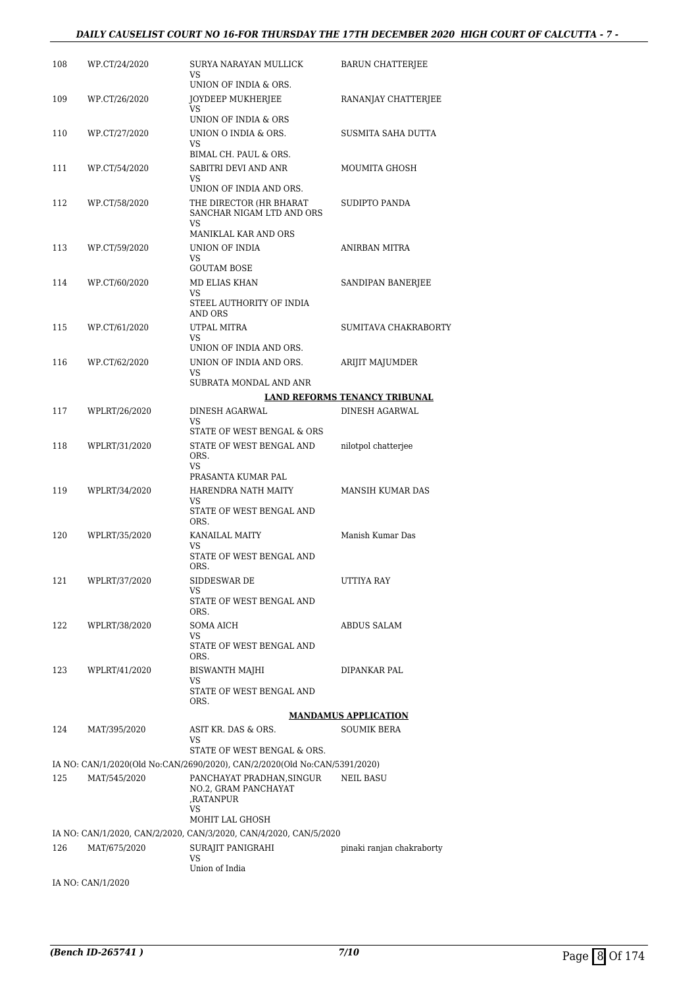#### *DAILY CAUSELIST COURT NO 16-FOR THURSDAY THE 17TH DECEMBER 2020 HIGH COURT OF CALCUTTA - 7 -*

| 108 | WP.CT/24/2020 | SURYA NARAYAN MULLICK<br>VS                                               | <b>BARUN CHATTERJEE</b>       |
|-----|---------------|---------------------------------------------------------------------------|-------------------------------|
| 109 | WP.CT/26/2020 | UNION OF INDIA & ORS.<br>JOYDEEP MUKHERJEE                                | RANANJAY CHATTERJEE           |
|     |               | VS<br>UNION OF INDIA & ORS                                                |                               |
| 110 | WP.CT/27/2020 | UNION O INDIA & ORS.<br>VS                                                | SUSMITA SAHA DUTTA            |
|     |               | BIMAL CH. PAUL & ORS.                                                     |                               |
| 111 | WP.CT/54/2020 | SABITRI DEVI AND ANR<br>VS<br>UNION OF INDIA AND ORS.                     | MOUMITA GHOSH                 |
| 112 | WP.CT/58/2020 | THE DIRECTOR (HR BHARAT<br>SANCHAR NIGAM LTD AND ORS                      | SUDIPTO PANDA                 |
|     |               | VS<br>MANIKLAL KAR AND ORS                                                |                               |
| 113 | WP.CT/59/2020 | UNION OF INDIA                                                            | ANIRBAN MITRA                 |
|     |               | VS                                                                        |                               |
| 114 | WP.CT/60/2020 | <b>GOUTAM BOSE</b><br>MD ELIAS KHAN                                       | SANDIPAN BANERJEE             |
|     |               | VS                                                                        |                               |
|     |               | STEEL AUTHORITY OF INDIA<br>AND ORS                                       |                               |
| 115 | WP.CT/61/2020 | UTPAL MITRA<br>VS                                                         | SUMITAVA CHAKRABORTY          |
|     |               | UNION OF INDIA AND ORS.                                                   |                               |
| 116 | WP.CT/62/2020 | UNION OF INDIA AND ORS.<br>VS                                             | <b>ARIJIT MAJUMDER</b>        |
|     |               | SUBRATA MONDAL AND ANR                                                    |                               |
|     |               |                                                                           | LAND REFORMS TENANCY TRIBUNAL |
| 117 | WPLRT/26/2020 | DINESH AGARWAL                                                            | <b>DINESH AGARWAL</b>         |
|     |               | VS<br>STATE OF WEST BENGAL & ORS                                          |                               |
| 118 | WPLRT/31/2020 | STATE OF WEST BENGAL AND<br>ORS.                                          | nilotpol chatterjee           |
|     |               | VS<br>PRASANTA KUMAR PAL                                                  |                               |
| 119 | WPLRT/34/2020 | HARENDRA NATH MAITY                                                       | <b>MANSIH KUMAR DAS</b>       |
|     |               | VS<br>STATE OF WEST BENGAL AND<br>ORS.                                    |                               |
| 120 | WPLRT/35/2020 | KANAILAL MAITY                                                            | Manish Kumar Das              |
|     |               | VS<br>STATE OF WEST BENGAL AND                                            |                               |
|     |               | ORS.                                                                      |                               |
| 121 | WPLRT/37/2020 | SIDDESWAR DE<br>VS                                                        | UTTIYA RAY                    |
|     |               | STATE OF WEST BENGAL AND<br>ORS.                                          |                               |
| 122 | WPLRT/38/2020 | <b>SOMA AICH</b>                                                          | <b>ABDUS SALAM</b>            |
|     |               | VS<br>STATE OF WEST BENGAL AND<br>ORS.                                    |                               |
| 123 | WPLRT/41/2020 | <b>BISWANTH MAJHI</b>                                                     | DIPANKAR PAL                  |
|     |               | VS<br>STATE OF WEST BENGAL AND<br>ORS.                                    |                               |
|     |               |                                                                           | <b>MANDAMUS APPLICATION</b>   |
| 124 | MAT/395/2020  | ASIT KR. DAS & ORS.                                                       | <b>SOUMIK BERA</b>            |
|     |               | VS<br>STATE OF WEST BENGAL & ORS.                                         |                               |
|     |               | IA NO: CAN/1/2020(Old No:CAN/2690/2020), CAN/2/2020(Old No:CAN/5391/2020) |                               |
| 125 | MAT/545/2020  | PANCHAYAT PRADHAN,SINGUR<br>NO.2, GRAM PANCHAYAT<br>,RATANPUR<br>VS       | <b>NEIL BASU</b>              |
|     |               | MOHIT LAL GHOSH                                                           |                               |
|     |               | IA NO: CAN/1/2020, CAN/2/2020, CAN/3/2020, CAN/4/2020, CAN/5/2020         |                               |
| 126 | MAT/675/2020  | SURAJIT PANIGRAHI<br>VS                                                   | pinaki ranjan chakraborty     |
|     |               | Union of India                                                            |                               |

IA NO: CAN/1/2020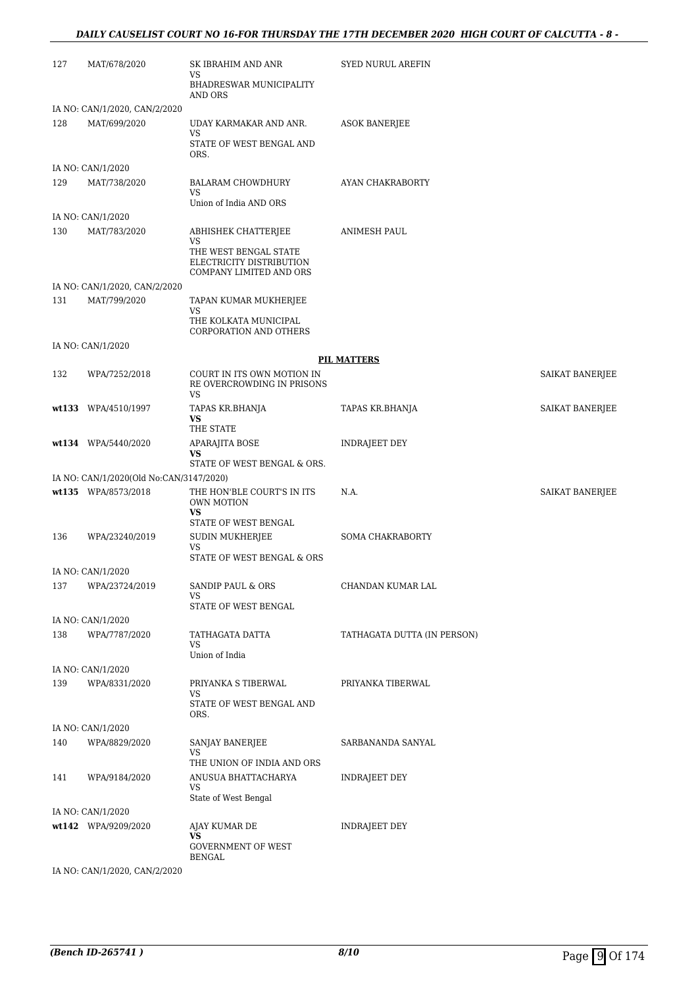#### *DAILY CAUSELIST COURT NO 16-FOR THURSDAY THE 17TH DECEMBER 2020 HIGH COURT OF CALCUTTA - 8 -*

| 127 | MAT/678/2020                                 | SK IBRAHIM AND ANR<br>VS<br>BHADRESWAR MUNICIPALITY<br>AND ORS                                            | <b>SYED NURUL AREFIN</b>    |                 |
|-----|----------------------------------------------|-----------------------------------------------------------------------------------------------------------|-----------------------------|-----------------|
|     | IA NO: CAN/1/2020, CAN/2/2020                |                                                                                                           |                             |                 |
| 128 | MAT/699/2020                                 | UDAY KARMAKAR AND ANR.<br>VS<br>STATE OF WEST BENGAL AND<br>ORS.                                          | ASOK BANERJEE               |                 |
|     | IA NO: CAN/1/2020                            |                                                                                                           |                             |                 |
| 129 | MAT/738/2020                                 | <b>BALARAM CHOWDHURY</b><br>VS<br>Union of India AND ORS                                                  | AYAN CHAKRABORTY            |                 |
|     | IA NO: CAN/1/2020                            |                                                                                                           |                             |                 |
| 130 | MAT/783/2020                                 | ABHISHEK CHATTERJEE<br>VS<br>THE WEST BENGAL STATE<br>ELECTRICITY DISTRIBUTION<br>COMPANY LIMITED AND ORS | ANIMESH PAUL                |                 |
|     | IA NO: CAN/1/2020, CAN/2/2020                |                                                                                                           |                             |                 |
| 131 | MAT/799/2020                                 | TAPAN KUMAR MUKHERJEE<br>VS<br>THE KOLKATA MUNICIPAL<br><b>CORPORATION AND OTHERS</b>                     |                             |                 |
|     | IA NO: CAN/1/2020                            |                                                                                                           |                             |                 |
|     |                                              |                                                                                                           | <b>PIL MATTERS</b>          |                 |
| 132 | WPA/7252/2018                                | COURT IN ITS OWN MOTION IN<br>RE OVERCROWDING IN PRISONS<br>VS                                            |                             | SAIKAT BANERJEE |
|     | wt133 WPA/4510/1997                          | TAPAS KR.BHANJA<br>VS                                                                                     | TAPAS KR.BHANJA             | SAIKAT BANERJEE |
|     | wt134 WPA/5440/2020                          | THE STATE<br>APARAJITA BOSE<br>VS                                                                         | INDRAJEET DEY               |                 |
|     |                                              | STATE OF WEST BENGAL & ORS.                                                                               |                             |                 |
|     | IA NO: CAN/1/2020(Old No:CAN/3147/2020)      |                                                                                                           |                             |                 |
|     | wt135 WPA/8573/2018                          | THE HON'BLE COURT'S IN ITS<br>OWN MOTION<br><b>VS</b>                                                     | N.A.                        | SAIKAT BANERJEE |
|     |                                              | STATE OF WEST BENGAL                                                                                      |                             |                 |
| 136 | WPA/23240/2019                               | SUDIN MUKHERJEE<br>VS<br>STATE OF WEST BENGAL & ORS                                                       | SOMA CHAKRABORTY            |                 |
|     | IA NO: CAN/1/2020                            |                                                                                                           |                             |                 |
| 137 | WPA/23724/2019                               | SANDIP PAUL & ORS<br>VS<br>STATE OF WEST BENGAL                                                           | CHANDAN KUMAR LAL           |                 |
|     | IA NO: CAN/1/2020                            |                                                                                                           |                             |                 |
| 138 | WPA/7787/2020                                | TATHAGATA DATTA<br><b>VS</b><br>Union of India                                                            | TATHAGATA DUTTA (IN PERSON) |                 |
|     | IA NO: CAN/1/2020                            |                                                                                                           |                             |                 |
| 139 | WPA/8331/2020                                | PRIYANKA S TIBERWAL<br>VS<br>STATE OF WEST BENGAL AND<br>ORS.                                             | PRIYANKA TIBERWAL           |                 |
|     | IA NO: CAN/1/2020                            |                                                                                                           |                             |                 |
| 140 | WPA/8829/2020                                | SANJAY BANERJEE<br>VS                                                                                     | SARBANANDA SANYAL           |                 |
| 141 | WPA/9184/2020                                | THE UNION OF INDIA AND ORS<br>ANUSUA BHATTACHARYA<br>VS                                                   | INDRAJEET DEY               |                 |
|     | IA NO: CAN/1/2020                            | State of West Bengal                                                                                      |                             |                 |
|     | wt142 WPA/9209/2020                          | AJAY KUMAR DE<br><b>VS</b><br><b>GOVERNMENT OF WEST</b>                                                   | <b>INDRAJEET DEY</b>        |                 |
|     | <b>IA NIO CANTIS ODD</b><br>$C$ A NTIO IOOOO | <b>BENGAL</b>                                                                                             |                             |                 |

IA NO: CAN/1/2020, CAN/2/2020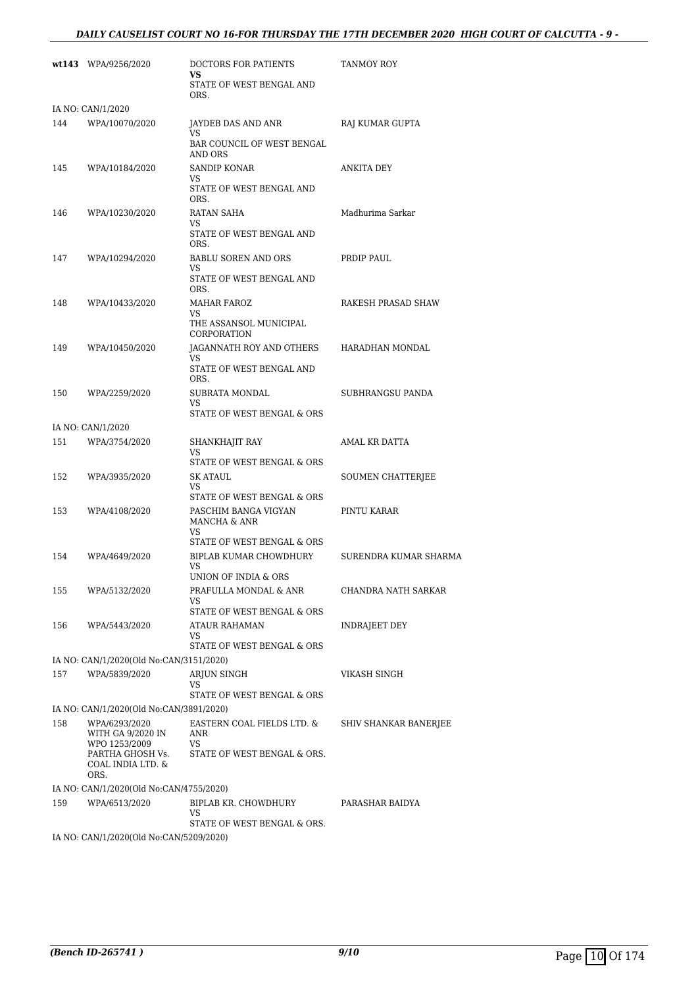#### *DAILY CAUSELIST COURT NO 16-FOR THURSDAY THE 17TH DECEMBER 2020 HIGH COURT OF CALCUTTA - 9 -*

|     | wt143 WPA/9256/2020                           | DOCTORS FOR PATIENTS<br>VS.<br>STATE OF WEST BENGAL AND   | TANMOY ROY            |
|-----|-----------------------------------------------|-----------------------------------------------------------|-----------------------|
|     |                                               | ORS.                                                      |                       |
|     | IA NO: CAN/1/2020                             |                                                           |                       |
| 144 | WPA/10070/2020                                | JAYDEB DAS AND ANR<br>VS.                                 | RAJ KUMAR GUPTA       |
|     |                                               | BAR COUNCIL OF WEST BENGAL<br>AND ORS                     |                       |
| 145 | WPA/10184/2020                                | <b>SANDIP KONAR</b>                                       | ANKITA DEY            |
|     |                                               | VS<br>STATE OF WEST BENGAL AND<br>ORS.                    |                       |
| 146 | WPA/10230/2020                                | RATAN SAHA                                                | Madhurima Sarkar      |
|     |                                               | VS<br>STATE OF WEST BENGAL AND<br>ORS.                    |                       |
| 147 | WPA/10294/2020                                | <b>BABLU SOREN AND ORS</b><br>VS                          | PRDIP PAUL            |
|     |                                               | STATE OF WEST BENGAL AND<br>ORS.                          |                       |
| 148 | WPA/10433/2020                                | <b>MAHAR FAROZ</b>                                        | RAKESH PRASAD SHAW    |
|     |                                               | VS<br>THE ASSANSOL MUNICIPAL<br>CORPORATION               |                       |
| 149 | WPA/10450/2020                                | JAGANNATH ROY AND OTHERS                                  | HARADHAN MONDAL       |
|     |                                               | VS.<br>STATE OF WEST BENGAL AND<br>ORS.                   |                       |
| 150 | WPA/2259/2020                                 | SUBRATA MONDAL<br>VS                                      | SUBHRANGSU PANDA      |
|     |                                               | STATE OF WEST BENGAL & ORS                                |                       |
|     | IA NO: CAN/1/2020                             |                                                           |                       |
| 151 | WPA/3754/2020                                 | SHANKHAJIT RAY<br><b>VS</b><br>STATE OF WEST BENGAL & ORS | AMAL KR DATTA         |
| 152 | WPA/3935/2020                                 | SK ATAUL<br>VS                                            | SOUMEN CHATTERJEE     |
| 153 | WPA/4108/2020                                 | STATE OF WEST BENGAL & ORS<br>PASCHIM BANGA VIGYAN        | PINTU KARAR           |
|     |                                               | MANCHA & ANR<br>VS                                        |                       |
| 154 | WPA/4649/2020                                 | STATE OF WEST BENGAL & ORS<br>BIPLAB KUMAR CHOWDHURY      | SURENDRA KUMAR SHARMA |
|     |                                               | VS<br>UNION OF INDIA & ORS                                |                       |
| 155 | WPA/5132/2020                                 | PRAFULLA MONDAL & ANR                                     | CHANDRA NATH SARKAR   |
|     |                                               | VS<br>STATE OF WEST BENGAL & ORS                          |                       |
| 156 | WPA/5443/2020                                 | <b>ATAUR RAHAMAN</b>                                      | <b>INDRAJEET DEY</b>  |
|     |                                               | VS<br>STATE OF WEST BENGAL & ORS                          |                       |
|     | IA NO: CAN/1/2020(Old No:CAN/3151/2020)       |                                                           |                       |
| 157 | WPA/5839/2020                                 | ARJUN SINGH                                               | VIKASH SINGH          |
|     |                                               | VS<br>STATE OF WEST BENGAL & ORS                          |                       |
|     | IA NO: CAN/1/2020(Old No:CAN/3891/2020)       |                                                           |                       |
| 158 | WPA/6293/2020                                 | EASTERN COAL FIELDS LTD. &                                | SHIV SHANKAR BANERJEE |
|     | WITH GA 9/2020 IN<br>WPO 1253/2009            | ANR<br>VS                                                 |                       |
|     | PARTHA GHOSH Vs.<br>COAL INDIA LTD. &<br>ORS. | STATE OF WEST BENGAL & ORS.                               |                       |
|     | IA NO: CAN/1/2020(Old No:CAN/4755/2020)       |                                                           |                       |
| 159 | WPA/6513/2020                                 | BIPLAB KR. CHOWDHURY<br>VS                                | PARASHAR BAIDYA       |
|     |                                               | STATE OF WEST BENGAL & ORS.                               |                       |
|     | IA NO: CAN/1/2020(Old No:CAN/5209/2020)       |                                                           |                       |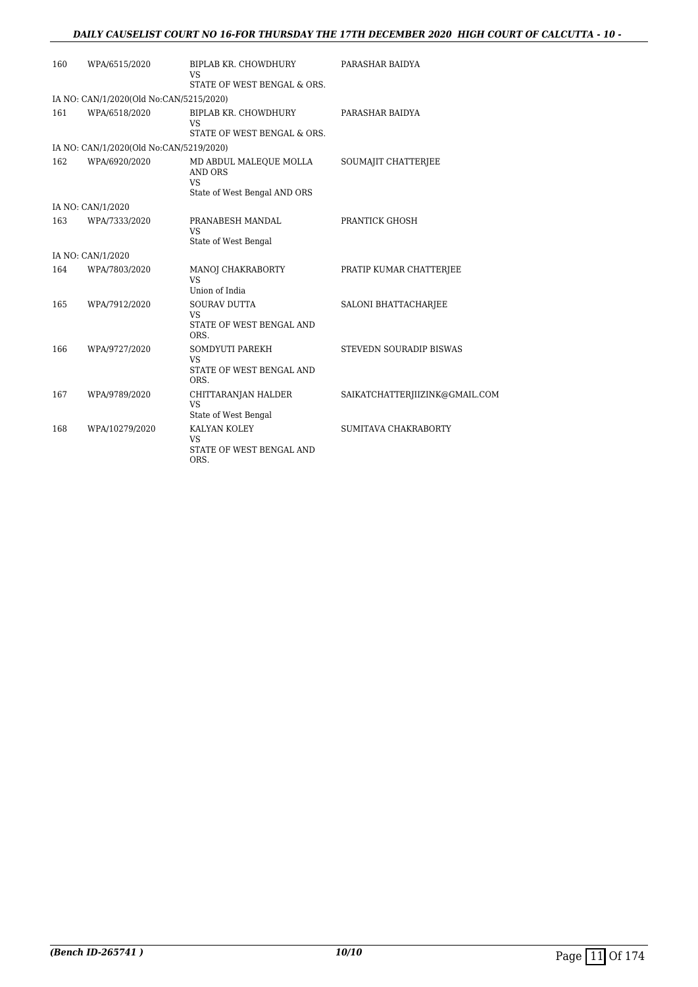#### *DAILY CAUSELIST COURT NO 16-FOR THURSDAY THE 17TH DECEMBER 2020 HIGH COURT OF CALCUTTA - 10 -*

| 160 | WPA/6515/2020                           | BIPLAB KR. CHOWDHURY<br><b>VS</b>                                                     | PARASHAR BAIDYA                |
|-----|-----------------------------------------|---------------------------------------------------------------------------------------|--------------------------------|
|     |                                         | STATE OF WEST BENGAL & ORS.                                                           |                                |
|     | IA NO: CAN/1/2020(Old No:CAN/5215/2020) |                                                                                       |                                |
| 161 | WPA/6518/2020                           | BIPLAB KR. CHOWDHURY<br><b>VS</b><br>STATE OF WEST BENGAL & ORS.                      | PARASHAR BAIDYA                |
|     | IA NO: CAN/1/2020(Old No:CAN/5219/2020) |                                                                                       |                                |
| 162 | WPA/6920/2020                           | MD ABDUL MALEQUE MOLLA<br><b>AND ORS</b><br><b>VS</b><br>State of West Bengal AND ORS | SOUMAJIT CHATTERJEE            |
|     | IA NO: CAN/1/2020                       |                                                                                       |                                |
| 163 | WPA/7333/2020                           | PRANABESH MANDAL<br><b>VS</b>                                                         | PRANTICK GHOSH                 |
|     |                                         | State of West Bengal                                                                  |                                |
|     | IA NO: CAN/1/2020                       |                                                                                       |                                |
| 164 | WPA/7803/2020                           | MANOJ CHAKRABORTY<br><b>VS</b>                                                        | PRATIP KUMAR CHATTERJEE        |
|     |                                         | Union of India                                                                        |                                |
| 165 | WPA/7912/2020                           | <b>SOURAV DUTTA</b><br><b>VS</b><br>STATE OF WEST BENGAL AND<br>ORS.                  | SALONI BHATTACHARJEE           |
| 166 | WPA/9727/2020                           | SOMDYUTI PAREKH<br><b>VS</b><br>STATE OF WEST BENGAL AND<br>ORS.                      | STEVEDN SOURADIP BISWAS        |
| 167 | WPA/9789/2020                           | CHITTARANJAN HALDER<br><b>VS</b><br>State of West Bengal                              | SAIKATCHATTERJIIZINK@GMAIL.COM |
| 168 | WPA/10279/2020                          | KALYAN KOLEY<br><b>VS</b><br>STATE OF WEST BENGAL AND<br>ORS.                         | SUMITAVA CHAKRABORTY           |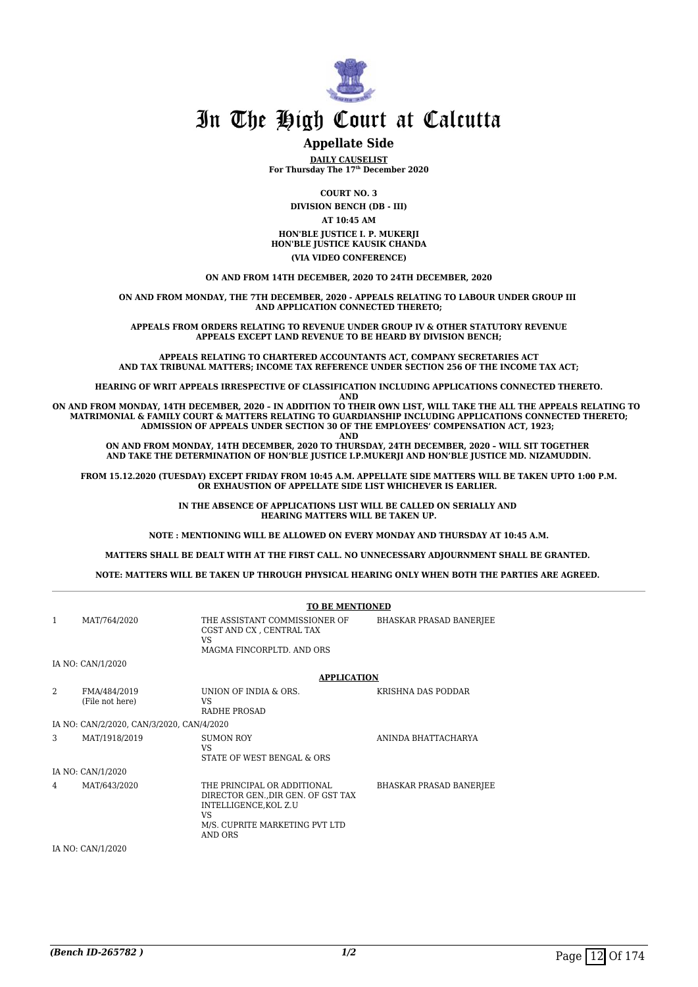

#### **Appellate Side**

**DAILY CAUSELIST For Thursday The 17th December 2020**

**COURT NO. 3**

**DIVISION BENCH (DB - III) AT 10:45 AM**

**HON'BLE JUSTICE I. P. MUKERJI HON'BLE JUSTICE KAUSIK CHANDA (VIA VIDEO CONFERENCE)**

**ON AND FROM 14TH DECEMBER, 2020 TO 24TH DECEMBER, 2020**

**ON AND FROM MONDAY, THE 7TH DECEMBER, 2020 - APPEALS RELATING TO LABOUR UNDER GROUP III AND APPLICATION CONNECTED THERETO;**

**APPEALS FROM ORDERS RELATING TO REVENUE UNDER GROUP IV & OTHER STATUTORY REVENUE APPEALS EXCEPT LAND REVENUE TO BE HEARD BY DIVISION BENCH;**

**APPEALS RELATING TO CHARTERED ACCOUNTANTS ACT, COMPANY SECRETARIES ACT AND TAX TRIBUNAL MATTERS; INCOME TAX REFERENCE UNDER SECTION 256 OF THE INCOME TAX ACT;**

**HEARING OF WRIT APPEALS IRRESPECTIVE OF CLASSIFICATION INCLUDING APPLICATIONS CONNECTED THERETO.**

**AND**

**ON AND FROM MONDAY, 14TH DECEMBER, 2020 – IN ADDITION TO THEIR OWN LIST, WILL TAKE THE ALL THE APPEALS RELATING TO MATRIMONIAL & FAMILY COURT & MATTERS RELATING TO GUARDIANSHIP INCLUDING APPLICATIONS CONNECTED THERETO; ADMISSION OF APPEALS UNDER SECTION 30 OF THE EMPLOYEES' COMPENSATION ACT, 1923; AND**

**ON AND FROM MONDAY, 14TH DECEMBER, 2020 TO THURSDAY, 24TH DECEMBER, 2020 – WILL SIT TOGETHER AND TAKE THE DETERMINATION OF HON'BLE JUSTICE I.P.MUKERJI AND HON'BLE JUSTICE MD. NIZAMUDDIN.**

**FROM 15.12.2020 (TUESDAY) EXCEPT FRIDAY FROM 10:45 A.M. APPELLATE SIDE MATTERS WILL BE TAKEN UPTO 1:00 P.M. OR EXHAUSTION OF APPELLATE SIDE LIST WHICHEVER IS EARLIER.** 

> **IN THE ABSENCE OF APPLICATIONS LIST WILL BE CALLED ON SERIALLY AND HEARING MATTERS WILL BE TAKEN UP.**

**NOTE : MENTIONING WILL BE ALLOWED ON EVERY MONDAY AND THURSDAY AT 10:45 A.M.**

**MATTERS SHALL BE DEALT WITH AT THE FIRST CALL. NO UNNECESSARY ADJOURNMENT SHALL BE GRANTED.** 

**NOTE: MATTERS WILL BE TAKEN UP THROUGH PHYSICAL HEARING ONLY WHEN BOTH THE PARTIES ARE AGREED.** 

|               |                                           | <b>TO BE MENTIONED</b>                                                                                                                         |                                |  |
|---------------|-------------------------------------------|------------------------------------------------------------------------------------------------------------------------------------------------|--------------------------------|--|
| 1             | MAT/764/2020                              | THE ASSISTANT COMMISSIONER OF<br>CGST AND CX , CENTRAL TAX<br>VS<br>MAGMA FINCORPLTD. AND ORS                                                  | <b>BHASKAR PRASAD BANERJEE</b> |  |
|               | IA NO: CAN/1/2020                         |                                                                                                                                                |                                |  |
|               |                                           | <b>APPLICATION</b>                                                                                                                             |                                |  |
| $\mathcal{D}$ | FMA/484/2019<br>(File not here)           | UNION OF INDIA & ORS.<br>VS.<br>RADHE PROSAD                                                                                                   | KRISHNA DAS PODDAR             |  |
|               | IA NO: CAN/2/2020, CAN/3/2020, CAN/4/2020 |                                                                                                                                                |                                |  |
| 3             | MAT/1918/2019                             | <b>SUMON ROY</b><br>VS<br>STATE OF WEST BENGAL & ORS                                                                                           | ANINDA BHATTACHARYA            |  |
|               | IA NO: CAN/1/2020                         |                                                                                                                                                |                                |  |
| 4             | MAT/643/2020                              | THE PRINCIPAL OR ADDITIONAL<br>DIRECTOR GEN., DIR GEN. OF GST TAX<br>INTELLIGENCE, KOL Z.U<br>VS.<br>M/S. CUPRITE MARKETING PVT LTD<br>AND ORS | BHASKAR PRASAD BANERJEE        |  |
|               | IA NO: CAN/1/2020                         |                                                                                                                                                |                                |  |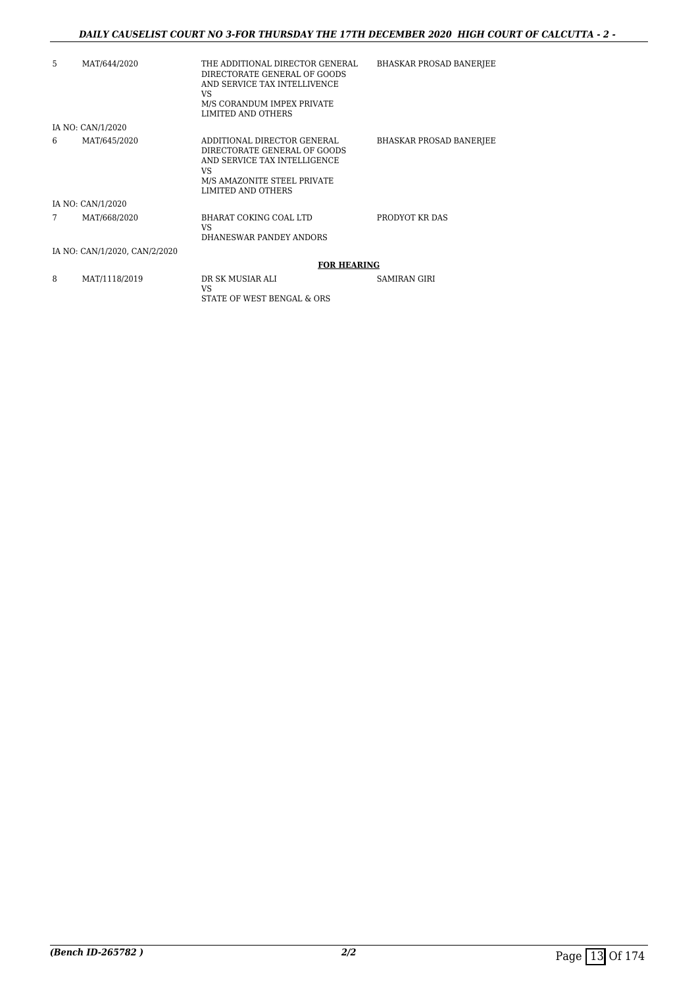#### *DAILY CAUSELIST COURT NO 3-FOR THURSDAY THE 17TH DECEMBER 2020 HIGH COURT OF CALCUTTA - 2 -*

| 5 | MAT/644/2020                  | THE ADDITIONAL DIRECTOR GENERAL<br>DIRECTORATE GENERAL OF GOODS<br>AND SERVICE TAX INTELLIVENCE<br>VS<br>M/S CORANDUM IMPEX PRIVATE<br>LIMITED AND OTHERS | <b>BHASKAR PROSAD BANERJEE</b> |
|---|-------------------------------|-----------------------------------------------------------------------------------------------------------------------------------------------------------|--------------------------------|
|   | IA NO: CAN/1/2020             |                                                                                                                                                           |                                |
| 6 | MAT/645/2020                  | ADDITIONAL DIRECTOR GENERAL<br>DIRECTORATE GENERAL OF GOODS<br>AND SERVICE TAX INTELLIGENCE<br>VS<br>M/S AMAZONITE STEEL PRIVATE<br>LIMITED AND OTHERS    | <b>BHASKAR PROSAD BANERJEE</b> |
|   | IA NO: CAN/1/2020             |                                                                                                                                                           |                                |
|   | MAT/668/2020                  | BHARAT COKING COAL LTD<br>VS<br>DHANESWAR PANDEY ANDORS                                                                                                   | PRODYOT KR DAS                 |
|   | IA NO: CAN/1/2020, CAN/2/2020 |                                                                                                                                                           |                                |
|   |                               | <b>FOR HEARING</b>                                                                                                                                        |                                |
| 8 | MAT/1118/2019                 | DR SK MUSIAR ALI                                                                                                                                          | <b>SAMIRAN GIRI</b>            |

STATE OF WEST BENGAL & ORS

VS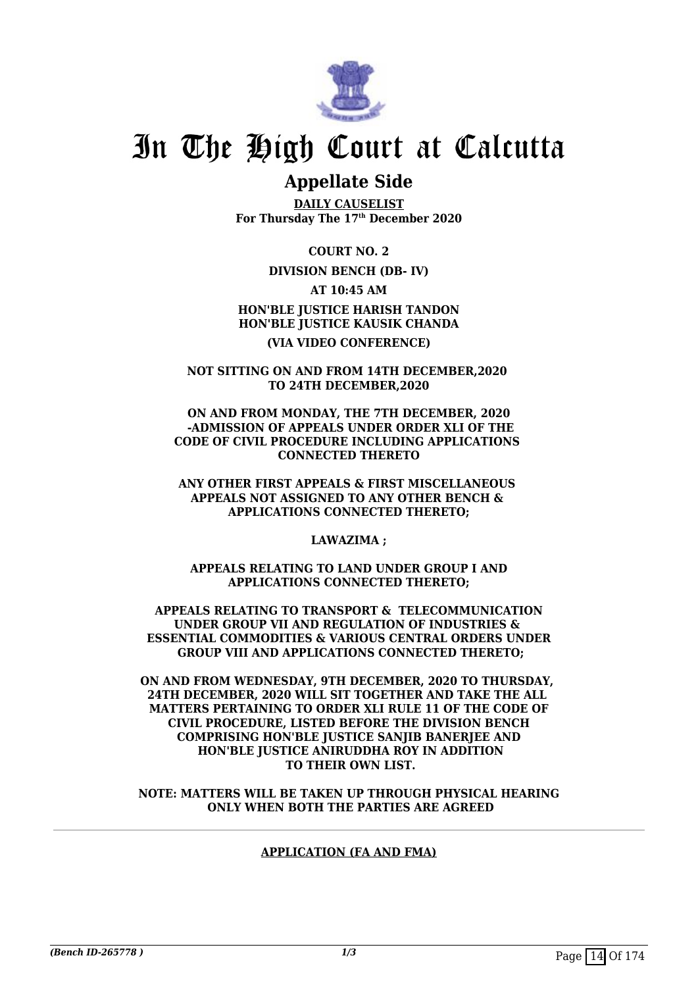

### **Appellate Side**

**DAILY CAUSELIST For Thursday The 17th December 2020**

**COURT NO. 2**

#### **DIVISION BENCH (DB- IV)**

**AT 10:45 AM**

**HON'BLE JUSTICE HARISH TANDON HON'BLE JUSTICE KAUSIK CHANDA (VIA VIDEO CONFERENCE)**

**NOT SITTING ON AND FROM 14TH DECEMBER,2020 TO 24TH DECEMBER,2020**

**ON AND FROM MONDAY, THE 7TH DECEMBER, 2020 -ADMISSION OF APPEALS UNDER ORDER XLI OF THE CODE OF CIVIL PROCEDURE INCLUDING APPLICATIONS CONNECTED THERETO**

**ANY OTHER FIRST APPEALS & FIRST MISCELLANEOUS APPEALS NOT ASSIGNED TO ANY OTHER BENCH & APPLICATIONS CONNECTED THERETO;**

**LAWAZIMA ;**

**APPEALS RELATING TO LAND UNDER GROUP I AND APPLICATIONS CONNECTED THERETO;**

 **APPEALS RELATING TO TRANSPORT & TELECOMMUNICATION UNDER GROUP VII AND REGULATION OF INDUSTRIES & ESSENTIAL COMMODITIES & VARIOUS CENTRAL ORDERS UNDER GROUP VIII AND APPLICATIONS CONNECTED THERETO;**

**ON AND FROM WEDNESDAY, 9TH DECEMBER, 2020 TO THURSDAY, 24TH DECEMBER, 2020 WILL SIT TOGETHER AND TAKE THE ALL MATTERS PERTAINING TO ORDER XLI RULE 11 OF THE CODE OF CIVIL PROCEDURE, LISTED BEFORE THE DIVISION BENCH COMPRISING HON'BLE JUSTICE SANJIB BANERJEE AND HON'BLE JUSTICE ANIRUDDHA ROY IN ADDITION TO THEIR OWN LIST.**

**NOTE: MATTERS WILL BE TAKEN UP THROUGH PHYSICAL HEARING ONLY WHEN BOTH THE PARTIES ARE AGREED**

#### **APPLICATION (FA AND FMA)**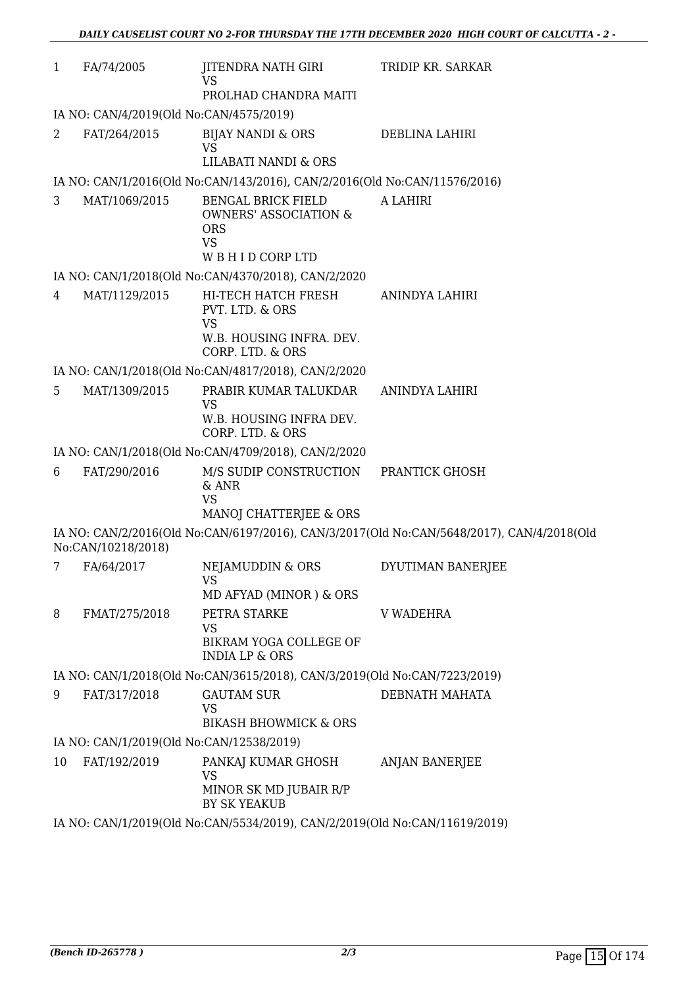| $\mathbf{1}$   | FA/74/2005                                                                 | JITENDRA NATH GIRI<br>VS                                                                 | TRIDIP KR. SARKAR                                                                         |  |  |
|----------------|----------------------------------------------------------------------------|------------------------------------------------------------------------------------------|-------------------------------------------------------------------------------------------|--|--|
|                |                                                                            | PROLHAD CHANDRA MAITI                                                                    |                                                                                           |  |  |
|                | IA NO: CAN/4/2019(Old No:CAN/4575/2019)                                    |                                                                                          |                                                                                           |  |  |
| 2              | FAT/264/2015                                                               | BIJAY NANDI & ORS<br>VS                                                                  | DEBLINA LAHIRI                                                                            |  |  |
|                |                                                                            | LILABATI NANDI & ORS                                                                     |                                                                                           |  |  |
|                |                                                                            | IA NO: CAN/1/2016(Old No:CAN/143/2016), CAN/2/2016(Old No:CAN/11576/2016)                |                                                                                           |  |  |
| 3              | MAT/1069/2015                                                              | <b>BENGAL BRICK FIELD</b><br><b>OWNERS' ASSOCIATION &amp;</b><br><b>ORS</b><br><b>VS</b> | A LAHIRI                                                                                  |  |  |
|                |                                                                            | WBHID CORPLTD                                                                            |                                                                                           |  |  |
|                |                                                                            | IA NO: CAN/1/2018(Old No:CAN/4370/2018), CAN/2/2020                                      |                                                                                           |  |  |
| $\overline{4}$ | MAT/1129/2015                                                              | HI-TECH HATCH FRESH<br>PVT. LTD. & ORS<br><b>VS</b>                                      | ANINDYA LAHIRI                                                                            |  |  |
|                |                                                                            | W.B. HOUSING INFRA. DEV.<br>CORP. LTD. & ORS                                             |                                                                                           |  |  |
|                |                                                                            | IA NO: CAN/1/2018(Old No:CAN/4817/2018), CAN/2/2020                                      |                                                                                           |  |  |
| 5              | MAT/1309/2015                                                              | PRABIR KUMAR TALUKDAR<br>VS                                                              | ANINDYA LAHIRI                                                                            |  |  |
|                |                                                                            | W.B. HOUSING INFRA DEV.<br>CORP. LTD. & ORS                                              |                                                                                           |  |  |
|                |                                                                            | IA NO: CAN/1/2018(Old No:CAN/4709/2018), CAN/2/2020                                      |                                                                                           |  |  |
| 6              | FAT/290/2016                                                               | M/S SUDIP CONSTRUCTION<br>& ANR<br><b>VS</b>                                             | PRANTICK GHOSH                                                                            |  |  |
|                |                                                                            | MANOJ CHATTERJEE & ORS                                                                   |                                                                                           |  |  |
|                | No:CAN/10218/2018)                                                         |                                                                                          | IA NO: CAN/2/2016(Old No:CAN/6197/2016), CAN/3/2017(Old No:CAN/5648/2017), CAN/4/2018(Old |  |  |
| 7              | FA/64/2017                                                                 | NEJAMUDDIN & ORS<br>VS                                                                   | DYUTIMAN BANERJEE                                                                         |  |  |
|                |                                                                            | MD AFYAD (MINOR) & ORS                                                                   |                                                                                           |  |  |
| 8              | FMAT/275/2018                                                              | PETRA STARKE<br><b>VS</b>                                                                | <b>V WADEHRA</b>                                                                          |  |  |
|                |                                                                            | BIKRAM YOGA COLLEGE OF<br><b>INDIA LP &amp; ORS</b>                                      |                                                                                           |  |  |
|                |                                                                            | IA NO: CAN/1/2018(Old No:CAN/3615/2018), CAN/3/2019(Old No:CAN/7223/2019)                |                                                                                           |  |  |
| 9              | FAT/317/2018                                                               | <b>GAUTAM SUR</b><br><b>VS</b><br><b>BIKASH BHOWMICK &amp; ORS</b>                       | DEBNATH MAHATA                                                                            |  |  |
|                | IA NO: CAN/1/2019(Old No:CAN/12538/2019)                                   |                                                                                          |                                                                                           |  |  |
| 10             | FAT/192/2019                                                               | PANKAJ KUMAR GHOSH                                                                       | <b>ANJAN BANERJEE</b>                                                                     |  |  |
|                |                                                                            | VS<br>MINOR SK MD JUBAIR R/P<br><b>BY SK YEAKUB</b>                                      |                                                                                           |  |  |
|                | IA NO: CAN/1/2019(Old No:CAN/5534/2019), CAN/2/2019(Old No:CAN/11619/2019) |                                                                                          |                                                                                           |  |  |
|                |                                                                            |                                                                                          |                                                                                           |  |  |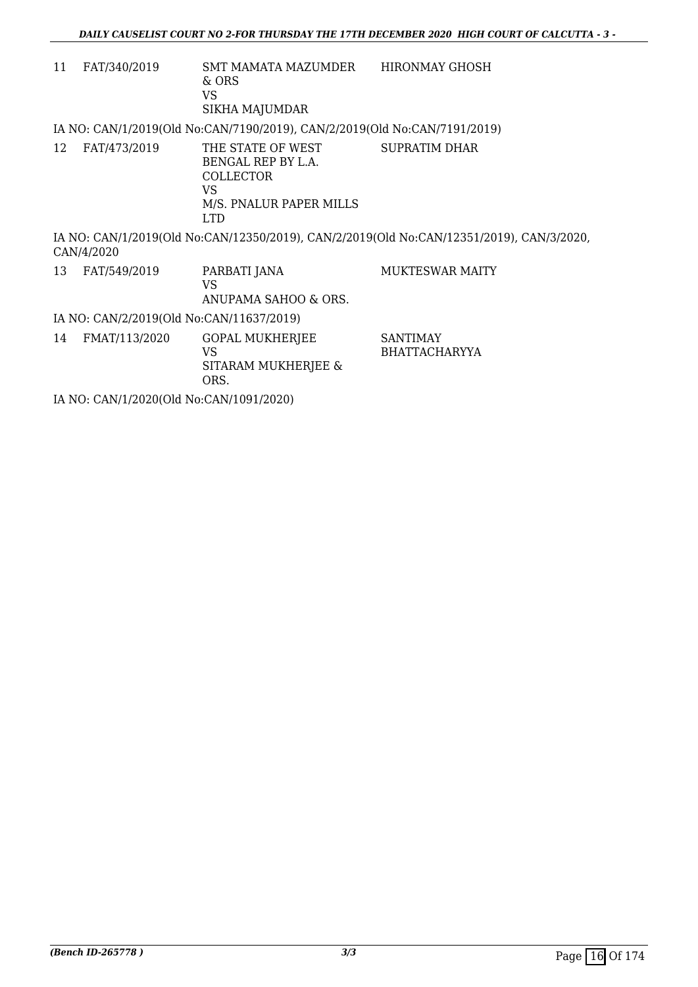| 11 | FAT/340/2019                             | SMT MAMATA MAZUMDER<br>& ORS<br><b>VS</b><br>SIKHA MAJUMDAR                                                | <b>HIRONMAY GHOSH</b>                                                                    |  |  |  |
|----|------------------------------------------|------------------------------------------------------------------------------------------------------------|------------------------------------------------------------------------------------------|--|--|--|
|    |                                          | IA NO: CAN/1/2019(Old No:CAN/7190/2019), CAN/2/2019(Old No:CAN/7191/2019)                                  |                                                                                          |  |  |  |
| 12 | FAT/473/2019                             | THE STATE OF WEST<br>BENGAL REP BY L.A.<br><b>COLLECTOR</b><br>VS<br>M/S. PNALUR PAPER MILLS<br><b>LTD</b> | <b>SUPRATIM DHAR</b>                                                                     |  |  |  |
|    | CAN/4/2020                               |                                                                                                            | IA NO: CAN/1/2019(Old No:CAN/12350/2019), CAN/2/2019(Old No:CAN/12351/2019), CAN/3/2020, |  |  |  |
| 13 | FAT/549/2019                             | PARBATI JANA<br><b>VS</b><br>ANUPAMA SAHOO & ORS.                                                          | <b>MUKTESWAR MAITY</b>                                                                   |  |  |  |
|    | IA NO: CAN/2/2019(Old No:CAN/11637/2019) |                                                                                                            |                                                                                          |  |  |  |
| 14 | FMAT/113/2020                            | GOPAL MUKHERJEE<br><b>VS</b><br>SITARAM MUKHERJEE &<br>ORS.                                                | <b>SANTIMAY</b><br><b>BHATTACHARYYA</b>                                                  |  |  |  |
|    | IA NO: CAN/1/2020(Old No:CAN/1091/2020)  |                                                                                                            |                                                                                          |  |  |  |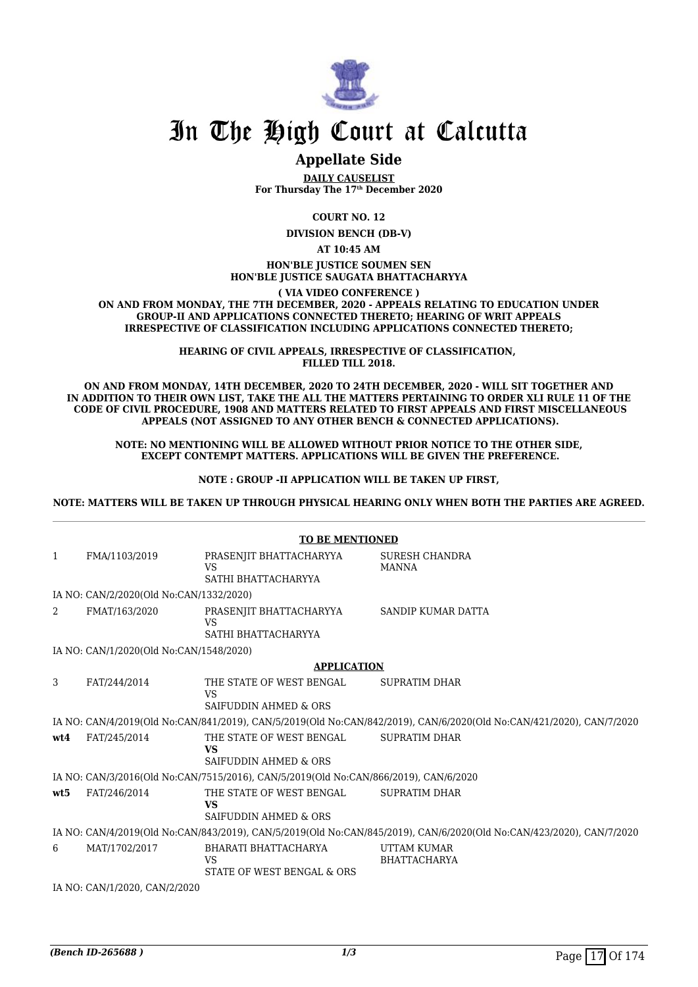

### **Appellate Side**

**DAILY CAUSELIST For Thursday The 17th December 2020**

**COURT NO. 12**

**DIVISION BENCH (DB-V)**

**AT 10:45 AM**

#### **HON'BLE JUSTICE SOUMEN SEN HON'BLE JUSTICE SAUGATA BHATTACHARYYA**

**( VIA VIDEO CONFERENCE )**

**ON AND FROM MONDAY, THE 7TH DECEMBER, 2020 - APPEALS RELATING TO EDUCATION UNDER GROUP-II AND APPLICATIONS CONNECTED THERETO; HEARING OF WRIT APPEALS IRRESPECTIVE OF CLASSIFICATION INCLUDING APPLICATIONS CONNECTED THERETO;**

> **HEARING OF CIVIL APPEALS, IRRESPECTIVE OF CLASSIFICATION, FILLED TILL 2018.**

**ON AND FROM MONDAY, 14TH DECEMBER, 2020 TO 24TH DECEMBER, 2020 - WILL SIT TOGETHER AND IN ADDITION TO THEIR OWN LIST, TAKE THE ALL THE MATTERS PERTAINING TO ORDER XLI RULE 11 OF THE CODE OF CIVIL PROCEDURE, 1908 AND MATTERS RELATED TO FIRST APPEALS AND FIRST MISCELLANEOUS APPEALS (NOT ASSIGNED TO ANY OTHER BENCH & CONNECTED APPLICATIONS).**

**NOTE: NO MENTIONING WILL BE ALLOWED WITHOUT PRIOR NOTICE TO THE OTHER SIDE, EXCEPT CONTEMPT MATTERS. APPLICATIONS WILL BE GIVEN THE PREFERENCE.**

**NOTE : GROUP -II APPLICATION WILL BE TAKEN UP FIRST,**

**NOTE: MATTERS WILL BE TAKEN UP THROUGH PHYSICAL HEARING ONLY WHEN BOTH THE PARTIES ARE AGREED.**

|                               | <b>TO BE MENTIONED</b>                  |                                                                                      |                                                                                                                      |  |  |
|-------------------------------|-----------------------------------------|--------------------------------------------------------------------------------------|----------------------------------------------------------------------------------------------------------------------|--|--|
| $\mathbf{1}$                  | FMA/1103/2019                           | PRASENJIT BHATTACHARYYA<br><b>VS</b><br>SATHI BHATTACHARYYA                          | <b>SURESH CHANDRA</b><br><b>MANNA</b>                                                                                |  |  |
|                               | IA NO: CAN/2/2020(Old No:CAN/1332/2020) |                                                                                      |                                                                                                                      |  |  |
| 2                             | FMAT/163/2020                           | PRASENJIT BHATTACHARYYA<br><b>VS</b><br>SATHI BHATTACHARYYA                          | SANDIP KUMAR DATTA                                                                                                   |  |  |
|                               | IA NO: CAN/1/2020(Old No:CAN/1548/2020) |                                                                                      |                                                                                                                      |  |  |
|                               |                                         | <b>APPLICATION</b>                                                                   |                                                                                                                      |  |  |
| 3                             | FAT/244/2014                            | THE STATE OF WEST BENGAL<br><b>VS</b><br>SAIFUDDIN AHMED & ORS                       | <b>SUPRATIM DHAR</b>                                                                                                 |  |  |
|                               |                                         |                                                                                      | IA NO: CAN/4/2019(Old No:CAN/841/2019), CAN/5/2019(Old No:CAN/842/2019), CAN/6/2020(Old No:CAN/421/2020), CAN/7/2020 |  |  |
| wt4                           | FAT/245/2014                            | THE STATE OF WEST BENGAL<br><b>VS</b><br>SAIFUDDIN AHMED & ORS                       | <b>SUPRATIM DHAR</b>                                                                                                 |  |  |
|                               |                                         | IA NO: CAN/3/2016(Old No:CAN/7515/2016), CAN/5/2019(Old No:CAN/866/2019), CAN/6/2020 |                                                                                                                      |  |  |
| wt5                           | FAT/246/2014                            | THE STATE OF WEST BENGAL<br><b>VS</b><br><b>SAIFUDDIN AHMED &amp; ORS</b>            | <b>SUPRATIM DHAR</b>                                                                                                 |  |  |
|                               |                                         |                                                                                      | IA NO: CAN/4/2019(Old No:CAN/843/2019), CAN/5/2019(Old No:CAN/845/2019), CAN/6/2020(Old No:CAN/423/2020), CAN/7/2020 |  |  |
| 6                             | MAT/1702/2017                           | BHARATI BHATTACHARYA<br><b>VS</b><br>STATE OF WEST BENGAL & ORS                      | UTTAM KUMAR<br><b>BHATTACHARYA</b>                                                                                   |  |  |
| IA NO: CAN/1/2020, CAN/2/2020 |                                         |                                                                                      |                                                                                                                      |  |  |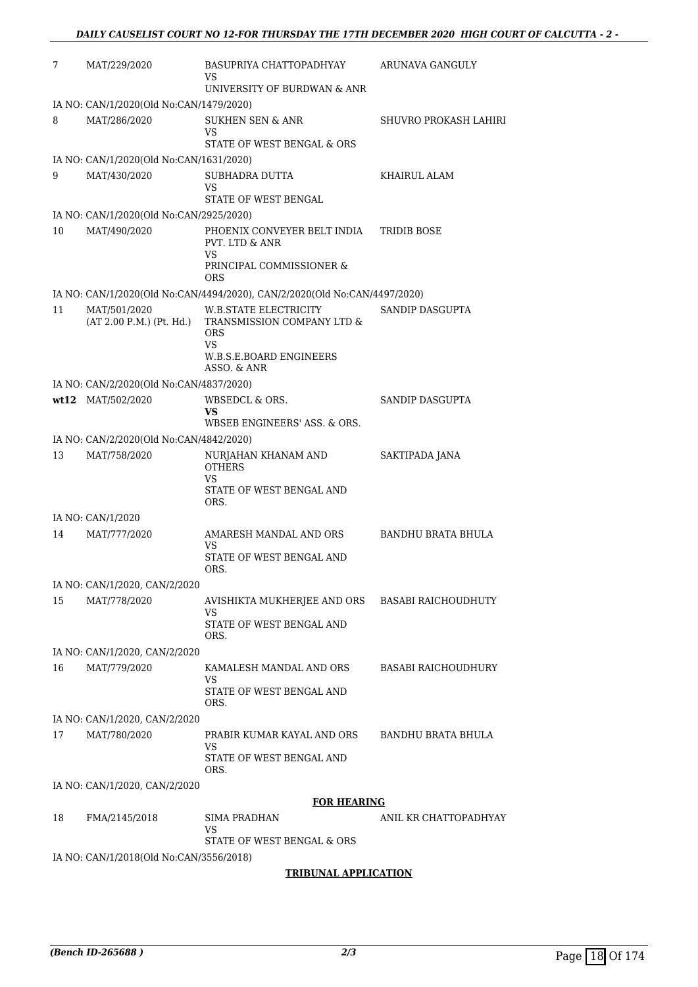| 7  | MAT/229/2020                             | BASUPRIYA CHATTOPADHYAY<br>VS<br>UNIVERSITY OF BURDWAN & ANR                                               | ARUNAVA GANGULY            |
|----|------------------------------------------|------------------------------------------------------------------------------------------------------------|----------------------------|
|    | IA NO: CAN/1/2020(Old No:CAN/1479/2020)  |                                                                                                            |                            |
| 8  | MAT/286/2020                             | SUKHEN SEN & ANR<br>VS<br>STATE OF WEST BENGAL & ORS                                                       | SHUVRO PROKASH LAHIRI      |
|    | IA NO: CAN/1/2020(Old No:CAN/1631/2020)  |                                                                                                            |                            |
| 9  | MAT/430/2020                             | SUBHADRA DUTTA<br>VS.<br>STATE OF WEST BENGAL                                                              | KHAIRUL ALAM               |
|    | IA NO: CAN/1/2020(Old No:CAN/2925/2020)  |                                                                                                            |                            |
| 10 | MAT/490/2020                             | PHOENIX CONVEYER BELT INDIA<br>PVT. LTD & ANR<br>VS.<br>PRINCIPAL COMMISSIONER &<br><b>ORS</b>             | TRIDIB BOSE                |
|    |                                          | IA NO: CAN/1/2020(Old No:CAN/4494/2020), CAN/2/2020(Old No:CAN/4497/2020)                                  |                            |
| 11 | MAT/501/2020<br>(AT 2.00 P.M.) (Pt. Hd.) | W.B.STATE ELECTRICITY<br>TRANSMISSION COMPANY LTD &<br><b>ORS</b><br>VS.<br><b>W.B.S.E.BOARD ENGINEERS</b> | SANDIP DASGUPTA            |
|    |                                          | ASSO. & ANR                                                                                                |                            |
|    | IA NO: CAN/2/2020(Old No:CAN/4837/2020)  |                                                                                                            |                            |
|    | wt12 MAT/502/2020                        | WBSEDCL & ORS.<br>VS                                                                                       | SANDIP DASGUPTA            |
|    |                                          | WBSEB ENGINEERS' ASS. & ORS.                                                                               |                            |
|    | IA NO: CAN/2/2020(Old No:CAN/4842/2020)  |                                                                                                            |                            |
| 13 | MAT/758/2020                             | NURJAHAN KHANAM AND<br><b>OTHERS</b><br>VS.<br>STATE OF WEST BENGAL AND<br>ORS.                            | SAKTIPADA JANA             |
|    | IA NO: CAN/1/2020                        |                                                                                                            |                            |
| 14 | MAT/777/2020                             | AMARESH MANDAL AND ORS<br>VS.<br>STATE OF WEST BENGAL AND<br>ORS.                                          | <b>BANDHU BRATA BHULA</b>  |
|    | IA NO: CAN/1/2020, CAN/2/2020            |                                                                                                            |                            |
| 15 | MAT/778/2020                             | AVISHIKTA MUKHERJEE AND ORS BASABI RAICHOUDHUTY<br>VS<br>STATE OF WEST BENGAL AND                          |                            |
|    |                                          | ORS.                                                                                                       |                            |
|    | IA NO: CAN/1/2020, CAN/2/2020            |                                                                                                            |                            |
| 16 | MAT/779/2020                             | KAMALESH MANDAL AND ORS<br>VS<br>STATE OF WEST BENGAL AND<br>ORS.                                          | <b>BASABI RAICHOUDHURY</b> |
|    | IA NO: CAN/1/2020, CAN/2/2020            |                                                                                                            |                            |
| 17 | MAT/780/2020                             | PRABIR KUMAR KAYAL AND ORS<br>VS<br>STATE OF WEST BENGAL AND                                               | BANDHU BRATA BHULA         |
|    |                                          | ORS.                                                                                                       |                            |
|    | IA NO: CAN/1/2020, CAN/2/2020            |                                                                                                            |                            |
|    |                                          | <b>FOR HEARING</b>                                                                                         |                            |
| 18 | FMA/2145/2018                            | SIMA PRADHAN<br>VS                                                                                         | ANIL KR CHATTOPADHYAY      |
|    |                                          | STATE OF WEST BENGAL & ORS                                                                                 |                            |
|    | IA NO: CAN/1/2018(Old No:CAN/3556/2018)  |                                                                                                            |                            |
|    |                                          | <b>TRIBUNAL APPLICATION</b>                                                                                |                            |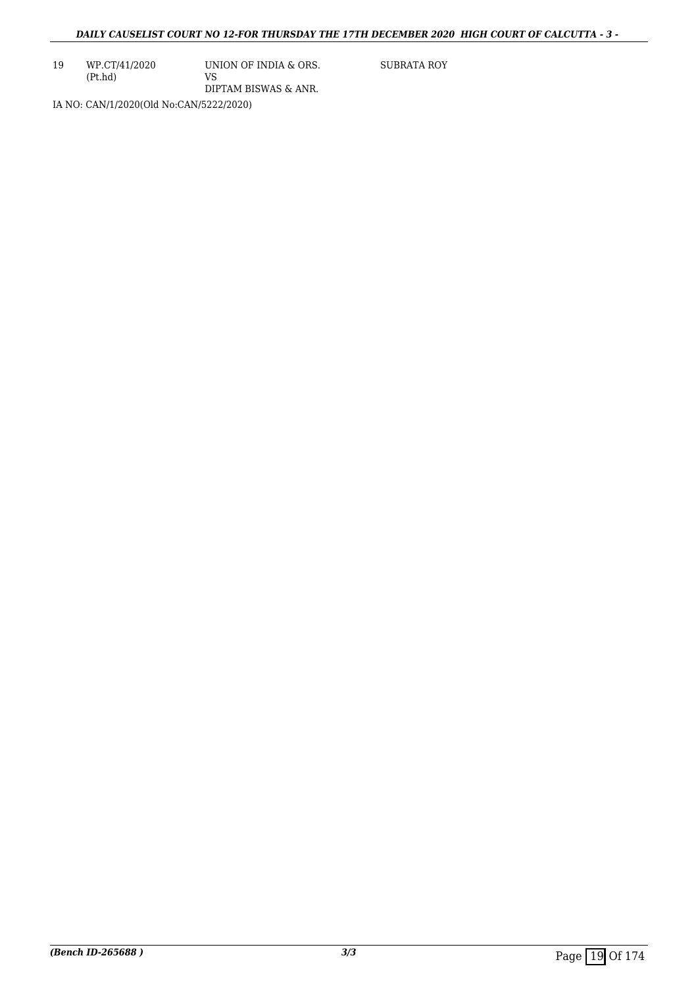19 WP.CT/41/2020 (Pt.hd)

UNION OF INDIA & ORS. VS DIPTAM BISWAS & ANR.

SUBRATA ROY

IA NO: CAN/1/2020(Old No:CAN/5222/2020)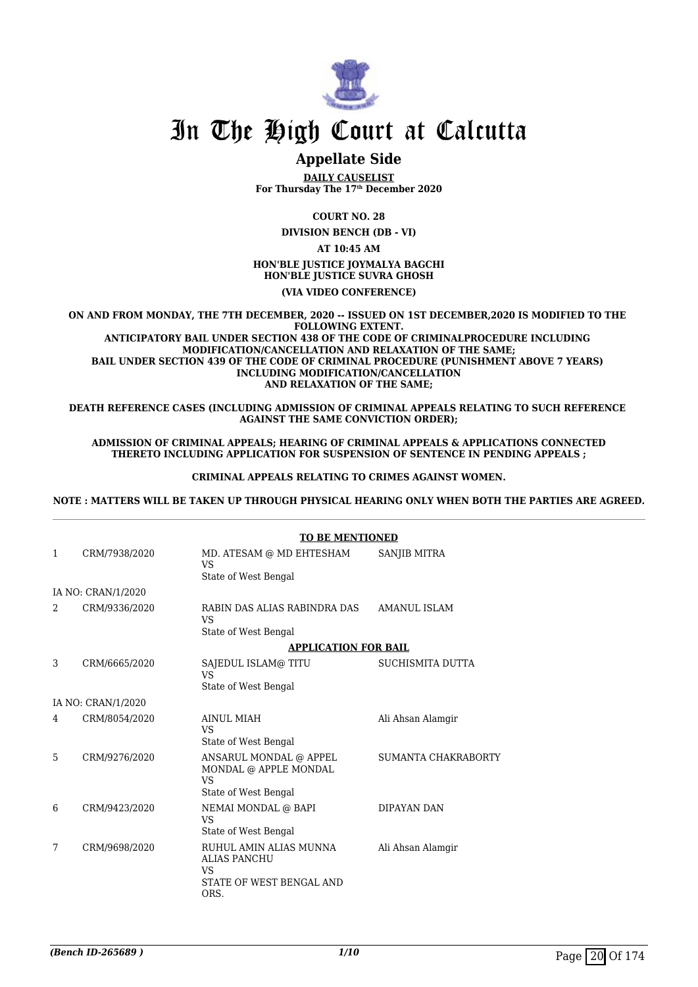

### **Appellate Side**

**DAILY CAUSELIST For Thursday The 17th December 2020**

**COURT NO. 28**

**DIVISION BENCH (DB - VI)**

**AT 10:45 AM**

**HON'BLE JUSTICE JOYMALYA BAGCHI HON'BLE JUSTICE SUVRA GHOSH (VIA VIDEO CONFERENCE)**

**ON AND FROM MONDAY, THE 7TH DECEMBER, 2020 -- ISSUED ON 1ST DECEMBER,2020 IS MODIFIED TO THE FOLLOWING EXTENT. ANTICIPATORY BAIL UNDER SECTION 438 OF THE CODE OF CRIMINALPROCEDURE INCLUDING MODIFICATION/CANCELLATION AND RELAXATION OF THE SAME; BAIL UNDER SECTION 439 OF THE CODE OF CRIMINAL PROCEDURE (PUNISHMENT ABOVE 7 YEARS) INCLUDING MODIFICATION/CANCELLATION AND RELAXATION OF THE SAME;**

**DEATH REFERENCE CASES (INCLUDING ADMISSION OF CRIMINAL APPEALS RELATING TO SUCH REFERENCE AGAINST THE SAME CONVICTION ORDER);**

#### **ADMISSION OF CRIMINAL APPEALS; HEARING OF CRIMINAL APPEALS & APPLICATIONS CONNECTED THERETO INCLUDING APPLICATION FOR SUSPENSION OF SENTENCE IN PENDING APPEALS ;**

#### **CRIMINAL APPEALS RELATING TO CRIMES AGAINST WOMEN.**

**NOTE : MATTERS WILL BE TAKEN UP THROUGH PHYSICAL HEARING ONLY WHEN BOTH THE PARTIES ARE AGREED.**

|   |                    | <b>TO BE MENTIONED</b>                                                                         |                            |
|---|--------------------|------------------------------------------------------------------------------------------------|----------------------------|
| 1 | CRM/7938/2020      | MD. ATESAM @ MD EHTESHAM<br>VS.<br>State of West Bengal                                        | SANJIB MITRA               |
|   | IA NO: CRAN/1/2020 |                                                                                                |                            |
| 2 | CRM/9336/2020      | RABIN DAS ALIAS RABINDRA DAS<br>VS.<br>State of West Bengal                                    | AMANUL ISLAM               |
|   |                    | <b>APPLICATION FOR BAIL</b>                                                                    |                            |
| 3 | CRM/6665/2020      | SAJEDUL ISLAM@TITU<br>VS<br>State of West Bengal                                               | SUCHISMITA DUTTA           |
|   | IA NO: CRAN/1/2020 |                                                                                                |                            |
| 4 | CRM/8054/2020      | <b>AINUL MIAH</b><br>VS<br>State of West Bengal                                                | Ali Ahsan Alamgir          |
| 5 | CRM/9276/2020      | ANSARUL MONDAL @ APPEL<br>MONDAL @ APPLE MONDAL<br>VS.<br>State of West Bengal                 | <b>SUMANTA CHAKRABORTY</b> |
| 6 | CRM/9423/2020      | NEMAI MONDAL @ BAPI<br>VS<br>State of West Bengal                                              | DIPAYAN DAN                |
| 7 | CRM/9698/2020      | RUHUL AMIN ALIAS MUNNA<br><b>ALIAS PANCHU</b><br><b>VS</b><br>STATE OF WEST BENGAL AND<br>ORS. | Ali Ahsan Alamgir          |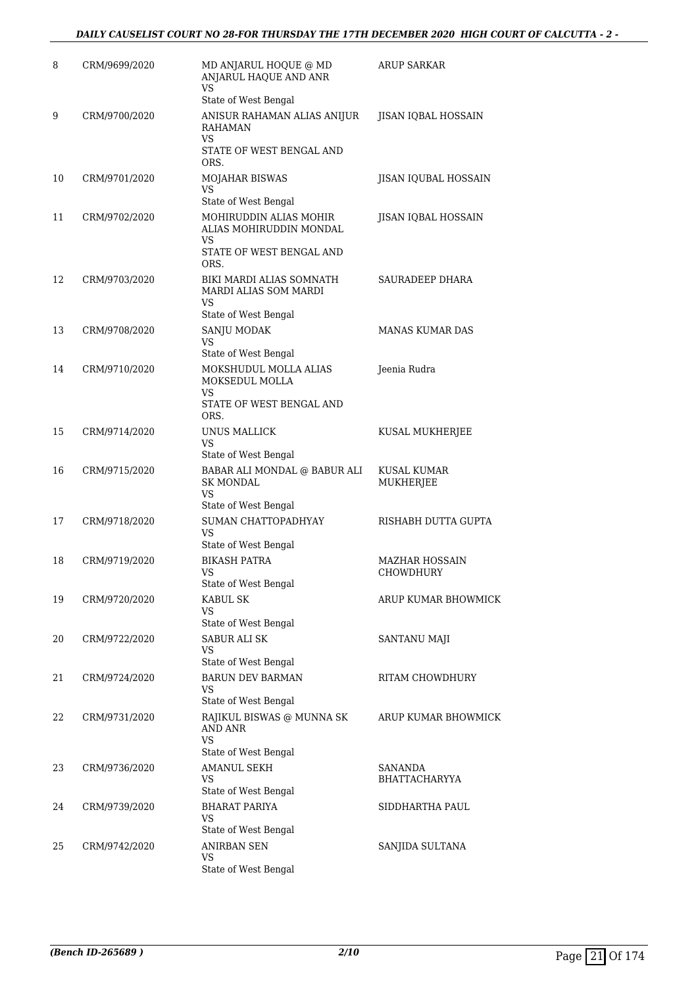| 8  | CRM/9699/2020 | MD ANJARUL HOQUE @ MD<br>ANJARUL HAQUE AND ANR<br><b>VS</b>                 | <b>ARUP SARKAR</b>              |
|----|---------------|-----------------------------------------------------------------------------|---------------------------------|
| 9  | CRM/9700/2020 | State of West Bengal<br>ANISUR RAHAMAN ALIAS ANIJUR<br><b>RAHAMAN</b><br>VS | JISAN IQBAL HOSSAIN             |
|    |               | STATE OF WEST BENGAL AND<br>ORS.                                            |                                 |
| 10 | CRM/9701/2020 | MOJAHAR BISWAS<br>VS                                                        | JISAN IQUBAL HOSSAIN            |
|    |               | State of West Bengal                                                        |                                 |
| 11 | CRM/9702/2020 | MOHIRUDDIN ALIAS MOHIR<br>ALIAS MOHIRUDDIN MONDAL<br>VS                     | JISAN IQBAL HOSSAIN             |
|    |               | STATE OF WEST BENGAL AND<br>ORS.                                            |                                 |
| 12 | CRM/9703/2020 | BIKI MARDI ALIAS SOMNATH<br>MARDI ALIAS SOM MARDI<br>VS                     | SAURADEEP DHARA                 |
|    |               | State of West Bengal                                                        |                                 |
| 13 | CRM/9708/2020 | SANJU MODAK<br>VS                                                           | <b>MANAS KUMAR DAS</b>          |
|    |               | State of West Bengal                                                        |                                 |
| 14 | CRM/9710/2020 | MOKSHUDUL MOLLA ALIAS<br>MOKSEDUL MOLLA<br>VS                               | Jeenia Rudra                    |
|    |               | STATE OF WEST BENGAL AND<br>ORS.                                            |                                 |
| 15 | CRM/9714/2020 | UNUS MALLICK<br><b>VS</b>                                                   | KUSAL MUKHERJEE                 |
|    |               | State of West Bengal                                                        |                                 |
| 16 | CRM/9715/2020 | BABAR ALI MONDAL @ BABUR ALI<br>SK MONDAL<br><b>VS</b>                      | KUSAL KUMAR<br>MUKHERJEE        |
|    |               | State of West Bengal                                                        |                                 |
| 17 | CRM/9718/2020 | SUMAN CHATTOPADHYAY<br>VS                                                   | RISHABH DUTTA GUPTA             |
| 18 |               | State of West Bengal<br><b>BIKASH PATRA</b>                                 |                                 |
|    | CRM/9719/2020 | VS<br>State of West Bengal                                                  | MAZHAR HOSSAIN<br>CHOWDHURY     |
| 19 | CRM/9720/2020 | <b>KABUL SK</b><br>VS                                                       | ARUP KUMAR BHOWMICK             |
|    |               | State of West Bengal                                                        |                                 |
| 20 | CRM/9722/2020 | <b>SABUR ALI SK</b><br>VS                                                   | SANTANU MAJI                    |
|    |               | State of West Bengal                                                        |                                 |
| 21 | CRM/9724/2020 | <b>BARUN DEV BARMAN</b><br><b>VS</b><br>State of West Bengal                | RITAM CHOWDHURY                 |
| 22 | CRM/9731/2020 | RAJIKUL BISWAS @ MUNNA SK<br>AND ANR<br><b>VS</b>                           | ARUP KUMAR BHOWMICK             |
|    |               | State of West Bengal                                                        |                                 |
| 23 | CRM/9736/2020 | <b>AMANUL SEKH</b><br>VS<br>State of West Bengal                            | <b>SANANDA</b><br>BHATTACHARYYA |
| 24 | CRM/9739/2020 | <b>BHARAT PARIYA</b>                                                        | SIDDHARTHA PAUL                 |
|    |               | VS                                                                          |                                 |
|    |               | State of West Bengal                                                        |                                 |
| 25 | CRM/9742/2020 | <b>ANIRBAN SEN</b><br>VS                                                    | SANJIDA SULTANA                 |
|    |               | State of West Bengal                                                        |                                 |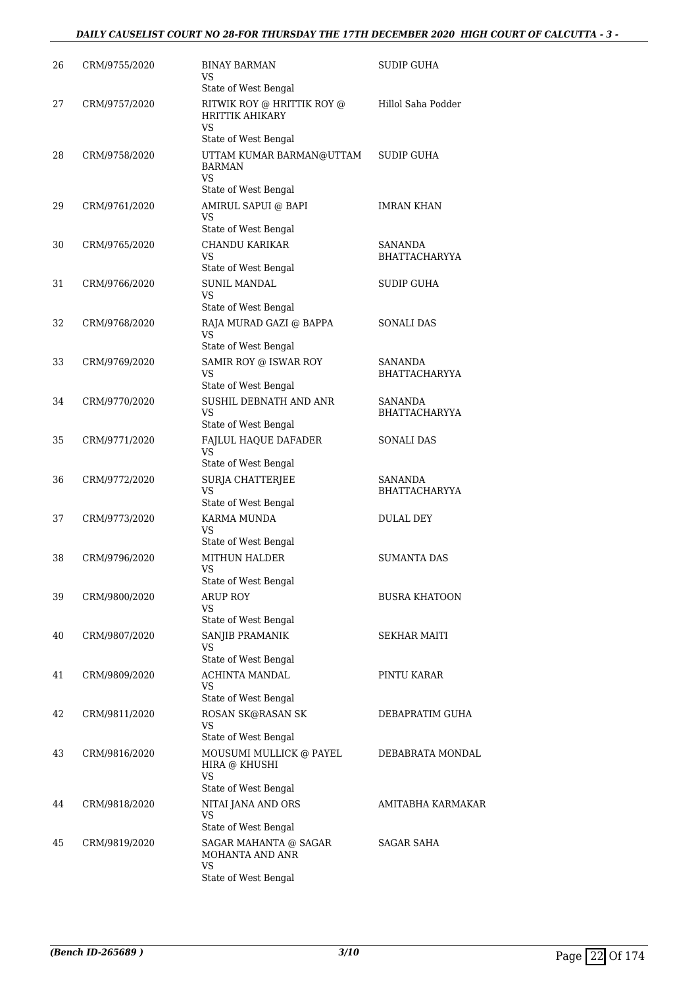#### *DAILY CAUSELIST COURT NO 28-FOR THURSDAY THE 17TH DECEMBER 2020 HIGH COURT OF CALCUTTA - 3 -*

| 26 | CRM/9755/2020 | <b>BINAY BARMAN</b><br>VS<br>State of West Bengal                                  | SUDIP GUHA                      |
|----|---------------|------------------------------------------------------------------------------------|---------------------------------|
| 27 | CRM/9757/2020 | RITWIK ROY @ HRITTIK ROY @<br><b>HRITTIK AHIKARY</b><br>VS<br>State of West Bengal | Hillol Saha Podder              |
| 28 | CRM/9758/2020 | UTTAM KUMAR BARMAN@UTTAM<br><b>BARMAN</b><br>VS                                    | <b>SUDIP GUHA</b>               |
| 29 | CRM/9761/2020 | State of West Bengal<br>AMIRUL SAPUI @ BAPI<br>VS                                  | <b>IMRAN KHAN</b>               |
| 30 | CRM/9765/2020 | State of West Bengal<br><b>CHANDU KARIKAR</b><br>VS                                | SANANDA<br><b>BHATTACHARYYA</b> |
| 31 | CRM/9766/2020 | State of West Bengal<br><b>SUNIL MANDAL</b><br><b>VS</b>                           | <b>SUDIP GUHA</b>               |
| 32 | CRM/9768/2020 | State of West Bengal<br>RAJA MURAD GAZI @ BAPPA<br>VS<br>State of West Bengal      | <b>SONALI DAS</b>               |
| 33 | CRM/9769/2020 | SAMIR ROY @ ISWAR ROY<br>VS<br>State of West Bengal                                | SANANDA<br>BHATTACHARYYA        |
| 34 | CRM/9770/2020 | SUSHIL DEBNATH AND ANR<br>VS<br>State of West Bengal                               | SANANDA<br><b>BHATTACHARYYA</b> |
| 35 | CRM/9771/2020 | FAJLUL HAQUE DAFADER<br><b>VS</b><br>State of West Bengal                          | SONALI DAS                      |
| 36 | CRM/9772/2020 | SURJA CHATTERJEE<br><b>VS</b><br>State of West Bengal                              | SANANDA<br>BHATTACHARYYA        |
| 37 | CRM/9773/2020 | KARMA MUNDA<br>VS<br>State of West Bengal                                          | <b>DULAL DEY</b>                |
| 38 | CRM/9796/2020 | <b>MITHUN HALDER</b><br>VS<br>State of West Bengal                                 | SUMANTA DAS                     |
| 39 | CRM/9800/2020 | ARUP ROY<br>VS                                                                     | BUSRA KHATOON                   |
| 40 | CRM/9807/2020 | State of West Bengal<br>SANJIB PRAMANIK<br>VS                                      | SEKHAR MAITI                    |
| 41 | CRM/9809/2020 | State of West Bengal<br>ACHINTA MANDAL<br>VS.<br>State of West Bengal              | PINTU KARAR                     |
| 42 | CRM/9811/2020 | ROSAN SK@RASAN SK<br>VS<br>State of West Bengal                                    | DEBAPRATIM GUHA                 |
| 43 | CRM/9816/2020 | MOUSUMI MULLICK @ PAYEL<br>HIRA @ KHUSHI<br>VS<br>State of West Bengal             | DEBABRATA MONDAL                |
| 44 | CRM/9818/2020 | NITAI JANA AND ORS<br>VS<br>State of West Bengal                                   | AMITABHA KARMAKAR               |
| 45 | CRM/9819/2020 | SAGAR MAHANTA @ SAGAR<br>MOHANTA AND ANR<br>VS.                                    | SAGAR SAHA                      |
|    |               | State of West Bengal                                                               |                                 |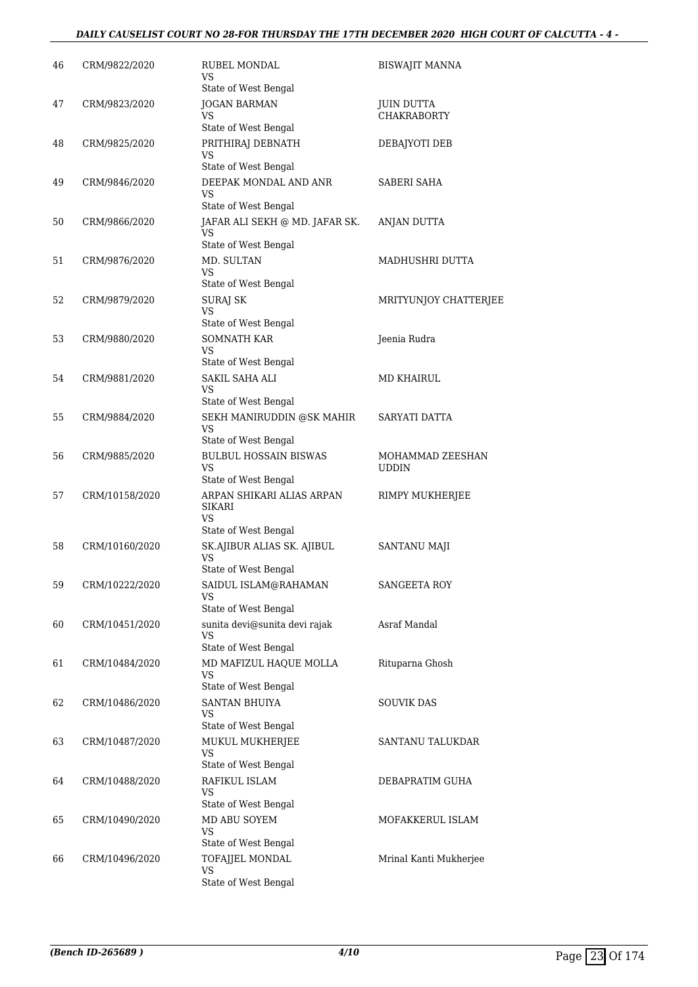#### *DAILY CAUSELIST COURT NO 28-FOR THURSDAY THE 17TH DECEMBER 2020 HIGH COURT OF CALCUTTA - 4 -*

| 46 | CRM/9822/2020  | <b>RUBEL MONDAL</b><br>VS                                                           | <b>BISWAJIT MANNA</b>                   |
|----|----------------|-------------------------------------------------------------------------------------|-----------------------------------------|
| 47 | CRM/9823/2020  | State of West Bengal<br><b>JOGAN BARMAN</b><br>VS                                   | <b>JUIN DUTTA</b><br><b>CHAKRABORTY</b> |
| 48 | CRM/9825/2020  | State of West Bengal<br>PRITHIRAJ DEBNATH                                           | DEBAJYOTI DEB                           |
|    |                | VS<br>State of West Bengal                                                          |                                         |
| 49 | CRM/9846/2020  | DEEPAK MONDAL AND ANR<br>VS<br>State of West Bengal                                 | SABERI SAHA                             |
| 50 | CRM/9866/2020  | JAFAR ALI SEKH @ MD. JAFAR SK.<br>VS<br>State of West Bengal                        | ANJAN DUTTA                             |
| 51 | CRM/9876/2020  | MD. SULTAN<br>VS<br>State of West Bengal                                            | MADHUSHRI DUTTA                         |
| 52 | CRM/9879/2020  | <b>SURAI SK</b><br>VS                                                               | MRITYUNJOY CHATTERJEE                   |
| 53 | CRM/9880/2020  | State of West Bengal<br><b>SOMNATH KAR</b><br>VS                                    | Jeenia Rudra                            |
| 54 | CRM/9881/2020  | State of West Bengal<br>SAKIL SAHA ALI<br>VS<br>State of West Bengal                | MD KHAIRUL                              |
| 55 | CRM/9884/2020  | SEKH MANIRUDDIN @SK MAHIR<br>VS<br>State of West Bengal                             | SARYATI DATTA                           |
| 56 | CRM/9885/2020  | <b>BULBUL HOSSAIN BISWAS</b><br><b>VS</b><br>State of West Bengal                   | MOHAMMAD ZEESHAN<br><b>UDDIN</b>        |
| 57 | CRM/10158/2020 | ARPAN SHIKARI ALIAS ARPAN<br>SIKARI<br>VS                                           | RIMPY MUKHERJEE                         |
|    |                | State of West Bengal                                                                |                                         |
| 58 | CRM/10160/2020 | SK.AJIBUR ALIAS SK. AJIBUL<br>VS<br>State of West Bengal                            | <b>SANTANU MAJI</b>                     |
| 59 | CRM/10222/2020 | SAIDUL ISLAM@RAHAMAN<br>VS<br>State of West Bengal                                  | <b>SANGEETA ROY</b>                     |
| 60 | CRM/10451/2020 | sunita devi@sunita devi rajak<br><b>VS</b>                                          | Asraf Mandal                            |
| 61 | CRM/10484/2020 | State of West Bengal<br>MD MAFIZUL HAQUE MOLLA<br><b>VS</b><br>State of West Bengal | Rituparna Ghosh                         |
| 62 | CRM/10486/2020 | <b>SANTAN BHUIYA</b><br>VS<br>State of West Bengal                                  | <b>SOUVIK DAS</b>                       |
| 63 | CRM/10487/2020 | MUKUL MUKHERJEE<br><b>VS</b><br>State of West Bengal                                | SANTANU TALUKDAR                        |
| 64 | CRM/10488/2020 | RAFIKUL ISLAM<br>VS                                                                 | DEBAPRATIM GUHA                         |
| 65 | CRM/10490/2020 | State of West Bengal<br>MD ABU SOYEM<br>VS                                          | MOFAKKERUL ISLAM                        |
| 66 | CRM/10496/2020 | State of West Bengal<br>TOFAJJEL MONDAL<br>VS<br>State of West Bengal               | Mrinal Kanti Mukherjee                  |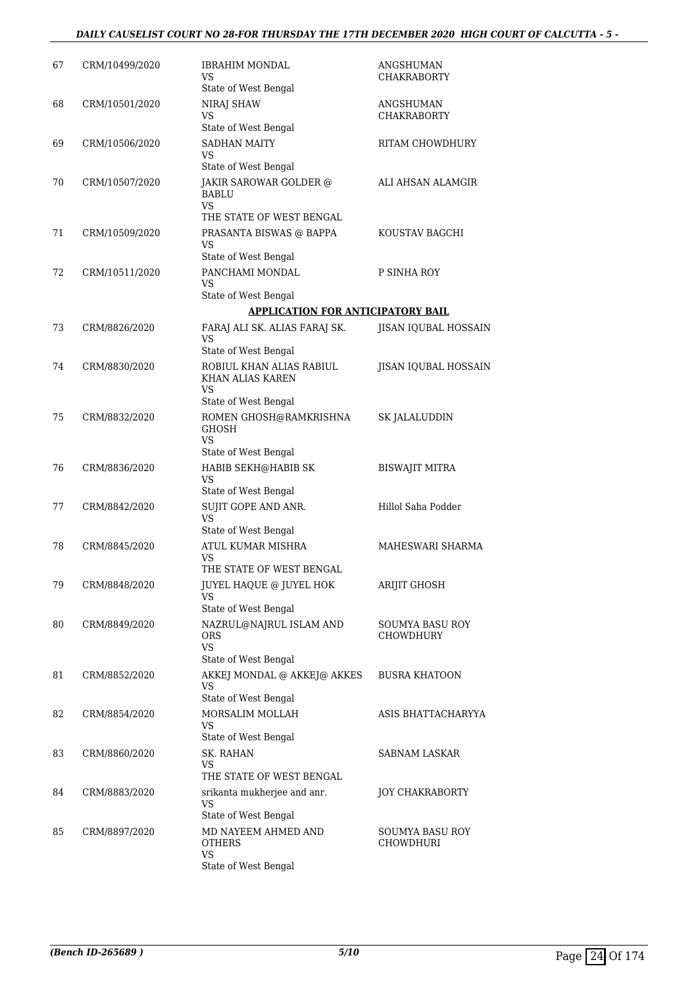#### *DAILY CAUSELIST COURT NO 28-FOR THURSDAY THE 17TH DECEMBER 2020 HIGH COURT OF CALCUTTA - 5 -*

| 67 | CRM/10499/2020 | IBRAHIM MONDAL<br>VS<br>State of West Bengal                       | ANGSHUMAN<br><b>CHAKRABORTY</b>     |
|----|----------------|--------------------------------------------------------------------|-------------------------------------|
| 68 | CRM/10501/2020 | NIRAJ SHAW<br>VS                                                   | ANGSHUMAN<br><b>CHAKRABORTY</b>     |
|    |                | State of West Bengal                                               |                                     |
| 69 | CRM/10506/2020 | <b>SADHAN MAITY</b><br>VS                                          | RITAM CHOWDHURY                     |
|    |                | State of West Bengal                                               |                                     |
| 70 | CRM/10507/2020 | JAKIR SAROWAR GOLDER @<br><b>BABLU</b><br><b>VS</b>                | ALI AHSAN ALAMGIR                   |
|    |                | THE STATE OF WEST BENGAL                                           |                                     |
| 71 | CRM/10509/2020 | PRASANTA BISWAS @ BAPPA<br>VS<br>State of West Bengal              | KOUSTAV BAGCHI                      |
| 72 | CRM/10511/2020 | PANCHAMI MONDAL<br>VS                                              | P SINHA ROY                         |
|    |                | State of West Bengal                                               |                                     |
|    |                | <b>APPLICATION FOR ANTICIPATORY BAIL</b>                           |                                     |
| 73 | CRM/8826/2020  | FARAJ ALI SK. ALIAS FARAJ SK.<br><b>VS</b>                         | JISAN IQUBAL HOSSAIN                |
|    |                | State of West Bengal                                               |                                     |
| 74 | CRM/8830/2020  | ROBIUL KHAN ALIAS RABIUL<br>KHAN ALIAS KAREN<br>VS                 | <b>JISAN IQUBAL HOSSAIN</b>         |
|    |                | State of West Bengal                                               |                                     |
| 75 | CRM/8832/2020  | ROMEN GHOSH@RAMKRISHNA<br><b>GHOSH</b><br>VS                       | SK JALALUDDIN                       |
|    |                | State of West Bengal                                               |                                     |
| 76 | CRM/8836/2020  | HABIB SEKH@HABIB SK<br><b>VS</b>                                   | <b>BISWAJIT MITRA</b>               |
|    |                | State of West Bengal<br>SUJIT GOPE AND ANR.                        | Hillol Saha Podder                  |
| 77 | CRM/8842/2020  | <b>VS</b><br>State of West Bengal                                  |                                     |
| 78 | CRM/8845/2020  | ATUL KUMAR MISHRA<br>VS                                            | MAHESWARI SHARMA                    |
|    |                | THE STATE OF WEST BENGAL                                           |                                     |
| 79 | CRM/8848/2020  | <b>JUYEL HAQUE @ JUYEL HOK</b><br>VS<br>State of West Bengal       | ARIJIT GHOSH                        |
| 80 | CRM/8849/2020  | NAZRUL@NAJRUL ISLAM AND<br>ORS<br><b>VS</b>                        | <b>SOUMYA BASU ROY</b><br>CHOWDHURY |
|    |                | State of West Bengal                                               |                                     |
| 81 | CRM/8852/2020  | AKKEJ MONDAL @ AKKEJ@ AKKES<br>VS                                  | <b>BUSRA KHATOON</b>                |
|    |                | State of West Bengal<br>MORSALIM MOLLAH                            |                                     |
| 82 | CRM/8854/2020  | VS<br>State of West Bengal                                         | ASIS BHATTACHARYYA                  |
| 83 | CRM/8860/2020  | SK. RAHAN<br>VS<br>THE STATE OF WEST BENGAL                        | SABNAM LASKAR                       |
| 84 | CRM/8883/2020  | srikanta mukherjee and anr.                                        | <b>JOY CHAKRABORTY</b>              |
|    |                | VS<br>State of West Bengal                                         |                                     |
| 85 | CRM/8897/2020  | MD NAYEEM AHMED AND<br><b>OTHERS</b><br>VS<br>State of West Bengal | <b>SOUMYA BASU ROY</b><br>CHOWDHURI |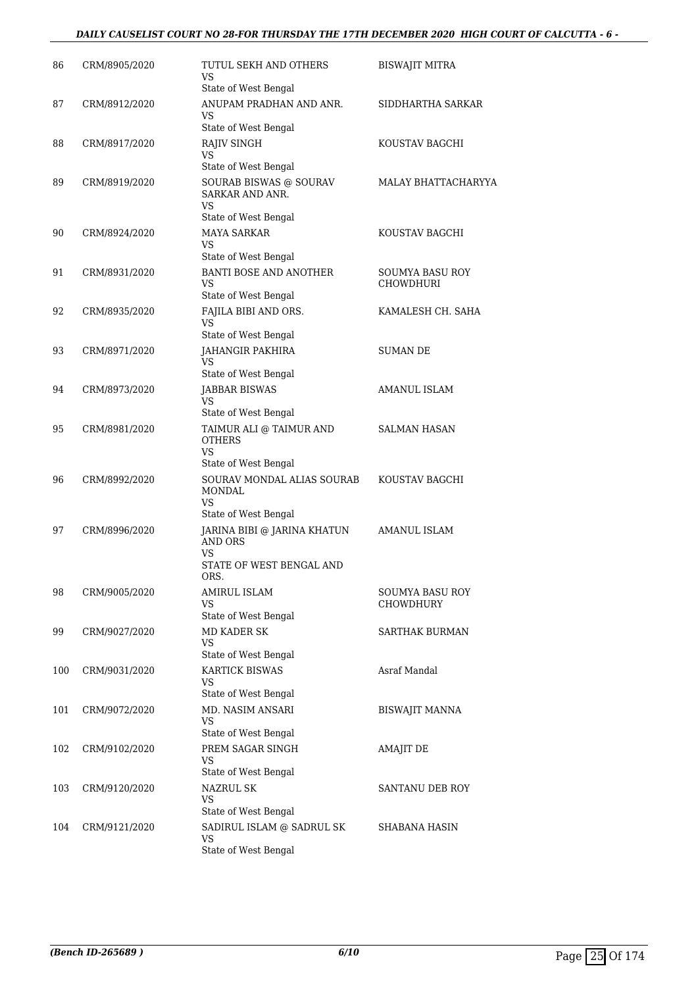#### *DAILY CAUSELIST COURT NO 28-FOR THURSDAY THE 17TH DECEMBER 2020 HIGH COURT OF CALCUTTA - 6 -*

| 86  | CRM/8905/2020 | TUTUL SEKH AND OTHERS                                                                                           | <b>BISWAJIT MITRA</b>               |
|-----|---------------|-----------------------------------------------------------------------------------------------------------------|-------------------------------------|
|     |               | VS<br>State of West Bengal                                                                                      |                                     |
| 87  | CRM/8912/2020 | ANUPAM PRADHAN AND ANR.<br>VS<br>State of West Bengal                                                           | SIDDHARTHA SARKAR                   |
| 88  | CRM/8917/2020 | RAJIV SINGH<br>VS<br>State of West Bengal                                                                       | KOUSTAV BAGCHI                      |
| 89  | CRM/8919/2020 | SOURAB BISWAS @ SOURAV<br>SARKAR AND ANR.<br>VS<br>State of West Bengal                                         | MALAY BHATTACHARYYA                 |
| 90  | CRM/8924/2020 | <b>MAYA SARKAR</b><br>VS<br>State of West Bengal                                                                | KOUSTAV BAGCHI                      |
| 91  | CRM/8931/2020 | <b>BANTI BOSE AND ANOTHER</b><br>VS<br>State of West Bengal                                                     | SOUMYA BASU ROY<br>CHOWDHURI        |
| 92  | CRM/8935/2020 | FAJILA BIBI AND ORS.<br>VS                                                                                      | KAMALESH CH. SAHA                   |
| 93  | CRM/8971/2020 | State of West Bengal<br>JAHANGIR PAKHIRA<br>VS<br>State of West Bengal                                          | <b>SUMAN DE</b>                     |
| 94  | CRM/8973/2020 | JABBAR BISWAS<br>VS<br>State of West Bengal                                                                     | <b>AMANUL ISLAM</b>                 |
| 95  | CRM/8981/2020 | TAIMUR ALI @ TAIMUR AND<br><b>OTHERS</b><br>VS<br>State of West Bengal                                          | SALMAN HASAN                        |
| 96  | CRM/8992/2020 | SOURAV MONDAL ALIAS SOURAB<br>MONDAL<br>VS                                                                      | KOUSTAV BAGCHI                      |
| 97  | CRM/8996/2020 | State of West Bengal<br>JARINA BIBI @ JARINA KHATUN<br><b>AND ORS</b><br>VS<br>STATE OF WEST BENGAL AND<br>ORS. | AMANUL ISLAM                        |
| 98  | CRM/9005/2020 | AMIRUL ISLAM<br>VS.<br>State of West Bengal                                                                     | <b>SOUMYA BASU ROY</b><br>CHOWDHURY |
| 99  | CRM/9027/2020 | MD KADER SK<br><b>VS</b><br>State of West Bengal                                                                | SARTHAK BURMAN                      |
| 100 | CRM/9031/2020 | <b>KARTICK BISWAS</b><br>VS<br>State of West Bengal                                                             | Asraf Mandal                        |
| 101 | CRM/9072/2020 | MD. NASIM ANSARI<br>VS<br>State of West Bengal                                                                  | BISWAJIT MANNA                      |
| 102 | CRM/9102/2020 | PREM SAGAR SINGH<br>VS                                                                                          | AMAJIT DE                           |
| 103 | CRM/9120/2020 | State of West Bengal<br><b>NAZRUL SK</b><br>VS                                                                  | SANTANU DEB ROY                     |
| 104 | CRM/9121/2020 | State of West Bengal<br>SADIRUL ISLAM @ SADRUL SK<br>VS.<br>State of West Bengal                                | SHABANA HASIN                       |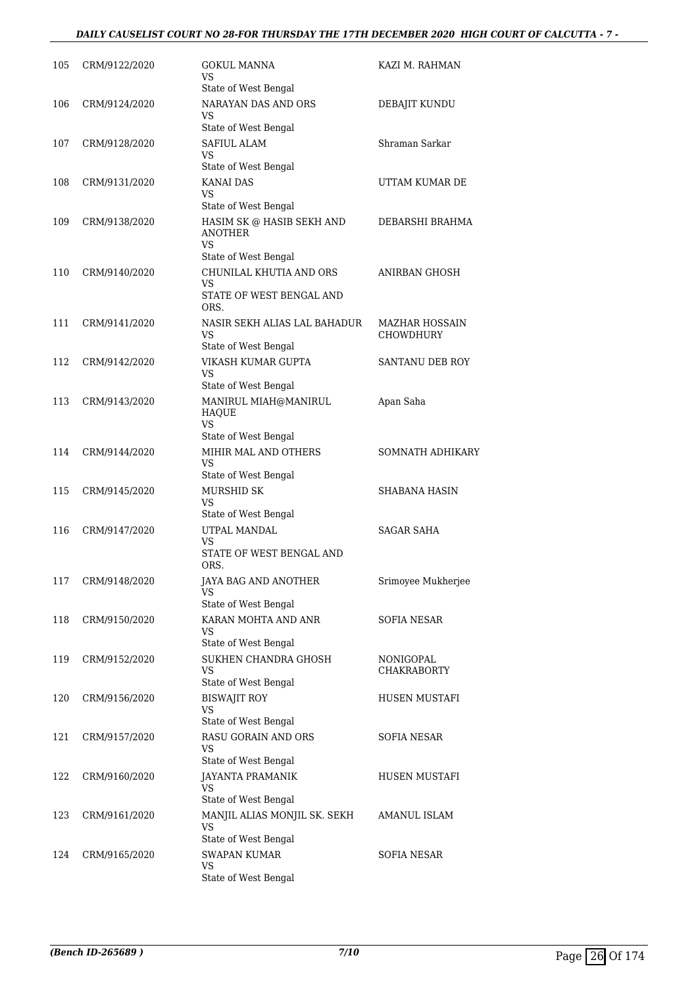#### *DAILY CAUSELIST COURT NO 28-FOR THURSDAY THE 17TH DECEMBER 2020 HIGH COURT OF CALCUTTA - 7 -*

| 105 | CRM/9122/2020 | GOKUL MANNA<br>VS<br>State of West Bengal                                                 | KAZI M. RAHMAN                     |
|-----|---------------|-------------------------------------------------------------------------------------------|------------------------------------|
| 106 | CRM/9124/2020 | NARAYAN DAS AND ORS<br>VS<br>State of West Bengal                                         | DEBAJIT KUNDU                      |
| 107 | CRM/9128/2020 | <b>SAFIUL ALAM</b><br>VS                                                                  | Shraman Sarkar                     |
| 108 | CRM/9131/2020 | State of West Bengal<br><b>KANAI DAS</b><br>VS<br>State of West Bengal                    | UTTAM KUMAR DE                     |
| 109 | CRM/9138/2020 | HASIM SK @ HASIB SEKH AND<br>ANOTHER<br>VS.                                               | DEBARSHI BRAHMA                    |
| 110 | CRM/9140/2020 | State of West Bengal<br>CHUNILAL KHUTIA AND ORS<br>VS<br>STATE OF WEST BENGAL AND<br>ORS. | ANIRBAN GHOSH                      |
| 111 | CRM/9141/2020 | NASIR SEKH ALIAS LAL BAHADUR<br>VS<br>State of West Bengal                                | <b>MAZHAR HOSSAIN</b><br>CHOWDHURY |
| 112 | CRM/9142/2020 | VIKASH KUMAR GUPTA<br>VS<br>State of West Bengal                                          | SANTANU DEB ROY                    |
| 113 | CRM/9143/2020 | MANIRUL MIAH@MANIRUL<br><b>HAQUE</b><br><b>VS</b><br>State of West Bengal                 | Apan Saha                          |
| 114 | CRM/9144/2020 | MIHIR MAL AND OTHERS<br>VS<br>State of West Bengal                                        | SOMNATH ADHIKARY                   |
| 115 | CRM/9145/2020 | MURSHID SK<br>VS<br>State of West Bengal                                                  | <b>SHABANA HASIN</b>               |
| 116 | CRM/9147/2020 | UTPAL MANDAL<br>VS<br>STATE OF WEST BENGAL AND<br>ORS.                                    | <b>SAGAR SAHA</b>                  |
| 117 | CRM/9148/2020 | JAYA BAG AND ANOTHER<br>VS<br>State of West Bengal                                        | Srimoyee Mukherjee                 |
| 118 | CRM/9150/2020 | KARAN MOHTA AND ANR<br>VS<br>State of West Bengal                                         | <b>SOFIA NESAR</b>                 |
| 119 | CRM/9152/2020 | SUKHEN CHANDRA GHOSH<br>VS<br>State of West Bengal                                        | NONIGOPAL<br><b>CHAKRABORTY</b>    |
| 120 | CRM/9156/2020 | <b>BISWAJIT ROY</b><br>VS<br>State of West Bengal                                         | HUSEN MUSTAFI                      |
| 121 | CRM/9157/2020 | RASU GORAIN AND ORS<br>VS<br>State of West Bengal                                         | SOFIA NESAR                        |
| 122 | CRM/9160/2020 | JAYANTA PRAMANIK<br>VS<br>State of West Bengal                                            | HUSEN MUSTAFI                      |
| 123 | CRM/9161/2020 | MANJIL ALIAS MONJIL SK. SEKH<br>VS<br>State of West Bengal                                | AMANUL ISLAM                       |
| 124 | CRM/9165/2020 | <b>SWAPAN KUMAR</b><br>VS<br>State of West Bengal                                         | SOFIA NESAR                        |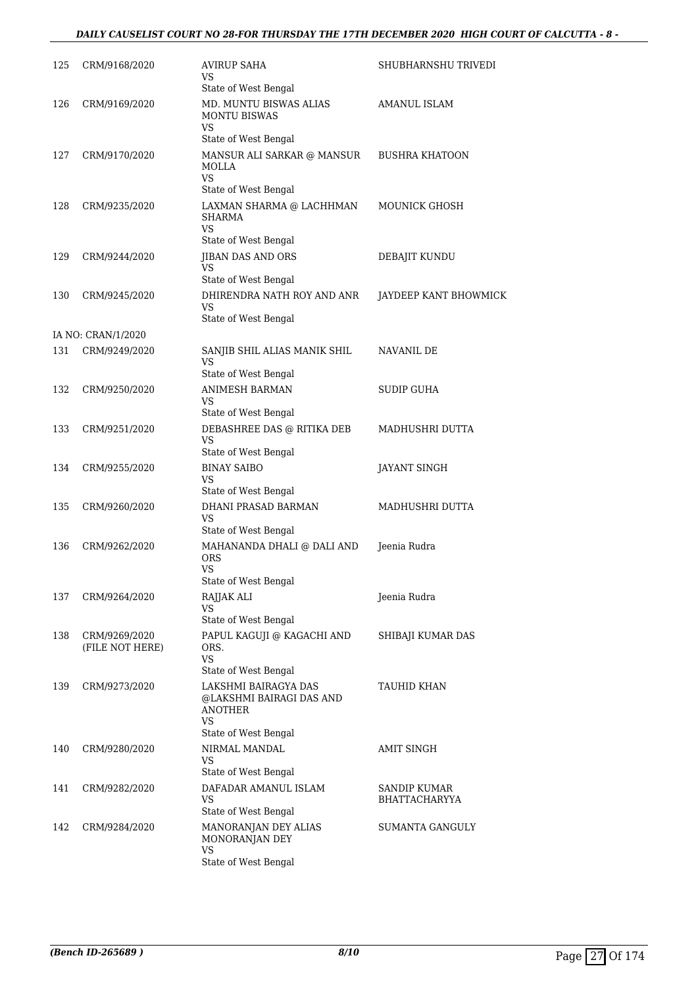#### *DAILY CAUSELIST COURT NO 28-FOR THURSDAY THE 17TH DECEMBER 2020 HIGH COURT OF CALCUTTA - 8 -*

| 125 | CRM/9168/2020                    | AVIRUP SAHA<br>VS<br>State of West Bengal                                                 | SHUBHARNSHU TRIVEDI           |
|-----|----------------------------------|-------------------------------------------------------------------------------------------|-------------------------------|
| 126 | CRM/9169/2020                    | MD. MUNTU BISWAS ALIAS<br><b>MONTU BISWAS</b><br><b>VS</b><br>State of West Bengal        | AMANUL ISLAM                  |
| 127 | CRM/9170/2020                    | MANSUR ALI SARKAR @ MANSUR<br>MOLLA<br><b>VS</b><br>State of West Bengal                  | <b>BUSHRA KHATOON</b>         |
| 128 | CRM/9235/2020                    | LAXMAN SHARMA @ LACHHMAN<br>SHARMA<br>VS.<br>State of West Bengal                         | MOUNICK GHOSH                 |
| 129 | CRM/9244/2020                    | JIBAN DAS AND ORS<br><b>VS</b><br>State of West Bengal                                    | DEBAJIT KUNDU                 |
| 130 | CRM/9245/2020                    | DHIRENDRA NATH ROY AND ANR<br>VS<br>State of West Bengal                                  | JAYDEEP KANT BHOWMICK         |
|     | IA NO: CRAN/1/2020               |                                                                                           |                               |
| 131 | CRM/9249/2020                    | SANJIB SHIL ALIAS MANIK SHIL<br>VS<br>State of West Bengal                                | NAVANIL DE                    |
| 132 | CRM/9250/2020                    | <b>ANIMESH BARMAN</b><br>VS<br>State of West Bengal                                       | SUDIP GUHA                    |
| 133 | CRM/9251/2020                    | DEBASHREE DAS @ RITIKA DEB<br><b>VS</b><br>State of West Bengal                           | MADHUSHRI DUTTA               |
| 134 | CRM/9255/2020                    | <b>BINAY SAIBO</b><br>VS<br>State of West Bengal                                          | JAYANT SINGH                  |
| 135 | CRM/9260/2020                    | DHANI PRASAD BARMAN<br>VS<br>State of West Bengal                                         | MADHUSHRI DUTTA               |
| 136 | CRM/9262/2020                    | MAHANANDA DHALI @ DALI AND<br><b>ORS</b><br>VS<br>State of West Bengal                    | Jeenia Rudra                  |
| 137 | CRM/9264/2020                    | RAJJAK ALI<br>VS<br>State of West Bengal                                                  | Jeenia Rudra                  |
| 138 | CRM/9269/2020<br>(FILE NOT HERE) | PAPUL KAGUJI @ KAGACHI AND<br>ORS.<br>VS.<br>State of West Bengal                         | SHIBAJI KUMAR DAS             |
| 139 | CRM/9273/2020                    | LAKSHMI BAIRAGYA DAS<br>@LAKSHMI BAIRAGI DAS AND<br>ANOTHER<br>VS<br>State of West Bengal | TAUHID KHAN                   |
| 140 | CRM/9280/2020                    | NIRMAL MANDAL<br>VS<br>State of West Bengal                                               | AMIT SINGH                    |
| 141 | CRM/9282/2020                    | DAFADAR AMANUL ISLAM<br>VS<br>State of West Bengal                                        | SANDIP KUMAR<br>BHATTACHARYYA |
| 142 | CRM/9284/2020                    | MANORANJAN DEY ALIAS<br>MONORANJAN DEY<br>VS<br>State of West Bengal                      | SUMANTA GANGULY               |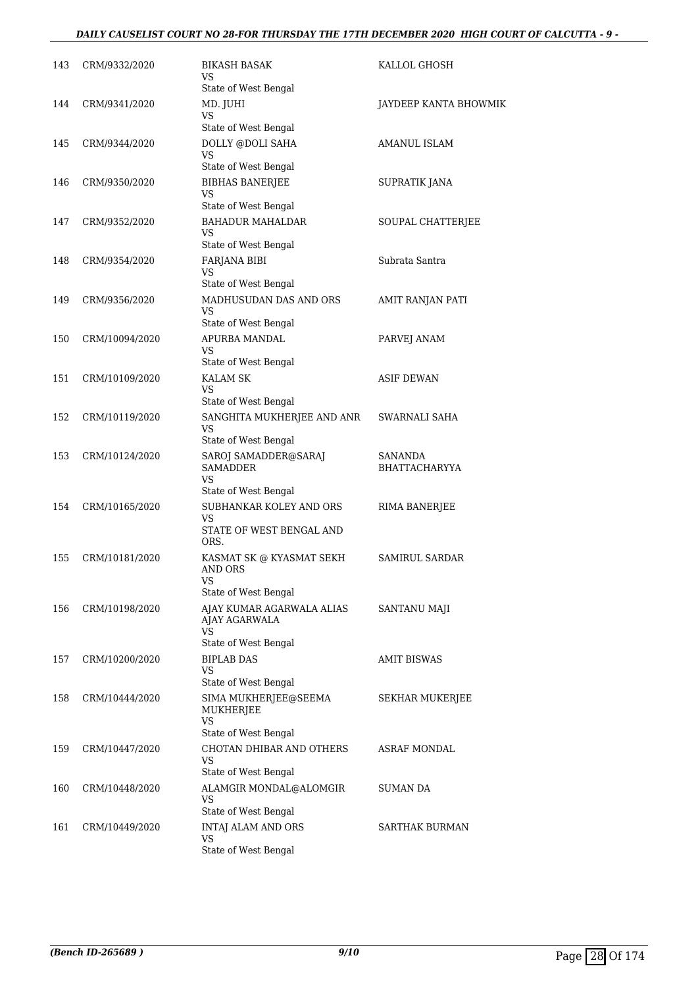#### *DAILY CAUSELIST COURT NO 28-FOR THURSDAY THE 17TH DECEMBER 2020 HIGH COURT OF CALCUTTA - 9 -*

| 143 | CRM/9332/2020  | <b>BIKASH BASAK</b><br>VS.                              | KALLOL GHOSH                    |
|-----|----------------|---------------------------------------------------------|---------------------------------|
| 144 | CRM/9341/2020  | State of West Bengal<br>MD. JUHI<br>VS                  | JAYDEEP KANTA BHOWMIK           |
|     |                | State of West Bengal                                    |                                 |
| 145 | CRM/9344/2020  | DOLLY @DOLI SAHA                                        | AMANUL ISLAM                    |
|     |                | VS<br>State of West Bengal                              |                                 |
| 146 | CRM/9350/2020  | <b>BIBHAS BANERJEE</b><br>VS                            | SUPRATIK JANA                   |
| 147 | CRM/9352/2020  | State of West Bengal<br><b>BAHADUR MAHALDAR</b>         |                                 |
|     |                | VS                                                      | SOUPAL CHATTERJEE               |
|     |                | State of West Bengal                                    |                                 |
| 148 | CRM/9354/2020  | FARJANA BIBI<br>VS                                      | Subrata Santra                  |
|     |                | State of West Bengal                                    |                                 |
| 149 | CRM/9356/2020  | MADHUSUDAN DAS AND ORS<br>VS<br>State of West Bengal    | AMIT RANJAN PATI                |
| 150 | CRM/10094/2020 | APURBA MANDAL                                           | PARVEJ ANAM                     |
|     |                | VS<br>State of West Bengal                              |                                 |
| 151 | CRM/10109/2020 | <b>KALAM SK</b>                                         | ASIF DEWAN                      |
|     |                | VS<br>State of West Bengal                              |                                 |
| 152 | CRM/10119/2020 | SANGHITA MUKHERJEE AND ANR                              | SWARNALI SAHA                   |
|     |                | VS<br>State of West Bengal                              |                                 |
| 153 | CRM/10124/2020 | SAROJ SAMADDER@SARAJ<br>SAMADDER<br>VS                  | SANANDA<br><b>BHATTACHARYYA</b> |
|     |                | State of West Bengal                                    |                                 |
| 154 | CRM/10165/2020 | SUBHANKAR KOLEY AND ORS<br>VS                           | RIMA BANERJEE                   |
|     |                | STATE OF WEST BENGAL AND<br>ORS.                        |                                 |
| 155 | CRM/10181/2020 | KASMAT SK @ KYASMAT SEKH<br>AND ORS<br><b>VS</b>        | SAMIRUL SARDAR                  |
|     |                | State of West Bengal                                    |                                 |
| 156 | CRM/10198/2020 | AJAY KUMAR AGARWALA ALIAS<br>AJAY AGARWALA<br><b>VS</b> | SANTANU MAJI                    |
| 157 | CRM/10200/2020 | State of West Bengal<br><b>BIPLAB DAS</b>               | AMIT BISWAS                     |
|     |                | VS                                                      |                                 |
|     |                | State of West Bengal                                    |                                 |
| 158 | CRM/10444/2020 | SIMA MUKHERJEE@SEEMA<br>MUKHERJEE<br>VS                 | <b>SEKHAR MUKERJEE</b>          |
|     |                | State of West Bengal                                    |                                 |
| 159 | CRM/10447/2020 | CHOTAN DHIBAR AND OTHERS<br>VS<br>State of West Bengal  | ASRAF MONDAL                    |
| 160 | CRM/10448/2020 | ALAMGIR MONDAL@ALOMGIR<br><b>VS</b>                     | SUMAN DA                        |
|     |                | State of West Bengal                                    |                                 |
| 161 | CRM/10449/2020 | INTAJ ALAM AND ORS<br>VS                                | SARTHAK BURMAN                  |
|     |                | State of West Bengal                                    |                                 |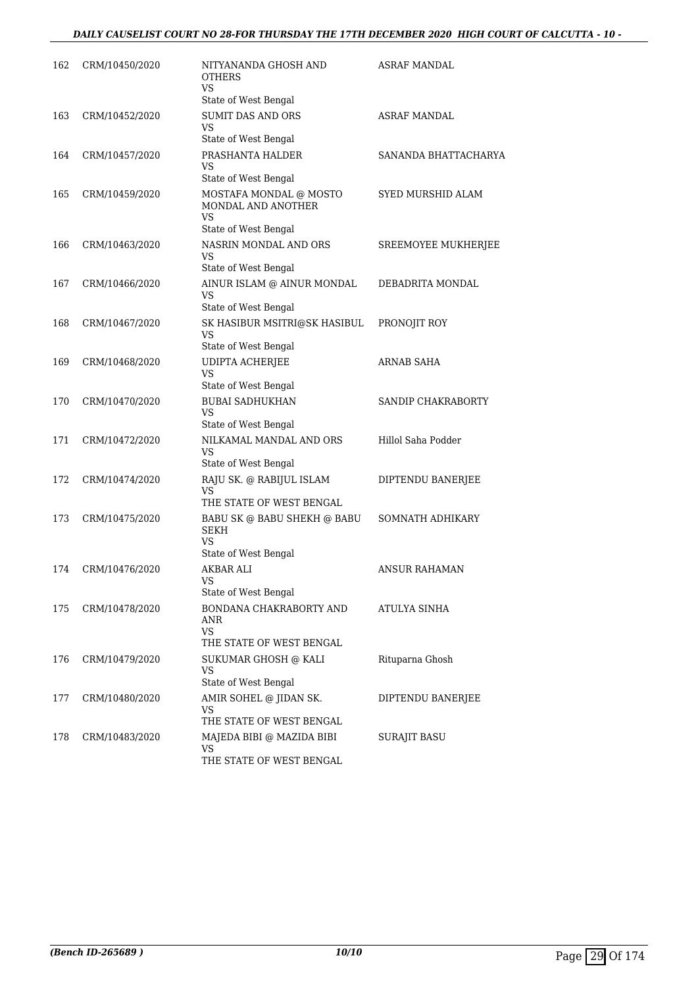| 162 | CRM/10450/2020 | NITYANANDA GHOSH AND<br><b>OTHERS</b><br>VS<br>State of West Bengal               | ASRAF MANDAL             |
|-----|----------------|-----------------------------------------------------------------------------------|--------------------------|
| 163 | CRM/10452/2020 | <b>SUMIT DAS AND ORS</b><br>VS<br>State of West Bengal                            | ASRAF MANDAL             |
| 164 | CRM/10457/2020 | PRASHANTA HALDER<br>VS<br>State of West Bengal                                    | SANANDA BHATTACHARYA     |
| 165 | CRM/10459/2020 | MOSTAFA MONDAL @ MOSTO<br>MONDAL AND ANOTHER<br><b>VS</b><br>State of West Bengal | <b>SYED MURSHID ALAM</b> |
| 166 | CRM/10463/2020 | NASRIN MONDAL AND ORS<br>VS<br>State of West Bengal                               | SREEMOYEE MUKHERJEE      |
| 167 | CRM/10466/2020 | AINUR ISLAM @ AINUR MONDAL<br>VS<br>State of West Bengal                          | DEBADRITA MONDAL         |
| 168 | CRM/10467/2020 | SK HASIBUR MSITRI@SK HASIBUL<br>VS<br>State of West Bengal                        | PRONOJIT ROY             |
| 169 | CRM/10468/2020 | <b>UDIPTA ACHERJEE</b><br><b>VS</b><br>State of West Bengal                       | ARNAB SAHA               |
| 170 | CRM/10470/2020 | <b>BUBAI SADHUKHAN</b><br>VS<br>State of West Bengal                              | SANDIP CHAKRABORTY       |
| 171 | CRM/10472/2020 | NILKAMAL MANDAL AND ORS<br><b>VS</b><br>State of West Bengal                      | Hillol Saha Podder       |
| 172 | CRM/10474/2020 | RAJU SK. @ RABIJUL ISLAM<br>VS<br>THE STATE OF WEST BENGAL                        | DIPTENDU BANERJEE        |
| 173 | CRM/10475/2020 | BABU SK @ BABU SHEKH @ BABU<br>SEKH<br>VS.<br>State of West Bengal                | SOMNATH ADHIKARY         |
| 174 | CRM/10476/2020 | AKBAR ALI<br>VS<br>State of West Bengal                                           | ANSUR RAHAMAN            |
| 175 | CRM/10478/2020 | BONDANA CHAKRABORTY AND<br>ANR<br>VS<br>THE STATE OF WEST BENGAL                  | ATULYA SINHA             |
| 176 | CRM/10479/2020 | SUKUMAR GHOSH @ KALI<br>VS<br>State of West Bengal                                | Rituparna Ghosh          |
| 177 | CRM/10480/2020 | AMIR SOHEL @ JIDAN SK.<br>VS<br>THE STATE OF WEST BENGAL                          | DIPTENDU BANERJEE        |
| 178 | CRM/10483/2020 | MAJEDA BIBI @ MAZIDA BIBI<br>VS<br>THE STATE OF WEST BENGAL                       | SURAJIT BASU             |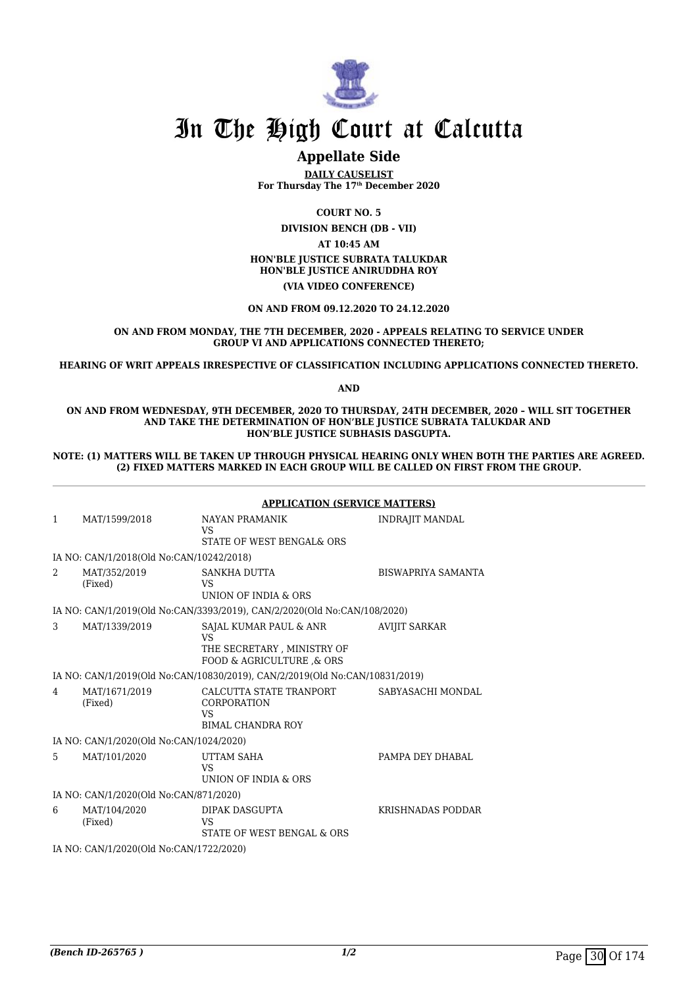

#### **Appellate Side**

**DAILY CAUSELIST For Thursday The 17th December 2020**

**COURT NO. 5**

**DIVISION BENCH (DB - VII) AT 10:45 AM HON'BLE JUSTICE SUBRATA TALUKDAR HON'BLE JUSTICE ANIRUDDHA ROY (VIA VIDEO CONFERENCE)**

**ON AND FROM 09.12.2020 TO 24.12.2020**

#### **ON AND FROM MONDAY, THE 7TH DECEMBER, 2020 - APPEALS RELATING TO SERVICE UNDER GROUP VI AND APPLICATIONS CONNECTED THERETO;**

**HEARING OF WRIT APPEALS IRRESPECTIVE OF CLASSIFICATION INCLUDING APPLICATIONS CONNECTED THERETO.**

**AND**

#### **ON AND FROM WEDNESDAY, 9TH DECEMBER, 2020 TO THURSDAY, 24TH DECEMBER, 2020 – WILL SIT TOGETHER AND TAKE THE DETERMINATION OF HON'BLE JUSTICE SUBRATA TALUKDAR AND HON'BLE JUSTICE SUBHASIS DASGUPTA.**

**NOTE: (1) MATTERS WILL BE TAKEN UP THROUGH PHYSICAL HEARING ONLY WHEN BOTH THE PARTIES ARE AGREED. (2) FIXED MATTERS MARKED IN EACH GROUP WILL BE CALLED ON FIRST FROM THE GROUP.**

|                                         |                                          | <b>APPLICATION (SERVICE MATTERS)</b>                                                          |                        |  |
|-----------------------------------------|------------------------------------------|-----------------------------------------------------------------------------------------------|------------------------|--|
| $\mathbf{1}$                            | MAT/1599/2018                            | NAYAN PRAMANIK<br><b>VS</b><br>STATE OF WEST BENGAL& ORS                                      | <b>INDRAJIT MANDAL</b> |  |
|                                         | IA NO: CAN/1/2018(Old No:CAN/10242/2018) |                                                                                               |                        |  |
| $\mathfrak{D}$                          | MAT/352/2019<br>(Fixed)                  | SANKHA DUTTA<br><b>VS</b><br><b>UNION OF INDIA &amp; ORS</b>                                  | BISWAPRIYA SAMANTA     |  |
|                                         |                                          | IA NO: CAN/1/2019(Old No:CAN/3393/2019), CAN/2/2020(Old No:CAN/108/2020)                      |                        |  |
| 3                                       | MAT/1339/2019                            | SAJAL KUMAR PAUL & ANR<br><b>VS</b><br>THE SECRETARY, MINISTRY OF<br>FOOD & AGRICULTURE & ORS | <b>AVIJIT SARKAR</b>   |  |
|                                         |                                          | IA NO: CAN/1/2019(Old No:CAN/10830/2019), CAN/2/2019(Old No:CAN/10831/2019)                   |                        |  |
| $\overline{4}$                          | MAT/1671/2019<br>(Fixed)                 | CALCUTTA STATE TRANPORT<br>CORPORATION<br><b>VS</b><br><b>BIMAL CHANDRA ROY</b>               | SABYASACHI MONDAL      |  |
|                                         | IA NO: CAN/1/2020(Old No:CAN/1024/2020)  |                                                                                               |                        |  |
| 5                                       | MAT/101/2020                             | <b>UTTAM SAHA</b><br><b>VS</b><br>UNION OF INDIA & ORS                                        | PAMPA DEY DHABAL       |  |
| IA NO: CAN/1/2020(Old No:CAN/871/2020)  |                                          |                                                                                               |                        |  |
| 6                                       | MAT/104/2020<br>(Fixed)                  | DIPAK DASGUPTA<br>VS<br>STATE OF WEST BENGAL & ORS                                            | KRISHNADAS PODDAR      |  |
| IA NO: CAN/1/2020(Old No:CAN/1722/2020) |                                          |                                                                                               |                        |  |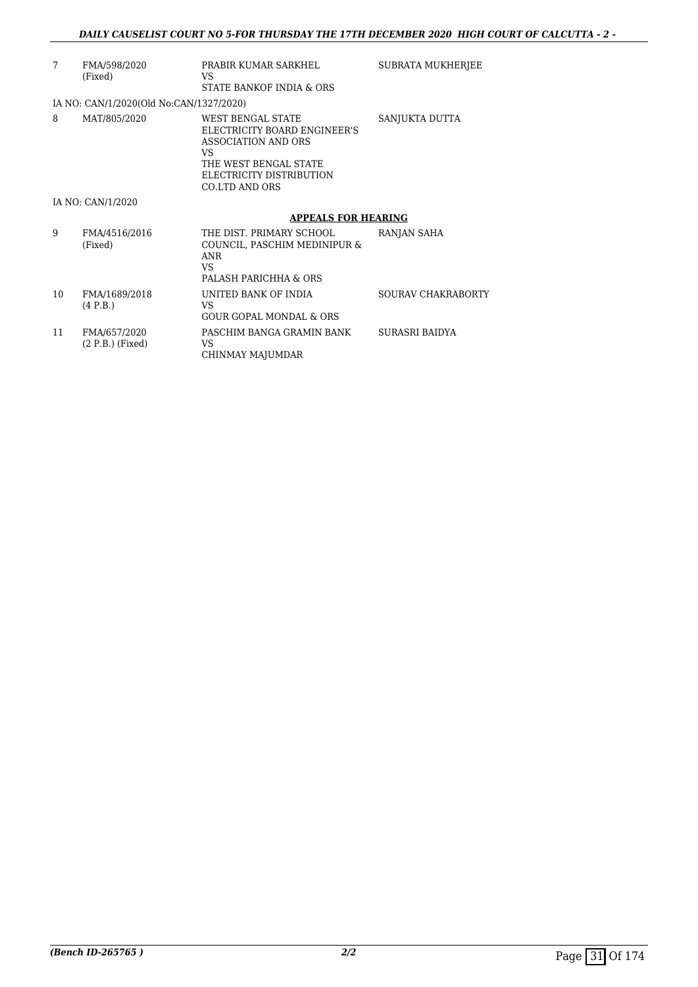| 7  | FMA/598/2020<br>(Fixed)                 | PRABIR KUMAR SARKHEL<br>VS<br>STATE BANKOF INDIA & ORS                                                                                                 | <b>SUBRATA MUKHERJEE</b> |
|----|-----------------------------------------|--------------------------------------------------------------------------------------------------------------------------------------------------------|--------------------------|
|    | IA NO: CAN/1/2020(Old No:CAN/1327/2020) |                                                                                                                                                        |                          |
| 8  | MAT/805/2020                            | WEST BENGAL STATE<br>ELECTRICITY BOARD ENGINEER'S<br>ASSOCIATION AND ORS<br>VS.<br>THE WEST BENGAL STATE<br>ELECTRICITY DISTRIBUTION<br>CO.LTD AND ORS | SANJUKTA DUTTA           |
|    | IA NO: CAN/1/2020                       |                                                                                                                                                        |                          |
|    |                                         | <b>APPEALS FOR HEARING</b>                                                                                                                             |                          |
|    |                                         |                                                                                                                                                        |                          |
| 9  | FMA/4516/2016<br>(Fixed)                | THE DIST. PRIMARY SCHOOL<br>COUNCIL, PASCHIM MEDINIPUR &<br>ANR<br>VS.<br>PALASH PARICHHA & ORS                                                        | RANJAN SAHA              |
| 10 | FMA/1689/2018<br>(4 P.B.)               | UNITED BANK OF INDIA<br>VS.<br><b>GOUR GOPAL MONDAL &amp; ORS</b>                                                                                      | SOURAV CHAKRABORTY       |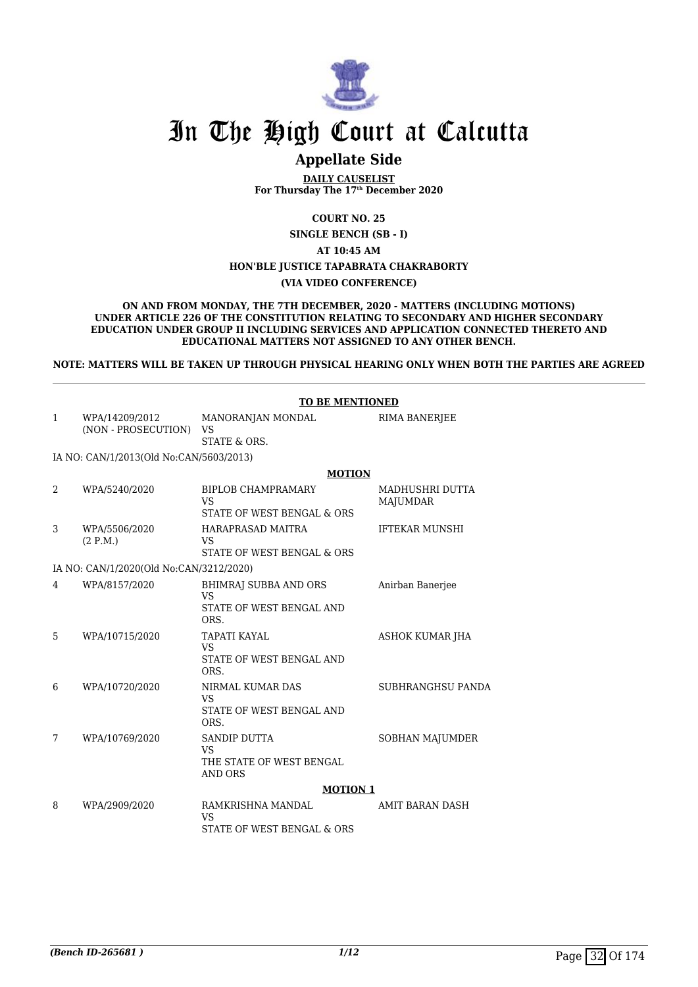

## **Appellate Side**

**DAILY CAUSELIST For Thursday The 17th December 2020**

**COURT NO. 25**

**SINGLE BENCH (SB - I)**

**AT 10:45 AM**

#### **HON'BLE JUSTICE TAPABRATA CHAKRABORTY**

#### **(VIA VIDEO CONFERENCE)**

**ON AND FROM MONDAY, THE 7TH DECEMBER, 2020 - MATTERS (INCLUDING MOTIONS) UNDER ARTICLE 226 OF THE CONSTITUTION RELATING TO SECONDARY AND HIGHER SECONDARY EDUCATION UNDER GROUP II INCLUDING SERVICES AND APPLICATION CONNECTED THERETO AND EDUCATIONAL MATTERS NOT ASSIGNED TO ANY OTHER BENCH.**

**NOTE: MATTERS WILL BE TAKEN UP THROUGH PHYSICAL HEARING ONLY WHEN BOTH THE PARTIES ARE AGREED**

|              |                                         | <b>TO BE MENTIONED</b>                                                         |                                    |
|--------------|-----------------------------------------|--------------------------------------------------------------------------------|------------------------------------|
| $\mathbf{1}$ | WPA/14209/2012<br>(NON - PROSECUTION)   | MANORANJAN MONDAL<br><b>VS</b><br><b>STATE &amp; ORS.</b>                      | <b>RIMA BANERJEE</b>               |
|              |                                         |                                                                                |                                    |
|              | IA NO: CAN/1/2013(Old No:CAN/5603/2013) |                                                                                |                                    |
| 2            | WPA/5240/2020                           | <b>MOTION</b><br><b>BIPLOB CHAMPRAMARY</b><br><b>VS</b>                        | <b>MADHUSHRI DUTTA</b><br>MAJUMDAR |
|              |                                         | STATE OF WEST BENGAL & ORS                                                     |                                    |
| 3            | WPA/5506/2020<br>(2 P.M.)               | HARAPRASAD MAITRA<br><b>VS</b><br>STATE OF WEST BENGAL & ORS                   | <b>IFTEKAR MUNSHI</b>              |
|              | IA NO: CAN/1/2020(Old No:CAN/3212/2020) |                                                                                |                                    |
| 4            | WPA/8157/2020                           | BHIMRAJ SUBBA AND ORS<br><b>VS</b><br>STATE OF WEST BENGAL AND<br>ORS.         | Anirban Banerjee                   |
| 5            | WPA/10715/2020                          | TAPATI KAYAL<br><b>VS</b><br>STATE OF WEST BENGAL AND<br>ORS.                  | ASHOK KUMAR JHA                    |
| 6            | WPA/10720/2020                          | NIRMAL KUMAR DAS<br><b>VS</b><br>STATE OF WEST BENGAL AND<br>ORS.              | SUBHRANGHSU PANDA                  |
| 7            | WPA/10769/2020                          | <b>SANDIP DUTTA</b><br><b>VS</b><br>THE STATE OF WEST BENGAL<br><b>AND ORS</b> | SOBHAN MAJUMDER                    |
|              |                                         | <b>MOTION 1</b>                                                                |                                    |
| 8            | WPA/2909/2020                           | RAMKRISHNA MANDAL<br><b>VS</b>                                                 | <b>AMIT BARAN DASH</b>             |
|              |                                         | STATE OF WEST BENGAL & ORS                                                     |                                    |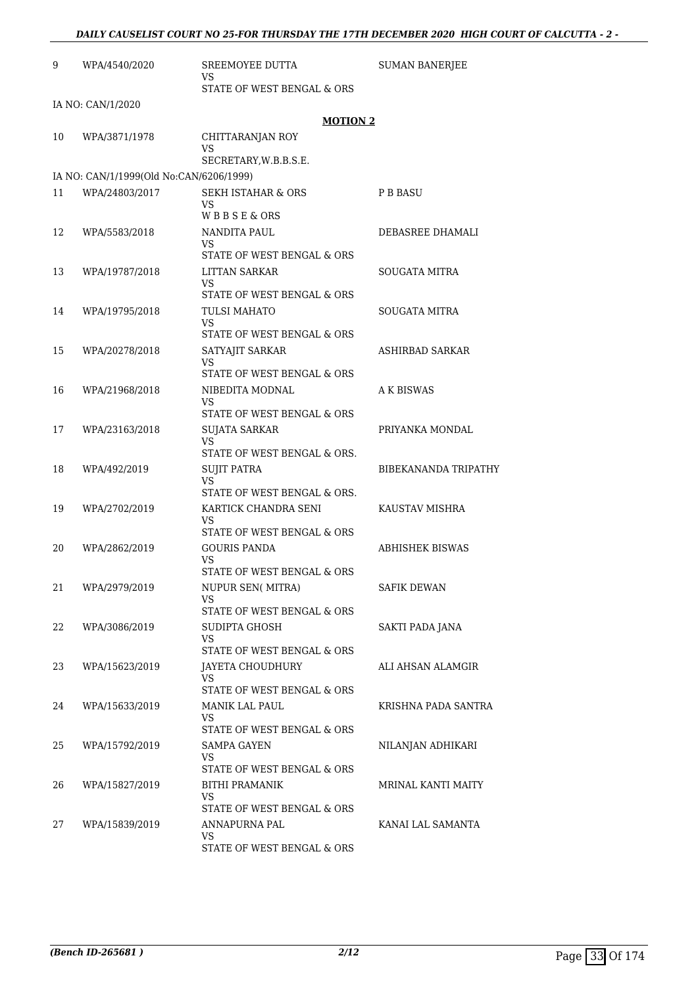| 9  | WPA/4540/2020                           | SREEMOYEE DUTTA<br>VS                                                              | <b>SUMAN BANERJEE</b>  |
|----|-----------------------------------------|------------------------------------------------------------------------------------|------------------------|
|    |                                         | STATE OF WEST BENGAL & ORS                                                         |                        |
|    | IA NO: CAN/1/2020                       | <b>MOTION 2</b>                                                                    |                        |
| 10 | WPA/3871/1978                           | CHITTARANJAN ROY<br><b>VS</b><br>SECRETARY, W.B.B.S.E.                             |                        |
|    | IA NO: CAN/1/1999(Old No:CAN/6206/1999) |                                                                                    |                        |
| 11 | WPA/24803/2017                          | SEKH ISTAHAR & ORS<br>VS<br>WBBSE&ORS                                              | <b>P B BASU</b>        |
| 12 | WPA/5583/2018                           | NANDITA PAUL<br>VS.<br>STATE OF WEST BENGAL & ORS                                  | DEBASREE DHAMALI       |
| 13 | WPA/19787/2018                          | LITTAN SARKAR<br><b>VS</b>                                                         | <b>SOUGATA MITRA</b>   |
| 14 | WPA/19795/2018                          | STATE OF WEST BENGAL & ORS<br><b>TULSI MAHATO</b><br>VS                            | <b>SOUGATA MITRA</b>   |
| 15 | WPA/20278/2018                          | STATE OF WEST BENGAL & ORS<br>SATYAJIT SARKAR<br>VS.<br>STATE OF WEST BENGAL & ORS | ASHIRBAD SARKAR        |
| 16 | WPA/21968/2018                          | NIBEDITA MODNAL<br>VS.                                                             | A K BISWAS             |
| 17 | WPA/23163/2018                          | STATE OF WEST BENGAL & ORS<br>SUJATA SARKAR<br>VS<br>STATE OF WEST BENGAL & ORS.   | PRIYANKA MONDAL        |
| 18 | WPA/492/2019                            | <b>SUJIT PATRA</b><br><b>VS</b><br>STATE OF WEST BENGAL & ORS.                     | BIBEKANANDA TRIPATHY   |
| 19 | WPA/2702/2019                           | KARTICK CHANDRA SENI<br>VS<br>STATE OF WEST BENGAL & ORS                           | KAUSTAV MISHRA         |
| 20 | WPA/2862/2019                           | <b>GOURIS PANDA</b><br>VS<br>STATE OF WEST BENGAL & ORS                            | <b>ABHISHEK BISWAS</b> |
| 21 | WPA/2979/2019                           | NUPUR SEN(MITRA)<br>VS<br>STATE OF WEST BENGAL & ORS                               | <b>SAFIK DEWAN</b>     |
| 22 | WPA/3086/2019                           | SUDIPTA GHOSH<br>VS<br>STATE OF WEST BENGAL & ORS                                  | SAKTI PADA JANA        |
| 23 | WPA/15623/2019                          | JAYETA CHOUDHURY<br>VS.                                                            | ALI AHSAN ALAMGIR      |
| 24 | WPA/15633/2019                          | STATE OF WEST BENGAL & ORS<br>MANIK LAL PAUL<br>VS.                                | KRISHNA PADA SANTRA    |
| 25 | WPA/15792/2019                          | STATE OF WEST BENGAL & ORS<br>SAMPA GAYEN<br>VS.<br>STATE OF WEST BENGAL & ORS     | NILANJAN ADHIKARI      |
| 26 | WPA/15827/2019                          | <b>BITHI PRAMANIK</b><br><b>VS</b><br>STATE OF WEST BENGAL & ORS                   | MRINAL KANTI MAITY     |
| 27 | WPA/15839/2019                          | ANNAPURNA PAL<br>VS<br>STATE OF WEST BENGAL & ORS                                  | KANAI LAL SAMANTA      |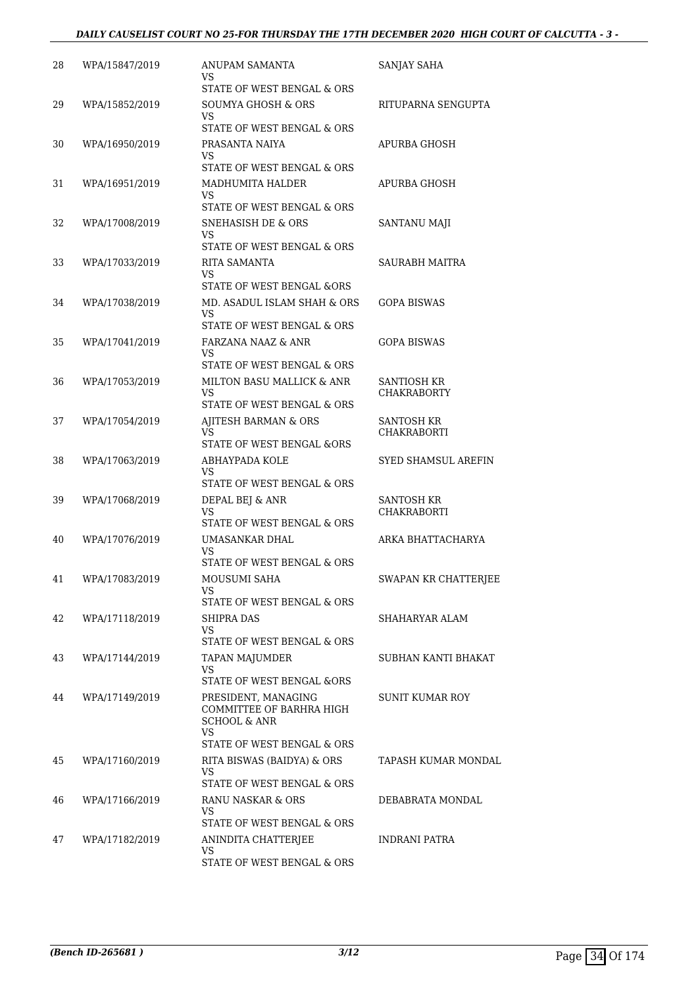#### *DAILY CAUSELIST COURT NO 25-FOR THURSDAY THE 17TH DECEMBER 2020 HIGH COURT OF CALCUTTA - 3 -*

| 28 | WPA/15847/2019 | ANUPAM SAMANTA<br>VS                                                                                          | SANJAY SAHA                              |
|----|----------------|---------------------------------------------------------------------------------------------------------------|------------------------------------------|
| 29 | WPA/15852/2019 | STATE OF WEST BENGAL & ORS<br><b>SOUMYA GHOSH &amp; ORS</b><br>VS                                             | RITUPARNA SENGUPTA                       |
| 30 | WPA/16950/2019 | STATE OF WEST BENGAL & ORS<br>PRASANTA NAIYA                                                                  | APURBA GHOSH                             |
|    |                | VS<br>STATE OF WEST BENGAL & ORS                                                                              |                                          |
| 31 | WPA/16951/2019 | <b>MADHUMITA HALDER</b><br>VS                                                                                 | APURBA GHOSH                             |
| 32 | WPA/17008/2019 | STATE OF WEST BENGAL & ORS<br><b>SNEHASISH DE &amp; ORS</b><br>VS<br>STATE OF WEST BENGAL & ORS               | SANTANU MAJI                             |
| 33 | WPA/17033/2019 | RITA SAMANTA<br><b>VS</b>                                                                                     | SAURABH MAITRA                           |
| 34 | WPA/17038/2019 | STATE OF WEST BENGAL &ORS<br>MD. ASADUL ISLAM SHAH & ORS<br>VS                                                | GOPA BISWAS                              |
| 35 | WPA/17041/2019 | STATE OF WEST BENGAL & ORS<br>FARZANA NAAZ & ANR<br>VS                                                        | <b>GOPA BISWAS</b>                       |
| 36 | WPA/17053/2019 | STATE OF WEST BENGAL & ORS<br>MILTON BASU MALLICK & ANR<br>VS                                                 | <b>SANTIOSH KR</b><br><b>CHAKRABORTY</b> |
| 37 | WPA/17054/2019 | STATE OF WEST BENGAL & ORS<br>AJITESH BARMAN & ORS<br>VS                                                      | SANTOSH KR<br><b>CHAKRABORTI</b>         |
| 38 | WPA/17063/2019 | STATE OF WEST BENGAL &ORS<br>ABHAYPADA KOLE<br>VS<br>STATE OF WEST BENGAL & ORS                               | SYED SHAMSUL AREFIN                      |
| 39 | WPA/17068/2019 | DEPAL BEJ & ANR<br>VS                                                                                         | SANTOSH KR<br><b>CHAKRABORTI</b>         |
| 40 | WPA/17076/2019 | STATE OF WEST BENGAL & ORS<br>UMASANKAR DHAL<br>VS                                                            | ARKA BHATTACHARYA                        |
| 41 | WPA/17083/2019 | STATE OF WEST BENGAL & ORS<br>MOUSUMI SAHA<br>VS                                                              | SWAPAN KR CHATTERJEE                     |
| 42 | WPA/17118/2019 | STATE OF WEST BENGAL & ORS<br>SHIPRA DAS<br>VS.                                                               | SHAHARYAR ALAM                           |
| 43 | WPA/17144/2019 | STATE OF WEST BENGAL & ORS<br><b>TAPAN MAJUMDER</b><br><b>VS</b>                                              | SUBHAN KANTI BHAKAT                      |
| 44 | WPA/17149/2019 | STATE OF WEST BENGAL &ORS<br>PRESIDENT, MANAGING<br>COMMITTEE OF BARHRA HIGH<br><b>SCHOOL &amp; ANR</b><br>VS | <b>SUNIT KUMAR ROY</b>                   |
| 45 | WPA/17160/2019 | STATE OF WEST BENGAL & ORS<br>RITA BISWAS (BAIDYA) & ORS<br><b>VS</b><br>STATE OF WEST BENGAL & ORS           | TAPASH KUMAR MONDAL                      |
| 46 | WPA/17166/2019 | RANU NASKAR & ORS<br>VS<br>STATE OF WEST BENGAL & ORS                                                         | DEBABRATA MONDAL                         |
| 47 | WPA/17182/2019 | ANINDITA CHATTERJEE<br><b>VS</b><br>STATE OF WEST BENGAL & ORS                                                | INDRANI PATRA                            |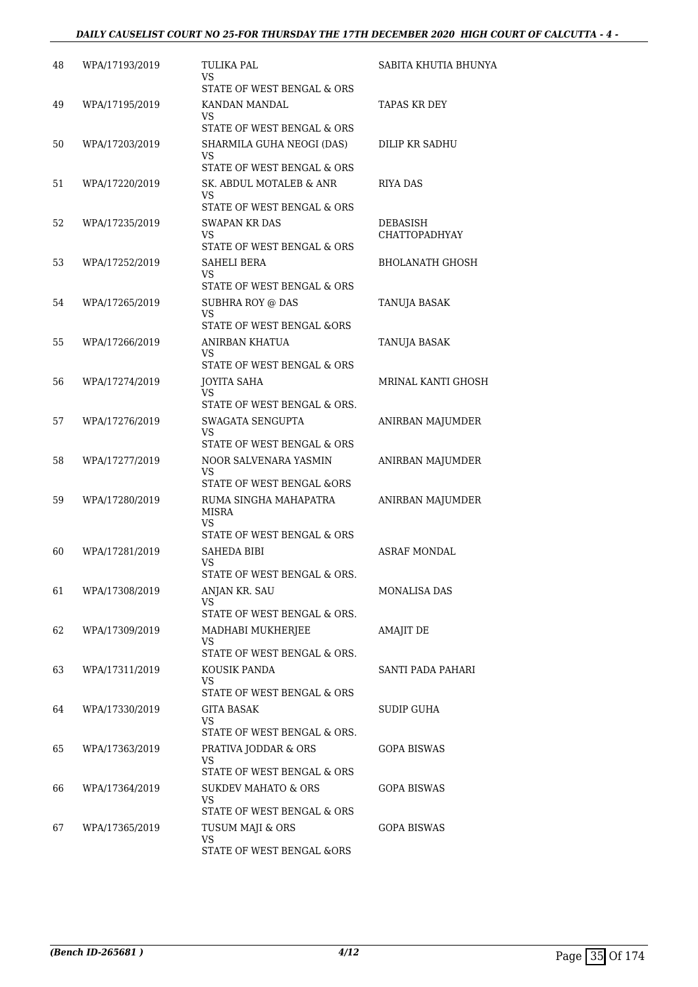#### *DAILY CAUSELIST COURT NO 25-FOR THURSDAY THE 17TH DECEMBER 2020 HIGH COURT OF CALCUTTA - 4 -*

| 48 | WPA/17193/2019 | TULIKA PAL<br>VS.<br>STATE OF WEST BENGAL & ORS                                        | SABITA KHUTIA BHUNYA             |
|----|----------------|----------------------------------------------------------------------------------------|----------------------------------|
| 49 | WPA/17195/2019 | KANDAN MANDAL<br>VS<br>STATE OF WEST BENGAL & ORS                                      | TAPAS KR DEY                     |
| 50 | WPA/17203/2019 | SHARMILA GUHA NEOGI (DAS)<br>VS                                                        | DILIP KR SADHU                   |
| 51 | WPA/17220/2019 | STATE OF WEST BENGAL & ORS<br>SK. ABDUL MOTALEB & ANR<br>VS                            | <b>RIYA DAS</b>                  |
| 52 | WPA/17235/2019 | STATE OF WEST BENGAL & ORS<br><b>SWAPAN KR DAS</b><br>VS<br>STATE OF WEST BENGAL & ORS | DEBASISH<br><b>CHATTOPADHYAY</b> |
| 53 | WPA/17252/2019 | SAHELI BERA<br>VS.<br>STATE OF WEST BENGAL & ORS                                       | BHOLANATH GHOSH                  |
| 54 | WPA/17265/2019 | SUBHRA ROY @ DAS<br><b>VS</b><br>STATE OF WEST BENGAL &ORS                             | TANUJA BASAK                     |
| 55 | WPA/17266/2019 | ANIRBAN KHATUA<br>VS                                                                   | TANUJA BASAK                     |
| 56 | WPA/17274/2019 | STATE OF WEST BENGAL & ORS<br><b>JOYITA SAHA</b><br>VS.                                | MRINAL KANTI GHOSH               |
| 57 | WPA/17276/2019 | STATE OF WEST BENGAL & ORS.<br>SWAGATA SENGUPTA<br>VS                                  | ANIRBAN MAJUMDER                 |
| 58 | WPA/17277/2019 | STATE OF WEST BENGAL & ORS<br>NOOR SALVENARA YASMIN<br>VS                              | ANIRBAN MAJUMDER                 |
| 59 | WPA/17280/2019 | STATE OF WEST BENGAL &ORS<br>RUMA SINGHA MAHAPATRA<br><b>MISRA</b><br>VS               | ANIRBAN MAJUMDER                 |
| 60 | WPA/17281/2019 | STATE OF WEST BENGAL & ORS<br><b>SAHEDA BIBI</b><br>VS                                 | <b>ASRAF MONDAL</b>              |
| 61 | WPA/17308/2019 | STATE OF WEST BENGAL & ORS.<br>ANJAN KR. SAU<br>VS                                     | <b>MONALISA DAS</b>              |
| 62 | WPA/17309/2019 | STATE OF WEST BENGAL & ORS.<br>MADHABI MUKHERJEE<br>VS<br>STATE OF WEST BENGAL & ORS.  | AMAJIT DE                        |
| 63 | WPA/17311/2019 | KOUSIK PANDA<br>VS<br>STATE OF WEST BENGAL & ORS                                       | SANTI PADA PAHARI                |
| 64 | WPA/17330/2019 | GITA BASAK<br>VS<br>STATE OF WEST BENGAL & ORS.                                        | <b>SUDIP GUHA</b>                |
| 65 | WPA/17363/2019 | PRATIVA JODDAR & ORS<br>VS<br>STATE OF WEST BENGAL & ORS                               | GOPA BISWAS                      |
| 66 | WPA/17364/2019 | SUKDEV MAHATO & ORS<br>VS<br>STATE OF WEST BENGAL & ORS                                | GOPA BISWAS                      |
| 67 | WPA/17365/2019 | TUSUM MAJI & ORS<br>VS<br>STATE OF WEST BENGAL &ORS                                    | GOPA BISWAS                      |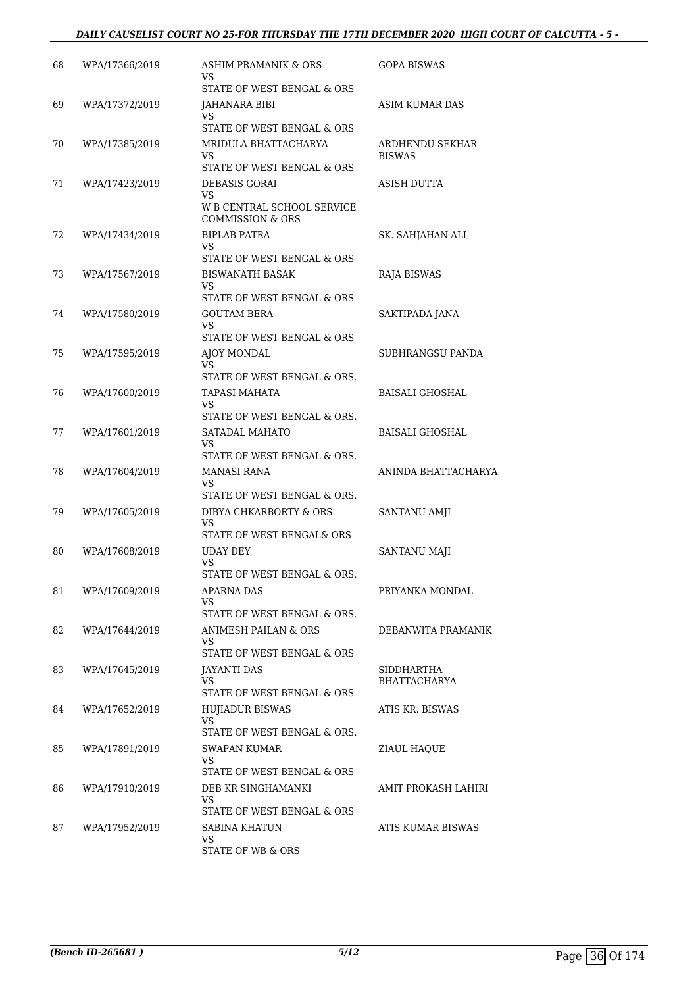#### *DAILY CAUSELIST COURT NO 25-FOR THURSDAY THE 17TH DECEMBER 2020 HIGH COURT OF CALCUTTA - 5 -*

| 68 | WPA/17366/2019 | ASHIM PRAMANIK & ORS<br>VS<br>STATE OF WEST BENGAL & ORS                                      | GOPA BISWAS                      |
|----|----------------|-----------------------------------------------------------------------------------------------|----------------------------------|
| 69 | WPA/17372/2019 | JAHANARA BIBI<br>VS                                                                           | ASIM KUMAR DAS                   |
| 70 | WPA/17385/2019 | STATE OF WEST BENGAL & ORS<br>MRIDULA BHATTACHARYA<br><b>VS</b><br>STATE OF WEST BENGAL & ORS | ARDHENDU SEKHAR<br><b>BISWAS</b> |
| 71 | WPA/17423/2019 | <b>DEBASIS GORAI</b><br>VS<br>W B CENTRAL SCHOOL SERVICE<br>COMMISSION & ORS                  | ASISH DUTTA                      |
| 72 | WPA/17434/2019 | BIPLAB PATRA<br>VS<br>STATE OF WEST BENGAL & ORS                                              | SK. SAHJAHAN ALI                 |
| 73 | WPA/17567/2019 | <b>BISWANATH BASAK</b><br>VS                                                                  | RAJA BISWAS                      |
| 74 | WPA/17580/2019 | STATE OF WEST BENGAL & ORS<br><b>GOUTAM BERA</b><br><b>VS</b><br>STATE OF WEST BENGAL & ORS   | SAKTIPADA JANA                   |
| 75 | WPA/17595/2019 | AJOY MONDAL<br>VS<br>STATE OF WEST BENGAL & ORS.                                              | SUBHRANGSU PANDA                 |
| 76 | WPA/17600/2019 | TAPASI MAHATA<br>VS<br>STATE OF WEST BENGAL & ORS.                                            | BAISALI GHOSHAL                  |
| 77 | WPA/17601/2019 | SATADAL MAHATO<br>VS<br>STATE OF WEST BENGAL & ORS.                                           | BAISALI GHOSHAL                  |
| 78 | WPA/17604/2019 | MANASI RANA<br>VS                                                                             | ANINDA BHATTACHARYA              |
| 79 | WPA/17605/2019 | STATE OF WEST BENGAL & ORS.<br>DIBYA CHKARBORTY & ORS<br>VS<br>STATE OF WEST BENGAL& ORS      | SANTANU AMJI                     |
| 80 | WPA/17608/2019 | UDAY DEY<br><b>VS</b>                                                                         | SANTANU MAJI                     |
| 81 | WPA/17609/2019 | STATE OF WEST BENGAL & ORS.<br>APARNA DAS<br>VS<br>STATE OF WEST BENGAL & ORS.                | PRIYANKA MONDAL                  |
| 82 | WPA/17644/2019 | <b>ANIMESH PAILAN &amp; ORS</b><br>VS.<br>STATE OF WEST BENGAL & ORS                          | DEBANWITA PRAMANIK               |
| 83 | WPA/17645/2019 | JAYANTI DAS<br>VS<br>STATE OF WEST BENGAL & ORS                                               | SIDDHARTHA<br>BHATTACHARYA       |
| 84 | WPA/17652/2019 | <b>HUJIADUR BISWAS</b><br>VS<br>STATE OF WEST BENGAL & ORS.                                   | ATIS KR. BISWAS                  |
| 85 | WPA/17891/2019 | SWAPAN KUMAR<br>VS<br>STATE OF WEST BENGAL & ORS                                              | ZIAUL HAQUE                      |
| 86 | WPA/17910/2019 | DEB KR SINGHAMANKI<br>VS<br>STATE OF WEST BENGAL & ORS                                        | AMIT PROKASH LAHIRI              |
| 87 | WPA/17952/2019 | SABINA KHATUN<br>VS.<br>STATE OF WB & ORS                                                     | ATIS KUMAR BISWAS                |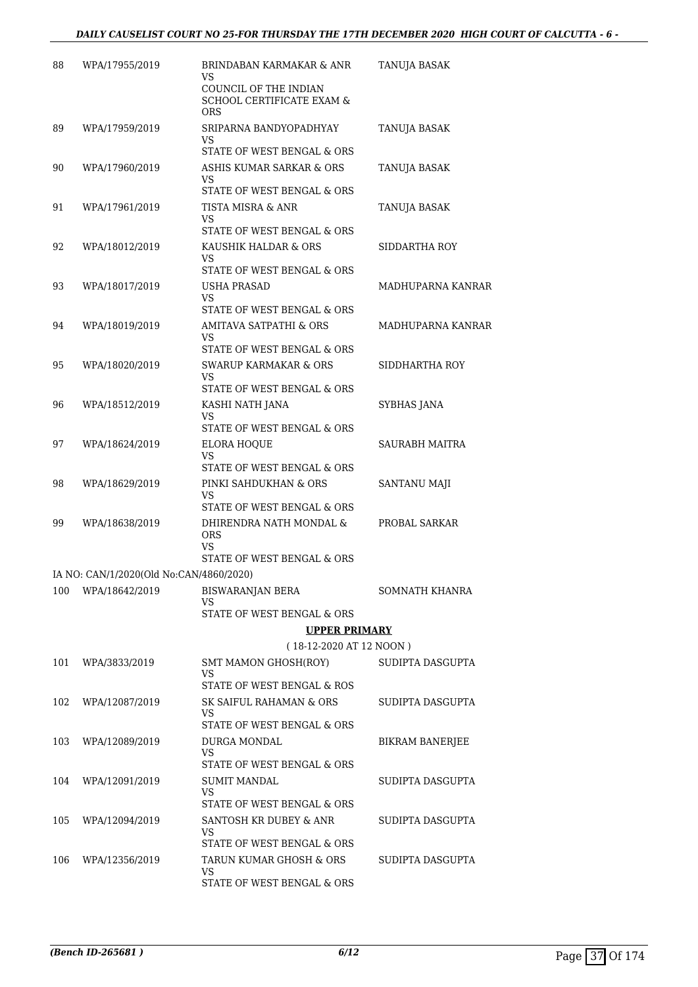| 88  | WPA/17955/2019                          | <b>BRINDABAN KARMAKAR &amp; ANR</b><br>VS                                   | TANUJA BASAK           |
|-----|-----------------------------------------|-----------------------------------------------------------------------------|------------------------|
|     |                                         | COUNCIL OF THE INDIAN<br><b>SCHOOL CERTIFICATE EXAM &amp;</b><br><b>ORS</b> |                        |
| 89  | WPA/17959/2019                          | SRIPARNA BANDYOPADHYAY<br>VS                                                | TANUJA BASAK           |
|     |                                         | STATE OF WEST BENGAL & ORS                                                  |                        |
| 90  | WPA/17960/2019                          | ASHIS KUMAR SARKAR & ORS<br>VS<br>STATE OF WEST BENGAL & ORS                | TANUJA BASAK           |
| 91  | WPA/17961/2019                          | TISTA MISRA & ANR<br>VS<br>STATE OF WEST BENGAL & ORS                       | <b>TANUJA BASAK</b>    |
| 92  | WPA/18012/2019                          | KAUSHIK HALDAR & ORS<br>VS<br>STATE OF WEST BENGAL & ORS                    | SIDDARTHA ROY          |
| 93  | WPA/18017/2019                          | <b>USHA PRASAD</b>                                                          | MADHUPARNA KANRAR      |
|     |                                         | VS<br>STATE OF WEST BENGAL & ORS                                            |                        |
| 94  | WPA/18019/2019                          | <b>AMITAVA SATPATHI &amp; ORS</b><br>VS                                     | MADHUPARNA KANRAR      |
|     |                                         | STATE OF WEST BENGAL & ORS                                                  |                        |
| 95  | WPA/18020/2019                          | <b>SWARUP KARMAKAR &amp; ORS</b><br>VS                                      | SIDDHARTHA ROY         |
|     |                                         | STATE OF WEST BENGAL & ORS                                                  |                        |
| 96  | WPA/18512/2019                          | KASHI NATH JANA<br>VS<br>STATE OF WEST BENGAL & ORS                         | SYBHAS JANA            |
| 97  | WPA/18624/2019                          | ELORA HOQUE<br>VS                                                           | <b>SAURABH MAITRA</b>  |
|     |                                         | STATE OF WEST BENGAL & ORS                                                  |                        |
| 98  | WPA/18629/2019                          | PINKI SAHDUKHAN & ORS<br>VS                                                 | SANTANU MAJI           |
| 99  | WPA/18638/2019                          | STATE OF WEST BENGAL & ORS<br>DHIRENDRA NATH MONDAL &<br><b>ORS</b>         | PROBAL SARKAR          |
|     |                                         | VS<br>STATE OF WEST BENGAL & ORS                                            |                        |
|     | IA NO: CAN/1/2020(Old No:CAN/4860/2020) |                                                                             |                        |
| 100 | WPA/18642/2019                          | <b>BISWARANJAN BERA</b><br>VS<br>STATE OF WEST BENGAL & ORS                 | SOMNATH KHANRA         |
|     |                                         | <b>UPPER PRIMARY</b>                                                        |                        |
|     |                                         | (18-12-2020 AT 12 NOON)                                                     |                        |
| 101 | WPA/3833/2019                           | <b>SMT MAMON GHOSH(ROY)</b>                                                 | SUDIPTA DASGUPTA       |
|     |                                         | <b>VS</b><br>STATE OF WEST BENGAL & ROS                                     |                        |
| 102 | WPA/12087/2019                          | SK SAIFUL RAHAMAN & ORS<br>VS                                               | SUDIPTA DASGUPTA       |
|     |                                         | STATE OF WEST BENGAL & ORS                                                  |                        |
| 103 | WPA/12089/2019                          | DURGA MONDAL<br>VS<br>STATE OF WEST BENGAL & ORS                            | <b>BIKRAM BANERJEE</b> |
| 104 | WPA/12091/2019                          | SUMIT MANDAL<br>VS                                                          | SUDIPTA DASGUPTA       |
|     |                                         | STATE OF WEST BENGAL & ORS                                                  |                        |
| 105 | WPA/12094/2019                          | SANTOSH KR DUBEY & ANR<br>VS<br>STATE OF WEST BENGAL & ORS                  | SUDIPTA DASGUPTA       |
| 106 | WPA/12356/2019                          | TARUN KUMAR GHOSH & ORS                                                     | SUDIPTA DASGUPTA       |
|     |                                         | VS<br>STATE OF WEST BENGAL & ORS                                            |                        |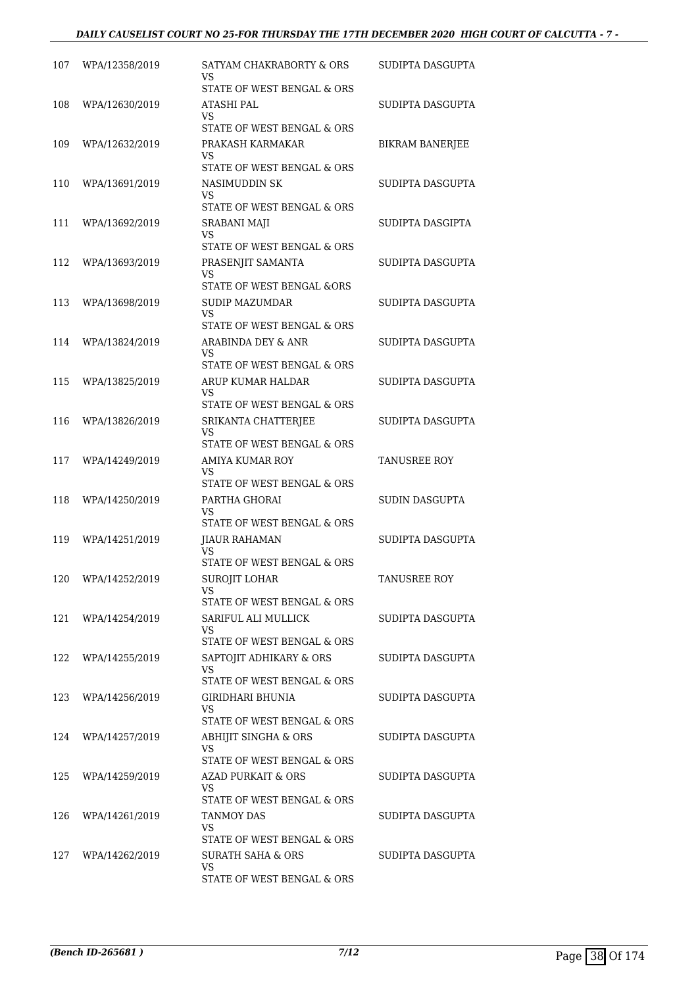#### *DAILY CAUSELIST COURT NO 25-FOR THURSDAY THE 17TH DECEMBER 2020 HIGH COURT OF CALCUTTA - 7 -*

| 107 | WPA/12358/2019     | SATYAM CHAKRABORTY & ORS<br>VS    | SUDIPTA DASGUPTA       |
|-----|--------------------|-----------------------------------|------------------------|
|     |                    | STATE OF WEST BENGAL & ORS        |                        |
| 108 | WPA/12630/2019     | ATASHI PAL<br>VS                  | SUDIPTA DASGUPTA       |
|     |                    | STATE OF WEST BENGAL & ORS        |                        |
| 109 | WPA/12632/2019     | PRAKASH KARMAKAR                  | <b>BIKRAM BANERJEE</b> |
|     |                    | VS<br>STATE OF WEST BENGAL & ORS  |                        |
| 110 | WPA/13691/2019     | NASIMUDDIN SK                     | SUDIPTA DASGUPTA       |
|     |                    | VS<br>STATE OF WEST BENGAL & ORS  |                        |
| 111 | WPA/13692/2019     | <b>SRABANI MAJI</b>               | SUDIPTA DASGIPTA       |
|     |                    | VS                                |                        |
|     |                    | STATE OF WEST BENGAL & ORS        |                        |
| 112 | WPA/13693/2019     | PRASENJIT SAMANTA<br>VS           | SUDIPTA DASGUPTA       |
|     |                    | STATE OF WEST BENGAL &ORS         |                        |
| 113 | WPA/13698/2019     | <b>SUDIP MAZUMDAR</b>             | SUDIPTA DASGUPTA       |
|     |                    | VS<br>STATE OF WEST BENGAL & ORS  |                        |
| 114 | WPA/13824/2019     | ARABINDA DEY & ANR                | SUDIPTA DASGUPTA       |
|     |                    | VS<br>STATE OF WEST BENGAL & ORS  |                        |
| 115 | WPA/13825/2019     | ARUP KUMAR HALDAR                 | SUDIPTA DASGUPTA       |
|     |                    | VS                                |                        |
|     |                    | STATE OF WEST BENGAL & ORS        |                        |
| 116 | WPA/13826/2019     | SRIKANTA CHATTERJEE<br>VS         | SUDIPTA DASGUPTA       |
|     |                    | STATE OF WEST BENGAL & ORS        |                        |
| 117 | WPA/14249/2019     | AMIYA KUMAR ROY                   | TANUSREE ROY           |
|     |                    | VS<br>STATE OF WEST BENGAL & ORS  |                        |
| 118 | WPA/14250/2019     | PARTHA GHORAI                     | SUDIN DASGUPTA         |
|     |                    | VS<br>STATE OF WEST BENGAL & ORS  |                        |
| 119 | WPA/14251/2019     | <b>JIAUR RAHAMAN</b>              | SUDIPTA DASGUPTA       |
|     |                    | VS                                |                        |
|     |                    | STATE OF WEST BENGAL & ORS        |                        |
|     | 120 WPA/14252/2019 | SUROJIT LOHAR<br>VS               | TANUSREE ROY           |
|     |                    | STATE OF WEST BENGAL & ORS        |                        |
| 121 | WPA/14254/2019     | SARIFUL ALI MULLICK               | SUDIPTA DASGUPTA       |
|     |                    | VS.<br>STATE OF WEST BENGAL & ORS |                        |
|     | 122 WPA/14255/2019 | SAPTOJIT ADHIKARY & ORS           | SUDIPTA DASGUPTA       |
|     |                    | VS<br>STATE OF WEST BENGAL & ORS  |                        |
| 123 | WPA/14256/2019     | GIRIDHARI BHUNIA                  | SUDIPTA DASGUPTA       |
|     |                    | VS                                |                        |
|     |                    | STATE OF WEST BENGAL & ORS        |                        |
| 124 | WPA/14257/2019     | ABHIJIT SINGHA & ORS<br>VS.       | SUDIPTA DASGUPTA       |
|     |                    | STATE OF WEST BENGAL & ORS        |                        |
| 125 | WPA/14259/2019     | <b>AZAD PURKAIT &amp; ORS</b>     | SUDIPTA DASGUPTA       |
|     |                    | VS.<br>STATE OF WEST BENGAL & ORS |                        |
| 126 | WPA/14261/2019     | TANMOY DAS                        | SUDIPTA DASGUPTA       |
|     |                    | VS<br>STATE OF WEST BENGAL & ORS  |                        |
| 127 | WPA/14262/2019     | SURATH SAHA & ORS                 | SUDIPTA DASGUPTA       |
|     |                    | VS.                               |                        |
|     |                    | STATE OF WEST BENGAL & ORS        |                        |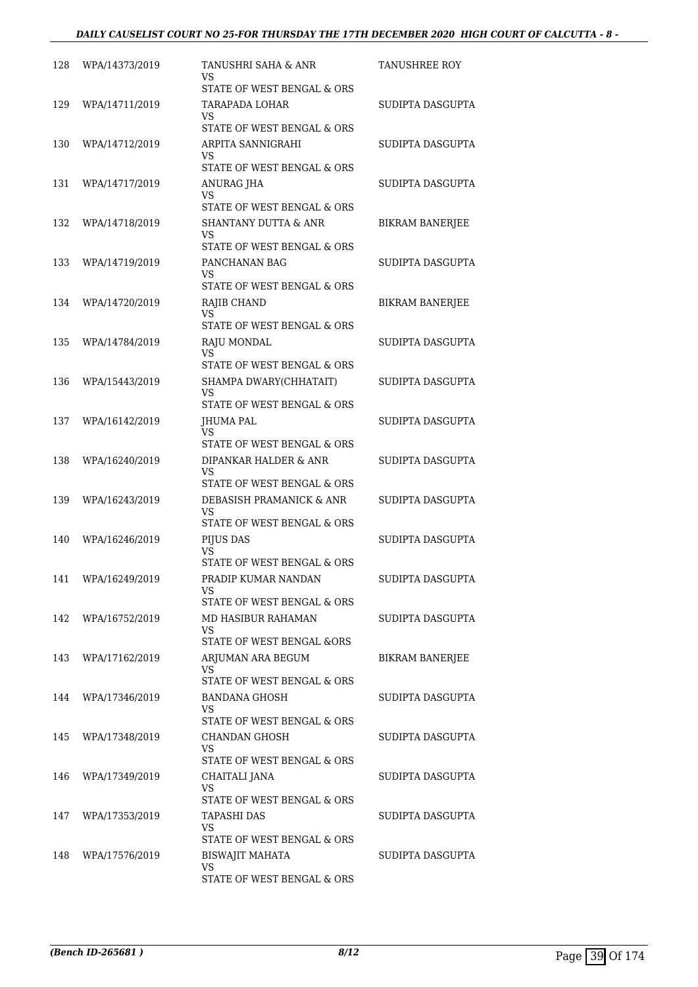| 128 | WPA/14373/2019     | TANUSHRI SAHA & ANR<br>VS                   | TANUSHREE ROY          |
|-----|--------------------|---------------------------------------------|------------------------|
|     |                    | STATE OF WEST BENGAL & ORS                  |                        |
| 129 | WPA/14711/2019     | TARAPADA LOHAR<br>VS.                       | SUDIPTA DASGUPTA       |
|     |                    | STATE OF WEST BENGAL & ORS                  |                        |
| 130 | WPA/14712/2019     | ARPITA SANNIGRAHI<br>VS                     | SUDIPTA DASGUPTA       |
|     |                    | STATE OF WEST BENGAL & ORS                  |                        |
| 131 | WPA/14717/2019     | ANURAG JHA                                  | SUDIPTA DASGUPTA       |
|     |                    | VS<br>STATE OF WEST BENGAL & ORS            |                        |
| 132 | WPA/14718/2019     | <b>SHANTANY DUTTA &amp; ANR</b>             | <b>BIKRAM BANERJEE</b> |
|     |                    | VS<br>STATE OF WEST BENGAL & ORS            |                        |
| 133 | WPA/14719/2019     | PANCHANAN BAG                               | SUDIPTA DASGUPTA       |
|     |                    | <b>VS</b>                                   |                        |
|     |                    | STATE OF WEST BENGAL & ORS                  |                        |
| 134 | WPA/14720/2019     | RAJIB CHAND<br>VS                           | <b>BIKRAM BANERJEE</b> |
|     |                    | STATE OF WEST BENGAL & ORS                  |                        |
| 135 | WPA/14784/2019     | RAJU MONDAL<br>VS                           | SUDIPTA DASGUPTA       |
|     |                    | STATE OF WEST BENGAL & ORS                  |                        |
| 136 | WPA/15443/2019     | SHAMPA DWARY(CHHATAIT)                      | SUDIPTA DASGUPTA       |
|     |                    | <b>VS</b><br>STATE OF WEST BENGAL & ORS     |                        |
| 137 | WPA/16142/2019     | JHUMA PAL                                   | SUDIPTA DASGUPTA       |
|     |                    | <b>VS</b><br>STATE OF WEST BENGAL & ORS     |                        |
| 138 | WPA/16240/2019     | DIPANKAR HALDER & ANR                       | SUDIPTA DASGUPTA       |
|     |                    | VS                                          |                        |
|     |                    | STATE OF WEST BENGAL & ORS                  |                        |
| 139 | WPA/16243/2019     | DEBASISH PRAMANICK & ANR<br>VS              | SUDIPTA DASGUPTA       |
|     |                    | STATE OF WEST BENGAL & ORS                  |                        |
| 140 | WPA/16246/2019     | PIJUS DAS<br>VS                             | SUDIPTA DASGUPTA       |
|     |                    | STATE OF WEST BENGAL & ORS                  |                        |
|     | 141 WPA/16249/2019 | PRADIP KUMAR NANDAN<br>VS                   | SUDIPTA DASGUPTA       |
|     |                    | STATE OF WEST BENGAL & ORS                  |                        |
|     | 142 WPA/16752/2019 | <b>MD HASIBUR RAHAMAN</b><br>VS.            | SUDIPTA DASGUPTA       |
|     |                    | STATE OF WEST BENGAL &ORS                   |                        |
| 143 | WPA/17162/2019     | ARJUMAN ARA BEGUM<br>VS                     | <b>BIKRAM BANERJEE</b> |
|     |                    | STATE OF WEST BENGAL & ORS                  |                        |
| 144 | WPA/17346/2019     | <b>BANDANA GHOSH</b>                        | SUDIPTA DASGUPTA       |
|     |                    | VS<br>STATE OF WEST BENGAL & ORS            |                        |
| 145 | WPA/17348/2019     | CHANDAN GHOSH                               | SUDIPTA DASGUPTA       |
|     |                    | VS.                                         |                        |
| 146 | WPA/17349/2019     | STATE OF WEST BENGAL & ORS<br>CHAITALI JANA | SUDIPTA DASGUPTA       |
|     |                    | <b>VS</b>                                   |                        |
|     |                    | STATE OF WEST BENGAL & ORS                  |                        |
| 147 | WPA/17353/2019     | <b>TAPASHI DAS</b><br>VS.                   | SUDIPTA DASGUPTA       |
|     |                    | STATE OF WEST BENGAL & ORS                  |                        |
| 148 | WPA/17576/2019     | BISWAJIT MAHATA                             | SUDIPTA DASGUPTA       |
|     |                    | <b>VS</b><br>STATE OF WEST BENGAL & ORS     |                        |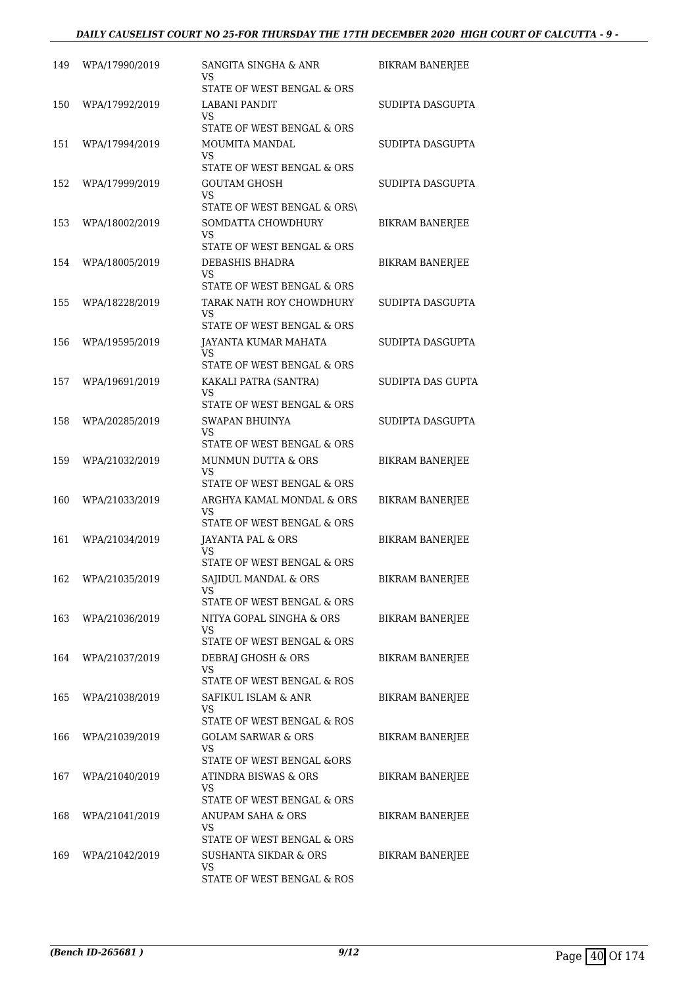| 149 | WPA/17990/2019     | SANGITA SINGHA & ANR<br>VS                                      | <b>BIKRAM BANERJEE</b> |
|-----|--------------------|-----------------------------------------------------------------|------------------------|
| 150 | WPA/17992/2019     | STATE OF WEST BENGAL & ORS<br><b>LABANI PANDIT</b>              | SUDIPTA DASGUPTA       |
|     |                    | VS<br>STATE OF WEST BENGAL & ORS                                |                        |
| 151 | WPA/17994/2019     | MOUMITA MANDAL<br>VS                                            | SUDIPTA DASGUPTA       |
| 152 | WPA/17999/2019     | STATE OF WEST BENGAL & ORS<br><b>GOUTAM GHOSH</b>               | SUDIPTA DASGUPTA       |
|     |                    | VS<br>STATE OF WEST BENGAL & ORS\                               |                        |
| 153 | WPA/18002/2019     | SOMDATTA CHOWDHURY<br>VS                                        | <b>BIKRAM BANERJEE</b> |
|     |                    | STATE OF WEST BENGAL & ORS                                      |                        |
| 154 | WPA/18005/2019     | DEBASHIS BHADRA<br>VS                                           | BIKRAM BANERJEE        |
|     |                    | STATE OF WEST BENGAL & ORS                                      |                        |
| 155 | WPA/18228/2019     | TARAK NATH ROY CHOWDHURY<br>VS                                  | SUDIPTA DASGUPTA       |
|     |                    | STATE OF WEST BENGAL & ORS                                      |                        |
| 156 | WPA/19595/2019     | JAYANTA KUMAR MAHATA<br><b>VS</b><br>STATE OF WEST BENGAL & ORS | SUDIPTA DASGUPTA       |
| 157 | WPA/19691/2019     | KAKALI PATRA (SANTRA)                                           | SUDIPTA DAS GUPTA      |
|     |                    | VS<br>STATE OF WEST BENGAL & ORS                                |                        |
| 158 | WPA/20285/2019     | SWAPAN BHUINYA                                                  | SUDIPTA DASGUPTA       |
|     |                    | VS<br>STATE OF WEST BENGAL & ORS                                |                        |
| 159 | WPA/21032/2019     | <b>MUNMUN DUTTA &amp; ORS</b>                                   | <b>BIKRAM BANERJEE</b> |
|     |                    | VS<br>STATE OF WEST BENGAL & ORS                                |                        |
| 160 | WPA/21033/2019     | ARGHYA KAMAL MONDAL & ORS                                       | BIKRAM BANERJEE        |
|     |                    | VS<br>STATE OF WEST BENGAL & ORS                                |                        |
| 161 | WPA/21034/2019     | JAYANTA PAL & ORS                                               | <b>BIKRAM BANERJEE</b> |
|     |                    | VS<br>STATE OF WEST BENGAL & ORS                                |                        |
|     | 162 WPA/21035/2019 | SAJIDUL MANDAL & ORS                                            | <b>BIKRAM BANERJEE</b> |
|     |                    | VS<br>STATE OF WEST BENGAL & ORS                                |                        |
|     | 163 WPA/21036/2019 | NITYA GOPAL SINGHA & ORS                                        | <b>BIKRAM BANERJEE</b> |
|     |                    | VS.                                                             |                        |
|     | 164 WPA/21037/2019 | STATE OF WEST BENGAL & ORS<br>DEBRAJ GHOSH & ORS                | <b>BIKRAM BANERJEE</b> |
|     |                    | VS<br>STATE OF WEST BENGAL & ROS                                |                        |
| 165 | WPA/21038/2019     | SAFIKUL ISLAM & ANR                                             | <b>BIKRAM BANERJEE</b> |
|     |                    | VS<br>STATE OF WEST BENGAL & ROS                                |                        |
| 166 | WPA/21039/2019     | <b>GOLAM SARWAR &amp; ORS</b>                                   | BIKRAM BANERJEE        |
|     |                    | VS.<br>STATE OF WEST BENGAL &ORS                                |                        |
| 167 | WPA/21040/2019     | ATINDRA BISWAS & ORS                                            | <b>BIKRAM BANERJEE</b> |
|     |                    | VS.<br>STATE OF WEST BENGAL & ORS                               |                        |
| 168 | WPA/21041/2019     | ANUPAM SAHA & ORS                                               | <b>BIKRAM BANERJEE</b> |
|     |                    | VS.                                                             |                        |
| 169 | WPA/21042/2019     | STATE OF WEST BENGAL & ORS<br>SUSHANTA SIKDAR & ORS             | <b>BIKRAM BANERJEE</b> |
|     |                    | <b>VS</b>                                                       |                        |
|     |                    | STATE OF WEST BENGAL & ROS                                      |                        |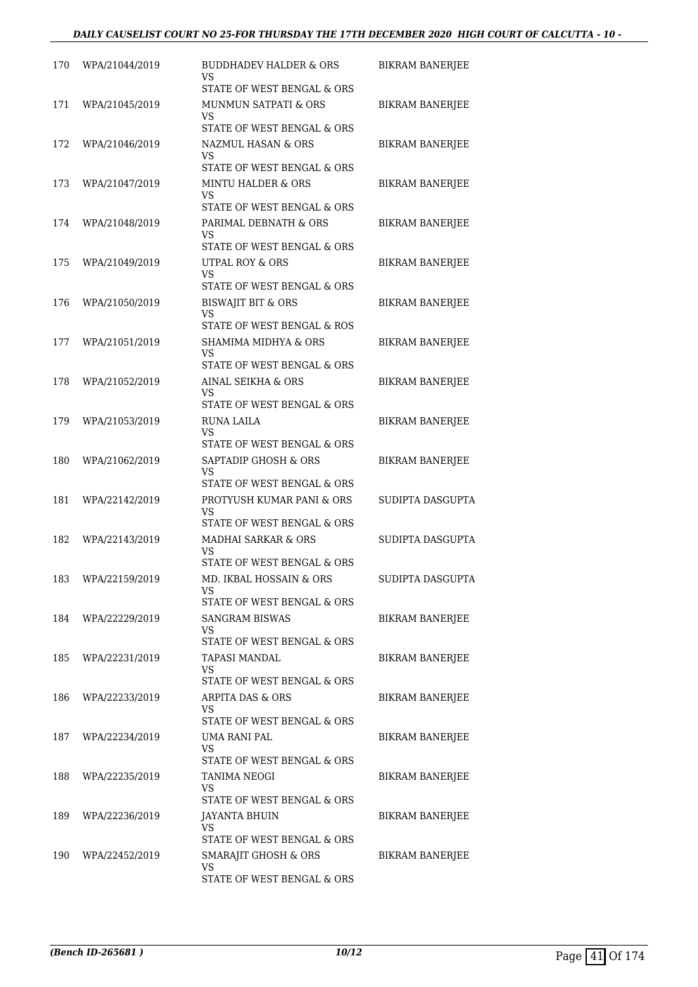| 170 | WPA/21044/2019     | <b>BUDDHADEV HALDER &amp; ORS</b><br>VS                                                | <b>BIKRAM BANERJEE</b> |
|-----|--------------------|----------------------------------------------------------------------------------------|------------------------|
| 171 | WPA/21045/2019     | STATE OF WEST BENGAL & ORS<br><b>MUNMUN SATPATI &amp; ORS</b><br>VS                    | <b>BIKRAM BANERJEE</b> |
|     |                    | STATE OF WEST BENGAL & ORS                                                             |                        |
| 172 | WPA/21046/2019     | NAZMUL HASAN & ORS<br>VS<br>STATE OF WEST BENGAL & ORS                                 | <b>BIKRAM BANERJEE</b> |
| 173 | WPA/21047/2019     | <b>MINTU HALDER &amp; ORS</b><br>VS                                                    | BIKRAM BANERJEE        |
| 174 | WPA/21048/2019     | STATE OF WEST BENGAL & ORS<br>PARIMAL DEBNATH & ORS<br>VS                              | <b>BIKRAM BANERJEE</b> |
| 175 | WPA/21049/2019     | STATE OF WEST BENGAL & ORS<br>UTPAL ROY & ORS<br>VS                                    | BIKRAM BANERJEE        |
| 176 | WPA/21050/2019     | STATE OF WEST BENGAL & ORS<br><b>BISWAJIT BIT &amp; ORS</b><br>VS                      | <b>BIKRAM BANERJEE</b> |
|     |                    | STATE OF WEST BENGAL & ROS                                                             |                        |
| 177 | WPA/21051/2019     | <b>SHAMIMA MIDHYA &amp; ORS</b><br>VS<br>STATE OF WEST BENGAL & ORS                    | <b>BIKRAM BANERJEE</b> |
| 178 | WPA/21052/2019     | AINAL SEIKHA & ORS<br>VS<br>STATE OF WEST BENGAL & ORS                                 | <b>BIKRAM BANERJEE</b> |
| 179 | WPA/21053/2019     | RUNA LAILA<br>VS                                                                       | BIKRAM BANERJEE        |
| 180 | WPA/21062/2019     | STATE OF WEST BENGAL & ORS<br>SAPTADIP GHOSH & ORS<br>VS                               | BIKRAM BANERJEE        |
| 181 | WPA/22142/2019     | STATE OF WEST BENGAL & ORS<br>PROTYUSH KUMAR PANI & ORS<br>VS                          | SUDIPTA DASGUPTA       |
| 182 | WPA/22143/2019     | STATE OF WEST BENGAL & ORS<br><b>MADHAI SARKAR &amp; ORS</b><br>VS.                    | SUDIPTA DASGUPTA       |
|     | 183 WPA/22159/2019 | STATE OF WEST BENGAL & ORS<br>MD. IKBAL HOSSAIN & ORS<br>VS                            | SUDIPTA DASGUPTA       |
|     | 184 WPA/22229/2019 | STATE OF WEST BENGAL & ORS<br><b>SANGRAM BISWAS</b><br>VS                              | BIKRAM BANERJEE        |
| 185 | WPA/22231/2019     | STATE OF WEST BENGAL & ORS<br>TAPASI MANDAL<br>VS.<br>STATE OF WEST BENGAL & ORS       | <b>BIKRAM BANERJEE</b> |
| 186 | WPA/22233/2019     | <b>ARPITA DAS &amp; ORS</b><br>VS                                                      | BIKRAM BANERJEE        |
| 187 | WPA/22234/2019     | STATE OF WEST BENGAL & ORS<br>UMA RANI PAL<br>VS.                                      | BIKRAM BANERJEE        |
| 188 | WPA/22235/2019     | STATE OF WEST BENGAL & ORS<br>TANIMA NEOGI<br>VS.                                      | BIKRAM BANERJEE        |
| 189 | WPA/22236/2019     | STATE OF WEST BENGAL & ORS<br>JAYANTA BHUIN<br>VS.                                     | BIKRAM BANERJEE        |
| 190 | WPA/22452/2019     | STATE OF WEST BENGAL & ORS<br>SMARAJIT GHOSH & ORS<br>VS<br>STATE OF WEST BENGAL & ORS | <b>BIKRAM BANERJEE</b> |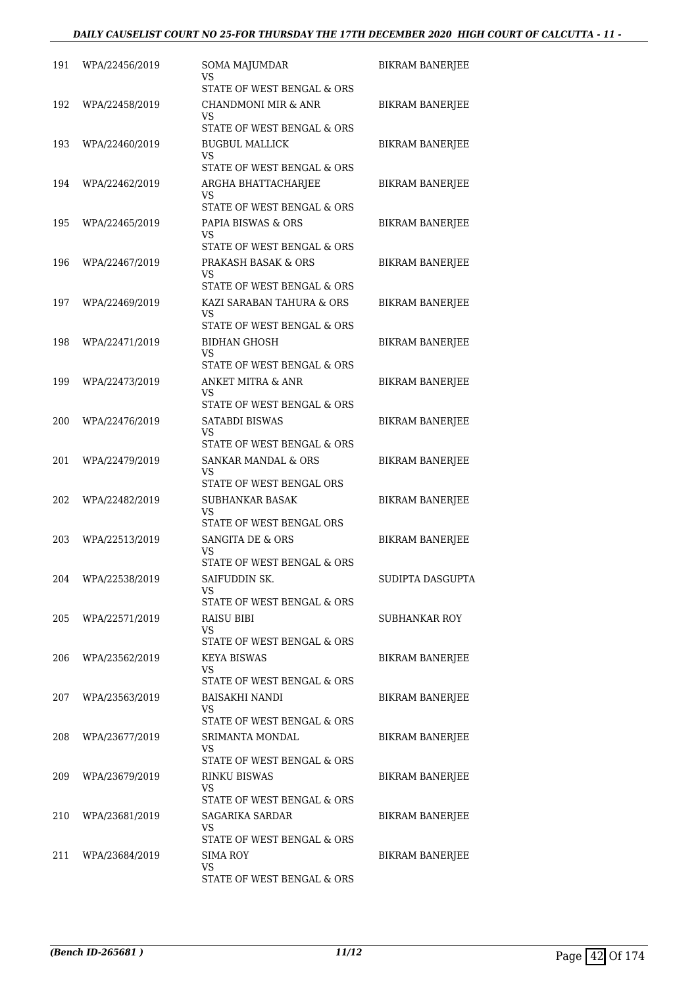| 191 | WPA/22456/2019 | <b>SOMA MAJUMDAR</b><br>VS                                                               | BIKRAM BANERJEE        |
|-----|----------------|------------------------------------------------------------------------------------------|------------------------|
| 192 | WPA/22458/2019 | STATE OF WEST BENGAL & ORS<br>CHANDMONI MIR & ANR<br>VS                                  | <b>BIKRAM BANERJEE</b> |
| 193 | WPA/22460/2019 | STATE OF WEST BENGAL & ORS<br><b>BUGBUL MALLICK</b><br>VS                                | <b>BIKRAM BANERJEE</b> |
| 194 | WPA/22462/2019 | STATE OF WEST BENGAL & ORS<br>ARGHA BHATTACHARJEE<br>VS                                  | <b>BIKRAM BANERJEE</b> |
| 195 | WPA/22465/2019 | STATE OF WEST BENGAL & ORS<br>PAPIA BISWAS & ORS<br>VS                                   | BIKRAM BANERJEE        |
| 196 | WPA/22467/2019 | STATE OF WEST BENGAL & ORS<br>PRAKASH BASAK & ORS<br>VS                                  | BIKRAM BANERJEE        |
| 197 | WPA/22469/2019 | STATE OF WEST BENGAL & ORS<br>KAZI SARABAN TAHURA & ORS<br>VS                            | BIKRAM BANERJEE        |
| 198 | WPA/22471/2019 | STATE OF WEST BENGAL & ORS<br><b>BIDHAN GHOSH</b><br>VS<br>STATE OF WEST BENGAL & ORS    | <b>BIKRAM BANERJEE</b> |
| 199 | WPA/22473/2019 | <b>ANKET MITRA &amp; ANR</b><br>VS<br>STATE OF WEST BENGAL & ORS                         | BIKRAM BANERJEE        |
| 200 | WPA/22476/2019 | <b>SATABDI BISWAS</b><br>VS<br>STATE OF WEST BENGAL & ORS                                | <b>BIKRAM BANERJEE</b> |
| 201 | WPA/22479/2019 | <b>SANKAR MANDAL &amp; ORS</b><br>VS<br>STATE OF WEST BENGAL ORS                         | BIKRAM BANERJEE        |
| 202 | WPA/22482/2019 | SUBHANKAR BASAK<br>VS<br>STATE OF WEST BENGAL ORS                                        | <b>BIKRAM BANERJEE</b> |
| 203 | WPA/22513/2019 | SANGITA DE & ORS<br>VS<br>STATE OF WEST BENGAL & ORS                                     | <b>BIKRAM BANERJEE</b> |
| 204 | WPA/22538/2019 | SAIFUDDIN SK.<br>VS<br>STATE OF WEST BENGAL & ORS                                        | SUDIPTA DASGUPTA       |
| 205 | WPA/22571/2019 | RAISU BIBI<br>VS.<br>STATE OF WEST BENGAL & ORS                                          | SUBHANKAR ROY          |
| 206 | WPA/23562/2019 | <b>KEYA BISWAS</b><br>VS<br>STATE OF WEST BENGAL & ORS                                   | <b>BIKRAM BANERJEE</b> |
| 207 | WPA/23563/2019 | <b>BAISAKHI NANDI</b><br>VS.                                                             | BIKRAM BANERJEE        |
| 208 | WPA/23677/2019 | STATE OF WEST BENGAL & ORS<br>SRIMANTA MONDAL<br>VS                                      | BIKRAM BANERJEE        |
| 209 | WPA/23679/2019 | STATE OF WEST BENGAL & ORS<br>RINKU BISWAS<br>VS.                                        | BIKRAM BANERJEE        |
| 210 | WPA/23681/2019 | STATE OF WEST BENGAL & ORS<br><b>SAGARIKA SARDAR</b><br>VS<br>STATE OF WEST BENGAL & ORS | <b>BIKRAM BANERJEE</b> |
| 211 | WPA/23684/2019 | SIMA ROY<br>VS.<br>STATE OF WEST BENGAL & ORS                                            | <b>BIKRAM BANERJEE</b> |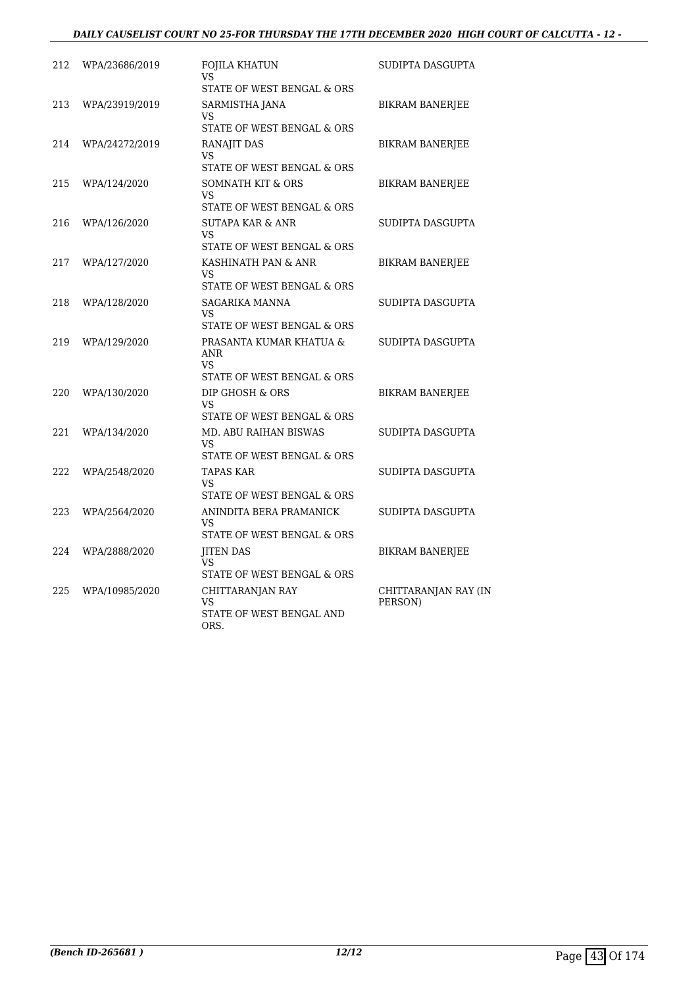#### *DAILY CAUSELIST COURT NO 25-FOR THURSDAY THE 17TH DECEMBER 2020 HIGH COURT OF CALCUTTA - 12 -*

| 212 | WPA/23686/2019 | FOJILA KHATUN<br>VS                                                              | SUDIPTA DASGUPTA                |
|-----|----------------|----------------------------------------------------------------------------------|---------------------------------|
|     |                | STATE OF WEST BENGAL & ORS                                                       |                                 |
| 213 | WPA/23919/2019 | SARMISTHA JANA<br>VS<br>STATE OF WEST BENGAL & ORS                               | <b>BIKRAM BANERJEE</b>          |
| 214 | WPA/24272/2019 | RANAJIT DAS<br>VS<br>STATE OF WEST BENGAL & ORS                                  | <b>BIKRAM BANERJEE</b>          |
| 215 | WPA/124/2020   | SOMNATH KIT & ORS<br><b>VS</b><br>STATE OF WEST BENGAL & ORS                     | <b>BIKRAM BANERJEE</b>          |
| 216 | WPA/126/2020   | SUTAPA KAR & ANR<br><b>VS</b><br>STATE OF WEST BENGAL & ORS                      | SUDIPTA DASGUPTA                |
| 217 | WPA/127/2020   | KASHINATH PAN & ANR<br><b>VS</b><br>STATE OF WEST BENGAL & ORS                   | <b>BIKRAM BANERJEE</b>          |
| 218 | WPA/128/2020   | SAGARIKA MANNA<br>VS<br>STATE OF WEST BENGAL & ORS                               | SUDIPTA DASGUPTA                |
| 219 | WPA/129/2020   | PRASANTA KUMAR KHATUA &<br><b>ANR</b><br><b>VS</b><br>STATE OF WEST BENGAL & ORS | SUDIPTA DASGUPTA                |
| 220 | WPA/130/2020   | DIP GHOSH & ORS<br>VS<br>STATE OF WEST BENGAL & ORS                              | <b>BIKRAM BANERJEE</b>          |
| 221 | WPA/134/2020   | MD. ABU RAIHAN BISWAS<br><b>VS</b><br>STATE OF WEST BENGAL & ORS                 | SUDIPTA DASGUPTA                |
| 222 | WPA/2548/2020  | <b>TAPAS KAR</b><br>VS<br>STATE OF WEST BENGAL & ORS                             | SUDIPTA DASGUPTA                |
| 223 | WPA/2564/2020  | ANINDITA BERA PRAMANICK<br>VS.<br>STATE OF WEST BENGAL & ORS                     | SUDIPTA DASGUPTA                |
| 224 | WPA/2888/2020  | <b>JITEN DAS</b><br>VS<br>STATE OF WEST BENGAL & ORS                             | BIKRAM BANERJEE                 |
| 225 | WPA/10985/2020 | CHITTARANJAN RAY<br>VS<br>STATE OF WEST BENGAL AND<br>ORS.                       | CHITTARANJAN RAY (IN<br>PERSON) |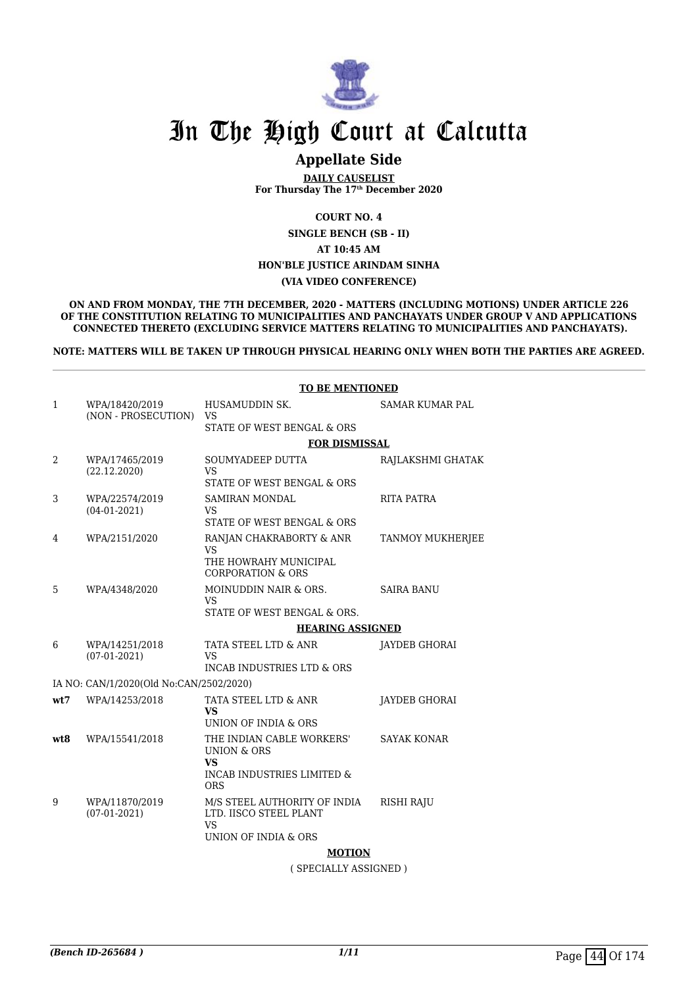

### **Appellate Side**

**DAILY CAUSELIST For Thursday The 17th December 2020**

**COURT NO. 4**

**SINGLE BENCH (SB - II)**

**AT 10:45 AM**

**HON'BLE JUSTICE ARINDAM SINHA**

#### **(VIA VIDEO CONFERENCE)**

**ON AND FROM MONDAY, THE 7TH DECEMBER, 2020 - MATTERS (INCLUDING MOTIONS) UNDER ARTICLE 226 OF THE CONSTITUTION RELATING TO MUNICIPALITIES AND PANCHAYATS UNDER GROUP V AND APPLICATIONS CONNECTED THERETO (EXCLUDING SERVICE MATTERS RELATING TO MUNICIPALITIES AND PANCHAYATS).**

**NOTE: MATTERS WILL BE TAKEN UP THROUGH PHYSICAL HEARING ONLY WHEN BOTH THE PARTIES ARE AGREED.**

|              | <b>TO BE MENTIONED</b>                  |                                                                     |                        |  |
|--------------|-----------------------------------------|---------------------------------------------------------------------|------------------------|--|
| $\mathbf{1}$ | WPA/18420/2019                          | HUSAMUDDIN SK.                                                      | <b>SAMAR KUMAR PAL</b> |  |
|              | (NON - PROSECUTION)                     | <b>VS</b><br>STATE OF WEST BENGAL & ORS                             |                        |  |
|              |                                         | <b>FOR DISMISSAL</b>                                                |                        |  |
| 2            | WPA/17465/2019                          | SOUMYADEEP DUTTA                                                    | RAJLAKSHMI GHATAK      |  |
|              | (22.12.2020)                            | <b>VS</b><br>STATE OF WEST BENGAL & ORS                             |                        |  |
| 3            | WPA/22574/2019<br>$(04-01-2021)$        | <b>SAMIRAN MONDAL</b><br>VS                                         | <b>RITA PATRA</b>      |  |
|              |                                         | STATE OF WEST BENGAL & ORS                                          |                        |  |
| 4            | WPA/2151/2020                           | RANJAN CHAKRABORTY & ANR<br><b>VS</b>                               | TANMOY MUKHERJEE       |  |
|              |                                         | THE HOWRAHY MUNICIPAL<br><b>CORPORATION &amp; ORS</b>               |                        |  |
| 5            | WPA/4348/2020                           | MOINUDDIN NAIR & ORS.<br><b>VS</b>                                  | <b>SAIRA BANU</b>      |  |
|              |                                         | STATE OF WEST BENGAL & ORS.                                         |                        |  |
|              | <b>HEARING ASSIGNED</b>                 |                                                                     |                        |  |
| 6            | WPA/14251/2018<br>$(07-01-2021)$        | TATA STEEL LTD & ANR<br><b>VS</b>                                   | JAYDEB GHORAI          |  |
|              |                                         | <b>INCAB INDUSTRIES LTD &amp; ORS</b>                               |                        |  |
|              | IA NO: CAN/1/2020(Old No:CAN/2502/2020) |                                                                     |                        |  |
| wt7          | WPA/14253/2018                          | TATA STEEL LTD & ANR<br><b>VS</b>                                   | <b>JAYDEB GHORAI</b>   |  |
|              |                                         | UNION OF INDIA & ORS                                                |                        |  |
| wt8          | WPA/15541/2018                          | THE INDIAN CABLE WORKERS'<br><b>UNION &amp; ORS</b><br>VS           | <b>SAYAK KONAR</b>     |  |
|              |                                         | <b>INCAB INDUSTRIES LIMITED &amp;</b><br><b>ORS</b>                 |                        |  |
| 9            | WPA/11870/2019<br>$(07-01-2021)$        | M/S STEEL AUTHORITY OF INDIA<br>LTD. IISCO STEEL PLANT<br><b>VS</b> | <b>RISHI RAJU</b>      |  |
|              |                                         | UNION OF INDIA & ORS                                                |                        |  |
|              |                                         | <b>MOTION</b>                                                       |                        |  |

( SPECIALLY ASSIGNED )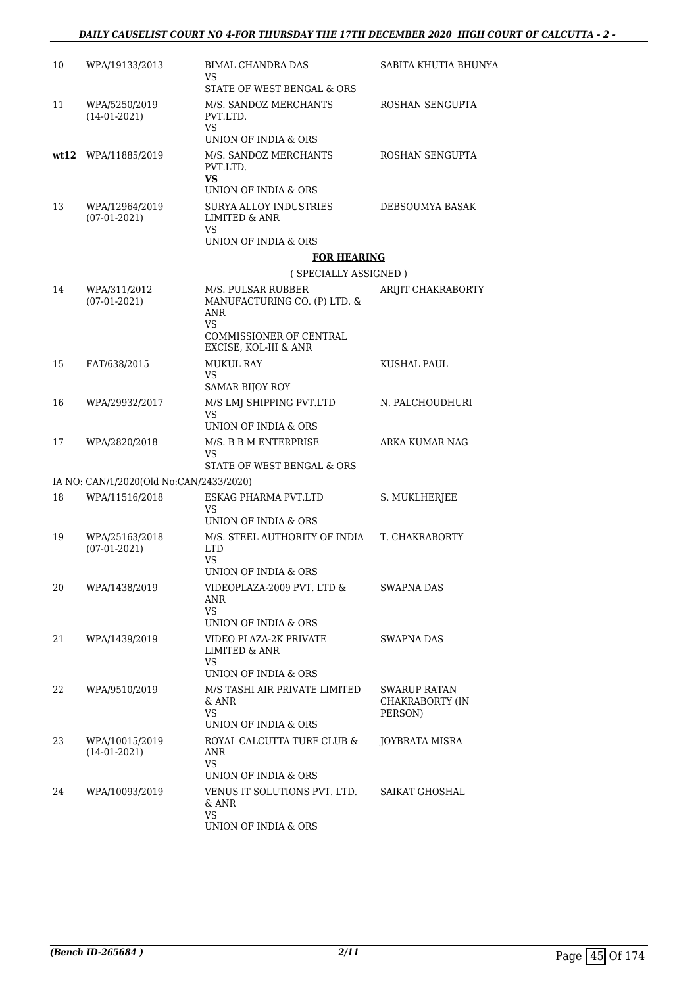#### *DAILY CAUSELIST COURT NO 4-FOR THURSDAY THE 17TH DECEMBER 2020 HIGH COURT OF CALCUTTA - 2 -*

| 10 | WPA/19133/2013                          | BIMAL CHANDRA DAS                                                            | SABITA KHUTIA BHUNYA       |
|----|-----------------------------------------|------------------------------------------------------------------------------|----------------------------|
|    |                                         | VS<br>STATE OF WEST BENGAL & ORS                                             |                            |
| 11 | WPA/5250/2019<br>$(14-01-2021)$         | M/S. SANDOZ MERCHANTS<br>PVT.LTD.<br><b>VS</b>                               | ROSHAN SENGUPTA            |
|    |                                         | UNION OF INDIA & ORS                                                         |                            |
|    | wt12 WPA/11885/2019                     | M/S. SANDOZ MERCHANTS<br>PVT.LTD.<br>VS.                                     | ROSHAN SENGUPTA            |
|    |                                         | UNION OF INDIA & ORS                                                         |                            |
| 13 | WPA/12964/2019<br>$(07-01-2021)$        | <b>SURYA ALLOY INDUSTRIES</b><br>LIMITED & ANR<br>VS                         | DEBSOUMYA BASAK            |
|    |                                         | UNION OF INDIA & ORS                                                         |                            |
|    |                                         | <b>FOR HEARING</b>                                                           |                            |
|    |                                         | (SPECIALLY ASSIGNED)                                                         |                            |
| 14 | WPA/311/2012<br>$(07-01-2021)$          | M/S. PULSAR RUBBER<br>MANUFACTURING CO. (P) LTD. &<br>ANR                    | ARIJIT CHAKRABORTY         |
|    |                                         | <b>VS</b><br>COMMISSIONER OF CENTRAL<br>EXCISE, KOL-III & ANR                |                            |
| 15 | FAT/638/2015                            | <b>MUKUL RAY</b>                                                             | KUSHAL PAUL                |
|    |                                         | VS<br><b>SAMAR BIJOY ROY</b>                                                 |                            |
| 16 | WPA/29932/2017                          | M/S LMJ SHIPPING PVT.LTD                                                     | N. PALCHOUDHURI            |
|    |                                         | VS<br>UNION OF INDIA & ORS                                                   |                            |
| 17 | WPA/2820/2018                           | M/S. B B M ENTERPRISE<br>VS<br>STATE OF WEST BENGAL & ORS                    | ARKA KUMAR NAG             |
|    | IA NO: CAN/1/2020(Old No:CAN/2433/2020) |                                                                              |                            |
| 18 | WPA/11516/2018                          | ESKAG PHARMA PVT.LTD                                                         | S. MUKLHERJEE              |
|    |                                         | VS<br>UNION OF INDIA & ORS                                                   |                            |
| 19 | WPA/25163/2018                          | M/S. STEEL AUTHORITY OF INDIA                                                | T. CHAKRABORTY             |
|    | $(07-01-2021)$                          | <b>LTD</b><br>VS                                                             |                            |
|    |                                         | UNION OF INDIA & ORS                                                         |                            |
| 20 | WPA/1438/2019                           | VIDEOPLAZA-2009 PVT. LTD &<br>ANR<br><b>VS</b>                               | <b>SWAPNA DAS</b>          |
|    |                                         | UNION OF INDIA & ORS                                                         |                            |
| 21 | WPA/1439/2019                           | VIDEO PLAZA-2K PRIVATE<br>LIMITED & ANR<br><b>VS</b><br>UNION OF INDIA & ORS | SWAPNA DAS                 |
| 22 | WPA/9510/2019                           | M/S TASHI AIR PRIVATE LIMITED                                                | SWARUP RATAN               |
|    |                                         | & ANR<br><b>VS</b><br>UNION OF INDIA & ORS                                   | CHAKRABORTY (IN<br>PERSON) |
| 23 | WPA/10015/2019                          | ROYAL CALCUTTA TURF CLUB &                                                   | JOYBRATA MISRA             |
|    | $(14-01-2021)$                          | ANR<br>VS                                                                    |                            |
|    |                                         | UNION OF INDIA & ORS                                                         |                            |
| 24 | WPA/10093/2019                          | VENUS IT SOLUTIONS PVT. LTD.<br>& ANR<br><b>VS</b>                           | SAIKAT GHOSHAL             |
|    |                                         | UNION OF INDIA & ORS                                                         |                            |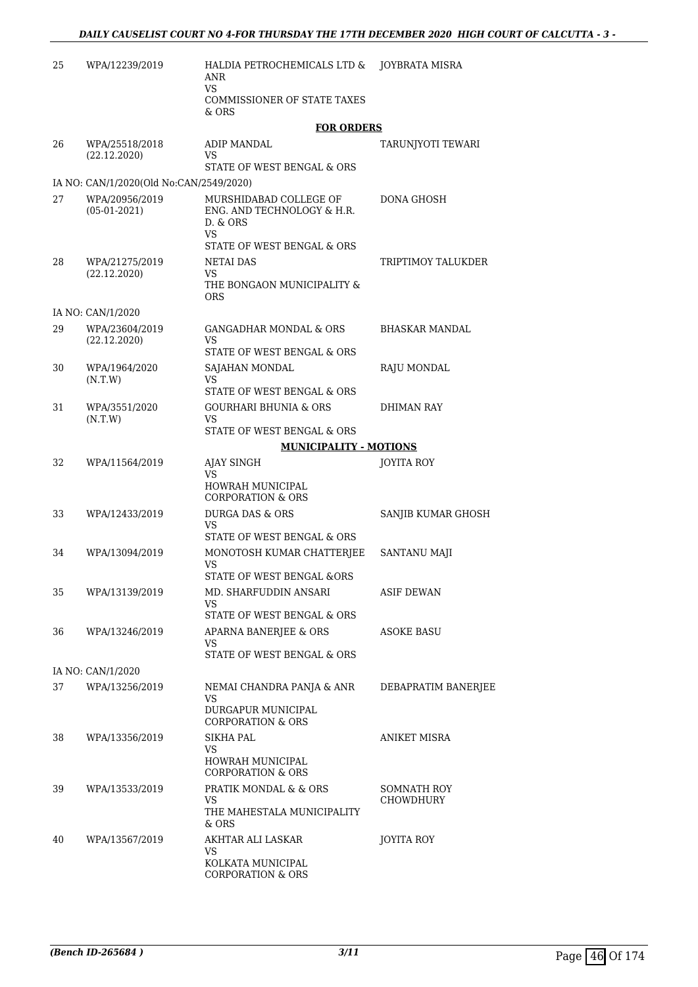| 25 | WPA/12239/2019                          | HALDIA PETROCHEMICALS LTD &<br>ANR<br>VS<br><b>COMMISSIONER OF STATE TAXES</b><br>& ORS                     | JOYBRATA MISRA           |
|----|-----------------------------------------|-------------------------------------------------------------------------------------------------------------|--------------------------|
|    |                                         | <b>FOR ORDERS</b>                                                                                           |                          |
| 26 | WPA/25518/2018<br>(22.12.2020)          | <b>ADIP MANDAL</b><br>VS<br>STATE OF WEST BENGAL & ORS                                                      | TARUNJYOTI TEWARI        |
|    | IA NO: CAN/1/2020(Old No:CAN/2549/2020) |                                                                                                             |                          |
| 27 | WPA/20956/2019<br>$(05-01-2021)$        | MURSHIDABAD COLLEGE OF<br>ENG. AND TECHNOLOGY & H.R.<br>D. & ORS<br><b>VS</b><br>STATE OF WEST BENGAL & ORS | DONA GHOSH               |
| 28 | WPA/21275/2019<br>(22.12.2020)          | <b>NETAI DAS</b><br>VS<br>THE BONGAON MUNICIPALITY &<br><b>ORS</b>                                          | TRIPTIMOY TALUKDER       |
|    | IA NO: CAN/1/2020                       |                                                                                                             |                          |
| 29 | WPA/23604/2019<br>(22.12.2020)          | <b>GANGADHAR MONDAL &amp; ORS</b><br>VS                                                                     | <b>BHASKAR MANDAL</b>    |
|    |                                         | STATE OF WEST BENGAL & ORS                                                                                  |                          |
| 30 | WPA/1964/2020<br>(N.T.W)                | SAJAHAN MONDAL<br>VS                                                                                        | <b>RAJU MONDAL</b>       |
|    |                                         | STATE OF WEST BENGAL & ORS                                                                                  |                          |
| 31 | WPA/3551/2020<br>(N.T.W)                | <b>GOURHARI BHUNIA &amp; ORS</b><br>VS                                                                      | DHIMAN RAY               |
|    |                                         | STATE OF WEST BENGAL & ORS                                                                                  |                          |
|    |                                         | <b>MUNICIPALITY - MOTIONS</b>                                                                               |                          |
| 32 | WPA/11564/2019                          | AJAY SINGH<br>VS<br><b>HOWRAH MUNICIPAL</b><br><b>CORPORATION &amp; ORS</b>                                 | <b>JOYITA ROY</b>        |
| 33 | WPA/12433/2019                          | <b>DURGA DAS &amp; ORS</b><br>VS<br>STATE OF WEST BENGAL & ORS                                              | SANJIB KUMAR GHOSH       |
| 34 | WPA/13094/2019                          | MONOTOSH KUMAR CHATTERJEE<br>VS<br>STATE OF WEST BENGAL &ORS                                                | <b>SANTANU MAJI</b>      |
| 35 | WPA/13139/2019                          | MD. SHARFUDDIN ANSARI<br>VS                                                                                 | <b>ASIF DEWAN</b>        |
| 36 | WPA/13246/2019                          | STATE OF WEST BENGAL & ORS<br>APARNA BANERJEE & ORS<br>VS                                                   | ASOKE BASU               |
|    |                                         | STATE OF WEST BENGAL & ORS                                                                                  |                          |
| 37 | IA NO: CAN/1/2020<br>WPA/13256/2019     | NEMAI CHANDRA PANJA & ANR<br>VS<br>DURGAPUR MUNICIPAL<br><b>CORPORATION &amp; ORS</b>                       | DEBAPRATIM BANERJEE      |
| 38 | WPA/13356/2019                          | <b>SIKHA PAL</b><br>VS<br>HOWRAH MUNICIPAL<br><b>CORPORATION &amp; ORS</b>                                  | ANIKET MISRA             |
| 39 | WPA/13533/2019                          | PRATIK MONDAL & & ORS<br>VS<br>THE MAHESTALA MUNICIPALITY<br>& ORS                                          | SOMNATH ROY<br>CHOWDHURY |
| 40 | WPA/13567/2019                          | AKHTAR ALI LASKAR<br>VS<br>KOLKATA MUNICIPAL<br><b>CORPORATION &amp; ORS</b>                                | JOYITA ROY               |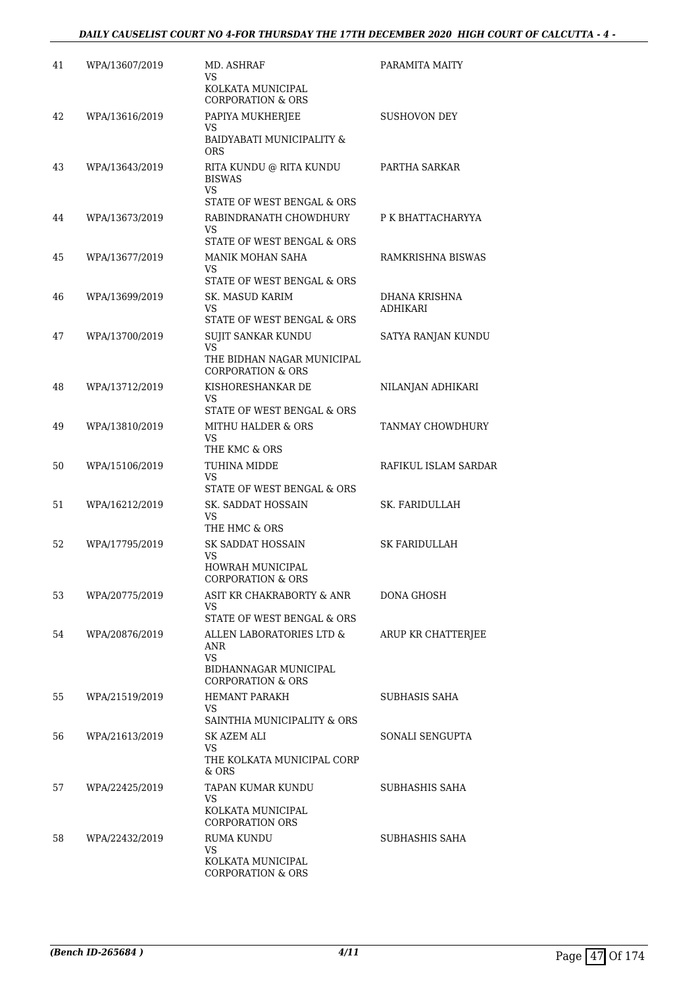| 41 | WPA/13607/2019 | MD. ASHRAF<br>VS                                           | PARAMITA MAITY                   |
|----|----------------|------------------------------------------------------------|----------------------------------|
|    |                | KOLKATA MUNICIPAL<br><b>CORPORATION &amp; ORS</b>          |                                  |
| 42 | WPA/13616/2019 | PAPIYA MUKHERJEE                                           | SUSHOVON DEY                     |
|    |                | VS<br><b>BAIDYABATI MUNICIPALITY &amp;</b><br><b>ORS</b>   |                                  |
| 43 | WPA/13643/2019 | RITA KUNDU @ RITA KUNDU<br><b>BISWAS</b>                   | PARTHA SARKAR                    |
|    |                | <b>VS</b><br>STATE OF WEST BENGAL & ORS                    |                                  |
| 44 | WPA/13673/2019 | RABINDRANATH CHOWDHURY                                     | P K BHATTACHARYYA                |
|    |                | VS.<br>STATE OF WEST BENGAL & ORS                          |                                  |
| 45 | WPA/13677/2019 | MANIK MOHAN SAHA                                           | RAMKRISHNA BISWAS                |
|    |                | VS                                                         |                                  |
|    |                | STATE OF WEST BENGAL & ORS                                 |                                  |
| 46 | WPA/13699/2019 | SK. MASUD KARIM<br>VS.                                     | DHANA KRISHNA<br><b>ADHIKARI</b> |
|    |                | STATE OF WEST BENGAL & ORS                                 |                                  |
| 47 | WPA/13700/2019 | SUJIT SANKAR KUNDU<br><b>VS</b>                            | SATYA RANJAN KUNDU               |
|    |                | THE BIDHAN NAGAR MUNICIPAL<br><b>CORPORATION &amp; ORS</b> |                                  |
| 48 | WPA/13712/2019 | KISHORESHANKAR DE<br>VS.                                   | NILANJAN ADHIKARI                |
|    |                | STATE OF WEST BENGAL & ORS                                 |                                  |
| 49 | WPA/13810/2019 | MITHU HALDER & ORS                                         | TANMAY CHOWDHURY                 |
|    |                | VS<br>THE KMC & ORS                                        |                                  |
| 50 | WPA/15106/2019 | TUHINA MIDDE                                               | RAFIKUL ISLAM SARDAR             |
|    |                | VS                                                         |                                  |
|    |                | STATE OF WEST BENGAL & ORS                                 |                                  |
| 51 | WPA/16212/2019 | SK. SADDAT HOSSAIN<br>VS.                                  | SK. FARIDULLAH                   |
|    |                | THE HMC & ORS                                              |                                  |
| 52 | WPA/17795/2019 | SK SADDAT HOSSAIN<br>VS                                    | <b>SK FARIDULLAH</b>             |
|    |                | HOWRAH MUNICIPAL<br>CORPORATION & ORS                      |                                  |
| 53 | WPA/20775/2019 | ASIT KR CHAKRABORTY & ANR                                  | DONA GHOSH                       |
|    |                | VS.<br>STATE OF WEST BENGAL & ORS                          |                                  |
| 54 | WPA/20876/2019 | ALLEN LABORATORIES LTD &                                   | ARUP KR CHATTERJEE               |
|    |                | <b>ANR</b>                                                 |                                  |
|    |                | <b>VS</b><br>BIDHANNAGAR MUNICIPAL                         |                                  |
|    |                | <b>CORPORATION &amp; ORS</b>                               |                                  |
| 55 | WPA/21519/2019 | <b>HEMANT PARAKH</b><br>VS                                 | SUBHASIS SAHA                    |
|    |                | SAINTHIA MUNICIPALITY & ORS                                |                                  |
| 56 | WPA/21613/2019 | SK AZEM ALI                                                | SONALI SENGUPTA                  |
|    |                | VS.<br>THE KOLKATA MUNICIPAL CORP<br>& ORS                 |                                  |
| 57 | WPA/22425/2019 | TAPAN KUMAR KUNDU                                          | SUBHASHIS SAHA                   |
|    |                | VS.                                                        |                                  |
|    |                | KOLKATA MUNICIPAL<br><b>CORPORATION ORS</b>                |                                  |
| 58 | WPA/22432/2019 | <b>RUMA KUNDU</b><br>VS.                                   | SUBHASHIS SAHA                   |
|    |                | KOLKATA MUNICIPAL<br><b>CORPORATION &amp; ORS</b>          |                                  |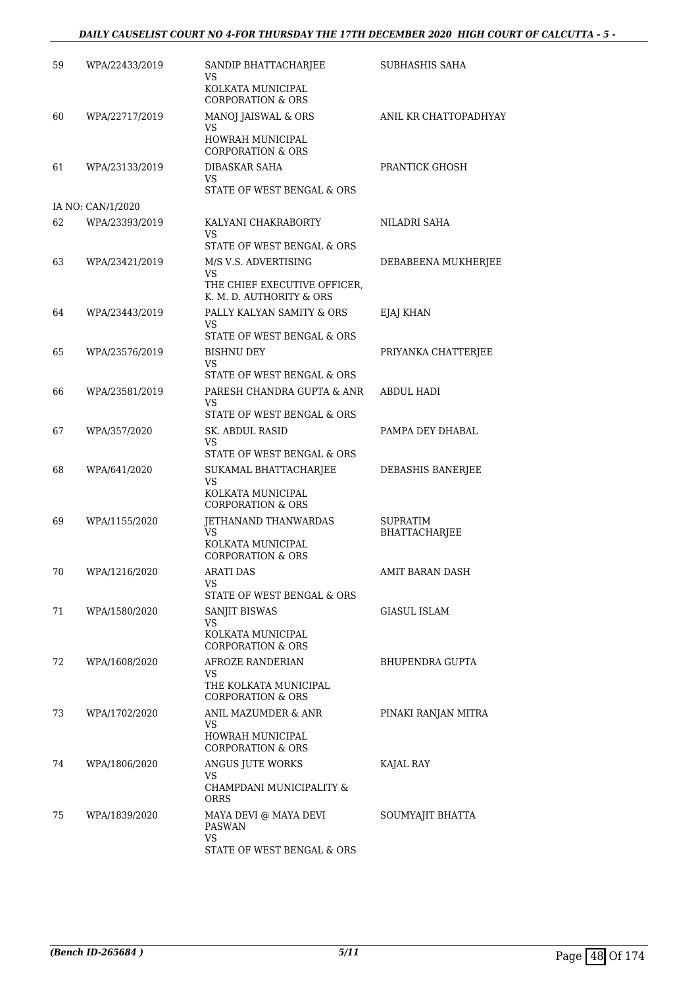#### *DAILY CAUSELIST COURT NO 4-FOR THURSDAY THE 17TH DECEMBER 2020 HIGH COURT OF CALCUTTA - 5 -*

| 59 | WPA/22433/2019    | SANDIP BHATTACHARJEE<br>VS                                  | SUBHASHIS SAHA                   |
|----|-------------------|-------------------------------------------------------------|----------------------------------|
|    |                   | KOLKATA MUNICIPAL<br><b>CORPORATION &amp; ORS</b>           |                                  |
| 60 | WPA/22717/2019    | <b>MANOJ JAISWAL &amp; ORS</b><br>VS                        | ANIL KR CHATTOPADHYAY            |
|    |                   | HOWRAH MUNICIPAL<br><b>CORPORATION &amp; ORS</b>            |                                  |
| 61 | WPA/23133/2019    | <b>DIBASKAR SAHA</b><br>VS<br>STATE OF WEST BENGAL & ORS    | PRANTICK GHOSH                   |
|    | IA NO: CAN/1/2020 |                                                             |                                  |
| 62 | WPA/23393/2019    | KALYANI CHAKRABORTY<br>VS                                   | NILADRI SAHA                     |
|    |                   | STATE OF WEST BENGAL & ORS                                  |                                  |
| 63 | WPA/23421/2019    | M/S V.S. ADVERTISING<br>VS                                  | DEBABEENA MUKHERJEE              |
|    |                   | THE CHIEF EXECUTIVE OFFICER,<br>K. M. D. AUTHORITY & ORS    |                                  |
| 64 | WPA/23443/2019    | PALLY KALYAN SAMITY & ORS<br>VS.                            | EJAJ KHAN                        |
|    |                   | STATE OF WEST BENGAL & ORS                                  |                                  |
| 65 | WPA/23576/2019    | <b>BISHNU DEY</b><br>VS<br>STATE OF WEST BENGAL & ORS       | PRIYANKA CHATTERJEE              |
| 66 | WPA/23581/2019    | PARESH CHANDRA GUPTA & ANR<br>VS                            | <b>ABDUL HADI</b>                |
|    |                   | STATE OF WEST BENGAL & ORS                                  |                                  |
| 67 | WPA/357/2020      | SK. ABDUL RASID<br>VS<br>STATE OF WEST BENGAL & ORS         | PAMPA DEY DHABAL                 |
| 68 | WPA/641/2020      | SUKAMAL BHATTACHARJEE<br>VS                                 | DEBASHIS BANERJEE                |
|    |                   | KOLKATA MUNICIPAL<br><b>CORPORATION &amp; ORS</b>           |                                  |
| 69 | WPA/1155/2020     | <b>JETHANAND THANWARDAS</b><br>VS                           | <b>SUPRATIM</b><br>BHATTACHARJEE |
|    |                   | KOLKATA MUNICIPAL<br>CORPORATION & ORS                      |                                  |
| 70 | WPA/1216/2020     | ARATI DAS                                                   | AMIT BARAN DASH                  |
|    |                   | VS<br>STATE OF WEST BENGAL & ORS                            |                                  |
| 71 | WPA/1580/2020     | SANJIT BISWAS                                               | <b>GIASUL ISLAM</b>              |
|    |                   | VS<br>KOLKATA MUNICIPAL<br><b>CORPORATION &amp; ORS</b>     |                                  |
| 72 | WPA/1608/2020     | AFROZE RANDERIAN                                            | BHUPENDRA GUPTA                  |
|    |                   | VS<br>THE KOLKATA MUNICIPAL<br><b>CORPORATION &amp; ORS</b> |                                  |
| 73 | WPA/1702/2020     | ANIL MAZUMDER & ANR                                         | PINAKI RANJAN MITRA              |
|    |                   | VS<br>HOWRAH MUNICIPAL<br><b>CORPORATION &amp; ORS</b>      |                                  |
| 74 | WPA/1806/2020     | ANGUS JUTE WORKS                                            | KAJAL RAY                        |
|    |                   | VS<br>CHAMPDANI MUNICIPALITY &<br>ORRS                      |                                  |
| 75 | WPA/1839/2020     | MAYA DEVI @ MAYA DEVI<br>PASWAN                             | SOUMYAJIT BHATTA                 |
|    |                   | VS<br>STATE OF WEST BENGAL & ORS                            |                                  |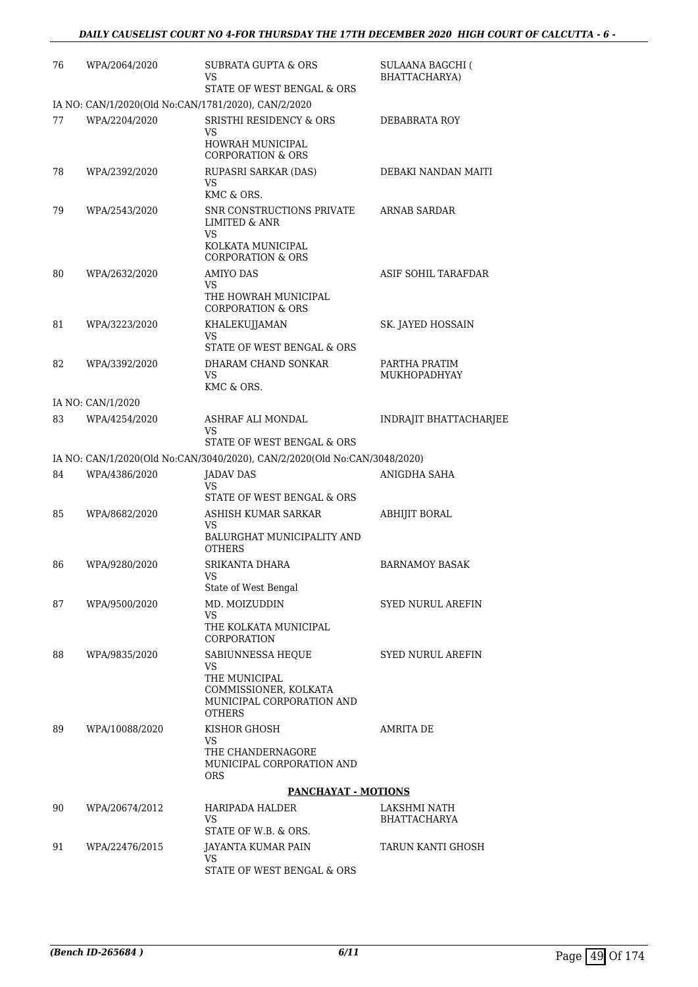| 76 | WPA/2064/2020                                       | SUBRATA GUPTA & ORS<br>VS<br>STATE OF WEST BENGAL & ORS                              | <b>SULAANA BAGCHI (</b><br>BHATTACHARYA) |
|----|-----------------------------------------------------|--------------------------------------------------------------------------------------|------------------------------------------|
|    | IA NO: CAN/1/2020(Old No:CAN/1781/2020), CAN/2/2020 |                                                                                      |                                          |
| 77 | WPA/2204/2020                                       | <b>SRISTHI RESIDENCY &amp; ORS</b><br>VS<br>HOWRAH MUNICIPAL                         | DEBABRATA ROY                            |
|    |                                                     | <b>CORPORATION &amp; ORS</b>                                                         |                                          |
| 78 | WPA/2392/2020                                       | RUPASRI SARKAR (DAS)<br>VS<br>KMC & ORS.                                             | DEBAKI NANDAN MAITI                      |
| 79 | WPA/2543/2020                                       | SNR CONSTRUCTIONS PRIVATE<br><b>LIMITED &amp; ANR</b><br>VS                          | <b>ARNAB SARDAR</b>                      |
|    |                                                     | KOLKATA MUNICIPAL<br><b>CORPORATION &amp; ORS</b>                                    |                                          |
| 80 | WPA/2632/2020                                       | <b>AMIYO DAS</b><br>VS                                                               | ASIF SOHIL TARAFDAR                      |
|    |                                                     | THE HOWRAH MUNICIPAL<br><b>CORPORATION &amp; ORS</b>                                 |                                          |
| 81 | WPA/3223/2020                                       | KHALEKUJJAMAN<br>VS                                                                  | SK. JAYED HOSSAIN                        |
|    |                                                     | STATE OF WEST BENGAL & ORS                                                           |                                          |
| 82 | WPA/3392/2020                                       | DHARAM CHAND SONKAR<br>VS.                                                           | PARTHA PRATIM<br><b>MUKHOPADHYAY</b>     |
|    |                                                     | KMC & ORS.                                                                           |                                          |
|    | IA NO: CAN/1/2020                                   |                                                                                      |                                          |
| 83 | WPA/4254/2020                                       | ASHRAF ALI MONDAL<br>VS                                                              | INDRAJIT BHATTACHARJEE                   |
|    |                                                     | STATE OF WEST BENGAL & ORS                                                           |                                          |
|    |                                                     | IA NO: CAN/1/2020(Old No:CAN/3040/2020), CAN/2/2020(Old No:CAN/3048/2020)            |                                          |
| 84 | WPA/4386/2020                                       | JADAV DAS<br>VS                                                                      | ANIGDHA SAHA                             |
| 85 | WPA/8682/2020                                       | STATE OF WEST BENGAL & ORS<br>ASHISH KUMAR SARKAR                                    | <b>ABHIJIT BORAL</b>                     |
|    |                                                     | VS<br>BALURGHAT MUNICIPALITY AND                                                     |                                          |
|    |                                                     | <b>OTHERS</b>                                                                        |                                          |
| 86 | WPA/9280/2020                                       | SRIKANTA DHARA<br>VS<br>State of West Bengal                                         | <b>BARNAMOY BASAK</b>                    |
| 87 | WPA/9500/2020                                       | MD. MOIZUDDIN                                                                        | <b>SYED NURUL AREFIN</b>                 |
|    |                                                     | VS.                                                                                  |                                          |
|    |                                                     | THE KOLKATA MUNICIPAL<br><b>CORPORATION</b>                                          |                                          |
| 88 | WPA/9835/2020                                       | SABIUNNESSA HEQUE<br>VS                                                              | <b>SYED NURUL AREFIN</b>                 |
|    |                                                     | THE MUNICIPAL<br>COMMISSIONER, KOLKATA<br>MUNICIPAL CORPORATION AND<br><b>OTHERS</b> |                                          |
| 89 | WPA/10088/2020                                      | KISHOR GHOSH                                                                         | AMRITA DE                                |
|    |                                                     | VS.<br>THE CHANDERNAGORE<br>MUNICIPAL CORPORATION AND<br>ORS                         |                                          |
|    |                                                     | <b>PANCHAYAT - MOTIONS</b>                                                           |                                          |
| 90 | WPA/20674/2012                                      | HARIPADA HALDER<br>VS.<br>STATE OF W.B. & ORS.                                       | LAKSHMI NATH<br>BHATTACHARYA             |
| 91 | WPA/22476/2015                                      | JAYANTA KUMAR PAIN                                                                   | TARUN KANTI GHOSH                        |
|    |                                                     | VS.<br>STATE OF WEST BENGAL & ORS                                                    |                                          |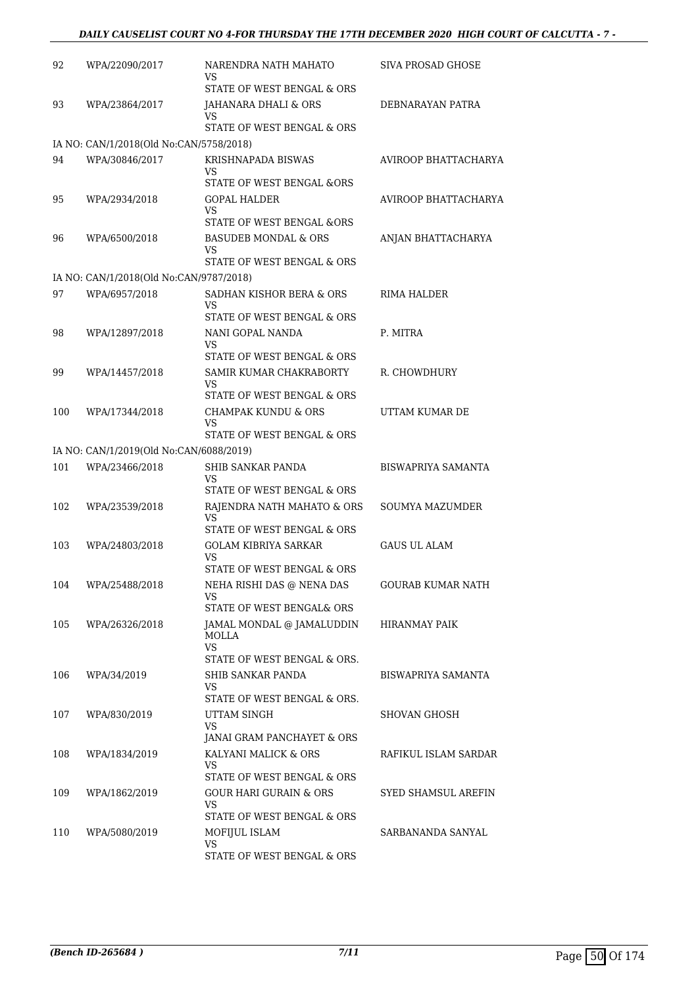| 92  | WPA/22090/2017                          | NARENDRA NATH MAHATO<br>VS                                          | SIVA PROSAD GHOSE          |
|-----|-----------------------------------------|---------------------------------------------------------------------|----------------------------|
| 93  | WPA/23864/2017                          | STATE OF WEST BENGAL & ORS<br>JAHANARA DHALI & ORS                  | DEBNARAYAN PATRA           |
|     |                                         | VS<br>STATE OF WEST BENGAL & ORS                                    |                            |
|     | IA NO: CAN/1/2018(Old No:CAN/5758/2018) |                                                                     |                            |
| 94  | WPA/30846/2017                          | KRISHNAPADA BISWAS<br>VS                                            | AVIROOP BHATTACHARYA       |
|     |                                         | STATE OF WEST BENGAL &ORS                                           |                            |
| 95  | WPA/2934/2018                           | <b>GOPAL HALDER</b><br>VS                                           | AVIROOP BHATTACHARYA       |
|     |                                         | STATE OF WEST BENGAL & ORS                                          |                            |
| 96  | WPA/6500/2018                           | <b>BASUDEB MONDAL &amp; ORS</b><br>VS<br>STATE OF WEST BENGAL & ORS | ANJAN BHATTACHARYA         |
|     | IA NO: CAN/1/2018(Old No:CAN/9787/2018) |                                                                     |                            |
|     |                                         |                                                                     |                            |
| 97  | WPA/6957/2018                           | SADHAN KISHOR BERA & ORS<br>VS<br>STATE OF WEST BENGAL & ORS        | RIMA HALDER                |
| 98  | WPA/12897/2018                          | NANI GOPAL NANDA                                                    | P. MITRA                   |
|     |                                         | VS<br>STATE OF WEST BENGAL & ORS                                    |                            |
| 99  | WPA/14457/2018                          | SAMIR KUMAR CHAKRABORTY                                             | R. CHOWDHURY               |
|     |                                         | VS<br>STATE OF WEST BENGAL & ORS                                    |                            |
| 100 | WPA/17344/2018                          | CHAMPAK KUNDU & ORS                                                 | UTTAM KUMAR DE             |
|     |                                         | VS<br>STATE OF WEST BENGAL & ORS                                    |                            |
|     | IA NO: CAN/1/2019(Old No:CAN/6088/2019) |                                                                     |                            |
| 101 | WPA/23466/2018                          | SHIB SANKAR PANDA<br>VS                                             | <b>BISWAPRIYA SAMANTA</b>  |
|     |                                         | STATE OF WEST BENGAL & ORS                                          |                            |
| 102 | WPA/23539/2018                          | RAJENDRA NATH MAHATO & ORS<br>VS.                                   | <b>SOUMYA MAZUMDER</b>     |
|     |                                         | STATE OF WEST BENGAL & ORS                                          |                            |
| 103 | WPA/24803/2018                          | <b>GOLAM KIBRIYA SARKAR</b><br>VS<br>STATE OF WEST BENGAL & ORS     | <b>GAUS UL ALAM</b>        |
|     |                                         |                                                                     |                            |
| 104 | WPA/25488/2018                          | NEHA RISHI DAS @ NENA DAS<br>VS<br>STATE OF WEST BENGAL& ORS        | <b>GOURAB KUMAR NATH</b>   |
| 105 | WPA/26326/2018                          | JAMAL MONDAL @ JAMALUDDIN                                           | HIRANMAY PAIK              |
|     |                                         | MOLLA<br><b>VS</b>                                                  |                            |
|     |                                         | STATE OF WEST BENGAL & ORS.                                         |                            |
| 106 | WPA/34/2019                             | SHIB SANKAR PANDA<br>VS.<br>STATE OF WEST BENGAL & ORS.             | BISWAPRIYA SAMANTA         |
|     |                                         |                                                                     |                            |
| 107 | WPA/830/2019                            | UTTAM SINGH<br><b>VS</b><br>JANAI GRAM PANCHAYET & ORS              | SHOVAN GHOSH               |
|     |                                         |                                                                     |                            |
| 108 | WPA/1834/2019                           | KALYANI MALICK & ORS<br>VS<br>STATE OF WEST BENGAL & ORS            | RAFIKUL ISLAM SARDAR       |
| 109 | WPA/1862/2019                           | <b>GOUR HARI GURAIN &amp; ORS</b>                                   | <b>SYED SHAMSUL AREFIN</b> |
|     |                                         | VS.<br>STATE OF WEST BENGAL & ORS                                   |                            |
| 110 | WPA/5080/2019                           | MOFIJUL ISLAM                                                       | SARBANANDA SANYAL          |
|     |                                         | VS<br>STATE OF WEST BENGAL & ORS                                    |                            |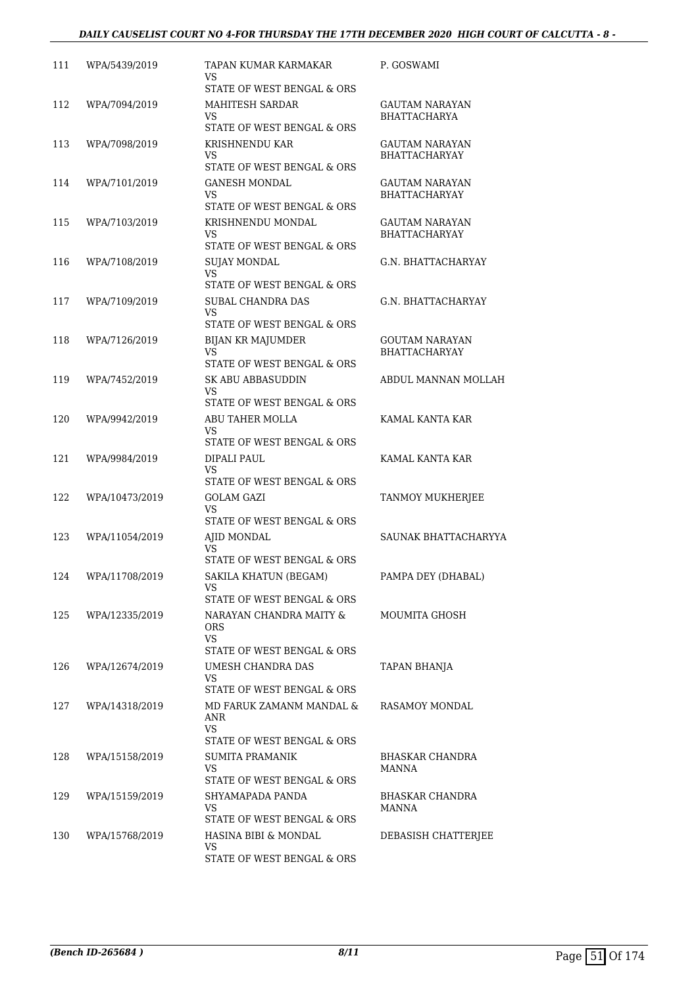#### *DAILY CAUSELIST COURT NO 4-FOR THURSDAY THE 17TH DECEMBER 2020 HIGH COURT OF CALCUTTA - 8 -*

| 111 | WPA/5439/2019  | TAPAN KUMAR KARMAKAR<br>VS                                   | P. GOSWAMI               |
|-----|----------------|--------------------------------------------------------------|--------------------------|
| 112 | WPA/7094/2019  | STATE OF WEST BENGAL & ORS<br>MAHITESH SARDAR                | GAUTAM NARAYAN           |
|     |                | VS<br>STATE OF WEST BENGAL & ORS                             | <b>BHATTACHARYA</b>      |
| 113 | WPA/7098/2019  | KRISHNENDU KAR                                               | GAUTAM NARAYAN           |
|     |                | VS                                                           | <b>BHATTACHARYAY</b>     |
| 114 | WPA/7101/2019  | STATE OF WEST BENGAL & ORS<br>GANESH MONDAL                  | <b>GAUTAM NARAYAN</b>    |
|     |                | VS<br>STATE OF WEST BENGAL & ORS                             | <b>BHATTACHARYAY</b>     |
| 115 | WPA/7103/2019  | KRISHNENDU MONDAL                                            | GAUTAM NARAYAN           |
|     |                | VS.<br>STATE OF WEST BENGAL & ORS                            | <b>BHATTACHARYAY</b>     |
| 116 | WPA/7108/2019  | <b>SUJAY MONDAL</b><br>VS                                    | G.N. BHATTACHARYAY       |
|     |                | STATE OF WEST BENGAL & ORS                                   |                          |
| 117 | WPA/7109/2019  | SUBAL CHANDRA DAS<br><b>VS</b><br>STATE OF WEST BENGAL & ORS | G.N. BHATTACHARYAY       |
| 118 | WPA/7126/2019  | <b>BIJAN KR MAJUMDER</b>                                     | <b>GOUTAM NARAYAN</b>    |
|     |                | VS<br>STATE OF WEST BENGAL & ORS                             | <b>BHATTACHARYAY</b>     |
| 119 | WPA/7452/2019  | <b>SK ABU ABBASUDDIN</b>                                     | ABDUL MANNAN MOLLAH      |
|     |                | VS<br>STATE OF WEST BENGAL & ORS                             |                          |
| 120 | WPA/9942/2019  | ABU TAHER MOLLA                                              | KAMAL KANTA KAR          |
|     |                | VS<br>STATE OF WEST BENGAL & ORS                             |                          |
| 121 | WPA/9984/2019  | DIPALI PAUL                                                  | KAMAL KANTA KAR          |
|     |                | VS<br>STATE OF WEST BENGAL & ORS                             |                          |
| 122 | WPA/10473/2019 | GOLAM GAZI                                                   | TANMOY MUKHERJEE         |
|     |                | VS<br>STATE OF WEST BENGAL & ORS                             |                          |
| 123 | WPA/11054/2019 | AJID MONDAL                                                  | SAUNAK BHATTACHARYYA     |
|     |                | VS<br>STATE OF WEST BENGAL & ORS                             |                          |
| 124 | WPA/11708/2019 | SAKILA KHATUN (BEGAM)                                        | PAMPA DEY (DHABAL)       |
|     |                | VS                                                           |                          |
| 125 | WPA/12335/2019 | STATE OF WEST BENGAL & ORS<br>NARAYAN CHANDRA MAITY &        | MOUMITA GHOSH            |
|     |                | ORS<br>VS.                                                   |                          |
| 126 | WPA/12674/2019 | STATE OF WEST BENGAL & ORS<br>UMESH CHANDRA DAS              |                          |
|     |                | VS.                                                          | TAPAN BHANJA             |
|     |                | STATE OF WEST BENGAL & ORS                                   |                          |
| 127 | WPA/14318/2019 | MD FARUK ZAMANM MANDAL &<br>ANR<br>VS.                       | RASAMOY MONDAL           |
|     |                | STATE OF WEST BENGAL & ORS                                   |                          |
| 128 | WPA/15158/2019 | SUMITA PRAMANIK<br>VS.<br>STATE OF WEST BENGAL & ORS         | BHASKAR CHANDRA<br>MANNA |
| 129 | WPA/15159/2019 | SHYAMAPADA PANDA                                             | BHASKAR CHANDRA          |
|     |                | VS                                                           | <b>MANNA</b>             |
| 130 |                | STATE OF WEST BENGAL & ORS                                   |                          |
|     | WPA/15768/2019 | HASINA BIBI & MONDAL<br>VS.                                  | DEBASISH CHATTERJEE      |
|     |                | STATE OF WEST BENGAL & ORS                                   |                          |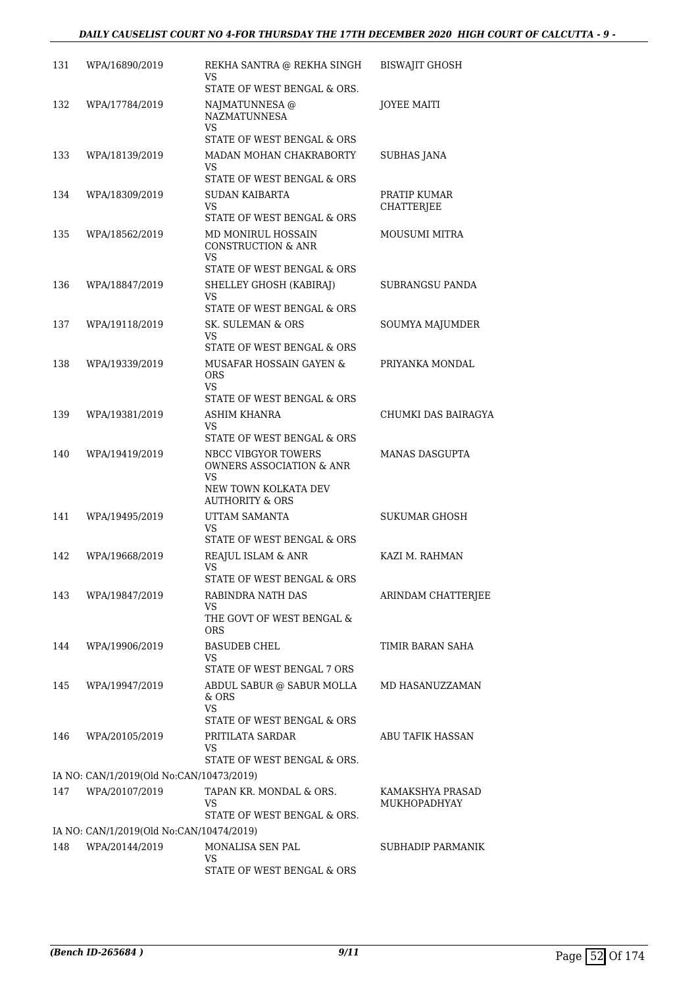#### *DAILY CAUSELIST COURT NO 4-FOR THURSDAY THE 17TH DECEMBER 2020 HIGH COURT OF CALCUTTA - 9 -*

| 131 | WPA/16890/2019                           | REKHA SANTRA @ REKHA SINGH<br>VS.                             | <b>BISWAJIT GHOSH</b>            |
|-----|------------------------------------------|---------------------------------------------------------------|----------------------------------|
|     |                                          | STATE OF WEST BENGAL & ORS.                                   |                                  |
| 132 | WPA/17784/2019                           | NAJMATUNNESA @<br><b>NAZMATUNNESA</b><br>VS                   | <b>JOYEE MAITI</b>               |
|     |                                          | STATE OF WEST BENGAL & ORS                                    |                                  |
| 133 | WPA/18139/2019                           | MADAN MOHAN CHAKRABORTY<br>VS<br>STATE OF WEST BENGAL & ORS   | <b>SUBHAS JANA</b>               |
| 134 | WPA/18309/2019                           | SUDAN KAIBARTA                                                | PRATIP KUMAR                     |
|     |                                          | VS<br>STATE OF WEST BENGAL & ORS                              | <b>CHATTERJEE</b>                |
| 135 | WPA/18562/2019                           | MD MONIRUL HOSSAIN<br><b>CONSTRUCTION &amp; ANR</b><br>VS.    | MOUSUMI MITRA                    |
|     |                                          | STATE OF WEST BENGAL & ORS                                    |                                  |
| 136 | WPA/18847/2019                           | SHELLEY GHOSH (KABIRAJ)<br>VS                                 | SUBRANGSU PANDA                  |
|     |                                          | STATE OF WEST BENGAL & ORS                                    |                                  |
| 137 | WPA/19118/2019                           | SK. SULEMAN & ORS<br>VS                                       | SOUMYA MAJUMDER                  |
|     |                                          | STATE OF WEST BENGAL & ORS                                    |                                  |
| 138 | WPA/19339/2019                           | MUSAFAR HOSSAIN GAYEN &<br><b>ORS</b><br>VS                   | PRIYANKA MONDAL                  |
|     |                                          | STATE OF WEST BENGAL & ORS                                    |                                  |
| 139 | WPA/19381/2019                           | ASHIM KHANRA<br>VS.<br>STATE OF WEST BENGAL & ORS             | CHUMKI DAS BAIRAGYA              |
| 140 | WPA/19419/2019                           | NBCC VIBGYOR TOWERS<br><b>OWNERS ASSOCIATION &amp; ANR</b>    | MANAS DASGUPTA                   |
|     |                                          | VS<br>NEW TOWN KOLKATA DEV<br><b>AUTHORITY &amp; ORS</b>      |                                  |
| 141 | WPA/19495/2019                           | UTTAM SAMANTA<br>VS                                           | SUKUMAR GHOSH                    |
|     |                                          | STATE OF WEST BENGAL & ORS                                    |                                  |
| 142 | WPA/19668/2019                           | REAJUL ISLAM & ANR<br>VS                                      | KAZI M. RAHMAN                   |
|     |                                          | STATE OF WEST BENGAL & ORS                                    |                                  |
| 143 | WPA/19847/2019                           | RABINDRA NATH DAS<br>VS                                       | ARINDAM CHATTERJEE               |
|     |                                          | THE GOVT OF WEST BENGAL &<br><b>ORS</b>                       |                                  |
| 144 | WPA/19906/2019                           | <b>BASUDEB CHEL</b><br>VS.                                    | TIMIR BARAN SAHA                 |
|     |                                          | STATE OF WEST BENGAL 7 ORS                                    |                                  |
| 145 | WPA/19947/2019                           | ABDUL SABUR @ SABUR MOLLA<br>& ORS                            | MD HASANUZZAMAN                  |
|     |                                          | VS<br>STATE OF WEST BENGAL & ORS                              |                                  |
| 146 | WPA/20105/2019                           | PRITILATA SARDAR<br>VS<br>STATE OF WEST BENGAL & ORS.         | ABU TAFIK HASSAN                 |
|     |                                          |                                                               |                                  |
|     | IA NO: CAN/1/2019(Old No:CAN/10473/2019) |                                                               |                                  |
| 147 | WPA/20107/2019                           | TAPAN KR. MONDAL & ORS.<br>VS.<br>STATE OF WEST BENGAL & ORS. | KAMAKSHYA PRASAD<br>MUKHOPADHYAY |
|     | IA NO: CAN/1/2019(Old No:CAN/10474/2019) |                                                               |                                  |
| 148 | WPA/20144/2019                           | MONALISA SEN PAL                                              | SUBHADIP PARMANIK                |
|     |                                          | VS<br>STATE OF WEST BENGAL & ORS                              |                                  |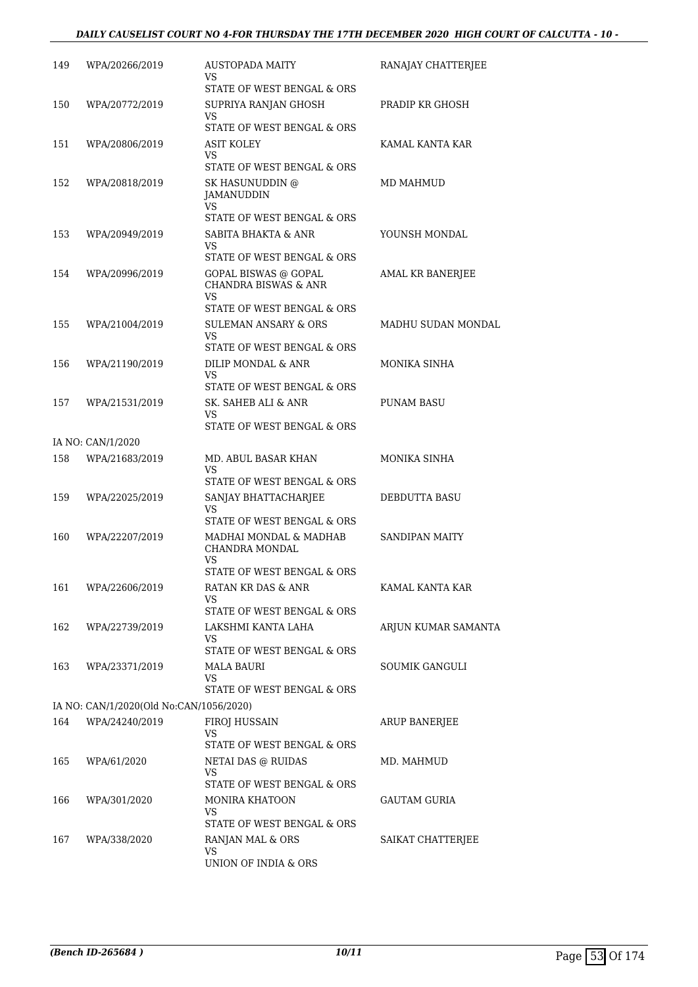#### *DAILY CAUSELIST COURT NO 4-FOR THURSDAY THE 17TH DECEMBER 2020 HIGH COURT OF CALCUTTA - 10 -*

| 149 | WPA/20266/2019                          | AUSTOPADA MAITY<br>VS                        | RANAJAY CHATTERJEE        |
|-----|-----------------------------------------|----------------------------------------------|---------------------------|
|     |                                         | STATE OF WEST BENGAL & ORS                   |                           |
| 150 | WPA/20772/2019                          | SUPRIYA RANJAN GHOSH<br>VS                   | PRADIP KR GHOSH           |
|     |                                         | STATE OF WEST BENGAL & ORS                   |                           |
| 151 | WPA/20806/2019                          | ASIT KOLEY                                   | KAMAL KANTA KAR           |
|     |                                         | VS<br>STATE OF WEST BENGAL & ORS             |                           |
| 152 | WPA/20818/2019                          | SK HASUNUDDIN @                              | MD MAHMUD                 |
|     |                                         | JAMANUDDIN<br>VS                             |                           |
|     |                                         | STATE OF WEST BENGAL & ORS                   |                           |
| 153 | WPA/20949/2019                          | SABITA BHAKTA & ANR                          | YOUNSH MONDAL             |
|     |                                         | VS<br>STATE OF WEST BENGAL & ORS             |                           |
| 154 | WPA/20996/2019                          | GOPAL BISWAS @ GOPAL                         | <b>AMAL KR BANERJEE</b>   |
|     |                                         | <b>CHANDRA BISWAS &amp; ANR</b><br><b>VS</b> |                           |
|     |                                         | STATE OF WEST BENGAL & ORS                   |                           |
| 155 | WPA/21004/2019                          | <b>SULEMAN ANSARY &amp; ORS</b>              | <b>MADHU SUDAN MONDAL</b> |
|     |                                         | VS                                           |                           |
|     |                                         | STATE OF WEST BENGAL & ORS                   |                           |
| 156 | WPA/21190/2019                          | DILIP MONDAL & ANR<br>VS                     | <b>MONIKA SINHA</b>       |
|     |                                         | STATE OF WEST BENGAL & ORS                   |                           |
| 157 | WPA/21531/2019                          | SK. SAHEB ALI & ANR                          | <b>PUNAM BASU</b>         |
|     |                                         | VS<br>STATE OF WEST BENGAL & ORS             |                           |
|     | IA NO: CAN/1/2020                       |                                              |                           |
| 158 | WPA/21683/2019                          | MD. ABUL BASAR KHAN                          | MONIKA SINHA              |
|     |                                         | VS                                           |                           |
|     |                                         | STATE OF WEST BENGAL & ORS                   |                           |
| 159 | WPA/22025/2019                          | SANJAY BHATTACHARJEE<br>VS                   | DEBDUTTA BASU             |
|     |                                         | STATE OF WEST BENGAL & ORS                   |                           |
| 160 | WPA/22207/2019                          | MADHAI MONDAL & MADHAB<br>CHANDRA MONDAL     | <b>SANDIPAN MAITY</b>     |
|     |                                         | VS                                           |                           |
|     |                                         | STATE OF WEST BENGAL & ORS                   |                           |
| 161 | WPA/22606/2019                          | RATAN KR DAS & ANR                           | KAMAL KANTA KAR           |
|     |                                         | VS<br>STATE OF WEST BENGAL & ORS             |                           |
| 162 | WPA/22739/2019                          | LAKSHMI KANTA LAHA                           | ARJUN KUMAR SAMANTA       |
|     |                                         | VS                                           |                           |
|     |                                         | STATE OF WEST BENGAL & ORS                   |                           |
| 163 | WPA/23371/2019                          | <b>MALA BAURI</b><br>VS                      | SOUMIK GANGULI            |
|     |                                         | STATE OF WEST BENGAL & ORS                   |                           |
|     | IA NO: CAN/1/2020(Old No:CAN/1056/2020) |                                              |                           |
| 164 | WPA/24240/2019                          | FIROJ HUSSAIN                                | <b>ARUP BANERJEE</b>      |
|     |                                         | VS                                           |                           |
|     |                                         | STATE OF WEST BENGAL & ORS                   |                           |
| 165 | WPA/61/2020                             | NETAI DAS @ RUIDAS<br>VS                     | MD. MAHMUD                |
|     |                                         | STATE OF WEST BENGAL & ORS                   |                           |
| 166 | WPA/301/2020                            | <b>MONIRA KHATOON</b>                        | <b>GAUTAM GURIA</b>       |
|     |                                         | VS                                           |                           |
|     |                                         | STATE OF WEST BENGAL & ORS                   |                           |
| 167 | WPA/338/2020                            | RANJAN MAL & ORS<br>VS                       | SAIKAT CHATTERJEE         |
|     |                                         | UNION OF INDIA & ORS                         |                           |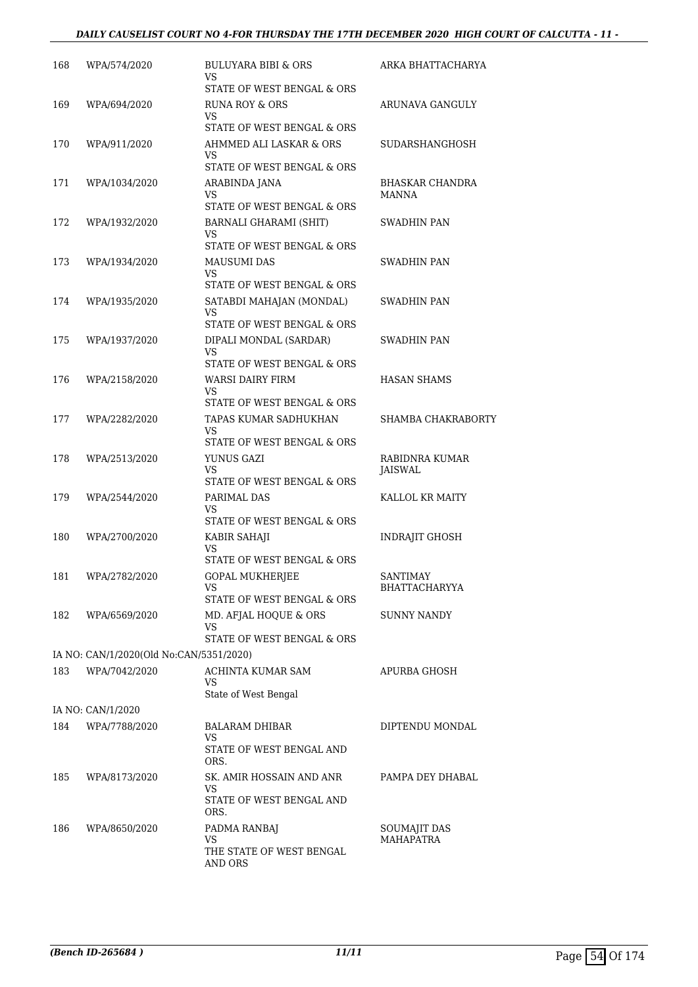#### *DAILY CAUSELIST COURT NO 4-FOR THURSDAY THE 17TH DECEMBER 2020 HIGH COURT OF CALCUTTA - 11 -*

| 168 | WPA/574/2020                            | BULUYARA BIBI & ORS<br>VS                                | ARKA BHATTACHARYA                |
|-----|-----------------------------------------|----------------------------------------------------------|----------------------------------|
| 169 | WPA/694/2020                            | STATE OF WEST BENGAL & ORS<br><b>RUNA ROY &amp; ORS</b>  | ARUNAVA GANGULY                  |
|     |                                         | VS<br>STATE OF WEST BENGAL & ORS                         |                                  |
| 170 | WPA/911/2020                            | AHMMED ALI LASKAR & ORS<br>VS.                           | SUDARSHANGHOSH                   |
|     |                                         | STATE OF WEST BENGAL & ORS                               |                                  |
| 171 | WPA/1034/2020                           | ARABINDA JANA<br>VS<br>STATE OF WEST BENGAL & ORS        | <b>BHASKAR CHANDRA</b><br>MANNA  |
| 172 | WPA/1932/2020                           | BARNALI GHARAMI (SHIT)                                   | SWADHIN PAN                      |
|     |                                         | VS.                                                      |                                  |
|     |                                         | STATE OF WEST BENGAL & ORS                               |                                  |
| 173 | WPA/1934/2020                           | <b>MAUSUMI DAS</b><br>VS                                 | SWADHIN PAN                      |
|     |                                         | STATE OF WEST BENGAL & ORS                               |                                  |
| 174 | WPA/1935/2020                           | SATABDI MAHAJAN (MONDAL)<br>VS                           | SWADHIN PAN                      |
|     |                                         | STATE OF WEST BENGAL & ORS                               |                                  |
| 175 | WPA/1937/2020                           | DIPALI MONDAL (SARDAR)<br><b>VS</b>                      | SWADHIN PAN                      |
|     |                                         | STATE OF WEST BENGAL & ORS                               |                                  |
| 176 | WPA/2158/2020                           | WARSI DAIRY FIRM<br>VS                                   | <b>HASAN SHAMS</b>               |
|     |                                         | STATE OF WEST BENGAL & ORS                               |                                  |
| 177 | WPA/2282/2020                           | TAPAS KUMAR SADHUKHAN<br>VS.                             | SHAMBA CHAKRABORTY               |
|     |                                         | STATE OF WEST BENGAL & ORS                               |                                  |
| 178 | WPA/2513/2020                           | YUNUS GAZI<br>VS<br>STATE OF WEST BENGAL & ORS           | RABIDNRA KUMAR<br><b>JAISWAL</b> |
| 179 | WPA/2544/2020                           | PARIMAL DAS                                              | KALLOL KR MAITY                  |
|     |                                         | VS.<br>STATE OF WEST BENGAL & ORS                        |                                  |
| 180 | WPA/2700/2020                           | KABIR SAHAJI                                             | <b>INDRAJIT GHOSH</b>            |
|     |                                         | VS<br>STATE OF WEST BENGAL & ORS                         |                                  |
| 181 | WPA/2782/2020                           | <b>GOPAL MUKHERJEE</b>                                   | <b>SANTIMAY</b>                  |
|     |                                         | VS<br>STATE OF WEST BENGAL & ORS                         | <b>BHATTACHARYYA</b>             |
| 182 | WPA/6569/2020                           | MD. AFJAL HOQUE & ORS<br>VS                              | <b>SUNNY NANDY</b>               |
|     |                                         | STATE OF WEST BENGAL & ORS                               |                                  |
|     | IA NO: CAN/1/2020(Old No:CAN/5351/2020) |                                                          |                                  |
| 183 | WPA/7042/2020                           | ACHINTA KUMAR SAM<br>VS.                                 | APURBA GHOSH                     |
|     |                                         | State of West Bengal                                     |                                  |
|     | IA NO: CAN/1/2020                       |                                                          |                                  |
| 184 | WPA/7788/2020                           | <b>BALARAM DHIBAR</b><br>VS.<br>STATE OF WEST BENGAL AND | DIPTENDU MONDAL                  |
|     |                                         | ORS.                                                     |                                  |
| 185 | WPA/8173/2020                           | SK. AMIR HOSSAIN AND ANR<br>VS                           | PAMPA DEY DHABAL                 |
|     |                                         | STATE OF WEST BENGAL AND<br>ORS.                         |                                  |
| 186 | WPA/8650/2020                           | PADMA RANBAJ<br>VS.                                      | SOUMAJIT DAS<br><b>MAHAPATRA</b> |
|     |                                         | THE STATE OF WEST BENGAL<br>AND ORS                      |                                  |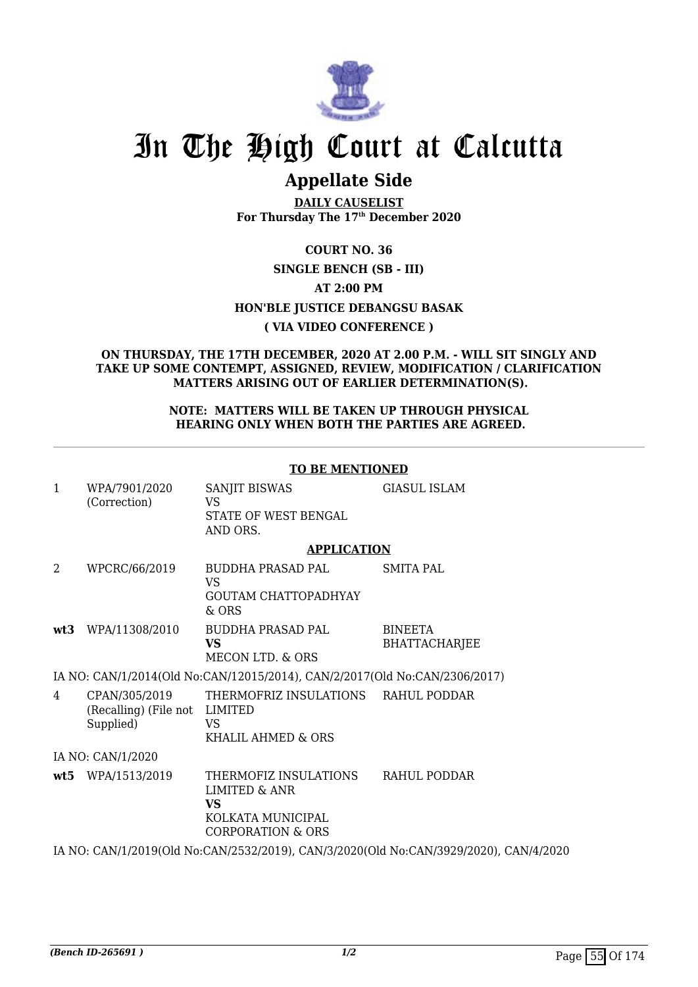

## **Appellate Side**

**DAILY CAUSELIST For Thursday The 17th December 2020**

**COURT NO. 36**

#### **SINGLE BENCH (SB - III)**

#### **AT 2:00 PM**

#### **HON'BLE JUSTICE DEBANGSU BASAK**

#### **( VIA VIDEO CONFERENCE )**

#### **ON THURSDAY, THE 17TH DECEMBER, 2020 AT 2.00 P.M. - WILL SIT SINGLY AND TAKE UP SOME CONTEMPT, ASSIGNED, REVIEW, MODIFICATION / CLARIFICATION MATTERS ARISING OUT OF EARLIER DETERMINATION(S).**

#### **NOTE: MATTERS WILL BE TAKEN UP THROUGH PHYSICAL HEARING ONLY WHEN BOTH THE PARTIES ARE AGREED.**

#### **TO BE MENTIONED**

| $\mathbf{1}$   | WPA/7901/2020<br>(Correction)                               | <b>SANJIT BISWAS</b><br><b>VS</b><br>STATE OF WEST BENGAL<br>AND ORS.                                    | <b>GIASUL ISLAM</b>                                                                   |
|----------------|-------------------------------------------------------------|----------------------------------------------------------------------------------------------------------|---------------------------------------------------------------------------------------|
|                |                                                             | <b>APPLICATION</b>                                                                                       |                                                                                       |
| $\overline{2}$ | WPCRC/66/2019                                               | BUDDHA PRASAD PAL<br><b>VS</b><br><b>GOUTAM CHATTOPADHYAY</b><br>$&$ ORS                                 | <b>SMITA PAL</b>                                                                      |
|                | wt3 WPA/11308/2010                                          | BUDDHA PRASAD PAL<br><b>VS</b><br>MECON LTD. & ORS                                                       | <b>BINEETA</b><br><b>BHATTACHARJEE</b>                                                |
|                |                                                             | IA NO: CAN/1/2014(Old No:CAN/12015/2014), CAN/2/2017(Old No:CAN/2306/2017)                               |                                                                                       |
| 4              | CPAN/305/2019<br>(Recalling) (File not LIMITED<br>Supplied) | THERMOFRIZ INSULATIONS<br>VS.<br>KHALIL AHMED & ORS                                                      | RAHUL PODDAR                                                                          |
|                | IA NO: CAN/1/2020                                           |                                                                                                          |                                                                                       |
|                | wt5 WPA/1513/2019                                           | THERMOFIZ INSULATIONS<br><b>LIMITED &amp; ANR</b><br><b>VS</b><br>KOLKATA MUNICIPAL<br>CORPORATION & ORS | RAHUL PODDAR                                                                          |
|                |                                                             |                                                                                                          | IA NO: CAN/1/2019(Old No:CAN/2532/2019), CAN/3/2020(Old No:CAN/3929/2020), CAN/4/2020 |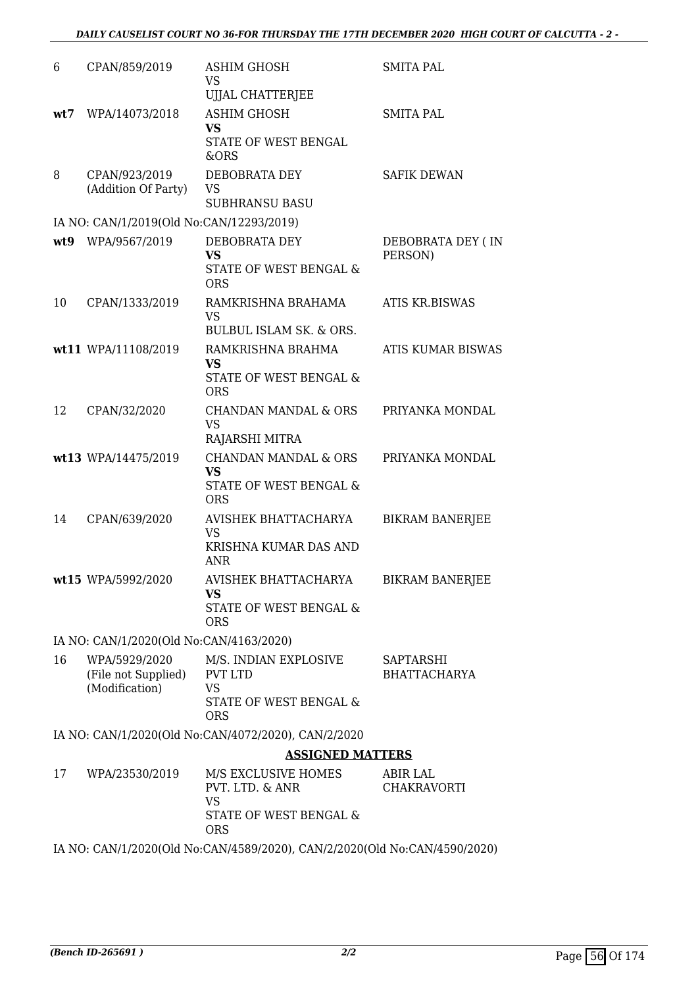| 6   | CPAN/859/2019                                          | <b>ASHIM GHOSH</b><br>VS                                                                     | <b>SMITA PAL</b>                 |
|-----|--------------------------------------------------------|----------------------------------------------------------------------------------------------|----------------------------------|
| wt7 | WPA/14073/2018                                         | UJJAL CHATTERJEE<br><b>ASHIM GHOSH</b><br><b>VS</b><br>STATE OF WEST BENGAL<br>&ORS          | <b>SMITA PAL</b>                 |
| 8   | CPAN/923/2019<br>(Addition Of Party)                   | DEBOBRATA DEY<br><b>VS</b><br><b>SUBHRANSU BASU</b>                                          | <b>SAFIK DEWAN</b>               |
|     | IA NO: CAN/1/2019(Old No:CAN/12293/2019)               |                                                                                              |                                  |
| wt9 | WPA/9567/2019                                          | DEBOBRATA DEY<br><b>VS</b><br>STATE OF WEST BENGAL &<br><b>ORS</b>                           | DEBOBRATA DEY (IN<br>PERSON)     |
| 10  | CPAN/1333/2019                                         | RAMKRISHNA BRAHAMA<br>VS<br><b>BULBUL ISLAM SK. &amp; ORS.</b>                               | <b>ATIS KR.BISWAS</b>            |
|     | wt11 WPA/11108/2019                                    | RAMKRISHNA BRAHMA<br><b>VS</b><br>STATE OF WEST BENGAL &<br><b>ORS</b>                       | <b>ATIS KUMAR BISWAS</b>         |
| 12  | CPAN/32/2020                                           | <b>CHANDAN MANDAL &amp; ORS</b><br><b>VS</b><br>RAJARSHI MITRA                               | PRIYANKA MONDAL                  |
|     | wt13 WPA/14475/2019                                    | <b>CHANDAN MANDAL &amp; ORS</b><br><b>VS</b><br>STATE OF WEST BENGAL &<br><b>ORS</b>         | PRIYANKA MONDAL                  |
| 14  | CPAN/639/2020                                          | AVISHEK BHATTACHARYA<br><b>VS</b><br>KRISHNA KUMAR DAS AND<br><b>ANR</b>                     | <b>BIKRAM BANERJEE</b>           |
|     | wt15 WPA/5992/2020                                     | AVISHEK BHATTACHARYA<br><b>VS</b><br>STATE OF WEST BENGAL &<br><b>ORS</b>                    | <b>BIKRAM BANERJEE</b>           |
|     | IA NO: CAN/1/2020(Old No:CAN/4163/2020)                |                                                                                              |                                  |
| 16  | WPA/5929/2020<br>(File not Supplied)<br>(Modification) | M/S. INDIAN EXPLOSIVE<br><b>PVT LTD</b><br><b>VS</b><br>STATE OF WEST BENGAL &<br><b>ORS</b> | SAPTARSHI<br><b>BHATTACHARYA</b> |
|     |                                                        | IA NO: CAN/1/2020(Old No:CAN/4072/2020), CAN/2/2020                                          |                                  |
|     |                                                        | <b>ASSIGNED MATTERS</b>                                                                      |                                  |
| 17  | WPA/23530/2019                                         | M/S EXCLUSIVE HOMES<br>PVT. LTD. & ANR<br><b>VS</b><br>STATE OF WEST BENGAL &<br><b>ORS</b>  | ABIR LAL<br>CHAKRAVORTI          |

IA NO: CAN/1/2020(Old No:CAN/4589/2020), CAN/2/2020(Old No:CAN/4590/2020)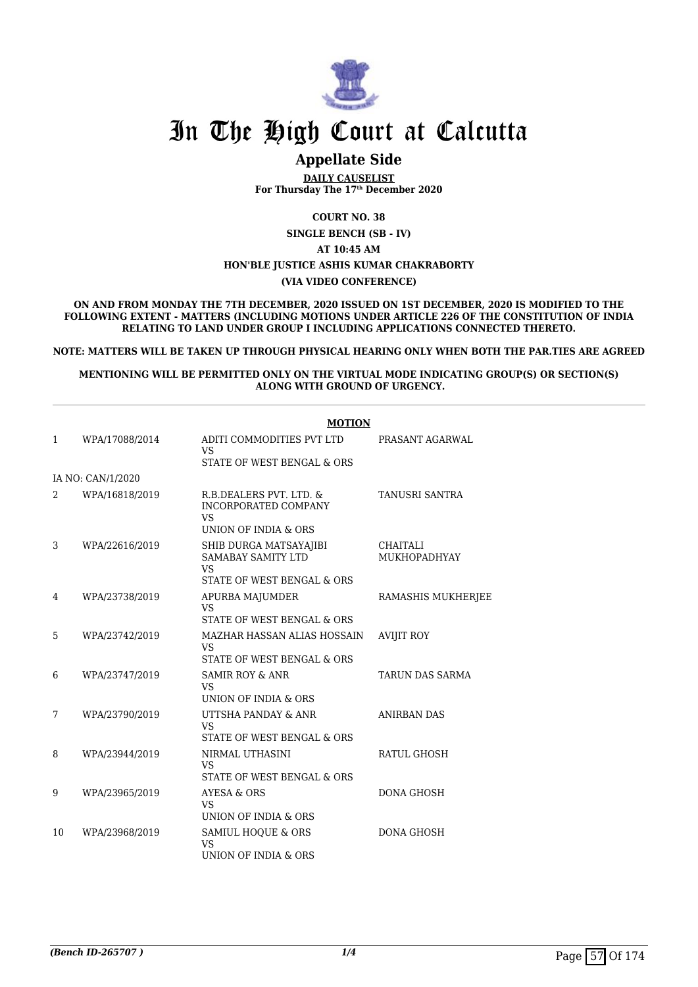

### **Appellate Side**

**DAILY CAUSELIST For Thursday The 17th December 2020**

**COURT NO. 38**

**SINGLE BENCH (SB - IV)**

**AT 10:45 AM**

#### **HON'BLE JUSTICE ASHIS KUMAR CHAKRABORTY**

**(VIA VIDEO CONFERENCE)**

**ON AND FROM MONDAY THE 7TH DECEMBER, 2020 ISSUED ON 1ST DECEMBER, 2020 IS MODIFIED TO THE FOLLOWING EXTENT - MATTERS (INCLUDING MOTIONS UNDER ARTICLE 226 OF THE CONSTITUTION OF INDIA RELATING TO LAND UNDER GROUP I INCLUDING APPLICATIONS CONNECTED THERETO.**

**NOTE: MATTERS WILL BE TAKEN UP THROUGH PHYSICAL HEARING ONLY WHEN BOTH THE PAR.TIES ARE AGREED**

**MENTIONING WILL BE PERMITTED ONLY ON THE VIRTUAL MODE INDICATING GROUP(S) OR SECTION(S) ALONG WITH GROUND OF URGENCY.**

|              |                   | <b>MOTION</b>                                                                                  |                                        |
|--------------|-------------------|------------------------------------------------------------------------------------------------|----------------------------------------|
| $\mathbf{1}$ | WPA/17088/2014    | ADITI COMMODITIES PVT LTD<br><b>VS</b><br>STATE OF WEST BENGAL & ORS                           | PRASANT AGARWAL                        |
|              | IA NO: CAN/1/2020 |                                                                                                |                                        |
| 2            | WPA/16818/2019    | R.B.DEALERS PVT. LTD. &<br><b>INCORPORATED COMPANY</b><br><b>VS</b><br>UNION OF INDIA & ORS    | <b>TANUSRI SANTRA</b>                  |
| 3            | WPA/22616/2019    | SHIB DURGA MATSAYAJIBI<br><b>SAMABAY SAMITY LTD</b><br><b>VS</b><br>STATE OF WEST BENGAL & ORS | <b>CHAITALI</b><br><b>MUKHOPADHYAY</b> |
| 4            | WPA/23738/2019    | APURBA MAJUMDER<br><b>VS</b><br>STATE OF WEST BENGAL & ORS                                     | RAMASHIS MUKHERJEE                     |
| 5            | WPA/23742/2019    | MAZHAR HASSAN ALIAS HOSSAIN<br><b>VS</b><br>STATE OF WEST BENGAL & ORS                         | <b>AVIJIT ROY</b>                      |
| 6            | WPA/23747/2019    | <b>SAMIR ROY &amp; ANR</b><br><b>VS</b><br>UNION OF INDIA & ORS                                | <b>TARUN DAS SARMA</b>                 |
| 7            | WPA/23790/2019    | UTTSHA PANDAY & ANR<br><b>VS</b><br>STATE OF WEST BENGAL & ORS                                 | <b>ANIRBAN DAS</b>                     |
| 8            | WPA/23944/2019    | NIRMAL UTHASINI<br><b>VS</b><br>STATE OF WEST BENGAL & ORS                                     | <b>RATUL GHOSH</b>                     |
| 9            | WPA/23965/2019    | AYESA & ORS<br><b>VS</b><br>UNION OF INDIA & ORS                                               | <b>DONA GHOSH</b>                      |
| 10           | WPA/23968/2019    | SAMIUL HOQUE & ORS<br><b>VS</b><br>UNION OF INDIA & ORS                                        | <b>DONA GHOSH</b>                      |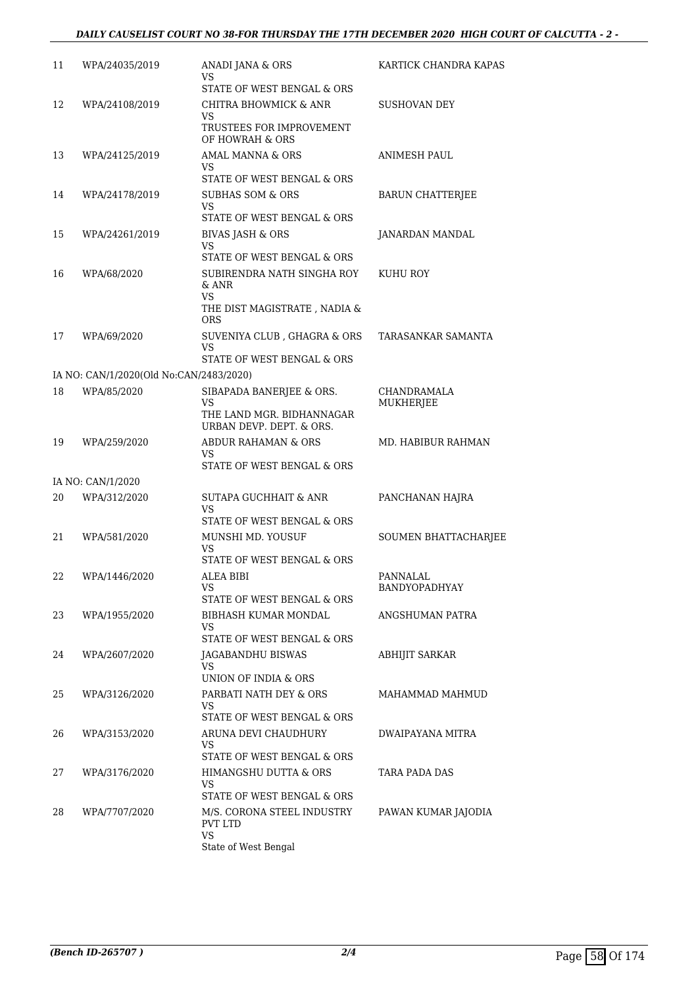#### *DAILY CAUSELIST COURT NO 38-FOR THURSDAY THE 17TH DECEMBER 2020 HIGH COURT OF CALCUTTA - 2 -*

| 11 | WPA/24035/2019                          | ANADI JANA & ORS<br>VS                                               | KARTICK CHANDRA KAPAS     |
|----|-----------------------------------------|----------------------------------------------------------------------|---------------------------|
|    |                                         | STATE OF WEST BENGAL & ORS                                           |                           |
| 12 | WPA/24108/2019                          | CHITRA BHOWMICK & ANR                                                | SUSHOVAN DEY              |
|    |                                         | VS<br>TRUSTEES FOR IMPROVEMENT<br>OF HOWRAH & ORS                    |                           |
| 13 | WPA/24125/2019                          | AMAL MANNA & ORS                                                     | ANIMESH PAUL              |
|    |                                         | VS<br>STATE OF WEST BENGAL & ORS                                     |                           |
| 14 | WPA/24178/2019                          | <b>SUBHAS SOM &amp; ORS</b>                                          | <b>BARUN CHATTERJEE</b>   |
|    |                                         | VS.<br>STATE OF WEST BENGAL & ORS                                    |                           |
| 15 | WPA/24261/2019                          | <b>BIVAS JASH &amp; ORS</b>                                          | JANARDAN MANDAL           |
|    |                                         | VS<br>STATE OF WEST BENGAL & ORS                                     |                           |
| 16 | WPA/68/2020                             | SUBIRENDRA NATH SINGHA ROY<br>& ANR                                  | <b>KUHU ROY</b>           |
|    |                                         | VS<br>THE DIST MAGISTRATE, NADIA &<br><b>ORS</b>                     |                           |
| 17 | WPA/69/2020                             | SUVENIYA CLUB, GHAGRA & ORS<br>VS                                    | TARASANKAR SAMANTA        |
|    |                                         | STATE OF WEST BENGAL & ORS                                           |                           |
|    | IA NO: CAN/1/2020(Old No:CAN/2483/2020) |                                                                      |                           |
| 18 | WPA/85/2020                             | SIBAPADA BANERJEE & ORS.<br>VS                                       | CHANDRAMALA<br>MUKHERJEE  |
|    |                                         | THE LAND MGR. BIDHANNAGAR<br>URBAN DEVP. DEPT. & ORS.                |                           |
| 19 | WPA/259/2020                            | ABDUR RAHAMAN & ORS<br>VS                                            | MD. HABIBUR RAHMAN        |
|    |                                         | STATE OF WEST BENGAL & ORS                                           |                           |
|    | IA NO: CAN/1/2020                       |                                                                      |                           |
| 20 | WPA/312/2020                            | <b>SUTAPA GUCHHAIT &amp; ANR</b><br>VS<br>STATE OF WEST BENGAL & ORS | PANCHANAN HAJRA           |
| 21 | WPA/581/2020                            | MUNSHI MD. YOUSUF                                                    | SOUMEN BHATTACHARJEE      |
|    |                                         | VS                                                                   |                           |
|    |                                         | STATE OF WEST BENGAL & ORS                                           |                           |
| 22 | WPA/1446/2020                           | ALEA BIBI<br>VS.                                                     | PANNALAL<br>BANDYOPADHYAY |
|    |                                         | STATE OF WEST BENGAL & ORS                                           |                           |
| 23 | WPA/1955/2020                           | <b>BIBHASH KUMAR MONDAL</b><br>VS.                                   | ANGSHUMAN PATRA           |
|    |                                         | STATE OF WEST BENGAL & ORS                                           |                           |
| 24 | WPA/2607/2020                           | JAGABANDHU BISWAS<br>VS                                              | <b>ABHIJIT SARKAR</b>     |
|    |                                         | UNION OF INDIA & ORS                                                 |                           |
| 25 | WPA/3126/2020                           | PARBATI NATH DEY & ORS<br>VS                                         | MAHAMMAD MAHMUD           |
|    |                                         | STATE OF WEST BENGAL & ORS                                           |                           |
| 26 | WPA/3153/2020                           | ARUNA DEVI CHAUDHURY<br>VS<br>STATE OF WEST BENGAL & ORS             | DWAIPAYANA MITRA          |
| 27 | WPA/3176/2020                           | HIMANGSHU DUTTA & ORS                                                | TARA PADA DAS             |
|    |                                         | VS                                                                   |                           |
| 28 |                                         | STATE OF WEST BENGAL & ORS                                           |                           |
|    | WPA/7707/2020                           | M/S. CORONA STEEL INDUSTRY<br><b>PVT LTD</b><br>VS                   | PAWAN KUMAR JAJODIA       |
|    |                                         | State of West Bengal                                                 |                           |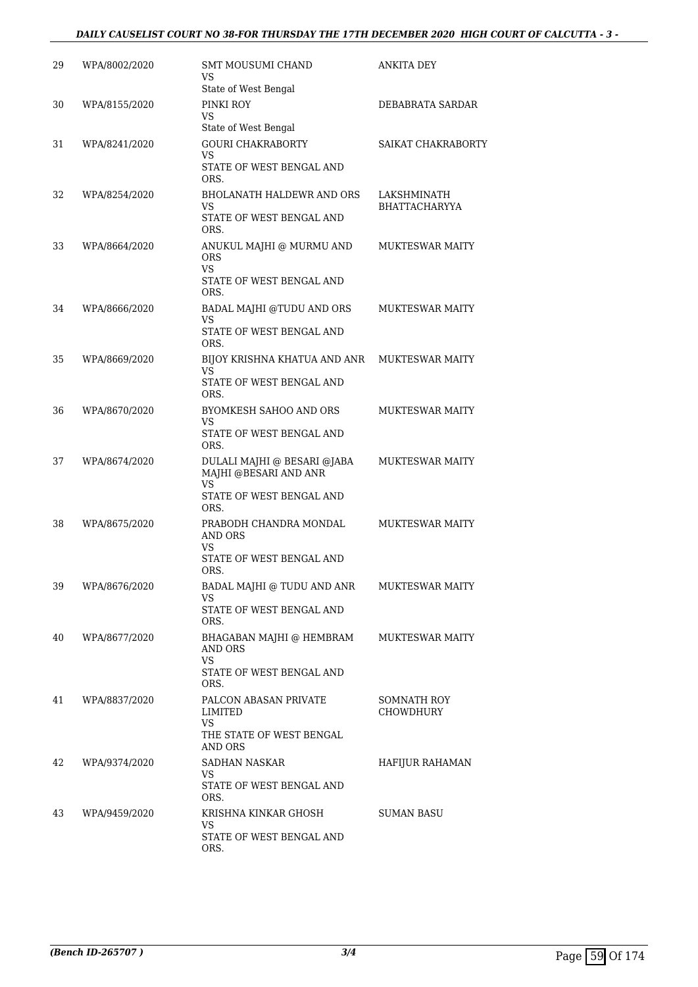#### *DAILY CAUSELIST COURT NO 38-FOR THURSDAY THE 17TH DECEMBER 2020 HIGH COURT OF CALCUTTA - 3 -*

| 29 | WPA/8002/2020 | SMT MOUSUMI CHAND<br>VS                                           | ANKITA DEY                          |
|----|---------------|-------------------------------------------------------------------|-------------------------------------|
| 30 | WPA/8155/2020 | State of West Bengal<br>PINKI ROY                                 | DEBABRATA SARDAR                    |
|    |               | VS<br>State of West Bengal                                        |                                     |
| 31 | WPA/8241/2020 | <b>GOURI CHAKRABORTY</b><br>VS.                                   | SAIKAT CHAKRABORTY                  |
|    |               | STATE OF WEST BENGAL AND<br>ORS.                                  |                                     |
| 32 | WPA/8254/2020 | <b>BHOLANATH HALDEWR AND ORS</b><br>VS                            | LAKSHMINATH<br><b>BHATTACHARYYA</b> |
|    |               | STATE OF WEST BENGAL AND<br>ORS.                                  |                                     |
| 33 | WPA/8664/2020 | ANUKUL MAJHI @ MURMU AND<br><b>ORS</b><br><b>VS</b>               | <b>MUKTESWAR MAITY</b>              |
|    |               | STATE OF WEST BENGAL AND<br>ORS.                                  |                                     |
| 34 | WPA/8666/2020 | BADAL MAJHI @TUDU AND ORS<br>VS                                   | <b>MUKTESWAR MAITY</b>              |
|    |               | STATE OF WEST BENGAL AND<br>ORS.                                  |                                     |
| 35 | WPA/8669/2020 | BIJOY KRISHNA KHATUA AND ANR<br>VS                                | <b>MUKTESWAR MAITY</b>              |
|    |               | STATE OF WEST BENGAL AND<br>ORS.                                  |                                     |
| 36 | WPA/8670/2020 | BYOMKESH SAHOO AND ORS<br>VS                                      | <b>MUKTESWAR MAITY</b>              |
|    |               | STATE OF WEST BENGAL AND<br>ORS.                                  |                                     |
| 37 | WPA/8674/2020 | DULALI MAJHI @ BESARI @JABA<br>MAJHI @BESARI AND ANR<br><b>VS</b> | <b>MUKTESWAR MAITY</b>              |
|    |               | STATE OF WEST BENGAL AND<br>ORS.                                  |                                     |
| 38 | WPA/8675/2020 | PRABODH CHANDRA MONDAL<br>AND ORS<br>VS                           | <b>MUKTESWAR MAITY</b>              |
|    |               | STATE OF WEST BENGAL AND<br>ORS.                                  |                                     |
| 39 | WPA/8676/2020 | BADAL MAJHI @ TUDU AND ANR<br>VS                                  | <b>MUKTESWAR MAITY</b>              |
|    |               | STATE OF WEST BENGAL AND<br>ORS.                                  |                                     |
| 40 | WPA/8677/2020 | BHAGABAN MAJHI @ HEMBRAM<br>AND ORS<br><b>VS</b>                  | <b>MUKTESWAR MAITY</b>              |
|    |               | STATE OF WEST BENGAL AND<br>ORS.                                  |                                     |
| 41 | WPA/8837/2020 | PALCON ABASAN PRIVATE<br>LIMITED<br>VS.                           | SOMNATH ROY<br><b>CHOWDHURY</b>     |
|    |               | THE STATE OF WEST BENGAL<br><b>AND ORS</b>                        |                                     |
| 42 | WPA/9374/2020 | SADHAN NASKAR<br>VS                                               | <b>HAFIJUR RAHAMAN</b>              |
|    |               | STATE OF WEST BENGAL AND<br>ORS.                                  |                                     |
| 43 | WPA/9459/2020 | KRISHNA KINKAR GHOSH<br>VS                                        | SUMAN BASU                          |
|    |               | STATE OF WEST BENGAL AND<br>ORS.                                  |                                     |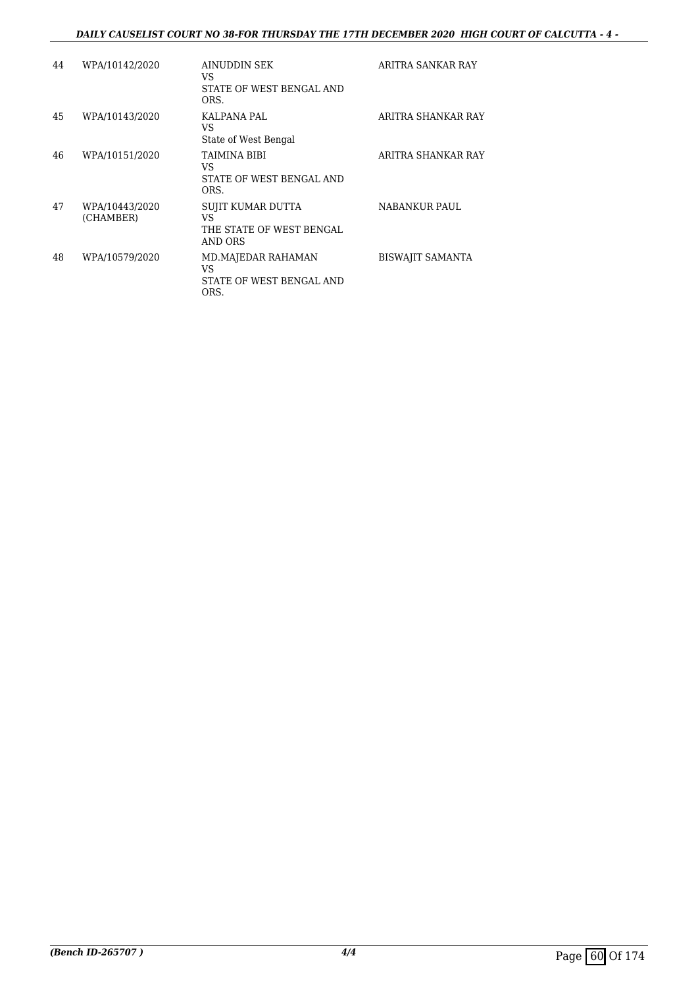#### *DAILY CAUSELIST COURT NO 38-FOR THURSDAY THE 17TH DECEMBER 2020 HIGH COURT OF CALCUTTA - 4 -*

| 44 | WPA/10142/2020              | AINUDDIN SEK<br>VS<br>STATE OF WEST BENGAL AND<br>ORS.         | ARITRA SANKAR RAY       |
|----|-----------------------------|----------------------------------------------------------------|-------------------------|
| 45 | WPA/10143/2020              | KALPANA PAL<br>VS<br>State of West Bengal                      | ARITRA SHANKAR RAY      |
| 46 | WPA/10151/2020              | TAIMINA BIBI<br>VS<br>STATE OF WEST BENGAL AND<br>ORS.         | ARITRA SHANKAR RAY      |
| 47 | WPA/10443/2020<br>(CHAMBER) | SUJIT KUMAR DUTTA<br>VS<br>THE STATE OF WEST BENGAL<br>AND ORS | NABANKUR PAUL           |
| 48 | WPA/10579/2020              | MD.MAJEDAR RAHAMAN<br>VS<br>STATE OF WEST BENGAL AND<br>ORS.   | <b>BISWAJIT SAMANTA</b> |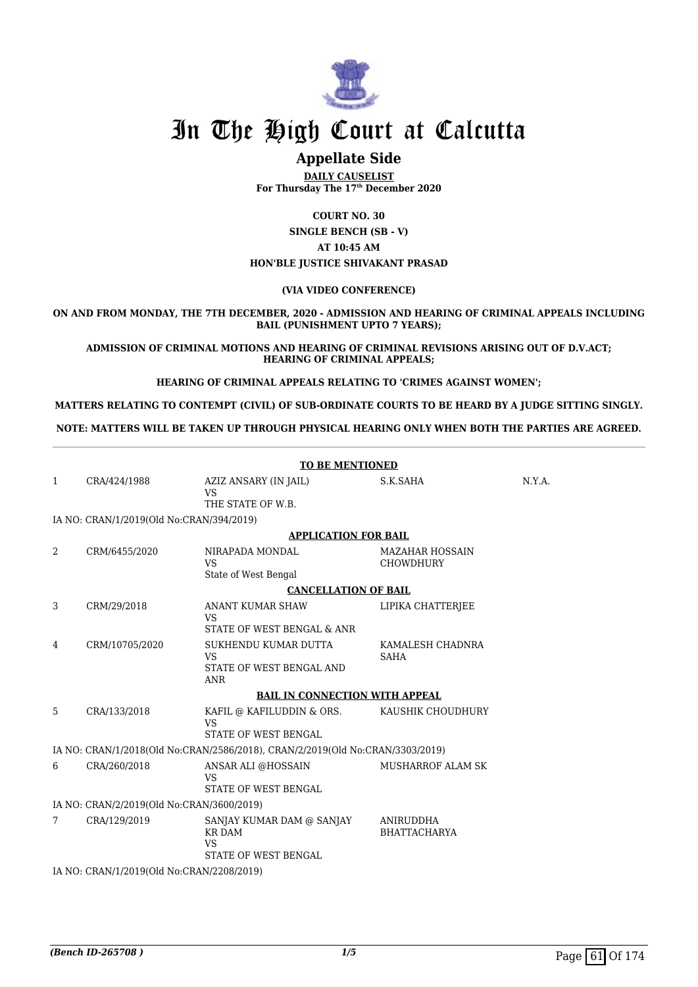

### **Appellate Side**

**DAILY CAUSELIST For Thursday The 17th December 2020**

**COURT NO. 30**

**SINGLE BENCH (SB - V) AT 10:45 AM HON'BLE JUSTICE SHIVAKANT PRASAD**

#### **(VIA VIDEO CONFERENCE)**

**ON AND FROM MONDAY, THE 7TH DECEMBER, 2020 - ADMISSION AND HEARING OF CRIMINAL APPEALS INCLUDING BAIL (PUNISHMENT UPTO 7 YEARS);**

**ADMISSION OF CRIMINAL MOTIONS AND HEARING OF CRIMINAL REVISIONS ARISING OUT OF D.V.ACT; HEARING OF CRIMINAL APPEALS;**

**HEARING OF CRIMINAL APPEALS RELATING TO 'CRIMES AGAINST WOMEN';**

**MATTERS RELATING TO CONTEMPT (CIVIL) OF SUB-ORDINATE COURTS TO BE HEARD BY A JUDGE SITTING SINGLY.**

**NOTE: MATTERS WILL BE TAKEN UP THROUGH PHYSICAL HEARING ONLY WHEN BOTH THE PARTIES ARE AGREED.**

|                                           | <b>TO BE MENTIONED</b>                    |                                                                                 |                                            |        |  |  |
|-------------------------------------------|-------------------------------------------|---------------------------------------------------------------------------------|--------------------------------------------|--------|--|--|
| 1                                         | CRA/424/1988                              | AZIZ ANSARY (IN JAIL)<br><b>VS</b><br>THE STATE OF W.B.                         | S.K.SAHA                                   | N.Y.A. |  |  |
|                                           | IA NO: CRAN/1/2019(Old No:CRAN/394/2019)  |                                                                                 |                                            |        |  |  |
|                                           |                                           | <b>APPLICATION FOR BAIL</b>                                                     |                                            |        |  |  |
| 2                                         | CRM/6455/2020                             | NIRAPADA MONDAL<br><b>VS</b><br>State of West Bengal                            | <b>MAZAHAR HOSSAIN</b><br><b>CHOWDHURY</b> |        |  |  |
|                                           |                                           | <b>CANCELLATION OF BAIL</b>                                                     |                                            |        |  |  |
| 3                                         | CRM/29/2018                               | ANANT KUMAR SHAW<br>VS<br>STATE OF WEST BENGAL & ANR                            | LIPIKA CHATTERJEE                          |        |  |  |
| 4                                         | CRM/10705/2020                            | SUKHENDU KUMAR DUTTA<br><b>VS</b><br>STATE OF WEST BENGAL AND<br><b>ANR</b>     | KAMALESH CHADNRA<br><b>SAHA</b>            |        |  |  |
|                                           |                                           | <b>BAIL IN CONNECTION WITH APPEAL</b>                                           |                                            |        |  |  |
| 5                                         | CRA/133/2018                              | KAFIL @ KAFILUDDIN & ORS.<br><b>VS</b><br><b>STATE OF WEST BENGAL</b>           | KAUSHIK CHOUDHURY                          |        |  |  |
|                                           |                                           | IA NO: CRAN/1/2018(Old No:CRAN/2586/2018), CRAN/2/2019(Old No:CRAN/3303/2019)   |                                            |        |  |  |
| 6                                         | CRA/260/2018                              | ANSAR ALI @HOSSAIN<br><b>VS</b><br>STATE OF WEST BENGAL                         | <b>MUSHARROF ALAM SK</b>                   |        |  |  |
| IA NO: CRAN/2/2019(Old No:CRAN/3600/2019) |                                           |                                                                                 |                                            |        |  |  |
| 7                                         | CRA/129/2019                              | SANJAY KUMAR DAM @ SANJAY<br><b>KR DAM</b><br><b>VS</b><br>STATE OF WEST BENGAL | ANIRUDDHA<br><b>BHATTACHARYA</b>           |        |  |  |
|                                           | IA NO: CRAN/1/2019(Old No:CRAN/2208/2019) |                                                                                 |                                            |        |  |  |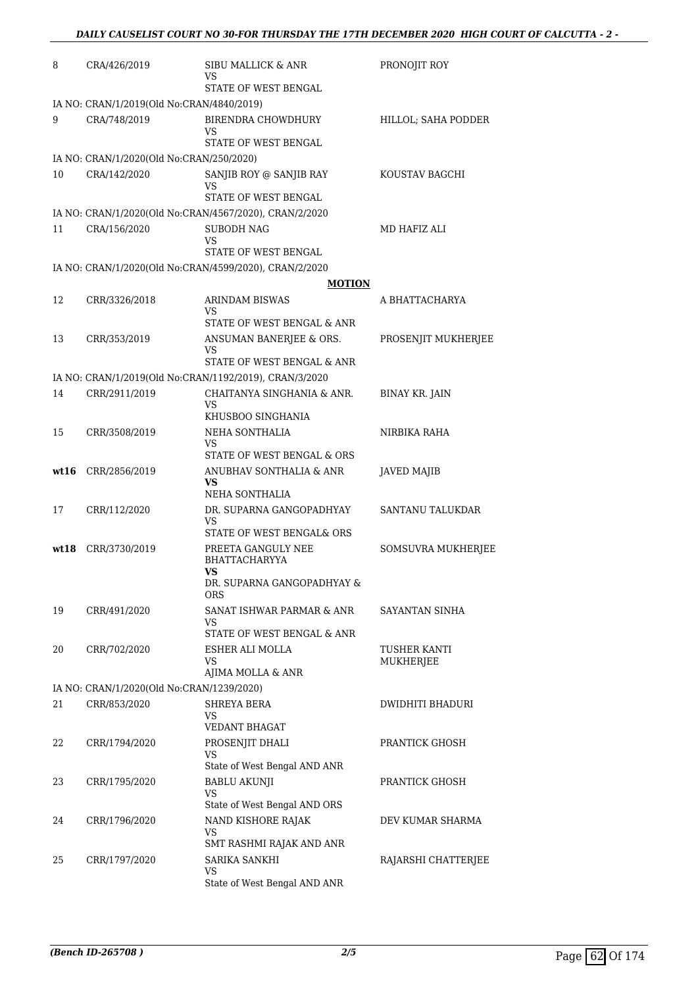| 8    | CRA/426/2019                              | SIBU MALLICK & ANR<br>VS                                      | PRONOJIT ROY          |
|------|-------------------------------------------|---------------------------------------------------------------|-----------------------|
|      |                                           | STATE OF WEST BENGAL                                          |                       |
|      | IA NO: CRAN/1/2019(Old No:CRAN/4840/2019) |                                                               |                       |
| 9    | CRA/748/2019                              | <b>BIRENDRA CHOWDHURY</b><br>VS<br>STATE OF WEST BENGAL       | HILLOL; SAHA PODDER   |
|      | IA NO: CRAN/1/2020(Old No:CRAN/250/2020)  |                                                               |                       |
| 10   | CRA/142/2020                              | SANJIB ROY @ SANJIB RAY<br>VS<br>STATE OF WEST BENGAL         | KOUSTAV BAGCHI        |
|      |                                           | IA NO: CRAN/1/2020(Old No:CRAN/4567/2020), CRAN/2/2020        |                       |
| 11   | CRA/156/2020                              | <b>SUBODH NAG</b><br>VS                                       | MD HAFIZ ALI          |
|      |                                           | STATE OF WEST BENGAL                                          |                       |
|      |                                           | IA NO: CRAN/1/2020(Old No:CRAN/4599/2020), CRAN/2/2020        |                       |
|      |                                           | <b>MOTION</b>                                                 |                       |
| 12   | CRR/3326/2018                             | <b>ARINDAM BISWAS</b><br>VS                                   | A BHATTACHARYA        |
|      |                                           | STATE OF WEST BENGAL & ANR                                    |                       |
| 13   | CRR/353/2019                              | ANSUMAN BANERJEE & ORS.<br>VS                                 | PROSENJIT MUKHERJEE   |
|      |                                           | STATE OF WEST BENGAL & ANR                                    |                       |
|      |                                           | IA NO: CRAN/1/2019(Old No:CRAN/1192/2019), CRAN/3/2020        |                       |
| 14   | CRR/2911/2019                             | CHAITANYA SINGHANIA & ANR.<br>VS<br>KHUSBOO SINGHANIA         | <b>BINAY KR. JAIN</b> |
| 15   | CRR/3508/2019                             | NEHA SONTHALIA                                                | NIRBIKA RAHA          |
|      |                                           | VS<br>STATE OF WEST BENGAL & ORS                              |                       |
| wt16 | CRR/2856/2019                             | ANUBHAV SONTHALIA & ANR<br>VS<br>NEHA SONTHALIA               | JAVED MAJIB           |
| 17   | CRR/112/2020                              | DR. SUPARNA GANGOPADHYAY                                      | SANTANU TALUKDAR      |
|      |                                           | VS<br>STATE OF WEST BENGAL& ORS                               |                       |
| wt18 | CRR/3730/2019                             | PREETA GANGULY NEE<br>BHATTACHARYYA<br>VS                     | SOMSUVRA MUKHERJEE    |
|      |                                           | DR. SUPARNA GANGOPADHYAY &<br>ORS                             |                       |
| 19   | CRR/491/2020                              | SANAT ISHWAR PARMAR & ANR<br>VS<br>STATE OF WEST BENGAL & ANR | SAYANTAN SINHA        |
| 20   | CRR/702/2020                              | ESHER ALI MOLLA                                               | TUSHER KANTI          |
|      |                                           | VS                                                            | MUKHERJEE             |
|      |                                           | AJIMA MOLLA & ANR                                             |                       |
|      | IA NO: CRAN/1/2020(Old No:CRAN/1239/2020) |                                                               |                       |
| 21   | CRR/853/2020                              | SHREYA BERA<br>VS<br>VEDANT BHAGAT                            | DWIDHITI BHADURI      |
| 22   | CRR/1794/2020                             | PROSENJIT DHALI<br>VS<br>State of West Bengal AND ANR         | PRANTICK GHOSH        |
| 23   | CRR/1795/2020                             | <b>BABLU AKUNJI</b><br>VS                                     | PRANTICK GHOSH        |
|      |                                           | State of West Bengal AND ORS                                  |                       |
| 24   | CRR/1796/2020                             | NAND KISHORE RAJAK<br>VS<br>SMT RASHMI RAJAK AND ANR          | DEV KUMAR SHARMA      |
| 25   | CRR/1797/2020                             | SARIKA SANKHI                                                 | RAJARSHI CHATTERJEE   |
|      |                                           | VS.<br>State of West Bengal AND ANR                           |                       |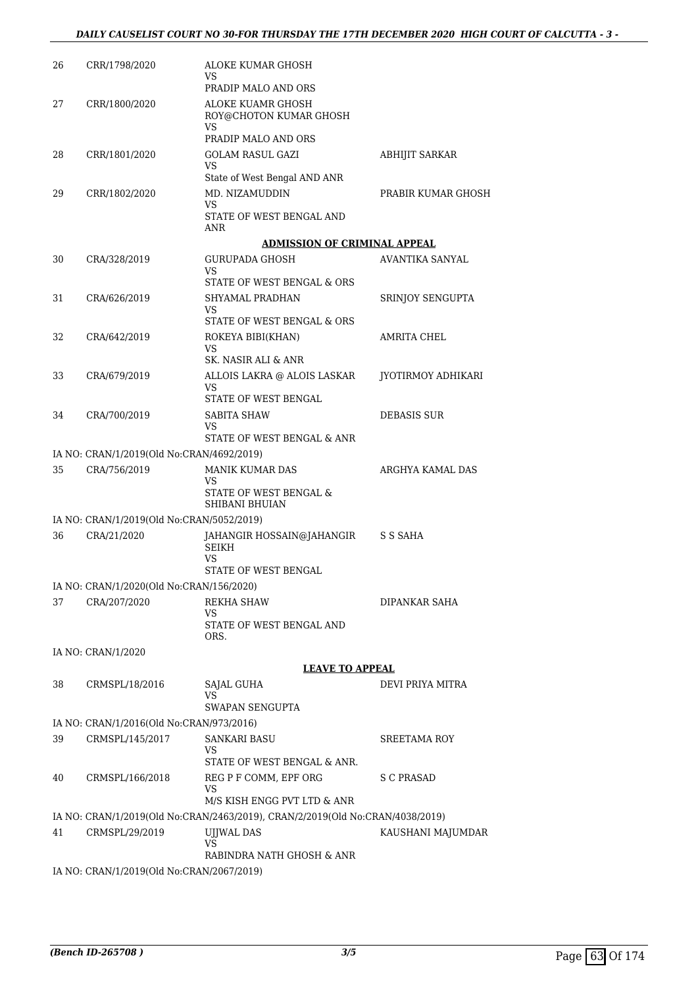| 26 | CRR/1798/2020                                            | ALOKE KUMAR GHOSH<br>VS<br>PRADIP MALO AND ORS                                |                    |
|----|----------------------------------------------------------|-------------------------------------------------------------------------------|--------------------|
| 27 | CRR/1800/2020                                            | ALOKE KUAMR GHOSH<br>ROY@CHOTON KUMAR GHOSH                                   |                    |
|    |                                                          | VS<br>PRADIP MALO AND ORS                                                     |                    |
| 28 | CRR/1801/2020                                            | <b>GOLAM RASUL GAZI</b><br>VS                                                 | ABHIJIT SARKAR     |
|    |                                                          | State of West Bengal AND ANR                                                  |                    |
| 29 | CRR/1802/2020                                            | MD. NIZAMUDDIN<br>VS                                                          | PRABIR KUMAR GHOSH |
|    |                                                          | STATE OF WEST BENGAL AND<br>ANR                                               |                    |
|    |                                                          | <b>ADMISSION OF CRIMINAL APPEAL</b>                                           |                    |
| 30 | CRA/328/2019                                             | <b>GURUPADA GHOSH</b><br>VS.                                                  | AVANTIKA SANYAL    |
|    |                                                          | STATE OF WEST BENGAL & ORS                                                    |                    |
| 31 | CRA/626/2019                                             | SHYAMAL PRADHAN<br>VS.                                                        | SRINJOY SENGUPTA   |
|    | CRA/642/2019                                             | STATE OF WEST BENGAL & ORS<br>ROKEYA BIBI(KHAN)                               |                    |
| 32 |                                                          | VS                                                                            | AMRITA CHEL        |
|    |                                                          | SK. NASIR ALI & ANR                                                           |                    |
| 33 | CRA/679/2019                                             | ALLOIS LAKRA @ ALOIS LASKAR<br>VS<br>STATE OF WEST BENGAL                     | JYOTIRMOY ADHIKARI |
| 34 | CRA/700/2019                                             | SABITA SHAW                                                                   | DEBASIS SUR        |
|    |                                                          | VS                                                                            |                    |
|    |                                                          | STATE OF WEST BENGAL & ANR                                                    |                    |
|    | IA NO: CRAN/1/2019(Old No:CRAN/4692/2019)                |                                                                               |                    |
| 35 | CRA/756/2019                                             | MANIK KUMAR DAS<br>VS                                                         | ARGHYA KAMAL DAS   |
|    |                                                          | STATE OF WEST BENGAL &<br>SHIBANI BHUIAN                                      |                    |
|    | IA NO: CRAN/1/2019(Old No:CRAN/5052/2019)                |                                                                               |                    |
| 36 | CRA/21/2020                                              | JAHANGIR HOSSAIN@JAHANGIR<br>SEIKH<br>VS.                                     | S S SAHA           |
|    |                                                          | STATE OF WEST BENGAL                                                          |                    |
|    | IA NO: CRAN/1/2020(Old No:CRAN/156/2020)                 |                                                                               |                    |
| 37 | CRA/207/2020                                             | REKHA SHAW<br>VS                                                              | DIPANKAR SAHA      |
|    |                                                          | STATE OF WEST BENGAL AND<br>ORS.                                              |                    |
|    | IA NO: CRAN/1/2020                                       |                                                                               |                    |
|    |                                                          | <b>LEAVE TO APPEAL</b>                                                        |                    |
| 38 | CRMSPL/18/2016                                           | <b>SAJAL GUHA</b><br>VS<br>SWAPAN SENGUPTA                                    | DEVI PRIYA MITRA   |
|    | IA NO: CRAN/1/2016(Old No:CRAN/973/2016)                 |                                                                               |                    |
| 39 | CRMSPL/145/2017                                          | SANKARI BASU                                                                  | SREETAMA ROY       |
|    |                                                          | VS<br>STATE OF WEST BENGAL & ANR.                                             |                    |
| 40 | CRMSPL/166/2018                                          | REG P F COMM, EPF ORG                                                         | S C PRASAD         |
|    |                                                          | VS<br>M/S KISH ENGG PVT LTD & ANR                                             |                    |
|    |                                                          | IA NO: CRAN/1/2019(Old No:CRAN/2463/2019), CRAN/2/2019(Old No:CRAN/4038/2019) |                    |
| 41 | CRMSPL/29/2019                                           | UJJWAL DAS<br>VS                                                              | KAUSHANI MAJUMDAR  |
|    | IA NO $\cdot$ CRAN/1/2019(Old No $\cdot$ CRAN/2067/2019) | RABINDRA NATH GHOSH & ANR                                                     |                    |
|    |                                                          |                                                                               |                    |

IA NO: CRAN/1/2019(Old No:CRAN/2067/2019)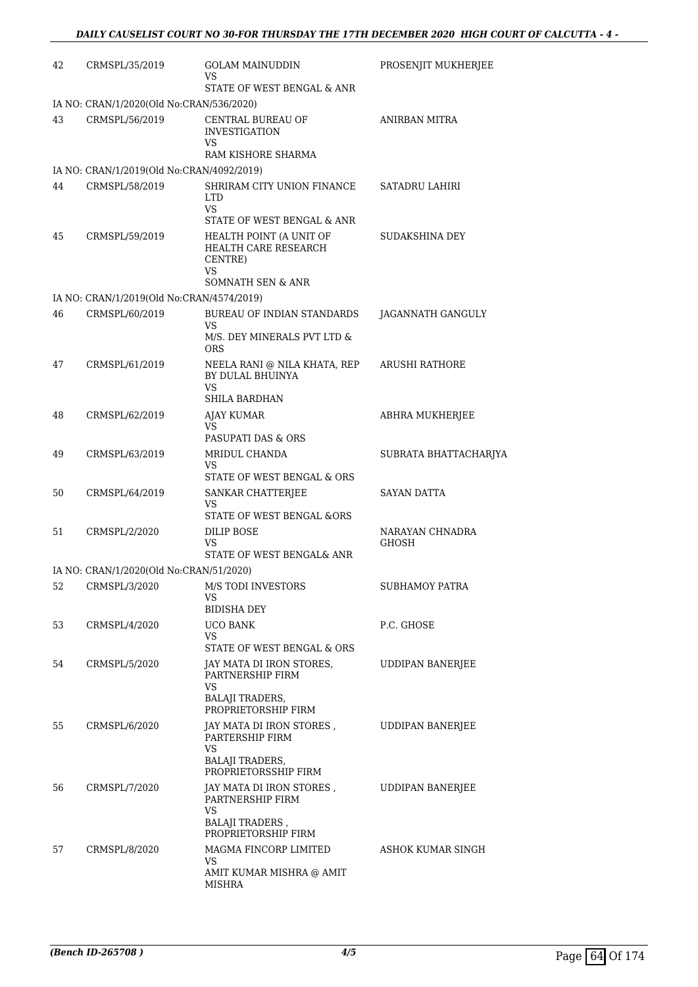| 42 | CRMSPL/35/2019                            | <b>GOLAM MAINUDDIN</b><br>VS                                                                 | PROSENJIT MUKHERJEE      |
|----|-------------------------------------------|----------------------------------------------------------------------------------------------|--------------------------|
|    |                                           | STATE OF WEST BENGAL & ANR                                                                   |                          |
|    | IA NO: CRAN/1/2020(Old No:CRAN/536/2020)  |                                                                                              |                          |
| 43 | CRMSPL/56/2019                            | CENTRAL BUREAU OF<br><b>INVESTIGATION</b><br>VS                                              | <b>ANIRBAN MITRA</b>     |
|    |                                           | RAM KISHORE SHARMA                                                                           |                          |
|    | IA NO: CRAN/1/2019(Old No:CRAN/4092/2019) |                                                                                              |                          |
| 44 | CRMSPL/58/2019                            | SHRIRAM CITY UNION FINANCE<br><b>LTD</b><br><b>VS</b>                                        | <b>SATADRU LAHIRI</b>    |
|    |                                           | STATE OF WEST BENGAL & ANR                                                                   |                          |
| 45 | CRMSPL/59/2019                            | HEALTH POINT (A UNIT OF<br>HEALTH CARE RESEARCH<br>CENTRE)<br><b>VS</b><br>SOMNATH SEN & ANR | SUDAKSHINA DEY           |
|    |                                           |                                                                                              |                          |
|    | IA NO: CRAN/1/2019(Old No:CRAN/4574/2019) | <b>BUREAU OF INDIAN STANDARDS</b>                                                            |                          |
| 46 | CRMSPL/60/2019                            | VS                                                                                           | JAGANNATH GANGULY        |
|    |                                           | M/S. DEY MINERALS PVT LTD &<br><b>ORS</b>                                                    |                          |
| 47 | CRMSPL/61/2019                            | NEELA RANI @ NILA KHATA, REP<br>BY DULAL BHUINYA<br>VS                                       | ARUSHI RATHORE           |
|    |                                           | SHILA BARDHAN                                                                                |                          |
| 48 | CRMSPL/62/2019                            | <b>AJAY KUMAR</b><br><b>VS</b>                                                               | ABHRA MUKHERJEE          |
|    |                                           | PASUPATI DAS & ORS                                                                           |                          |
| 49 | CRMSPL/63/2019                            | MRIDUL CHANDA<br>VS                                                                          | SUBRATA BHATTACHARJYA    |
|    |                                           | STATE OF WEST BENGAL & ORS                                                                   |                          |
| 50 | CRMSPL/64/2019                            | SANKAR CHATTERJEE<br>VS                                                                      | SAYAN DATTA              |
|    |                                           | STATE OF WEST BENGAL &ORS                                                                    |                          |
| 51 | CRMSPL/2/2020                             | DILIP BOSE<br>VS<br>STATE OF WEST BENGAL& ANR                                                | NARAYAN CHNADRA<br>GHOSH |
|    | IA NO: CRAN/1/2020(Old No:CRAN/51/2020)   |                                                                                              |                          |
| 52 | CRMSPL/3/2020                             | M/S TODI INVESTORS                                                                           | SUBHAMOY PATRA           |
|    |                                           | VS<br><b>BIDISHA DEY</b>                                                                     |                          |
| 53 | CRMSPL/4/2020                             | <b>UCO BANK</b>                                                                              | P.C. GHOSE               |
|    |                                           | VS<br>STATE OF WEST BENGAL & ORS                                                             |                          |
| 54 | CRMSPL/5/2020                             | JAY MATA DI IRON STORES,<br>PARTNERSHIP FIRM                                                 | UDDIPAN BANERJEE         |
|    |                                           | VS<br><b>BALAJI TRADERS,</b><br>PROPRIETORSHIP FIRM                                          |                          |
| 55 | CRMSPL/6/2020                             | JAY MATA DI IRON STORES,<br>PARTERSHIP FIRM<br>VS                                            | <b>UDDIPAN BANERJEE</b>  |
|    |                                           | <b>BALAJI TRADERS,</b><br>PROPRIETORSSHIP FIRM                                               |                          |
| 56 | CRMSPL/7/2020                             | JAY MATA DI IRON STORES ,<br>PARTNERSHIP FIRM<br>VS                                          | <b>UDDIPAN BANERJEE</b>  |
|    |                                           | <b>BALAJI TRADERS</b> ,<br>PROPRIETORSHIP FIRM                                               |                          |
| 57 | CRMSPL/8/2020                             | MAGMA FINCORP LIMITED<br>VS                                                                  | ASHOK KUMAR SINGH        |
|    |                                           | AMIT KUMAR MISHRA @ AMIT<br><b>MISHRA</b>                                                    |                          |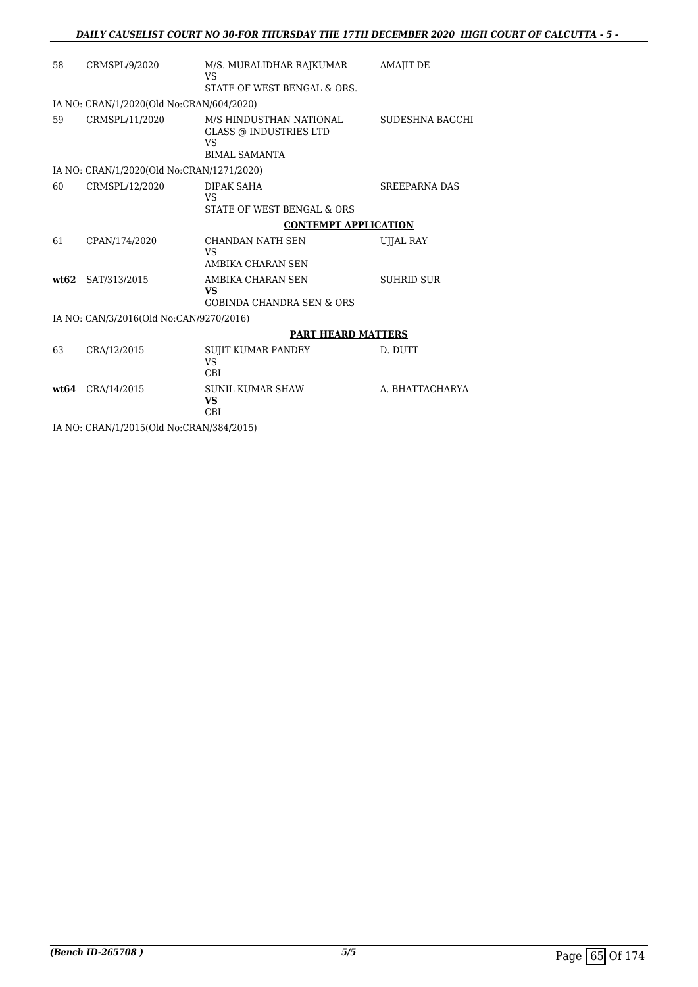| 58   | CRMSPL/9/2020                             | M/S. MURALIDHAR RAJKUMAR<br><b>VS</b>                                                  | <b>AMAJIT DE</b>     |
|------|-------------------------------------------|----------------------------------------------------------------------------------------|----------------------|
|      |                                           | STATE OF WEST BENGAL & ORS.                                                            |                      |
|      | IA NO: CRAN/1/2020(Old No:CRAN/604/2020)  |                                                                                        |                      |
| 59   | CRMSPL/11/2020                            | M/S HINDUSTHAN NATIONAL<br><b>GLASS @ INDUSTRIES LTD</b><br>VS<br><b>BIMAL SAMANTA</b> | SUDESHNA BAGCHI      |
|      | IA NO: CRAN/1/2020(Old No:CRAN/1271/2020) |                                                                                        |                      |
| 60   | CRMSPL/12/2020                            | DIPAK SAHA<br>VS<br>STATE OF WEST BENGAL & ORS                                         | <b>SREEPARNA DAS</b> |
|      |                                           | <b>CONTEMPT APPLICATION</b>                                                            |                      |
| 61   | CPAN/174/2020                             | CHANDAN NATH SEN                                                                       | UJJAL RAY            |
|      |                                           | <b>VS</b><br>AMBIKA CHARAN SEN                                                         |                      |
| wt62 | SAT/313/2015                              | AMBIKA CHARAN SEN<br><b>VS</b><br><b>GOBINDA CHANDRA SEN &amp; ORS</b>                 | <b>SUHRID SUR</b>    |
|      | IA NO: CAN/3/2016(Old No:CAN/9270/2016)   |                                                                                        |                      |
|      |                                           | <b>PART HEARD MATTERS</b>                                                              |                      |
| 63   |                                           |                                                                                        |                      |
|      | CRA/12/2015                               | <b>SUJIT KUMAR PANDEY</b><br><b>VS</b><br>CBI                                          | D. DUTT              |
|      | wt64 CRA/14/2015                          | <b>SUNIL KUMAR SHAW</b><br><b>VS</b><br>CBI                                            | A. BHATTACHARYA      |
|      | IA NO: CRAN/1/2015(Old No:CRAN/384/2015)  |                                                                                        |                      |
|      |                                           |                                                                                        |                      |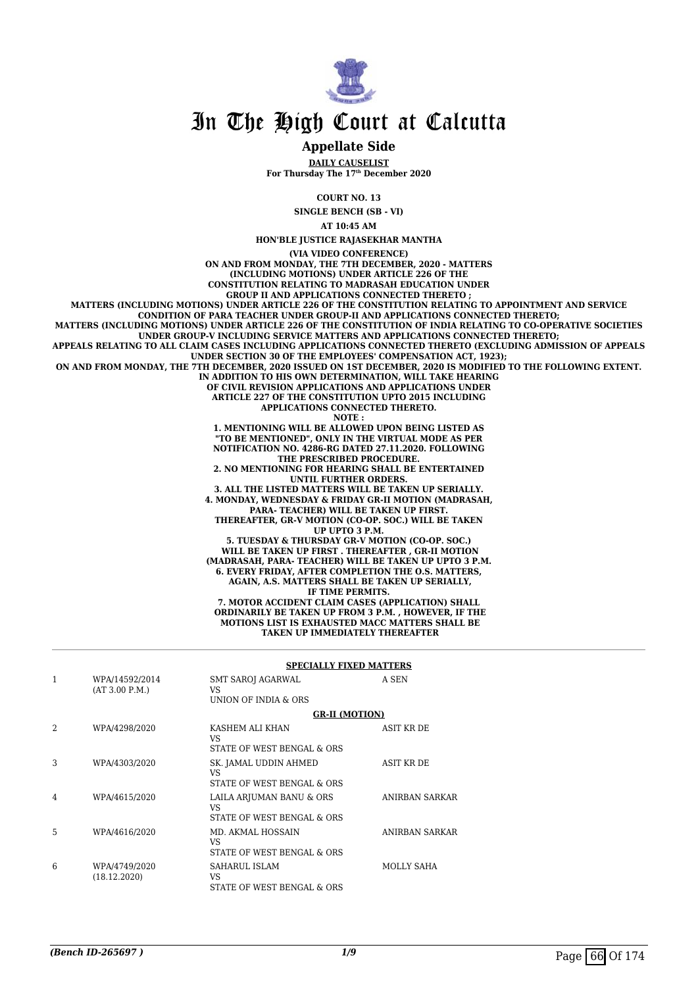

#### **Appellate Side**

**DAILY CAUSELIST For Thursday The 17th December 2020**

**COURT NO. 13**

**SINGLE BENCH (SB - VI)**

**AT 10:45 AM**

**HON'BLE JUSTICE RAJASEKHAR MANTHA (VIA VIDEO CONFERENCE) ON AND FROM MONDAY, THE 7TH DECEMBER, 2020 - MATTERS (INCLUDING MOTIONS) UNDER ARTICLE 226 OF THE CONSTITUTION RELATING TO MADRASAH EDUCATION UNDER GROUP II AND APPLICATIONS CONNECTED THERETO ; MATTERS (INCLUDING MOTIONS) UNDER ARTICLE 226 OF THE CONSTITUTION RELATING TO APPOINTMENT AND SERVICE CONDITION OF PARA TEACHER UNDER GROUP-II AND APPLICATIONS CONNECTED THERETO; MATTERS (INCLUDING MOTIONS) UNDER ARTICLE 226 OF THE CONSTITUTION OF INDIA RELATING TO CO-OPERATIVE SOCIETIES UNDER GROUP-V INCLUDING SERVICE MATTERS AND APPLICATIONS CONNECTED THERETO; APPEALS RELATING TO ALL CLAIM CASES INCLUDING APPLICATIONS CONNECTED THERETO (EXCLUDING ADMISSION OF APPEALS**

**UNDER SECTION 30 OF THE EMPLOYEES' COMPENSATION ACT, 1923); ON AND FROM MONDAY, THE 7TH DECEMBER, 2020 ISSUED ON 1ST DECEMBER, 2020 IS MODIFIED TO THE FOLLOWING EXTENT.**

**IN ADDITION TO HIS OWN DETERMINATION, WILL TAKE HEARING OF CIVIL REVISION APPLICATIONS AND APPLICATIONS UNDER**

**ARTICLE 227 OF THE CONSTITUTION UPTO 2015 INCLUDING APPLICATIONS CONNECTED THERETO.**

**NOTE :**

**1. MENTIONING WILL BE ALLOWED UPON BEING LISTED AS "TO BE MENTIONED", ONLY IN THE VIRTUAL MODE AS PER NOTIFICATION NO. 4286-RG DATED 27.11.2020. FOLLOWING THE PRESCRIBED PROCEDURE.**

**2. NO MENTIONING FOR HEARING SHALL BE ENTERTAINED UNTIL FURTHER ORDERS.**

**3. ALL THE LISTED MATTERS WILL BE TAKEN UP SERIALLY. 4. MONDAY, WEDNESDAY & FRIDAY GR-II MOTION (MADRASAH, PARA- TEACHER) WILL BE TAKEN UP FIRST.**

**THEREAFTER, GR-V MOTION (CO-OP. SOC.) WILL BE TAKEN UP UPTO 3 P.M.**

**5. TUESDAY & THURSDAY GR-V MOTION (CO-OP. SOC.) WILL BE TAKEN UP FIRST . THEREAFTER , GR-II MOTION (MADRASAH, PARA- TEACHER) WILL BE TAKEN UP UPTO 3 P.M. 6. EVERY FRIDAY, AFTER COMPLETION THE O.S. MATTERS, AGAIN, A.S. MATTERS SHALL BE TAKEN UP SERIALLY, IF TIME PERMITS. 7. MOTOR ACCIDENT CLAIM CASES (APPLICATION) SHALL ORDINARILY BE TAKEN UP FROM 3 P.M. , HOWEVER, IF THE MOTIONS LIST IS EXHAUSTED MACC MATTERS SHALL BE**

 **TAKEN UP IMMEDIATELY THEREAFTER**

|               |                                  | <b>SPECIALLY FIXED MATTERS</b>                                |                   |  |
|---------------|----------------------------------|---------------------------------------------------------------|-------------------|--|
| 1             | WPA/14592/2014<br>(AT 3.00 P.M.) | SMT SAROJ AGARWAL<br>VS<br>UNION OF INDIA & ORS               | A SEN             |  |
|               |                                  | <b>GR-II (MOTION)</b>                                         |                   |  |
| $\mathcal{L}$ | WPA/4298/2020                    | KASHEM ALI KHAN<br>VS.<br>STATE OF WEST BENGAL & ORS          | <b>ASIT KR DE</b> |  |
| 3             | WPA/4303/2020                    | SK. JAMAL UDDIN AHMED<br>VS.<br>STATE OF WEST BENGAL & ORS    | <b>ASIT KR DE</b> |  |
| 4             | WPA/4615/2020                    | LAILA ARJUMAN BANU & ORS<br>VS.<br>STATE OF WEST BENGAL & ORS | ANIRBAN SARKAR    |  |
| 5             | WPA/4616/2020                    | MD. AKMAL HOSSAIN<br>VS.<br>STATE OF WEST BENGAL & ORS        | ANIRBAN SARKAR    |  |
| 6             | WPA/4749/2020<br>(18.12.2020)    | SAHARUL ISLAM<br>VS.<br>STATE OF WEST BENGAL & ORS            | MOLLY SAHA        |  |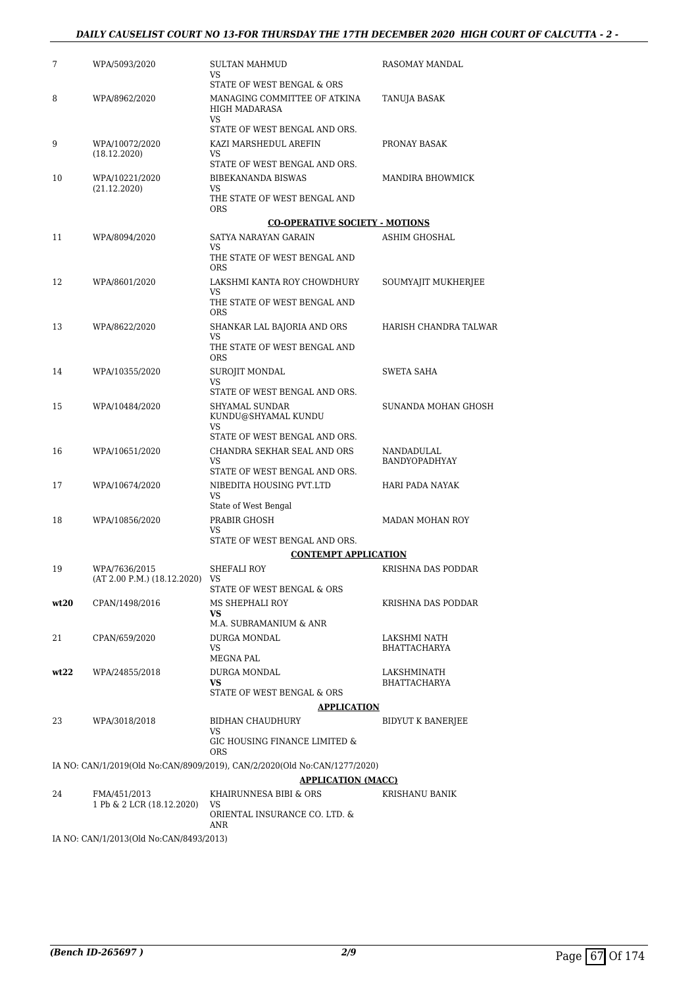#### *DAILY CAUSELIST COURT NO 13-FOR THURSDAY THE 17TH DECEMBER 2020 HIGH COURT OF CALCUTTA - 2 -*

| 7    | WPA/5093/2020                                   | SULTAN MAHMUD<br>VS                                                                                    | RASOMAY MANDAL                      |
|------|-------------------------------------------------|--------------------------------------------------------------------------------------------------------|-------------------------------------|
| 8    | WPA/8962/2020                                   | STATE OF WEST BENGAL & ORS<br>MANAGING COMMITTEE OF ATKINA                                             | TANUJA BASAK                        |
|      |                                                 | HIGH MADARASA<br>VS                                                                                    |                                     |
|      |                                                 | STATE OF WEST BENGAL AND ORS.                                                                          |                                     |
| 9    | WPA/10072/2020<br>(18.12.2020)                  | KAZI MARSHEDUL AREFIN<br>VS                                                                            | PRONAY BASAK                        |
|      |                                                 | STATE OF WEST BENGAL AND ORS.                                                                          |                                     |
| 10   | WPA/10221/2020<br>(21.12.2020)                  | BIBEKANANDA BISWAS<br>VS                                                                               | MANDIRA BHOWMICK                    |
|      |                                                 | THE STATE OF WEST BENGAL AND<br><b>ORS</b>                                                             |                                     |
|      |                                                 | <b>CO-OPERATIVE SOCIETY - MOTIONS</b>                                                                  |                                     |
| 11   | WPA/8094/2020                                   | SATYA NARAYAN GARAIN<br>VS                                                                             | ASHIM GHOSHAL                       |
|      |                                                 | THE STATE OF WEST BENGAL AND<br><b>ORS</b>                                                             |                                     |
| 12   | WPA/8601/2020                                   | LAKSHMI KANTA ROY CHOWDHURY                                                                            | SOUMYAJIT MUKHERJEE                 |
|      |                                                 | VS<br>THE STATE OF WEST BENGAL AND<br><b>ORS</b>                                                       |                                     |
| 13   | WPA/8622/2020                                   | SHANKAR LAL BAJORIA AND ORS                                                                            | HARISH CHANDRA TALWAR               |
|      |                                                 | VS<br>THE STATE OF WEST BENGAL AND<br><b>ORS</b>                                                       |                                     |
| 14   | WPA/10355/2020                                  | <b>SUROJIT MONDAL</b>                                                                                  | <b>SWETA SAHA</b>                   |
|      |                                                 | VS<br>STATE OF WEST BENGAL AND ORS.                                                                    |                                     |
| 15   | WPA/10484/2020                                  | SHYAMAL SUNDAR                                                                                         | SUNANDA MOHAN GHOSH                 |
|      |                                                 | KUNDU@SHYAMAL KUNDU<br>VS                                                                              |                                     |
|      |                                                 | STATE OF WEST BENGAL AND ORS.                                                                          |                                     |
| 16   | WPA/10651/2020                                  | CHANDRA SEKHAR SEAL AND ORS<br>VS                                                                      | NANDADULAL<br>BANDYOPADHYAY         |
|      |                                                 | STATE OF WEST BENGAL AND ORS.                                                                          |                                     |
| 17   | WPA/10674/2020                                  | NIBEDITA HOUSING PVT.LTD<br>VS                                                                         | HARI PADA NAYAK                     |
|      |                                                 | State of West Bengal                                                                                   |                                     |
| 18   | WPA/10856/2020                                  | PRABIR GHOSH<br>VS                                                                                     | <b>MADAN MOHAN ROY</b>              |
|      |                                                 | STATE OF WEST BENGAL AND ORS.                                                                          |                                     |
|      |                                                 | <b>CONTEMPT APPLICATION</b>                                                                            |                                     |
| 19   | WPA/7636/2015<br>(AT 2.00 P.M.) (18.12.2020) VS | SHEFALI ROY<br>STATE OF WEST BENGAL & ORS                                                              | KRISHNA DAS PODDAR                  |
| wt20 | CPAN/1498/2016                                  | MS SHEPHALI ROY                                                                                        | KRISHNA DAS PODDAR                  |
|      |                                                 | VS.                                                                                                    |                                     |
| 21   | CPAN/659/2020                                   | M.A. SUBRAMANIUM & ANR                                                                                 |                                     |
|      |                                                 | DURGA MONDAL<br>VS                                                                                     | LAKSHMI NATH<br><b>BHATTACHARYA</b> |
|      |                                                 | MEGNA PAL                                                                                              |                                     |
| wt22 | WPA/24855/2018                                  | DURGA MONDAL<br><b>VS</b>                                                                              | LAKSHMINATH<br>BHATTACHARYA         |
|      |                                                 | STATE OF WEST BENGAL & ORS<br><b>APPLICATION</b>                                                       |                                     |
| 23   | WPA/3018/2018                                   | BIDHAN CHAUDHURY                                                                                       | BIDYUT K BANERJEE                   |
|      |                                                 | VS<br>GIC HOUSING FINANCE LIMITED &                                                                    |                                     |
|      |                                                 | <b>ORS</b>                                                                                             |                                     |
|      |                                                 | IA NO: CAN/1/2019(Old No:CAN/8909/2019), CAN/2/2020(Old No:CAN/1277/2020)<br><b>APPLICATION (MACC)</b> |                                     |
| 24   | FMA/451/2013                                    | KHAIRUNNESA BIBI & ORS                                                                                 | KRISHANU BANIK                      |
|      | 1 Pb & 2 LCR (18.12.2020)                       | VS<br>ORIENTAL INSURANCE CO. LTD. &                                                                    |                                     |
|      | IA NO: CAN/1/2013(Old No:CAN/8493/2013)         | ANR                                                                                                    |                                     |
|      |                                                 |                                                                                                        |                                     |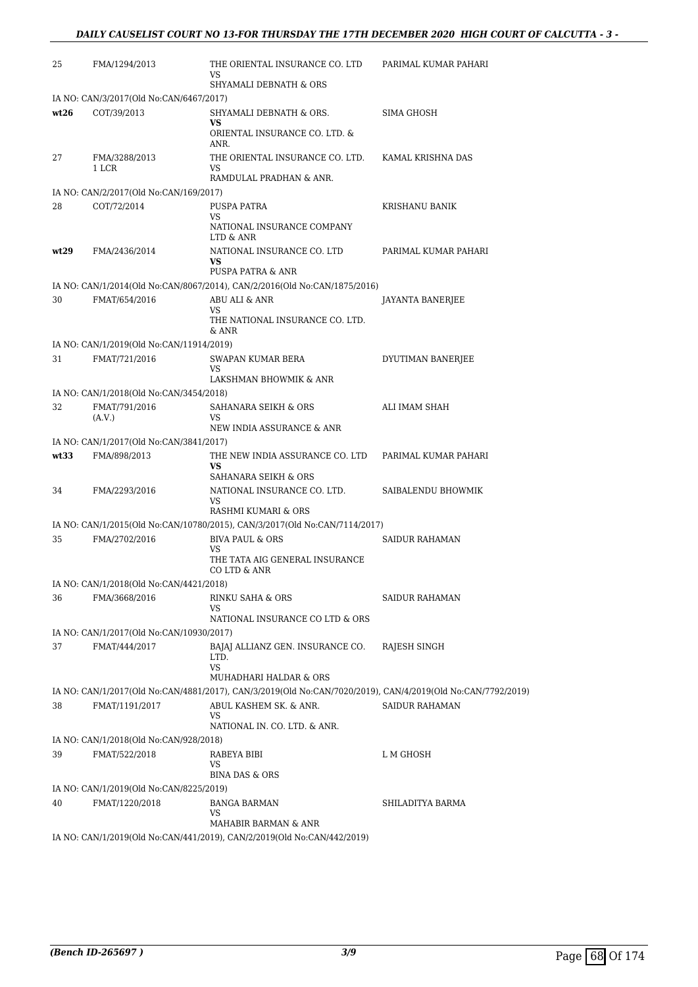| 25   | FMA/1294/2013                                             | THE ORIENTAL INSURANCE CO. LTD<br>VS<br>SHYAMALI DEBNATH & ORS                                              | PARIMAL KUMAR PAHARI  |
|------|-----------------------------------------------------------|-------------------------------------------------------------------------------------------------------------|-----------------------|
|      | IA NO: CAN/3/2017(Old No:CAN/6467/2017)                   |                                                                                                             |                       |
| wt26 | COT/39/2013                                               | SHYAMALI DEBNATH & ORS.                                                                                     | SIMA GHOSH            |
|      |                                                           | VS<br>ORIENTAL INSURANCE CO. LTD. &<br>ANR.                                                                 |                       |
| 27   | FMA/3288/2013<br>1 LCR                                    | THE ORIENTAL INSURANCE CO. LTD.<br>VS                                                                       | KAMAL KRISHNA DAS     |
|      |                                                           | RAMDULAL PRADHAN & ANR.                                                                                     |                       |
|      | IA NO: CAN/2/2017(Old No:CAN/169/2017)                    |                                                                                                             |                       |
| 28   | COT/72/2014                                               | PUSPA PATRA<br>VS.                                                                                          | KRISHANU BANIK        |
|      |                                                           | NATIONAL INSURANCE COMPANY<br>LTD & ANR                                                                     |                       |
| wt29 | FMA/2436/2014                                             | NATIONAL INSURANCE CO. LTD<br><b>VS</b>                                                                     | PARIMAL KUMAR PAHARI  |
|      |                                                           | PUSPA PATRA & ANR                                                                                           |                       |
| 30   |                                                           | IA NO: CAN/1/2014(Old No:CAN/8067/2014), CAN/2/2016(Old No:CAN/1875/2016)<br>ABU ALI & ANR                  |                       |
|      | FMAT/654/2016                                             | VS<br>THE NATIONAL INSURANCE CO. LTD.                                                                       | JAYANTA BANERJEE      |
|      |                                                           | & ANR                                                                                                       |                       |
| 31   | IA NO: CAN/1/2019(Old No:CAN/11914/2019)<br>FMAT/721/2016 | SWAPAN KUMAR BERA                                                                                           | DYUTIMAN BANERJEE     |
|      |                                                           | <b>VS</b>                                                                                                   |                       |
|      |                                                           | LAKSHMAN BHOWMIK & ANR                                                                                      |                       |
|      | IA NO: CAN/1/2018(Old No:CAN/3454/2018)                   |                                                                                                             |                       |
| 32   | FMAT/791/2016<br>(A.V.)                                   | SAHANARA SEIKH & ORS<br>VS                                                                                  | ALI IMAM SHAH         |
|      |                                                           | NEW INDIA ASSURANCE & ANR                                                                                   |                       |
|      | IA NO: CAN/1/2017(Old No:CAN/3841/2017)                   |                                                                                                             |                       |
| wt33 | FMA/898/2013                                              | THE NEW INDIA ASSURANCE CO. LTD<br><b>VS</b><br>SAHANARA SEIKH & ORS                                        | PARIMAL KUMAR PAHARI  |
| 34   | FMA/2293/2016                                             | NATIONAL INSURANCE CO. LTD.<br>VS                                                                           | SAIBALENDU BHOWMIK    |
|      |                                                           | RASHMI KUMARI & ORS                                                                                         |                       |
|      |                                                           | IA NO: CAN/1/2015(Old No:CAN/10780/2015), CAN/3/2017(Old No:CAN/7114/2017)                                  |                       |
| 35   | FMA/2702/2016                                             | <b>BIVA PAUL &amp; ORS</b><br><b>VS</b>                                                                     | <b>SAIDUR RAHAMAN</b> |
|      |                                                           | THE TATA AIG GENERAL INSURANCE<br>CO LTD & ANR                                                              |                       |
|      | IA NO: CAN/1/2018(Old No:CAN/4421/2018)                   |                                                                                                             |                       |
| 36   | FMA/3668/2016                                             | RINKU SAHA & ORS<br>VS                                                                                      | <b>SAIDUR RAHAMAN</b> |
|      |                                                           | NATIONAL INSURANCE CO LTD & ORS                                                                             |                       |
|      | IA NO: CAN/1/2017(Old No:CAN/10930/2017)                  |                                                                                                             |                       |
| 37   | FMAT/444/2017                                             | BAJAJ ALLIANZ GEN. INSURANCE CO.<br>LTD.<br><b>VS</b>                                                       | RAJESH SINGH          |
|      |                                                           | MUHADHARI HALDAR & ORS                                                                                      |                       |
|      |                                                           | IA NO: CAN/1/2017(Old No:CAN/4881/2017), CAN/3/2019(Old No:CAN/7020/2019), CAN/4/2019(Old No:CAN/7792/2019) |                       |
| 38   | FMAT/1191/2017                                            | ABUL KASHEM SK. & ANR.<br>VS<br>NATIONAL IN. CO. LTD. & ANR.                                                | <b>SAIDUR RAHAMAN</b> |
|      | IA NO: CAN/1/2018(Old No:CAN/928/2018)                    |                                                                                                             |                       |
| 39   | FMAT/522/2018                                             | RABEYA BIBI<br>VS                                                                                           | L M GHOSH             |
|      |                                                           | <b>BINA DAS &amp; ORS</b>                                                                                   |                       |
|      | IA NO: CAN/1/2019(Old No:CAN/8225/2019)                   |                                                                                                             |                       |
| 40   | FMAT/1220/2018                                            | <b>BANGA BARMAN</b><br>VS<br>MAHABIR BARMAN & ANR                                                           | SHILADITYA BARMA      |
|      |                                                           | IA NO: CAN/1/2019(Old No:CAN/441/2019), CAN/2/2019(Old No:CAN/442/2019)                                     |                       |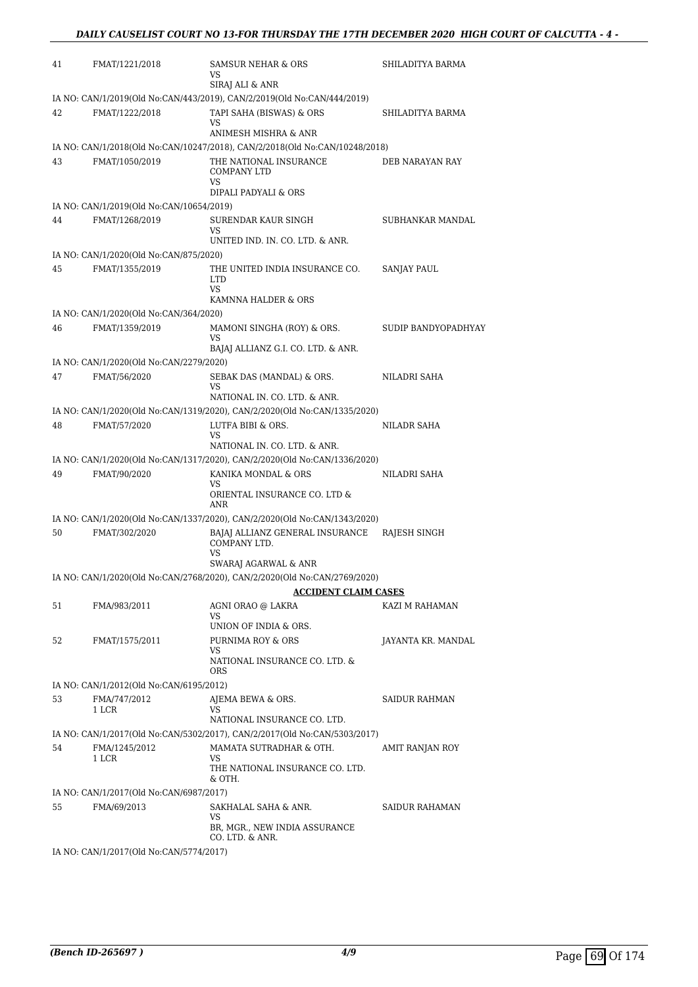| 41 | FMAT/1221/2018                           | SAMSUR NEHAR & ORS<br>VS<br>SIRAJ ALI & ANR                                 | SHILADITYA BARMA    |
|----|------------------------------------------|-----------------------------------------------------------------------------|---------------------|
|    |                                          | IA NO: CAN/1/2019(Old No:CAN/443/2019), CAN/2/2019(Old No:CAN/444/2019)     |                     |
| 42 | FMAT/1222/2018                           | TAPI SAHA (BISWAS) & ORS<br>VS                                              | SHILADITYA BARMA    |
|    |                                          | ANIMESH MISHRA & ANR                                                        |                     |
|    |                                          | IA NO: CAN/1/2018(Old No:CAN/10247/2018), CAN/2/2018(Old No:CAN/10248/2018) |                     |
| 43 | FMAT/1050/2019                           | THE NATIONAL INSURANCE<br><b>COMPANY LTD</b><br>VS                          | DEB NARAYAN RAY     |
|    |                                          | DIPALI PADYALI & ORS                                                        |                     |
|    | IA NO: CAN/1/2019(Old No:CAN/10654/2019) |                                                                             |                     |
| 44 | FMAT/1268/2019                           | SURENDAR KAUR SINGH<br>VS<br>UNITED IND. IN. CO. LTD. & ANR.                | SUBHANKAR MANDAL    |
|    | IA NO: CAN/1/2020(Old No:CAN/875/2020)   |                                                                             |                     |
| 45 | FMAT/1355/2019                           | THE UNITED INDIA INSURANCE CO.<br><b>LTD</b>                                | SANJAY PAUL         |
|    |                                          | <b>VS</b><br>KAMNNA HALDER & ORS                                            |                     |
|    | IA NO: CAN/1/2020(Old No:CAN/364/2020)   |                                                                             |                     |
| 46 | FMAT/1359/2019                           | MAMONI SINGHA (ROY) & ORS.<br>VS                                            | SUDIP BANDYOPADHYAY |
|    |                                          | BAJAJ ALLIANZ G.I. CO. LTD. & ANR.                                          |                     |
|    | IA NO: CAN/1/2020(Old No:CAN/2279/2020)  |                                                                             |                     |
| 47 | FMAT/56/2020                             | SEBAK DAS (MANDAL) & ORS.<br>VS<br>NATIONAL IN. CO. LTD. & ANR.             | NILADRI SAHA        |
|    |                                          | IA NO: CAN/1/2020(Old No:CAN/1319/2020), CAN/2/2020(Old No:CAN/1335/2020)   |                     |
| 48 | FMAT/57/2020                             | LUTFA BIBI & ORS.<br>VS                                                     | NILADR SAHA         |
|    |                                          | NATIONAL IN. CO. LTD. & ANR.                                                |                     |
|    |                                          | IA NO: CAN/1/2020(Old No:CAN/1317/2020), CAN/2/2020(Old No:CAN/1336/2020)   |                     |
| 49 | FMAT/90/2020                             | KANIKA MONDAL & ORS                                                         | NILADRI SAHA        |
|    |                                          | VS<br>ORIENTAL INSURANCE CO. LTD &<br>ANR                                   |                     |
|    |                                          | IA NO: CAN/1/2020(Old No:CAN/1337/2020), CAN/2/2020(Old No:CAN/1343/2020)   |                     |
| 50 | FMAT/302/2020                            | BAJAJ ALLIANZ GENERAL INSURANCE<br>COMPANY LTD.                             | RAJESH SINGH        |
|    |                                          | VS<br>SWARAJ AGARWAL & ANR                                                  |                     |
|    |                                          | IA NO: CAN/1/2020(Old No:CAN/2768/2020), CAN/2/2020(Old No:CAN/2769/2020)   |                     |
|    |                                          | <b>ACCIDENT CLAIM CASES</b>                                                 |                     |
| 51 | FMA/983/2011                             | AGNI ORAO @ LAKRA<br>VS.<br>UNION OF INDIA & ORS.                           | KAZI M RAHAMAN      |
| 52 | FMAT/1575/2011                           | PURNIMA ROY & ORS                                                           | JAYANTA KR. MANDAL  |
|    |                                          | VS<br>NATIONAL INSURANCE CO. LTD. &<br>ORS                                  |                     |
|    | IA NO: CAN/1/2012(Old No:CAN/6195/2012)  |                                                                             |                     |
| 53 | FMA/747/2012                             | AJEMA BEWA & ORS.                                                           | SAIDUR RAHMAN       |
|    | 1 LCR                                    | VS<br>NATIONAL INSURANCE CO. LTD.                                           |                     |
|    |                                          | IA NO: CAN/1/2017(Old No:CAN/5302/2017), CAN/2/2017(Old No:CAN/5303/2017)   |                     |
| 54 | FMA/1245/2012                            | MAMATA SUTRADHAR & OTH.                                                     | AMIT RANJAN ROY     |
|    | 1 LCR                                    | VS<br>THE NATIONAL INSURANCE CO. LTD.<br>& OTH.                             |                     |
|    | IA NO: CAN/1/2017(Old No:CAN/6987/2017)  |                                                                             |                     |
| 55 | FMA/69/2013                              | SAKHALAL SAHA & ANR.<br>VS                                                  | SAIDUR RAHAMAN      |
|    |                                          | BR, MGR., NEW INDIA ASSURANCE<br>CO. LTD. & ANR.                            |                     |
|    | IA NO: CAN/1/2017(Old No:CAN/5774/2017)  |                                                                             |                     |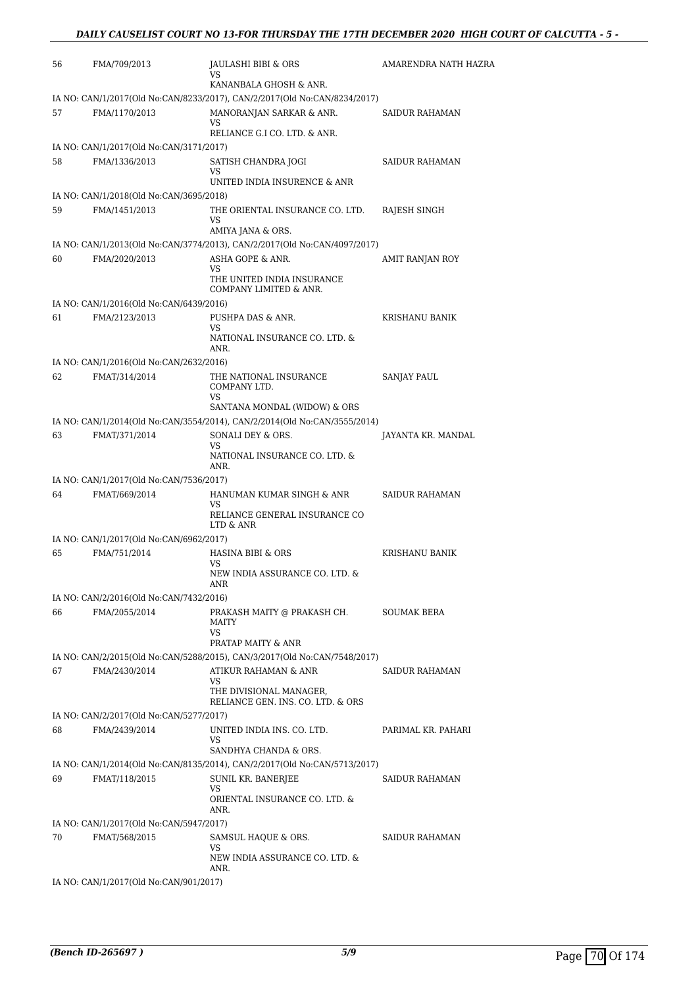| 56 | FMA/709/2013                                             | <b>JAULASHI BIBI &amp; ORS</b><br>VS.                                     | AMARENDRA NATH HAZRA  |
|----|----------------------------------------------------------|---------------------------------------------------------------------------|-----------------------|
|    |                                                          | KANANBALA GHOSH & ANR.                                                    |                       |
|    |                                                          | IA NO: CAN/1/2017(Old No:CAN/8233/2017), CAN/2/2017(Old No:CAN/8234/2017) |                       |
| 57 | FMA/1170/2013                                            | MANORANJAN SARKAR & ANR.<br>VS                                            | SAIDUR RAHAMAN        |
|    |                                                          | RELIANCE G.I CO. LTD. & ANR.                                              |                       |
|    | IA NO: CAN/1/2017(Old No:CAN/3171/2017)                  |                                                                           |                       |
| 58 | FMA/1336/2013                                            | SATISH CHANDRA JOGI<br>VS                                                 | <b>SAIDUR RAHAMAN</b> |
|    |                                                          | UNITED INDIA INSURENCE & ANR                                              |                       |
|    | IA NO: CAN/1/2018(Old No:CAN/3695/2018)                  |                                                                           |                       |
| 59 | FMA/1451/2013                                            | THE ORIENTAL INSURANCE CO. LTD.<br>VS                                     | RAJESH SINGH          |
|    |                                                          | AMIYA JANA & ORS.                                                         |                       |
|    |                                                          | IA NO: CAN/1/2013(Old No:CAN/3774/2013), CAN/2/2017(Old No:CAN/4097/2017) |                       |
| 60 | FMA/2020/2013                                            | ASHA GOPE & ANR.<br><b>VS</b><br>THE UNITED INDIA INSURANCE               | AMIT RANJAN ROY       |
|    |                                                          | COMPANY LIMITED & ANR.                                                    |                       |
| 61 | IA NO: CAN/1/2016(Old No:CAN/6439/2016)<br>FMA/2123/2013 | PUSHPA DAS & ANR.                                                         | KRISHANU BANIK        |
|    |                                                          | <b>VS</b>                                                                 |                       |
|    |                                                          | NATIONAL INSURANCE CO. LTD. &<br>ANR.                                     |                       |
|    | IA NO: CAN/1/2016(Old No:CAN/2632/2016)                  |                                                                           |                       |
| 62 | FMAT/314/2014                                            | THE NATIONAL INSURANCE<br>COMPANY LTD.                                    | <b>SANJAY PAUL</b>    |
|    |                                                          | <b>VS</b><br>SANTANA MONDAL (WIDOW) & ORS                                 |                       |
|    |                                                          | IA NO: CAN/1/2014(Old No:CAN/3554/2014), CAN/2/2014(Old No:CAN/3555/2014) |                       |
| 63 | FMAT/371/2014                                            | SONALI DEY & ORS.                                                         | JAYANTA KR. MANDAL    |
|    |                                                          | VS<br>NATIONAL INSURANCE CO. LTD. &<br>ANR.                               |                       |
|    | IA NO: CAN/1/2017(Old No:CAN/7536/2017)                  |                                                                           |                       |
| 64 | FMAT/669/2014                                            | HANUMAN KUMAR SINGH & ANR                                                 | <b>SAIDUR RAHAMAN</b> |
|    |                                                          | VS.<br>RELIANCE GENERAL INSURANCE CO<br>LTD & ANR                         |                       |
|    | IA NO: CAN/1/2017(Old No:CAN/6962/2017)                  |                                                                           |                       |
| 65 | FMA/751/2014                                             | HASINA BIBI & ORS<br>VS                                                   | <b>KRISHANU BANIK</b> |
|    |                                                          | NEW INDIA ASSURANCE CO. LTD. &<br>ANR                                     |                       |
|    | IA NO: CAN/2/2016(Old No:CAN/7432/2016)                  |                                                                           |                       |
| 66 | FMA/2055/2014                                            | PRAKASH MAITY @ PRAKASH CH.<br>MAITY<br><b>VS</b>                         | <b>SOUMAK BERA</b>    |
|    |                                                          | PRATAP MAITY & ANR                                                        |                       |
|    |                                                          | IA NO: CAN/2/2015(Old No:CAN/5288/2015), CAN/3/2017(Old No:CAN/7548/2017) |                       |
| 67 | FMA/2430/2014                                            | ATIKUR RAHAMAN & ANR<br>VS                                                | <b>SAIDUR RAHAMAN</b> |
|    |                                                          | THE DIVISIONAL MANAGER,<br>RELIANCE GEN. INS. CO. LTD. & ORS              |                       |
|    | IA NO: CAN/2/2017(Old No:CAN/5277/2017)                  |                                                                           |                       |
| 68 | FMA/2439/2014                                            | UNITED INDIA INS. CO. LTD.<br><b>VS</b><br>SANDHYA CHANDA & ORS.          | PARIMAL KR. PAHARI    |
|    |                                                          | IA NO: CAN/1/2014(Old No:CAN/8135/2014), CAN/2/2017(Old No:CAN/5713/2017) |                       |
| 69 | FMAT/118/2015                                            | SUNIL KR. BANERJEE                                                        | SAIDUR RAHAMAN        |
|    |                                                          | VS<br>ORIENTAL INSURANCE CO. LTD. &<br>ANR.                               |                       |
|    | IA NO: CAN/1/2017(Old No:CAN/5947/2017)                  |                                                                           |                       |
| 70 | FMAT/568/2015                                            | SAMSUL HAQUE & ORS.<br>VS<br>NEW INDIA ASSURANCE CO. LTD. &               | SAIDUR RAHAMAN        |
|    |                                                          | ANR.                                                                      |                       |
|    | IA NO: CAN/1/2017(Old No:CAN/901/2017)                   |                                                                           |                       |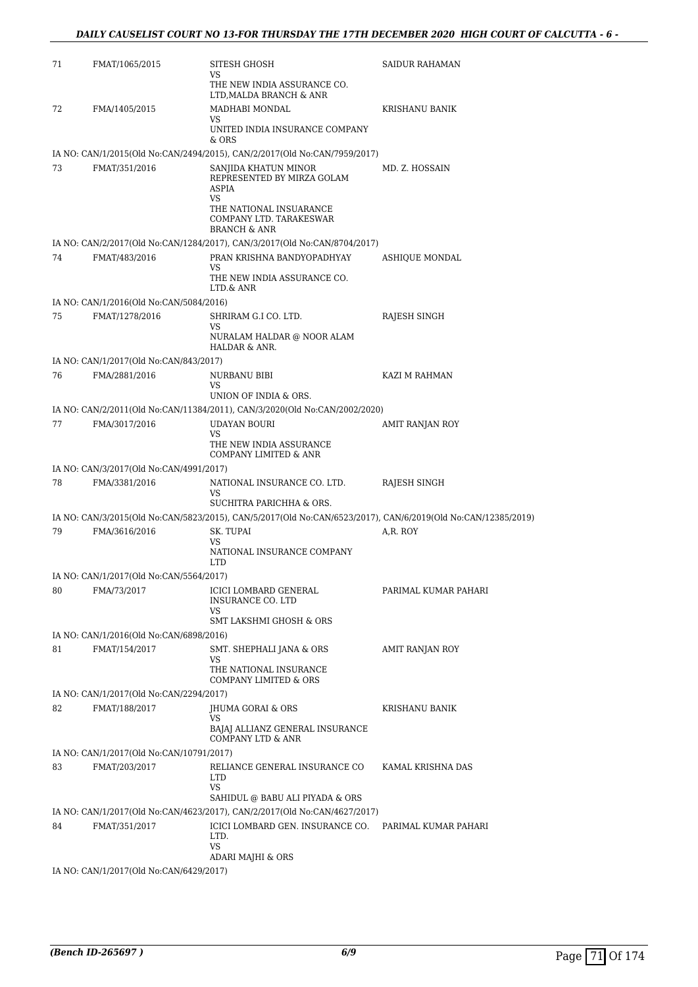| 71 | FMAT/1065/2015                           | SITESH GHOSH<br>VS.<br>THE NEW INDIA ASSURANCE CO.                                                                                                         | SAIDUR RAHAMAN       |
|----|------------------------------------------|------------------------------------------------------------------------------------------------------------------------------------------------------------|----------------------|
| 72 | FMA/1405/2015                            | LTD, MALDA BRANCH & ANR<br>MADHABI MONDAL                                                                                                                  | KRISHANU BANIK       |
|    |                                          | VS.<br>UNITED INDIA INSURANCE COMPANY<br>& ORS                                                                                                             |                      |
|    |                                          | IA NO: CAN/1/2015(Old No:CAN/2494/2015), CAN/2/2017(Old No:CAN/7959/2017)                                                                                  |                      |
| 73 | FMAT/351/2016                            | SANJIDA KHATUN MINOR<br>REPRESENTED BY MIRZA GOLAM<br><b>ASPIA</b><br>VS.<br>THE NATIONAL INSUARANCE<br>COMPANY LTD. TARAKESWAR<br><b>BRANCH &amp; ANR</b> | MD. Z. HOSSAIN       |
|    |                                          | IA NO: CAN/2/2017(Old No:CAN/1284/2017), CAN/3/2017(Old No:CAN/8704/2017)                                                                                  |                      |
| 74 | FMAT/483/2016                            | PRAN KRISHNA BANDYOPADHYAY                                                                                                                                 | ASHIQUE MONDAL       |
|    |                                          | VS<br>THE NEW INDIA ASSURANCE CO.<br>LTD.& ANR                                                                                                             |                      |
|    | IA NO: CAN/1/2016(Old No:CAN/5084/2016)  |                                                                                                                                                            |                      |
| 75 | FMAT/1278/2016                           | SHRIRAM G.I CO. LTD.<br>VS                                                                                                                                 | RAJESH SINGH         |
|    |                                          | NURALAM HALDAR @ NOOR ALAM<br>HALDAR & ANR.                                                                                                                |                      |
|    | IA NO: CAN/1/2017(Old No:CAN/843/2017)   |                                                                                                                                                            |                      |
| 76 | FMA/2881/2016                            | NURBANU BIBI<br>VS.                                                                                                                                        | KAZI M RAHMAN        |
|    |                                          | UNION OF INDIA & ORS.                                                                                                                                      |                      |
|    |                                          | IA NO: CAN/2/2011(Old No:CAN/11384/2011), CAN/3/2020(Old No:CAN/2002/2020)                                                                                 |                      |
| 77 | FMA/3017/2016                            | UDAYAN BOURI<br>VS.                                                                                                                                        | AMIT RANJAN ROY      |
|    |                                          | THE NEW INDIA ASSURANCE<br>COMPANY LIMITED & ANR                                                                                                           |                      |
|    | IA NO: CAN/3/2017(Old No:CAN/4991/2017)  |                                                                                                                                                            |                      |
| 78 | FMA/3381/2016                            | NATIONAL INSURANCE CO. LTD.<br>VS<br>SUCHITRA PARICHHA & ORS.                                                                                              | RAJESH SINGH         |
|    |                                          | IA NO: CAN/3/2015(Old No:CAN/5823/2015), CAN/5/2017(Old No:CAN/6523/2017), CAN/6/2019(Old No:CAN/12385/2019)                                               |                      |
| 79 | FMA/3616/2016                            | SK. TUPAI<br>VS<br>NATIONAL INSURANCE COMPANY<br><b>LTD</b>                                                                                                | A,R. ROY             |
|    | IA NO: CAN/1/2017(Old No:CAN/5564/2017)  |                                                                                                                                                            |                      |
| 80 | FMA/73/2017                              | ICICI LOMBARD GENERAL<br>INSURANCE CO. LTD                                                                                                                 | PARIMAL KUMAR PAHARI |
|    |                                          | VS<br>SMT LAKSHMI GHOSH & ORS                                                                                                                              |                      |
|    | IA NO: CAN/1/2016(Old No:CAN/6898/2016)  |                                                                                                                                                            |                      |
| 81 | FMAT/154/2017                            | SMT. SHEPHALI JANA & ORS                                                                                                                                   | AMIT RANJAN ROY      |
|    |                                          | VS<br>THE NATIONAL INSURANCE<br><b>COMPANY LIMITED &amp; ORS</b>                                                                                           |                      |
|    | IA NO: CAN/1/2017(Old No:CAN/2294/2017)  |                                                                                                                                                            |                      |
| 82 | FMAT/188/2017                            | JHUMA GORAI & ORS                                                                                                                                          | KRISHANU BANIK       |
|    |                                          | VS.<br>BAJAJ ALLIANZ GENERAL INSURANCE<br>COMPANY LTD & ANR                                                                                                |                      |
|    | IA NO: CAN/1/2017(Old No:CAN/10791/2017) |                                                                                                                                                            |                      |
| 83 | FMAT/203/2017                            | RELIANCE GENERAL INSURANCE CO<br>LTD.<br><b>VS</b>                                                                                                         | KAMAL KRISHNA DAS    |
|    |                                          | SAHIDUL @ BABU ALI PIYADA & ORS                                                                                                                            |                      |
|    |                                          | IA NO: CAN/1/2017(Old No:CAN/4623/2017), CAN/2/2017(Old No:CAN/4627/2017)                                                                                  |                      |
| 84 | FMAT/351/2017                            | ICICI LOMBARD GEN. INSURANCE CO.<br>LTD.<br><b>VS</b>                                                                                                      | PARIMAL KUMAR PAHARI |
|    |                                          | ADARI MAJHI & ORS                                                                                                                                          |                      |
|    | IA NO: CAN/1/2017(Old No:CAN/6429/2017)  |                                                                                                                                                            |                      |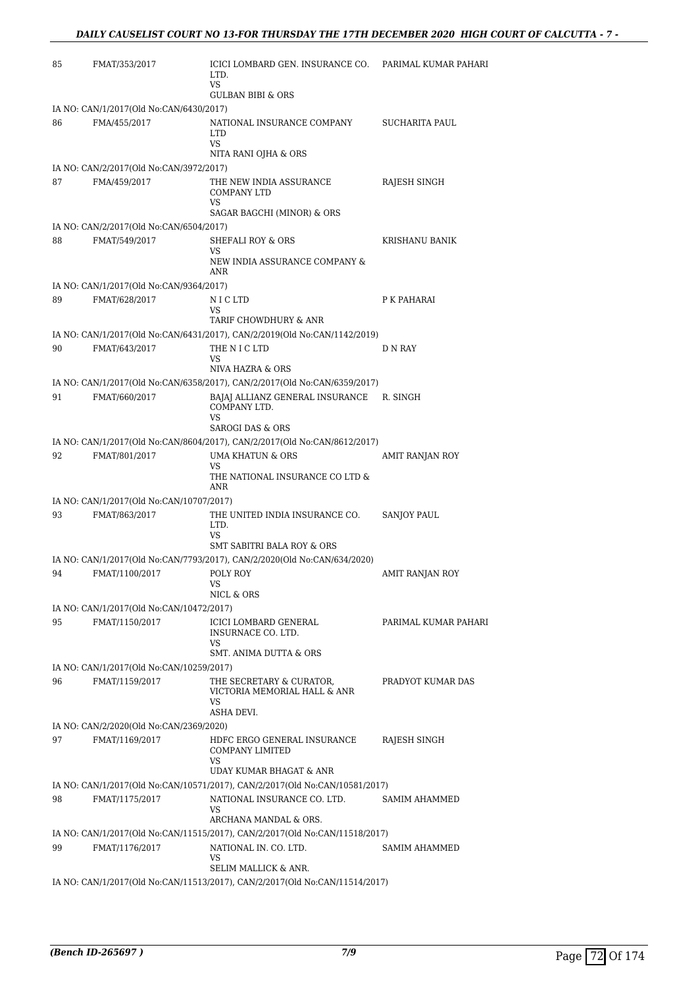| 85 | FMAT/353/2017                                           | ICICI LOMBARD GEN. INSURANCE CO.<br>LTD.<br>VS<br><b>GULBAN BIBI &amp; ORS</b>           | PARIMAL KUMAR PAHARI |
|----|---------------------------------------------------------|------------------------------------------------------------------------------------------|----------------------|
|    |                                                         |                                                                                          |                      |
| 86 | IA NO: CAN/1/2017(Old No:CAN/6430/2017)<br>FMA/455/2017 | NATIONAL INSURANCE COMPANY<br><b>LTD</b><br>VS.                                          | SUCHARITA PAUL       |
|    |                                                         | NITA RANI OJHA & ORS                                                                     |                      |
|    | IA NO: CAN/2/2017(Old No:CAN/3972/2017)                 |                                                                                          |                      |
| 87 | FMA/459/2017                                            | THE NEW INDIA ASSURANCE<br><b>COMPANY LTD</b><br><b>VS</b><br>SAGAR BAGCHI (MINOR) & ORS | RAJESH SINGH         |
|    | IA NO: CAN/2/2017(Old No:CAN/6504/2017)                 |                                                                                          |                      |
| 88 | FMAT/549/2017                                           | <b>SHEFALI ROY &amp; ORS</b>                                                             | KRISHANU BANIK       |
|    |                                                         | VS<br>NEW INDIA ASSURANCE COMPANY &<br>ANR                                               |                      |
|    | IA NO: CAN/1/2017(Old No:CAN/9364/2017)                 |                                                                                          |                      |
| 89 | FMAT/628/2017                                           | NIC LTD<br>VS<br>TARIF CHOWDHURY & ANR                                                   | P K PAHARAI          |
|    |                                                         | IA NO: CAN/1/2017(Old No:CAN/6431/2017), CAN/2/2019(Old No:CAN/1142/2019)                |                      |
| 90 | FMAT/643/2017                                           | THE N I C LTD<br>VS                                                                      | D N RAY              |
|    |                                                         | NIVA HAZRA & ORS                                                                         |                      |
|    |                                                         | IA NO: CAN/1/2017(Old No:CAN/6358/2017), CAN/2/2017(Old No:CAN/6359/2017)                |                      |
| 91 | FMAT/660/2017                                           | BAJAJ ALLIANZ GENERAL INSURANCE<br>COMPANY LTD.<br><b>VS</b>                             | R. SINGH             |
|    |                                                         | <b>SAROGI DAS &amp; ORS</b>                                                              |                      |
|    |                                                         | IA NO: CAN/1/2017(Old No:CAN/8604/2017), CAN/2/2017(Old No:CAN/8612/2017)                |                      |
| 92 | FMAT/801/2017                                           | UMA KHATUN & ORS<br>VS<br>THE NATIONAL INSURANCE CO LTD &<br>ANR                         | AMIT RANJAN ROY      |
|    | IA NO: CAN/1/2017(Old No:CAN/10707/2017)                |                                                                                          |                      |
| 93 | FMAT/863/2017                                           | THE UNITED INDIA INSURANCE CO.<br>LTD.<br>VS.                                            | <b>SANJOY PAUL</b>   |
|    |                                                         | <b>SMT SABITRI BALA ROY &amp; ORS</b>                                                    |                      |
|    |                                                         | IA NO: CAN/1/2017(Old No:CAN/7793/2017), CAN/2/2020(Old No:CAN/634/2020)                 |                      |
| 94 | FMAT/1100/2017                                          | POLY ROY<br>vs<br>NICL & ORS                                                             | AMIT RANJAN ROY      |
|    | IA NO: CAN/1/2017(Old No:CAN/10472/2017)                |                                                                                          |                      |
| 95 | FMAT/1150/2017                                          | ICICI LOMBARD GENERAL<br>INSURNACE CO. LTD.<br>VS                                        | PARIMAL KUMAR PAHARI |
|    |                                                         | SMT. ANIMA DUTTA & ORS                                                                   |                      |
|    | IA NO: CAN/1/2017(Old No:CAN/10259/2017)                |                                                                                          |                      |
| 96 | FMAT/1159/2017                                          | THE SECRETARY & CURATOR,<br>VICTORIA MEMORIAL HALL & ANR<br>VS<br>ASHA DEVI.             | PRADYOT KUMAR DAS    |
|    | IA NO: CAN/2/2020(Old No:CAN/2369/2020)                 |                                                                                          |                      |
| 97 | FMAT/1169/2017                                          | HDFC ERGO GENERAL INSURANCE<br>COMPANY LIMITED<br>VS<br>UDAY KUMAR BHAGAT & ANR          | RAJESH SINGH         |
|    |                                                         | IA NO: CAN/1/2017(Old No:CAN/10571/2017), CAN/2/2017(Old No:CAN/10581/2017)              |                      |
| 98 | FMAT/1175/2017                                          | NATIONAL INSURANCE CO. LTD.<br>VS                                                        | SAMIM AHAMMED        |
|    |                                                         | ARCHANA MANDAL & ORS.                                                                    |                      |
|    |                                                         | IA NO: CAN/1/2017(Old No:CAN/11515/2017), CAN/2/2017(Old No:CAN/11518/2017)              |                      |
| 99 | FMAT/1176/2017                                          | NATIONAL IN. CO. LTD.<br>VS<br>SELIM MALLICK & ANR.                                      | SAMIM AHAMMED        |
|    |                                                         | IA NO: CAN/1/2017(Old No:CAN/11513/2017), CAN/2/2017(Old No:CAN/11514/2017)              |                      |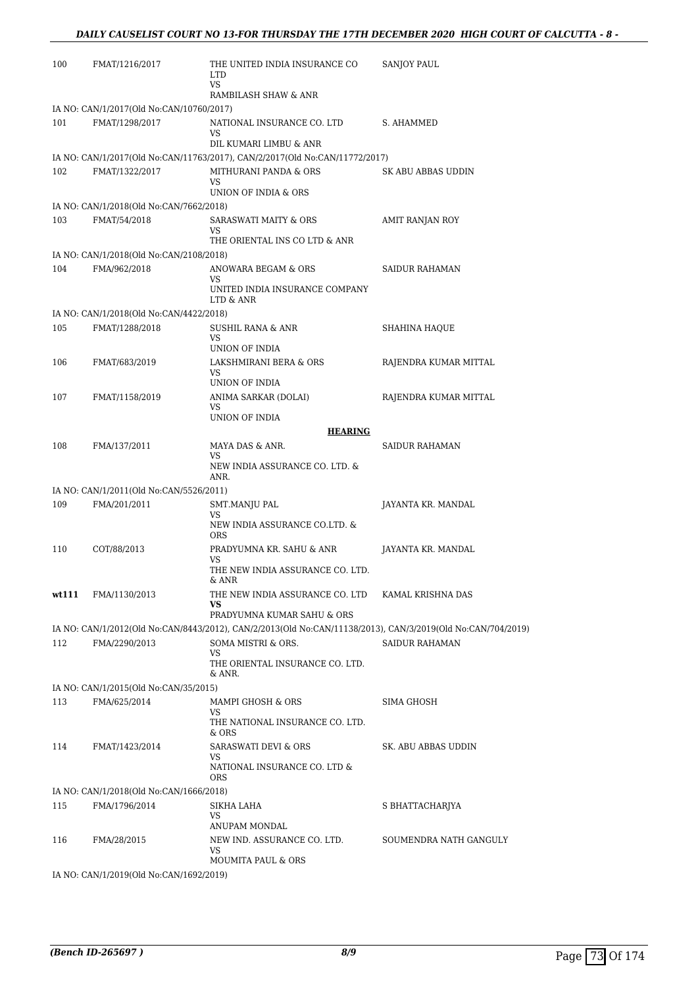| 100   | FMAT/1216/2017                                          | THE UNITED INDIA INSURANCE CO<br><b>LTD</b><br><b>VS</b><br>RAMBILASH SHAW & ANR                                                   | <b>SANJOY PAUL</b>     |
|-------|---------------------------------------------------------|------------------------------------------------------------------------------------------------------------------------------------|------------------------|
|       | IA NO: CAN/1/2017(Old No:CAN/10760/2017)                |                                                                                                                                    |                        |
| 101   | FMAT/1298/2017                                          | NATIONAL INSURANCE CO. LTD<br>VS                                                                                                   | S. AHAMMED             |
|       |                                                         | DIL KUMARI LIMBU & ANR                                                                                                             |                        |
| 102   | FMAT/1322/2017                                          | IA NO: CAN/1/2017(Old No:CAN/11763/2017), CAN/2/2017(Old No:CAN/11772/2017)<br>MITHURANI PANDA & ORS<br>VS<br>UNION OF INDIA & ORS | SK ABU ABBAS UDDIN     |
|       | IA NO: CAN/1/2018(Old No:CAN/7662/2018)                 |                                                                                                                                    |                        |
| 103   | FMAT/54/2018                                            | <b>SARASWATI MAITY &amp; ORS</b><br>VS                                                                                             | AMIT RANJAN ROY        |
|       |                                                         | THE ORIENTAL INS CO LTD & ANR                                                                                                      |                        |
| 104   | IA NO: CAN/1/2018(Old No:CAN/2108/2018)<br>FMA/962/2018 | ANOWARA BEGAM & ORS                                                                                                                | SAIDUR RAHAMAN         |
|       |                                                         | VS<br>UNITED INDIA INSURANCE COMPANY<br>LTD & ANR                                                                                  |                        |
|       | IA NO: CAN/1/2018(Old No:CAN/4422/2018)                 |                                                                                                                                    |                        |
| 105   | FMAT/1288/2018                                          | <b>SUSHIL RANA &amp; ANR</b><br><b>VS</b>                                                                                          | <b>SHAHINA HAQUE</b>   |
|       |                                                         | UNION OF INDIA                                                                                                                     |                        |
| 106   | FMAT/683/2019                                           | LAKSHMIRANI BERA & ORS<br>VS<br>UNION OF INDIA                                                                                     | RAJENDRA KUMAR MITTAL  |
| 107   | FMAT/1158/2019                                          | ANIMA SARKAR (DOLAI)<br>VS.                                                                                                        | RAJENDRA KUMAR MITTAL  |
|       |                                                         | UNION OF INDIA                                                                                                                     |                        |
|       |                                                         | <b>HEARING</b>                                                                                                                     |                        |
| 108   | FMA/137/2011                                            | MAYA DAS & ANR.<br>VS.<br>NEW INDIA ASSURANCE CO. LTD. &<br>ANR.                                                                   | SAIDUR RAHAMAN         |
|       | IA NO: CAN/1/2011(Old No:CAN/5526/2011)                 |                                                                                                                                    |                        |
| 109   | FMA/201/2011                                            | SMT.MANJU PAL                                                                                                                      | JAYANTA KR. MANDAL     |
|       |                                                         | VS.<br>NEW INDIA ASSURANCE CO.LTD. &<br><b>ORS</b>                                                                                 |                        |
| 110   | COT/88/2013                                             | PRADYUMNA KR. SAHU & ANR<br>VS.                                                                                                    | JAYANTA KR. MANDAL     |
|       |                                                         | THE NEW INDIA ASSURANCE CO. LTD.<br>& ANR                                                                                          |                        |
| wt111 | FMA/1130/2013                                           | THE NEW INDIA ASSURANCE CO. LTD<br>VS                                                                                              | KAMAL KRISHNA DAS      |
|       |                                                         | PRADYUMNA KUMAR SAHU & ORS                                                                                                         |                        |
| 112   | FMA/2290/2013                                           | IA NO: CAN/1/2012(Old No:CAN/8443/2012), CAN/2/2013(Old No:CAN/11138/2013), CAN/3/2019(Old No:CAN/704/2019)<br>SOMA MISTRI & ORS.  | <b>SAIDUR RAHAMAN</b>  |
|       |                                                         | VS<br>THE ORIENTAL INSURANCE CO. LTD.<br>& ANR.                                                                                    |                        |
|       | IA NO: CAN/1/2015(Old No:CAN/35/2015)                   |                                                                                                                                    |                        |
| 113   | FMA/625/2014                                            | MAMPI GHOSH & ORS                                                                                                                  | SIMA GHOSH             |
|       |                                                         | VS<br>THE NATIONAL INSURANCE CO. LTD.<br>& ORS                                                                                     |                        |
| 114   | FMAT/1423/2014                                          | SARASWATI DEVI & ORS                                                                                                               | SK. ABU ABBAS UDDIN    |
|       |                                                         | VS.<br>NATIONAL INSURANCE CO. LTD &<br><b>ORS</b>                                                                                  |                        |
|       | IA NO: CAN/1/2018(Old No:CAN/1666/2018)                 |                                                                                                                                    |                        |
| 115   | FMA/1796/2014                                           | SIKHA LAHA                                                                                                                         | S BHATTACHARJYA        |
|       |                                                         | VS                                                                                                                                 |                        |
| 116   | FMA/28/2015                                             | ANUPAM MONDAL<br>NEW IND. ASSURANCE CO. LTD.                                                                                       | SOUMENDRA NATH GANGULY |
|       |                                                         | VS<br>MOUMITA PAUL & ORS                                                                                                           |                        |
|       | IA NO: CAN/1/2019(Old No:CAN/1692/2019)                 |                                                                                                                                    |                        |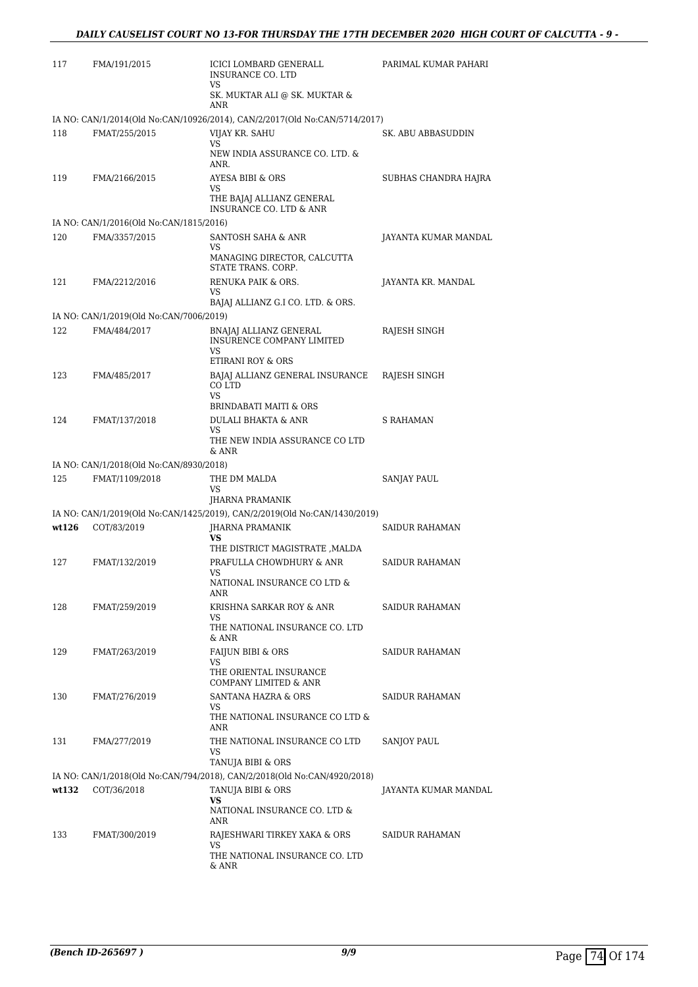| 117   | FMA/191/2015                            | ICICI LOMBARD GENERALL<br><b>INSURANCE CO. LTD</b>                             | PARIMAL KUMAR PAHARI  |
|-------|-----------------------------------------|--------------------------------------------------------------------------------|-----------------------|
|       |                                         | VS.<br>SK. MUKTAR ALI @ SK. MUKTAR &<br>ANR                                    |                       |
|       |                                         | IA NO: CAN/1/2014(Old No:CAN/10926/2014), CAN/2/2017(Old No:CAN/5714/2017)     |                       |
| 118   | FMAT/255/2015                           | VIJAY KR. SAHU                                                                 | SK. ABU ABBASUDDIN    |
|       |                                         | VS<br>NEW INDIA ASSURANCE CO. LTD. &<br>ANR.                                   |                       |
| 119   | FMA/2166/2015                           | AYESA BIBI & ORS<br>VS.                                                        | SUBHAS CHANDRA HAJRA  |
|       |                                         | THE BAJAJ ALLIANZ GENERAL<br><b>INSURANCE CO. LTD &amp; ANR</b>                |                       |
|       | IA NO: CAN/1/2016(Old No:CAN/1815/2016) |                                                                                |                       |
| 120   | FMA/3357/2015                           | SANTOSH SAHA & ANR<br>VS<br>MANAGING DIRECTOR, CALCUTTA<br>STATE TRANS. CORP.  | JAYANTA KUMAR MANDAL  |
| 121   | FMA/2212/2016                           | RENUKA PAIK & ORS.<br>VS.                                                      | JAYANTA KR. MANDAL    |
|       |                                         | BAJAJ ALLIANZ G.I CO. LTD. & ORS.                                              |                       |
|       | IA NO: CAN/1/2019(Old No:CAN/7006/2019) |                                                                                |                       |
| 122   | FMA/484/2017                            | BNAJAJ ALLIANZ GENERAL<br>INSURENCE COMPANY LIMITED<br>VS<br>ETIRANI ROY & ORS | RAJESH SINGH          |
| 123   | FMA/485/2017                            | BAJAJ ALLIANZ GENERAL INSURANCE                                                | RAJESH SINGH          |
|       |                                         | CO LTD<br><b>VS</b>                                                            |                       |
|       |                                         | <b>BRINDABATI MAITI &amp; ORS</b>                                              |                       |
| 124   | FMAT/137/2018                           | <b>DULALI BHAKTA &amp; ANR</b><br>VS                                           | <b>S RAHAMAN</b>      |
|       |                                         | THE NEW INDIA ASSURANCE CO LTD<br>& ANR                                        |                       |
|       | IA NO: CAN/1/2018(Old No:CAN/8930/2018) |                                                                                |                       |
| 125   | FMAT/1109/2018                          | THE DM MALDA<br>VS.<br>JHARNA PRAMANIK                                         | SANJAY PAUL           |
|       |                                         | IA NO: CAN/1/2019(Old No:CAN/1425/2019), CAN/2/2019(Old No:CAN/1430/2019)      |                       |
| wt126 | COT/83/2019                             | <b>IHARNA PRAMANIK</b>                                                         | <b>SAIDUR RAHAMAN</b> |
|       |                                         | <b>VS</b><br>THE DISTRICT MAGISTRATE , MALDA                                   |                       |
| 127   | FMAT/132/2019                           | PRAFULLA CHOWDHURY & ANR<br>VS                                                 | <b>SAIDUR RAHAMAN</b> |
|       |                                         | NATIONAL INSURANCE CO LTD $\&$<br>ANR                                          |                       |
| 128   | FMAT/259/2019                           | KRISHNA SARKAR ROY & ANR                                                       | SAIDUR RAHAMAN        |
|       |                                         | VS<br>THE NATIONAL INSURANCE CO. LTD<br>& ANR                                  |                       |
| 129   | FMAT/263/2019                           | <b>FAIJUN BIBI &amp; ORS</b>                                                   | <b>SAIDUR RAHAMAN</b> |
|       |                                         | VS<br>THE ORIENTAL INSURANCE<br>COMPANY LIMITED & ANR                          |                       |
| 130   | FMAT/276/2019                           | SANTANA HAZRA & ORS                                                            | <b>SAIDUR RAHAMAN</b> |
|       |                                         | VS<br>THE NATIONAL INSURANCE CO LTD &<br>ANR                                   |                       |
| 131   | FMA/277/2019                            | THE NATIONAL INSURANCE CO LTD<br>VS                                            | SANJOY PAUL           |
|       |                                         | TANUJA BIBI & ORS                                                              |                       |
|       |                                         | IA NO: CAN/1/2018(Old No:CAN/794/2018), CAN/2/2018(Old No:CAN/4920/2018)       |                       |
| wt132 | COT/36/2018                             | TANUJA BIBI & ORS                                                              | JAYANTA KUMAR MANDAL  |
|       |                                         | VS.<br>NATIONAL INSURANCE CO. LTD &<br>ANR                                     |                       |
| 133   | FMAT/300/2019                           | RAJESHWARI TIRKEY XAKA & ORS                                                   | SAIDUR RAHAMAN        |
|       |                                         | VS<br>THE NATIONAL INSURANCE CO. LTD<br>& ANR                                  |                       |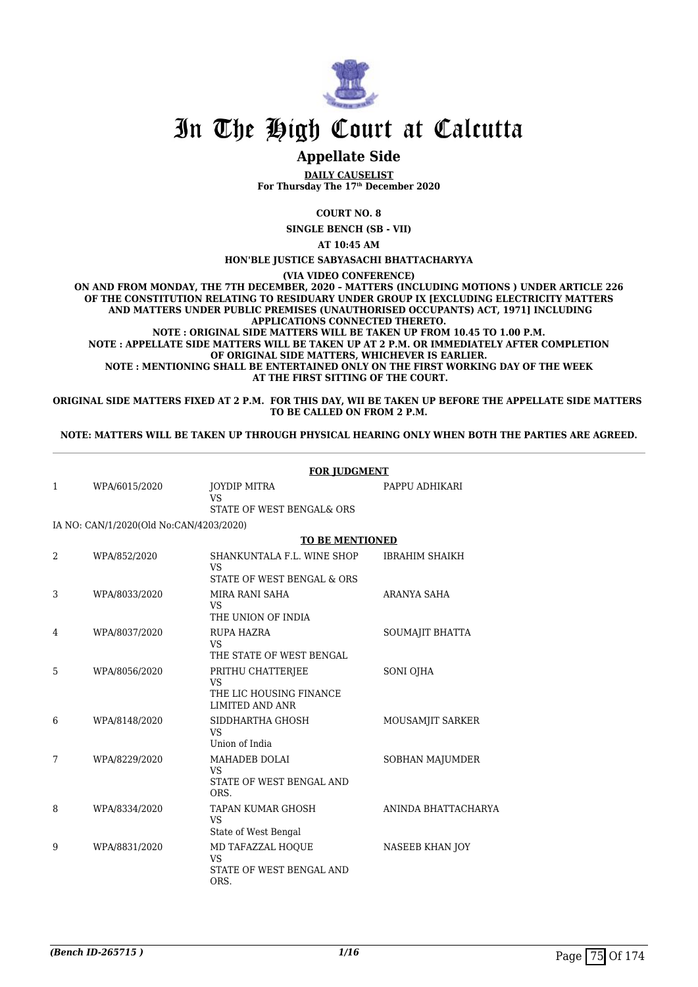

### **Appellate Side**

**DAILY CAUSELIST For Thursday The 17th December 2020**

**COURT NO. 8**

**SINGLE BENCH (SB - VII)**

**AT 10:45 AM**

#### **HON'BLE JUSTICE SABYASACHI BHATTACHARYYA**

**(VIA VIDEO CONFERENCE)**

**ON AND FROM MONDAY, THE 7TH DECEMBER, 2020 – MATTERS (INCLUDING MOTIONS ) UNDER ARTICLE 226 OF THE CONSTITUTION RELATING TO RESIDUARY UNDER GROUP IX [EXCLUDING ELECTRICITY MATTERS AND MATTERS UNDER PUBLIC PREMISES (UNAUTHORISED OCCUPANTS) ACT, 1971] INCLUDING APPLICATIONS CONNECTED THERETO. NOTE : ORIGINAL SIDE MATTERS WILL BE TAKEN UP FROM 10.45 TO 1.00 P.M. NOTE : APPELLATE SIDE MATTERS WILL BE TAKEN UP AT 2 P.M. OR IMMEDIATELY AFTER COMPLETION OF ORIGINAL SIDE MATTERS, WHICHEVER IS EARLIER. NOTE : MENTIONING SHALL BE ENTERTAINED ONLY ON THE FIRST WORKING DAY OF THE WEEK AT THE FIRST SITTING OF THE COURT.**

**ORIGINAL SIDE MATTERS FIXED AT 2 P.M. FOR THIS DAY, WII BE TAKEN UP BEFORE THE APPELLATE SIDE MATTERS TO BE CALLED ON FROM 2 P.M.**

**NOTE: MATTERS WILL BE TAKEN UP THROUGH PHYSICAL HEARING ONLY WHEN BOTH THE PARTIES ARE AGREED.**

|   |                                         | <b>FOR JUDGMENT</b>                                                                 |                       |  |
|---|-----------------------------------------|-------------------------------------------------------------------------------------|-----------------------|--|
| 1 | WPA/6015/2020                           | JOYDIP MITRA<br><b>VS</b><br>STATE OF WEST BENGAL& ORS                              | PAPPU ADHIKARI        |  |
|   |                                         |                                                                                     |                       |  |
|   | IA NO: CAN/1/2020(Old No:CAN/4203/2020) |                                                                                     |                       |  |
|   |                                         | <b>TO BE MENTIONED</b>                                                              |                       |  |
| 2 | WPA/852/2020                            | SHANKUNTALA F.L. WINE SHOP<br><b>VS</b><br>STATE OF WEST BENGAL & ORS               | <b>IBRAHIM SHAIKH</b> |  |
| 3 | WPA/8033/2020                           | MIRA RANI SAHA<br>VS<br>THE UNION OF INDIA                                          | <b>ARANYA SAHA</b>    |  |
| 4 | WPA/8037/2020                           | RUPA HAZRA<br><b>VS</b><br>THE STATE OF WEST BENGAL                                 | SOUMAJIT BHATTA       |  |
| 5 | WPA/8056/2020                           | PRITHU CHATTERJEE<br><b>VS</b><br>THE LIC HOUSING FINANCE<br><b>LIMITED AND ANR</b> | SONI OJHA             |  |
| 6 | WPA/8148/2020                           | SIDDHARTHA GHOSH<br><b>VS</b><br>Union of India                                     | MOUSAMJIT SARKER      |  |
| 7 | WPA/8229/2020                           | MAHADEB DOLAI<br><b>VS</b><br>STATE OF WEST BENGAL AND<br>ORS.                      | SOBHAN MAJUMDER       |  |
| 8 | WPA/8334/2020                           | TAPAN KUMAR GHOSH<br><b>VS</b><br>State of West Bengal                              | ANINDA BHATTACHARYA   |  |
| 9 | WPA/8831/2020                           | MD TAFAZZAL HOOUE<br><b>VS</b><br>STATE OF WEST BENGAL AND<br>ORS.                  | NASEEB KHAN JOY       |  |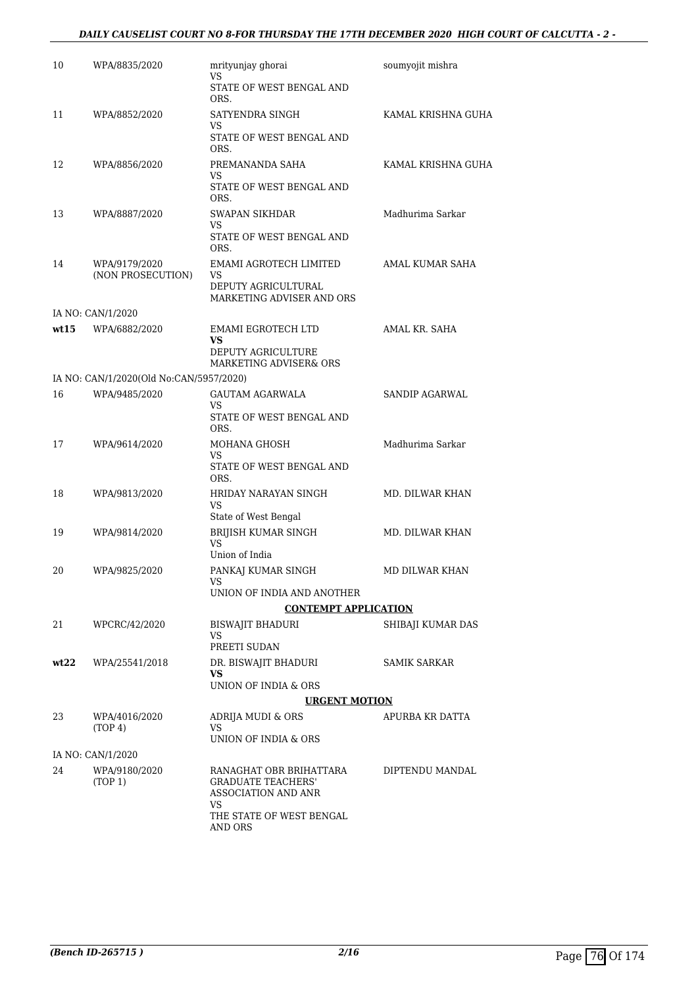### *DAILY CAUSELIST COURT NO 8-FOR THURSDAY THE 17TH DECEMBER 2020 HIGH COURT OF CALCUTTA - 2 -*

| 10   | WPA/8835/2020                           | mrityunjay ghorai<br>VS                                                           | soumyojit mishra      |
|------|-----------------------------------------|-----------------------------------------------------------------------------------|-----------------------|
|      |                                         | STATE OF WEST BENGAL AND<br>ORS.                                                  |                       |
| 11   | WPA/8852/2020                           | SATYENDRA SINGH<br>VS                                                             | KAMAL KRISHNA GUHA    |
|      |                                         | STATE OF WEST BENGAL AND<br>ORS.                                                  |                       |
| 12   | WPA/8856/2020                           | PREMANANDA SAHA<br>VS                                                             | KAMAL KRISHNA GUHA    |
|      |                                         | STATE OF WEST BENGAL AND<br>ORS.                                                  |                       |
| 13   | WPA/8887/2020                           | <b>SWAPAN SIKHDAR</b><br>VS                                                       | Madhurima Sarkar      |
|      |                                         | STATE OF WEST BENGAL AND<br>ORS.                                                  |                       |
| 14   | WPA/9179/2020<br>(NON PROSECUTION)      | EMAMI AGROTECH LIMITED<br>VS                                                      | AMAL KUMAR SAHA       |
|      |                                         | DEPUTY AGRICULTURAL<br>MARKETING ADVISER AND ORS                                  |                       |
|      | IA NO: CAN/1/2020                       |                                                                                   |                       |
| wt15 | WPA/6882/2020                           | EMAMI EGROTECH LTD<br>VS.                                                         | AMAL KR. SAHA         |
|      |                                         | DEPUTY AGRICULTURE<br>MARKETING ADVISER& ORS                                      |                       |
|      | IA NO: CAN/1/2020(Old No:CAN/5957/2020) |                                                                                   |                       |
| 16   | WPA/9485/2020                           | GAUTAM AGARWALA<br>VS.                                                            | <b>SANDIP AGARWAL</b> |
|      |                                         | STATE OF WEST BENGAL AND<br>ORS.                                                  |                       |
| 17   | WPA/9614/2020                           | MOHANA GHOSH<br>VS                                                                | Madhurima Sarkar      |
|      |                                         | STATE OF WEST BENGAL AND<br>ORS.                                                  |                       |
| 18   | WPA/9813/2020                           | HRIDAY NARAYAN SINGH<br>VS                                                        | MD. DILWAR KHAN       |
|      |                                         | State of West Bengal                                                              |                       |
| 19   | WPA/9814/2020                           | BRIJISH KUMAR SINGH<br>VS<br>Union of India                                       | MD. DILWAR KHAN       |
| 20   | WPA/9825/2020                           |                                                                                   | <b>MD DILWAR KHAN</b> |
|      |                                         | PANKAJ KUMAR SINGH<br>VS<br>UNION OF INDIA AND ANOTHER                            |                       |
|      |                                         | <b>CONTEMPT APPLICATION</b>                                                       |                       |
| 21   | WPCRC/42/2020                           | <b>BISWAJIT BHADURI</b>                                                           | SHIBAJI KUMAR DAS     |
|      |                                         | VS<br>PREETI SUDAN                                                                |                       |
| wt22 | WPA/25541/2018                          | DR. BISWAJIT BHADURI<br>VS                                                        | <b>SAMIK SARKAR</b>   |
|      |                                         | UNION OF INDIA & ORS                                                              |                       |
|      |                                         | <b>URGENT MOTION</b>                                                              |                       |
| 23   | WPA/4016/2020                           | ADRIJA MUDI & ORS                                                                 | APURBA KR DATTA       |
|      | (TOP 4)                                 | VS<br>UNION OF INDIA & ORS                                                        |                       |
|      | IA NO: CAN/1/2020                       |                                                                                   |                       |
| 24   | WPA/9180/2020<br>(TOP 1)                | RANAGHAT OBR BRIHATTARA<br><b>GRADUATE TEACHERS'</b><br>ASSOCIATION AND ANR<br>VS | DIPTENDU MANDAL       |
|      |                                         | THE STATE OF WEST BENGAL<br>AND ORS                                               |                       |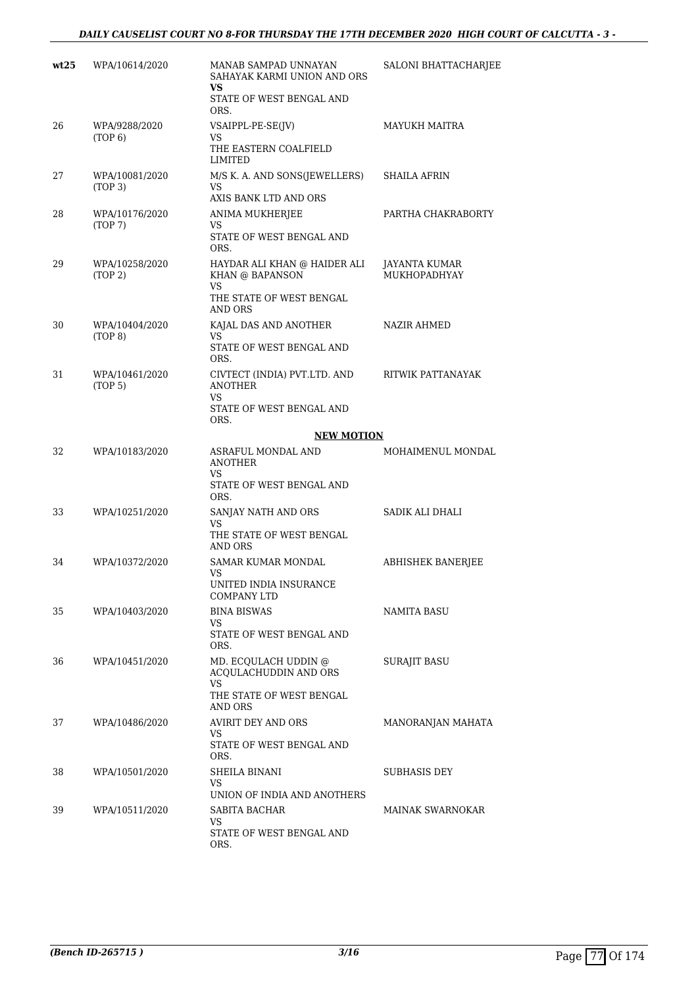### *DAILY CAUSELIST COURT NO 8-FOR THURSDAY THE 17TH DECEMBER 2020 HIGH COURT OF CALCUTTA - 3 -*

| wt25 | WPA/10614/2020            | MANAB SAMPAD UNNAYAN<br>SAHAYAK KARMI UNION AND ORS<br>VS.                             | SALONI BHATTACHARJEE          |
|------|---------------------------|----------------------------------------------------------------------------------------|-------------------------------|
|      |                           | STATE OF WEST BENGAL AND<br>ORS.                                                       |                               |
| 26   | WPA/9288/2020<br>(TOP 6)  | VSAIPPL-PE-SE(IV)<br>VS<br>THE EASTERN COALFIELD                                       | <b>MAYUKH MAITRA</b>          |
| 27   | WPA/10081/2020<br>(TOP 3) | LIMITED<br>M/S K. A. AND SONS(JEWELLERS)<br>VS<br>AXIS BANK LTD AND ORS                | <b>SHAILA AFRIN</b>           |
| 28   | WPA/10176/2020<br>(TOP 7) | ANIMA MUKHERJEE<br>VS<br>STATE OF WEST BENGAL AND<br>ORS.                              | PARTHA CHAKRABORTY            |
| 29   | WPA/10258/2020<br>(TOP 2) | HAYDAR ALI KHAN @ HAIDER ALI<br>KHAN @ BAPANSON<br>VS<br>THE STATE OF WEST BENGAL      | JAYANTA KUMAR<br>MUKHOPADHYAY |
| 30   | WPA/10404/2020<br>(TOP 8) | <b>AND ORS</b><br>KAJAL DAS AND ANOTHER<br>VS<br>STATE OF WEST BENGAL AND<br>ORS.      | NAZIR AHMED                   |
| 31   | WPA/10461/2020<br>(TOP 5) | CIVTECT (INDIA) PVT.LTD. AND<br><b>ANOTHER</b><br>VS<br>STATE OF WEST BENGAL AND       | RITWIK PATTANAYAK             |
|      |                           | ORS.<br><b>NEW MOTION</b>                                                              |                               |
| 32   | WPA/10183/2020            | ASRAFUL MONDAL AND<br>ANOTHER<br>VS<br>STATE OF WEST BENGAL AND<br>ORS.                | MOHAIMENUL MONDAL             |
| 33   | WPA/10251/2020            | SANJAY NATH AND ORS<br>VS<br>THE STATE OF WEST BENGAL<br>AND ORS                       | SADIK ALI DHALI               |
| 34   | WPA/10372/2020            | SAMAR KUMAR MONDAL<br>VS<br>UNITED INDIA INSURANCE<br>COMPANY LTD                      | <b>ABHISHEK BANERJEE</b>      |
| 35   | WPA/10403/2020            | <b>BINA BISWAS</b><br>VS<br>STATE OF WEST BENGAL AND<br>ORS.                           | NAMITA BASU                   |
| 36   | WPA/10451/2020            | MD. ECOULACH UDDIN @<br>ACQULACHUDDIN AND ORS<br>VS<br>THE STATE OF WEST BENGAL        | <b>SURAJIT BASU</b>           |
| 37   | WPA/10486/2020            | AND ORS<br>AVIRIT DEY AND ORS<br>VS<br>STATE OF WEST BENGAL AND                        | MANORANJAN MAHATA             |
| 38   | WPA/10501/2020            | ORS.<br>SHEILA BINANI<br>VS                                                            | SUBHASIS DEY                  |
| 39   | WPA/10511/2020            | UNION OF INDIA AND ANOTHERS<br>SABITA BACHAR<br>VS<br>STATE OF WEST BENGAL AND<br>ORS. | <b>MAINAK SWARNOKAR</b>       |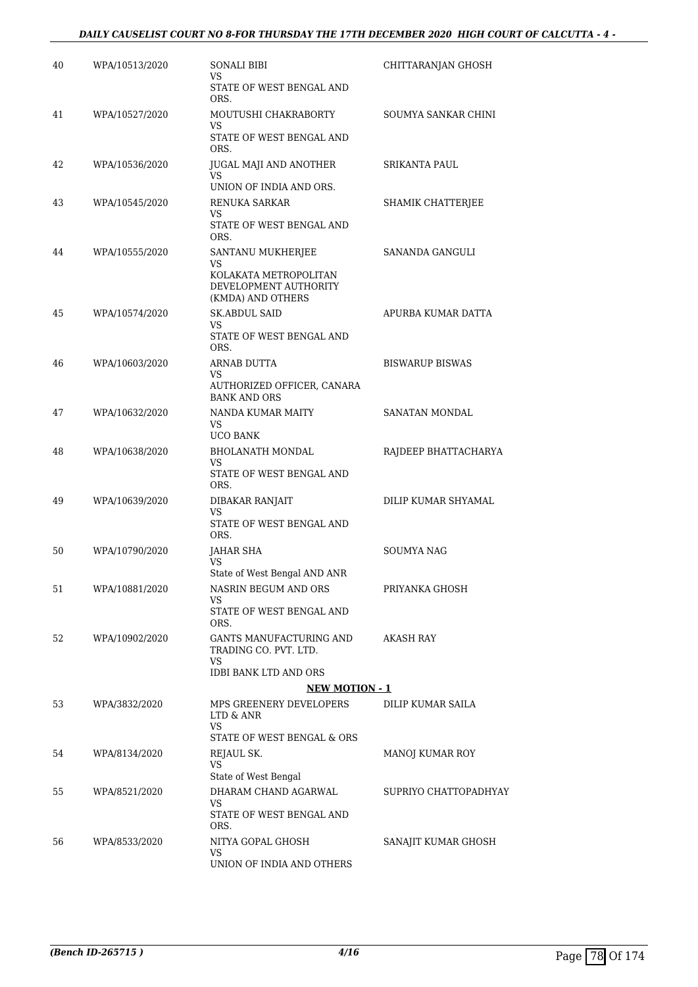### *DAILY CAUSELIST COURT NO 8-FOR THURSDAY THE 17TH DECEMBER 2020 HIGH COURT OF CALCUTTA - 4 -*

| 40 | WPA/10513/2020 | SONALI BIBI<br>VS                                                                               | CHITTARANJAN GHOSH     |
|----|----------------|-------------------------------------------------------------------------------------------------|------------------------|
|    |                | STATE OF WEST BENGAL AND<br>ORS.                                                                |                        |
| 41 | WPA/10527/2020 | MOUTUSHI CHAKRABORTY<br>VS                                                                      | SOUMYA SANKAR CHINI    |
|    |                | STATE OF WEST BENGAL AND<br>ORS.                                                                |                        |
| 42 | WPA/10536/2020 | JUGAL MAJI AND ANOTHER<br>VS.<br>UNION OF INDIA AND ORS.                                        | SRIKANTA PAUL          |
| 43 | WPA/10545/2020 | <b>RENUKA SARKAR</b>                                                                            | SHAMIK CHATTERJEE      |
|    |                | VS<br>STATE OF WEST BENGAL AND<br>ORS.                                                          |                        |
| 44 | WPA/10555/2020 | SANTANU MUKHERJEE<br>VS.<br>KOLAKATA METROPOLITAN<br>DEVELOPMENT AUTHORITY<br>(KMDA) AND OTHERS | SANANDA GANGULI        |
| 45 | WPA/10574/2020 | <b>SK.ABDUL SAID</b><br>VS                                                                      | APURBA KUMAR DATTA     |
|    |                | STATE OF WEST BENGAL AND<br>ORS.                                                                |                        |
| 46 | WPA/10603/2020 | ARNAB DUTTA<br>VS                                                                               | <b>BISWARUP BISWAS</b> |
|    |                | AUTHORIZED OFFICER, CANARA<br><b>BANK AND ORS</b>                                               |                        |
| 47 | WPA/10632/2020 | NANDA KUMAR MAITY<br>VS.<br><b>UCO BANK</b>                                                     | SANATAN MONDAL         |
| 48 | WPA/10638/2020 | BHOLANATH MONDAL<br>VS.<br>STATE OF WEST BENGAL AND<br>ORS.                                     | RAJDEEP BHATTACHARYA   |
| 49 | WPA/10639/2020 | DIBAKAR RANJAIT                                                                                 | DILIP KUMAR SHYAMAL    |
|    |                | VS<br>STATE OF WEST BENGAL AND<br>ORS.                                                          |                        |
| 50 | WPA/10790/2020 | JAHAR SHA<br>VS<br>State of West Bengal AND ANR                                                 | SOUMYA NAG             |
| 51 | WPA/10881/2020 | NASRIN BEGUM AND ORS<br>VS                                                                      | PRIYANKA GHOSH         |
|    |                | STATE OF WEST BENGAL AND<br>ORS.                                                                |                        |
| 52 | WPA/10902/2020 | GANTS MANUFACTURING AND<br>TRADING CO. PVT. LTD.<br>VS                                          | AKASH RAY              |
|    |                | IDBI BANK LTD AND ORS                                                                           |                        |
|    |                | <b>NEW MOTION - 1</b>                                                                           |                        |
| 53 | WPA/3832/2020  | MPS GREENERY DEVELOPERS<br>LTD & ANR<br>VS<br>STATE OF WEST BENGAL & ORS                        | DILIP KUMAR SAILA      |
| 54 | WPA/8134/2020  | REJAUL SK.                                                                                      | MANOJ KUMAR ROY        |
|    |                | <b>VS</b><br>State of West Bengal                                                               |                        |
| 55 | WPA/8521/2020  | DHARAM CHAND AGARWAL<br>VS                                                                      | SUPRIYO CHATTOPADHYAY  |
|    |                | STATE OF WEST BENGAL AND<br>ORS.                                                                |                        |
| 56 | WPA/8533/2020  | NITYA GOPAL GHOSH<br>VS                                                                         | SANAJIT KUMAR GHOSH    |
|    |                | UNION OF INDIA AND OTHERS                                                                       |                        |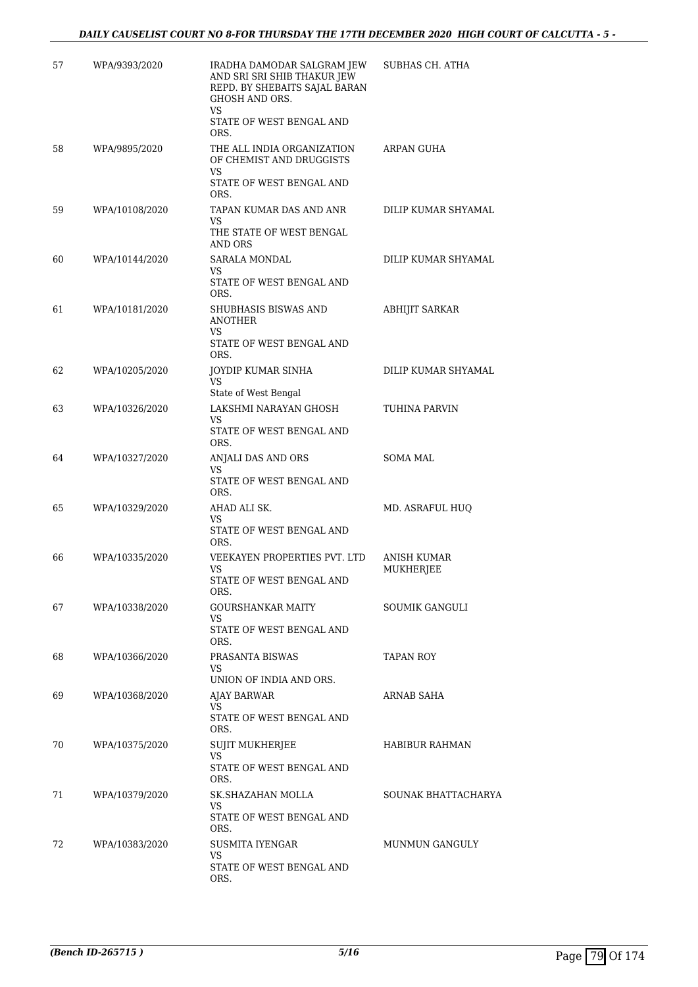| 57 | WPA/9393/2020  | IRADHA DAMODAR SALGRAM JEW<br>AND SRI SRI SHIB THAKUR JEW<br>REPD. BY SHEBAITS SAJAL BARAN<br>GHOSH AND ORS.<br>VS<br>STATE OF WEST BENGAL AND<br>ORS. | SUBHAS CH. ATHA          |
|----|----------------|--------------------------------------------------------------------------------------------------------------------------------------------------------|--------------------------|
| 58 | WPA/9895/2020  | THE ALL INDIA ORGANIZATION<br>OF CHEMIST AND DRUGGISTS<br>VS.<br>STATE OF WEST BENGAL AND<br>ORS.                                                      | ARPAN GUHA               |
| 59 | WPA/10108/2020 | TAPAN KUMAR DAS AND ANR<br>VS<br>THE STATE OF WEST BENGAL<br>AND ORS                                                                                   | DILIP KUMAR SHYAMAL      |
| 60 | WPA/10144/2020 | SARALA MONDAL<br>VS<br>STATE OF WEST BENGAL AND<br>ORS.                                                                                                | DILIP KUMAR SHYAMAL      |
| 61 | WPA/10181/2020 | SHUBHASIS BISWAS AND<br>ANOTHER<br>VS.<br>STATE OF WEST BENGAL AND                                                                                     | <b>ABHIJIT SARKAR</b>    |
| 62 | WPA/10205/2020 | ORS.<br>JOYDIP KUMAR SINHA<br>VS<br>State of West Bengal                                                                                               | DILIP KUMAR SHYAMAL      |
| 63 | WPA/10326/2020 | LAKSHMI NARAYAN GHOSH<br>VS<br>STATE OF WEST BENGAL AND<br>ORS.                                                                                        | TUHINA PARVIN            |
| 64 | WPA/10327/2020 | ANJALI DAS AND ORS<br>VS<br>STATE OF WEST BENGAL AND<br>ORS.                                                                                           | SOMA MAL                 |
| 65 | WPA/10329/2020 | AHAD ALI SK.<br>VS<br>STATE OF WEST BENGAL AND                                                                                                         | MD. ASRAFUL HUQ          |
| 66 | WPA/10335/2020 | ORS.<br>VEEKAYEN PROPERTIES PVT. LTD<br>VS<br>STATE OF WEST BENGAL AND<br>ORS.                                                                         | ANISH KUMAR<br>MUKHERJEE |
| 67 | WPA/10338/2020 | GOURSHANKAR MAITY<br>VS.<br>STATE OF WEST BENGAL AND<br>ORS.                                                                                           | SOUMIK GANGULI           |
| 68 | WPA/10366/2020 | PRASANTA BISWAS<br>VS<br>UNION OF INDIA AND ORS.                                                                                                       | TAPAN ROY                |
| 69 | WPA/10368/2020 | AJAY BARWAR<br>VS.<br>STATE OF WEST BENGAL AND<br>ORS.                                                                                                 | ARNAB SAHA               |
| 70 | WPA/10375/2020 | <b>SUJIT MUKHERJEE</b><br>VS<br>STATE OF WEST BENGAL AND<br>ORS.                                                                                       | HABIBUR RAHMAN           |
| 71 | WPA/10379/2020 | SK.SHAZAHAN MOLLA<br>VS.<br>STATE OF WEST BENGAL AND<br>ORS.                                                                                           | SOUNAK BHATTACHARYA      |
| 72 | WPA/10383/2020 | SUSMITA IYENGAR<br>VS<br>STATE OF WEST BENGAL AND<br>ORS.                                                                                              | MUNMUN GANGULY           |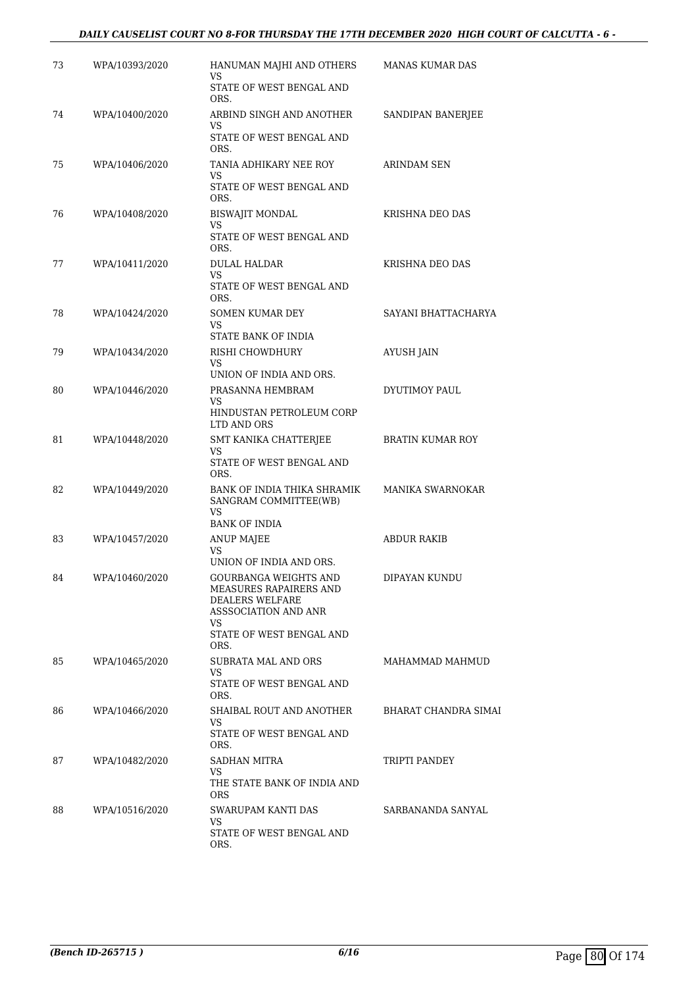### *DAILY CAUSELIST COURT NO 8-FOR THURSDAY THE 17TH DECEMBER 2020 HIGH COURT OF CALCUTTA - 6 -*

| 73 | WPA/10393/2020 | HANUMAN MAJHI AND OTHERS<br>VS                                                                    | <b>MANAS KUMAR DAS</b>      |
|----|----------------|---------------------------------------------------------------------------------------------------|-----------------------------|
|    |                | STATE OF WEST BENGAL AND<br>ORS.                                                                  |                             |
| 74 | WPA/10400/2020 | ARBIND SINGH AND ANOTHER<br>VS                                                                    | SANDIPAN BANERJEE           |
|    |                | STATE OF WEST BENGAL AND<br>ORS.                                                                  |                             |
| 75 | WPA/10406/2020 | TANIA ADHIKARY NEE ROY<br>VS                                                                      | ARINDAM SEN                 |
|    |                | STATE OF WEST BENGAL AND<br>ORS.                                                                  |                             |
| 76 | WPA/10408/2020 | BISWAJIT MONDAL<br>VS                                                                             | <b>KRISHNA DEO DAS</b>      |
|    |                | STATE OF WEST BENGAL AND<br>ORS.                                                                  |                             |
| 77 | WPA/10411/2020 | DULAL HALDAR<br>VS.                                                                               | KRISHNA DEO DAS             |
|    |                | STATE OF WEST BENGAL AND<br>ORS.                                                                  |                             |
| 78 | WPA/10424/2020 | <b>SOMEN KUMAR DEY</b><br>VS                                                                      | SAYANI BHATTACHARYA         |
|    |                | STATE BANK OF INDIA                                                                               |                             |
| 79 | WPA/10434/2020 | RISHI CHOWDHURY<br>VS                                                                             | AYUSH JAIN                  |
|    |                | UNION OF INDIA AND ORS.                                                                           |                             |
| 80 | WPA/10446/2020 | PRASANNA HEMBRAM<br>VS                                                                            | DYUTIMOY PAUL               |
|    |                | HINDUSTAN PETROLEUM CORP<br>LTD AND ORS                                                           |                             |
| 81 | WPA/10448/2020 | SMT KANIKA CHATTERJEE<br>VS                                                                       | <b>BRATIN KUMAR ROY</b>     |
|    |                | STATE OF WEST BENGAL AND<br>ORS.                                                                  |                             |
| 82 | WPA/10449/2020 | BANK OF INDIA THIKA SHRAMIK<br>SANGRAM COMMITTEE(WB)<br>VS                                        | MANIKA SWARNOKAR            |
|    |                | <b>BANK OF INDIA</b>                                                                              |                             |
| 83 | WPA/10457/2020 | <b>ANUP MAJEE</b><br>VS                                                                           | ABDUR RAKIB                 |
|    |                | UNION OF INDIA AND ORS.                                                                           |                             |
| 84 | WPA/10460/2020 | GOURBANGA WEIGHTS AND<br>MEASURES RAPAIRERS AND<br><b>DEALERS WELFARE</b><br>ASSSOCIATION AND ANR | DIPAYAN KUNDU               |
|    |                | VS<br>STATE OF WEST BENGAL AND<br>ORS.                                                            |                             |
| 85 | WPA/10465/2020 | SUBRATA MAL AND ORS                                                                               | MAHAMMAD MAHMUD             |
|    |                | VS.<br>STATE OF WEST BENGAL AND<br>ORS.                                                           |                             |
| 86 | WPA/10466/2020 | SHAIBAL ROUT AND ANOTHER<br>VS                                                                    | <b>BHARAT CHANDRA SIMAI</b> |
|    |                | STATE OF WEST BENGAL AND<br>ORS.                                                                  |                             |
| 87 | WPA/10482/2020 | SADHAN MITRA<br>VS.                                                                               | TRIPTI PANDEY               |
|    |                | THE STATE BANK OF INDIA AND<br>ORS.                                                               |                             |
| 88 | WPA/10516/2020 | SWARUPAM KANTI DAS<br>VS.                                                                         | SARBANANDA SANYAL           |
|    |                | STATE OF WEST BENGAL AND<br>ORS.                                                                  |                             |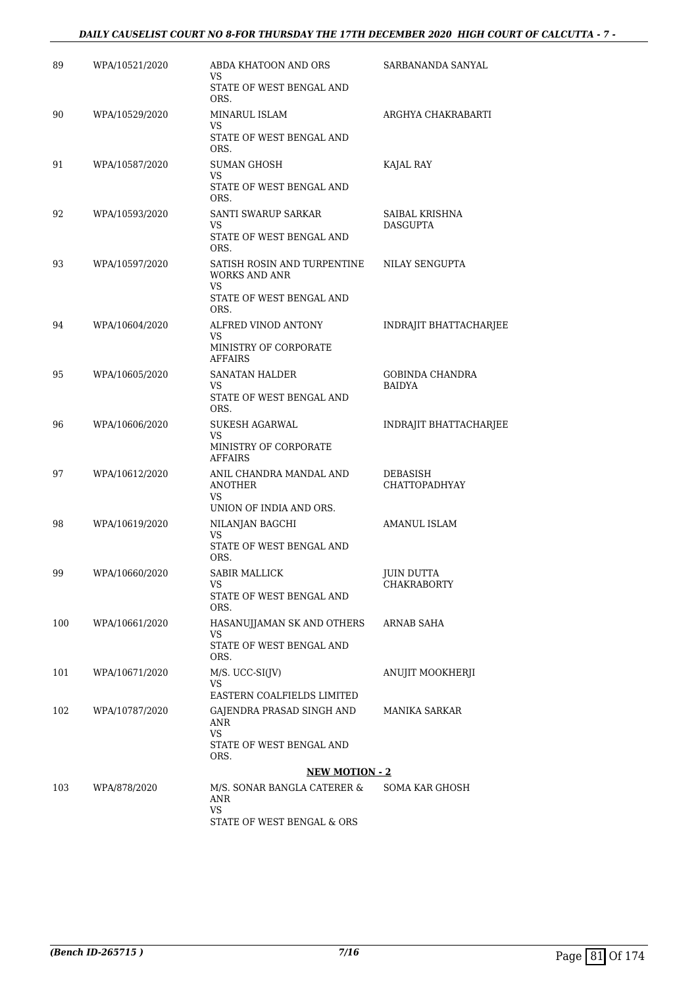#### *DAILY CAUSELIST COURT NO 8-FOR THURSDAY THE 17TH DECEMBER 2020 HIGH COURT OF CALCUTTA - 7 -*

| 89  | WPA/10521/2020 | ABDA KHATOON AND ORS<br>VS                                                     | SARBANANDA SANYAL                 |
|-----|----------------|--------------------------------------------------------------------------------|-----------------------------------|
|     |                | STATE OF WEST BENGAL AND<br>ORS.                                               |                                   |
| 90  | WPA/10529/2020 | MINARUL ISLAM<br><b>VS</b>                                                     | ARGHYA CHAKRABARTI                |
|     |                | STATE OF WEST BENGAL AND<br>ORS.                                               |                                   |
| 91  | WPA/10587/2020 | SUMAN GHOSH<br>VS                                                              | KAJAL RAY                         |
|     |                | STATE OF WEST BENGAL AND<br>ORS.                                               |                                   |
| 92  | WPA/10593/2020 | SANTI SWARUP SARKAR<br>VS                                                      | SAIBAL KRISHNA<br><b>DASGUPTA</b> |
|     |                | STATE OF WEST BENGAL AND<br>ORS.                                               |                                   |
| 93  | WPA/10597/2020 | SATISH ROSIN AND TURPENTINE<br>WORKS AND ANR<br>VS<br>STATE OF WEST BENGAL AND | NILAY SENGUPTA                    |
|     |                | ORS.                                                                           |                                   |
| 94  | WPA/10604/2020 | ALFRED VINOD ANTONY<br>VS                                                      | <b>INDRAJIT BHATTACHARJEE</b>     |
|     |                | MINISTRY OF CORPORATE<br><b>AFFAIRS</b>                                        |                                   |
| 95  | WPA/10605/2020 | <b>SANATAN HALDER</b><br>VS                                                    | GOBINDA CHANDRA<br><b>BAIDYA</b>  |
|     |                | STATE OF WEST BENGAL AND<br>ORS.                                               |                                   |
| 96  | WPA/10606/2020 | SUKESH AGARWAL<br>VS                                                           | INDRAJIT BHATTACHARJEE            |
|     |                | MINISTRY OF CORPORATE<br>AFFAIRS                                               |                                   |
| 97  | WPA/10612/2020 | ANIL CHANDRA MANDAL AND<br><b>ANOTHER</b><br>VS.                               | DEBASISH<br>CHATTOPADHYAY         |
|     |                | UNION OF INDIA AND ORS.                                                        |                                   |
| 98  | WPA/10619/2020 | NILANJAN BAGCHI<br>VS                                                          | AMANUL ISLAM                      |
|     |                | STATE OF WEST BENGAL AND<br>ORS.                                               |                                   |
| 99  | WPA/10660/2020 | <b>SABIR MALLICK</b><br>VS                                                     | <b>JUIN DUTTA</b><br>CHAKRABORTY  |
|     |                | STATE OF WEST BENGAL AND<br>ORS.                                               |                                   |
| 100 | WPA/10661/2020 | HASANUJJAMAN SK AND OTHERS<br>VS                                               | ARNAB SAHA                        |
|     |                | STATE OF WEST BENGAL AND<br>ORS.                                               |                                   |
| 101 | WPA/10671/2020 | $M/S. UCC-SI(JV)$<br>VS                                                        | ANUJIT MOOKHERJI                  |
|     |                | EASTERN COALFIELDS LIMITED                                                     |                                   |
| 102 | WPA/10787/2020 | GAJENDRA PRASAD SINGH AND<br>ANR                                               | MANIKA SARKAR                     |
|     |                | VS.<br>STATE OF WEST BENGAL AND<br>ORS.                                        |                                   |
|     |                | <b>NEW MOTION - 2</b>                                                          |                                   |
| 103 | WPA/878/2020   | M/S. SONAR BANGLA CATERER &<br>ANR<br>VS                                       | SOMA KAR GHOSH                    |
|     |                | STATE OF WEST BENGAL & ORS                                                     |                                   |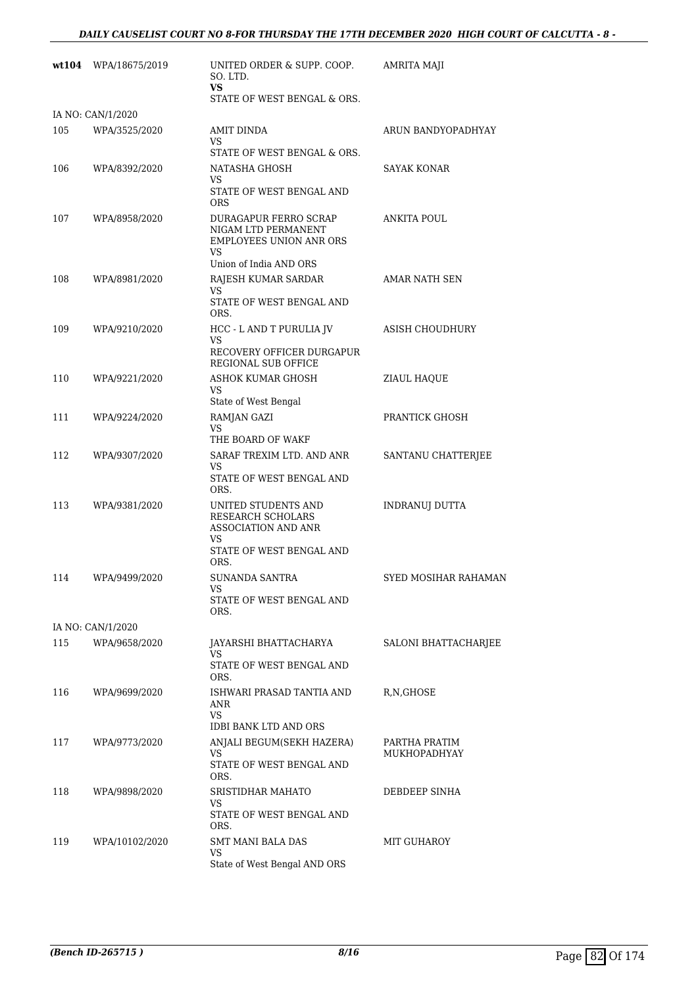|     | wt104 WPA/18675/2019 | UNITED ORDER & SUPP. COOP.<br>SO. LTD.<br>VS                                                                                  | <b>AMRITA MAJI</b>            |
|-----|----------------------|-------------------------------------------------------------------------------------------------------------------------------|-------------------------------|
|     |                      | STATE OF WEST BENGAL & ORS.                                                                                                   |                               |
|     | IA NO: CAN/1/2020    |                                                                                                                               |                               |
| 105 | WPA/3525/2020        | <b>AMIT DINDA</b><br>VS<br>STATE OF WEST BENGAL & ORS.                                                                        | ARUN BANDYOPADHYAY            |
| 106 | WPA/8392/2020        | NATASHA GHOSH<br>VS<br>STATE OF WEST BENGAL AND                                                                               | SAYAK KONAR                   |
| 107 | WPA/8958/2020        | <b>ORS</b><br>DURAGAPUR FERRO SCRAP<br>NIGAM LTD PERMANENT<br><b>EMPLOYEES UNION ANR ORS</b><br>VS.<br>Union of India AND ORS | ANKITA POUL                   |
| 108 | WPA/8981/2020        | RAJESH KUMAR SARDAR<br>VS<br>STATE OF WEST BENGAL AND                                                                         | AMAR NATH SEN                 |
| 109 | WPA/9210/2020        | ORS.<br>HCC - L AND T PURULIA JV<br>VS<br>RECOVERY OFFICER DURGAPUR                                                           | ASISH CHOUDHURY               |
| 110 | WPA/9221/2020        | REGIONAL SUB OFFICE<br>ASHOK KUMAR GHOSH<br>VS<br>State of West Bengal                                                        | ZIAUL HAQUE                   |
| 111 | WPA/9224/2020        | RAMJAN GAZI<br>VS                                                                                                             | PRANTICK GHOSH                |
| 112 | WPA/9307/2020        | THE BOARD OF WAKF<br>SARAF TREXIM LTD. AND ANR<br>VS<br>STATE OF WEST BENGAL AND<br>ORS.                                      | SANTANU CHATTERJEE            |
| 113 | WPA/9381/2020        | UNITED STUDENTS AND<br><b>RESEARCH SCHOLARS</b><br>ASSOCIATION AND ANR<br>VS<br>STATE OF WEST BENGAL AND<br>ORS.              | <b>INDRANUJ DUTTA</b>         |
| 114 | WPA/9499/2020        | <b>SUNANDA SANTRA</b><br>VS<br>STATE OF WEST BENGAL AND<br>ORS.                                                               | SYED MOSIHAR RAHAMAN          |
|     | IA NO: CAN/1/2020    |                                                                                                                               |                               |
| 115 | WPA/9658/2020        | JAYARSHI BHATTACHARYA<br>VS<br>STATE OF WEST BENGAL AND<br>ORS.                                                               | SALONI BHATTACHARJEE          |
| 116 | WPA/9699/2020        | ISHWARI PRASAD TANTIA AND<br>ANR<br>VS                                                                                        | R,N,GHOSE                     |
| 117 | WPA/9773/2020        | <b>IDBI BANK LTD AND ORS</b><br>ANJALI BEGUM(SEKH HAZERA)<br>VS<br>STATE OF WEST BENGAL AND<br>ORS.                           | PARTHA PRATIM<br>MUKHOPADHYAY |
| 118 | WPA/9898/2020        | SRISTIDHAR MAHATO<br>VS<br>STATE OF WEST BENGAL AND<br>ORS.                                                                   | DEBDEEP SINHA                 |
| 119 | WPA/10102/2020       | SMT MANI BALA DAS<br>VS<br>State of West Bengal AND ORS                                                                       | MIT GUHAROY                   |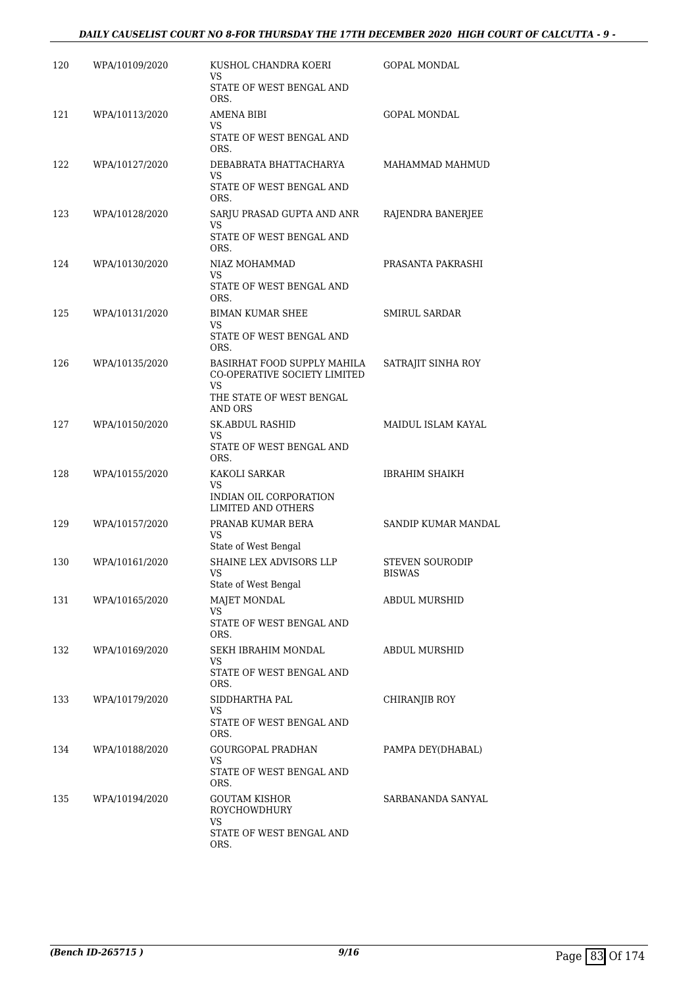### *DAILY CAUSELIST COURT NO 8-FOR THURSDAY THE 17TH DECEMBER 2020 HIGH COURT OF CALCUTTA - 9 -*

| 120 | WPA/10109/2020 | KUSHOL CHANDRA KOERI<br>VS                                        | GOPAL MONDAL           |
|-----|----------------|-------------------------------------------------------------------|------------------------|
|     |                | STATE OF WEST BENGAL AND<br>ORS.                                  |                        |
| 121 | WPA/10113/2020 | AMENA BIBI<br>VS                                                  | <b>GOPAL MONDAL</b>    |
|     |                | STATE OF WEST BENGAL AND<br>ORS.                                  |                        |
| 122 | WPA/10127/2020 | DEBABRATA BHATTACHARYA<br>VS                                      | MAHAMMAD MAHMUD        |
|     |                | STATE OF WEST BENGAL AND<br>ORS.                                  |                        |
| 123 | WPA/10128/2020 | SARJU PRASAD GUPTA AND ANR<br>VS                                  | RAJENDRA BANERJEE      |
|     |                | STATE OF WEST BENGAL AND<br>ORS.                                  |                        |
| 124 | WPA/10130/2020 | NIAZ MOHAMMAD<br>VS                                               | PRASANTA PAKRASHI      |
|     |                | STATE OF WEST BENGAL AND<br>ORS.                                  |                        |
| 125 | WPA/10131/2020 | <b>BIMAN KUMAR SHEE</b><br>VS                                     | <b>SMIRUL SARDAR</b>   |
|     |                | STATE OF WEST BENGAL AND<br>ORS.                                  |                        |
| 126 | WPA/10135/2020 | BASIRHAT FOOD SUPPLY MAHILA<br>CO-OPERATIVE SOCIETY LIMITED<br>VS | SATRAJIT SINHA ROY     |
|     |                | THE STATE OF WEST BENGAL<br>AND ORS                               |                        |
| 127 | WPA/10150/2020 | SK.ABDUL RASHID<br>VS                                             | MAIDUL ISLAM KAYAL     |
|     |                | STATE OF WEST BENGAL AND<br>ORS.                                  |                        |
| 128 | WPA/10155/2020 | KAKOLI SARKAR<br>VS                                               | IBRAHIM SHAIKH         |
|     |                | INDIAN OIL CORPORATION<br><b>LIMITED AND OTHERS</b>               |                        |
| 129 | WPA/10157/2020 | PRANAB KUMAR BERA<br>VS                                           | SANDIP KUMAR MANDAL    |
| 130 | WPA/10161/2020 | State of West Bengal<br>SHAINE LEX ADVISORS LLP                   | <b>STEVEN SOURODIP</b> |
|     |                | VS<br>State of West Bengal                                        | <b>BISWAS</b>          |
| 131 | WPA/10165/2020 | MAJET MONDAL<br>VS                                                | ABDUL MURSHID          |
|     |                | STATE OF WEST BENGAL AND<br>ORS.                                  |                        |
| 132 | WPA/10169/2020 | SEKH IBRAHIM MONDAL<br>VS                                         | <b>ABDUL MURSHID</b>   |
|     |                | STATE OF WEST BENGAL AND<br>ORS.                                  |                        |
| 133 | WPA/10179/2020 | SIDDHARTHA PAL<br>VS                                              | CHIRANJIB ROY          |
|     |                | STATE OF WEST BENGAL AND<br>ORS.                                  |                        |
| 134 | WPA/10188/2020 | GOURGOPAL PRADHAN<br>VS                                           | PAMPA DEY(DHABAL)      |
|     |                | STATE OF WEST BENGAL AND<br>ORS.                                  |                        |
| 135 | WPA/10194/2020 | GOUTAM KISHOR<br><b>ROYCHOWDHURY</b>                              | SARBANANDA SANYAL      |
|     |                | VS<br>STATE OF WEST BENGAL AND<br>ORS.                            |                        |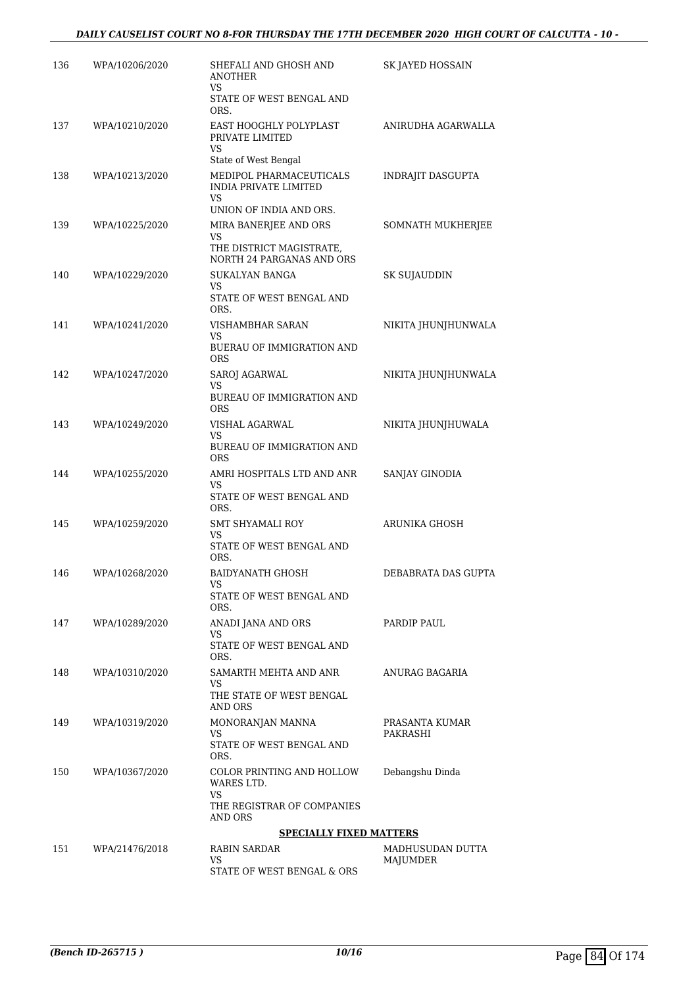| 136 | WPA/10206/2020 | SHEFALI AND GHOSH AND<br><b>ANOTHER</b><br>VS                                            | SK JAYED HOSSAIN             |
|-----|----------------|------------------------------------------------------------------------------------------|------------------------------|
|     |                | STATE OF WEST BENGAL AND<br>ORS.                                                         |                              |
| 137 | WPA/10210/2020 | EAST HOOGHLY POLYPLAST<br>PRIVATE LIMITED<br>VS<br>State of West Bengal                  | ANIRUDHA AGARWALLA           |
| 138 | WPA/10213/2020 | MEDIPOL PHARMACEUTICALS<br><b>INDIA PRIVATE LIMITED</b><br>VS<br>UNION OF INDIA AND ORS. | <b>INDRAJIT DASGUPTA</b>     |
| 139 | WPA/10225/2020 | MIRA BANERJEE AND ORS<br>VS<br>THE DISTRICT MAGISTRATE,<br>NORTH 24 PARGANAS AND ORS     | SOMNATH MUKHERJEE            |
| 140 | WPA/10229/2020 | <b>SUKALYAN BANGA</b><br>VS<br>STATE OF WEST BENGAL AND<br>ORS.                          | SK SUJAUDDIN                 |
| 141 | WPA/10241/2020 | VISHAMBHAR SARAN<br>VS<br><b>BUERAU OF IMMIGRATION AND</b><br>ORS                        | NIKITA JHUNJHUNWALA          |
| 142 | WPA/10247/2020 | SAROJ AGARWAL<br>VS<br><b>BUREAU OF IMMIGRATION AND</b><br><b>ORS</b>                    | NIKITA IHUNIHUNWALA          |
| 143 | WPA/10249/2020 | VISHAL AGARWAL<br>VS<br><b>BUREAU OF IMMIGRATION AND</b><br><b>ORS</b>                   | NIKITA JHUNJHUWALA           |
| 144 | WPA/10255/2020 | AMRI HOSPITALS LTD AND ANR<br>VS<br>STATE OF WEST BENGAL AND<br>ORS.                     | SANJAY GINODIA               |
| 145 | WPA/10259/2020 | SMT SHYAMALI ROY<br>VS<br>STATE OF WEST BENGAL AND<br>ORS.                               | ARUNIKA GHOSH                |
| 146 | WPA/10268/2020 | BAIDYANATH GHOSH<br>VS<br>STATE OF WEST BENGAL AND<br>ORS.                               | DEBABRATA DAS GUPTA          |
| 147 | WPA/10289/2020 | ANADI JANA AND ORS<br>VS.<br>STATE OF WEST BENGAL AND<br>ORS.                            | PARDIP PAUL                  |
| 148 | WPA/10310/2020 | SAMARTH MEHTA AND ANR<br>VS<br>THE STATE OF WEST BENGAL<br>AND ORS                       | ANURAG BAGARIA               |
| 149 | WPA/10319/2020 | MONORANJAN MANNA<br>VS<br>STATE OF WEST BENGAL AND<br>ORS.                               | PRASANTA KUMAR<br>PAKRASHI   |
| 150 | WPA/10367/2020 | COLOR PRINTING AND HOLLOW<br>WARES LTD.<br>VS<br>THE REGISTRAR OF COMPANIES<br>AND ORS   | Debangshu Dinda              |
|     |                | <b>SPECIALLY FIXED MATTERS</b>                                                           |                              |
| 151 | WPA/21476/2018 | <b>RABIN SARDAR</b><br>VS<br>STATE OF WEST BENGAL & ORS                                  | MADHUSUDAN DUTTA<br>MAJUMDER |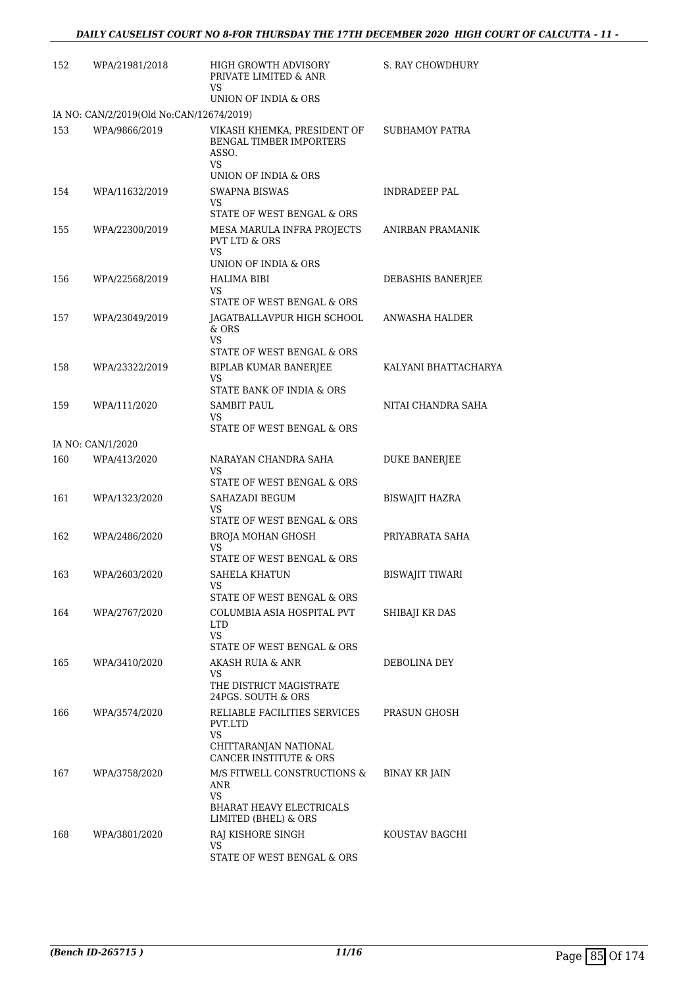| 152 | WPA/21981/2018                           | HIGH GROWTH ADVISORY<br>PRIVATE LIMITED & ANR<br>VS                                                         | S. RAY CHOWDHURY       |
|-----|------------------------------------------|-------------------------------------------------------------------------------------------------------------|------------------------|
|     |                                          | UNION OF INDIA & ORS                                                                                        |                        |
|     | IA NO: CAN/2/2019(Old No:CAN/12674/2019) |                                                                                                             |                        |
| 153 | WPA/9866/2019                            | VIKASH KHEMKA, PRESIDENT OF<br>BENGAL TIMBER IMPORTERS<br>ASSO.<br>VS                                       | <b>SUBHAMOY PATRA</b>  |
|     |                                          | UNION OF INDIA & ORS                                                                                        |                        |
| 154 | WPA/11632/2019                           | SWAPNA BISWAS<br>VS                                                                                         | INDRADEEP PAL          |
| 155 | WPA/22300/2019                           | STATE OF WEST BENGAL & ORS<br>MESA MARULA INFRA PROJECTS<br><b>PVT LTD &amp; ORS</b><br>VS                  | ANIRBAN PRAMANIK       |
|     |                                          | UNION OF INDIA & ORS                                                                                        |                        |
| 156 | WPA/22568/2019                           | HALIMA BIBI<br>VS                                                                                           | DEBASHIS BANERJEE      |
|     |                                          | STATE OF WEST BENGAL & ORS                                                                                  |                        |
| 157 | WPA/23049/2019                           | JAGATBALLAVPUR HIGH SCHOOL<br>& ORS                                                                         | ANWASHA HALDER         |
|     |                                          | VS<br>STATE OF WEST BENGAL & ORS                                                                            |                        |
| 158 | WPA/23322/2019                           | <b>BIPLAB KUMAR BANERJEE</b><br>VS                                                                          | KALYANI BHATTACHARYA   |
|     |                                          | STATE BANK OF INDIA & ORS                                                                                   |                        |
| 159 | WPA/111/2020                             | SAMBIT PAUL<br>VS                                                                                           | NITAI CHANDRA SAHA     |
|     |                                          | STATE OF WEST BENGAL & ORS                                                                                  |                        |
|     | IA NO: CAN/1/2020                        |                                                                                                             |                        |
| 160 | WPA/413/2020                             | NARAYAN CHANDRA SAHA<br>VS                                                                                  | <b>DUKE BANERJEE</b>   |
|     |                                          | STATE OF WEST BENGAL & ORS                                                                                  |                        |
| 161 | WPA/1323/2020                            | SAHAZADI BEGUM<br>VS<br>STATE OF WEST BENGAL & ORS                                                          | <b>BISWAJIT HAZRA</b>  |
| 162 | WPA/2486/2020                            | BROJA MOHAN GHOSH                                                                                           | PRIYABRATA SAHA        |
|     |                                          | VS<br>STATE OF WEST BENGAL & ORS                                                                            |                        |
| 163 | WPA/2603/2020                            | <b>SAHELA KHATUN</b><br>VS                                                                                  | <b>BISWAJIT TIWARI</b> |
|     |                                          | STATE OF WEST BENGAL & ORS                                                                                  |                        |
| 164 | WPA/2767/2020                            | COLUMBIA ASIA HOSPITAL PVT<br>LTD<br>VS                                                                     | SHIBAJI KR DAS         |
|     |                                          | STATE OF WEST BENGAL & ORS                                                                                  |                        |
| 165 | WPA/3410/2020                            | AKASH RUIA & ANR<br>VS                                                                                      | DEBOLINA DEY           |
|     |                                          | THE DISTRICT MAGISTRATE<br>24PGS. SOUTH & ORS                                                               |                        |
| 166 | WPA/3574/2020                            | RELIABLE FACILITIES SERVICES<br>PVT.LTD<br>VS<br>CHITTARANJAN NATIONAL<br><b>CANCER INSTITUTE &amp; ORS</b> | PRASUN GHOSH           |
| 167 | WPA/3758/2020                            | M/S FITWELL CONSTRUCTIONS &<br>ANR                                                                          | BINAY KR JAIN          |
|     |                                          | VS<br><b>BHARAT HEAVY ELECTRICALS</b>                                                                       |                        |
|     |                                          | LIMITED (BHEL) & ORS                                                                                        |                        |
| 168 | WPA/3801/2020                            | RAJ KISHORE SINGH<br>VS<br>STATE OF WEST BENGAL & ORS                                                       | KOUSTAV BAGCHI         |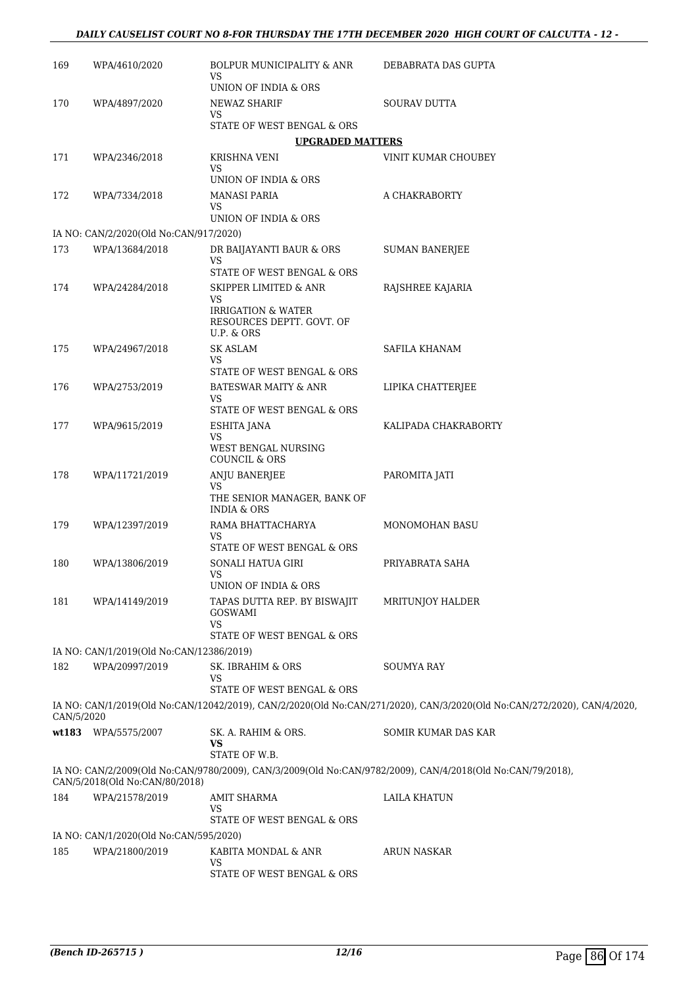| 169        | WPA/4610/2020                            | BOLPUR MUNICIPALITY & ANR<br>VS                                  | DEBABRATA DAS GUPTA                                                                                                    |
|------------|------------------------------------------|------------------------------------------------------------------|------------------------------------------------------------------------------------------------------------------------|
|            |                                          | UNION OF INDIA & ORS                                             |                                                                                                                        |
| 170        | WPA/4897/2020                            | NEWAZ SHARIF<br>VS.                                              | SOURAV DUTTA                                                                                                           |
|            |                                          | STATE OF WEST BENGAL & ORS                                       |                                                                                                                        |
|            |                                          | <b>UPGRADED MATTERS</b>                                          |                                                                                                                        |
| 171        | WPA/2346/2018                            | <b>KRISHNA VENI</b>                                              | VINIT KUMAR CHOUBEY                                                                                                    |
|            |                                          | VS.<br>UNION OF INDIA & ORS                                      |                                                                                                                        |
| 172        | WPA/7334/2018                            | <b>MANASI PARIA</b>                                              | A CHAKRABORTY                                                                                                          |
|            |                                          | VS.<br>UNION OF INDIA & ORS                                      |                                                                                                                        |
|            | IA NO: CAN/2/2020(Old No:CAN/917/2020)   |                                                                  |                                                                                                                        |
| 173        | WPA/13684/2018                           | DR BAIJAYANTI BAUR & ORS                                         | <b>SUMAN BANERJEE</b>                                                                                                  |
|            |                                          | VS                                                               |                                                                                                                        |
|            |                                          | STATE OF WEST BENGAL & ORS<br><b>SKIPPER LIMITED &amp; ANR</b>   |                                                                                                                        |
| 174        | WPA/24284/2018                           | VS<br><b>IRRIGATION &amp; WATER</b><br>RESOURCES DEPTT. GOVT. OF | RAJSHREE KAJARIA                                                                                                       |
| 175        | WPA/24967/2018                           | U.P. & ORS<br><b>SK ASLAM</b>                                    | SAFILA KHANAM                                                                                                          |
|            |                                          | VS                                                               |                                                                                                                        |
|            |                                          | STATE OF WEST BENGAL & ORS                                       |                                                                                                                        |
| 176        | WPA/2753/2019                            | <b>BATESWAR MAITY &amp; ANR</b><br>VS                            | LIPIKA CHATTERJEE                                                                                                      |
|            |                                          | STATE OF WEST BENGAL & ORS                                       |                                                                                                                        |
| 177        | WPA/9615/2019                            | ESHITA JANA                                                      | KALIPADA CHAKRABORTY                                                                                                   |
|            |                                          | VS<br>WEST BENGAL NURSING<br><b>COUNCIL &amp; ORS</b>            |                                                                                                                        |
| 178        | WPA/11721/2019                           | ANJU BANERJEE                                                    | PAROMITA JATI                                                                                                          |
|            |                                          | VS.<br>THE SENIOR MANAGER, BANK OF<br><b>INDIA &amp; ORS</b>     |                                                                                                                        |
| 179        | WPA/12397/2019                           | RAMA BHATTACHARYA                                                | MONOMOHAN BASU                                                                                                         |
|            |                                          | VS<br>STATE OF WEST BENGAL & ORS                                 |                                                                                                                        |
| 180        | WPA/13806/2019                           | SONALI HATUA GIRI                                                | PRIYABRATA SAHA                                                                                                        |
|            |                                          | VS                                                               |                                                                                                                        |
| 181        |                                          | UNION OF INDIA & ORS                                             |                                                                                                                        |
|            | WPA/14149/2019                           | TAPAS DUTTA REP. BY BISWAJIT<br><b>GOSWAMI</b><br><b>VS</b>      | MRITUNJOY HALDER                                                                                                       |
|            |                                          | STATE OF WEST BENGAL & ORS                                       |                                                                                                                        |
|            | IA NO: CAN/1/2019(Old No:CAN/12386/2019) |                                                                  |                                                                                                                        |
| 182        | WPA/20997/2019                           | SK. IBRAHIM & ORS<br>VS<br>STATE OF WEST BENGAL & ORS            | <b>SOUMYA RAY</b>                                                                                                      |
| CAN/5/2020 |                                          |                                                                  | IA NO: CAN/1/2019(Old No:CAN/12042/2019), CAN/2/2020(Old No:CAN/271/2020), CAN/3/2020(Old No:CAN/272/2020), CAN/4/2020 |
|            | wt183 WPA/5575/2007                      | SK. A. RAHIM & ORS.<br>VS<br>STATE OF W.B.                       | SOMIR KUMAR DAS KAR                                                                                                    |
|            |                                          |                                                                  | IA NO: CAN/2/2009(Old No:CAN/9780/2009), CAN/3/2009(Old No:CAN/9782/2009), CAN/4/2018(Old No:CAN/79/2018),             |
|            | CAN/5/2018(Old No:CAN/80/2018)           |                                                                  |                                                                                                                        |
| 184        | WPA/21578/2019                           | <b>AMIT SHARMA</b>                                               | LAILA KHATUN                                                                                                           |
|            |                                          | VS<br>STATE OF WEST BENGAL & ORS                                 |                                                                                                                        |
|            | IA NO: CAN/1/2020(Old No:CAN/595/2020)   |                                                                  |                                                                                                                        |
| 185        | WPA/21800/2019                           | KABITA MONDAL & ANR                                              | ARUN NASKAR                                                                                                            |
|            |                                          | VS<br>STATE OF WEST BENGAL & ORS                                 |                                                                                                                        |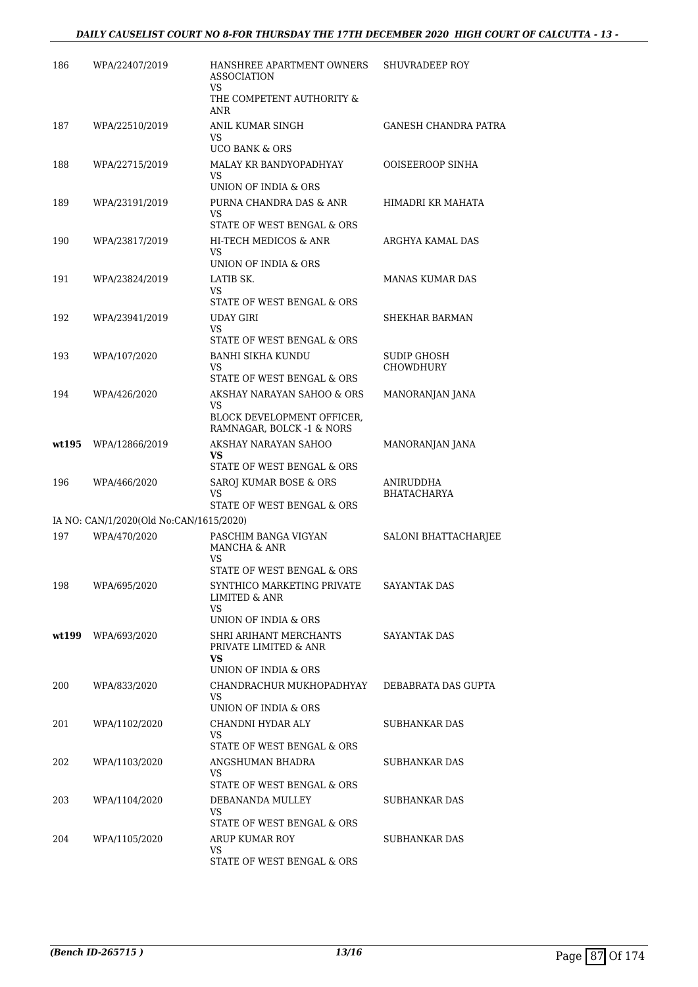| 186   | WPA/22407/2019                          | HANSHREE APARTMENT OWNERS<br><b>ASSOCIATION</b><br>VS          | SHUVRADEEP ROY       |
|-------|-----------------------------------------|----------------------------------------------------------------|----------------------|
|       |                                         | THE COMPETENT AUTHORITY &<br>ANR                               |                      |
| 187   | WPA/22510/2019                          | ANIL KUMAR SINGH<br>VS                                         | GANESH CHANDRA PATRA |
|       |                                         | <b>UCO BANK &amp; ORS</b>                                      |                      |
| 188   | WPA/22715/2019                          | MALAY KR BANDYOPADHYAY<br>VS<br>UNION OF INDIA & ORS           | OOISEEROOP SINHA     |
| 189   | WPA/23191/2019                          | PURNA CHANDRA DAS & ANR<br>VS                                  | HIMADRI KR MAHATA    |
|       |                                         | STATE OF WEST BENGAL & ORS                                     |                      |
| 190   | WPA/23817/2019                          | HI-TECH MEDICOS & ANR<br>VS<br>UNION OF INDIA & ORS            | ARGHYA KAMAL DAS     |
| 191   | WPA/23824/2019                          | LATIB SK.                                                      | MANAS KUMAR DAS      |
|       |                                         | VS                                                             |                      |
|       |                                         | STATE OF WEST BENGAL & ORS                                     |                      |
| 192   | WPA/23941/2019                          | UDAY GIRI<br>VS<br>STATE OF WEST BENGAL & ORS                  | SHEKHAR BARMAN       |
| 193   | WPA/107/2020                            | <b>BANHI SIKHA KUNDU</b>                                       | SUDIP GHOSH          |
|       |                                         | VS                                                             | <b>CHOWDHURY</b>     |
|       |                                         | STATE OF WEST BENGAL & ORS                                     |                      |
| 194   | WPA/426/2020                            | AKSHAY NARAYAN SAHOO & ORS<br>VS<br>BLOCK DEVELOPMENT OFFICER, | MANORANJAN JANA      |
|       |                                         | RAMNAGAR, BOLCK -1 & NORS                                      |                      |
| wt195 | WPA/12866/2019                          | AKSHAY NARAYAN SAHOO                                           | MANORANJAN JANA      |
|       |                                         | VS<br>STATE OF WEST BENGAL & ORS                               |                      |
| 196   | WPA/466/2020                            | SAROJ KUMAR BOSE & ORS                                         | ANIRUDDHA            |
|       |                                         | <b>VS</b><br>STATE OF WEST BENGAL & ORS                        | <b>BHATACHARYA</b>   |
|       | IA NO: CAN/1/2020(Old No:CAN/1615/2020) |                                                                |                      |
| 197   | WPA/470/2020                            | PASCHIM BANGA VIGYAN                                           | SALONI BHATTACHARJEE |
|       |                                         | MANCHA & ANR<br>VS                                             |                      |
|       |                                         | STATE OF WEST BENGAL & ORS                                     |                      |
| 198   | WPA/695/2020                            | SYNTHICO MARKETING PRIVATE<br>LIMITED & ANR<br>VS.             | SAYANTAK DAS         |
|       |                                         | UNION OF INDIA & ORS                                           |                      |
| wt199 | WPA/693/2020                            | SHRI ARIHANT MERCHANTS<br>PRIVATE LIMITED & ANR                | SAYANTAK DAS         |
|       |                                         | VS.<br>UNION OF INDIA & ORS                                    |                      |
| 200   | WPA/833/2020                            | CHANDRACHUR MUKHOPADHYAY                                       | DEBABRATA DAS GUPTA  |
|       |                                         | VS<br>UNION OF INDIA & ORS                                     |                      |
| 201   | WPA/1102/2020                           | CHANDNI HYDAR ALY                                              | SUBHANKAR DAS        |
|       |                                         | VS<br>STATE OF WEST BENGAL & ORS                               |                      |
| 202   | WPA/1103/2020                           | ANGSHUMAN BHADRA<br>VS                                         | SUBHANKAR DAS        |
|       |                                         | STATE OF WEST BENGAL & ORS                                     |                      |
| 203   | WPA/1104/2020                           | DEBANANDA MULLEY<br>VS<br>STATE OF WEST BENGAL & ORS           | SUBHANKAR DAS        |
| 204   | WPA/1105/2020                           | ARUP KUMAR ROY                                                 | SUBHANKAR DAS        |
|       |                                         | VS                                                             |                      |
|       |                                         | STATE OF WEST BENGAL & ORS                                     |                      |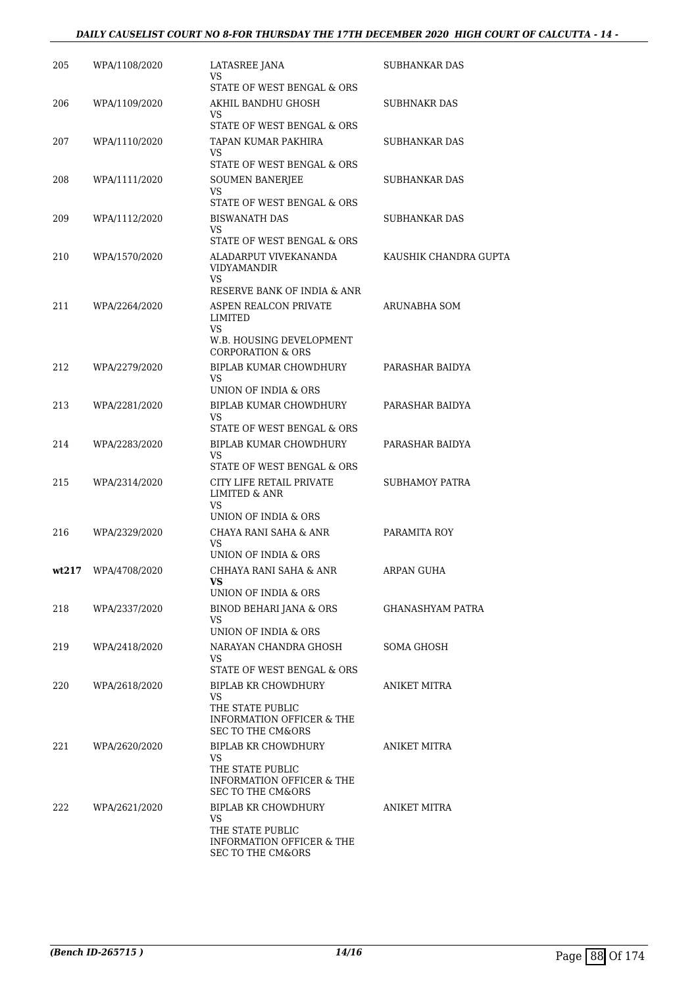### *DAILY CAUSELIST COURT NO 8-FOR THURSDAY THE 17TH DECEMBER 2020 HIGH COURT OF CALCUTTA - 14 -*

| 205 | WPA/1108/2020       | LATASREE JANA<br>VS                                       | SUBHANKAR DAS           |
|-----|---------------------|-----------------------------------------------------------|-------------------------|
|     |                     | STATE OF WEST BENGAL & ORS                                |                         |
| 206 | WPA/1109/2020       | AKHIL BANDHU GHOSH<br>VS.                                 | <b>SUBHNAKR DAS</b>     |
|     |                     | STATE OF WEST BENGAL & ORS                                |                         |
| 207 | WPA/1110/2020       | TAPAN KUMAR PAKHIRA                                       | <b>SUBHANKAR DAS</b>    |
|     |                     | VS<br>STATE OF WEST BENGAL & ORS                          |                         |
| 208 | WPA/1111/2020       | <b>SOUMEN BANERJEE</b>                                    | SUBHANKAR DAS           |
|     |                     | VS<br>STATE OF WEST BENGAL & ORS                          |                         |
|     |                     |                                                           | <b>SUBHANKAR DAS</b>    |
| 209 | WPA/1112/2020       | <b>BISWANATH DAS</b><br>VS                                |                         |
|     |                     | STATE OF WEST BENGAL & ORS                                |                         |
| 210 | WPA/1570/2020       | ALADARPUT VIVEKANANDA<br>VIDYAMANDIR<br>VS                | KAUSHIK CHANDRA GUPTA   |
|     |                     | RESERVE BANK OF INDIA & ANR                               |                         |
| 211 | WPA/2264/2020       | ASPEN REALCON PRIVATE<br>LIMITED                          | ARUNABHA SOM            |
|     |                     | VS<br>W.B. HOUSING DEVELOPMENT                            |                         |
|     |                     | <b>CORPORATION &amp; ORS</b>                              |                         |
| 212 | WPA/2279/2020       | BIPLAB KUMAR CHOWDHURY                                    | PARASHAR BAIDYA         |
|     |                     | VS                                                        |                         |
|     |                     | UNION OF INDIA & ORS                                      |                         |
| 213 | WPA/2281/2020       | BIPLAB KUMAR CHOWDHURY<br>VS                              | PARASHAR BAIDYA         |
|     |                     | STATE OF WEST BENGAL & ORS                                |                         |
| 214 | WPA/2283/2020       | BIPLAB KUMAR CHOWDHURY                                    | PARASHAR BAIDYA         |
|     |                     | VS                                                        |                         |
| 215 |                     | STATE OF WEST BENGAL & ORS                                |                         |
|     | WPA/2314/2020       | CITY LIFE RETAIL PRIVATE<br>LIMITED & ANR<br>VS           | SUBHAMOY PATRA          |
|     |                     | UNION OF INDIA & ORS                                      |                         |
| 216 | WPA/2329/2020       | CHAYA RANI SAHA & ANR                                     | PARAMITA ROY            |
|     |                     | VS<br>UNION OF INDIA & ORS                                |                         |
|     | wt217 WPA/4708/2020 | CHHAYA RANI SAHA & ANR                                    | ARPAN GUHA              |
|     |                     | UNION OF INDIA & ORS                                      |                         |
| 218 | WPA/2337/2020       | BINOD BEHARI JANA & ORS                                   | <b>GHANASHYAM PATRA</b> |
|     |                     | VS.                                                       |                         |
|     |                     | UNION OF INDIA & ORS                                      |                         |
| 219 | WPA/2418/2020       | NARAYAN CHANDRA GHOSH<br>VS                               | SOMA GHOSH              |
|     |                     | STATE OF WEST BENGAL & ORS                                |                         |
| 220 | WPA/2618/2020       | BIPLAB KR CHOWDHURY<br>VS                                 | ANIKET MITRA            |
|     |                     | THE STATE PUBLIC                                          |                         |
|     |                     | INFORMATION OFFICER & THE<br><b>SEC TO THE CM&amp;ORS</b> |                         |
| 221 | WPA/2620/2020       | BIPLAB KR CHOWDHURY                                       | ANIKET MITRA            |
|     |                     | VS<br>THE STATE PUBLIC                                    |                         |
|     |                     | INFORMATION OFFICER & THE<br>SEC TO THE CM&ORS            |                         |
| 222 | WPA/2621/2020       | BIPLAB KR CHOWDHURY                                       | ANIKET MITRA            |
|     |                     | VS                                                        |                         |
|     |                     | THE STATE PUBLIC<br><b>INFORMATION OFFICER &amp; THE</b>  |                         |
|     |                     | SEC TO THE CM&ORS                                         |                         |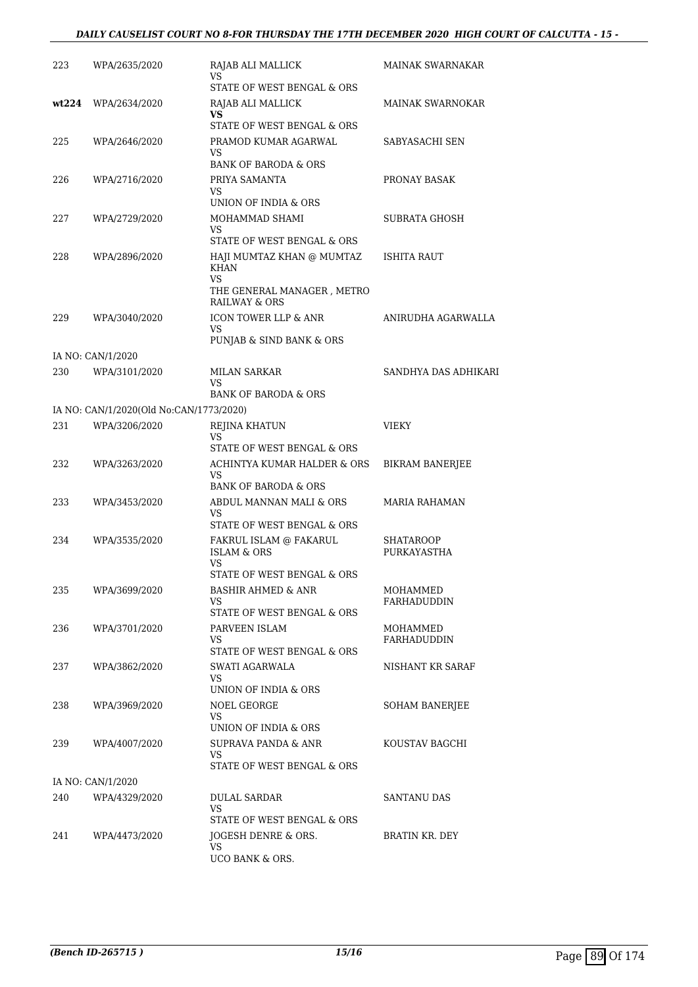### *DAILY CAUSELIST COURT NO 8-FOR THURSDAY THE 17TH DECEMBER 2020 HIGH COURT OF CALCUTTA - 15 -*

| 223   | WPA/2635/2020                           | RAJAB ALI MALLICK<br>VS                                                      | <b>MAINAK SWARNAKAR</b> |
|-------|-----------------------------------------|------------------------------------------------------------------------------|-------------------------|
|       |                                         | STATE OF WEST BENGAL & ORS                                                   |                         |
| wt224 | WPA/2634/2020                           | RAJAB ALI MALLICK<br>VS                                                      | <b>MAINAK SWARNOKAR</b> |
|       |                                         | STATE OF WEST BENGAL & ORS                                                   |                         |
| 225   | WPA/2646/2020                           | PRAMOD KUMAR AGARWAL<br>VS                                                   | SABYASACHI SEN          |
|       |                                         | <b>BANK OF BARODA &amp; ORS</b>                                              |                         |
| 226   | WPA/2716/2020                           | PRIYA SAMANTA                                                                | PRONAY BASAK            |
|       |                                         | VS                                                                           |                         |
|       |                                         | UNION OF INDIA & ORS                                                         |                         |
| 227   | WPA/2729/2020                           | MOHAMMAD SHAMI<br>VS                                                         | SUBRATA GHOSH           |
|       |                                         | STATE OF WEST BENGAL & ORS                                                   |                         |
| 228   | WPA/2896/2020                           | HAJI MUMTAZ KHAN @ MUMTAZ<br><b>KHAN</b><br>VS<br>THE GENERAL MANAGER, METRO | ISHITA RAUT             |
|       |                                         | RAILWAY & ORS                                                                |                         |
| 229   | WPA/3040/2020                           | ICON TOWER LLP & ANR<br>VS                                                   | ANIRUDHA AGARWALLA      |
|       |                                         | PUNJAB & SIND BANK & ORS                                                     |                         |
|       | IA NO: CAN/1/2020                       |                                                                              |                         |
| 230   | WPA/3101/2020                           | MILAN SARKAR<br>VS                                                           | SANDHYA DAS ADHIKARI    |
|       |                                         | <b>BANK OF BARODA &amp; ORS</b>                                              |                         |
|       | IA NO: CAN/1/2020(Old No:CAN/1773/2020) |                                                                              |                         |
| 231   | WPA/3206/2020                           | REJINA KHATUN                                                                | <b>VIEKY</b>            |
|       |                                         | VS<br>STATE OF WEST BENGAL & ORS                                             |                         |
| 232   | WPA/3263/2020                           | ACHINTYA KUMAR HALDER & ORS                                                  | <b>BIKRAM BANERJEE</b>  |
|       |                                         | VS<br><b>BANK OF BARODA &amp; ORS</b>                                        |                         |
| 233   | WPA/3453/2020                           | ABDUL MANNAN MALI & ORS                                                      | MARIA RAHAMAN           |
|       |                                         | VS<br>STATE OF WEST BENGAL & ORS                                             |                         |
| 234   | WPA/3535/2020                           | FAKRUL ISLAM @ FAKARUL                                                       | <b>SHATAROOP</b>        |
|       |                                         | <b>ISLAM &amp; ORS</b>                                                       | PURKAYASTHA             |
|       |                                         | VS                                                                           |                         |
| 235   | WPA/3699/2020                           | STATE OF WEST BENGAL & ORS<br>BASHIR AHMED & ANR                             | MOHAMMED                |
|       |                                         | VS                                                                           | FARHADUDDIN             |
|       |                                         | STATE OF WEST BENGAL & ORS                                                   |                         |
| 236   | WPA/3701/2020                           | PARVEEN ISLAM                                                                | MOHAMMED                |
|       |                                         | VS<br>STATE OF WEST BENGAL & ORS                                             | <b>FARHADUDDIN</b>      |
| 237   | WPA/3862/2020                           | SWATI AGARWALA                                                               | NISHANT KR SARAF        |
|       |                                         | VS                                                                           |                         |
|       |                                         | UNION OF INDIA & ORS                                                         |                         |
| 238   | WPA/3969/2020                           | NOEL GEORGE<br>VS                                                            | SOHAM BANERJEE          |
|       |                                         | UNION OF INDIA & ORS                                                         |                         |
| 239   | WPA/4007/2020                           | SUPRAVA PANDA & ANR<br>VS.                                                   | KOUSTAV BAGCHI          |
|       |                                         | STATE OF WEST BENGAL & ORS                                                   |                         |
|       | IA NO: CAN/1/2020                       |                                                                              |                         |
| 240   | WPA/4329/2020                           | DULAL SARDAR<br>VS                                                           | SANTANU DAS             |
|       |                                         | STATE OF WEST BENGAL & ORS                                                   |                         |
| 241   | WPA/4473/2020                           | JOGESH DENRE & ORS.                                                          | BRATIN KR. DEY          |
|       |                                         | VS                                                                           |                         |
|       |                                         | UCO BANK & ORS.                                                              |                         |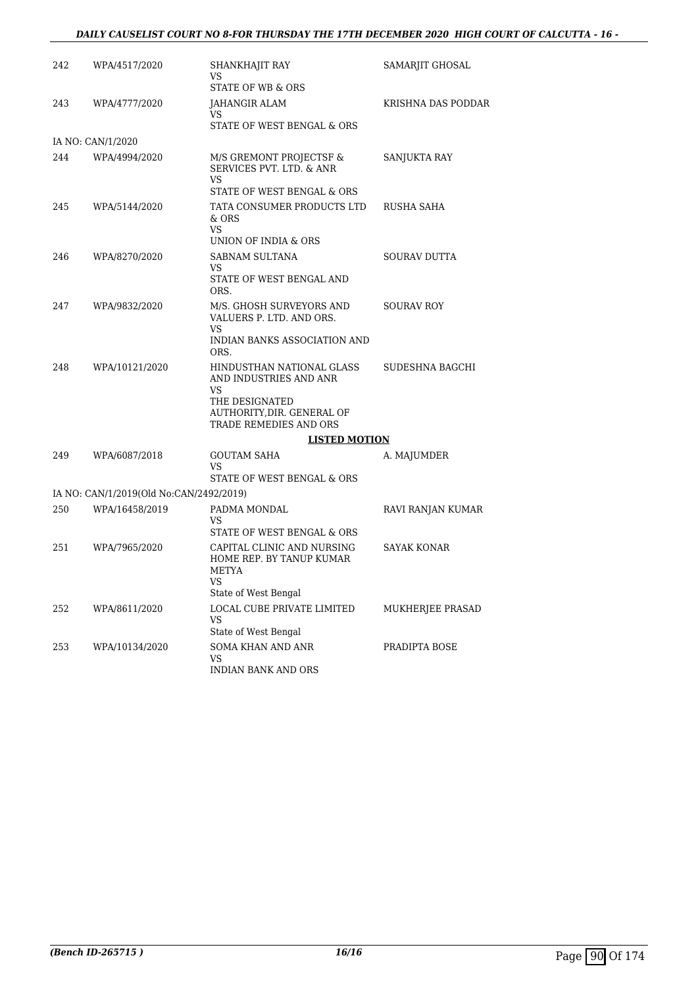#### *DAILY CAUSELIST COURT NO 8-FOR THURSDAY THE 17TH DECEMBER 2020 HIGH COURT OF CALCUTTA - 16 -*

| 242 | WPA/4517/2020                           | SHANKHAJIT RAY<br>VS                                                         | SAMARJIT GHOSAL    |
|-----|-----------------------------------------|------------------------------------------------------------------------------|--------------------|
|     |                                         | <b>STATE OF WB &amp; ORS</b>                                                 |                    |
| 243 | WPA/4777/2020                           | JAHANGIR ALAM<br>VS                                                          | KRISHNA DAS PODDAR |
|     |                                         | STATE OF WEST BENGAL & ORS                                                   |                    |
|     | IA NO: CAN/1/2020                       |                                                                              |                    |
| 244 | WPA/4994/2020                           | M/S GREMONT PROJECTSF &<br>SERVICES PVT. LTD. & ANR<br>VS                    | SANJUKTA RAY       |
|     |                                         | STATE OF WEST BENGAL & ORS                                                   |                    |
| 245 | WPA/5144/2020                           | TATA CONSUMER PRODUCTS LTD<br>& ORS<br><b>VS</b>                             | RUSHA SAHA         |
|     |                                         | UNION OF INDIA & ORS                                                         |                    |
| 246 | WPA/8270/2020                           | SABNAM SULTANA<br>VS                                                         | SOURAV DUTTA       |
|     |                                         | STATE OF WEST BENGAL AND<br>ORS.                                             |                    |
| 247 | WPA/9832/2020                           | M/S. GHOSH SURVEYORS AND<br>VALUERS P. LTD. AND ORS.<br>VS                   | <b>SOURAV ROY</b>  |
|     |                                         | INDIAN BANKS ASSOCIATION AND<br>ORS.                                         |                    |
| 248 | WPA/10121/2020                          | HINDUSTHAN NATIONAL GLASS<br>AND INDUSTRIES AND ANR                          | SUDESHNA BAGCHI    |
|     |                                         | VS<br>THE DESIGNATED<br>AUTHORITY, DIR. GENERAL OF<br>TRADE REMEDIES AND ORS |                    |
|     |                                         | <b>LISTED MOTION</b>                                                         |                    |
| 249 | WPA/6087/2018                           | <b>GOUTAM SAHA</b><br>VS                                                     | A. MAJUMDER        |
|     |                                         | STATE OF WEST BENGAL & ORS                                                   |                    |
|     | IA NO: CAN/1/2019(Old No:CAN/2492/2019) |                                                                              |                    |
| 250 | WPA/16458/2019                          | PADMA MONDAL                                                                 | RAVI RANJAN KUMAR  |
|     |                                         | VS<br>STATE OF WEST BENGAL & ORS                                             |                    |
| 251 | WPA/7965/2020                           | CAPITAL CLINIC AND NURSING<br>HOME REP. BY TANUP KUMAR<br>METYA<br><b>VS</b> | <b>SAYAK KONAR</b> |
|     |                                         | State of West Bengal                                                         |                    |
| 252 | WPA/8611/2020                           | <b>LOCAL CUBE PRIVATE LIMITED</b><br>VS                                      | MUKHERJEE PRASAD   |
|     |                                         | State of West Bengal                                                         |                    |
| 253 | WPA/10134/2020                          | SOMA KHAN AND ANR<br><b>VS</b><br><b>INDIAN BANK AND ORS</b>                 | PRADIPTA BOSE      |
|     |                                         |                                                                              |                    |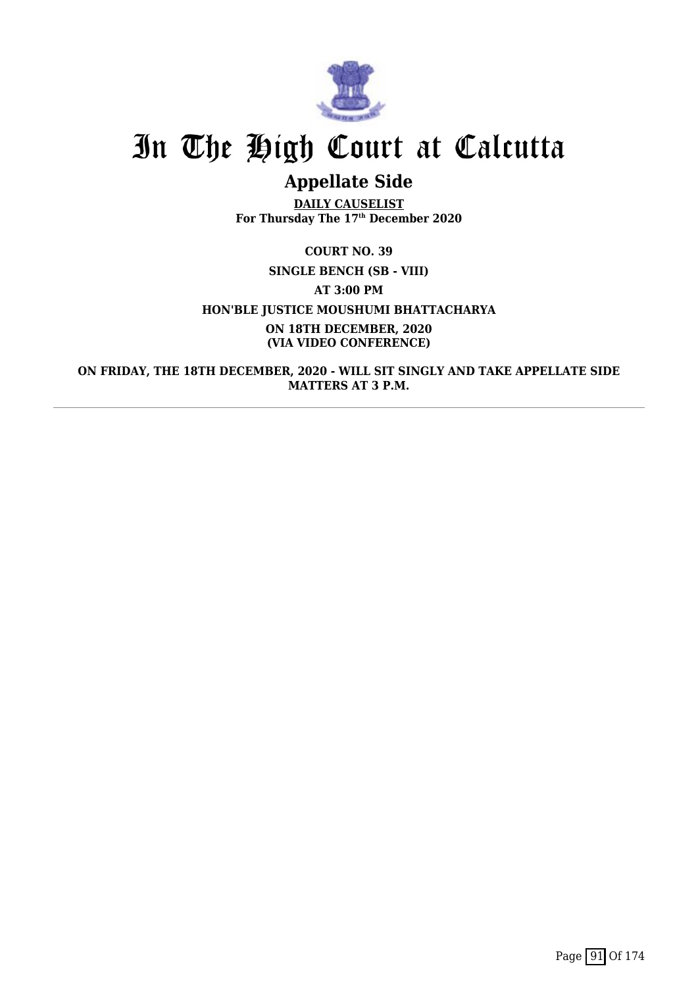

## **Appellate Side**

**DAILY CAUSELIST For Thursday The 17th December 2020**

### **COURT NO. 39 SINGLE BENCH (SB - VIII) AT 3:00 PM HON'BLE JUSTICE MOUSHUMI BHATTACHARYA ON 18TH DECEMBER, 2020 (VIA VIDEO CONFERENCE)**

**ON FRIDAY, THE 18TH DECEMBER, 2020 - WILL SIT SINGLY AND TAKE APPELLATE SIDE MATTERS AT 3 P.M.**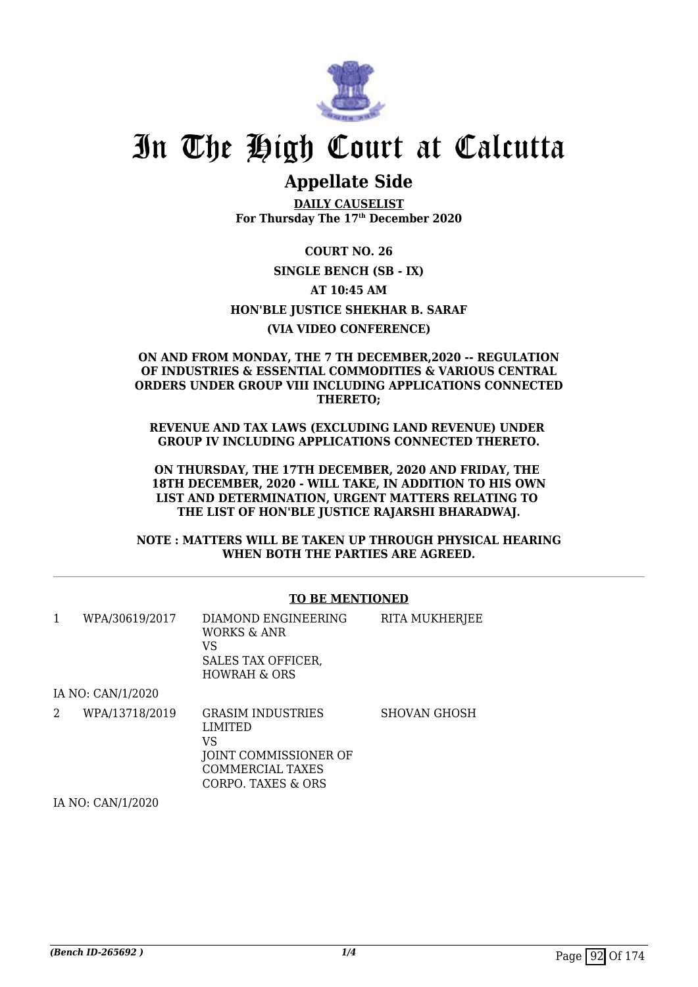

### **Appellate Side**

**DAILY CAUSELIST For Thursday The 17th December 2020**

**COURT NO. 26 SINGLE BENCH (SB - IX) AT 10:45 AM HON'BLE JUSTICE SHEKHAR B. SARAF (VIA VIDEO CONFERENCE)**

### **ON AND FROM MONDAY, THE 7 TH DECEMBER,2020 -- REGULATION OF INDUSTRIES & ESSENTIAL COMMODITIES & VARIOUS CENTRAL ORDERS UNDER GROUP VIII INCLUDING APPLICATIONS CONNECTED THERETO;**

**REVENUE AND TAX LAWS (EXCLUDING LAND REVENUE) UNDER GROUP IV INCLUDING APPLICATIONS CONNECTED THERETO.**

**ON THURSDAY, THE 17TH DECEMBER, 2020 AND FRIDAY, THE 18TH DECEMBER, 2020 - WILL TAKE, IN ADDITION TO HIS OWN LIST AND DETERMINATION, URGENT MATTERS RELATING TO THE LIST OF HON'BLE JUSTICE RAJARSHI BHARADWAJ.**

**NOTE : MATTERS WILL BE TAKEN UP THROUGH PHYSICAL HEARING WHEN BOTH THE PARTIES ARE AGREED.**

### **TO BE MENTIONED**

| 1 | WPA/30619/2017                                                                                                                                                                                                                                                                                                                                                                                               | DIAMOND ENGINEERING<br>WORKS & ANR<br>VS<br>SALES TAX OFFICER,<br><b>HOWRAH &amp; ORS</b>                           | RITA MUKHERJEE      |
|---|--------------------------------------------------------------------------------------------------------------------------------------------------------------------------------------------------------------------------------------------------------------------------------------------------------------------------------------------------------------------------------------------------------------|---------------------------------------------------------------------------------------------------------------------|---------------------|
|   | IA NO: CAN/1/2020                                                                                                                                                                                                                                                                                                                                                                                            |                                                                                                                     |                     |
| 2 | WPA/13718/2019                                                                                                                                                                                                                                                                                                                                                                                               | <b>GRASIM INDUSTRIES</b><br><b>LIMITED</b><br>VS<br>JOINT COMMISSIONER OF<br>COMMERCIAL TAXES<br>CORPO. TAXES & ORS | <b>SHOVAN GHOSH</b> |
|   | $\mathbf{r}$ , $\mathbf{r}$ , $\alpha$ , $\mathbf{r}$ , $\alpha$ , $\alpha$ , $\alpha$ , $\alpha$ , $\alpha$ , $\alpha$ , $\alpha$ , $\alpha$ , $\alpha$ , $\alpha$ , $\alpha$ , $\alpha$ , $\alpha$ , $\alpha$ , $\alpha$ , $\alpha$ , $\alpha$ , $\alpha$ , $\alpha$ , $\alpha$ , $\alpha$ , $\alpha$ , $\alpha$ , $\alpha$ , $\alpha$ , $\alpha$ , $\alpha$ , $\alpha$ , $\alpha$ , $\alpha$ , $\alpha$ , |                                                                                                                     |                     |

IA NO: CAN/1/2020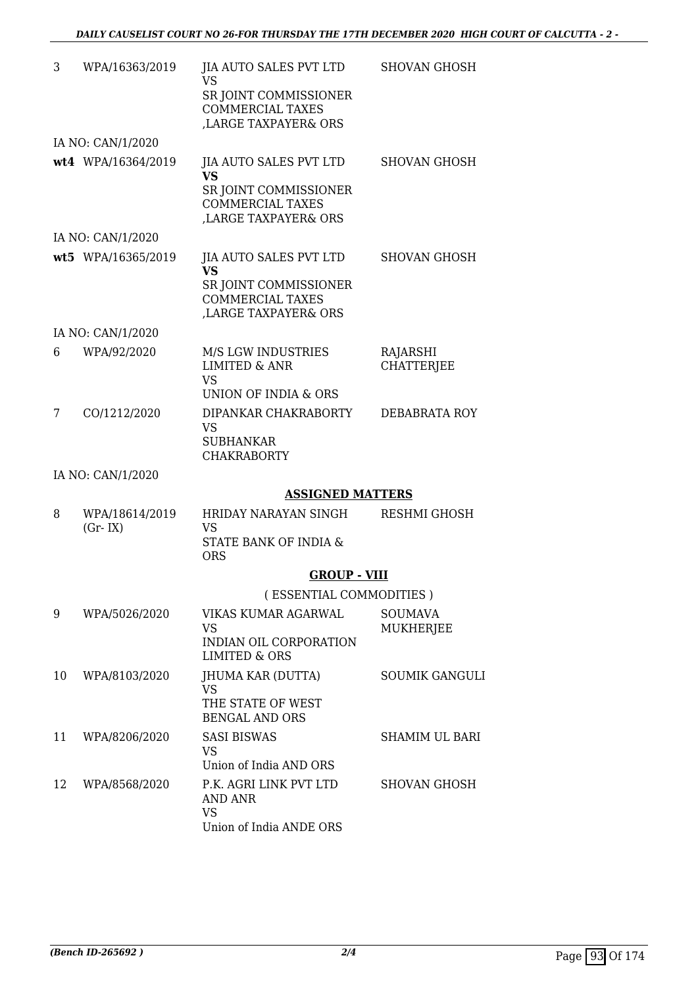| 3  | WPA/16363/2019              | <b>JIA AUTO SALES PVT LTD</b><br><b>VS</b><br>SR JOINT COMMISSIONER<br><b>COMMERCIAL TAXES</b><br>LARGE TAXPAYER& ORS | <b>SHOVAN GHOSH</b>         |
|----|-----------------------------|-----------------------------------------------------------------------------------------------------------------------|-----------------------------|
|    | IA NO: CAN/1/2020           |                                                                                                                       |                             |
|    | wt4 WPA/16364/2019          | <b>JIA AUTO SALES PVT LTD</b><br><b>VS</b><br>SR JOINT COMMISSIONER<br><b>COMMERCIAL TAXES</b><br>LARGE TAXPAYER& ORS | <b>SHOVAN GHOSH</b>         |
|    | IA NO: CAN/1/2020           |                                                                                                                       |                             |
|    | wt5 WPA/16365/2019          | <b>JIA AUTO SALES PVT LTD</b><br><b>VS</b><br>SR JOINT COMMISSIONER<br><b>COMMERCIAL TAXES</b><br>LARGE TAXPAYER& ORS | <b>SHOVAN GHOSH</b>         |
|    | IA NO: CAN/1/2020           |                                                                                                                       |                             |
| 6  | WPA/92/2020                 | <b>M/S LGW INDUSTRIES</b><br><b>LIMITED &amp; ANR</b><br><b>VS</b>                                                    | RAJARSHI<br>CHATTERJEE      |
|    |                             | UNION OF INDIA & ORS                                                                                                  |                             |
| 7  | CO/1212/2020                | DIPANKAR CHAKRABORTY<br><b>VS</b><br><b>SUBHANKAR</b><br><b>CHAKRABORTY</b>                                           | DEBABRATA ROY               |
|    | IA NO: CAN/1/2020           |                                                                                                                       |                             |
|    |                             | <b>ASSIGNED MATTERS</b>                                                                                               |                             |
| 8  | WPA/18614/2019<br>$(Gr-IX)$ | HRIDAY NARAYAN SINGH<br><b>VS</b><br>STATE BANK OF INDIA &<br><b>ORS</b>                                              | RESHMI GHOSH                |
|    |                             | <b>GROUP - VIII</b>                                                                                                   |                             |
|    |                             | (ESSENTIAL COMMODITIES)                                                                                               |                             |
| 9  | WPA/5026/2020               | VIKAS KUMAR AGARWAL<br>VS<br>INDIAN OIL CORPORATION<br><b>LIMITED &amp; ORS</b>                                       | <b>SOUMAVA</b><br>MUKHERJEE |
| 10 | WPA/8103/2020               | <b>JHUMA KAR (DUTTA)</b><br><b>VS</b>                                                                                 | <b>SOUMIK GANGULI</b>       |
|    |                             | THE STATE OF WEST<br><b>BENGAL AND ORS</b>                                                                            |                             |
| 11 | WPA/8206/2020               | <b>SASI BISWAS</b><br><b>VS</b><br>Union of India AND ORS                                                             | SHAMIM UL BARI              |
| 12 | WPA/8568/2020               | P.K. AGRI LINK PVT LTD<br>AND ANR<br><b>VS</b><br>Union of India ANDE ORS                                             | <b>SHOVAN GHOSH</b>         |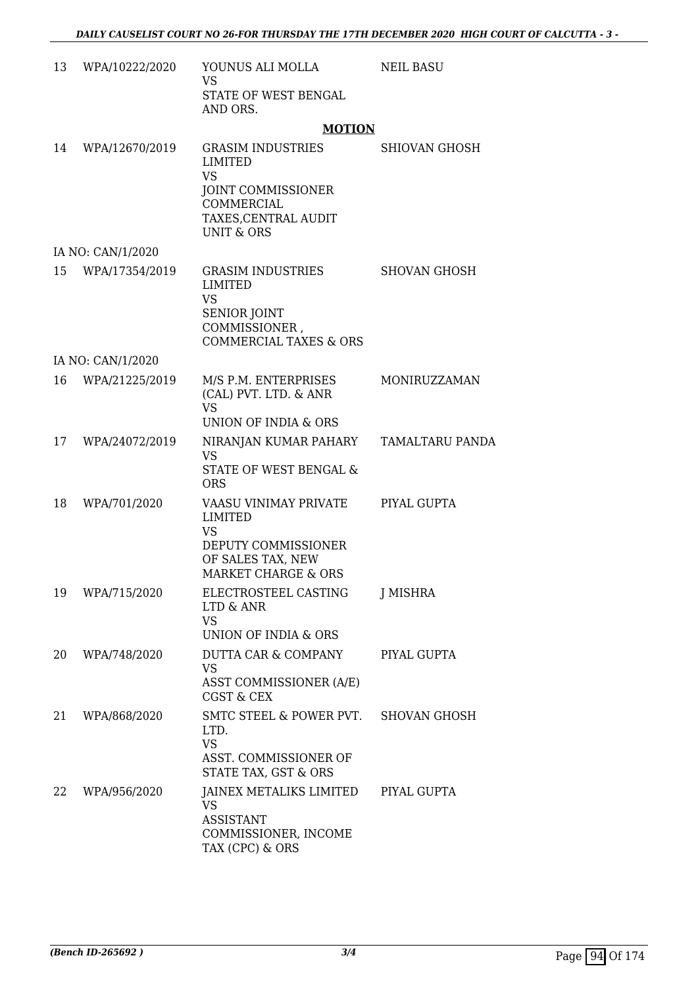| 13 | WPA/10222/2020    | YOUNUS ALI MOLLA<br><b>VS</b><br>STATE OF WEST BENGAL                                                                         | <b>NEIL BASU</b>     |
|----|-------------------|-------------------------------------------------------------------------------------------------------------------------------|----------------------|
|    |                   | AND ORS.                                                                                                                      |                      |
| 14 | WPA/12670/2019    | <b>MOTION</b><br><b>GRASIM INDUSTRIES</b>                                                                                     | <b>SHIOVAN GHOSH</b> |
|    |                   | LIMITED<br><b>VS</b>                                                                                                          |                      |
|    |                   | JOINT COMMISSIONER<br><b>COMMERCIAL</b><br>TAXES, CENTRAL AUDIT<br>UNIT & ORS                                                 |                      |
|    | IA NO: CAN/1/2020 |                                                                                                                               |                      |
| 15 | WPA/17354/2019    | <b>GRASIM INDUSTRIES</b><br><b>LIMITED</b><br><b>VS</b><br>SENIOR JOINT<br>COMMISSIONER,<br><b>COMMERCIAL TAXES &amp; ORS</b> | <b>SHOVAN GHOSH</b>  |
|    | IA NO: CAN/1/2020 |                                                                                                                               |                      |
| 16 | WPA/21225/2019    | M/S P.M. ENTERPRISES<br>(CAL) PVT. LTD. & ANR<br><b>VS</b>                                                                    | MONIRUZZAMAN         |
|    |                   | UNION OF INDIA & ORS                                                                                                          |                      |
| 17 | WPA/24072/2019    | NIRANJAN KUMAR PAHARY<br><b>VS</b><br><b>STATE OF WEST BENGAL &amp;</b>                                                       | TAMALTARU PANDA      |
|    |                   | <b>ORS</b>                                                                                                                    |                      |
| 18 | WPA/701/2020      | VAASU VINIMAY PRIVATE<br><b>LIMITED</b><br><b>VS</b><br>DEPUTY COMMISSIONER                                                   | PIYAL GUPTA          |
|    |                   | OF SALES TAX, NEW<br><b>MARKET CHARGE &amp; ORS</b>                                                                           |                      |
| 19 | WPA/715/2020      | ELECTROSTEEL CASTING<br>LTD & ANR<br><b>VS</b>                                                                                | J MISHRA             |
|    |                   | UNION OF INDIA & ORS                                                                                                          |                      |
| 20 | WPA/748/2020      | DUTTA CAR & COMPANY<br><b>VS</b>                                                                                              | PIYAL GUPTA          |
|    |                   | ASST COMMISSIONER (A/E)<br><b>CGST &amp; CEX</b>                                                                              |                      |
| 21 | WPA/868/2020      | SMTC STEEL & POWER PVT.<br>LTD.<br><b>VS</b><br>ASST. COMMISSIONER OF<br>STATE TAX, GST & ORS                                 | <b>SHOVAN GHOSH</b>  |
| 22 | WPA/956/2020      | JAINEX METALIKS LIMITED<br><b>VS</b><br><b>ASSISTANT</b><br>COMMISSIONER, INCOME<br>TAX (CPC) & ORS                           | PIYAL GUPTA          |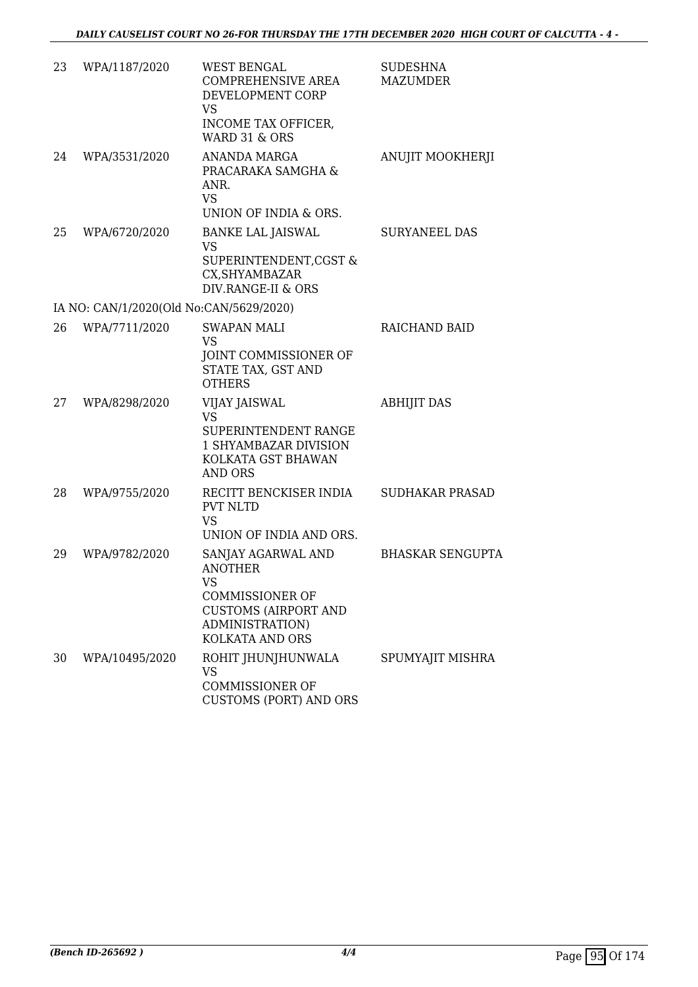| 23 | WPA/1187/2020                           | <b>WEST BENGAL</b><br><b>COMPREHENSIVE AREA</b><br>DEVELOPMENT CORP<br><b>VS</b><br>INCOME TAX OFFICER,                                                 | <b>SUDESHNA</b><br><b>MAZUMDER</b> |
|----|-----------------------------------------|---------------------------------------------------------------------------------------------------------------------------------------------------------|------------------------------------|
| 24 | WPA/3531/2020                           | <b>WARD 31 &amp; ORS</b><br>ANANDA MARGA<br>PRACARAKA SAMGHA &<br>ANR.<br><b>VS</b>                                                                     | ANUJIT MOOKHERJI                   |
|    |                                         | UNION OF INDIA & ORS.                                                                                                                                   |                                    |
| 25 | WPA/6720/2020                           | <b>BANKE LAL JAISWAL</b><br><b>VS</b><br>SUPERINTENDENT, CGST &<br>CX, SHYAMBAZAR<br>DIV.RANGE-II & ORS                                                 | <b>SURYANEEL DAS</b>               |
|    | IA NO: CAN/1/2020(Old No:CAN/5629/2020) |                                                                                                                                                         |                                    |
| 26 | WPA/7711/2020                           | <b>SWAPAN MALI</b><br><b>VS</b><br>JOINT COMMISSIONER OF<br>STATE TAX, GST AND<br><b>OTHERS</b>                                                         | RAICHAND BAID                      |
| 27 | WPA/8298/2020                           | <b>VIJAY JAISWAL</b><br><b>VS</b><br>SUPERINTENDENT RANGE<br><b>1 SHYAMBAZAR DIVISION</b><br>KOLKATA GST BHAWAN<br><b>AND ORS</b>                       | <b>ABHIJIT DAS</b>                 |
| 28 | WPA/9755/2020                           | RECITT BENCKISER INDIA<br><b>PVT NLTD</b><br><b>VS</b><br>UNION OF INDIA AND ORS.                                                                       | <b>SUDHAKAR PRASAD</b>             |
| 29 | WPA/9782/2020                           | SANJAY AGARWAL AND<br><b>ANOTHER</b><br><b>VS</b><br><b>COMMISSIONER OF</b><br><b>CUSTOMS (AIRPORT AND</b><br>ADMINISTRATION)<br><b>KOLKATA AND ORS</b> | <b>BHASKAR SENGUPTA</b>            |
| 30 | WPA/10495/2020                          | ROHIT JHUNJHUNWALA<br><b>VS</b><br><b>COMMISSIONER OF</b><br><b>CUSTOMS (PORT) AND ORS</b>                                                              | SPUMYAJIT MISHRA                   |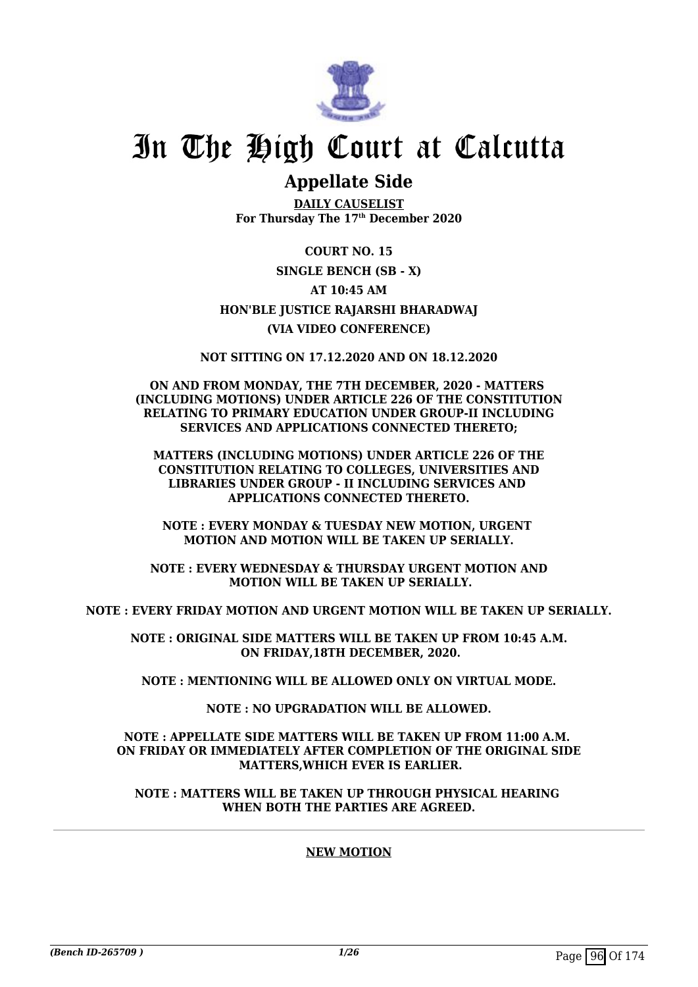

### **Appellate Side**

**DAILY CAUSELIST For Thursday The 17th December 2020**

**COURT NO. 15 SINGLE BENCH (SB - X) AT 10:45 AM HON'BLE JUSTICE RAJARSHI BHARADWAJ (VIA VIDEO CONFERENCE)**

**NOT SITTING ON 17.12.2020 AND ON 18.12.2020**

**ON AND FROM MONDAY, THE 7TH DECEMBER, 2020 - MATTERS (INCLUDING MOTIONS) UNDER ARTICLE 226 OF THE CONSTITUTION RELATING TO PRIMARY EDUCATION UNDER GROUP-II INCLUDING SERVICES AND APPLICATIONS CONNECTED THERETO;**

**MATTERS (INCLUDING MOTIONS) UNDER ARTICLE 226 OF THE CONSTITUTION RELATING TO COLLEGES, UNIVERSITIES AND LIBRARIES UNDER GROUP - II INCLUDING SERVICES AND APPLICATIONS CONNECTED THERETO.**

**NOTE : EVERY MONDAY & TUESDAY NEW MOTION, URGENT MOTION AND MOTION WILL BE TAKEN UP SERIALLY.**

**NOTE : EVERY WEDNESDAY & THURSDAY URGENT MOTION AND MOTION WILL BE TAKEN UP SERIALLY.**

**NOTE : EVERY FRIDAY MOTION AND URGENT MOTION WILL BE TAKEN UP SERIALLY.**

**NOTE : ORIGINAL SIDE MATTERS WILL BE TAKEN UP FROM 10:45 A.M. ON FRIDAY,18TH DECEMBER, 2020.**

**NOTE : MENTIONING WILL BE ALLOWED ONLY ON VIRTUAL MODE.**

**NOTE : NO UPGRADATION WILL BE ALLOWED.**

### **NOTE : APPELLATE SIDE MATTERS WILL BE TAKEN UP FROM 11:00 A.M. ON FRIDAY OR IMMEDIATELY AFTER COMPLETION OF THE ORIGINAL SIDE MATTERS,WHICH EVER IS EARLIER.**

**NOTE : MATTERS WILL BE TAKEN UP THROUGH PHYSICAL HEARING WHEN BOTH THE PARTIES ARE AGREED.**

### **NEW MOTION**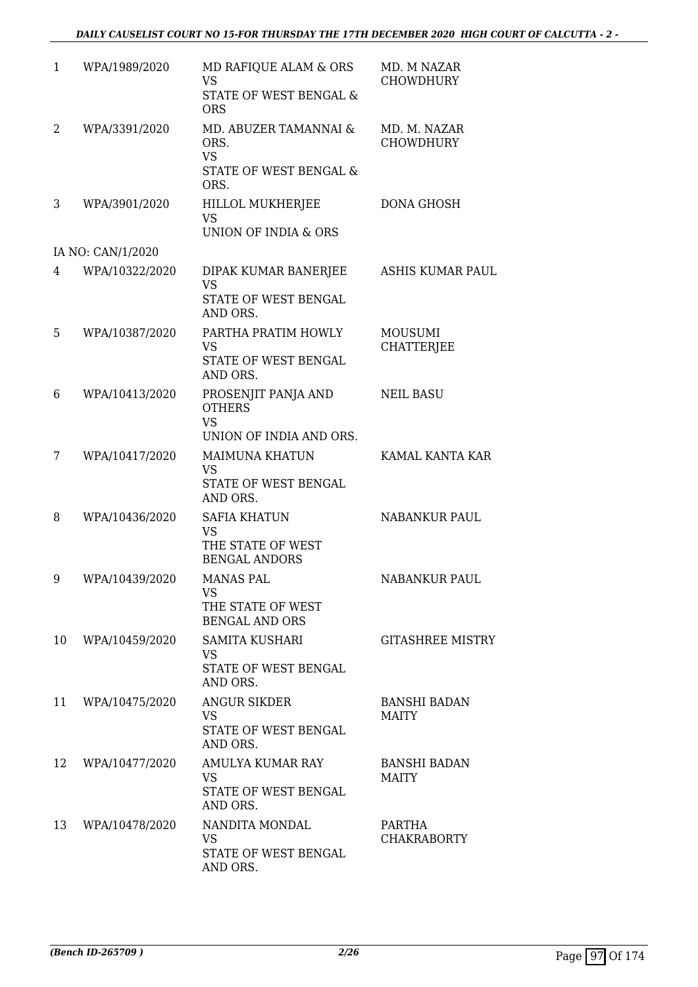| $\mathbf{1}$ | WPA/1989/2020     | MD RAFIQUE ALAM & ORS<br>VS.<br>STATE OF WEST BENGAL &<br><b>ORS</b>          | MD. M NAZAR<br><b>CHOWDHURY</b>     |
|--------------|-------------------|-------------------------------------------------------------------------------|-------------------------------------|
| 2            | WPA/3391/2020     | MD. ABUZER TAMANNAI &<br>ORS.<br><b>VS</b><br>STATE OF WEST BENGAL &<br>ORS.  | MD. M. NAZAR<br><b>CHOWDHURY</b>    |
| 3            | WPA/3901/2020     | <b>HILLOL MUKHERJEE</b><br><b>VS</b><br>UNION OF INDIA & ORS                  | <b>DONA GHOSH</b>                   |
|              | IA NO: CAN/1/2020 |                                                                               |                                     |
| 4            | WPA/10322/2020    | DIPAK KUMAR BANERJEE<br><b>VS</b><br>STATE OF WEST BENGAL<br>AND ORS.         | <b>ASHIS KUMAR PAUL</b>             |
| 5            | WPA/10387/2020    | PARTHA PRATIM HOWLY<br><b>VS</b><br>STATE OF WEST BENGAL<br>AND ORS.          | <b>MOUSUMI</b><br><b>CHATTERJEE</b> |
| 6            | WPA/10413/2020    | PROSENJIT PANJA AND<br><b>OTHERS</b><br><b>VS</b><br>UNION OF INDIA AND ORS.  | <b>NEIL BASU</b>                    |
| 7            | WPA/10417/2020    | <b>MAIMUNA KHATUN</b><br><b>VS</b><br>STATE OF WEST BENGAL<br>AND ORS.        | KAMAL KANTA KAR                     |
| 8            | WPA/10436/2020    | <b>SAFIA KHATUN</b><br><b>VS</b><br>THE STATE OF WEST<br><b>BENGAL ANDORS</b> | <b>NABANKUR PAUL</b>                |
| 9            | WPA/10439/2020    | MANAS PAL<br><b>VS</b><br>THE STATE OF WEST<br><b>BENGAL AND ORS</b>          | NABANKUR PAUL                       |
| 10           | WPA/10459/2020    | <b>SAMITA KUSHARI</b><br>VS.<br>STATE OF WEST BENGAL<br>AND ORS.              | <b>GITASHREE MISTRY</b>             |
| 11           | WPA/10475/2020    | ANGUR SIKDER<br><b>VS</b><br>STATE OF WEST BENGAL<br>AND ORS.                 | <b>BANSHI BADAN</b><br><b>MAITY</b> |
| 12           | WPA/10477/2020    | AMULYA KUMAR RAY<br>VS<br>STATE OF WEST BENGAL<br>AND ORS.                    | <b>BANSHI BADAN</b><br>MAITY        |
| 13           | WPA/10478/2020    | NANDITA MONDAL<br><b>VS</b><br>STATE OF WEST BENGAL<br>AND ORS.               | PARTHA<br><b>CHAKRABORTY</b>        |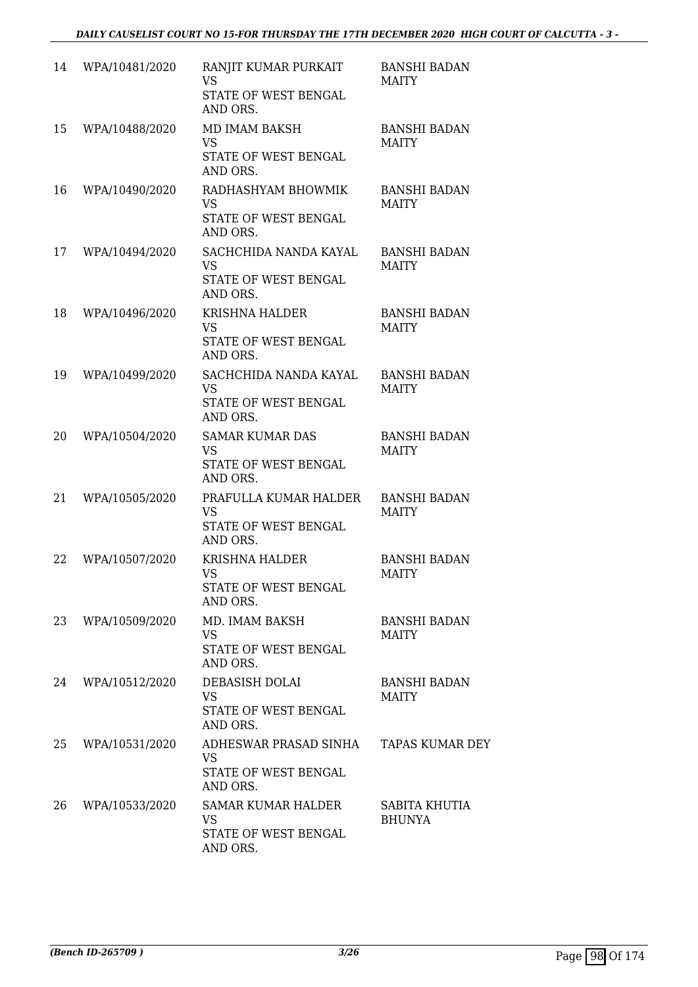| 14 | WPA/10481/2020 | RANJIT KUMAR PURKAIT<br><b>VS</b><br>STATE OF WEST BENGAL<br>AND ORS.   | <b>BANSHI BADAN</b><br><b>MAITY</b> |
|----|----------------|-------------------------------------------------------------------------|-------------------------------------|
| 15 | WPA/10488/2020 | MD IMAM BAKSH<br><b>VS</b><br>STATE OF WEST BENGAL<br>AND ORS.          | <b>BANSHI BADAN</b><br><b>MAITY</b> |
| 16 | WPA/10490/2020 | RADHASHYAM BHOWMIK<br><b>VS</b><br>STATE OF WEST BENGAL<br>AND ORS.     | <b>BANSHI BADAN</b><br><b>MAITY</b> |
| 17 | WPA/10494/2020 | SACHCHIDA NANDA KAYAL<br><b>VS</b><br>STATE OF WEST BENGAL<br>AND ORS.  | <b>BANSHI BADAN</b><br><b>MAITY</b> |
| 18 | WPA/10496/2020 | KRISHNA HALDER<br><b>VS</b><br>STATE OF WEST BENGAL<br>AND ORS.         | <b>BANSHI BADAN</b><br><b>MAITY</b> |
| 19 | WPA/10499/2020 | SACHCHIDA NANDA KAYAL<br><b>VS</b><br>STATE OF WEST BENGAL<br>AND ORS.  | <b>BANSHI BADAN</b><br>MAITY        |
| 20 | WPA/10504/2020 | <b>SAMAR KUMAR DAS</b><br><b>VS</b><br>STATE OF WEST BENGAL<br>AND ORS. | <b>BANSHI BADAN</b><br><b>MAITY</b> |
| 21 | WPA/10505/2020 | PRAFULLA KUMAR HALDER<br><b>VS</b><br>STATE OF WEST BENGAL<br>AND ORS.  | <b>BANSHI BADAN</b><br><b>MAITY</b> |
| 22 | WPA/10507/2020 | <b>KRISHNA HALDER</b><br><b>VS</b><br>STATE OF WEST BENGAL<br>AND ORS.  | <b>BANSHI BADAN</b><br><b>MAITY</b> |
| 23 | WPA/10509/2020 | MD. IMAM BAKSH<br>VS<br>STATE OF WEST BENGAL<br>AND ORS.                | <b>BANSHI BADAN</b><br>MAITY        |
| 24 | WPA/10512/2020 | DEBASISH DOLAI<br><b>VS</b><br>STATE OF WEST BENGAL<br>AND ORS.         | <b>BANSHI BADAN</b><br>MAITY        |
| 25 | WPA/10531/2020 | ADHESWAR PRASAD SINHA<br><b>VS</b><br>STATE OF WEST BENGAL<br>AND ORS.  | <b>TAPAS KUMAR DEY</b>              |
| 26 | WPA/10533/2020 | <b>SAMAR KUMAR HALDER</b><br>VS<br>STATE OF WEST BENGAL<br>AND ORS.     | SABITA KHUTIA<br><b>BHUNYA</b>      |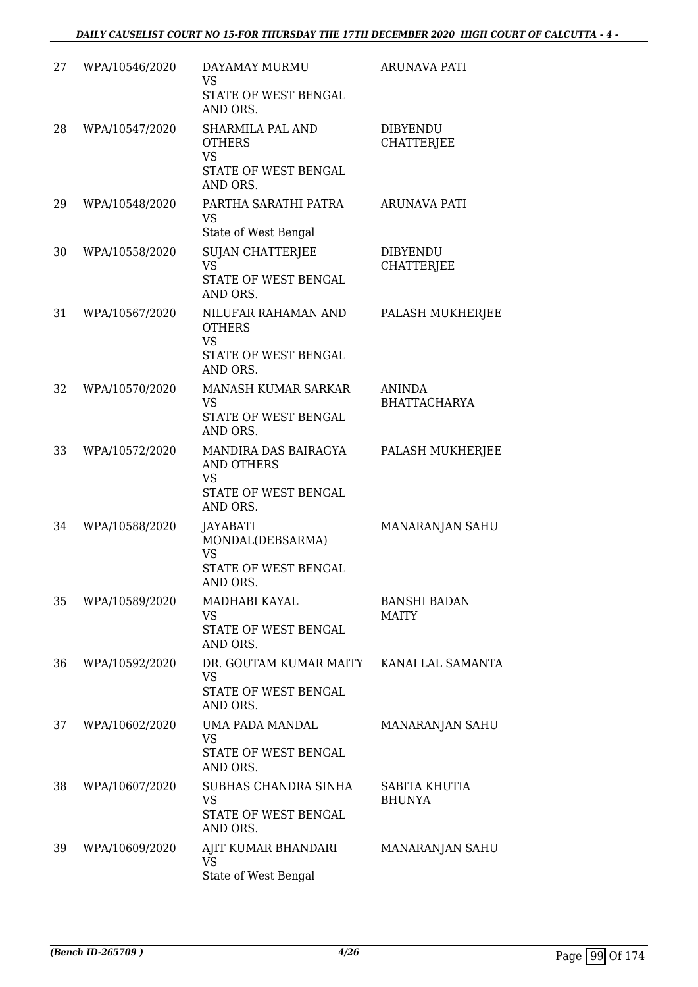| 27 | WPA/10546/2020 | DAYAMAY MURMU<br><b>VS</b><br>STATE OF WEST BENGAL<br>AND ORS.                             | <b>ARUNAVA PATI</b>                  |
|----|----------------|--------------------------------------------------------------------------------------------|--------------------------------------|
| 28 | WPA/10547/2020 | <b>SHARMILA PAL AND</b><br><b>OTHERS</b><br><b>VS</b><br>STATE OF WEST BENGAL              | <b>DIBYENDU</b><br><b>CHATTERJEE</b> |
| 29 | WPA/10548/2020 | AND ORS.<br>PARTHA SARATHI PATRA<br><b>VS</b><br>State of West Bengal                      | <b>ARUNAVA PATI</b>                  |
| 30 | WPA/10558/2020 | <b>SUJAN CHATTERJEE</b><br><b>VS</b><br>STATE OF WEST BENGAL<br>AND ORS.                   | <b>DIBYENDU</b><br><b>CHATTERJEE</b> |
| 31 | WPA/10567/2020 | NILUFAR RAHAMAN AND<br><b>OTHERS</b><br><b>VS</b><br>STATE OF WEST BENGAL<br>AND ORS.      | PALASH MUKHERJEE                     |
| 32 | WPA/10570/2020 | MANASH KUMAR SARKAR<br>VS.<br>STATE OF WEST BENGAL<br>AND ORS.                             | <b>ANINDA</b><br><b>BHATTACHARYA</b> |
| 33 | WPA/10572/2020 | MANDIRA DAS BAIRAGYA<br><b>AND OTHERS</b><br><b>VS</b><br>STATE OF WEST BENGAL<br>AND ORS. | PALASH MUKHERJEE                     |
| 34 | WPA/10588/2020 | JAYABATI<br>MONDAL(DEBSARMA)<br><b>VS</b><br>STATE OF WEST BENGAL<br>AND ORS.              | MANARANJAN SAHU                      |
| 35 | WPA/10589/2020 | MADHABI KAYAL<br><b>VS</b><br>STATE OF WEST BENGAL<br>AND ORS.                             | <b>BANSHI BADAN</b><br><b>MAITY</b>  |
| 36 | WPA/10592/2020 | DR. GOUTAM KUMAR MAITY KANAI LAL SAMANTA<br><b>VS</b><br>STATE OF WEST BENGAL<br>AND ORS.  |                                      |
| 37 | WPA/10602/2020 | UMA PADA MANDAL<br><b>VS</b><br>STATE OF WEST BENGAL<br>AND ORS.                           | MANARANJAN SAHU                      |
| 38 | WPA/10607/2020 | SUBHAS CHANDRA SINHA<br><b>VS</b><br>STATE OF WEST BENGAL<br>AND ORS.                      | SABITA KHUTIA<br><b>BHUNYA</b>       |
| 39 | WPA/10609/2020 | AJIT KUMAR BHANDARI<br><b>VS</b><br>State of West Bengal                                   | MANARANJAN SAHU                      |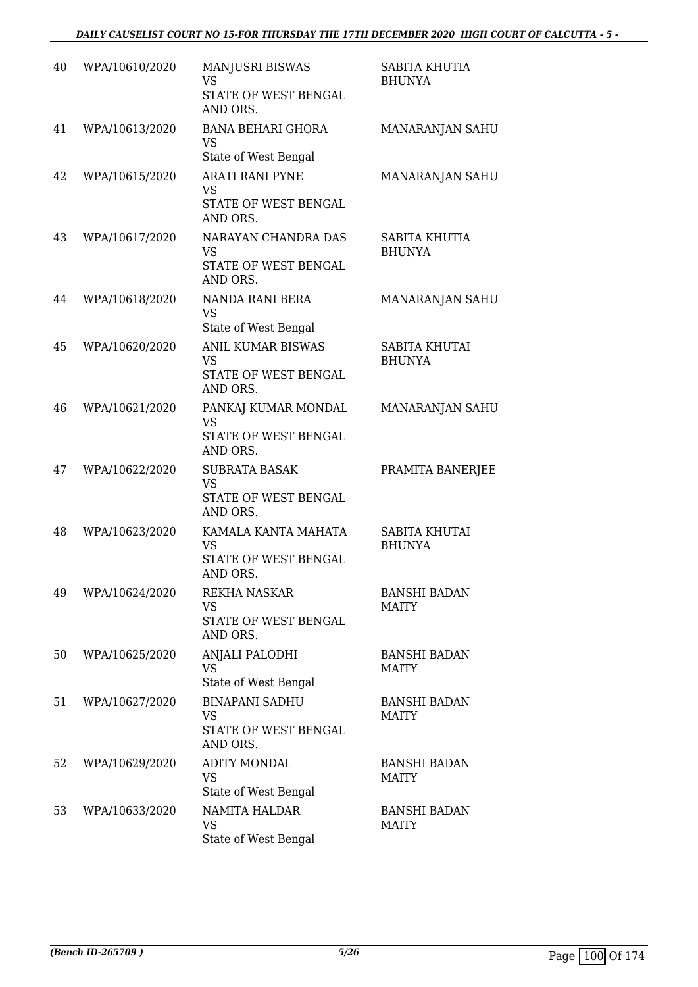| 40 | WPA/10610/2020 | MANJUSRI BISWAS<br><b>VS</b><br>STATE OF WEST BENGAL<br>AND ORS.          | SABITA KHUTIA<br><b>BHUNYA</b>        |
|----|----------------|---------------------------------------------------------------------------|---------------------------------------|
| 41 | WPA/10613/2020 | <b>BANA BEHARI GHORA</b><br><b>VS</b><br>State of West Bengal             | MANARANJAN SAHU                       |
| 42 | WPA/10615/2020 | <b>ARATI RANI PYNE</b><br><b>VS</b><br>STATE OF WEST BENGAL<br>AND ORS.   | MANARANJAN SAHU                       |
| 43 | WPA/10617/2020 | NARAYAN CHANDRA DAS<br><b>VS</b><br>STATE OF WEST BENGAL<br>AND ORS.      | SABITA KHUTIA<br><b>BHUNYA</b>        |
| 44 | WPA/10618/2020 | NANDA RANI BERA<br><b>VS</b><br>State of West Bengal                      | MANARANJAN SAHU                       |
| 45 | WPA/10620/2020 | <b>ANIL KUMAR BISWAS</b><br><b>VS</b><br>STATE OF WEST BENGAL<br>AND ORS. | SABITA KHUTAI<br><b>BHUNYA</b>        |
| 46 | WPA/10621/2020 | PANKAJ KUMAR MONDAL<br><b>VS</b><br>STATE OF WEST BENGAL<br>AND ORS.      | MANARANJAN SAHU                       |
| 47 | WPA/10622/2020 | <b>SUBRATA BASAK</b><br><b>VS</b><br>STATE OF WEST BENGAL<br>AND ORS.     | PRAMITA BANERJEE                      |
| 48 | WPA/10623/2020 | KAMALA KANTA MAHATA<br><b>VS</b><br>STATE OF WEST BENGAL<br>AND ORS.      | <b>SABITA KHUTAI</b><br><b>BHUNYA</b> |
| 49 | WPA/10624/2020 | REKHA NASKAR<br>VS<br>STATE OF WEST BENGAL<br>AND ORS.                    | <b>BANSHI BADAN</b><br><b>MAITY</b>   |
| 50 | WPA/10625/2020 | ANJALI PALODHI<br>VS.<br>State of West Bengal                             | <b>BANSHI BADAN</b><br><b>MAITY</b>   |
| 51 | WPA/10627/2020 | <b>BINAPANI SADHU</b><br><b>VS</b><br>STATE OF WEST BENGAL<br>AND ORS.    | <b>BANSHI BADAN</b><br><b>MAITY</b>   |
| 52 | WPA/10629/2020 | <b>ADITY MONDAL</b><br><b>VS</b><br>State of West Bengal                  | <b>BANSHI BADAN</b><br><b>MAITY</b>   |
| 53 | WPA/10633/2020 | <b>NAMITA HALDAR</b><br><b>VS</b><br>State of West Bengal                 | <b>BANSHI BADAN</b><br><b>MAITY</b>   |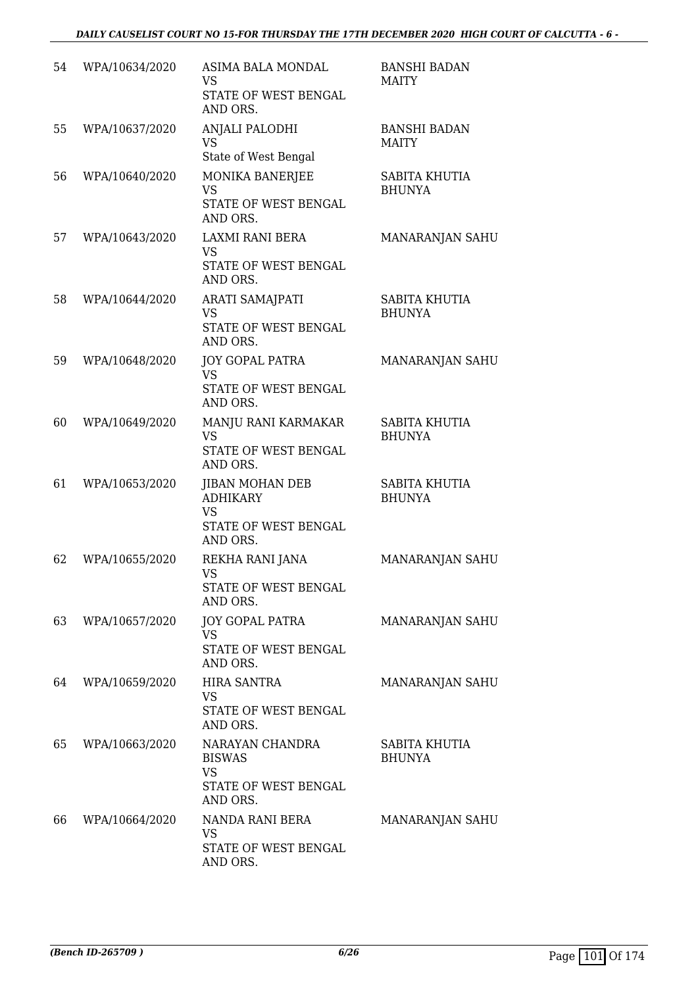| 54 | WPA/10634/2020 | ASIMA BALA MONDAL<br>VS<br>STATE OF WEST BENGAL<br>AND ORS.                                | <b>BANSHI BADAN</b><br>MAITY          |
|----|----------------|--------------------------------------------------------------------------------------------|---------------------------------------|
| 55 | WPA/10637/2020 | ANJALI PALODHI<br><b>VS</b><br>State of West Bengal                                        | <b>BANSHI BADAN</b><br><b>MAITY</b>   |
| 56 | WPA/10640/2020 | MONIKA BANERJEE<br><b>VS</b><br>STATE OF WEST BENGAL<br>AND ORS.                           | <b>SABITA KHUTIA</b><br><b>BHUNYA</b> |
| 57 | WPA/10643/2020 | LAXMI RANI BERA<br><b>VS</b><br>STATE OF WEST BENGAL<br>AND ORS.                           | MANARANJAN SAHU                       |
| 58 | WPA/10644/2020 | ARATI SAMAJPATI<br><b>VS</b><br>STATE OF WEST BENGAL<br>AND ORS.                           | SABITA KHUTIA<br><b>BHUNYA</b>        |
| 59 | WPA/10648/2020 | <b>JOY GOPAL PATRA</b><br><b>VS</b><br>STATE OF WEST BENGAL<br>AND ORS.                    | MANARANJAN SAHU                       |
| 60 | WPA/10649/2020 | MANJU RANI KARMAKAR<br><b>VS</b><br>STATE OF WEST BENGAL<br>AND ORS.                       | SABITA KHUTIA<br><b>BHUNYA</b>        |
| 61 | WPA/10653/2020 | <b>JIBAN MOHAN DEB</b><br><b>ADHIKARY</b><br><b>VS</b><br>STATE OF WEST BENGAL<br>AND ORS. | SABITA KHUTIA<br><b>BHUNYA</b>        |
| 62 | WPA/10655/2020 | REKHA RANI JANA<br><b>VS</b><br>STATE OF WEST BENGAL<br>AND ORS.                           | MANARANJAN SAHU                       |
| 63 | WPA/10657/2020 | JOY GOPAL PATRA<br><b>VS</b><br>STATE OF WEST BENGAL<br>AND ORS.                           | MANARANJAN SAHU                       |
| 64 | WPA/10659/2020 | <b>HIRA SANTRA</b><br>VS<br>STATE OF WEST BENGAL<br>AND ORS.                               | MANARANJAN SAHU                       |
| 65 | WPA/10663/2020 | NARAYAN CHANDRA<br><b>BISWAS</b><br><b>VS</b><br>STATE OF WEST BENGAL<br>AND ORS.          | SABITA KHUTIA<br><b>BHUNYA</b>        |
| 66 | WPA/10664/2020 | NANDA RANI BERA<br>VS<br>STATE OF WEST BENGAL<br>AND ORS.                                  | MANARANJAN SAHU                       |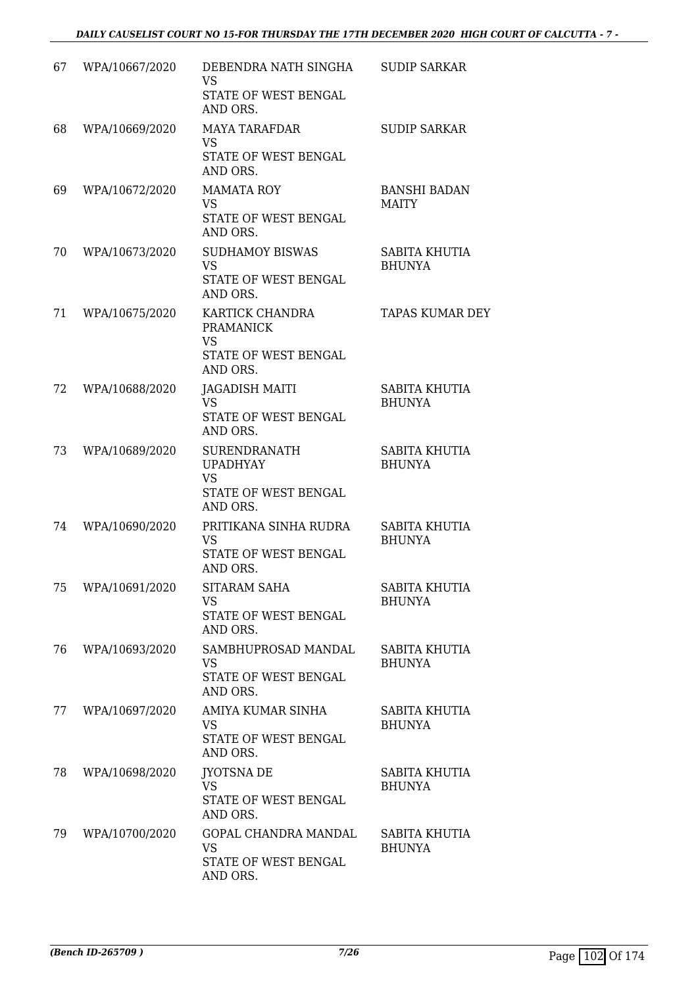| 67 | WPA/10667/2020 | DEBENDRA NATH SINGHA<br><b>VS</b><br>STATE OF WEST BENGAL<br>AND ORS.                   | <b>SUDIP SARKAR</b>                   |
|----|----------------|-----------------------------------------------------------------------------------------|---------------------------------------|
| 68 | WPA/10669/2020 | <b>MAYA TARAFDAR</b><br><b>VS</b><br>STATE OF WEST BENGAL<br>AND ORS.                   | <b>SUDIP SARKAR</b>                   |
| 69 | WPA/10672/2020 | <b>MAMATA ROY</b><br><b>VS</b><br>STATE OF WEST BENGAL<br>AND ORS.                      | <b>BANSHI BADAN</b><br><b>MAITY</b>   |
| 70 | WPA/10673/2020 | <b>SUDHAMOY BISWAS</b><br><b>VS</b><br>STATE OF WEST BENGAL<br>AND ORS.                 | SABITA KHUTIA<br><b>BHUNYA</b>        |
| 71 | WPA/10675/2020 | KARTICK CHANDRA<br><b>PRAMANICK</b><br><b>VS</b><br>STATE OF WEST BENGAL<br>AND ORS.    | <b>TAPAS KUMAR DEY</b>                |
| 72 | WPA/10688/2020 | <b>JAGADISH MAITI</b><br><b>VS</b><br>STATE OF WEST BENGAL<br>AND ORS.                  | SABITA KHUTIA<br><b>BHUNYA</b>        |
| 73 | WPA/10689/2020 | <b>SURENDRANATH</b><br><b>UPADHYAY</b><br><b>VS</b><br>STATE OF WEST BENGAL<br>AND ORS. | <b>SABITA KHUTIA</b><br><b>BHUNYA</b> |
| 74 | WPA/10690/2020 | PRITIKANA SINHA RUDRA<br>VS<br>STATE OF WEST BENGAL<br>AND ORS.                         | SABITA KHUTIA<br><b>BHUNYA</b>        |
| 75 | WPA/10691/2020 | SITARAM SAHA<br><b>VS</b><br>STATE OF WEST BENGAL<br>AND ORS.                           | SABITA KHUTIA<br><b>BHUNYA</b>        |
| 76 | WPA/10693/2020 | SAMBHUPROSAD MANDAL<br>VS.<br>STATE OF WEST BENGAL<br>AND ORS.                          | SABITA KHUTIA<br><b>BHUNYA</b>        |
| 77 | WPA/10697/2020 | AMIYA KUMAR SINHA<br>VS<br>STATE OF WEST BENGAL<br>AND ORS.                             | SABITA KHUTIA<br><b>BHUNYA</b>        |
| 78 | WPA/10698/2020 | <b>JYOTSNA DE</b><br><b>VS</b><br>STATE OF WEST BENGAL<br>AND ORS.                      | SABITA KHUTIA<br><b>BHUNYA</b>        |
| 79 | WPA/10700/2020 | GOPAL CHANDRA MANDAL<br><b>VS</b><br>STATE OF WEST BENGAL<br>AND ORS.                   | SABITA KHUTIA<br><b>BHUNYA</b>        |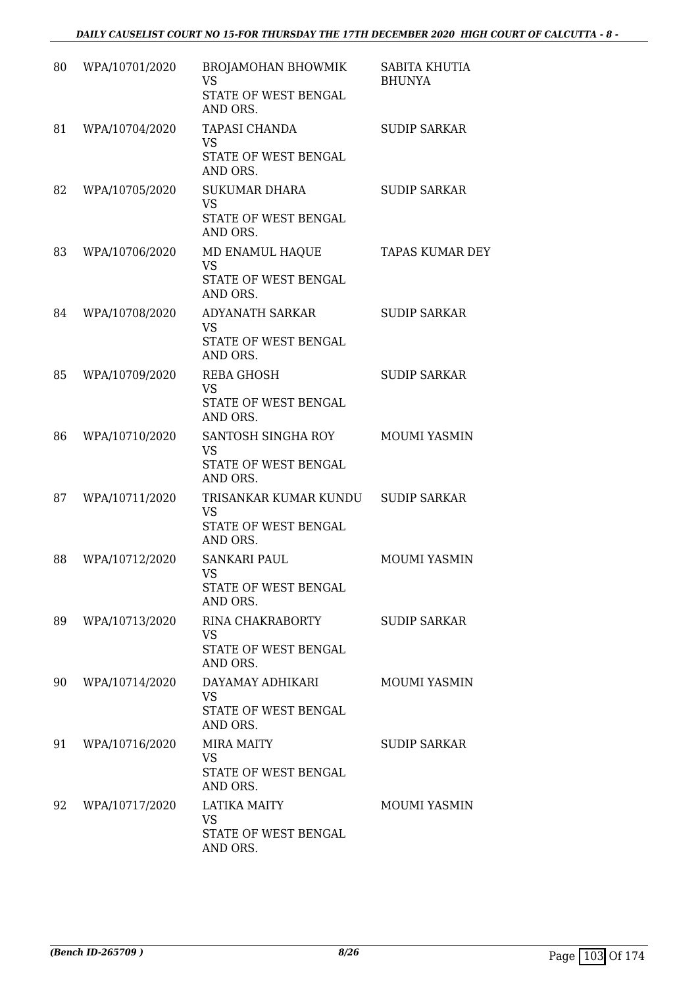| 80 | WPA/10701/2020 | <b>BROJAMOHAN BHOWMIK</b><br><b>VS</b><br>STATE OF WEST BENGAL<br>AND ORS. | SABITA KHUTIA<br><b>BHUNYA</b> |
|----|----------------|----------------------------------------------------------------------------|--------------------------------|
| 81 | WPA/10704/2020 | <b>TAPASI CHANDA</b><br><b>VS</b><br>STATE OF WEST BENGAL<br>AND ORS.      | <b>SUDIP SARKAR</b>            |
| 82 | WPA/10705/2020 | <b>SUKUMAR DHARA</b><br><b>VS</b><br>STATE OF WEST BENGAL<br>AND ORS.      | <b>SUDIP SARKAR</b>            |
| 83 | WPA/10706/2020 | MD ENAMUL HAQUE<br><b>VS</b><br>STATE OF WEST BENGAL<br>AND ORS.           | <b>TAPAS KUMAR DEY</b>         |
| 84 | WPA/10708/2020 | ADYANATH SARKAR<br><b>VS</b><br>STATE OF WEST BENGAL<br>AND ORS.           | <b>SUDIP SARKAR</b>            |
| 85 | WPA/10709/2020 | <b>REBA GHOSH</b><br><b>VS</b><br>STATE OF WEST BENGAL<br>AND ORS.         | <b>SUDIP SARKAR</b>            |
| 86 | WPA/10710/2020 | SANTOSH SINGHA ROY<br><b>VS</b><br>STATE OF WEST BENGAL<br>AND ORS.        | MOUMI YASMIN                   |
| 87 | WPA/10711/2020 | TRISANKAR KUMAR KUNDU<br>VS<br>STATE OF WEST BENGAL<br>AND ORS.            | <b>SUDIP SARKAR</b>            |
| 88 | WPA/10712/2020 | <b>SANKARI PAUL</b><br><b>VS</b><br>STATE OF WEST BENGAL<br>AND ORS.       | MOUMI YASMIN                   |
| 89 | WPA/10713/2020 | RINA CHAKRABORTY<br>VS<br>STATE OF WEST BENGAL<br>AND ORS.                 | <b>SUDIP SARKAR</b>            |
| 90 | WPA/10714/2020 | DAYAMAY ADHIKARI<br><b>VS</b><br>STATE OF WEST BENGAL<br>AND ORS.          | <b>MOUMI YASMIN</b>            |
| 91 | WPA/10716/2020 | <b>MIRA MAITY</b><br><b>VS</b><br>STATE OF WEST BENGAL<br>AND ORS.         | <b>SUDIP SARKAR</b>            |
| 92 | WPA/10717/2020 | <b>LATIKA MAITY</b><br>VS<br>STATE OF WEST BENGAL<br>AND ORS.              | MOUMI YASMIN                   |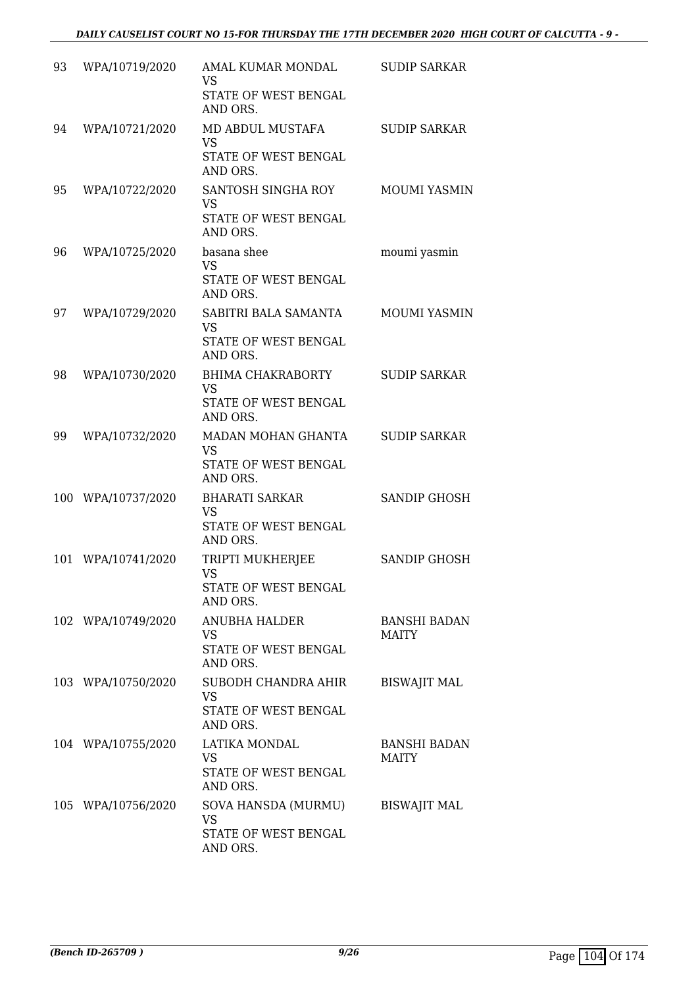| 93 | WPA/10719/2020     | AMAL KUMAR MONDAL<br><b>VS</b><br>STATE OF WEST BENGAL<br>AND ORS.        | <b>SUDIP SARKAR</b>                 |
|----|--------------------|---------------------------------------------------------------------------|-------------------------------------|
| 94 | WPA/10721/2020     | MD ABDUL MUSTAFA<br><b>VS</b><br>STATE OF WEST BENGAL<br>AND ORS.         | <b>SUDIP SARKAR</b>                 |
| 95 | WPA/10722/2020     | SANTOSH SINGHA ROY<br><b>VS</b><br>STATE OF WEST BENGAL<br>AND ORS.       | <b>MOUMI YASMIN</b>                 |
| 96 | WPA/10725/2020     | basana shee<br><b>VS</b><br>STATE OF WEST BENGAL<br>AND ORS.              | moumi yasmin                        |
| 97 | WPA/10729/2020     | SABITRI BALA SAMANTA<br><b>VS</b><br>STATE OF WEST BENGAL<br>AND ORS.     | MOUMI YASMIN                        |
| 98 | WPA/10730/2020     | <b>BHIMA CHAKRABORTY</b><br><b>VS</b><br>STATE OF WEST BENGAL<br>AND ORS. | <b>SUDIP SARKAR</b>                 |
| 99 | WPA/10732/2020     | MADAN MOHAN GHANTA<br><b>VS</b><br>STATE OF WEST BENGAL<br>AND ORS.       | <b>SUDIP SARKAR</b>                 |
|    | 100 WPA/10737/2020 | <b>BHARATI SARKAR</b><br><b>VS</b><br>STATE OF WEST BENGAL<br>AND ORS.    | <b>SANDIP GHOSH</b>                 |
|    | 101 WPA/10741/2020 | TRIPTI MUKHERJEE<br><b>VS</b><br>STATE OF WEST BENGAL<br>AND ORS.         | <b>SANDIP GHOSH</b>                 |
|    | 102 WPA/10749/2020 | ANUBHA HALDER<br>VS<br>STATE OF WEST BENGAL<br>AND ORS.                   | <b>BANSHI BADAN</b><br>MAITY        |
|    | 103 WPA/10750/2020 | SUBODH CHANDRA AHIR<br><b>VS</b><br>STATE OF WEST BENGAL<br>AND ORS.      | <b>BISWAJIT MAL</b>                 |
|    | 104 WPA/10755/2020 | LATIKA MONDAL<br><b>VS</b><br>STATE OF WEST BENGAL<br>AND ORS.            | <b>BANSHI BADAN</b><br><b>MAITY</b> |
|    | 105 WPA/10756/2020 | SOVA HANSDA (MURMU)<br><b>VS</b><br>STATE OF WEST BENGAL<br>AND ORS.      | <b>BISWAJIT MAL</b>                 |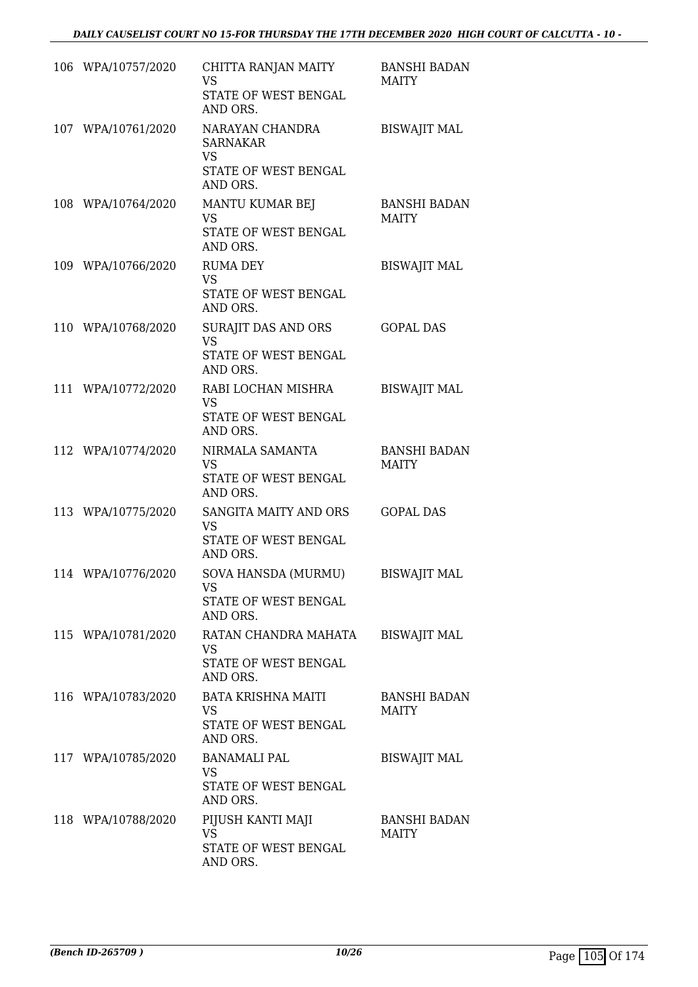| 106 WPA/10757/2020 | CHITTA RANJAN MAITY<br><b>VS</b><br>STATE OF WEST BENGAL<br>AND ORS.                | <b>BANSHI BADAN</b><br>MAITY        |
|--------------------|-------------------------------------------------------------------------------------|-------------------------------------|
| 107 WPA/10761/2020 | NARAYAN CHANDRA<br><b>SARNAKAR</b><br><b>VS</b><br>STATE OF WEST BENGAL<br>AND ORS. | <b>BISWAJIT MAL</b>                 |
| 108 WPA/10764/2020 | MANTU KUMAR BEJ<br><b>VS</b><br>STATE OF WEST BENGAL<br>AND ORS.                    | <b>BANSHI BADAN</b><br><b>MAITY</b> |
| 109 WPA/10766/2020 | <b>RUMA DEY</b><br><b>VS</b><br>STATE OF WEST BENGAL<br>AND ORS.                    | <b>BISWAJIT MAL</b>                 |
| 110 WPA/10768/2020 | SURAJIT DAS AND ORS<br><b>VS</b><br>STATE OF WEST BENGAL<br>AND ORS.                | <b>GOPAL DAS</b>                    |
| 111 WPA/10772/2020 | RABI LOCHAN MISHRA<br><b>VS</b><br>STATE OF WEST BENGAL<br>AND ORS.                 | <b>BISWAJIT MAL</b>                 |
| 112 WPA/10774/2020 | NIRMALA SAMANTA<br><b>VS</b><br>STATE OF WEST BENGAL<br>AND ORS.                    | <b>BANSHI BADAN</b><br><b>MAITY</b> |
| 113 WPA/10775/2020 | SANGITA MAITY AND ORS<br><b>VS</b><br>STATE OF WEST BENGAL<br>AND ORS.              | <b>GOPAL DAS</b>                    |
| 114 WPA/10776/2020 | SOVA HANSDA (MURMU)<br><b>VS</b><br>STATE OF WEST BENGAL<br>AND ORS.                | <b>BISWAJIT MAL</b>                 |
| 115 WPA/10781/2020 | RATAN CHANDRA MAHATA<br><b>VS</b><br>STATE OF WEST BENGAL<br>AND ORS.               | <b>BISWAJIT MAL</b>                 |
| 116 WPA/10783/2020 | <b>BATA KRISHNA MAITI</b><br><b>VS</b><br>STATE OF WEST BENGAL<br>AND ORS.          | <b>BANSHI BADAN</b><br><b>MAITY</b> |
| 117 WPA/10785/2020 | <b>BANAMALI PAL</b><br><b>VS</b><br>STATE OF WEST BENGAL<br>AND ORS.                | <b>BISWAJIT MAL</b>                 |
| 118 WPA/10788/2020 | PIJUSH KANTI MAJI<br>VS<br>STATE OF WEST BENGAL<br>AND ORS.                         | <b>BANSHI BADAN</b><br>MAITY        |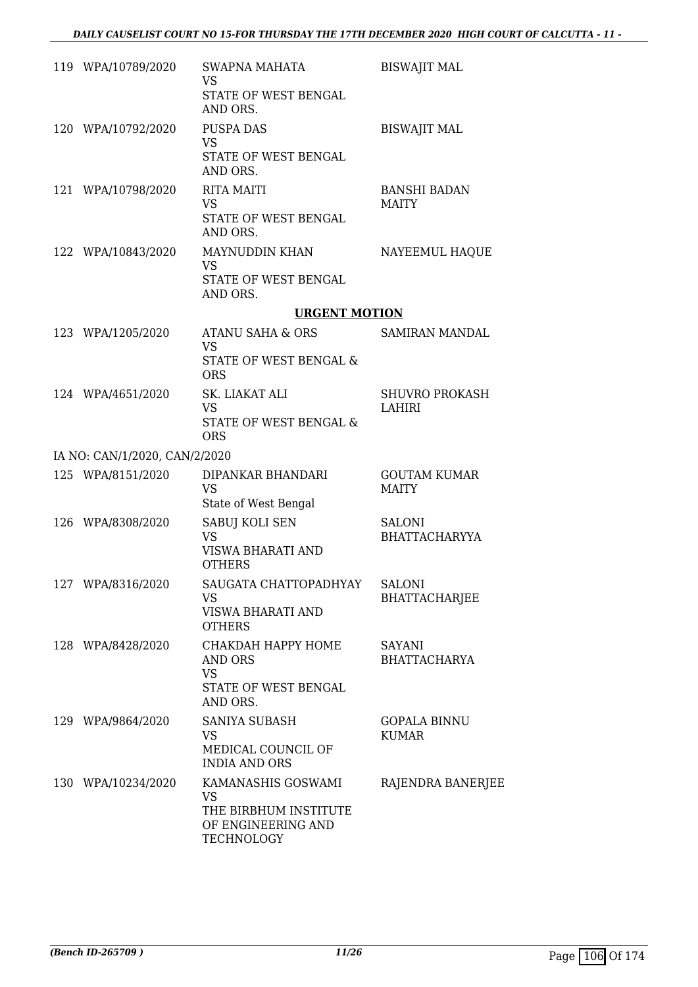| 119 WPA/10789/2020            | SWAPNA MAHATA<br>VS.<br>STATE OF WEST BENGAL<br>AND ORS.                                     | <b>BISWAJIT MAL</b>                   |
|-------------------------------|----------------------------------------------------------------------------------------------|---------------------------------------|
| 120 WPA/10792/2020            | <b>PUSPA DAS</b><br><b>VS</b><br>STATE OF WEST BENGAL<br>AND ORS.                            | <b>BISWAJIT MAL</b>                   |
| 121 WPA/10798/2020            | <b>RITA MAITI</b><br><b>VS</b><br>STATE OF WEST BENGAL<br>AND ORS.                           | <b>BANSHI BADAN</b><br><b>MAITY</b>   |
| 122 WPA/10843/2020            | MAYNUDDIN KHAN<br>VS<br>STATE OF WEST BENGAL<br>AND ORS.                                     | NAYEEMUL HAQUE                        |
|                               | <b>URGENT MOTION</b>                                                                         |                                       |
| 123 WPA/1205/2020             | ATANU SAHA & ORS<br><b>VS</b><br>STATE OF WEST BENGAL &                                      | SAMIRAN MANDAL                        |
| 124 WPA/4651/2020             | <b>ORS</b><br>SK. LIAKAT ALI<br><b>VS</b><br>STATE OF WEST BENGAL &<br><b>ORS</b>            | <b>SHUVRO PROKASH</b><br>LAHIRI       |
| IA NO: CAN/1/2020, CAN/2/2020 |                                                                                              |                                       |
| 125 WPA/8151/2020             | DIPANKAR BHANDARI<br><b>VS</b><br>State of West Bengal                                       | <b>GOUTAM KUMAR</b><br><b>MAITY</b>   |
| 126 WPA/8308/2020             | SABUJ KOLI SEN<br><b>VS</b><br>VISWA BHARATI AND<br><b>OTHERS</b>                            | <b>SALONI</b><br><b>BHATTACHARYYA</b> |
| 127 WPA/8316/2020             | SAUGATA CHATTOPADHYAY<br>VS<br><b>VISWA BHARATI AND</b><br><b>OTHERS</b>                     | <b>SALONI</b><br><b>BHATTACHARJEE</b> |
| 128 WPA/8428/2020             | CHAKDAH HAPPY HOME<br><b>AND ORS</b><br><b>VS</b><br>STATE OF WEST BENGAL<br>AND ORS.        | <b>SAYANI</b><br><b>BHATTACHARYA</b>  |
| 129 WPA/9864/2020             | SANIYA SUBASH<br>VS<br>MEDICAL COUNCIL OF<br><b>INDIA AND ORS</b>                            | <b>GOPALA BINNU</b><br><b>KUMAR</b>   |
| 130 WPA/10234/2020            | KAMANASHIS GOSWAMI<br><b>VS</b><br>THE BIRBHUM INSTITUTE<br>OF ENGINEERING AND<br>TECHNOLOGY | RAJENDRA BANERJEE                     |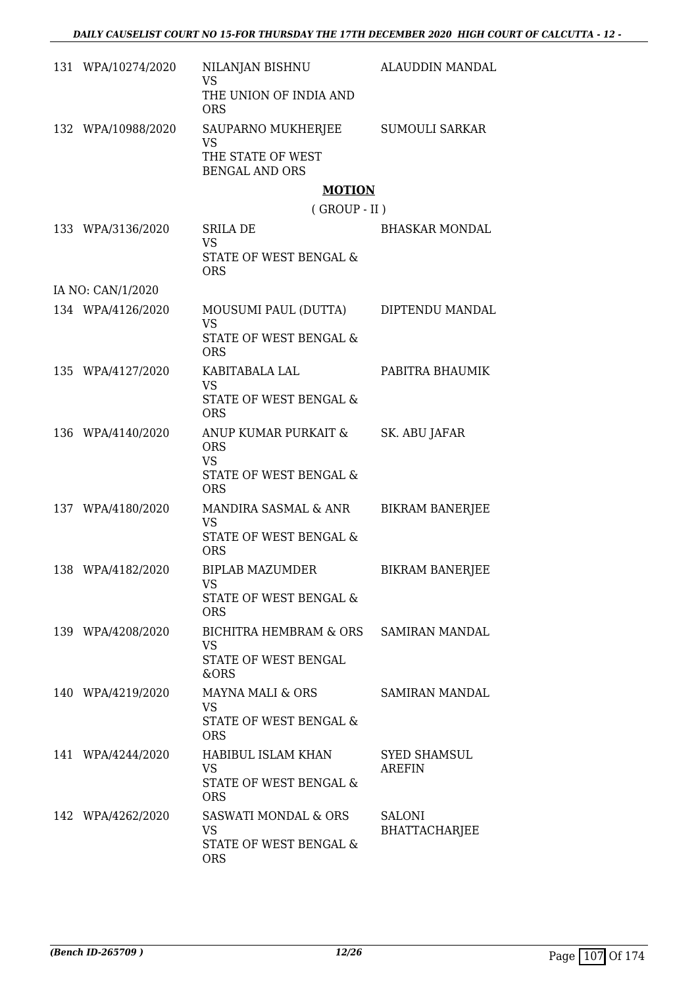| 131 WPA/10274/2020 | NILANJAN BISHNU<br><b>VS</b>                                                     | ALAUDDIN MANDAL                      |
|--------------------|----------------------------------------------------------------------------------|--------------------------------------|
|                    | THE UNION OF INDIA AND<br><b>ORS</b>                                             |                                      |
| 132 WPA/10988/2020 | SAUPARNO MUKHERJEE<br><b>VS</b>                                                  | SUMOULI SARKAR                       |
|                    | THE STATE OF WEST<br><b>BENGAL AND ORS</b>                                       |                                      |
|                    | <b>MOTION</b>                                                                    |                                      |
|                    | $($ GROUP - II $)$                                                               |                                      |
| 133 WPA/3136/2020  | SRILA DE<br><b>VS</b><br>STATE OF WEST BENGAL &<br><b>ORS</b>                    | <b>BHASKAR MONDAL</b>                |
| IA NO: CAN/1/2020  |                                                                                  |                                      |
| 134 WPA/4126/2020  | MOUSUMI PAUL (DUTTA) DIPTENDU MANDAL<br><b>VS</b>                                |                                      |
|                    | STATE OF WEST BENGAL &<br><b>ORS</b>                                             |                                      |
| 135 WPA/4127/2020  | KABITABALA LAL<br><b>VS</b>                                                      | PABITRA BHAUMIK                      |
|                    | STATE OF WEST BENGAL &<br><b>ORS</b>                                             |                                      |
| 136 WPA/4140/2020  | ANUP KUMAR PURKAIT &<br><b>ORS</b><br><b>VS</b><br>STATE OF WEST BENGAL &        | SK. ABU JAFAR                        |
| 137 WPA/4180/2020  | <b>ORS</b><br>MANDIRA SASMAL & ANR                                               | <b>BIKRAM BANERJEE</b>               |
|                    | <b>VS</b><br>STATE OF WEST BENGAL &<br><b>ORS</b>                                |                                      |
| 138 WPA/4182/2020  | <b>BIPLAB MAZUMDER</b><br>VS                                                     | <b>BIKRAM BANERJEE</b>               |
|                    | STATE OF WEST BENGAL &<br><b>ORS</b>                                             |                                      |
| 139 WPA/4208/2020  | BICHITRA HEMBRAM & ORS<br><b>VS</b>                                              | SAMIRAN MANDAL                       |
|                    | STATE OF WEST BENGAL<br>&ORS                                                     |                                      |
| 140 WPA/4219/2020  | <b>MAYNA MALI &amp; ORS</b><br><b>VS</b><br>STATE OF WEST BENGAL &<br><b>ORS</b> | SAMIRAN MANDAL                       |
| 141 WPA/4244/2020  | HABIBUL ISLAM KHAN<br><b>VS</b><br>STATE OF WEST BENGAL &<br><b>ORS</b>          | <b>SYED SHAMSUL</b><br><b>AREFIN</b> |
| 142 WPA/4262/2020  | SASWATI MONDAL & ORS<br><b>VS</b><br>STATE OF WEST BENGAL &<br><b>ORS</b>        | SALONI<br><b>BHATTACHARJEE</b>       |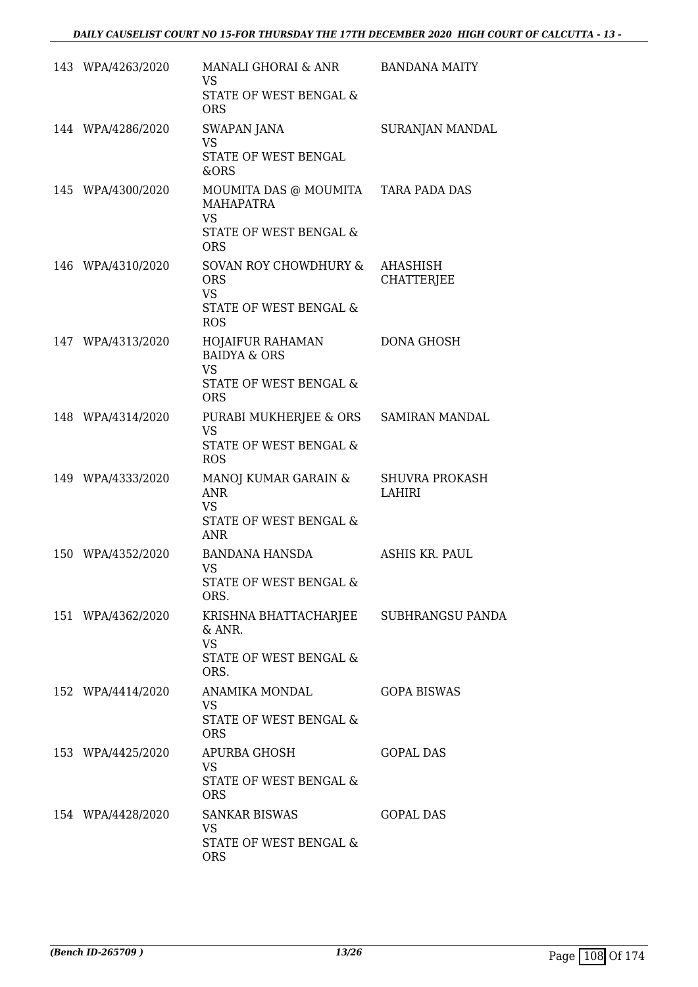| 143 WPA/4263/2020 | MANALI GHORAI & ANR<br><b>VS</b><br>STATE OF WEST BENGAL &<br><b>ORS</b>                                     | <b>BANDANA MAITY</b>                   |
|-------------------|--------------------------------------------------------------------------------------------------------------|----------------------------------------|
| 144 WPA/4286/2020 | SWAPAN JANA<br><b>VS</b><br>STATE OF WEST BENGAL<br>&ORS                                                     | SURANJAN MANDAL                        |
| 145 WPA/4300/2020 | MOUMITA DAS @ MOUMITA TARA PADA DAS<br><b>MAHAPATRA</b><br><b>VS</b><br>STATE OF WEST BENGAL &<br><b>ORS</b> |                                        |
| 146 WPA/4310/2020 | SOVAN ROY CHOWDHURY &<br><b>ORS</b><br><b>VS</b><br><b>STATE OF WEST BENGAL &amp;</b><br><b>ROS</b>          | AHASHISH<br><b>CHATTERJEE</b>          |
| 147 WPA/4313/2020 | HOJAIFUR RAHAMAN<br><b>BAIDYA &amp; ORS</b><br><b>VS</b><br><b>STATE OF WEST BENGAL &amp;</b><br><b>ORS</b>  | <b>DONA GHOSH</b>                      |
| 148 WPA/4314/2020 | PURABI MUKHERJEE & ORS<br><b>VS</b><br>STATE OF WEST BENGAL &<br><b>ROS</b>                                  | SAMIRAN MANDAL                         |
| 149 WPA/4333/2020 | MANOJ KUMAR GARAIN &<br><b>ANR</b><br><b>VS</b><br>STATE OF WEST BENGAL &<br><b>ANR</b>                      | <b>SHUVRA PROKASH</b><br><b>LAHIRI</b> |
| 150 WPA/4352/2020 | BANDANA HANSDA<br>VS<br>STATE OF WEST BENGAL &<br>ORS.                                                       | ASHIS KR. PAUL                         |
| 151 WPA/4362/2020 | KRISHNA BHATTACHARJEE SUBHRANGSU PANDA<br>& ANR.<br><b>VS</b><br>STATE OF WEST BENGAL &<br>ORS.              |                                        |
| 152 WPA/4414/2020 | ANAMIKA MONDAL<br>VS.<br>STATE OF WEST BENGAL &<br><b>ORS</b>                                                | <b>GOPA BISWAS</b>                     |
| 153 WPA/4425/2020 | APURBA GHOSH<br><b>VS</b><br>STATE OF WEST BENGAL &<br><b>ORS</b>                                            | <b>GOPAL DAS</b>                       |
| 154 WPA/4428/2020 | <b>SANKAR BISWAS</b><br><b>VS</b><br>STATE OF WEST BENGAL &<br><b>ORS</b>                                    | <b>GOPAL DAS</b>                       |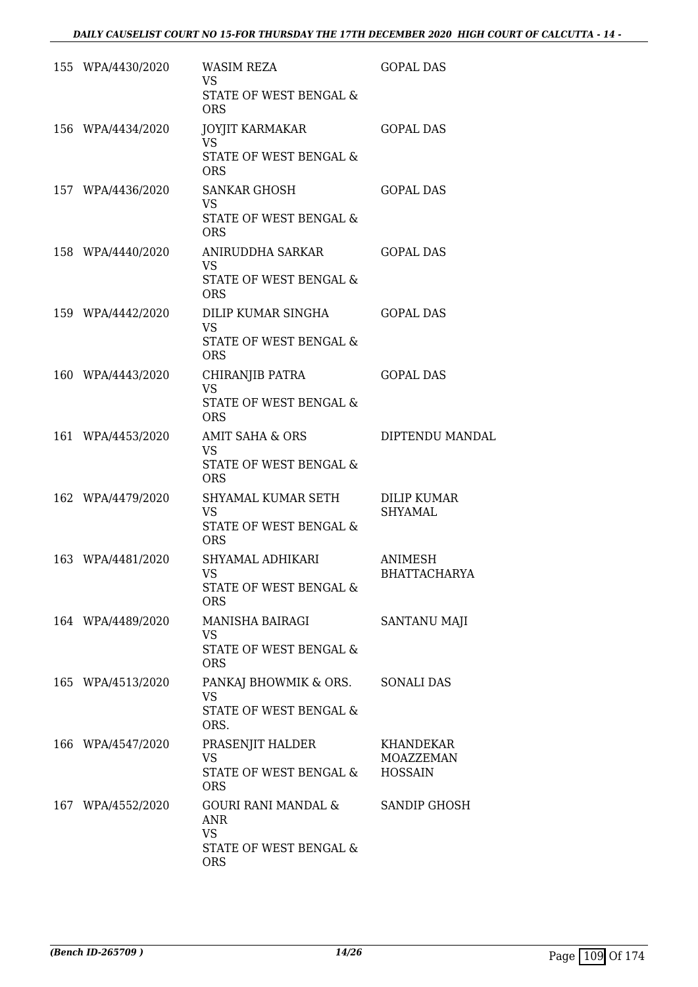| 155 WPA/4430/2020 | WASIM REZA<br><b>VS</b><br>STATE OF WEST BENGAL &<br><b>ORS</b>                 | <b>GOPAL DAS</b>                         |
|-------------------|---------------------------------------------------------------------------------|------------------------------------------|
| 156 WPA/4434/2020 | JOYJIT KARMAKAR<br>VS.<br>STATE OF WEST BENGAL &<br><b>ORS</b>                  | <b>GOPAL DAS</b>                         |
| 157 WPA/4436/2020 | <b>SANKAR GHOSH</b><br>VS<br>STATE OF WEST BENGAL &<br><b>ORS</b>               | <b>GOPAL DAS</b>                         |
| 158 WPA/4440/2020 | ANIRUDDHA SARKAR<br><b>VS</b><br>STATE OF WEST BENGAL &<br><b>ORS</b>           | <b>GOPAL DAS</b>                         |
| 159 WPA/4442/2020 | DILIP KUMAR SINGHA<br><b>VS</b><br>STATE OF WEST BENGAL &<br><b>ORS</b>         | <b>GOPAL DAS</b>                         |
| 160 WPA/4443/2020 | CHIRANJIB PATRA<br><b>VS</b><br>STATE OF WEST BENGAL &<br><b>ORS</b>            | <b>GOPAL DAS</b>                         |
| 161 WPA/4453/2020 | AMIT SAHA & ORS<br><b>VS</b><br>STATE OF WEST BENGAL &<br><b>ORS</b>            | DIPTENDU MANDAL                          |
| 162 WPA/4479/2020 | SHYAMAL KUMAR SETH<br><b>VS</b><br>STATE OF WEST BENGAL &<br><b>ORS</b>         | DILIP KUMAR<br><b>SHYAMAL</b>            |
| 163 WPA/4481/2020 | SHYAMAL ADHIKARI<br><b>VS</b><br>STATE OF WEST BENGAL &<br><b>ORS</b>           | ANIMESH<br><b>BHATTACHARYA</b>           |
| 164 WPA/4489/2020 | MANISHA BAIRAGI<br><b>VS</b><br>STATE OF WEST BENGAL &<br><b>ORS</b>            | <b>SANTANU MAJI</b>                      |
| 165 WPA/4513/2020 | PANKAJ BHOWMIK & ORS.<br><b>VS</b><br>STATE OF WEST BENGAL &<br>ORS.            | SONALI DAS                               |
| 166 WPA/4547/2020 | PRASENJIT HALDER<br><b>VS</b><br>STATE OF WEST BENGAL &<br><b>ORS</b>           | KHANDEKAR<br>MOAZZEMAN<br><b>HOSSAIN</b> |
| 167 WPA/4552/2020 | GOURI RANI MANDAL &<br>ANR<br><b>VS</b><br>STATE OF WEST BENGAL &<br><b>ORS</b> | SANDIP GHOSH                             |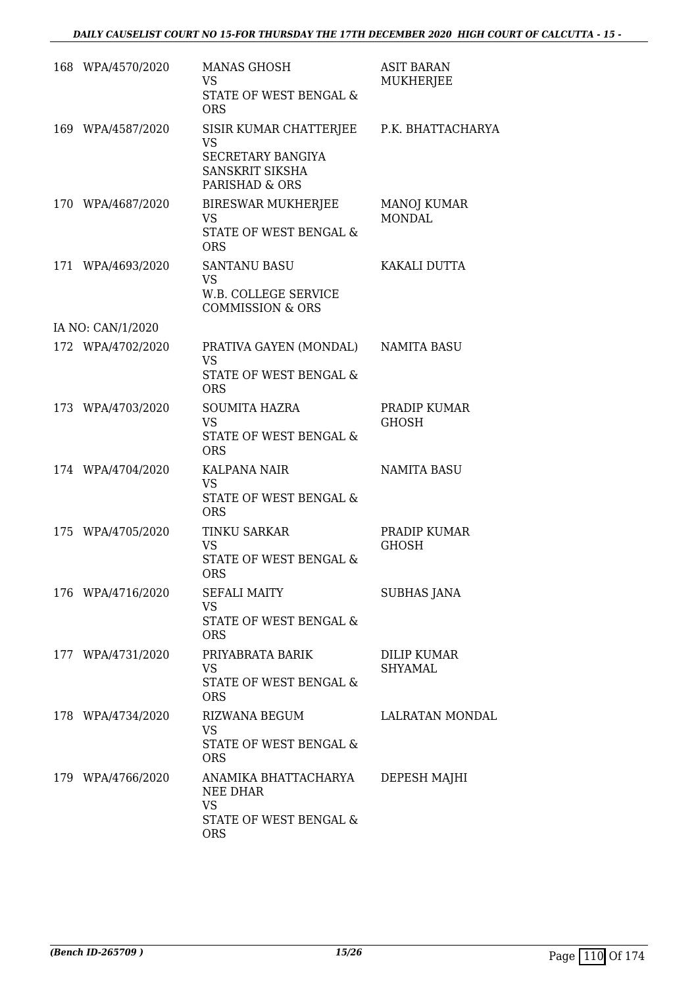| 168 WPA/4570/2020 | <b>MANAS GHOSH</b><br>VS.<br>STATE OF WEST BENGAL &<br><b>ORS</b>                                               | <b>ASIT BARAN</b><br><b>MUKHERJEE</b> |
|-------------------|-----------------------------------------------------------------------------------------------------------------|---------------------------------------|
| 169 WPA/4587/2020 | SISIR KUMAR CHATTERJEE P.K. BHATTACHARYA<br><b>VS</b><br>SECRETARY BANGIYA<br>SANSKRIT SIKSHA<br>PARISHAD & ORS |                                       |
| 170 WPA/4687/2020 | BIRESWAR MUKHERJEE<br>VS<br>STATE OF WEST BENGAL &<br><b>ORS</b>                                                | <b>MANOJ KUMAR</b><br><b>MONDAL</b>   |
| 171 WPA/4693/2020 | <b>SANTANU BASU</b><br><b>VS</b><br>W.B. COLLEGE SERVICE<br><b>COMMISSION &amp; ORS</b>                         | KAKALI DUTTA                          |
| IA NO: CAN/1/2020 |                                                                                                                 |                                       |
| 172 WPA/4702/2020 | PRATIVA GAYEN (MONDAL)<br><b>VS</b><br>STATE OF WEST BENGAL &<br><b>ORS</b>                                     | <b>NAMITA BASU</b>                    |
| 173 WPA/4703/2020 | <b>SOUMITA HAZRA</b><br><b>VS</b><br>STATE OF WEST BENGAL &<br><b>ORS</b>                                       | PRADIP KUMAR<br><b>GHOSH</b>          |
| 174 WPA/4704/2020 | KALPANA NAIR<br><b>VS</b><br>STATE OF WEST BENGAL &<br><b>ORS</b>                                               | <b>NAMITA BASU</b>                    |
| 175 WPA/4705/2020 | <b>TINKU SARKAR</b><br><b>VS</b><br>STATE OF WEST BENGAL &<br><b>ORS</b>                                        | PRADIP KUMAR<br><b>GHOSH</b>          |
| 176 WPA/4716/2020 | <b>SEFALI MAITY</b><br><b>VS</b><br>STATE OF WEST BENGAL &<br><b>ORS</b>                                        | SUBHAS JANA                           |
| 177 WPA/4731/2020 | PRIYABRATA BARIK<br>VS<br>STATE OF WEST BENGAL &<br><b>ORS</b>                                                  | DILIP KUMAR<br><b>SHYAMAL</b>         |
| 178 WPA/4734/2020 | RIZWANA BEGUM<br><b>VS</b><br>STATE OF WEST BENGAL &<br><b>ORS</b>                                              | LALRATAN MONDAL                       |
| 179 WPA/4766/2020 | ANAMIKA BHATTACHARYA<br>NEE DHAR<br><b>VS</b><br>STATE OF WEST BENGAL &<br><b>ORS</b>                           | DEPESH MAJHI                          |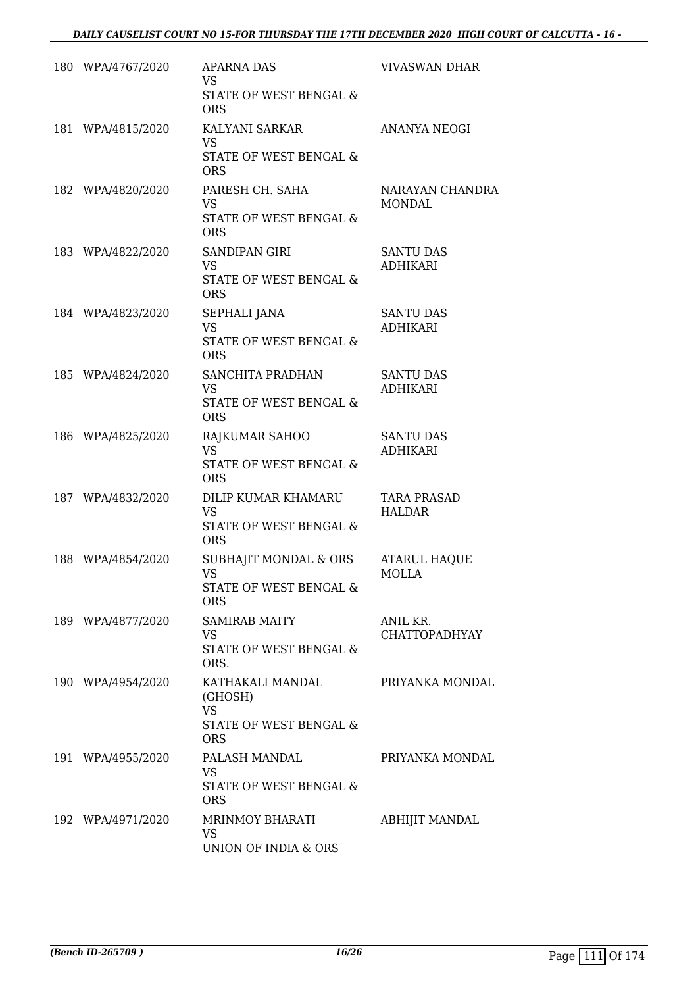| 180 WPA/4767/2020 | <b>APARNA DAS</b><br><b>VS</b><br>STATE OF WEST BENGAL &<br><b>ORS</b>           | <b>VIVASWAN DHAR</b>                |
|-------------------|----------------------------------------------------------------------------------|-------------------------------------|
| 181 WPA/4815/2020 | KALYANI SARKAR<br><b>VS</b><br>STATE OF WEST BENGAL &<br><b>ORS</b>              | <b>ANANYA NEOGI</b>                 |
| 182 WPA/4820/2020 | PARESH CH. SAHA<br><b>VS</b><br>STATE OF WEST BENGAL &<br><b>ORS</b>             | NARAYAN CHANDRA<br>MONDAL           |
| 183 WPA/4822/2020 | SANDIPAN GIRI<br>VS.<br>STATE OF WEST BENGAL &<br><b>ORS</b>                     | <b>SANTU DAS</b><br><b>ADHIKARI</b> |
| 184 WPA/4823/2020 | SEPHALI JANA<br><b>VS</b><br>STATE OF WEST BENGAL &<br><b>ORS</b>                | <b>SANTU DAS</b><br><b>ADHIKARI</b> |
| 185 WPA/4824/2020 | SANCHITA PRADHAN<br>VS.<br>STATE OF WEST BENGAL &<br><b>ORS</b>                  | <b>SANTU DAS</b><br><b>ADHIKARI</b> |
| 186 WPA/4825/2020 | RAJKUMAR SAHOO<br><b>VS</b><br>STATE OF WEST BENGAL &<br><b>ORS</b>              | <b>SANTU DAS</b><br><b>ADHIKARI</b> |
| 187 WPA/4832/2020 | DILIP KUMAR KHAMARU<br><b>VS</b><br>STATE OF WEST BENGAL &<br><b>ORS</b>         | <b>TARA PRASAD</b><br><b>HALDAR</b> |
| 188 WPA/4854/2020 | SUBHAJIT MONDAL & ORS<br><b>VS</b><br>STATE OF WEST BENGAL &<br><b>ORS</b>       | <b>ATARUL HAQUE</b><br>MOLLA        |
| 189 WPA/4877/2020 | <b>SAMIRAB MAITY</b><br><b>VS</b><br>STATE OF WEST BENGAL &<br>ORS.              | ANIL KR.<br><b>CHATTOPADHYAY</b>    |
| 190 WPA/4954/2020 | KATHAKALI MANDAL<br>(GHOSH)<br><b>VS</b><br>STATE OF WEST BENGAL &<br><b>ORS</b> | PRIYANKA MONDAL                     |
| 191 WPA/4955/2020 | PALASH MANDAL<br><b>VS</b><br>STATE OF WEST BENGAL &<br><b>ORS</b>               | PRIYANKA MONDAL                     |
| 192 WPA/4971/2020 | MRINMOY BHARATI<br><b>VS</b><br>UNION OF INDIA & ORS                             | ABHIJIT MANDAL                      |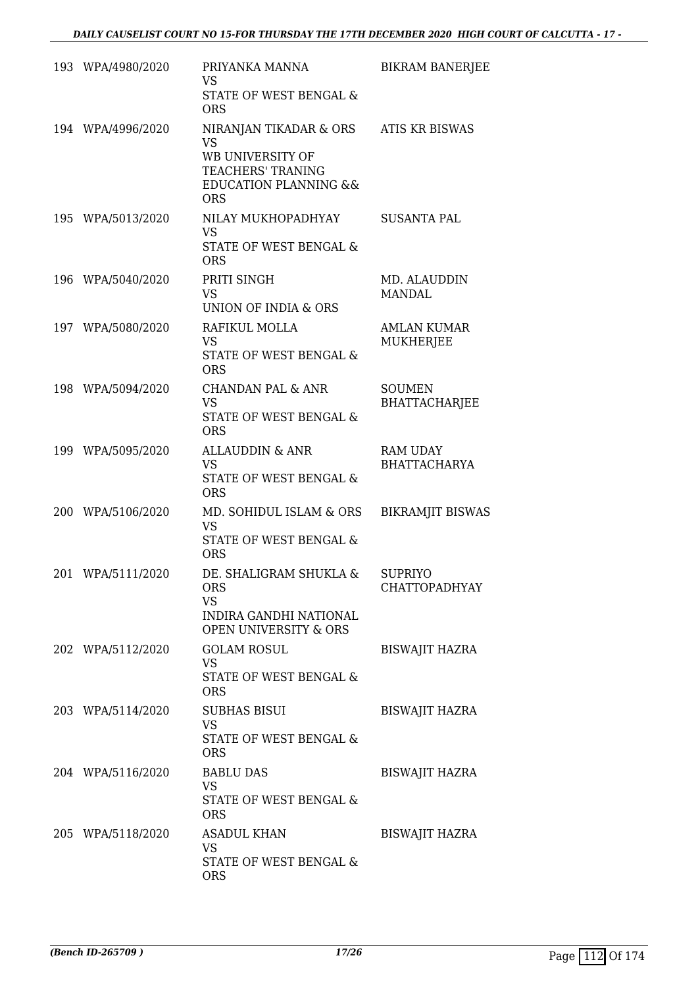|     | 193 WPA/4980/2020 | PRIYANKA MANNA<br><b>VS</b><br>STATE OF WEST BENGAL &<br><b>ORS</b>                                                                | <b>BIKRAM BANERJEE</b>                 |
|-----|-------------------|------------------------------------------------------------------------------------------------------------------------------------|----------------------------------------|
|     | 194 WPA/4996/2020 | NIRANJAN TIKADAR & ORS<br><b>VS</b><br>WB UNIVERSITY OF<br>TEACHERS' TRANING<br><b>EDUCATION PLANNING &amp;&amp;</b><br><b>ORS</b> | <b>ATIS KR BISWAS</b>                  |
|     | 195 WPA/5013/2020 | NILAY MUKHOPADHYAY<br><b>VS</b><br>STATE OF WEST BENGAL &<br><b>ORS</b>                                                            | SUSANTA PAL                            |
|     | 196 WPA/5040/2020 | PRITI SINGH<br><b>VS</b><br><b>UNION OF INDIA &amp; ORS</b>                                                                        | MD. ALAUDDIN<br><b>MANDAL</b>          |
|     | 197 WPA/5080/2020 | RAFIKUL MOLLA<br>VS.<br>STATE OF WEST BENGAL &<br><b>ORS</b>                                                                       | <b>AMLAN KUMAR</b><br><b>MUKHERJEE</b> |
|     | 198 WPA/5094/2020 | <b>CHANDAN PAL &amp; ANR</b><br><b>VS</b><br>STATE OF WEST BENGAL &<br><b>ORS</b>                                                  | <b>SOUMEN</b><br><b>BHATTACHARJEE</b>  |
|     | 199 WPA/5095/2020 | <b>ALLAUDDIN &amp; ANR</b><br><b>VS</b><br>STATE OF WEST BENGAL &<br><b>ORS</b>                                                    | <b>RAM UDAY</b><br><b>BHATTACHARYA</b> |
|     | 200 WPA/5106/2020 | MD. SOHIDUL ISLAM & ORS<br><b>VS</b><br>STATE OF WEST BENGAL &<br><b>ORS</b>                                                       | <b>BIKRAMJIT BISWAS</b>                |
| 201 | WPA/5111/2020     | DE. SHALIGRAM SHUKLA &<br><b>ORS</b><br>VS.<br>INDIRA GANDHI NATIONAL<br><b>OPEN UNIVERSITY &amp; ORS</b>                          | <b>SUPRIYO</b><br><b>CHATTOPADHYAY</b> |
|     | 202 WPA/5112/2020 | <b>GOLAM ROSUL</b><br><b>VS</b><br>STATE OF WEST BENGAL &<br><b>ORS</b>                                                            | <b>BISWAJIT HAZRA</b>                  |
|     | 203 WPA/5114/2020 | <b>SUBHAS BISUI</b><br>VS<br>STATE OF WEST BENGAL &<br><b>ORS</b>                                                                  | <b>BISWAJIT HAZRA</b>                  |
|     | 204 WPA/5116/2020 | <b>BABLU DAS</b><br><b>VS</b><br>STATE OF WEST BENGAL &<br><b>ORS</b>                                                              | <b>BISWAJIT HAZRA</b>                  |
|     | 205 WPA/5118/2020 | <b>ASADUL KHAN</b><br>VS<br>STATE OF WEST BENGAL &<br><b>ORS</b>                                                                   | <b>BISWAJIT HAZRA</b>                  |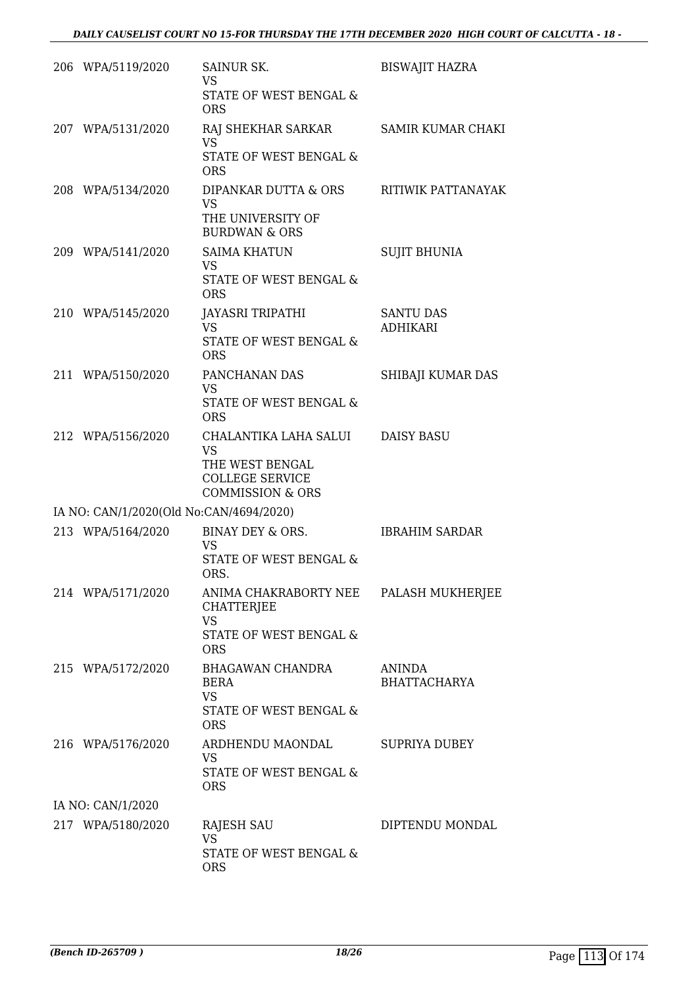| 206 WPA/5119/2020                       | SAINUR SK.<br><b>VS</b><br>STATE OF WEST BENGAL &<br><b>ORS</b>                                                | <b>BISWAJIT HAZRA</b>               |
|-----------------------------------------|----------------------------------------------------------------------------------------------------------------|-------------------------------------|
| 207 WPA/5131/2020                       | RAJ SHEKHAR SARKAR<br><b>VS</b><br>STATE OF WEST BENGAL &<br><b>ORS</b>                                        | <b>SAMIR KUMAR CHAKI</b>            |
| 208 WPA/5134/2020                       | DIPANKAR DUTTA & ORS<br>VS<br>THE UNIVERSITY OF<br><b>BURDWAN &amp; ORS</b>                                    | RITIWIK PATTANAYAK                  |
| 209 WPA/5141/2020                       | <b>SAIMA KHATUN</b><br>VS<br>STATE OF WEST BENGAL &<br><b>ORS</b>                                              | <b>SUJIT BHUNIA</b>                 |
| 210 WPA/5145/2020                       | JAYASRI TRIPATHI<br><b>VS</b><br>STATE OF WEST BENGAL &<br><b>ORS</b>                                          | <b>SANTU DAS</b><br><b>ADHIKARI</b> |
| 211 WPA/5150/2020                       | PANCHANAN DAS<br><b>VS</b><br>STATE OF WEST BENGAL &<br><b>ORS</b>                                             | SHIBAJI KUMAR DAS                   |
| 212 WPA/5156/2020                       | CHALANTIKA LAHA SALUI<br><b>VS</b><br>THE WEST BENGAL<br><b>COLLEGE SERVICE</b><br><b>COMMISSION &amp; ORS</b> | <b>DAISY BASU</b>                   |
| IA NO: CAN/1/2020(Old No:CAN/4694/2020) |                                                                                                                |                                     |
| 213 WPA/5164/2020                       | BINAY DEY & ORS.<br>VS<br>STATE OF WEST BENGAL &<br>ORS.                                                       | <b>IBRAHIM SARDAR</b>               |
| 214 WPA/5171/2020                       | ANIMA CHAKRABORTY NEE<br><b>CHATTERJEE</b><br><b>VS</b><br>STATE OF WEST BENGAL &<br><b>ORS</b>                | PALASH MUKHERJEE                    |
| 215 WPA/5172/2020                       | <b>BHAGAWAN CHANDRA</b><br><b>BERA</b><br><b>VS</b><br><b>STATE OF WEST BENGAL &amp;</b><br><b>ORS</b>         | ANINDA<br><b>BHATTACHARYA</b>       |
| 216 WPA/5176/2020                       | ARDHENDU MAONDAL<br>VS<br>STATE OF WEST BENGAL &<br><b>ORS</b>                                                 | <b>SUPRIYA DUBEY</b>                |
| IA NO: CAN/1/2020                       |                                                                                                                |                                     |
| 217 WPA/5180/2020                       | RAJESH SAU<br><b>VS</b><br>STATE OF WEST BENGAL &<br><b>ORS</b>                                                | DIPTENDU MONDAL                     |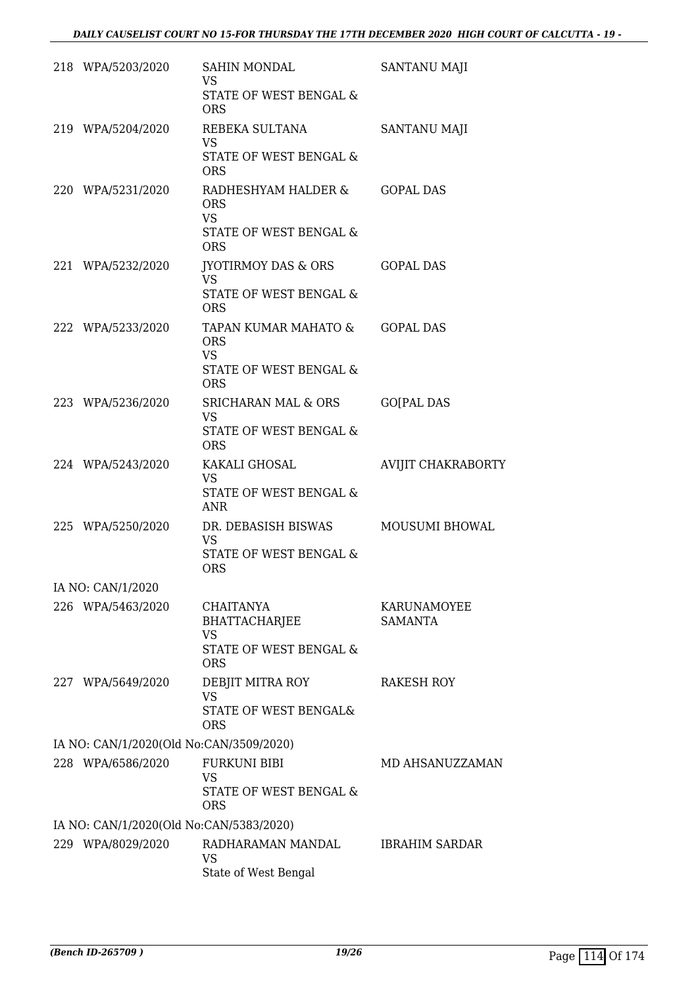| 218 WPA/5203/2020                       | <b>SAHIN MONDAL</b><br><b>VS</b><br>STATE OF WEST BENGAL &                                         | SANTANU MAJI                  |
|-----------------------------------------|----------------------------------------------------------------------------------------------------|-------------------------------|
|                                         | <b>ORS</b>                                                                                         |                               |
| 219 WPA/5204/2020                       | REBEKA SULTANA<br><b>VS</b>                                                                        | <b>SANTANU MAJI</b>           |
|                                         | STATE OF WEST BENGAL &<br><b>ORS</b>                                                               |                               |
| 220 WPA/5231/2020                       | RADHESHYAM HALDER &<br><b>ORS</b><br><b>VS</b><br>STATE OF WEST BENGAL &<br><b>ORS</b>             | <b>GOPAL DAS</b>              |
| 221 WPA/5232/2020                       | JYOTIRMOY DAS & ORS                                                                                | <b>GOPAL DAS</b>              |
|                                         | <b>VS</b><br>STATE OF WEST BENGAL &<br><b>ORS</b>                                                  |                               |
| 222 WPA/5233/2020                       | TAPAN KUMAR MAHATO &<br><b>ORS</b><br><b>VS</b><br><b>STATE OF WEST BENGAL &amp;</b><br><b>ORS</b> | <b>GOPAL DAS</b>              |
| 223 WPA/5236/2020                       | SRICHARAN MAL & ORS                                                                                | <b>GO[PAL DAS</b>             |
|                                         | <b>VS</b><br>STATE OF WEST BENGAL &<br><b>ORS</b>                                                  |                               |
| 224 WPA/5243/2020                       | KAKALI GHOSAL<br><b>VS</b><br>STATE OF WEST BENGAL &<br><b>ANR</b>                                 | AVIJIT CHAKRABORTY            |
| 225 WPA/5250/2020                       | DR. DEBASISH BISWAS<br><b>VS</b><br>STATE OF WEST BENGAL &<br><b>ORS</b>                           | <b>MOUSUMI BHOWAL</b>         |
| IA NO: CAN/1/2020                       |                                                                                                    |                               |
| 226 WPA/5463/2020                       | <b>CHAITANYA</b><br><b>BHATTACHARJEE</b><br><b>VS</b><br>STATE OF WEST BENGAL &<br><b>ORS</b>      | KARUNAMOYEE<br><b>SAMANTA</b> |
| 227 WPA/5649/2020                       | DEBJIT MITRA ROY<br><b>VS</b><br>STATE OF WEST BENGAL&<br><b>ORS</b>                               | <b>RAKESH ROY</b>             |
| IA NO: CAN/1/2020(Old No:CAN/3509/2020) |                                                                                                    |                               |
| 228 WPA/6586/2020                       | <b>FURKUNI BIBI</b><br><b>VS</b><br>STATE OF WEST BENGAL &<br><b>ORS</b>                           | MD AHSANUZZAMAN               |
| IA NO: CAN/1/2020(Old No:CAN/5383/2020) |                                                                                                    |                               |
| 229 WPA/8029/2020                       | RADHARAMAN MANDAL<br><b>VS</b><br>State of West Bengal                                             | <b>IBRAHIM SARDAR</b>         |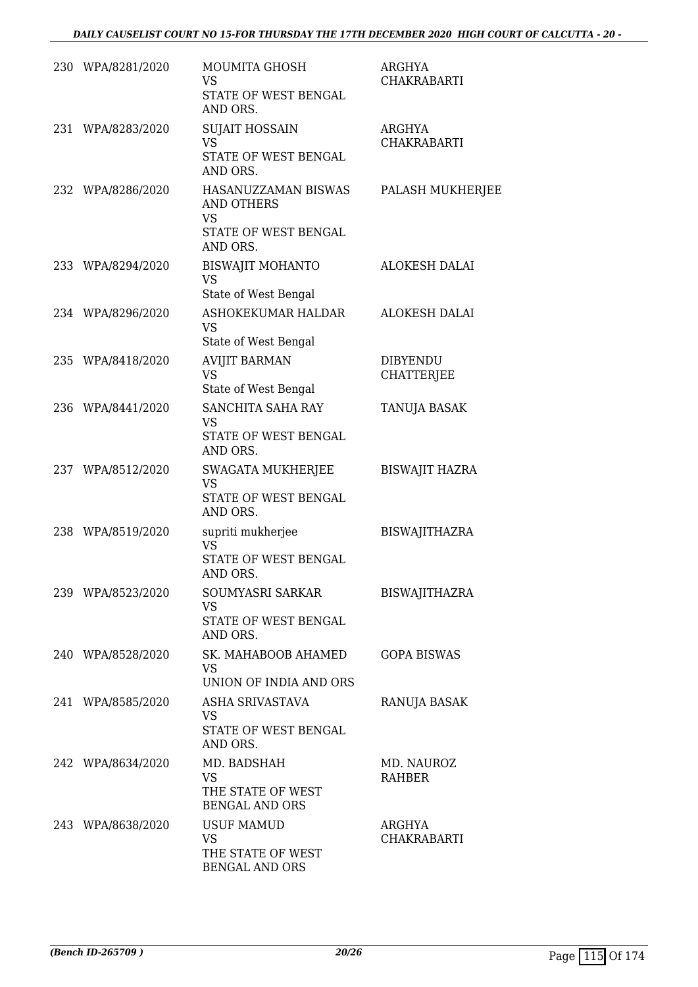|     | 230 WPA/8281/2020 | MOUMITA GHOSH<br>VS<br>STATE OF WEST BENGAL<br>AND ORS.                            | ARGHYA<br><b>CHAKRABARTI</b>         |
|-----|-------------------|------------------------------------------------------------------------------------|--------------------------------------|
| 231 | WPA/8283/2020     | <b>SUJAIT HOSSAIN</b><br><b>VS</b><br>STATE OF WEST BENGAL<br>AND ORS.             | ARGHYA<br><b>CHAKRABARTI</b>         |
|     | 232 WPA/8286/2020 | HASANUZZAMAN BISWAS<br>AND OTHERS<br><b>VS</b><br>STATE OF WEST BENGAL<br>AND ORS. | PALASH MUKHERJEE                     |
|     | 233 WPA/8294/2020 | <b>BISWAJIT MOHANTO</b><br>VS<br>State of West Bengal                              | <b>ALOKESH DALAI</b>                 |
|     | 234 WPA/8296/2020 | ASHOKEKUMAR HALDAR<br><b>VS</b><br>State of West Bengal                            | <b>ALOKESH DALAI</b>                 |
|     | 235 WPA/8418/2020 | <b>AVIJIT BARMAN</b><br><b>VS</b><br>State of West Bengal                          | <b>DIBYENDU</b><br><b>CHATTERJEE</b> |
|     | 236 WPA/8441/2020 | SANCHITA SAHA RAY<br><b>VS</b><br>STATE OF WEST BENGAL<br>AND ORS.                 | TANUJA BASAK                         |
|     | 237 WPA/8512/2020 | SWAGATA MUKHERJEE<br><b>VS</b><br>STATE OF WEST BENGAL<br>AND ORS.                 | <b>BISWAJIT HAZRA</b>                |
|     | 238 WPA/8519/2020 | supriti mukherjee<br><b>VS</b><br>STATE OF WEST BENGAL<br>AND ORS.                 | <b>BISWAJITHAZRA</b>                 |
|     | 239 WPA/8523/2020 | SOUMYASRI SARKAR<br>VS.<br>STATE OF WEST BENGAL<br>AND ORS.                        | BISWAJITHAZRA                        |
|     | 240 WPA/8528/2020 | SK. MAHABOOB AHAMED<br>VS.<br>UNION OF INDIA AND ORS                               | <b>GOPA BISWAS</b>                   |
|     | 241 WPA/8585/2020 | ASHA SRIVASTAVA<br><b>VS</b><br>STATE OF WEST BENGAL<br>AND ORS.                   | RANUJA BASAK                         |
|     | 242 WPA/8634/2020 | MD. BADSHAH<br><b>VS</b><br>THE STATE OF WEST<br><b>BENGAL AND ORS</b>             | MD. NAUROZ<br><b>RAHBER</b>          |
|     | 243 WPA/8638/2020 | <b>USUF MAMUD</b><br><b>VS</b><br>THE STATE OF WEST<br><b>BENGAL AND ORS</b>       | ARGHYA<br><b>CHAKRABARTI</b>         |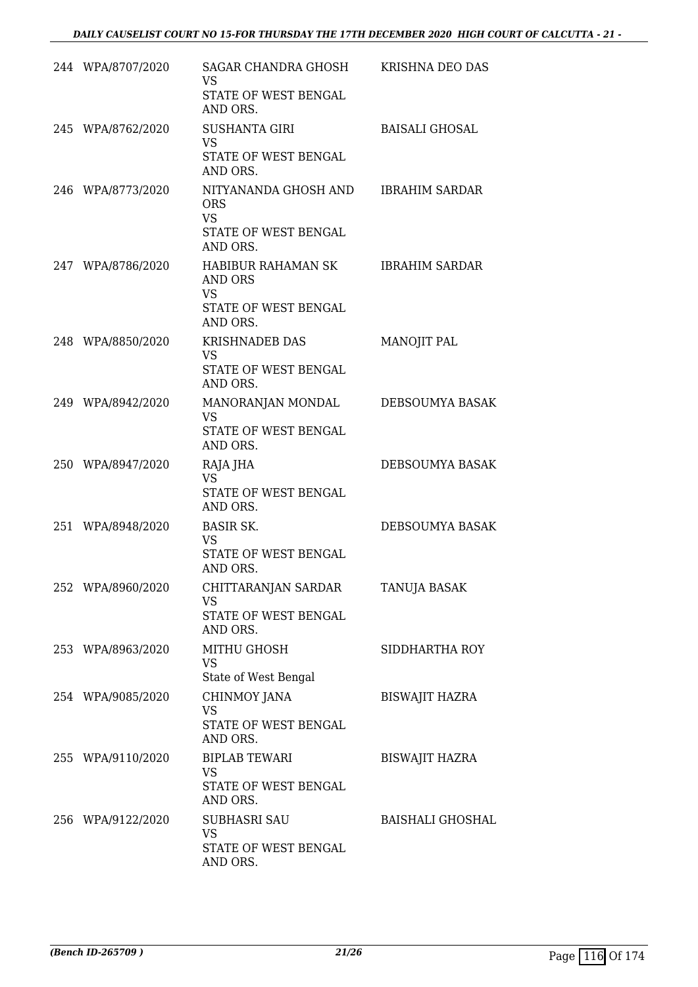| 244 WPA/8707/2020 | SAGAR CHANDRA GHOSH<br><b>VS</b><br>STATE OF WEST BENGAL<br>AND ORS.                               | KRISHNA DEO DAS         |
|-------------------|----------------------------------------------------------------------------------------------------|-------------------------|
| 245 WPA/8762/2020 | <b>SUSHANTA GIRI</b><br><b>VS</b><br>STATE OF WEST BENGAL<br>AND ORS.                              | <b>BAISALI GHOSAL</b>   |
| 246 WPA/8773/2020 | NITYANANDA GHOSH AND IBRAHIM SARDAR<br><b>ORS</b><br><b>VS</b><br>STATE OF WEST BENGAL<br>AND ORS. |                         |
| 247 WPA/8786/2020 | HABIBUR RAHAMAN SK<br>AND ORS<br><b>VS</b><br>STATE OF WEST BENGAL<br>AND ORS.                     | <b>IBRAHIM SARDAR</b>   |
| 248 WPA/8850/2020 | <b>KRISHNADEB DAS</b><br><b>VS</b><br>STATE OF WEST BENGAL<br>AND ORS.                             | MANOJIT PAL             |
| 249 WPA/8942/2020 | MANORANJAN MONDAL<br><b>VS</b><br>STATE OF WEST BENGAL<br>AND ORS.                                 | DEBSOUMYA BASAK         |
| 250 WPA/8947/2020 | RAJA JHA<br><b>VS</b><br>STATE OF WEST BENGAL<br>AND ORS.                                          | DEBSOUMYA BASAK         |
| 251 WPA/8948/2020 | <b>BASIR SK.</b><br><b>VS</b><br>STATE OF WEST BENGAL<br>AND ORS.                                  | DEBSOUMYA BASAK         |
| 252 WPA/8960/2020 | CHITTARANJAN SARDAR<br><b>VS</b><br>STATE OF WEST BENGAL<br>AND ORS.                               | TANUJA BASAK            |
| 253 WPA/8963/2020 | MITHU GHOSH<br><b>VS</b><br>State of West Bengal                                                   | SIDDHARTHA ROY          |
| 254 WPA/9085/2020 | CHINMOY JANA<br><b>VS</b><br>STATE OF WEST BENGAL<br>AND ORS.                                      | <b>BISWAJIT HAZRA</b>   |
| 255 WPA/9110/2020 | <b>BIPLAB TEWARI</b><br><b>VS</b><br>STATE OF WEST BENGAL<br>AND ORS.                              | <b>BISWAJIT HAZRA</b>   |
| 256 WPA/9122/2020 | <b>SUBHASRI SAU</b><br><b>VS</b><br>STATE OF WEST BENGAL<br>AND ORS.                               | <b>BAISHALI GHOSHAL</b> |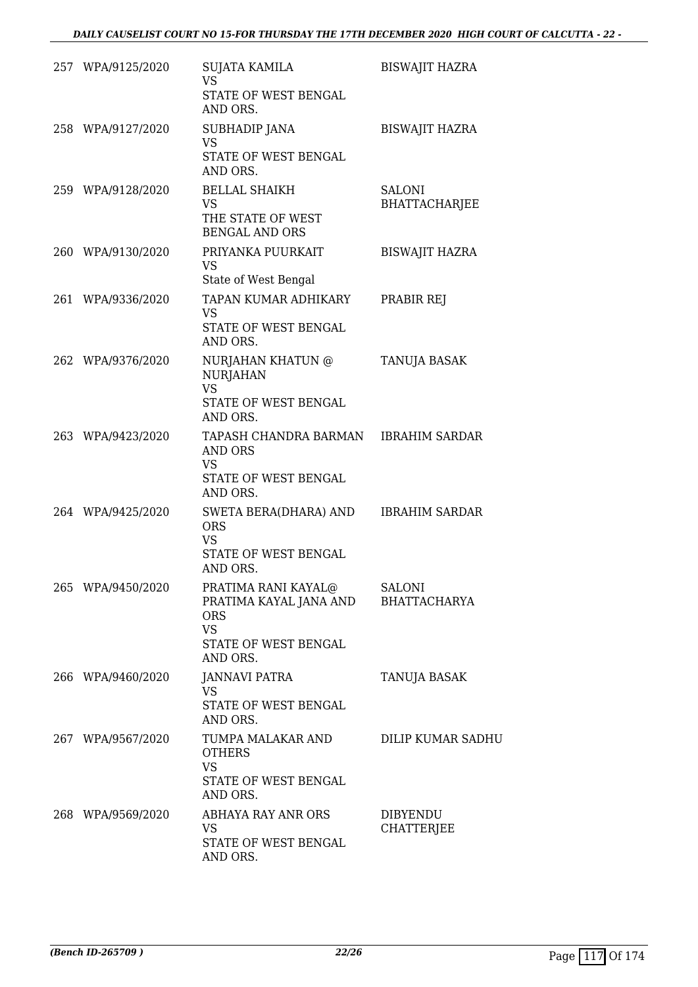| 257 WPA/9125/2020 | SUJATA KAMILA<br><b>VS</b><br>STATE OF WEST BENGAL<br>AND ORS.                                               | <b>BISWAJIT HAZRA</b>                 |
|-------------------|--------------------------------------------------------------------------------------------------------------|---------------------------------------|
| 258 WPA/9127/2020 | SUBHADIP JANA<br><b>VS</b><br>STATE OF WEST BENGAL<br>AND ORS.                                               | <b>BISWAJIT HAZRA</b>                 |
| 259 WPA/9128/2020 | <b>BELLAL SHAIKH</b><br><b>VS</b><br>THE STATE OF WEST<br><b>BENGAL AND ORS</b>                              | <b>SALONI</b><br><b>BHATTACHARJEE</b> |
| 260 WPA/9130/2020 | PRIYANKA PUURKAIT<br><b>VS</b><br>State of West Bengal                                                       | <b>BISWAJIT HAZRA</b>                 |
| 261 WPA/9336/2020 | TAPAN KUMAR ADHIKARY<br><b>VS</b><br><b>STATE OF WEST BENGAL</b><br>AND ORS.                                 | PRABIR REJ                            |
| 262 WPA/9376/2020 | NURJAHAN KHATUN @<br><b>NURJAHAN</b><br><b>VS</b><br>STATE OF WEST BENGAL                                    | TANUJA BASAK                          |
|                   | AND ORS.                                                                                                     |                                       |
| 263 WPA/9423/2020 | TAPASH CHANDRA BARMAN IBRAHIM SARDAR<br><b>AND ORS</b><br><b>VS</b><br>STATE OF WEST BENGAL<br>AND ORS.      |                                       |
| 264 WPA/9425/2020 | SWETA BERA(DHARA) AND<br><b>ORS</b><br><b>VS</b><br><b>STATE OF WEST BENGAL</b><br>AND ORS.                  | <b>IBRAHIM SARDAR</b>                 |
| 265 WPA/9450/2020 | PRATIMA RANI KAYAL@<br>PRATIMA KAYAL JANA AND<br><b>ORS</b><br><b>VS</b><br>STATE OF WEST BENGAL<br>AND ORS. | <b>SALONI</b><br><b>BHATTACHARYA</b>  |
| 266 WPA/9460/2020 | <b>JANNAVI PATRA</b><br>VS<br>STATE OF WEST BENGAL<br>AND ORS.                                               | TANUJA BASAK                          |
| 267 WPA/9567/2020 | TUMPA MALAKAR AND<br><b>OTHERS</b><br><b>VS</b><br>STATE OF WEST BENGAL<br>AND ORS.                          | DILIP KUMAR SADHU                     |
| 268 WPA/9569/2020 | ABHAYA RAY ANR ORS<br><b>VS</b><br>STATE OF WEST BENGAL<br>AND ORS.                                          | <b>DIBYENDU</b><br><b>CHATTERJEE</b>  |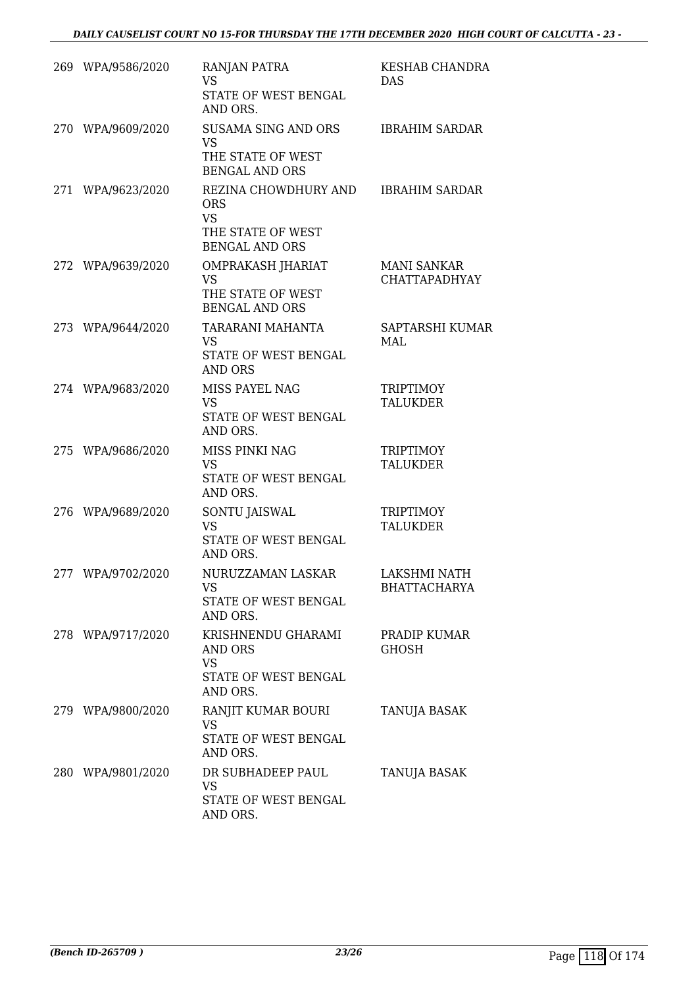| 269 WPA/9586/2020 | <b>RANJAN PATRA</b><br><b>VS</b><br>STATE OF WEST BENGAL<br>AND ORS.                          | KESHAB CHANDRA<br><b>DAS</b>               |
|-------------------|-----------------------------------------------------------------------------------------------|--------------------------------------------|
| 270 WPA/9609/2020 | SUSAMA SING AND ORS<br><b>VS</b><br>THE STATE OF WEST<br><b>BENGAL AND ORS</b>                | <b>IBRAHIM SARDAR</b>                      |
| 271 WPA/9623/2020 | REZINA CHOWDHURY AND<br><b>ORS</b><br><b>VS</b><br>THE STATE OF WEST<br><b>BENGAL AND ORS</b> | <b>IBRAHIM SARDAR</b>                      |
| 272 WPA/9639/2020 | OMPRAKASH JHARIAT<br><b>VS</b><br>THE STATE OF WEST<br><b>BENGAL AND ORS</b>                  | <b>MANI SANKAR</b><br><b>CHATTAPADHYAY</b> |
| 273 WPA/9644/2020 | TARARANI MAHANTA<br>VS<br>STATE OF WEST BENGAL<br><b>AND ORS</b>                              | SAPTARSHI KUMAR<br>MAL                     |
| 274 WPA/9683/2020 | MISS PAYEL NAG<br><b>VS</b><br>STATE OF WEST BENGAL<br>AND ORS.                               | <b>TRIPTIMOY</b><br><b>TALUKDER</b>        |
| 275 WPA/9686/2020 | MISS PINKI NAG<br><b>VS</b><br>STATE OF WEST BENGAL<br>AND ORS.                               | <b>TRIPTIMOY</b><br><b>TALUKDER</b>        |
| 276 WPA/9689/2020 | SONTU JAISWAL<br>VS<br>STATE OF WEST BENGAL<br>AND ORS.                                       | <b>TRIPTIMOY</b><br><b>TALUKDER</b>        |
| 277 WPA/9702/2020 | NURUZZAMAN LASKAR<br>VS<br>STATE OF WEST BENGAL<br>AND ORS.                                   | LAKSHMI NATH<br><b>BHATTACHARYA</b>        |
| 278 WPA/9717/2020 | KRISHNENDU GHARAMI<br>AND ORS<br><b>VS</b><br>STATE OF WEST BENGAL<br>AND ORS.                | PRADIP KUMAR<br>GHOSH                      |
| 279 WPA/9800/2020 | RANJIT KUMAR BOURI<br>VS<br>STATE OF WEST BENGAL<br>AND ORS.                                  | TANUJA BASAK                               |
| 280 WPA/9801/2020 | DR SUBHADEEP PAUL<br>VS<br>STATE OF WEST BENGAL<br>AND ORS.                                   | TANUJA BASAK                               |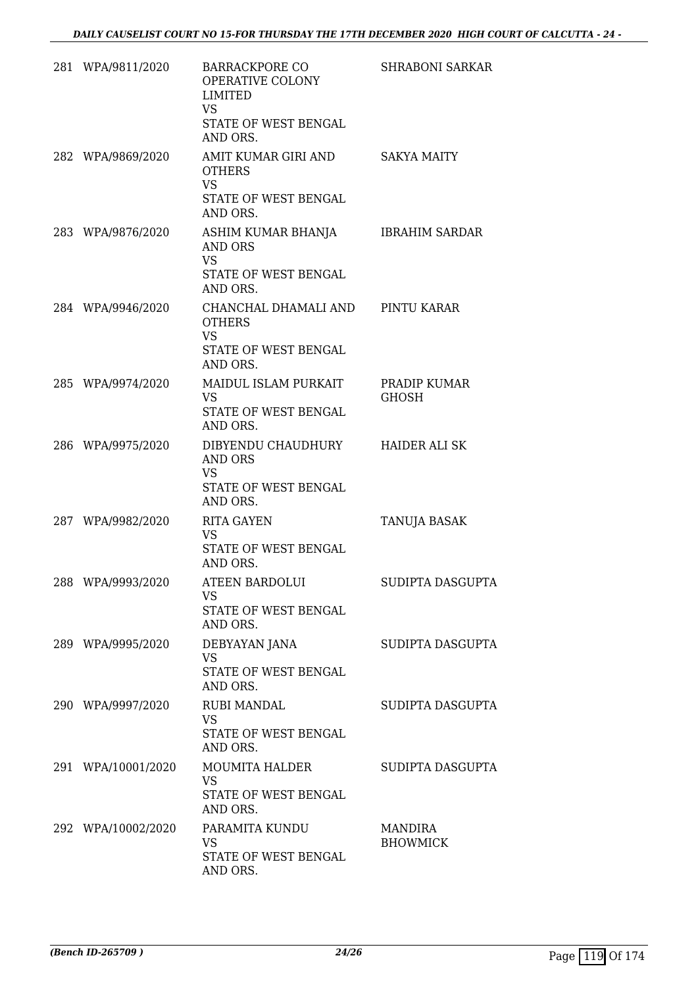| 281 WPA/9811/2020  | <b>BARRACKPORE CO</b><br>OPERATIVE COLONY<br><b>LIMITED</b><br><b>VS</b><br>STATE OF WEST BENGAL<br>AND ORS. | SHRABONI SARKAR                   |
|--------------------|--------------------------------------------------------------------------------------------------------------|-----------------------------------|
| 282 WPA/9869/2020  | AMIT KUMAR GIRI AND<br><b>OTHERS</b><br><b>VS</b><br>STATE OF WEST BENGAL<br>AND ORS.                        | <b>SAKYA MAITY</b>                |
| 283 WPA/9876/2020  | ASHIM KUMAR BHANJA<br>AND ORS<br><b>VS</b><br>STATE OF WEST BENGAL<br>AND ORS.                               | <b>IBRAHIM SARDAR</b>             |
| 284 WPA/9946/2020  | CHANCHAL DHAMALI AND PINTU KARAR<br><b>OTHERS</b><br><b>VS</b><br><b>STATE OF WEST BENGAL</b><br>AND ORS.    |                                   |
| 285 WPA/9974/2020  | MAIDUL ISLAM PURKAIT<br><b>VS</b><br>STATE OF WEST BENGAL<br>AND ORS.                                        | PRADIP KUMAR<br><b>GHOSH</b>      |
| 286 WPA/9975/2020  | DIBYENDU CHAUDHURY<br>AND ORS<br><b>VS</b><br>STATE OF WEST BENGAL<br>AND ORS.                               | HAIDER ALI SK                     |
| 287 WPA/9982/2020  | <b>RITA GAYEN</b><br><b>VS</b><br><b>STATE OF WEST BENGAL</b><br>AND ORS.                                    | TANUJA BASAK                      |
| 288 WPA/9993/2020  | ATEEN BARDOLUI<br><b>VS</b><br>STATE OF WEST BENGAL<br>AND ORS.                                              | SUDIPTA DASGUPTA                  |
| 289 WPA/9995/2020  | DEBYAYAN JANA<br><b>VS</b><br>STATE OF WEST BENGAL<br>AND ORS.                                               | SUDIPTA DASGUPTA                  |
| 290 WPA/9997/2020  | <b>RUBI MANDAL</b><br><b>VS</b><br>STATE OF WEST BENGAL<br>AND ORS.                                          | SUDIPTA DASGUPTA                  |
| 291 WPA/10001/2020 | MOUMITA HALDER<br><b>VS</b><br>STATE OF WEST BENGAL<br>AND ORS.                                              | SUDIPTA DASGUPTA                  |
| 292 WPA/10002/2020 | PARAMITA KUNDU<br><b>VS</b><br>STATE OF WEST BENGAL<br>AND ORS.                                              | <b>MANDIRA</b><br><b>BHOWMICK</b> |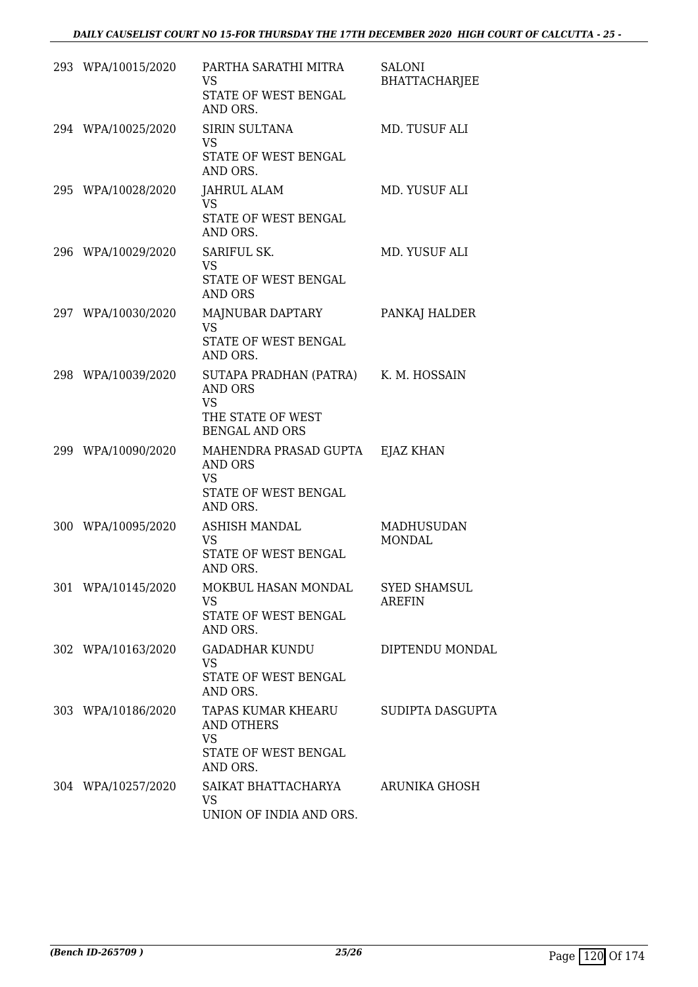| 293 WPA/10015/2020 | PARTHA SARATHI MITRA<br>VS.<br>STATE OF WEST BENGAL<br>AND ORS.                                            | <b>SALONI</b><br>BHATTACHARJEE       |
|--------------------|------------------------------------------------------------------------------------------------------------|--------------------------------------|
| 294 WPA/10025/2020 | SIRIN SULTANA<br>VS<br>STATE OF WEST BENGAL<br>AND ORS.                                                    | MD. TUSUF ALI                        |
| 295 WPA/10028/2020 | JAHRUL ALAM<br>VS<br>STATE OF WEST BENGAL<br>AND ORS.                                                      | MD. YUSUF ALI                        |
| 296 WPA/10029/2020 | SARIFUL SK.<br>VS<br>STATE OF WEST BENGAL<br>AND ORS                                                       | MD. YUSUF ALI                        |
| 297 WPA/10030/2020 | MAJNUBAR DAPTARY<br><b>VS</b><br>STATE OF WEST BENGAL<br>AND ORS.                                          | PANKAJ HALDER                        |
| 298 WPA/10039/2020 | SUTAPA PRADHAN (PATRA) K. M. HOSSAIN<br>AND ORS<br><b>VS</b><br>THE STATE OF WEST<br><b>BENGAL AND ORS</b> |                                      |
| 299 WPA/10090/2020 | MAHENDRA PRASAD GUPTA<br>AND ORS<br>VS<br>STATE OF WEST BENGAL<br>AND ORS.                                 | EJAZ KHAN                            |
| 300 WPA/10095/2020 | <b>ASHISH MANDAL</b><br>VS<br>STATE OF WEST BENGAL<br>AND ORS.                                             | MADHUSUDAN<br><b>MONDAL</b>          |
| 301 WPA/10145/2020 | MOKBUL HASAN MONDAL<br>VS.<br>STATE OF WEST BENGAL<br>AND ORS.                                             | <b>SYED SHAMSUL</b><br><b>AREFIN</b> |
| 302 WPA/10163/2020 | <b>GADADHAR KUNDU</b><br><b>VS</b><br>STATE OF WEST BENGAL<br>AND ORS.                                     | DIPTENDU MONDAL                      |
| 303 WPA/10186/2020 | TAPAS KUMAR KHEARU<br><b>AND OTHERS</b><br>VS<br>STATE OF WEST BENGAL<br>AND ORS.                          | SUDIPTA DASGUPTA                     |
| 304 WPA/10257/2020 | SAIKAT BHATTACHARYA<br>VS<br>UNION OF INDIA AND ORS.                                                       | ARUNIKA GHOSH                        |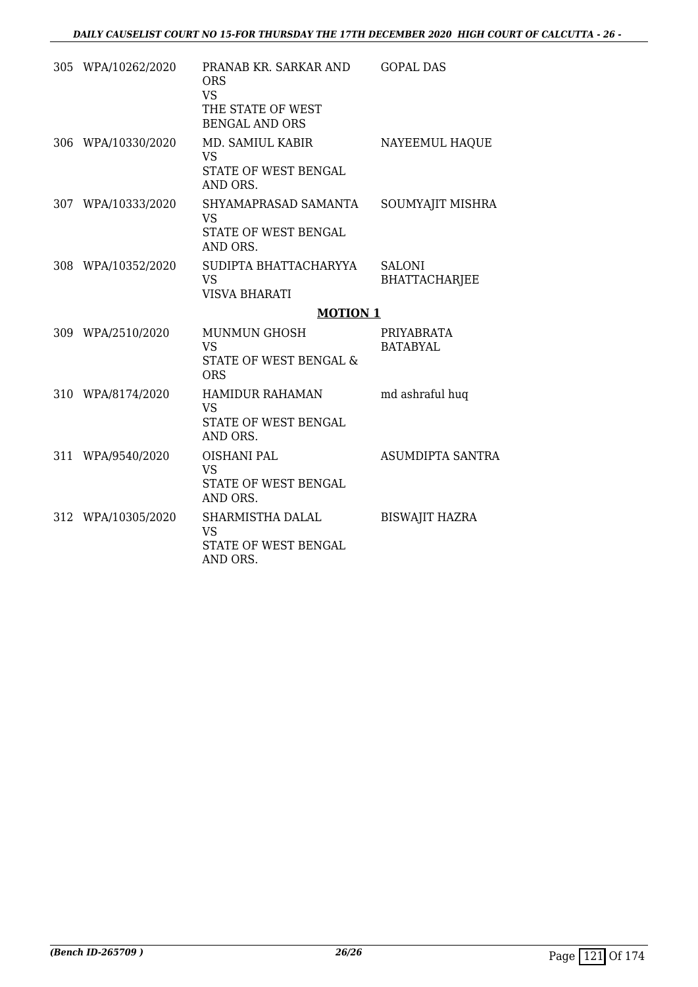| 305 WPA/10262/2020 | PRANAB KR. SARKAR AND<br><b>ORS</b><br><b>VS</b><br>THE STATE OF WEST<br><b>BENGAL AND ORS</b> | <b>GOPAL DAS</b>                      |
|--------------------|------------------------------------------------------------------------------------------------|---------------------------------------|
| 306 WPA/10330/2020 | MD. SAMIUL KABIR<br><b>VS</b><br>STATE OF WEST BENGAL<br>AND ORS.                              | NAYEEMUL HAQUE                        |
| 307 WPA/10333/2020 | SHYAMAPRASAD SAMANTA<br><b>VS</b><br>STATE OF WEST BENGAL<br>AND ORS.                          | SOUMYAJIT MISHRA                      |
| 308 WPA/10352/2020 | SUDIPTA BHATTACHARYYA<br><b>VS</b><br><b>VISVA BHARATI</b>                                     | <b>SALONI</b><br><b>BHATTACHARJEE</b> |
|                    | <b>MOTION 1</b>                                                                                |                                       |
| 309 WPA/2510/2020  | <b>MUNMUN GHOSH</b><br><b>VS</b><br>STATE OF WEST BENGAL &<br><b>ORS</b>                       | PRIYABRATA<br><b>BATABYAL</b>         |
| 310 WPA/8174/2020  | <b>HAMIDUR RAHAMAN</b><br><b>VS</b><br>STATE OF WEST BENGAL<br>AND ORS.                        | md ashraful huq                       |
| 311 WPA/9540/2020  | <b>OISHANI PAL</b><br><b>VS</b><br>STATE OF WEST BENGAL<br>AND ORS.                            | <b>ASUMDIPTA SANTRA</b>               |
| 312 WPA/10305/2020 | SHARMISTHA DALAL<br><b>VS</b><br>STATE OF WEST BENGAL<br>AND ORS.                              | <b>BISWAJIT HAZRA</b>                 |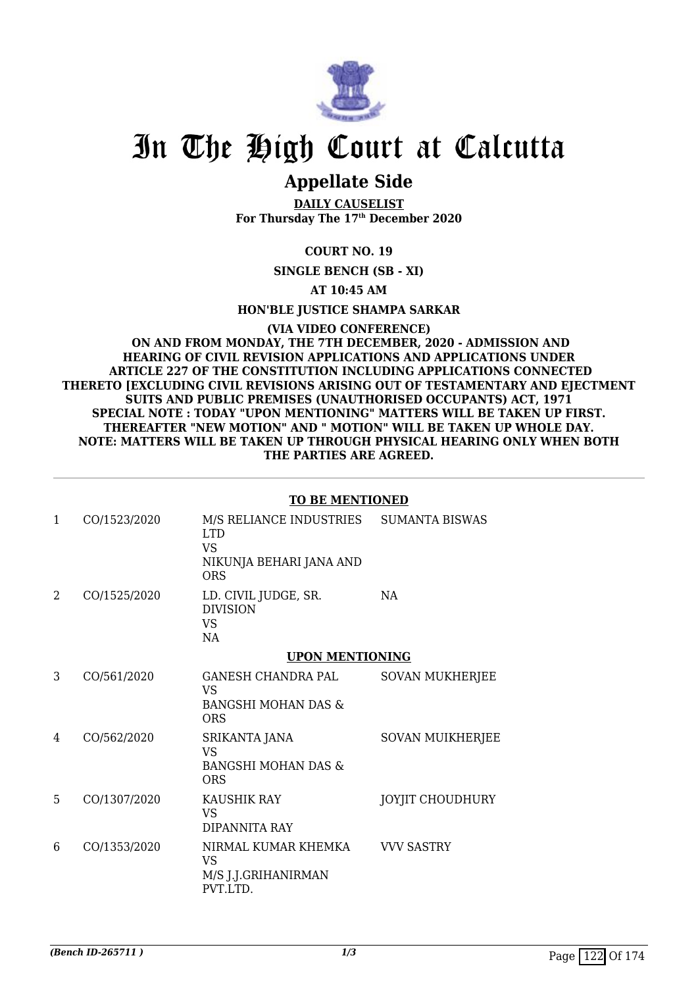

### **Appellate Side**

**DAILY CAUSELIST For Thursday The 17th December 2020**

### **COURT NO. 19**

**SINGLE BENCH (SB - XI)**

**AT 10:45 AM**

**HON'BLE JUSTICE SHAMPA SARKAR**

#### **(VIA VIDEO CONFERENCE) ON AND FROM MONDAY, THE 7TH DECEMBER, 2020 - ADMISSION AND HEARING OF CIVIL REVISION APPLICATIONS AND APPLICATIONS UNDER ARTICLE 227 OF THE CONSTITUTION INCLUDING APPLICATIONS CONNECTED THERETO [EXCLUDING CIVIL REVISIONS ARISING OUT OF TESTAMENTARY AND EJECTMENT SUITS AND PUBLIC PREMISES (UNAUTHORISED OCCUPANTS) ACT, 1971 SPECIAL NOTE : TODAY "UPON MENTIONING" MATTERS WILL BE TAKEN UP FIRST. THEREAFTER "NEW MOTION" AND " MOTION" WILL BE TAKEN UP WHOLE DAY. NOTE: MATTERS WILL BE TAKEN UP THROUGH PHYSICAL HEARING ONLY WHEN BOTH THE PARTIES ARE AGREED.**

#### **TO BE MENTIONED**

| 1 | CO/1523/2020 | M/S RELIANCE INDUSTRIES<br><b>LTD</b><br><b>VS</b><br>NIKUNJA BEHARI JANA AND<br><b>ORS</b> | <b>SUMANTA BISWAS</b>   |
|---|--------------|---------------------------------------------------------------------------------------------|-------------------------|
| 2 | CO/1525/2020 | LD. CIVIL JUDGE, SR.<br><b>DIVISION</b><br><b>VS</b><br>NA                                  | NA                      |
|   |              | <b>UPON MENTIONING</b>                                                                      |                         |
| 3 | CO/561/2020  | GANESH CHANDRA PAL<br>VS.<br><b>BANGSHI MOHAN DAS &amp;</b><br>ORS                          | <b>SOVAN MUKHERJEE</b>  |
| 4 | CO/562/2020  | SRIKANTA JANA<br>VS.<br><b>BANGSHI MOHAN DAS &amp;</b><br><b>ORS</b>                        | <b>SOVAN MUIKHERJEE</b> |
| 5 | CO/1307/2020 | <b>KAUSHIK RAY</b><br><b>VS</b><br>DIPANNITA RAY                                            | JOYJIT CHOUDHURY        |
| 6 | CO/1353/2020 | NIRMAL KUMAR KHEMKA<br><b>VS</b><br>M/S J.J.GRIHANIRMAN<br>PVT.LTD.                         | <b>VVV SASTRY</b>       |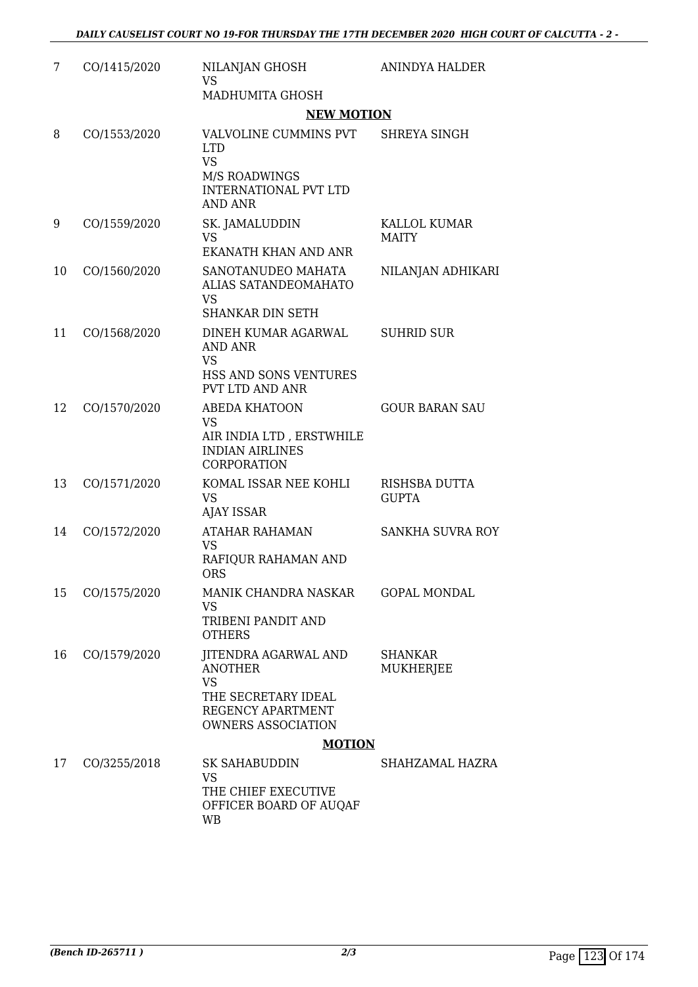| 7  | CO/1415/2020 | NILANJAN GHOSH<br><b>VS</b><br>MADHUMITA GHOSH                                                                               | ANINDYA HALDER                     |
|----|--------------|------------------------------------------------------------------------------------------------------------------------------|------------------------------------|
|    |              | <b>NEW MOTION</b>                                                                                                            |                                    |
| 8  | CO/1553/2020 | VALVOLINE CUMMINS PVT<br><b>LTD</b><br><b>VS</b><br><b>M/S ROADWINGS</b><br><b>INTERNATIONAL PVT LTD</b><br><b>AND ANR</b>   | SHREYA SINGH                       |
| 9  | CO/1559/2020 | SK. JAMALUDDIN<br><b>VS</b><br>EKANATH KHAN AND ANR                                                                          | KALLOL KUMAR<br><b>MAITY</b>       |
| 10 | CO/1560/2020 | SANOTANUDEO MAHATA<br>ALIAS SATANDEOMAHATO<br><b>VS</b><br>SHANKAR DIN SETH                                                  | NILANJAN ADHIKARI                  |
| 11 | CO/1568/2020 | DINEH KUMAR AGARWAL<br><b>AND ANR</b><br><b>VS</b><br><b>HSS AND SONS VENTURES</b><br>PVT LTD AND ANR                        | <b>SUHRID SUR</b>                  |
| 12 | CO/1570/2020 | <b>ABEDA KHATOON</b><br><b>VS</b><br>AIR INDIA LTD, ERSTWHILE<br><b>INDIAN AIRLINES</b><br><b>CORPORATION</b>                | <b>GOUR BARAN SAU</b>              |
| 13 | CO/1571/2020 | KOMAL ISSAR NEE KOHLI<br><b>VS</b><br><b>AJAY ISSAR</b>                                                                      | RISHSBA DUTTA<br><b>GUPTA</b>      |
| 14 | CO/1572/2020 | <b>ATAHAR RAHAMAN</b><br><b>VS</b><br>RAFIQUR RAHAMAN AND<br><b>ORS</b>                                                      | <b>SANKHA SUVRA ROY</b>            |
| 15 | CO/1575/2020 | MANIK CHANDRA NASKAR<br>VS<br>TRIBENI PANDIT AND<br><b>OTHERS</b>                                                            | <b>GOPAL MONDAL</b>                |
| 16 | CO/1579/2020 | JITENDRA AGARWAL AND<br><b>ANOTHER</b><br><b>VS</b><br>THE SECRETARY IDEAL<br>REGENCY APARTMENT<br><b>OWNERS ASSOCIATION</b> | <b>SHANKAR</b><br><b>MUKHERJEE</b> |
|    |              | <b>MOTION</b>                                                                                                                |                                    |
| 17 | CO/3255/2018 | <b>SK SAHABUDDIN</b><br><b>VS</b><br>THE CHIEF EXECUTIVE<br>OFFICER BOARD OF AUQAF<br>WB                                     | SHAHZAMAL HAZRA                    |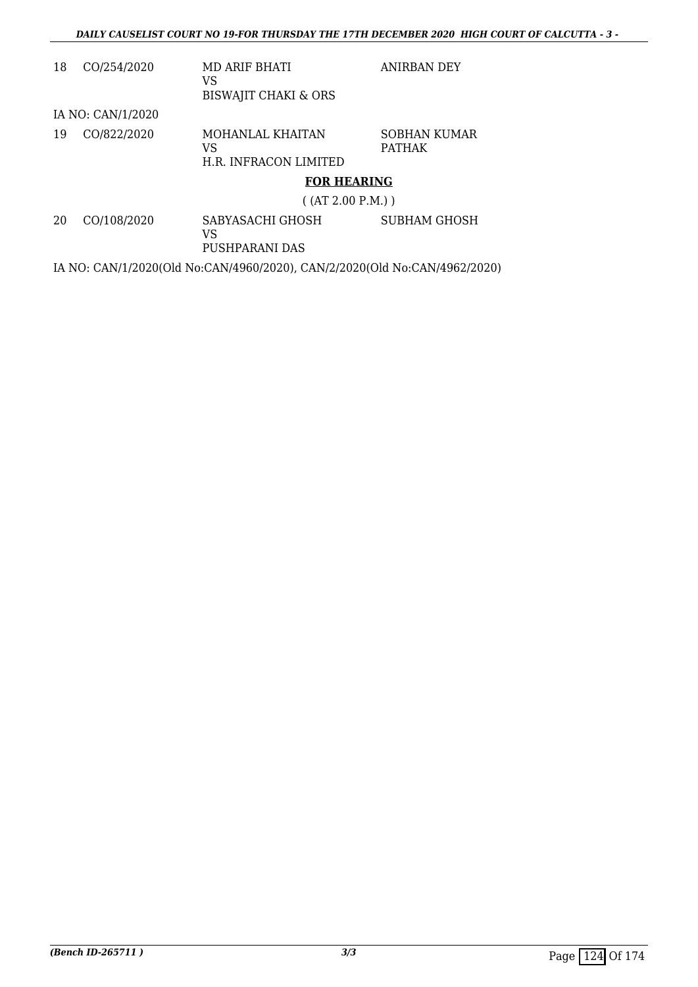| 18 | CO/254/2020       | MD ARIF BHATI<br>VS<br><b>BISWAJIT CHAKI &amp; ORS</b> | <b>ANIRBAN DEY</b>            |
|----|-------------------|--------------------------------------------------------|-------------------------------|
|    | IA NO: CAN/1/2020 |                                                        |                               |
| 19 | CO/822/2020       | MOHANLAL KHAITAN<br>VS<br>H.R. INFRACON LIMITED        | SOBHAN KUMAR<br><b>PATHAK</b> |
|    |                   | <b>FOR HEARING</b>                                     |                               |
|    |                   | ( (AT 2.00 P.M.) )                                     |                               |
| 20 | CO/108/2020       | SABYASACHI GHOSH<br>VS<br>PUSHPARANI DAS               | <b>SUBHAM GHOSH</b>           |

IA NO: CAN/1/2020(Old No:CAN/4960/2020), CAN/2/2020(Old No:CAN/4962/2020)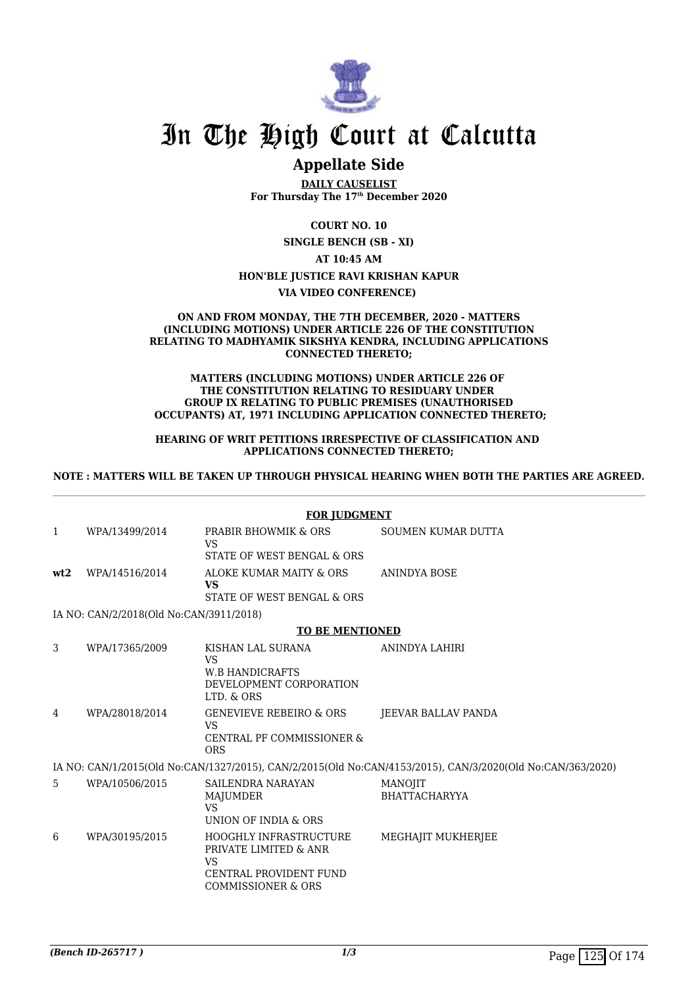

### **Appellate Side**

**DAILY CAUSELIST For Thursday The 17th December 2020**

**COURT NO. 10**

**SINGLE BENCH (SB - XI)**

**AT 10:45 AM**

#### **HON'BLE JUSTICE RAVI KRISHAN KAPUR**

**VIA VIDEO CONFERENCE)** 

#### **ON AND FROM MONDAY, THE 7TH DECEMBER, 2020 - MATTERS (INCLUDING MOTIONS) UNDER ARTICLE 226 OF THE CONSTITUTION RELATING TO MADHYAMIK SIKSHYA KENDRA, INCLUDING APPLICATIONS CONNECTED THERETO;**

#### **MATTERS (INCLUDING MOTIONS) UNDER ARTICLE 226 OF THE CONSTITUTION RELATING TO RESIDUARY UNDER GROUP IX RELATING TO PUBLIC PREMISES (UNAUTHORISED OCCUPANTS) AT, 1971 INCLUDING APPLICATION CONNECTED THERETO;**

#### **HEARING OF WRIT PETITIONS IRRESPECTIVE OF CLASSIFICATION AND APPLICATIONS CONNECTED THERETO;**

#### **NOTE : MATTERS WILL BE TAKEN UP THROUGH PHYSICAL HEARING WHEN BOTH THE PARTIES ARE AGREED.**

|              | <b>FOR JUDGMENT</b>                     |                                                                                                                                       |                                                                                                            |  |  |
|--------------|-----------------------------------------|---------------------------------------------------------------------------------------------------------------------------------------|------------------------------------------------------------------------------------------------------------|--|--|
| $\mathbf{1}$ | WPA/13499/2014                          | PRABIR BHOWMIK & ORS<br>VS                                                                                                            | <b>SOUMEN KUMAR DUTTA</b>                                                                                  |  |  |
|              |                                         | STATE OF WEST BENGAL & ORS                                                                                                            |                                                                                                            |  |  |
| wt2          | WPA/14516/2014                          | ALOKE KUMAR MAITY & ORS<br><b>VS</b>                                                                                                  | <b>ANINDYA BOSE</b>                                                                                        |  |  |
|              |                                         | STATE OF WEST BENGAL & ORS                                                                                                            |                                                                                                            |  |  |
|              | IA NO: CAN/2/2018(Old No:CAN/3911/2018) |                                                                                                                                       |                                                                                                            |  |  |
|              |                                         | <b>TO BE MENTIONED</b>                                                                                                                |                                                                                                            |  |  |
| 3            | WPA/17365/2009                          | KISHAN LAL SURANA<br><b>VS</b><br><b>W.B HANDICRAFTS</b><br>DEVELOPMENT CORPORATION                                                   | ANINDYA LAHIRI                                                                                             |  |  |
|              |                                         | LTD. & ORS                                                                                                                            |                                                                                                            |  |  |
| 4            | WPA/28018/2014                          | <b>GENEVIEVE REBEIRO &amp; ORS</b><br><b>VS</b><br><b>CENTRAL PF COMMISSIONER &amp;</b><br><b>ORS</b>                                 | JEEVAR BALLAV PANDA                                                                                        |  |  |
|              |                                         |                                                                                                                                       | IA NO: CAN/1/2015(Old No:CAN/1327/2015), CAN/2/2015(Old No:CAN/4153/2015), CAN/3/2020(Old No:CAN/363/2020) |  |  |
| 5            | WPA/10506/2015                          | SAILENDRA NARAYAN<br>MAJUMDER<br>VS<br>UNION OF INDIA & ORS                                                                           | MANOJIT<br><b>BHATTACHARYYA</b>                                                                            |  |  |
| 6            | WPA/30195/2015                          | <b>HOOGHLY INFRASTRUCTURE</b><br>PRIVATE LIMITED & ANR<br><b>VS</b><br><b>CENTRAL PROVIDENT FUND</b><br><b>COMMISSIONER &amp; ORS</b> | <b>MEGHAJIT MUKHERJEE</b>                                                                                  |  |  |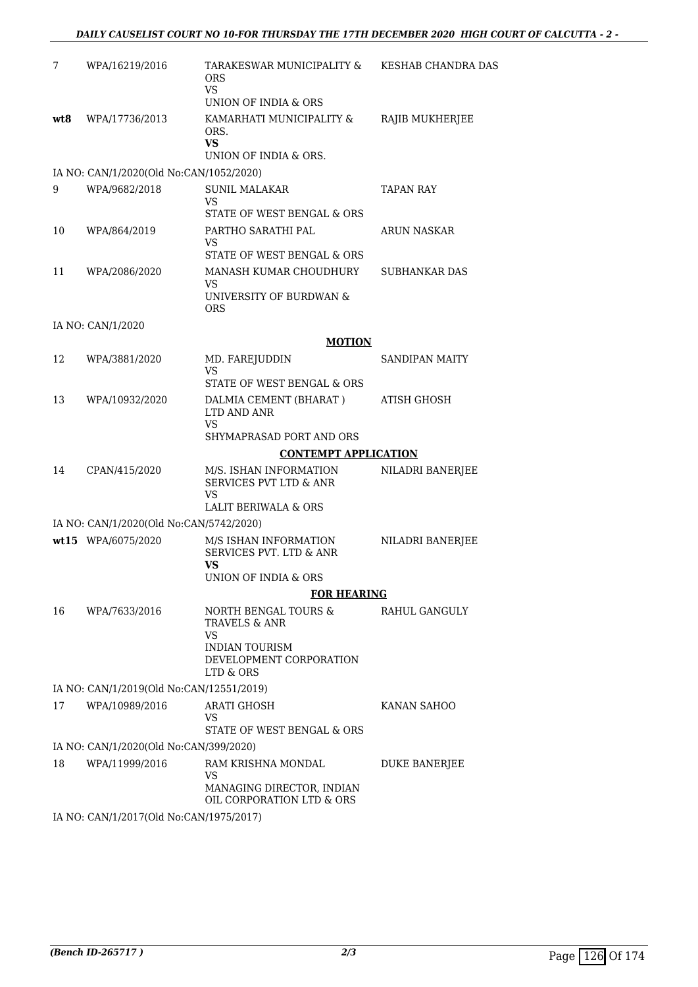| 7    | WPA/16219/2016                           | TARAKESWAR MUNICIPALITY & KESHAB CHANDRA DAS<br><b>ORS</b><br>VS.<br>UNION OF INDIA & ORS                               |                      |
|------|------------------------------------------|-------------------------------------------------------------------------------------------------------------------------|----------------------|
| wt.8 | WPA/17736/2013                           | KAMARHATI MUNICIPALITY &<br>ORS.<br><b>VS</b><br>UNION OF INDIA & ORS.                                                  | RAJIB MUKHERJEE      |
|      | IA NO: CAN/1/2020(Old No:CAN/1052/2020)  |                                                                                                                         |                      |
| 9    | WPA/9682/2018                            | <b>SUNIL MALAKAR</b><br>VS<br>STATE OF WEST BENGAL & ORS                                                                | TAPAN RAY            |
| 10   | WPA/864/2019                             | PARTHO SARATHI PAL<br>VS<br>STATE OF WEST BENGAL & ORS                                                                  | <b>ARUN NASKAR</b>   |
| 11   | WPA/2086/2020                            | MANASH KUMAR CHOUDHURY<br>VS<br>UNIVERSITY OF BURDWAN &<br><b>ORS</b>                                                   | SUBHANKAR DAS        |
|      | IA NO: CAN/1/2020                        |                                                                                                                         |                      |
|      |                                          | <b>MOTION</b>                                                                                                           |                      |
| 12   | WPA/3881/2020                            | MD. FAREJUDDIN<br><b>VS</b><br>STATE OF WEST BENGAL & ORS                                                               | SANDIPAN MAITY       |
| 13   | WPA/10932/2020                           | DALMIA CEMENT (BHARAT)<br>LTD AND ANR                                                                                   | ATISH GHOSH          |
|      |                                          | VS<br>SHYMAPRASAD PORT AND ORS                                                                                          |                      |
|      |                                          | <b>CONTEMPT APPLICATION</b>                                                                                             |                      |
| 14   | CPAN/415/2020                            | M/S. ISHAN INFORMATION<br>SERVICES PVT LTD & ANR<br>VS<br><b>LALIT BERIWALA &amp; ORS</b>                               | NILADRI BANERJEE     |
|      | IA NO: CAN/1/2020(Old No:CAN/5742/2020)  |                                                                                                                         |                      |
|      | wt15 WPA/6075/2020                       | M/S ISHAN INFORMATION<br>SERVICES PVT. LTD & ANR                                                                        | NILADRI BANERJEE     |
|      |                                          | VS<br>UNION OF INDIA & ORS                                                                                              |                      |
|      |                                          | <b>FOR HEARING</b>                                                                                                      |                      |
| 16   | WPA/7633/2016                            | NORTH BENGAL TOURS &<br><b>TRAVELS &amp; ANR</b><br>VS<br><b>INDIAN TOURISM</b><br>DEVELOPMENT CORPORATION<br>LTD & ORS | RAHUL GANGULY        |
|      | IA NO: CAN/1/2019(Old No:CAN/12551/2019) |                                                                                                                         |                      |
| 17   | WPA/10989/2016                           | <b>ARATI GHOSH</b><br>VS<br>STATE OF WEST BENGAL & ORS                                                                  | KANAN SAHOO          |
|      | IA NO: CAN/1/2020(Old No:CAN/399/2020)   |                                                                                                                         |                      |
| 18   | WPA/11999/2016                           | RAM KRISHNA MONDAL<br>VS<br>MANAGING DIRECTOR, INDIAN                                                                   | <b>DUKE BANERJEE</b> |
|      | IA NO: CAN/1/2017(Old No:CAN/1975/2017)  | OIL CORPORATION LTD & ORS                                                                                               |                      |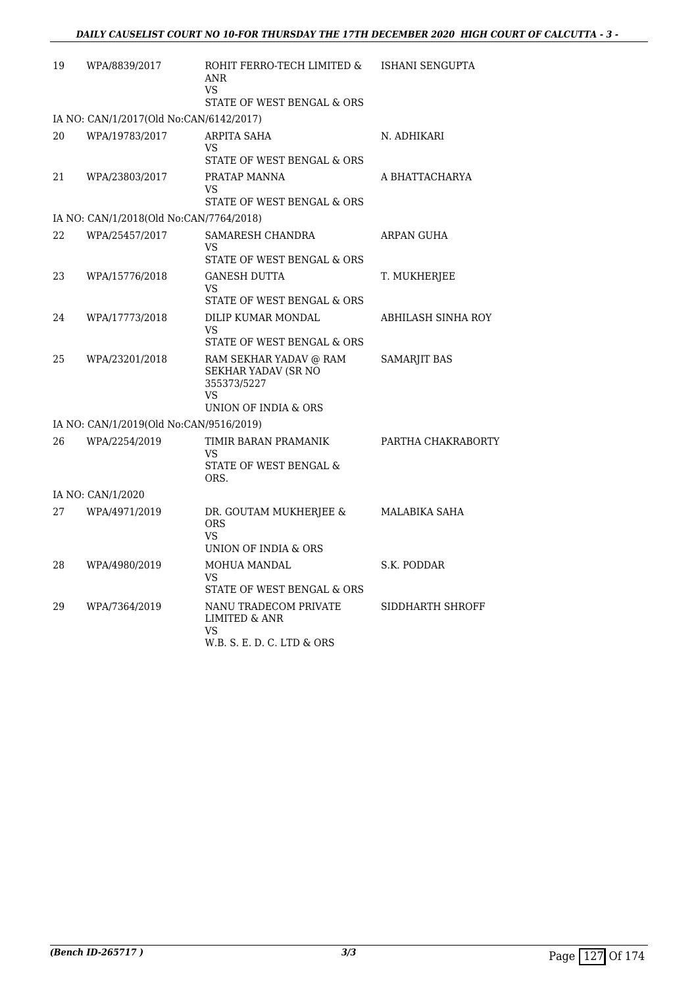| 19 | WPA/8839/2017                           | ROHIT FERRO-TECH LIMITED &<br>ANR<br><b>VS</b>                                                    | ISHANI SENGUPTA     |
|----|-----------------------------------------|---------------------------------------------------------------------------------------------------|---------------------|
|    |                                         | STATE OF WEST BENGAL & ORS                                                                        |                     |
|    | IA NO: CAN/1/2017(Old No:CAN/6142/2017) |                                                                                                   |                     |
| 20 | WPA/19783/2017                          | ARPITA SAHA<br>VS<br>STATE OF WEST BENGAL & ORS                                                   | N. ADHIKARI         |
| 21 | WPA/23803/2017                          | PRATAP MANNA<br><b>VS</b><br>STATE OF WEST BENGAL & ORS                                           | A BHATTACHARYA      |
|    | IA NO: CAN/1/2018(Old No:CAN/7764/2018) |                                                                                                   |                     |
| 22 | WPA/25457/2017                          | SAMARESH CHANDRA<br>VS<br>STATE OF WEST BENGAL & ORS                                              | ARPAN GUHA          |
| 23 | WPA/15776/2018                          | <b>GANESH DUTTA</b><br>VS<br>STATE OF WEST BENGAL & ORS                                           | T. MUKHERJEE        |
| 24 | WPA/17773/2018                          | <b>DILIP KUMAR MONDAL</b><br>VS<br>STATE OF WEST BENGAL & ORS                                     | ABHILASH SINHA ROY  |
| 25 | WPA/23201/2018                          | RAM SEKHAR YADAV @ RAM<br><b>SEKHAR YADAV (SR NO</b><br>355373/5227<br>VS<br>UNION OF INDIA & ORS | <b>SAMARJIT BAS</b> |
|    | IA NO: CAN/1/2019(Old No:CAN/9516/2019) |                                                                                                   |                     |
| 26 | WPA/2254/2019                           | TIMIR BARAN PRAMANIK<br>VS<br>STATE OF WEST BENGAL &<br>ORS.                                      | PARTHA CHAKRABORTY  |
|    | IA NO: CAN/1/2020                       |                                                                                                   |                     |
| 27 | WPA/4971/2019                           | DR. GOUTAM MUKHERJEE &<br><b>ORS</b><br><b>VS</b><br>UNION OF INDIA & ORS                         | MALABIKA SAHA       |
| 28 | WPA/4980/2019                           | MOHUA MANDAL<br>VS<br>STATE OF WEST BENGAL & ORS                                                  | S.K. PODDAR         |
| 29 | WPA/7364/2019                           | NANU TRADECOM PRIVATE<br>LIMITED & ANR<br>VS<br>W.B. S. E. D. C. LTD & ORS                        | SIDDHARTH SHROFF    |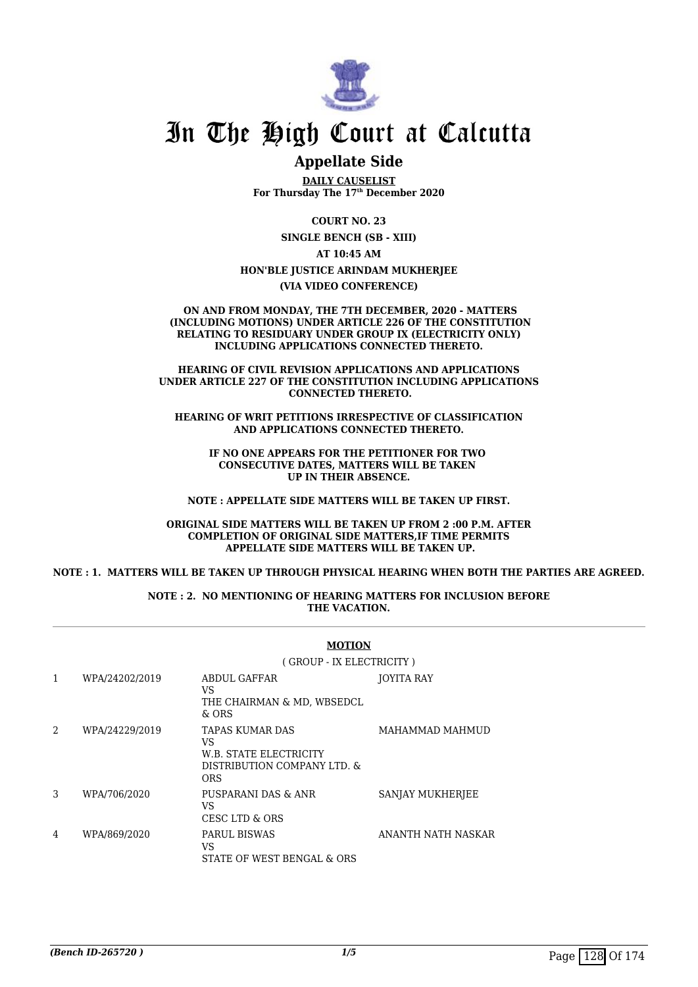

### **Appellate Side**

**DAILY CAUSELIST For Thursday The 17th December 2020**

> **COURT NO. 23 SINGLE BENCH (SB - XIII)**

> > **AT 10:45 AM**

#### **HON'BLE JUSTICE ARINDAM MUKHERJEE**

**(VIA VIDEO CONFERENCE)**

 **ON AND FROM MONDAY, THE 7TH DECEMBER, 2020 - MATTERS (INCLUDING MOTIONS) UNDER ARTICLE 226 OF THE CONSTITUTION RELATING TO RESIDUARY UNDER GROUP IX (ELECTRICITY ONLY) INCLUDING APPLICATIONS CONNECTED THERETO.**

**HEARING OF CIVIL REVISION APPLICATIONS AND APPLICATIONS UNDER ARTICLE 227 OF THE CONSTITUTION INCLUDING APPLICATIONS CONNECTED THERETO.**

**HEARING OF WRIT PETITIONS IRRESPECTIVE OF CLASSIFICATION AND APPLICATIONS CONNECTED THERETO.**

**IF NO ONE APPEARS FOR THE PETITIONER FOR TWO CONSECUTIVE DATES, MATTERS WILL BE TAKEN UP IN THEIR ABSENCE.**

**NOTE : APPELLATE SIDE MATTERS WILL BE TAKEN UP FIRST.**

#### **ORIGINAL SIDE MATTERS WILL BE TAKEN UP FROM 2 :00 P.M. AFTER COMPLETION OF ORIGINAL SIDE MATTERS,IF TIME PERMITS APPELLATE SIDE MATTERS WILL BE TAKEN UP.**

#### **NOTE : 1. MATTERS WILL BE TAKEN UP THROUGH PHYSICAL HEARING WHEN BOTH THE PARTIES ARE AGREED.**

**NOTE : 2. NO MENTIONING OF HEARING MATTERS FOR INCLUSION BEFORE THE VACATION.**

|   |                | <b>MOTION</b>                                                                                       |                    |  |
|---|----------------|-----------------------------------------------------------------------------------------------------|--------------------|--|
|   |                | (GROUP - IX ELECTRICITY)                                                                            |                    |  |
| 1 | WPA/24202/2019 | ABDUL GAFFAR<br>VS<br>THE CHAIRMAN & MD, WBSEDCL<br>$&$ ORS                                         | <b>JOYITA RAY</b>  |  |
| 2 | WPA/24229/2019 | TAPAS KUMAR DAS<br><b>VS</b><br>W.B. STATE ELECTRICITY<br>DISTRIBUTION COMPANY LTD. &<br><b>ORS</b> | MAHAMMAD MAHMUD    |  |
| 3 | WPA/706/2020   | PUSPARANI DAS & ANR<br>VS.<br>CESC LTD & ORS                                                        | SANJAY MUKHERJEE   |  |
| 4 | WPA/869/2020   | PARUL BISWAS<br>VS<br>STATE OF WEST BENGAL & ORS                                                    | ANANTH NATH NASKAR |  |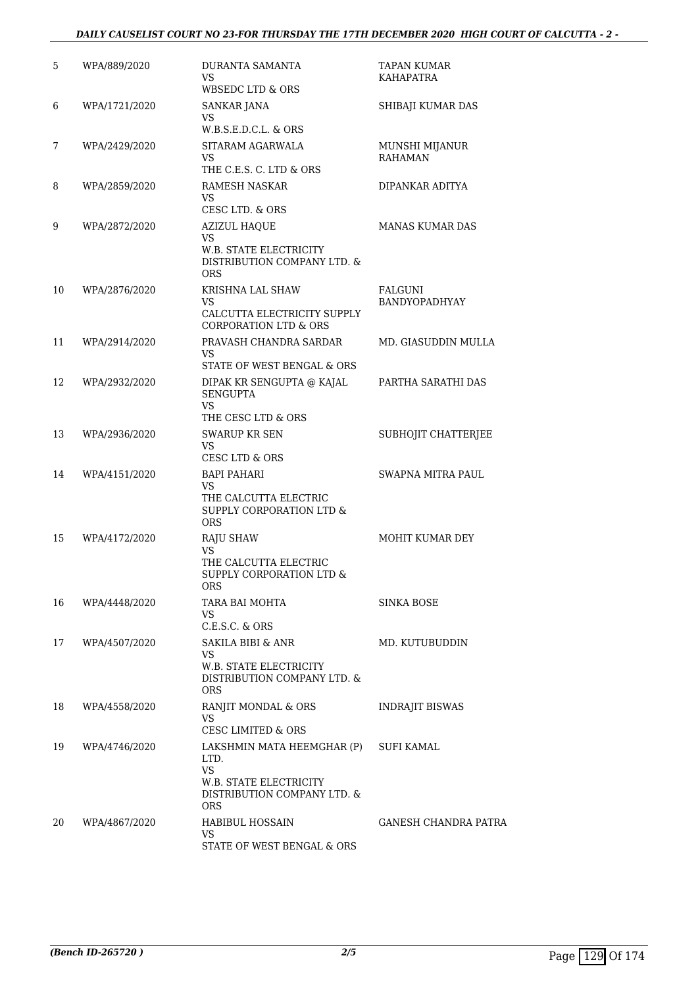#### *DAILY CAUSELIST COURT NO 23-FOR THURSDAY THE 17TH DECEMBER 2020 HIGH COURT OF CALCUTTA - 2 -*

| 5  | WPA/889/2020  | DURANTA SAMANTA<br>VS.<br>WBSEDC LTD & ORS                                                                             | <b>TAPAN KUMAR</b><br>KAHAPATRA  |
|----|---------------|------------------------------------------------------------------------------------------------------------------------|----------------------------------|
| 6  | WPA/1721/2020 | SANKAR JANA<br>VS<br>W.B.S.E.D.C.L. & ORS                                                                              | SHIBAJI KUMAR DAS                |
| 7  | WPA/2429/2020 | SITARAM AGARWALA<br>VS.<br>THE C.E.S. C. LTD & ORS                                                                     | MUNSHI MIJANUR<br><b>RAHAMAN</b> |
| 8  | WPA/2859/2020 | <b>RAMESH NASKAR</b><br>VS.<br>CESC LTD. & ORS                                                                         | DIPANKAR ADITYA                  |
| 9  | WPA/2872/2020 | <b>AZIZUL HAQUE</b><br>VS.<br>W.B. STATE ELECTRICITY<br>DISTRIBUTION COMPANY LTD. &<br><b>ORS</b>                      | <b>MANAS KUMAR DAS</b>           |
| 10 | WPA/2876/2020 | <b>KRISHNA LAL SHAW</b><br>VS<br>CALCUTTA ELECTRICITY SUPPLY<br><b>CORPORATION LTD &amp; ORS</b>                       | <b>FALGUNI</b><br>BANDYOPADHYAY  |
| 11 | WPA/2914/2020 | PRAVASH CHANDRA SARDAR<br>VS.<br>STATE OF WEST BENGAL & ORS                                                            | MD. GIASUDDIN MULLA              |
| 12 | WPA/2932/2020 | DIPAK KR SENGUPTA @ KAJAL<br><b>SENGUPTA</b><br>VS.<br>THE CESC LTD & ORS                                              | PARTHA SARATHI DAS               |
| 13 | WPA/2936/2020 | <b>SWARUP KR SEN</b><br>VS.<br>CESC LTD & ORS                                                                          | SUBHOJIT CHATTERJEE              |
| 14 | WPA/4151/2020 | <b>BAPI PAHARI</b><br>VS<br>THE CALCUTTA ELECTRIC<br><b>SUPPLY CORPORATION LTD &amp;</b><br><b>ORS</b>                 | <b>SWAPNA MITRA PAUL</b>         |
| 15 | WPA/4172/2020 | <b>RAJU SHAW</b><br>VS.<br>THE CALCUTTA ELECTRIC<br><b>SUPPLY CORPORATION LTD &amp;</b><br>ORS                         | MOHIT KUMAR DEY                  |
| 16 | WPA/4448/2020 | TARA BAI MOHTA<br>VS.<br>$C.E.S.C.$ & $ORS$                                                                            | <b>SINKA BOSE</b>                |
| 17 | WPA/4507/2020 | SAKILA BIBI & ANR<br>VS<br>W.B. STATE ELECTRICITY<br>DISTRIBUTION COMPANY LTD. &<br><b>ORS</b>                         | MD. KUTUBUDDIN                   |
| 18 | WPA/4558/2020 | RANJIT MONDAL & ORS<br>VS.<br><b>CESC LIMITED &amp; ORS</b>                                                            | <b>INDRAJIT BISWAS</b>           |
| 19 | WPA/4746/2020 | LAKSHMIN MATA HEEMGHAR (P)<br>LTD.<br><b>VS</b><br>W.B. STATE ELECTRICITY<br>DISTRIBUTION COMPANY LTD. &<br><b>ORS</b> | SUFI KAMAL                       |
| 20 | WPA/4867/2020 | HABIBUL HOSSAIN<br>VS<br>STATE OF WEST BENGAL & ORS                                                                    | GANESH CHANDRA PATRA             |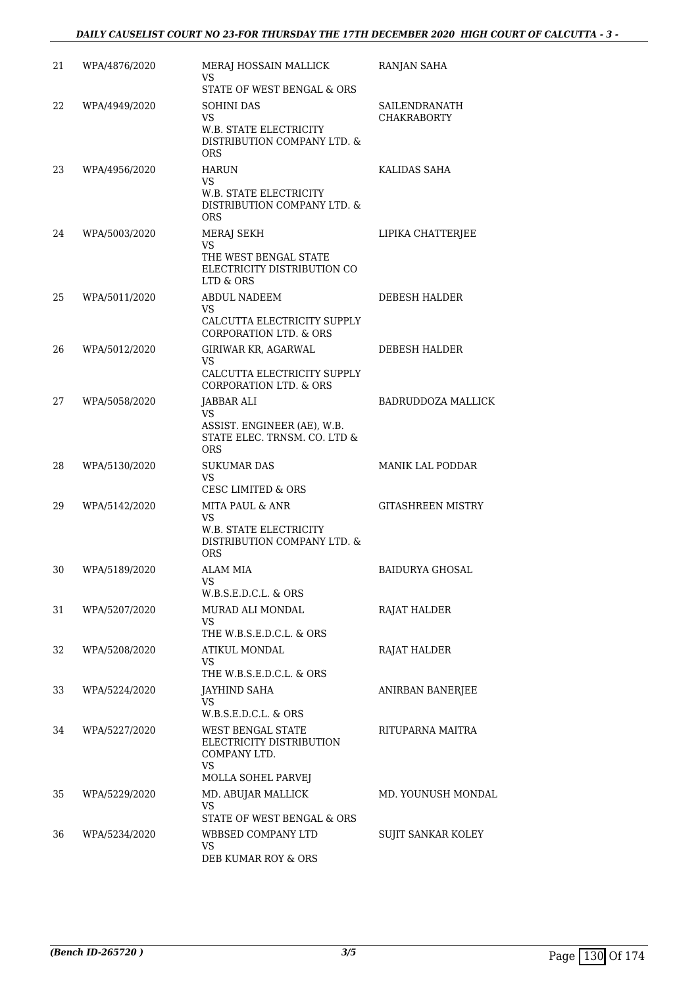| 21 | WPA/4876/2020 | MERAJ HOSSAIN MALLICK<br>VS<br>STATE OF WEST BENGAL & ORS                                                      | RANJAN SAHA                         |
|----|---------------|----------------------------------------------------------------------------------------------------------------|-------------------------------------|
| 22 | WPA/4949/2020 | SOHINI DAS<br><b>VS</b><br><b>W.B. STATE ELECTRICITY</b><br>DISTRIBUTION COMPANY LTD. &<br><b>ORS</b>          | SAILENDRANATH<br><b>CHAKRABORTY</b> |
| 23 | WPA/4956/2020 | <b>HARUN</b><br>VS<br><b>W.B. STATE ELECTRICITY</b><br>DISTRIBUTION COMPANY LTD. &<br><b>ORS</b>               | KALIDAS SAHA                        |
| 24 | WPA/5003/2020 | MERAJ SEKH<br>VS<br>THE WEST BENGAL STATE<br>ELECTRICITY DISTRIBUTION CO<br>LTD & ORS                          | LIPIKA CHATTERJEE                   |
| 25 | WPA/5011/2020 | <b>ABDUL NADEEM</b><br>VS<br>CALCUTTA ELECTRICITY SUPPLY<br><b>CORPORATION LTD. &amp; ORS</b>                  | DEBESH HALDER                       |
| 26 | WPA/5012/2020 | GIRIWAR KR, AGARWAL<br>VS.<br>CALCUTTA ELECTRICITY SUPPLY<br>CORPORATION LTD. & ORS                            | DEBESH HALDER                       |
| 27 | WPA/5058/2020 | JABBAR ALI<br>VS<br>ASSIST. ENGINEER (AE), W.B.<br>STATE ELEC. TRNSM. CO. LTD &<br><b>ORS</b>                  | <b>BADRUDDOZA MALLICK</b>           |
| 28 | WPA/5130/2020 | <b>SUKUMAR DAS</b><br>VS<br><b>CESC LIMITED &amp; ORS</b>                                                      | <b>MANIK LAL PODDAR</b>             |
| 29 | WPA/5142/2020 | <b>MITA PAUL &amp; ANR</b><br>VS<br><b>W.B. STATE ELECTRICITY</b><br>DISTRIBUTION COMPANY LTD. &<br><b>ORS</b> | <b>GITASHREEN MISTRY</b>            |
| 30 | WPA/5189/2020 | <b>ALAM MIA</b><br><b>VS</b><br>W.B.S.E.D.C.L. & ORS                                                           | <b>BAIDURYA GHOSAL</b>              |
| 31 | WPA/5207/2020 | MURAD ALI MONDAL<br>VS.<br>THE W.B.S.E.D.C.L. & ORS                                                            | <b>RAJAT HALDER</b>                 |
| 32 | WPA/5208/2020 | ATIKUL MONDAL<br>VS<br>THE W.B.S.E.D.C.L. & ORS                                                                | RAJAT HALDER                        |
| 33 | WPA/5224/2020 | JAYHIND SAHA<br>VS<br>W.B.S.E.D.C.L. & ORS                                                                     | ANIRBAN BANERJEE                    |
| 34 | WPA/5227/2020 | WEST BENGAL STATE<br>ELECTRICITY DISTRIBUTION<br>COMPANY LTD.<br>VS<br>MOLLA SOHEL PARVEJ                      | RITUPARNA MAITRA                    |
| 35 | WPA/5229/2020 | MD. ABUJAR MALLICK<br>VS<br>STATE OF WEST BENGAL & ORS                                                         | MD. YOUNUSH MONDAL                  |
| 36 | WPA/5234/2020 | WBBSED COMPANY LTD<br>VS<br>DEB KUMAR ROY & ORS                                                                | SUJIT SANKAR KOLEY                  |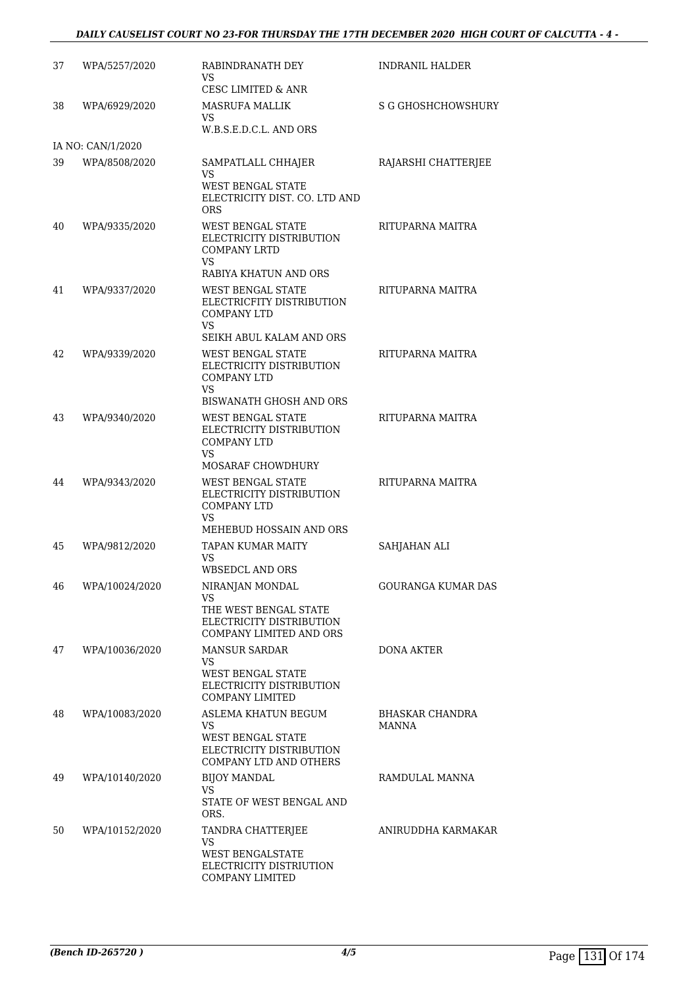#### *DAILY CAUSELIST COURT NO 23-FOR THURSDAY THE 17TH DECEMBER 2020 HIGH COURT OF CALCUTTA - 4 -*

| 37 | WPA/5257/2020     | RABINDRANATH DEY<br>VS<br>CESC LIMITED & ANR                                                                 | INDRANIL HALDER                        |
|----|-------------------|--------------------------------------------------------------------------------------------------------------|----------------------------------------|
| 38 | WPA/6929/2020     | <b>MASRUFA MALLIK</b><br>VS.<br>W.B.S.E.D.C.L. AND ORS                                                       | <b>S G GHOSHCHOWSHURY</b>              |
|    | IA NO: CAN/1/2020 |                                                                                                              |                                        |
| 39 | WPA/8508/2020     | SAMPATLALL CHHAJER<br>VS<br><b>WEST BENGAL STATE</b><br>ELECTRICITY DIST. CO. LTD AND                        | RAJARSHI CHATTERJEE                    |
| 40 | WPA/9335/2020     | <b>ORS</b><br><b>WEST BENGAL STATE</b><br>ELECTRICITY DISTRIBUTION<br><b>COMPANY LRTD</b>                    | RITUPARNA MAITRA                       |
|    |                   | <b>VS</b><br>RABIYA KHATUN AND ORS                                                                           |                                        |
| 41 | WPA/9337/2020     | <b>WEST BENGAL STATE</b><br>ELECTRICFITY DISTRIBUTION<br><b>COMPANY LTD</b><br>VS                            | RITUPARNA MAITRA                       |
| 42 | WPA/9339/2020     | SEIKH ABUL KALAM AND ORS<br><b>WEST BENGAL STATE</b><br>ELECTRICITY DISTRIBUTION<br><b>COMPANY LTD</b><br>VS | RITUPARNA MAITRA                       |
|    |                   | BISWANATH GHOSH AND ORS                                                                                      |                                        |
| 43 | WPA/9340/2020     | <b>WEST BENGAL STATE</b><br>ELECTRICITY DISTRIBUTION<br><b>COMPANY LTD</b><br>VS.                            | RITUPARNA MAITRA                       |
| 44 | WPA/9343/2020     | MOSARAF CHOWDHURY<br><b>WEST BENGAL STATE</b><br>ELECTRICITY DISTRIBUTION<br><b>COMPANY LTD</b><br>VS        | RITUPARNA MAITRA                       |
|    |                   | MEHEBUD HOSSAIN AND ORS                                                                                      |                                        |
| 45 | WPA/9812/2020     | <b>TAPAN KUMAR MAITY</b><br>VS<br><b>WBSEDCL AND ORS</b>                                                     | SAHJAHAN ALI                           |
| 46 | WPA/10024/2020    | NIRANJAN MONDAL<br>VS.<br>THE WEST BENGAL STATE<br>ELECTRICITY DISTRIBUTION<br>COMPANY LIMITED AND ORS       | <b>GOURANGA KUMAR DAS</b>              |
| 47 | WPA/10036/2020    | <b>MANSUR SARDAR</b><br>VS.<br>WEST BENGAL STATE<br>ELECTRICITY DISTRIBUTION<br><b>COMPANY LIMITED</b>       | <b>DONA AKTER</b>                      |
| 48 | WPA/10083/2020    | ASLEMA KHATUN BEGUM<br>VS.<br><b>WEST BENGAL STATE</b><br>ELECTRICITY DISTRIBUTION<br>COMPANY LTD AND OTHERS | <b>BHASKAR CHANDRA</b><br><b>MANNA</b> |
| 49 | WPA/10140/2020    | <b>BIJOY MANDAL</b><br>VS<br>STATE OF WEST BENGAL AND                                                        | RAMDULAL MANNA                         |
| 50 | WPA/10152/2020    | ORS.<br>TANDRA CHATTERJEE<br>VS<br>WEST BENGALSTATE<br>ELECTRICITY DISTRIUTION<br>COMPANY LIMITED            | ANIRUDDHA KARMAKAR                     |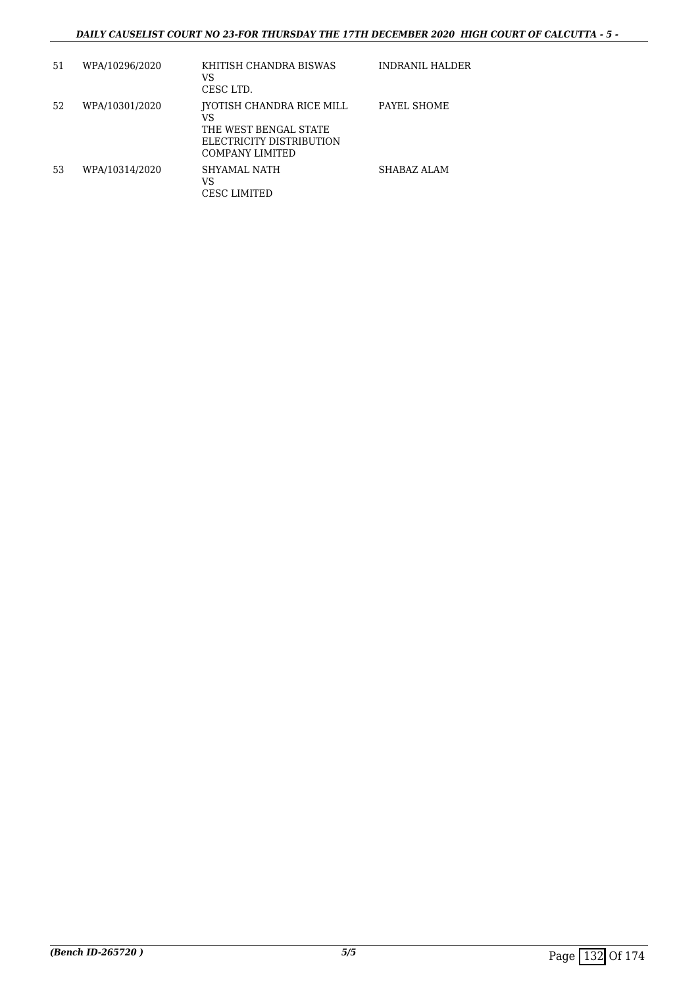| 51 | WPA/10296/2020 | KHITISH CHANDRA BISWAS<br>VS<br>CESC LTD.                                                                      | INDRANIL HALDER |
|----|----------------|----------------------------------------------------------------------------------------------------------------|-----------------|
| 52 | WPA/10301/2020 | IYOTISH CHANDRA RICE MILL<br>VS<br>THE WEST BENGAL STATE<br>ELECTRICITY DISTRIBUTION<br><b>COMPANY LIMITED</b> | PAYEL SHOME     |
| 53 | WPA/10314/2020 | SHYAMAL NATH<br>VS<br>CESC LIMITED                                                                             | SHABAZ ALAM     |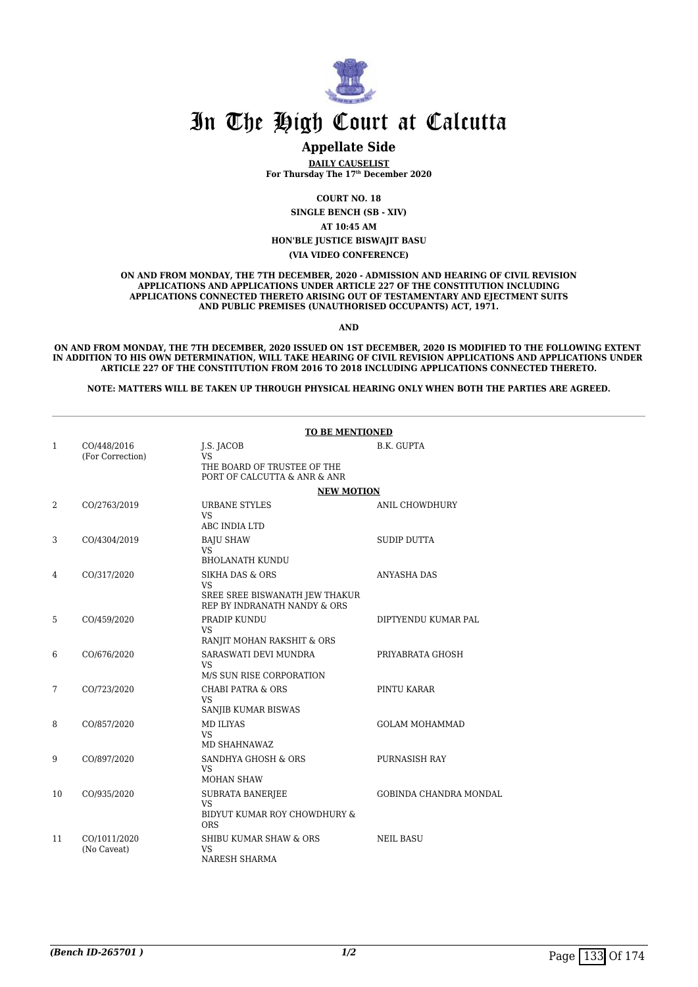

#### **Appellate Side**

**DAILY CAUSELIST For Thursday The 17th December 2020**

**COURT NO. 18**

**SINGLE BENCH (SB - XIV)**

**AT 10:45 AM**

**HON'BLE JUSTICE BISWAJIT BASU**

**(VIA VIDEO CONFERENCE)**

**ON AND FROM MONDAY, THE 7TH DECEMBER, 2020 - ADMISSION AND HEARING OF CIVIL REVISION APPLICATIONS AND APPLICATIONS UNDER ARTICLE 227 OF THE CONSTITUTION INCLUDING APPLICATIONS CONNECTED THERETO ARISING OUT OF TESTAMENTARY AND EJECTMENT SUITS AND PUBLIC PREMISES (UNAUTHORISED OCCUPANTS) ACT, 1971.**

**AND**

**ON AND FROM MONDAY, THE 7TH DECEMBER, 2020 ISSUED ON 1ST DECEMBER, 2020 IS MODIFIED TO THE FOLLOWING EXTENT IN ADDITION TO HIS OWN DETERMINATION, WILL TAKE HEARING OF CIVIL REVISION APPLICATIONS AND APPLICATIONS UNDER ARTICLE 227 OF THE CONSTITUTION FROM 2016 TO 2018 INCLUDING APPLICATIONS CONNECTED THERETO.**

**NOTE: MATTERS WILL BE TAKEN UP THROUGH PHYSICAL HEARING ONLY WHEN BOTH THE PARTIES ARE AGREED.**

|              |                                 | <b>TO BE MENTIONED</b>                                                                                    |                        |  |
|--------------|---------------------------------|-----------------------------------------------------------------------------------------------------------|------------------------|--|
| $\mathbf{1}$ | CO/448/2016<br>(For Correction) | J.S. JACOB<br><b>VS</b><br>THE BOARD OF TRUSTEE OF THE<br>PORT OF CALCUTTA & ANR & ANR                    | B.K. GUPTA             |  |
|              |                                 | <b>NEW MOTION</b>                                                                                         |                        |  |
| 2            | CO/2763/2019                    | URBANE STYLES<br>VS.<br>ABC INDIA LTD                                                                     | ANIL CHOWDHURY         |  |
| 3            | CO/4304/2019                    | <b>BAJU SHAW</b><br><b>VS</b><br><b>BHOLANATH KUNDU</b>                                                   | <b>SUDIP DUTTA</b>     |  |
| 4            | CO/317/2020                     | <b>SIKHA DAS &amp; ORS</b><br><b>VS</b><br>SREE SREE BISWANATH JEW THAKUR<br>REP BY INDRANATH NANDY & ORS | ANYASHA DAS            |  |
| 5            | CO/459/2020                     | PRADIP KUNDU<br><b>VS</b><br>RANJIT MOHAN RAKSHIT & ORS                                                   | DIPTYENDU KUMAR PAL    |  |
| 6            | CO/676/2020                     | SARASWATI DEVI MUNDRA<br>VS.<br>M/S SUN RISE CORPORATION                                                  | PRIYABRATA GHOSH       |  |
| 7            | CO/723/2020                     | <b>CHABI PATRA &amp; ORS</b><br><b>VS</b><br>SANJIB KUMAR BISWAS                                          | PINTU KARAR            |  |
| 8            | CO/857/2020                     | <b>MD ILIYAS</b><br><b>VS</b><br>MD SHAHNAWAZ                                                             | <b>GOLAM MOHAMMAD</b>  |  |
| 9            | CO/897/2020                     | SANDHYA GHOSH & ORS<br><b>VS</b><br><b>MOHAN SHAW</b>                                                     | PURNASISH RAY          |  |
| 10           | CO/935/2020                     | <b>SUBRATA BANERJEE</b><br><b>VS</b><br>BIDYUT KUMAR ROY CHOWDHURY &<br><b>ORS</b>                        | GOBINDA CHANDRA MONDAL |  |
| 11           | CO/1011/2020<br>(No Caveat)     | <b>SHIBU KUMAR SHAW &amp; ORS</b><br>VS<br>NARESH SHARMA                                                  | <b>NEIL BASU</b>       |  |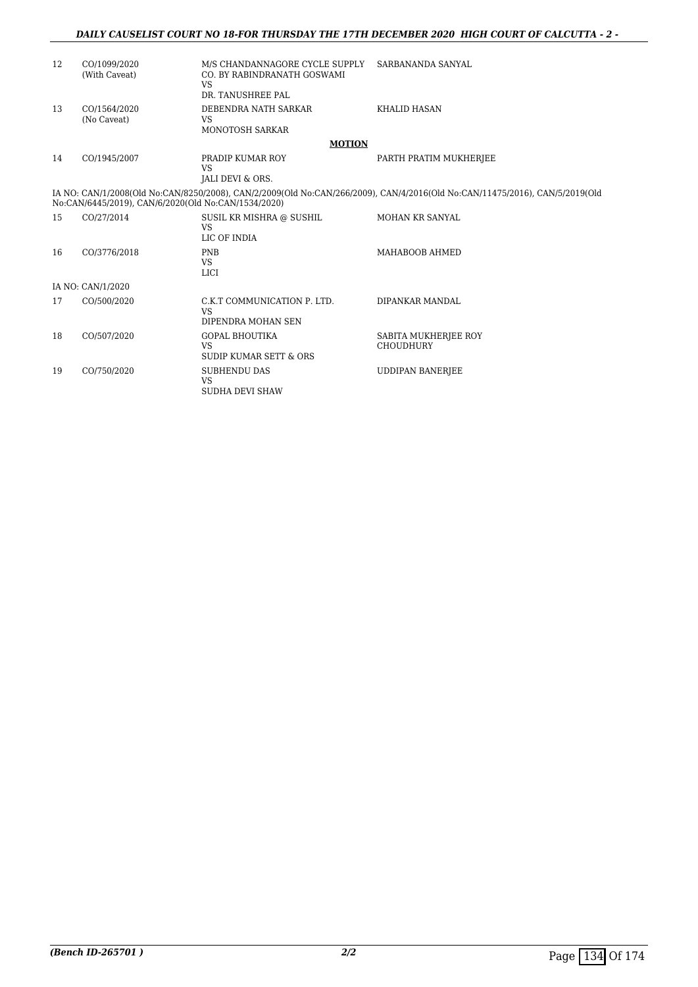#### *DAILY CAUSELIST COURT NO 18-FOR THURSDAY THE 17TH DECEMBER 2020 HIGH COURT OF CALCUTTA - 2 -*

| 12 | CO/1099/2020<br>(With Caveat)                       | M/S CHANDANNAGORE CYCLE SUPPLY<br>CO. BY RABINDRANATH GOSWAMI<br><b>VS</b><br>DR. TANUSHREE PAL | SARBANANDA SANYAL                                                                                                           |
|----|-----------------------------------------------------|-------------------------------------------------------------------------------------------------|-----------------------------------------------------------------------------------------------------------------------------|
| 13 | CO/1564/2020<br>(No Caveat)                         | DEBENDRA NATH SARKAR<br><b>VS</b><br>MONOTOSH SARKAR                                            | <b>KHALID HASAN</b>                                                                                                         |
|    |                                                     | <b>MOTION</b>                                                                                   |                                                                                                                             |
| 14 | CO/1945/2007                                        | PRADIP KUMAR ROY<br><b>VS</b><br>JALI DEVI & ORS.                                               | PARTH PRATIM MUKHERJEE                                                                                                      |
|    | No:CAN/6445/2019), CAN/6/2020(Old No:CAN/1534/2020) |                                                                                                 | IA NO: CAN/1/2008(Old No:CAN/8250/2008), CAN/2/2009(Old No:CAN/266/2009), CAN/4/2016(Old No:CAN/11475/2016), CAN/5/2019(Old |
| 15 | CO/27/2014                                          | SUSIL KR MISHRA @ SUSHIL<br><b>VS</b><br>LIC OF INDIA                                           | MOHAN KR SANYAL                                                                                                             |
| 16 | CO/3776/2018                                        | <b>PNB</b><br><b>VS</b><br><b>LICI</b>                                                          | MAHABOOB AHMED                                                                                                              |
|    | IA NO: CAN/1/2020                                   |                                                                                                 |                                                                                                                             |
| 17 | CO/500/2020                                         | C.K.T COMMUNICATION P. LTD.<br><b>VS</b><br>DIPENDRA MOHAN SEN                                  | DIPANKAR MANDAL                                                                                                             |
| 18 | CO/507/2020                                         | <b>GOPAL BHOUTIKA</b><br><b>VS</b><br>SUDIP KUMAR SETT & ORS                                    | SABITA MUKHERJEE ROY<br><b>CHOUDHURY</b>                                                                                    |
| 19 | CO/750/2020                                         | <b>SUBHENDU DAS</b><br><b>VS</b><br>SUDHA DEVI SHAW                                             | <b>UDDIPAN BANERJEE</b>                                                                                                     |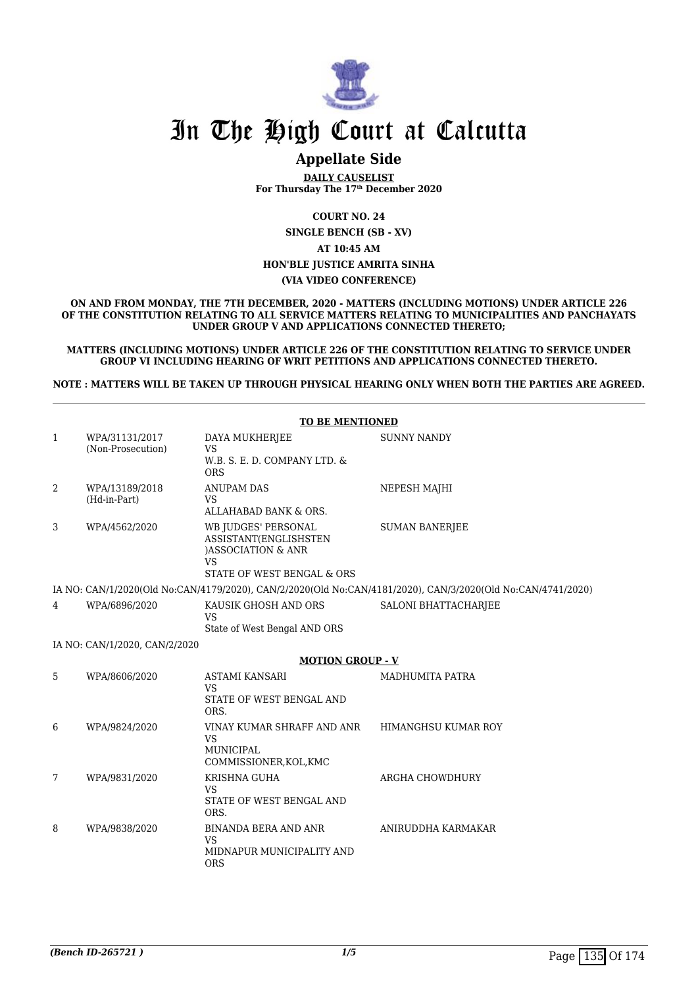

### **Appellate Side**

**DAILY CAUSELIST For Thursday The 17th December 2020**

**COURT NO. 24**

**SINGLE BENCH (SB - XV)**

### **AT 10:45 AM**

#### **HON'BLE JUSTICE AMRITA SINHA**

#### **(VIA VIDEO CONFERENCE)**

**ON AND FROM MONDAY, THE 7TH DECEMBER, 2020 - MATTERS (INCLUDING MOTIONS) UNDER ARTICLE 226 OF THE CONSTITUTION RELATING TO ALL SERVICE MATTERS RELATING TO MUNICIPALITIES AND PANCHAYATS UNDER GROUP V AND APPLICATIONS CONNECTED THERETO;**

**MATTERS (INCLUDING MOTIONS) UNDER ARTICLE 226 OF THE CONSTITUTION RELATING TO SERVICE UNDER GROUP VI INCLUDING HEARING OF WRIT PETITIONS AND APPLICATIONS CONNECTED THERETO.**

**NOTE : MATTERS WILL BE TAKEN UP THROUGH PHYSICAL HEARING ONLY WHEN BOTH THE PARTIES ARE AGREED.**

|   | <b>TO BE MENTIONED</b>              |                                                                                                        |                                                                                                             |  |
|---|-------------------------------------|--------------------------------------------------------------------------------------------------------|-------------------------------------------------------------------------------------------------------------|--|
| 1 | WPA/31131/2017<br>(Non-Prosecution) | DAYA MUKHERJEE<br><b>VS</b><br>W.B. S. E. D. COMPANY LTD. &<br><b>ORS</b>                              | <b>SUNNY NANDY</b>                                                                                          |  |
| 2 | WPA/13189/2018<br>(Hd-in-Part)      | <b>ANUPAM DAS</b><br><b>VS</b><br>ALLAHABAD BANK & ORS.                                                | NEPESH MAJHI                                                                                                |  |
| 3 | WPA/4562/2020                       | WB JUDGES' PERSONAL<br>ASSISTANT(ENGLISHSTEN<br>)ASSOCIATION & ANR<br>VS<br>STATE OF WEST BENGAL & ORS | <b>SUMAN BANERJEE</b>                                                                                       |  |
|   |                                     |                                                                                                        | IA NO: CAN/1/2020(Old No:CAN/4179/2020), CAN/2/2020(Old No:CAN/4181/2020), CAN/3/2020(Old No:CAN/4741/2020) |  |
| 4 | WPA/6896/2020                       | KAUSIK GHOSH AND ORS<br><b>VS</b>                                                                      | SALONI BHATTACHARJEE                                                                                        |  |
|   |                                     | State of West Bengal AND ORS                                                                           |                                                                                                             |  |
|   | IA NO: CAN/1/2020, CAN/2/2020       |                                                                                                        |                                                                                                             |  |
|   |                                     | <b>MOTION GROUP - V</b>                                                                                |                                                                                                             |  |
| 5 | WPA/8606/2020                       | <b>ASTAMI KANSARI</b><br><b>VS</b><br>STATE OF WEST BENGAL AND<br>ORS.                                 | <b>MADHUMITA PATRA</b>                                                                                      |  |
| 6 | WPA/9824/2020                       | VINAY KUMAR SHRAFF AND ANR<br><b>VS</b><br>MUNICIPAL<br>COMMISSIONER, KOL, KMC                         | HIMANGHSU KUMAR ROY                                                                                         |  |
| 7 | WPA/9831/2020                       | KRISHNA GUHA<br><b>VS</b><br>STATE OF WEST BENGAL AND<br>ORS.                                          | ARGHA CHOWDHURY                                                                                             |  |
| 8 | WPA/9838/2020                       | <b>BINANDA BERA AND ANR</b><br><b>VS</b><br>MIDNAPUR MUNICIPALITY AND<br><b>ORS</b>                    | ANIRUDDHA KARMAKAR                                                                                          |  |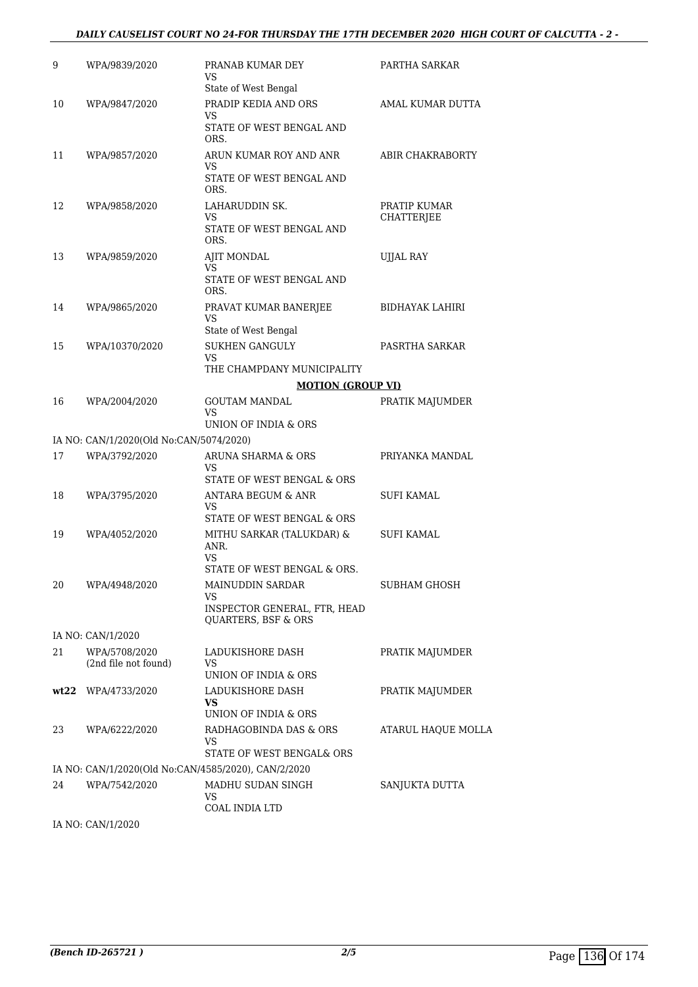#### *DAILY CAUSELIST COURT NO 24-FOR THURSDAY THE 17TH DECEMBER 2020 HIGH COURT OF CALCUTTA - 2 -*

| 9  | WPA/9839/2020                                       | PRANAB KUMAR DEY<br>VS<br>State of West Bengal                                 | PARTHA SARKAR              |
|----|-----------------------------------------------------|--------------------------------------------------------------------------------|----------------------------|
| 10 | WPA/9847/2020                                       | PRADIP KEDIA AND ORS<br>VS.<br>STATE OF WEST BENGAL AND                        | AMAL KUMAR DUTTA           |
| 11 | WPA/9857/2020                                       | ORS.<br>ARUN KUMAR ROY AND ANR<br>VS<br>STATE OF WEST BENGAL AND<br>ORS.       | ABIR CHAKRABORTY           |
| 12 | WPA/9858/2020                                       | LAHARUDDIN SK.<br>VS<br>STATE OF WEST BENGAL AND<br>ORS.                       | PRATIP KUMAR<br>CHATTERJEE |
| 13 | WPA/9859/2020                                       | AJIT MONDAL<br>VS<br>STATE OF WEST BENGAL AND<br>ORS.                          | UJJAL RAY                  |
| 14 | WPA/9865/2020                                       | PRAVAT KUMAR BANERJEE<br>VS<br>State of West Bengal                            | BIDHAYAK LAHIRI            |
| 15 | WPA/10370/2020                                      | <b>SUKHEN GANGULY</b><br>VS.<br>THE CHAMPDANY MUNICIPALITY                     | PASRTHA SARKAR             |
|    |                                                     | <b>MOTION (GROUP VI)</b>                                                       |                            |
| 16 | WPA/2004/2020                                       | <b>GOUTAM MANDAL</b><br>VS<br>UNION OF INDIA & ORS                             | PRATIK MAJUMDER            |
|    |                                                     |                                                                                |                            |
|    | IA NO: CAN/1/2020(Old No:CAN/5074/2020)             |                                                                                |                            |
| 17 | WPA/3792/2020                                       | ARUNA SHARMA & ORS<br>VS<br>STATE OF WEST BENGAL & ORS                         | PRIYANKA MANDAL            |
| 18 | WPA/3795/2020                                       | <b>ANTARA BEGUM &amp; ANR</b><br>VS<br>STATE OF WEST BENGAL & ORS              | SUFI KAMAL                 |
| 19 | WPA/4052/2020                                       | MITHU SARKAR (TALUKDAR) &<br>ANR.<br>VS                                        | SUFI KAMAL                 |
|    |                                                     | STATE OF WEST BENGAL & ORS.                                                    |                            |
| 20 | WPA/4948/2020                                       | MAINUDDIN SARDAR<br>VS.<br>INSPECTOR GENERAL, FTR, HEAD<br>QUARTERS, BSF & ORS | <b>SUBHAM GHOSH</b>        |
|    | IA NO: CAN/1/2020                                   |                                                                                |                            |
| 21 | WPA/5708/2020<br>(2nd file not found)               | LADUKISHORE DASH<br>VS<br>UNION OF INDIA & ORS                                 | PRATIK MAJUMDER            |
|    | wt22 WPA/4733/2020                                  | LADUKISHORE DASH<br>VS.<br>UNION OF INDIA & ORS                                | PRATIK MAJUMDER            |
| 23 | WPA/6222/2020                                       | RADHAGOBINDA DAS & ORS<br>VS<br>STATE OF WEST BENGAL& ORS                      | <b>ATARUL HAOUE MOLLA</b>  |
|    | IA NO: CAN/1/2020(Old No:CAN/4585/2020), CAN/2/2020 |                                                                                |                            |
| 24 | WPA/7542/2020                                       | MADHU SUDAN SINGH<br>VS<br>COAL INDIA LTD                                      | SANJUKTA DUTTA             |

IA NO: CAN/1/2020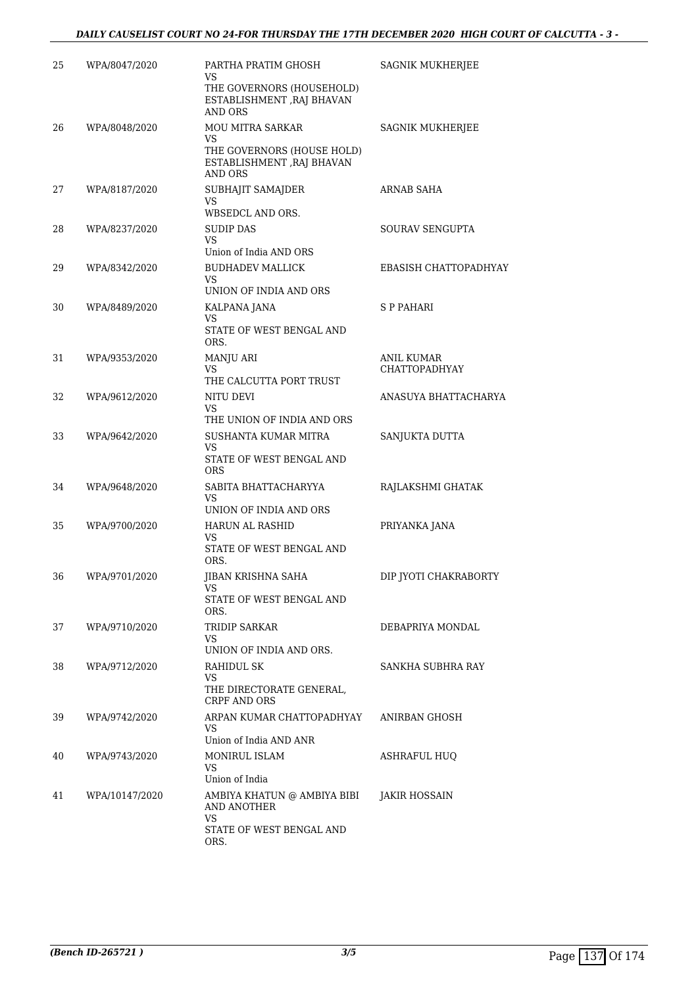| 25 | WPA/8047/2020  | PARTHA PRATIM GHOSH<br>VS<br>THE GOVERNORS (HOUSEHOLD)<br>ESTABLISHMENT , RAJ BHAVAN<br>AND ORS             | SAGNIK MUKHERJEE                   |
|----|----------------|-------------------------------------------------------------------------------------------------------------|------------------------------------|
| 26 | WPA/8048/2020  | <b>MOU MITRA SARKAR</b><br>VS<br>THE GOVERNORS (HOUSE HOLD)<br>ESTABLISHMENT , RAJ BHAVAN<br><b>AND ORS</b> | SAGNIK MUKHERJEE                   |
| 27 | WPA/8187/2020  | SUBHAJIT SAMAJDER<br><b>VS</b><br>WBSEDCL AND ORS.                                                          | ARNAB SAHA                         |
| 28 | WPA/8237/2020  | <b>SUDIP DAS</b><br><b>VS</b><br>Union of India AND ORS                                                     | <b>SOURAV SENGUPTA</b>             |
| 29 | WPA/8342/2020  | <b>BUDHADEV MALLICK</b><br>VS<br>UNION OF INDIA AND ORS                                                     | EBASISH CHATTOPADHYAY              |
| 30 | WPA/8489/2020  | KALPANA JANA<br>VS<br>STATE OF WEST BENGAL AND                                                              | S P PAHARI                         |
| 31 | WPA/9353/2020  | ORS.<br>MANJU ARI<br>VS<br>THE CALCUTTA PORT TRUST                                                          | ANIL KUMAR<br><b>CHATTOPADHYAY</b> |
| 32 | WPA/9612/2020  | NITU DEVI<br>VS<br>THE UNION OF INDIA AND ORS                                                               | ANASUYA BHATTACHARYA               |
| 33 | WPA/9642/2020  | SUSHANTA KUMAR MITRA<br>VS<br>STATE OF WEST BENGAL AND<br>ORS                                               | SANJUKTA DUTTA                     |
| 34 | WPA/9648/2020  | SABITA BHATTACHARYYA<br>VS<br>UNION OF INDIA AND ORS                                                        | RAJLAKSHMI GHATAK                  |
| 35 | WPA/9700/2020  | <b>HARUN AL RASHID</b><br>VS<br>STATE OF WEST BENGAL AND<br>ORS.                                            | PRIYANKA JANA                      |
| 36 | WPA/9701/2020  | JIBAN KRISHNA SAHA<br>VS<br>STATE OF WEST BENGAL AND<br>ORS.                                                | DIP JYOTI CHAKRABORTY              |
| 37 | WPA/9710/2020  | TRIDIP SARKAR<br>VS<br>UNION OF INDIA AND ORS.                                                              | DEBAPRIYA MONDAL                   |
| 38 | WPA/9712/2020  | RAHIDUL SK<br>VS<br>THE DIRECTORATE GENERAL,<br><b>CRPF AND ORS</b>                                         | SANKHA SUBHRA RAY                  |
| 39 | WPA/9742/2020  | ARPAN KUMAR CHATTOPADHYAY<br>VS.<br>Union of India AND ANR                                                  | ANIRBAN GHOSH                      |
| 40 | WPA/9743/2020  | <b>MONIRUL ISLAM</b><br>VS<br>Union of India                                                                | <b>ASHRAFUL HUQ</b>                |
| 41 | WPA/10147/2020 | AMBIYA KHATUN @ AMBIYA BIBI<br>AND ANOTHER<br><b>VS</b><br>STATE OF WEST BENGAL AND<br>ORS.                 | JAKIR HOSSAIN                      |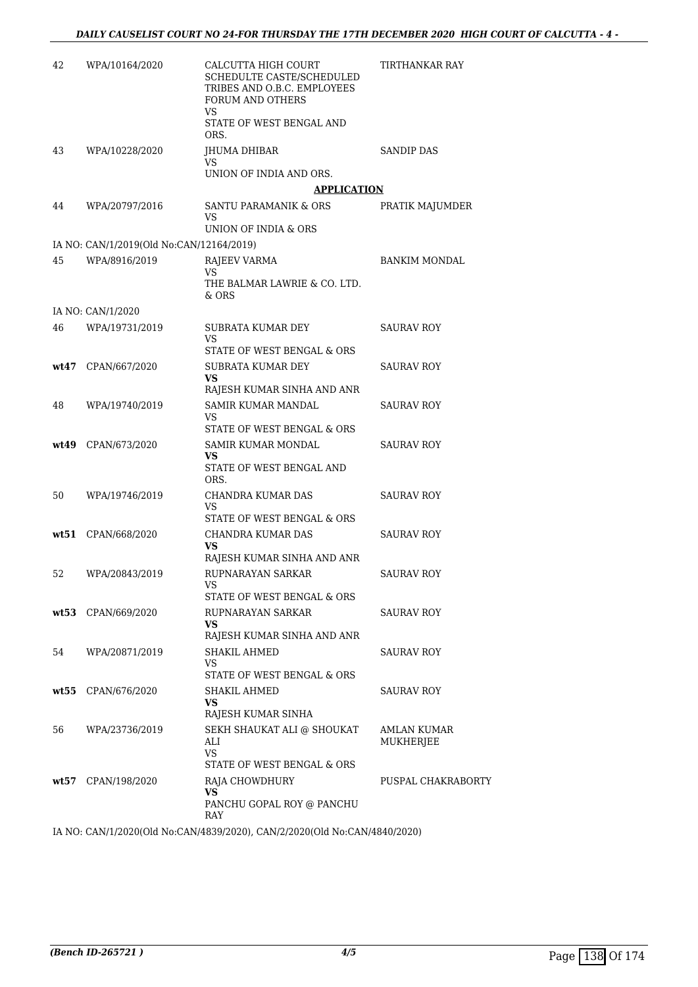| 42 | WPA/10164/2020                                            | CALCUTTA HIGH COURT<br>SCHEDULTE CASTE/SCHEDULED<br>TRIBES AND O.B.C. EMPLOYEES<br>FORUM AND OTHERS<br>VS.<br>STATE OF WEST BENGAL AND<br>ORS. | TIRTHANKAR RAY           |
|----|-----------------------------------------------------------|------------------------------------------------------------------------------------------------------------------------------------------------|--------------------------|
| 43 | WPA/10228/2020                                            | JHUMA DHIBAR<br>VS                                                                                                                             | <b>SANDIP DAS</b>        |
|    |                                                           | UNION OF INDIA AND ORS.                                                                                                                        |                          |
|    |                                                           | <b>APPLICATION</b>                                                                                                                             |                          |
| 44 | WPA/20797/2016                                            | SANTU PARAMANIK & ORS<br>VS                                                                                                                    | PRATIK MAJUMDER          |
|    |                                                           | UNION OF INDIA & ORS                                                                                                                           |                          |
| 45 | IA NO: CAN/1/2019(Old No:CAN/12164/2019)<br>WPA/8916/2019 | RAJEEV VARMA                                                                                                                                   | <b>BANKIM MONDAL</b>     |
|    |                                                           | <b>VS</b><br>THE BALMAR LAWRIE & CO. LTD.<br>& ORS                                                                                             |                          |
|    | IA NO: CAN/1/2020                                         |                                                                                                                                                |                          |
| 46 | WPA/19731/2019                                            | SUBRATA KUMAR DEY<br>VS<br>STATE OF WEST BENGAL & ORS                                                                                          | <b>SAURAV ROY</b>        |
|    | wt47 CPAN/667/2020                                        | <b>SUBRATA KUMAR DEY</b>                                                                                                                       | SAURAV ROY               |
|    |                                                           | VS.                                                                                                                                            |                          |
|    |                                                           | RAJESH KUMAR SINHA AND ANR                                                                                                                     |                          |
| 48 | WPA/19740/2019                                            | SAMIR KUMAR MANDAL<br>VS.<br>STATE OF WEST BENGAL & ORS                                                                                        | <b>SAURAV ROY</b>        |
|    | wt49 CPAN/673/2020                                        | SAMIR KUMAR MONDAL<br>VS<br>STATE OF WEST BENGAL AND                                                                                           | SAURAV ROY               |
|    |                                                           | ORS.                                                                                                                                           |                          |
| 50 | WPA/19746/2019                                            | CHANDRA KUMAR DAS<br>VS<br>STATE OF WEST BENGAL & ORS                                                                                          | SAURAV ROY               |
|    | wt51 CPAN/668/2020                                        | CHANDRA KUMAR DAS<br>VS<br>RAJESH KUMAR SINHA AND ANR                                                                                          | SAURAV ROY               |
| 52 | WPA/20843/2019                                            | RUPNARAYAN SARKAR<br>STATE OF WEST BENGAL & ORS                                                                                                | SAURAV ROY               |
|    | wt53 CPAN/669/2020                                        | RUPNARAYAN SARKAR                                                                                                                              | SAURAV ROY               |
|    |                                                           | VS<br>RAJESH KUMAR SINHA AND ANR                                                                                                               |                          |
| 54 | WPA/20871/2019                                            | SHAKIL AHMED<br>VS                                                                                                                             | SAURAV ROY               |
|    |                                                           | STATE OF WEST BENGAL & ORS                                                                                                                     |                          |
|    | wt55 CPAN/676/2020                                        | SHAKIL AHMED<br>VS<br>RAJESH KUMAR SINHA                                                                                                       | SAURAV ROY               |
| 56 | WPA/23736/2019                                            | SEKH SHAUKAT ALI @ SHOUKAT<br>ALI<br>VS.<br>STATE OF WEST BENGAL & ORS                                                                         | AMLAN KUMAR<br>MUKHERJEE |
|    | wt57 CPAN/198/2020                                        | RAJA CHOWDHURY<br>VS<br>PANCHU GOPAL ROY @ PANCHU<br>RAY                                                                                       | PUSPAL CHAKRABORTY       |
|    |                                                           |                                                                                                                                                |                          |

IA NO: CAN/1/2020(Old No:CAN/4839/2020), CAN/2/2020(Old No:CAN/4840/2020)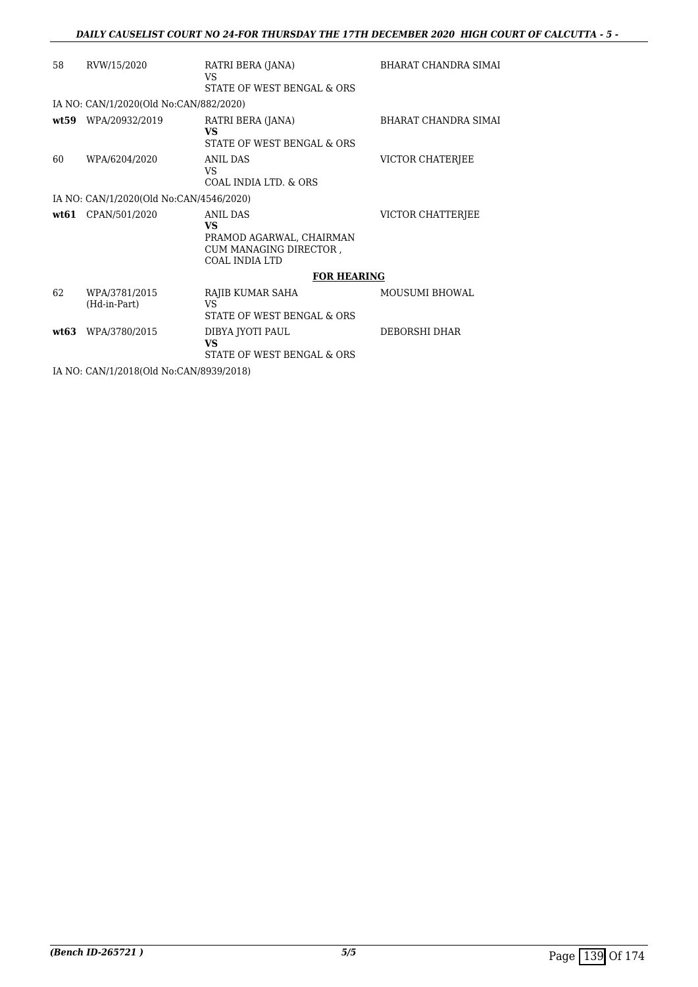#### *DAILY CAUSELIST COURT NO 24-FOR THURSDAY THE 17TH DECEMBER 2020 HIGH COURT OF CALCUTTA - 5 -*

| 58 | RVW/15/2020                             | RATRI BERA (JANA)<br>VS<br>STATE OF WEST BENGAL & ORS                                                | <b>BHARAT CHANDRA SIMAI</b> |
|----|-----------------------------------------|------------------------------------------------------------------------------------------------------|-----------------------------|
|    | IA NO: CAN/1/2020(Old No:CAN/882/2020)  |                                                                                                      |                             |
|    | wt59 WPA/20932/2019                     | RATRI BERA (JANA)<br><b>VS</b><br>STATE OF WEST BENGAL & ORS                                         | <b>BHARAT CHANDRA SIMAI</b> |
| 60 | WPA/6204/2020                           | ANIL DAS<br>VS<br>COAL INDIA LTD. & ORS                                                              | VICTOR CHATERJEE            |
|    | IA NO: CAN/1/2020(Old No:CAN/4546/2020) |                                                                                                      |                             |
|    | wt61 CPAN/501/2020                      | <b>ANIL DAS</b><br>VS<br>PRAMOD AGARWAL, CHAIRMAN<br>CUM MANAGING DIRECTOR,<br><b>COAL INDIA LTD</b> | VICTOR CHATTERJEE           |
|    |                                         | <b>FOR HEARING</b>                                                                                   |                             |
| 62 | WPA/3781/2015<br>(Hd-in-Part)           | RAJIB KUMAR SAHA<br>VS<br>STATE OF WEST BENGAL & ORS                                                 | <b>MOUSUMI BHOWAL</b>       |
|    | wt63 WPA/3780/2015                      | DIBYA JYOTI PAUL<br>VS<br>STATE OF WEST BENGAL & ORS                                                 | DEBORSHI DHAR               |
|    | IA NO: CAN/1/2018(Old No:CAN/8939/2018) |                                                                                                      |                             |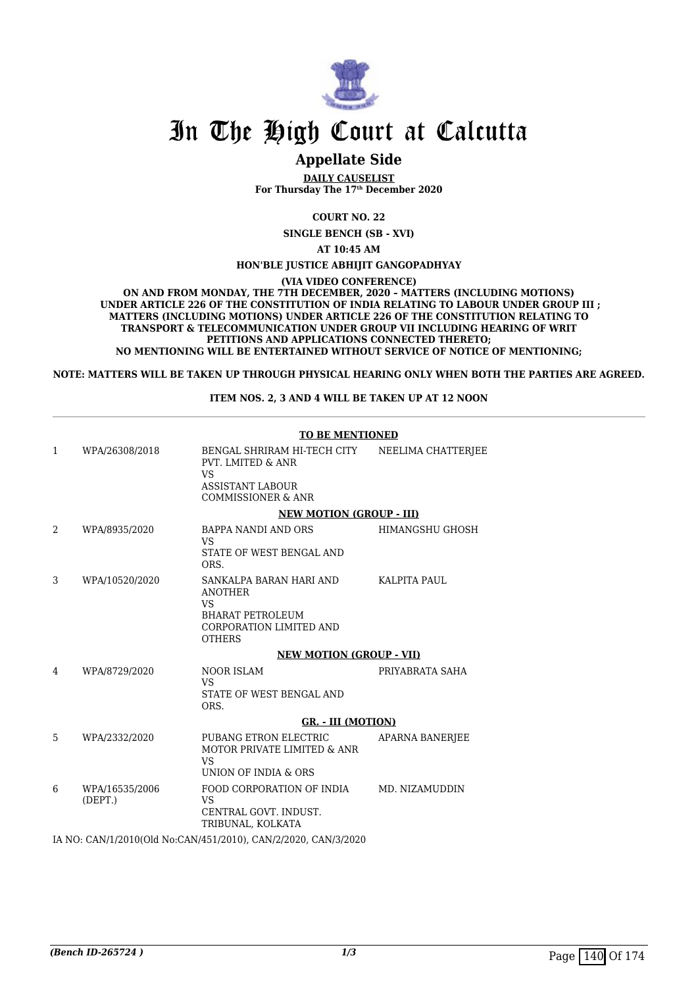

### **Appellate Side**

**DAILY CAUSELIST For Thursday The 17th December 2020**

**COURT NO. 22**

**SINGLE BENCH (SB - XVI)**

**AT 10:45 AM**

**HON'BLE JUSTICE ABHIJIT GANGOPADHYAY**

**(VIA VIDEO CONFERENCE)**

**ON AND FROM MONDAY, THE 7TH DECEMBER, 2020 – MATTERS (INCLUDING MOTIONS) UNDER ARTICLE 226 OF THE CONSTITUTION OF INDIA RELATING TO LABOUR UNDER GROUP III ; MATTERS (INCLUDING MOTIONS) UNDER ARTICLE 226 OF THE CONSTITUTION RELATING TO TRANSPORT & TELECOMMUNICATION UNDER GROUP VII INCLUDING HEARING OF WRIT PETITIONS AND APPLICATIONS CONNECTED THERETO; NO MENTIONING WILL BE ENTERTAINED WITHOUT SERVICE OF NOTICE OF MENTIONING;**

**NOTE: MATTERS WILL BE TAKEN UP THROUGH PHYSICAL HEARING ONLY WHEN BOTH THE PARTIES ARE AGREED.**

#### **ITEM NOS. 2, 3 AND 4 WILL BE TAKEN UP AT 12 NOON**

|   |                           | <b>TO BE MENTIONED</b>                                                                                                               |                        |  |
|---|---------------------------|--------------------------------------------------------------------------------------------------------------------------------------|------------------------|--|
| 1 | WPA/26308/2018            | BENGAL SHRIRAM HI-TECH CITY<br><b>PVT. LMITED &amp; ANR</b><br><b>VS</b><br><b>ASSISTANT LABOUR</b><br><b>COMMISSIONER &amp; ANR</b> | NEELIMA CHATTERJEE     |  |
|   |                           | <b>NEW MOTION (GROUP - III)</b>                                                                                                      |                        |  |
| 2 | WPA/8935/2020             | BAPPA NANDI AND ORS<br><b>VS</b><br>STATE OF WEST BENGAL AND<br>ORS.                                                                 | HIMANGSHU GHOSH        |  |
| 3 | WPA/10520/2020            | SANKALPA BARAN HARI AND<br><b>ANOTHER</b><br><b>VS</b><br><b>BHARAT PETROLEUM</b><br><b>CORPORATION LIMITED AND</b><br><b>OTHERS</b> | <b>KALPITA PAUL</b>    |  |
|   |                           | <b>NEW MOTION (GROUP - VII)</b>                                                                                                      |                        |  |
| 4 | WPA/8729/2020             | NOOR ISLAM<br><b>VS</b><br>STATE OF WEST BENGAL AND<br>ORS.                                                                          | PRIYABRATA SAHA        |  |
|   |                           | <b>GR. - III (MOTION)</b>                                                                                                            |                        |  |
| 5 | WPA/2332/2020             | PUBANG ETRON ELECTRIC<br>MOTOR PRIVATE LIMITED & ANR<br><b>VS</b><br>UNION OF INDIA & ORS                                            | <b>APARNA BANERJEE</b> |  |
| 6 | WPA/16535/2006<br>(DEFT.) | FOOD CORPORATION OF INDIA MD. NIZAMUDDIN<br><b>VS</b><br>CENTRAL GOVT, INDUST.<br>TRIBUNAL, KOLKATA                                  |                        |  |
|   |                           | IA NO: CAN/1/2010(Old No:CAN/451/2010), CAN/2/2020, CAN/3/2020                                                                       |                        |  |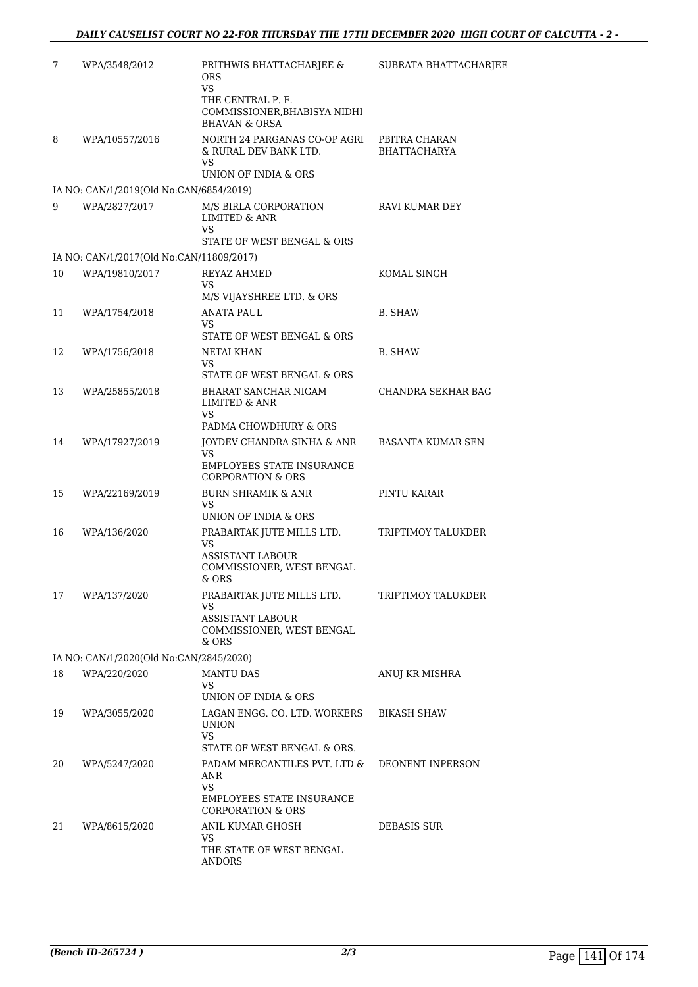| 7  | WPA/3548/2012                            | PRITHWIS BHATTACHARJEE &<br>ORS<br><b>VS</b><br>THE CENTRAL P. F.<br>COMMISSIONER, BHABISYA NIDHI<br><b>BHAVAN &amp; ORSA</b>     | SUBRATA BHATTACHARJEE                |
|----|------------------------------------------|-----------------------------------------------------------------------------------------------------------------------------------|--------------------------------------|
| 8  | WPA/10557/2016                           | NORTH 24 PARGANAS CO-OP AGRI<br>& RURAL DEV BANK LTD.<br>VS<br>UNION OF INDIA & ORS                                               | PBITRA CHARAN<br><b>BHATTACHARYA</b> |
|    | IA NO: CAN/1/2019(Old No:CAN/6854/2019)  |                                                                                                                                   |                                      |
| 9  | WPA/2827/2017                            | M/S BIRLA CORPORATION<br><b>LIMITED &amp; ANR</b><br>VS                                                                           | RAVI KUMAR DEY                       |
|    | IA NO: CAN/1/2017(Old No:CAN/11809/2017) | STATE OF WEST BENGAL & ORS                                                                                                        |                                      |
| 10 | WPA/19810/2017                           | <b>REYAZ AHMED</b><br>VS<br>M/S VIJAYSHREE LTD. & ORS                                                                             | KOMAL SINGH                          |
| 11 | WPA/1754/2018                            | ANATA PAUL<br>VS<br>STATE OF WEST BENGAL & ORS                                                                                    | B. SHAW                              |
| 12 | WPA/1756/2018                            | NETAI KHAN<br>VS<br>STATE OF WEST BENGAL & ORS                                                                                    | B. SHAW                              |
| 13 | WPA/25855/2018                           | BHARAT SANCHAR NIGAM<br>LIMITED & ANR<br>VS.                                                                                      | CHANDRA SEKHAR BAG                   |
| 14 | WPA/17927/2019                           | PADMA CHOWDHURY & ORS<br>JOYDEV CHANDRA SINHA & ANR<br>VS<br>EMPLOYEES STATE INSURANCE<br><b>CORPORATION &amp; ORS</b>            | <b>BASANTA KUMAR SEN</b>             |
| 15 | WPA/22169/2019                           | <b>BURN SHRAMIK &amp; ANR</b><br>VS<br>UNION OF INDIA & ORS                                                                       | PINTU KARAR                          |
| 16 | WPA/136/2020                             | PRABARTAK JUTE MILLS LTD.<br>VS<br><b>ASSISTANT LABOUR</b><br>COMMISSIONER, WEST BENGAL<br>$&$ ORS                                | TRIPTIMOY TALUKDER                   |
| 17 | WPA/137/2020                             | PRABARTAK JUTE MILLS LTD.<br>VS<br><b>ASSISTANT LABOUR</b><br>COMMISSIONER, WEST BENGAL<br>$\&$ ORS                               | TRIPTIMOY TALUKDER                   |
|    | IA NO: CAN/1/2020(Old No:CAN/2845/2020)  |                                                                                                                                   |                                      |
| 18 | WPA/220/2020                             | <b>MANTU DAS</b><br>VS<br>UNION OF INDIA & ORS                                                                                    | ANUJ KR MISHRA                       |
| 19 | WPA/3055/2020                            | LAGAN ENGG. CO. LTD. WORKERS<br><b>UNION</b><br>VS.                                                                               | <b>BIKASH SHAW</b>                   |
| 20 | WPA/5247/2020                            | STATE OF WEST BENGAL & ORS.<br>PADAM MERCANTILES PVT. LTD &<br>ANR<br>VS.                                                         | DEONENT INPERSON                     |
| 21 | WPA/8615/2020                            | EMPLOYEES STATE INSURANCE<br><b>CORPORATION &amp; ORS</b><br>ANIL KUMAR GHOSH<br>VS.<br>THE STATE OF WEST BENGAL<br><b>ANDORS</b> | <b>DEBASIS SUR</b>                   |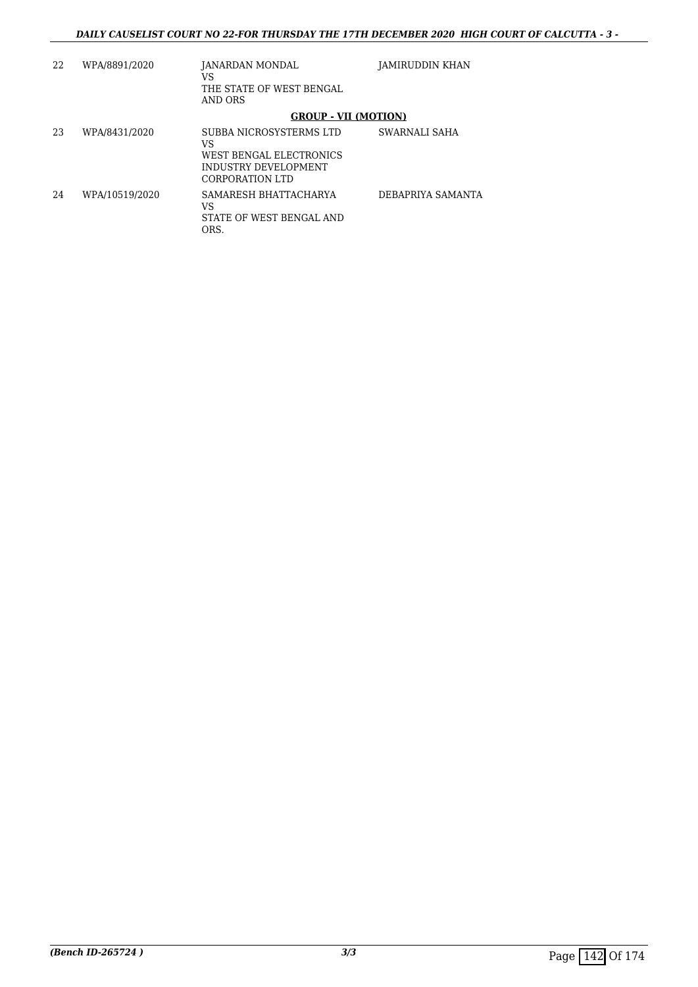| 22 | WPA/8891/2020  | JANARDAN MONDAL<br>VS<br>THE STATE OF WEST BENGAL<br>AND ORS                                        | JAMIRUDDIN KHAN   |
|----|----------------|-----------------------------------------------------------------------------------------------------|-------------------|
|    |                | <b>GROUP - VII (MOTION)</b>                                                                         |                   |
| 23 | WPA/8431/2020  | SUBBA NICROSYSTERMS LTD<br>VS<br>WEST BENGAL ELECTRONICS<br>INDUSTRY DEVELOPMENT<br>CORPORATION LTD | SWARNALI SAHA     |
| 24 | WPA/10519/2020 | SAMARESH BHATTACHARYA<br>VS<br>STATE OF WEST BENGAL AND<br>ORS.                                     | DEBAPRIYA SAMANTA |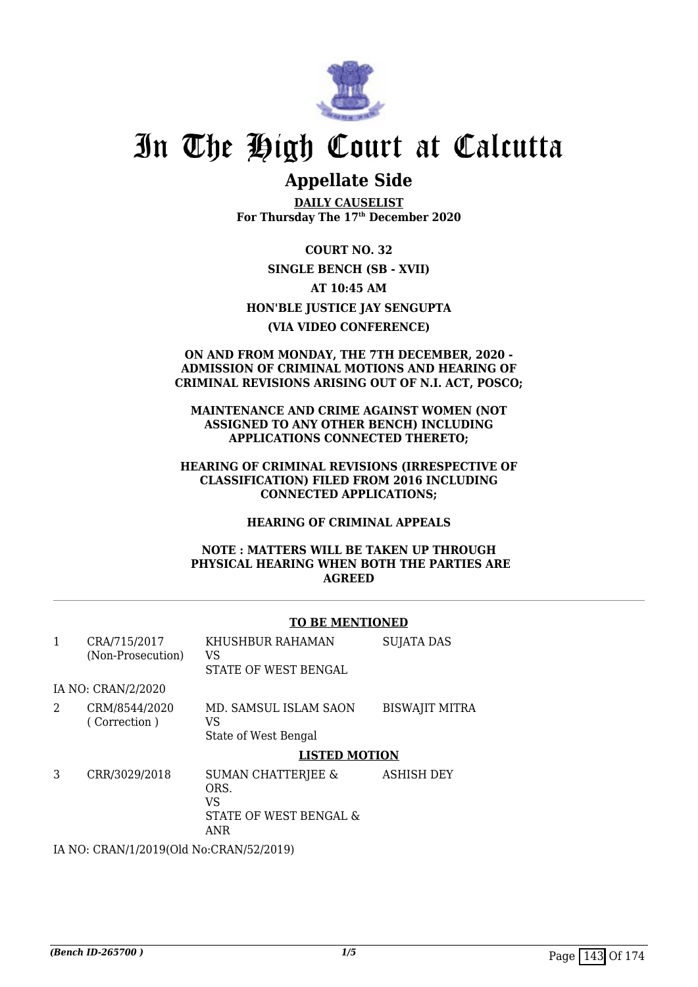

# **Appellate Side**

**DAILY CAUSELIST For Thursday The 17th December 2020**

**COURT NO. 32 SINGLE BENCH (SB - XVII) AT 10:45 AM HON'BLE JUSTICE JAY SENGUPTA (VIA VIDEO CONFERENCE)**

#### **ON AND FROM MONDAY, THE 7TH DECEMBER, 2020 - ADMISSION OF CRIMINAL MOTIONS AND HEARING OF CRIMINAL REVISIONS ARISING OUT OF N.I. ACT, POSCO;**

**MAINTENANCE AND CRIME AGAINST WOMEN (NOT ASSIGNED TO ANY OTHER BENCH) INCLUDING APPLICATIONS CONNECTED THERETO;**

### **HEARING OF CRIMINAL REVISIONS (IRRESPECTIVE OF CLASSIFICATION) FILED FROM 2016 INCLUDING CONNECTED APPLICATIONS;**

**HEARING OF CRIMINAL APPEALS**

### **NOTE : MATTERS WILL BE TAKEN UP THROUGH PHYSICAL HEARING WHEN BOTH THE PARTIES ARE AGREED**

### **TO BE MENTIONED**

| 1 | CRA/715/2017<br>(Non-Prosecution)                                                                                                                                                                                                                                                                                                         | KHUSHBUR RAHAMAN<br>VS<br>STATE OF WEST BENGAL                               | <b>SUJATA DAS</b>     |
|---|-------------------------------------------------------------------------------------------------------------------------------------------------------------------------------------------------------------------------------------------------------------------------------------------------------------------------------------------|------------------------------------------------------------------------------|-----------------------|
|   | IA NO: CRAN/2/2020                                                                                                                                                                                                                                                                                                                        |                                                                              |                       |
| 2 | CRM/8544/2020<br>(Correction)                                                                                                                                                                                                                                                                                                             | MD. SAMSUL ISLAM SAON<br>VS<br>State of West Bengal                          | <b>BISWAJIT MITRA</b> |
|   |                                                                                                                                                                                                                                                                                                                                           | <b>LISTED MOTION</b>                                                         |                       |
| 3 | CRR/3029/2018                                                                                                                                                                                                                                                                                                                             | <b>SUMAN CHATTERJEE &amp;</b><br>ORS.<br>VS<br>STATE OF WEST BENGAL &<br>ANR | <b>ASHISH DEY</b>     |
|   | $\mathbf{r}$ , $\mathbf{r}$ , $\mathbf{r}$ , $\mathbf{r}$ , $\mathbf{r}$ , $\mathbf{r}$ , $\mathbf{r}$ , $\mathbf{r}$ , $\mathbf{r}$ , $\mathbf{r}$ , $\mathbf{r}$ , $\mathbf{r}$ , $\mathbf{r}$ , $\mathbf{r}$ , $\mathbf{r}$ , $\mathbf{r}$ , $\mathbf{r}$ , $\mathbf{r}$ , $\mathbf{r}$ , $\mathbf{r}$ , $\mathbf{r}$ , $\mathbf{r}$ , |                                                                              |                       |

IA NO: CRAN/1/2019(Old No:CRAN/52/2019)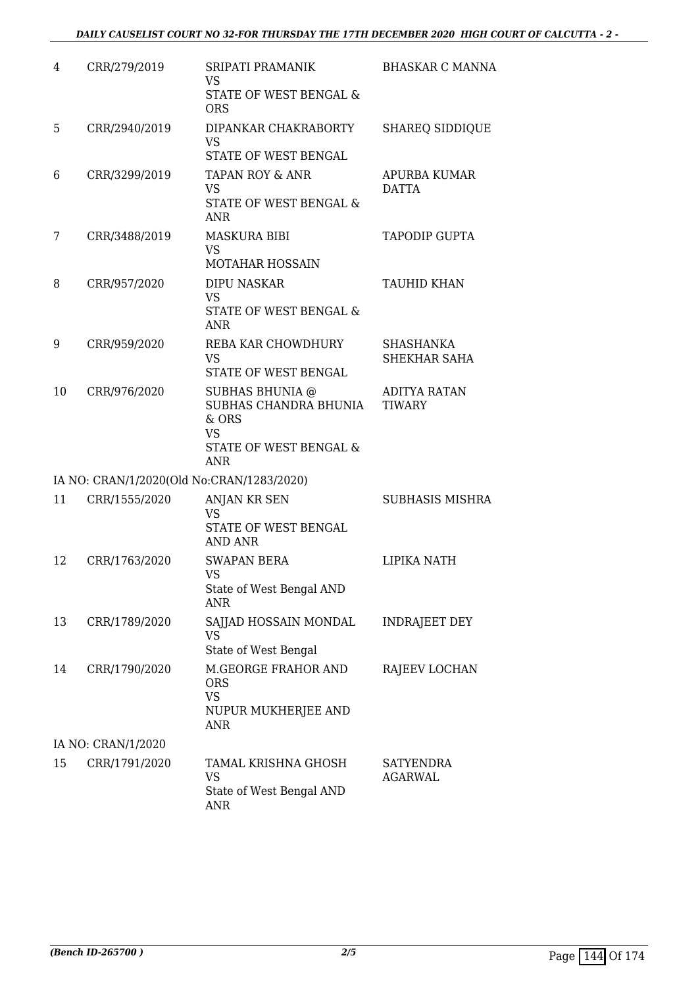| 4  | CRR/279/2019       | SRIPATI PRAMANIK<br><b>VS</b>                            | <b>BHASKAR C MANNA</b>               |
|----|--------------------|----------------------------------------------------------|--------------------------------------|
|    |                    | STATE OF WEST BENGAL &<br><b>ORS</b>                     |                                      |
| 5  | CRR/2940/2019      | DIPANKAR CHAKRABORTY<br><b>VS</b>                        | <b>SHAREQ SIDDIQUE</b>               |
|    |                    | STATE OF WEST BENGAL                                     |                                      |
| 6  | CRR/3299/2019      | TAPAN ROY & ANR<br><b>VS</b>                             | APURBA KUMAR<br><b>DATTA</b>         |
|    |                    | STATE OF WEST BENGAL &<br><b>ANR</b>                     |                                      |
| 7  | CRR/3488/2019      | <b>MASKURA BIBI</b>                                      | <b>TAPODIP GUPTA</b>                 |
|    |                    | VS<br><b>MOTAHAR HOSSAIN</b>                             |                                      |
| 8  | CRR/957/2020       | <b>DIPU NASKAR</b><br><b>VS</b>                          | TAUHID KHAN                          |
|    |                    | STATE OF WEST BENGAL &<br><b>ANR</b>                     |                                      |
| 9  | CRR/959/2020       | REBA KAR CHOWDHURY                                       | SHASHANKA                            |
|    |                    | <b>VS</b><br>STATE OF WEST BENGAL                        | SHEKHAR SAHA                         |
| 10 | CRR/976/2020       | <b>SUBHAS BHUNIA @</b><br>SUBHAS CHANDRA BHUNIA<br>& ORS | <b>ADITYA RATAN</b><br><b>TIWARY</b> |
|    |                    | <b>VS</b><br>STATE OF WEST BENGAL &<br><b>ANR</b>        |                                      |
|    |                    | IA NO: CRAN/1/2020(Old No:CRAN/1283/2020)                |                                      |
| 11 | CRR/1555/2020      | ANJAN KR SEN                                             | SUBHASIS MISHRA                      |
|    |                    | <b>VS</b><br>STATE OF WEST BENGAL<br>AND ANR             |                                      |
| 12 | CRR/1763/2020      | <b>SWAPAN BERA</b>                                       | LIPIKA NATH                          |
|    |                    | <b>VS</b><br>State of West Bengal AND<br>ANR             |                                      |
| 13 | CRR/1789/2020      | SAJJAD HOSSAIN MONDAL<br>VS                              | <b>INDRAJEET DEY</b>                 |
|    |                    | State of West Bengal                                     |                                      |
| 14 | CRR/1790/2020      | M.GEORGE FRAHOR AND<br><b>ORS</b><br><b>VS</b>           | RAJEEV LOCHAN                        |
|    |                    | NUPUR MUKHERJEE AND<br><b>ANR</b>                        |                                      |
|    | IA NO: CRAN/1/2020 |                                                          |                                      |
| 15 | CRR/1791/2020      | TAMAL KRISHNA GHOSH<br><b>VS</b>                         | SATYENDRA<br><b>AGARWAL</b>          |
|    |                    | State of West Bengal AND<br><b>ANR</b>                   |                                      |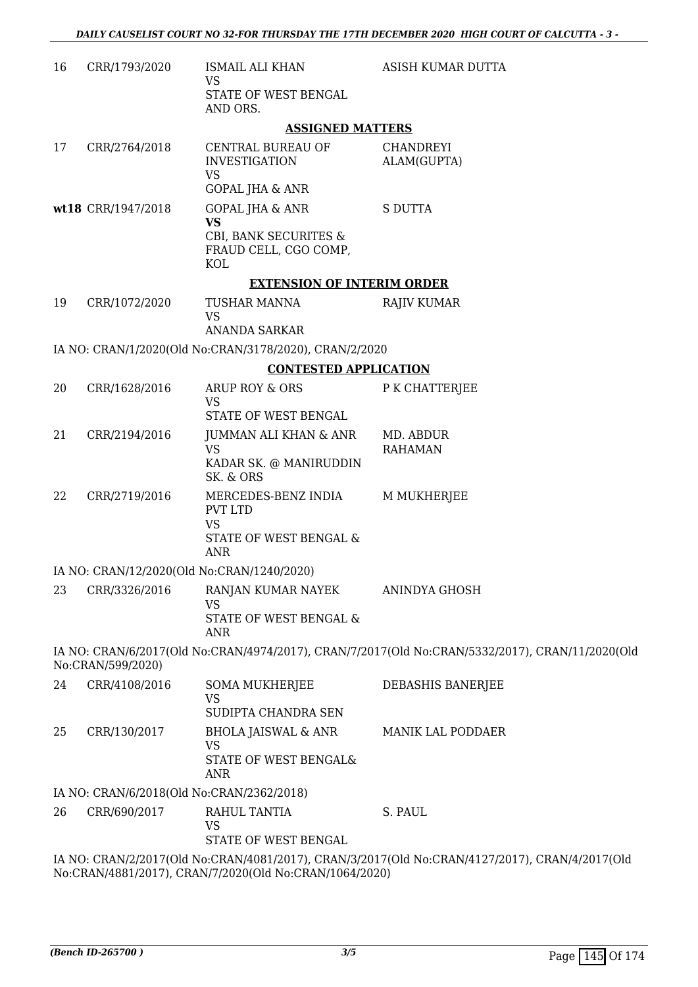| 16 | CRR/1793/2020                             | <b>ISMAIL ALI KHAN</b><br><b>VS</b>                                                        | ASISH KUMAR DUTTA                                                                               |
|----|-------------------------------------------|--------------------------------------------------------------------------------------------|-------------------------------------------------------------------------------------------------|
|    |                                           | STATE OF WEST BENGAL<br>AND ORS.                                                           |                                                                                                 |
|    |                                           | <b>ASSIGNED MATTERS</b>                                                                    |                                                                                                 |
| 17 | CRR/2764/2018                             | CENTRAL BUREAU OF<br><b>INVESTIGATION</b><br><b>VS</b><br><b>GOPAL JHA &amp; ANR</b>       | <b>CHANDREYI</b><br>ALAM(GUPTA)                                                                 |
|    | wt18 CRR/1947/2018                        | GOPAL JHA & ANR                                                                            | <b>S DUTTA</b>                                                                                  |
|    |                                           | <b>VS</b><br>CBI, BANK SECURITES &<br>FRAUD CELL, CGO COMP,<br><b>KOL</b>                  |                                                                                                 |
|    |                                           | <b>EXTENSION OF INTERIM ORDER</b>                                                          |                                                                                                 |
| 19 | CRR/1072/2020                             | TUSHAR MANNA<br><b>VS</b><br><b>ANANDA SARKAR</b>                                          | <b>RAJIV KUMAR</b>                                                                              |
|    |                                           | IA NO: CRAN/1/2020(Old No:CRAN/3178/2020), CRAN/2/2020                                     |                                                                                                 |
|    |                                           | <b>CONTESTED APPLICATION</b>                                                               |                                                                                                 |
| 20 | CRR/1628/2016                             | ARUP ROY & ORS                                                                             | P K CHATTERJEE                                                                                  |
|    |                                           | VS<br>STATE OF WEST BENGAL                                                                 |                                                                                                 |
| 21 | CRR/2194/2016                             | JUMMAN ALI KHAN & ANR<br><b>VS</b><br>KADAR SK. @ MANIRUDDIN<br>SK. & ORS                  | MD. ABDUR<br><b>RAHAMAN</b>                                                                     |
| 22 | CRR/2719/2016                             | MERCEDES-BENZ INDIA<br><b>PVT LTD</b><br><b>VS</b><br>STATE OF WEST BENGAL &<br><b>ANR</b> | <b>M MUKHERJEE</b>                                                                              |
|    |                                           | IA NO: CRAN/12/2020(Old No:CRAN/1240/2020)                                                 |                                                                                                 |
| 23 | CRR/3326/2016                             | RANJAN KUMAR NAYEK<br><b>VS</b><br>STATE OF WEST BENGAL &<br><b>ANR</b>                    | ANINDYA GHOSH                                                                                   |
|    | No:CRAN/599/2020)                         |                                                                                            | IA NO: CRAN/6/2017(Old No:CRAN/4974/2017), CRAN/7/2017(Old No:CRAN/5332/2017), CRAN/11/2020(Old |
| 24 | CRR/4108/2016                             | <b>SOMA MUKHERJEE</b><br><b>VS</b><br>SUDIPTA CHANDRA SEN                                  | DEBASHIS BANERJEE                                                                               |
| 25 | CRR/130/2017                              | <b>BHOLA JAISWAL &amp; ANR</b><br><b>VS</b><br>STATE OF WEST BENGAL&<br><b>ANR</b>         | MANIK LAL PODDAER                                                                               |
|    | IA NO: CRAN/6/2018(Old No:CRAN/2362/2018) |                                                                                            |                                                                                                 |
| 26 | CRR/690/2017                              | RAHUL TANTIA<br><b>VS</b><br>STATE OF WEST BENGAL                                          | S. PAUL                                                                                         |
|    |                                           | No:CRAN/4881/2017), CRAN/7/2020(Old No:CRAN/1064/2020)                                     | IA NO: CRAN/2/2017(Old No:CRAN/4081/2017), CRAN/3/2017(Old No:CRAN/4127/2017), CRAN/4/2017(Old  |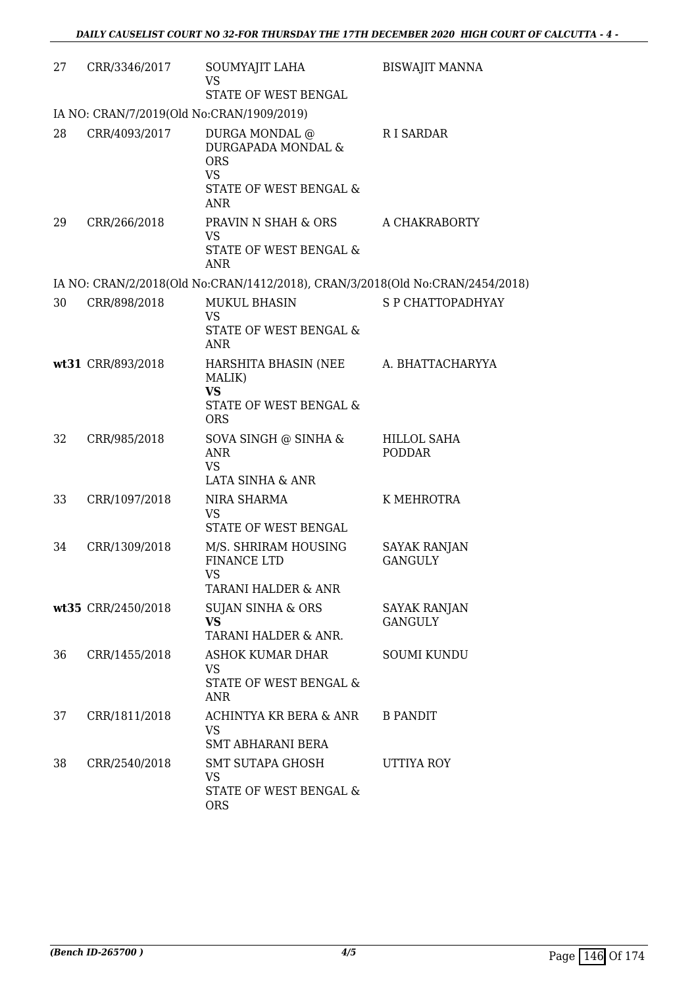| 27 | CRR/3346/2017                             | SOUMYAJIT LAHA<br><b>VS</b><br>STATE OF WEST BENGAL                                                     | <b>BISWAJIT MANNA</b>                 |
|----|-------------------------------------------|---------------------------------------------------------------------------------------------------------|---------------------------------------|
|    | IA NO: CRAN/7/2019(Old No:CRAN/1909/2019) |                                                                                                         |                                       |
| 28 | CRR/4093/2017                             | DURGA MONDAL @<br>DURGAPADA MONDAL &<br><b>ORS</b><br><b>VS</b><br>STATE OF WEST BENGAL &<br><b>ANR</b> | R I SARDAR                            |
| 29 | CRR/266/2018                              | PRAVIN N SHAH & ORS<br><b>VS</b><br>STATE OF WEST BENGAL &<br><b>ANR</b>                                | A CHAKRABORTY                         |
|    |                                           | IA NO: CRAN/2/2018(Old No:CRAN/1412/2018), CRAN/3/2018(Old No:CRAN/2454/2018)                           |                                       |
| 30 | CRR/898/2018                              | <b>MUKUL BHASIN</b><br><b>VS</b><br>STATE OF WEST BENGAL &<br><b>ANR</b>                                | S P CHATTOPADHYAY                     |
|    | wt31 CRR/893/2018                         | HARSHITA BHASIN (NEE<br>MALIK)<br><b>VS</b><br>STATE OF WEST BENGAL &<br><b>ORS</b>                     | A. BHATTACHARYYA                      |
| 32 | CRR/985/2018                              | SOVA SINGH @ SINHA &<br><b>ANR</b><br><b>VS</b><br>LATA SINHA & ANR                                     | HILLOL SAHA<br><b>PODDAR</b>          |
| 33 | CRR/1097/2018                             | NIRA SHARMA<br><b>VS</b><br>STATE OF WEST BENGAL                                                        | K MEHROTRA                            |
| 34 | CRR/1309/2018                             | M/S. SHRIRAM HOUSING<br><b>FINANCE LTD</b><br><b>VS</b><br><b>TARANI HALDER &amp; ANR</b>               | <b>SAYAK RANJAN</b><br><b>GANGULY</b> |
|    | wt35 CRR/2450/2018                        | <b>SUJAN SINHA &amp; ORS</b><br><b>VS</b><br>TARANI HALDER & ANR.                                       | SAYAK RANJAN<br><b>GANGULY</b>        |
| 36 | CRR/1455/2018                             | <b>ASHOK KUMAR DHAR</b><br><b>VS</b><br><b>STATE OF WEST BENGAL &amp;</b><br>ANR                        | <b>SOUMI KUNDU</b>                    |
| 37 | CRR/1811/2018                             | ACHINTYA KR BERA & ANR<br><b>VS</b><br>SMT ABHARANI BERA                                                | <b>B PANDIT</b>                       |
| 38 | CRR/2540/2018                             | SMT SUTAPA GHOSH<br>VS.<br>STATE OF WEST BENGAL &<br><b>ORS</b>                                         | UTTIYA ROY                            |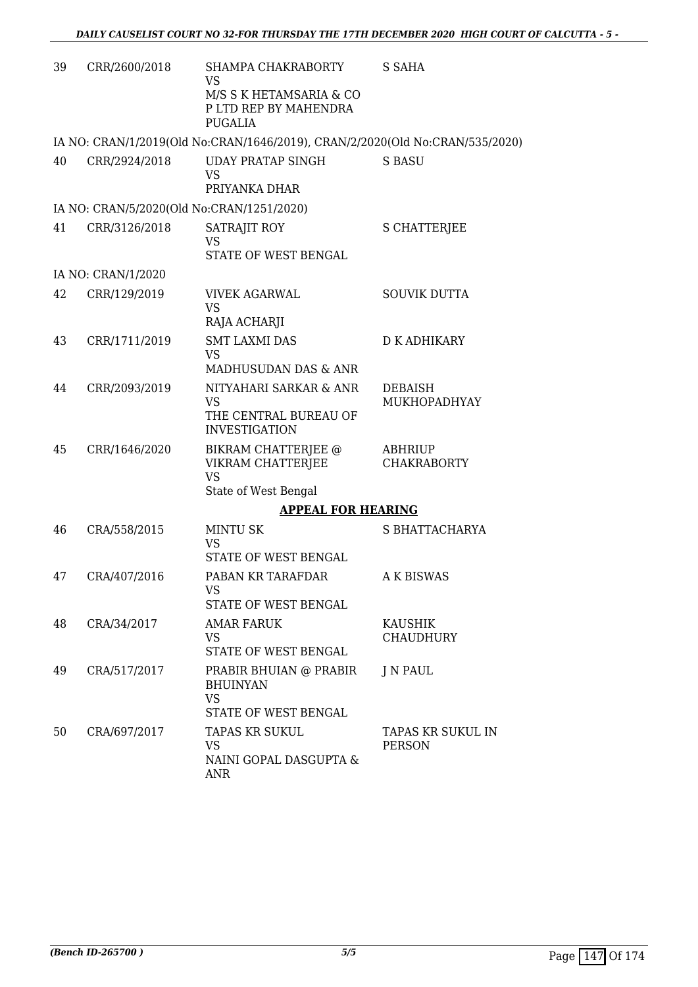| 39 | CRR/2600/2018      | SHAMPA CHAKRABORTY<br>VS<br>M/S S K HETAMSARIA & CO<br>P LTD REP BY MAHENDRA   | S SAHA                               |
|----|--------------------|--------------------------------------------------------------------------------|--------------------------------------|
|    |                    | <b>PUGALIA</b>                                                                 |                                      |
|    |                    | IA NO: CRAN/1/2019(Old No:CRAN/1646/2019), CRAN/2/2020(Old No:CRAN/535/2020)   |                                      |
| 40 | CRR/2924/2018      | <b>UDAY PRATAP SINGH</b><br><b>VS</b><br>PRIYANKA DHAR                         | S BASU                               |
|    |                    | IA NO: CRAN/5/2020(Old No:CRAN/1251/2020)                                      |                                      |
| 41 | CRR/3126/2018      | SATRAJIT ROY<br><b>VS</b><br>STATE OF WEST BENGAL                              | <b>S CHATTERJEE</b>                  |
|    | IA NO: CRAN/1/2020 |                                                                                |                                      |
| 42 | CRR/129/2019       | <b>VIVEK AGARWAL</b><br><b>VS</b><br>RAJA ACHARJI                              | <b>SOUVIK DUTTA</b>                  |
| 43 | CRR/1711/2019      | <b>SMT LAXMI DAS</b><br>VS<br>MADHUSUDAN DAS & ANR                             | <b>D K ADHIKARY</b>                  |
| 44 | CRR/2093/2019      | NITYAHARI SARKAR & ANR<br>VS<br>THE CENTRAL BUREAU OF<br><b>INVESTIGATION</b>  | <b>DEBAISH</b><br>MUKHOPADHYAY       |
| 45 | CRR/1646/2020      | BIKRAM CHATTERJEE @<br>VIKRAM CHATTERJEE<br><b>VS</b><br>State of West Bengal  | <b>ABHRIUP</b><br><b>CHAKRABORTY</b> |
|    |                    | <b>APPEAL FOR HEARING</b>                                                      |                                      |
| 46 | CRA/558/2015       | <b>MINTU SK</b><br><b>VS</b><br>STATE OF WEST BENGAL                           | S BHATTACHARYA                       |
| 47 | CRA/407/2016       | PABAN KR TARAFDAR<br>VS<br>STATE OF WEST BENGAL                                | <b>A K BISWAS</b>                    |
| 48 | CRA/34/2017        | AMAR FARUK<br>VS.<br>STATE OF WEST BENGAL                                      | <b>KAUSHIK</b><br><b>CHAUDHURY</b>   |
| 49 | CRA/517/2017       | PRABIR BHUIAN @ PRABIR<br><b>BHUINYAN</b><br><b>VS</b><br>STATE OF WEST BENGAL | J N PAUL                             |
| 50 | CRA/697/2017       | TAPAS KR SUKUL<br><b>VS</b><br>NAINI GOPAL DASGUPTA &<br>ANR                   | TAPAS KR SUKUL IN<br><b>PERSON</b>   |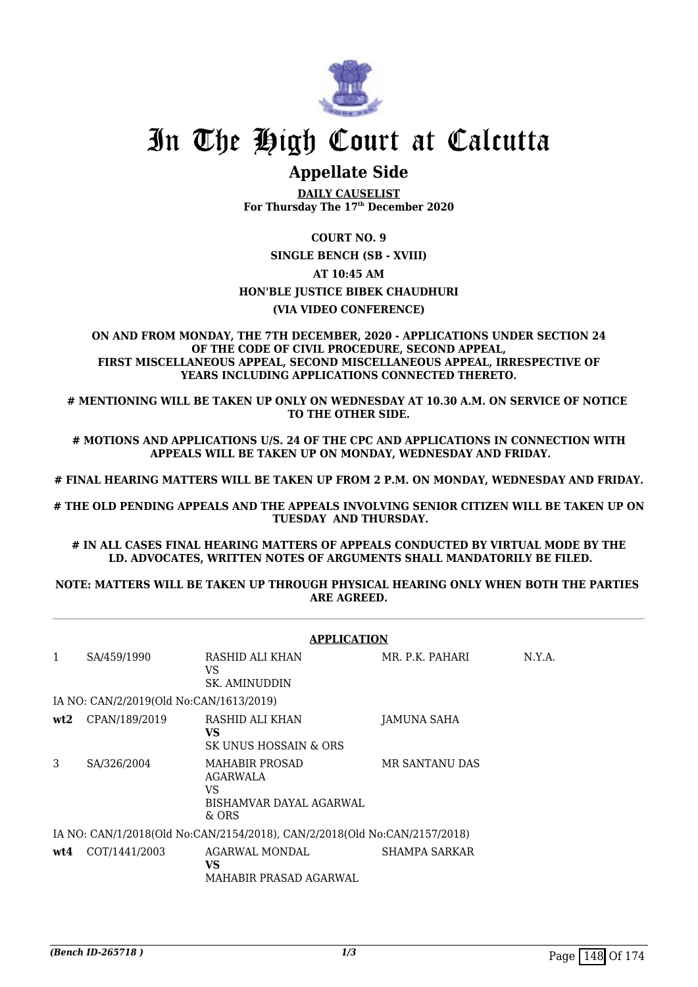

# **Appellate Side**

**DAILY CAUSELIST For Thursday The 17th December 2020**

**COURT NO. 9**

**SINGLE BENCH (SB - XVIII)**

**AT 10:45 AM**

### **HON'BLE JUSTICE BIBEK CHAUDHURI**

#### **(VIA VIDEO CONFERENCE)**

#### **ON AND FROM MONDAY, THE 7TH DECEMBER, 2020 - APPLICATIONS UNDER SECTION 24 OF THE CODE OF CIVIL PROCEDURE, SECOND APPEAL, FIRST MISCELLANEOUS APPEAL, SECOND MISCELLANEOUS APPEAL, IRRESPECTIVE OF YEARS INCLUDING APPLICATIONS CONNECTED THERETO.**

**# MENTIONING WILL BE TAKEN UP ONLY ON WEDNESDAY AT 10.30 A.M. ON SERVICE OF NOTICE TO THE OTHER SIDE.**

**# MOTIONS AND APPLICATIONS U/S. 24 OF THE CPC AND APPLICATIONS IN CONNECTION WITH APPEALS WILL BE TAKEN UP ON MONDAY, WEDNESDAY AND FRIDAY.**

**# FINAL HEARING MATTERS WILL BE TAKEN UP FROM 2 P.M. ON MONDAY, WEDNESDAY AND FRIDAY.**

**# THE OLD PENDING APPEALS AND THE APPEALS INVOLVING SENIOR CITIZEN WILL BE TAKEN UP ON TUESDAY AND THURSDAY.**

**# IN ALL CASES FINAL HEARING MATTERS OF APPEALS CONDUCTED BY VIRTUAL MODE BY THE LD. ADVOCATES, WRITTEN NOTES OF ARGUMENTS SHALL MANDATORILY BE FILED.**

#### **NOTE: MATTERS WILL BE TAKEN UP THROUGH PHYSICAL HEARING ONLY WHEN BOTH THE PARTIES ARE AGREED.**

|                                                                           | <b>APPLICATION</b>                      |                                                                                    |                       |        |  |  |
|---------------------------------------------------------------------------|-----------------------------------------|------------------------------------------------------------------------------------|-----------------------|--------|--|--|
| 1                                                                         | SA/459/1990                             | RASHID ALI KHAN<br>VS<br><b>SK. AMINUDDIN</b>                                      | MR. P.K. PAHARI       | N.Y.A. |  |  |
|                                                                           | IA NO: CAN/2/2019(Old No:CAN/1613/2019) |                                                                                    |                       |        |  |  |
| wt2                                                                       | CPAN/189/2019                           | RASHID ALI KHAN<br>VS<br>SK UNUS HOSSAIN & ORS                                     | JAMUNA SAHA           |        |  |  |
| 3                                                                         | SA/326/2004                             | <b>MAHABIR PROSAD</b><br>AGARWALA<br><b>VS</b><br>BISHAMVAR DAYAL AGARWAL<br>& ORS | <b>MR SANTANU DAS</b> |        |  |  |
| IA NO: CAN/1/2018(Old No:CAN/2154/2018), CAN/2/2018(Old No:CAN/2157/2018) |                                         |                                                                                    |                       |        |  |  |
| wt4                                                                       | COT/1441/2003                           | AGARWAL MONDAL<br>VS<br>MAHABIR PRASAD AGARWAL                                     | SHAMPA SARKAR         |        |  |  |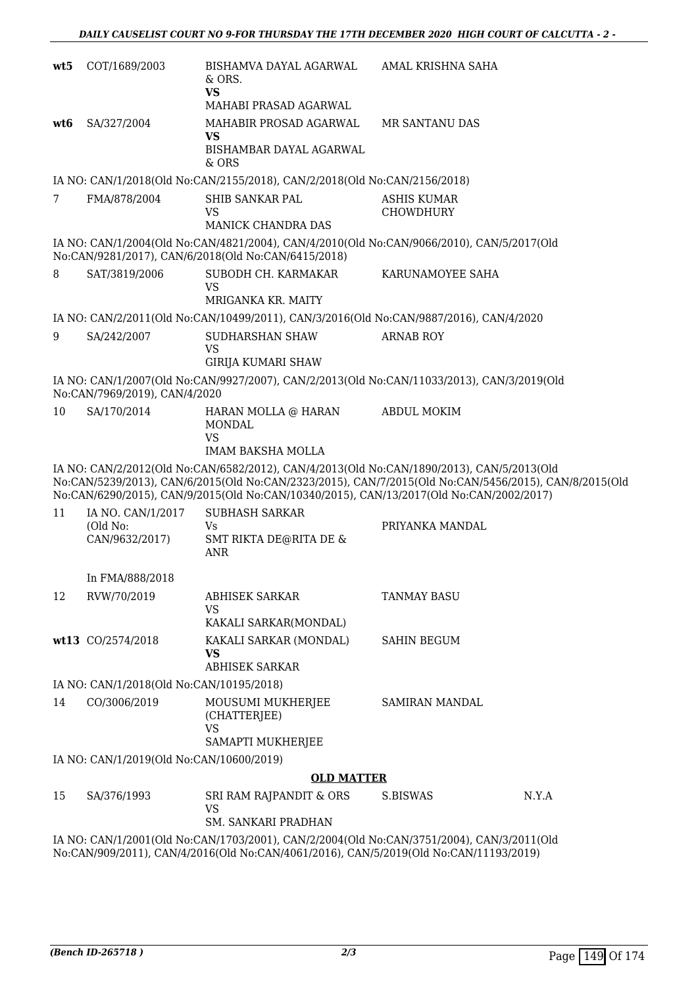| wt5             | COT/1689/2003                                   | BISHAMVA DAYAL AGARWAL<br>& ORS.<br><b>VS</b><br>MAHABI PRASAD AGARWAL                  | AMAL KRISHNA SAHA                                                                                                                                                                                  |
|-----------------|-------------------------------------------------|-----------------------------------------------------------------------------------------|----------------------------------------------------------------------------------------------------------------------------------------------------------------------------------------------------|
| wt6             | SA/327/2004                                     | MAHABIR PROSAD AGARWAL<br>VS<br>BISHAMBAR DAYAL AGARWAL<br>& ORS                        | <b>MR SANTANU DAS</b>                                                                                                                                                                              |
|                 |                                                 | IA NO: CAN/1/2018(Old No:CAN/2155/2018), CAN/2/2018(Old No:CAN/2156/2018)               |                                                                                                                                                                                                    |
| $7\phantom{.0}$ | FMA/878/2004                                    | SHIB SANKAR PAL<br><b>VS</b><br>MANICK CHANDRA DAS                                      | <b>ASHIS KUMAR</b><br>CHOWDHURY                                                                                                                                                                    |
|                 |                                                 | No:CAN/9281/2017), CAN/6/2018(Old No:CAN/6415/2018)                                     | IA NO: CAN/1/2004(Old No:CAN/4821/2004), CAN/4/2010(Old No:CAN/9066/2010), CAN/5/2017(Old                                                                                                          |
| 8               | SAT/3819/2006                                   | SUBODH CH. KARMAKAR<br><b>VS</b><br>MRIGANKA KR. MAITY                                  | KARUNAMOYEE SAHA                                                                                                                                                                                   |
|                 |                                                 | IA NO: CAN/2/2011(Old No:CAN/10499/2011), CAN/3/2016(Old No:CAN/9887/2016), CAN/4/2020  |                                                                                                                                                                                                    |
| 9               | SA/242/2007                                     | <b>SUDHARSHAN SHAW</b><br><b>VS</b><br><b>GIRIJA KUMARI SHAW</b>                        | <b>ARNAB ROY</b>                                                                                                                                                                                   |
|                 | No:CAN/7969/2019), CAN/4/2020                   |                                                                                         | IA NO: CAN/1/2007(Old No:CAN/9927/2007), CAN/2/2013(Old No:CAN/11033/2013), CAN/3/2019(Old                                                                                                         |
| 10              | SA/170/2014                                     | HARAN MOLLA @ HARAN<br><b>MONDAL</b><br><b>VS</b><br><b>IMAM BAKSHA MOLLA</b>           | <b>ABDUL MOKIM</b>                                                                                                                                                                                 |
|                 |                                                 | No:CAN/6290/2015), CAN/9/2015(Old No:CAN/10340/2015), CAN/13/2017(Old No:CAN/2002/2017) | IA NO: CAN/2/2012(Old No:CAN/6582/2012), CAN/4/2013(Old No:CAN/1890/2013), CAN/5/2013(Old<br>No:CAN/5239/2013), CAN/6/2015(Old No:CAN/2323/2015), CAN/7/2015(Old No:CAN/5456/2015), CAN/8/2015(Old |
| 11              | IA NO. CAN/1/2017<br>(Old No:<br>CAN/9632/2017) | <b>SUBHASH SARKAR</b><br>Vs<br>SMT RIKTA DE@RITA DE &<br><b>ANR</b>                     | PRIYANKA MANDAL                                                                                                                                                                                    |
|                 | In FMA/888/2018                                 |                                                                                         |                                                                                                                                                                                                    |
| 12              | RVW/70/2019                                     | <b>ABHISEK SARKAR</b><br><b>VS</b><br>KAKALI SARKAR(MONDAL)                             | <b>TANMAY BASU</b>                                                                                                                                                                                 |
|                 | wt13 CO/2574/2018                               | KAKALI SARKAR (MONDAL)<br><b>VS</b><br><b>ABHISEK SARKAR</b>                            | SAHIN BEGUM                                                                                                                                                                                        |
|                 | IA NO: CAN/1/2018(Old No:CAN/10195/2018)        |                                                                                         |                                                                                                                                                                                                    |
| 14              | CO/3006/2019                                    | MOUSUMI MUKHERJEE<br>(CHATTERJEE)<br>VS<br>SAMAPTI MUKHERJEE                            | <b>SAMIRAN MANDAL</b>                                                                                                                                                                              |
|                 | IA NO: CAN/1/2019(Old No:CAN/10600/2019)        |                                                                                         |                                                                                                                                                                                                    |
|                 |                                                 | <b>OLD MATTER</b>                                                                       |                                                                                                                                                                                                    |
| 15              | SA/376/1993                                     | SRI RAM RAJPANDIT & ORS<br><b>VS</b><br>SM. SANKARI PRADHAN                             | N.Y.A<br>S.BISWAS                                                                                                                                                                                  |
|                 |                                                 | No:CAN/909/2011), CAN/4/2016(Old No:CAN/4061/2016), CAN/5/2019(Old No:CAN/11193/2019)   | IA NO: CAN/1/2001(Old No:CAN/1703/2001), CAN/2/2004(Old No:CAN/3751/2004), CAN/3/2011(Old                                                                                                          |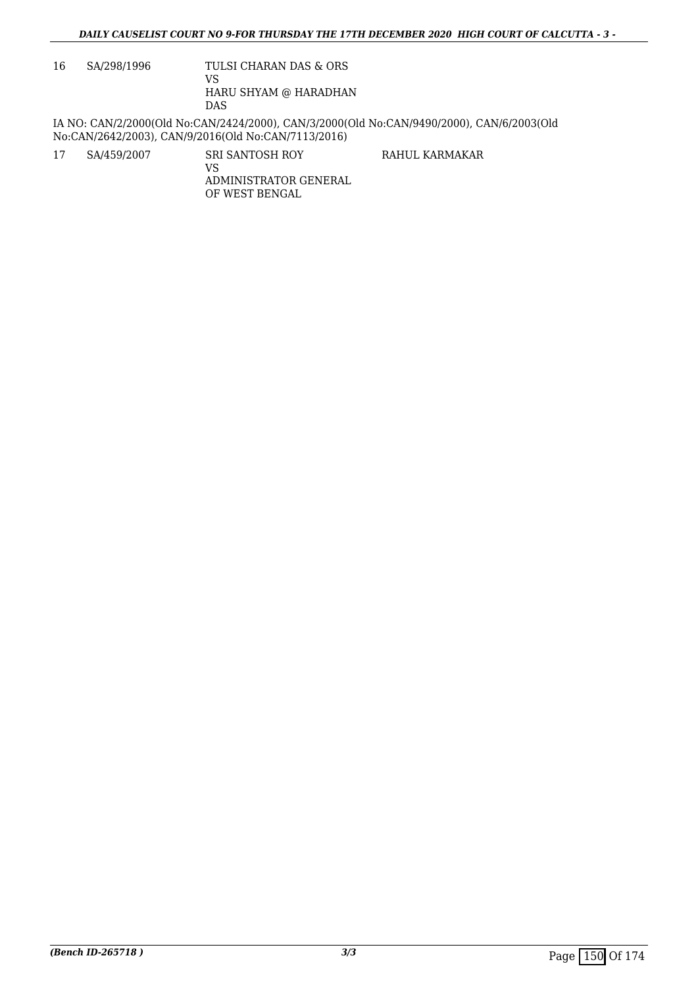16 SA/298/1996 TULSI CHARAN DAS & ORS

VS HARU SHYAM @ HARADHAN DAS

IA NO: CAN/2/2000(Old No:CAN/2424/2000), CAN/3/2000(Old No:CAN/9490/2000), CAN/6/2003(Old No:CAN/2642/2003), CAN/9/2016(Old No:CAN/7113/2016)

17 SA/459/2007 SRI SANTOSH ROY

RAHUL KARMAKAR

VS ADMINISTRATOR GENERAL OF WEST BENGAL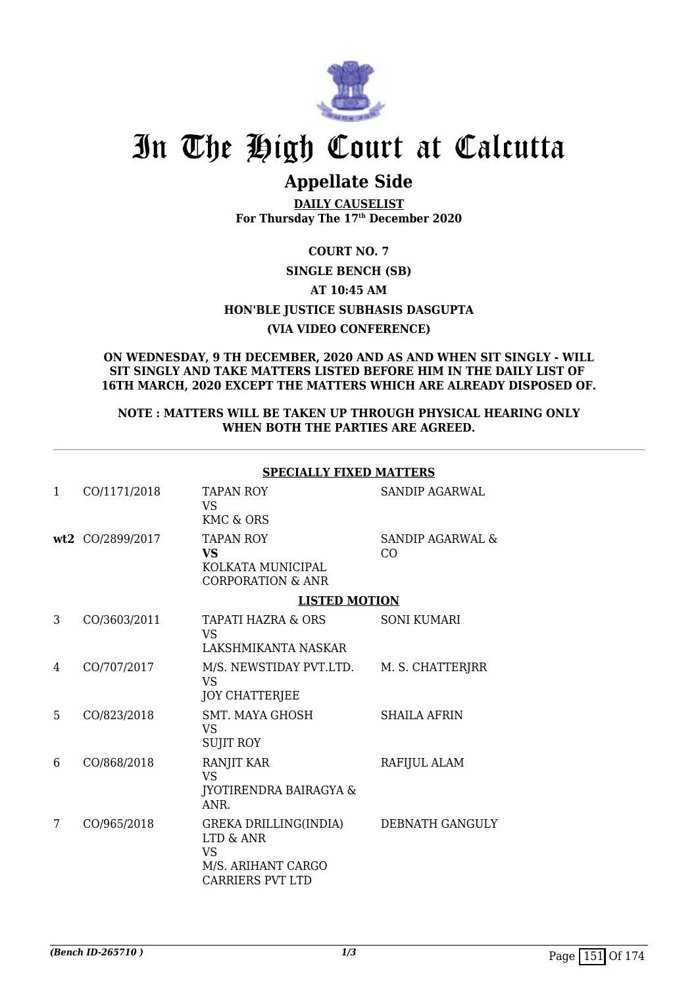

# **Appellate Side**

**DAILY CAUSELIST For Thursday The 17th December 2020**

**COURT NO. 7 SINGLE BENCH (SB) AT 10:45 AM HON'BLE JUSTICE SUBHASIS DASGUPTA (VIA VIDEO CONFERENCE)**

### **ON WEDNESDAY, 9 TH DECEMBER, 2020 AND AS AND WHEN SIT SINGLY - WILL SIT SINGLY AND TAKE MATTERS LISTED BEFORE HIM IN THE DAILY LIST OF 16TH MARCH, 2020 EXCEPT THE MATTERS WHICH ARE ALREADY DISPOSED OF.**

#### **NOTE : MATTERS WILL BE TAKEN UP THROUGH PHYSICAL HEARING ONLY WHEN BOTH THE PARTIES ARE AGREED.**

| <b>SPECIALLY FIXED MATTERS</b> |  |
|--------------------------------|--|
|                                |  |

| 1 | CO/1171/2018     | TAPAN ROY<br>VS.<br>KMC & ORS                                                                    | SANDIP AGARWAL         |
|---|------------------|--------------------------------------------------------------------------------------------------|------------------------|
|   | wt2 CO/2899/2017 | <b>TAPAN ROY</b><br>VS<br>KOLKATA MUNICIPAL<br><b>CORPORATION &amp; ANR</b>                      | SANDIP AGARWAL &<br>CO |
|   |                  | <b>LISTED MOTION</b>                                                                             |                        |
| 3 | CO/3603/2011     | TAPATI HAZRA & ORS<br><b>VS</b>                                                                  | SONI KUMARI            |
|   |                  | LAKSHMIKANTA NASKAR                                                                              |                        |
| 4 | CO/707/2017      | M/S. NEWSTIDAY PVT.LTD.<br>VS.<br><b>JOY CHATTERJEE</b>                                          | M. S. CHATTERJRR       |
| 5 | CO/823/2018      | <b>SMT. MAYA GHOSH</b><br><b>VS</b><br><b>SUJIT ROY</b>                                          | <b>SHAILA AFRIN</b>    |
| 6 | CO/868/2018      | RANJIT KAR<br><b>VS</b><br><b>JYOTIRENDRA BAIRAGYA &amp;</b><br>ANR.                             | RAFIJUL ALAM           |
| 7 | CO/965/2018      | GREKA DRILLING(INDIA)<br>LTD & ANR<br><b>VS</b><br>M/S. ARIHANT CARGO<br><b>CARRIERS PVT LTD</b> | DEBNATH GANGULY        |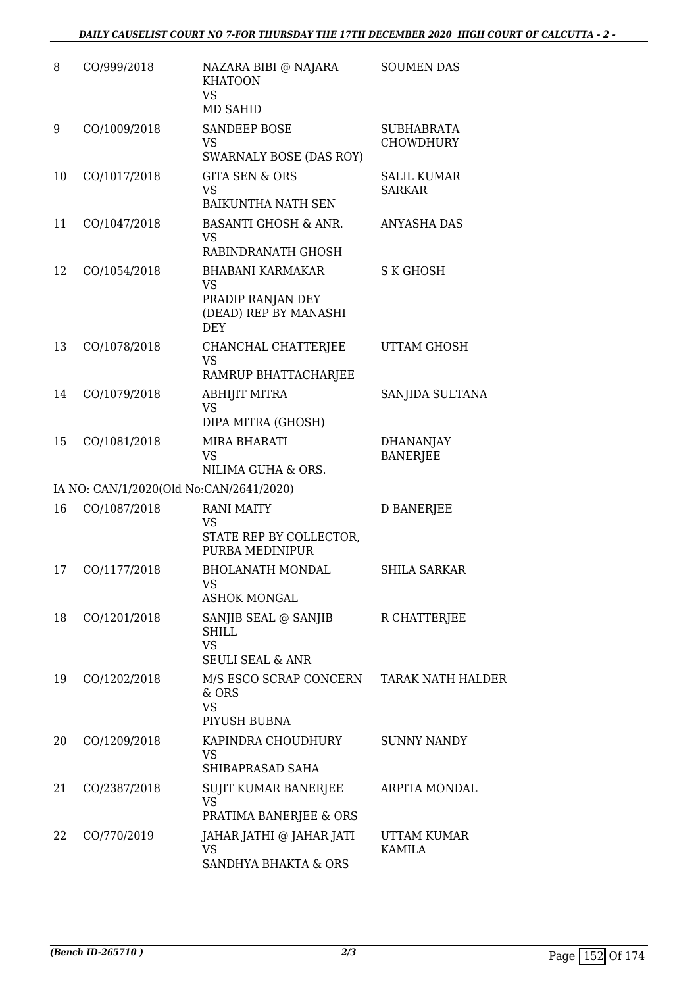| 8  | CO/999/2018                             | NAZARA BIBI @ NAJARA<br><b>KHATOON</b><br><b>VS</b><br>MD SAHID                                  | <b>SOUMEN DAS</b>                     |
|----|-----------------------------------------|--------------------------------------------------------------------------------------------------|---------------------------------------|
| 9  | CO/1009/2018                            | <b>SANDEEP BOSE</b><br>VS<br>SWARNALY BOSE (DAS ROY)                                             | <b>SUBHABRATA</b><br><b>CHOWDHURY</b> |
| 10 | CO/1017/2018                            | <b>GITA SEN &amp; ORS</b><br>VS<br><b>BAIKUNTHA NATH SEN</b>                                     | <b>SALIL KUMAR</b><br><b>SARKAR</b>   |
| 11 | CO/1047/2018                            | <b>BASANTI GHOSH &amp; ANR.</b><br>VS<br>RABINDRANATH GHOSH                                      | <b>ANYASHA DAS</b>                    |
| 12 | CO/1054/2018                            | <b>BHABANI KARMAKAR</b><br><b>VS</b><br>PRADIP RANJAN DEY<br>(DEAD) REP BY MANASHI<br><b>DEY</b> | S K GHOSH                             |
| 13 | CO/1078/2018                            | CHANCHAL CHATTERJEE<br><b>VS</b><br>RAMRUP BHATTACHARJEE                                         | UTTAM GHOSH                           |
| 14 | CO/1079/2018                            | <b>ABHIJIT MITRA</b><br><b>VS</b><br>DIPA MITRA (GHOSH)                                          | SANJIDA SULTANA                       |
| 15 | CO/1081/2018                            | <b>MIRA BHARATI</b><br>VS<br>NILIMA GUHA & ORS.                                                  | <b>DHANANJAY</b><br><b>BANERJEE</b>   |
|    | IA NO: CAN/1/2020(Old No:CAN/2641/2020) |                                                                                                  |                                       |
| 16 | CO/1087/2018                            | <b>RANI MAITY</b><br><b>VS</b><br>STATE REP BY COLLECTOR,<br>PURBA MEDINIPUR                     | <b>D BANERJEE</b>                     |
| 17 | CO/1177/2018                            | <b>BHOLANATH MONDAL</b><br>VS<br>ASHOK MONGAL                                                    | <b>SHILA SARKAR</b>                   |
| 18 | CO/1201/2018                            | SANJIB SEAL @ SANJIB<br><b>SHILL</b><br><b>VS</b><br><b>SEULI SEAL &amp; ANR</b>                 | R CHATTERJEE                          |
| 19 | CO/1202/2018                            | M/S ESCO SCRAP CONCERN<br>& ORS<br><b>VS</b><br>PIYUSH BUBNA                                     | <b>TARAK NATH HALDER</b>              |
| 20 | CO/1209/2018                            | KAPINDRA CHOUDHURY<br>VS<br>SHIBAPRASAD SAHA                                                     | <b>SUNNY NANDY</b>                    |
| 21 | CO/2387/2018                            | SUJIT KUMAR BANERJEE<br><b>VS</b><br>PRATIMA BANERJEE & ORS                                      | ARPITA MONDAL                         |
| 22 | CO/770/2019                             | JAHAR JATHI @ JAHAR JATI<br>VS<br>SANDHYA BHAKTA & ORS                                           | UTTAM KUMAR<br><b>KAMILA</b>          |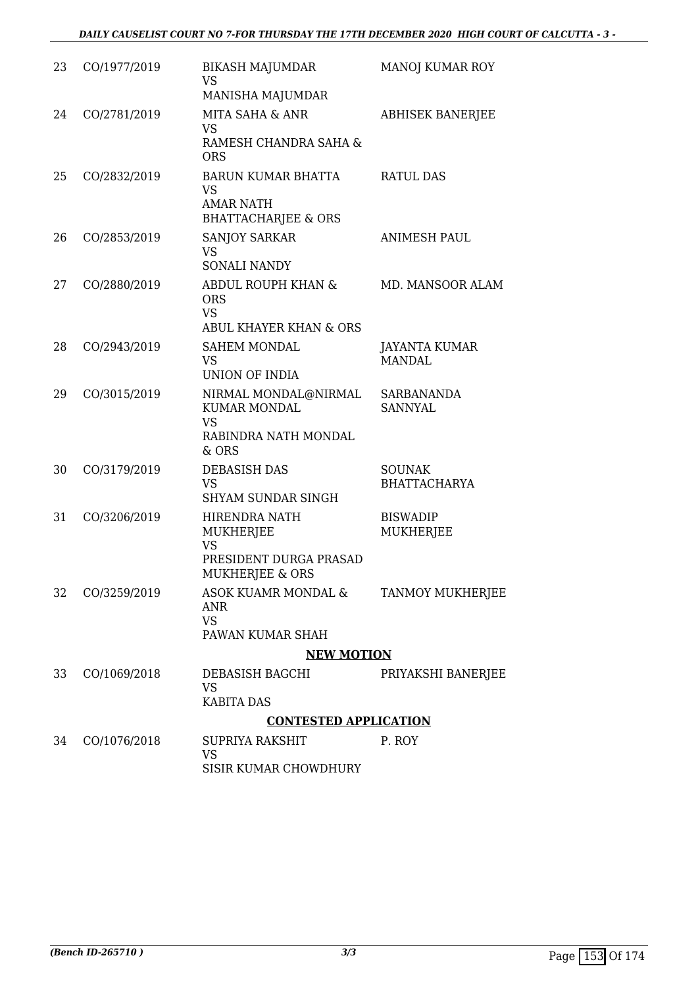| 23 | CO/1977/2019 | BIKASH MAJUMDAR<br><b>VS</b><br>MANISHA MAJUMDAR                                          | <b>MANOJ KUMAR ROY</b>               |
|----|--------------|-------------------------------------------------------------------------------------------|--------------------------------------|
| 24 | CO/2781/2019 | MITA SAHA & ANR<br><b>VS</b><br>RAMESH CHANDRA SAHA &<br><b>ORS</b>                       | <b>ABHISEK BANERJEE</b>              |
| 25 | CO/2832/2019 | BARUN KUMAR BHATTA<br><b>VS</b><br><b>AMAR NATH</b><br><b>BHATTACHARJEE &amp; ORS</b>     | <b>RATUL DAS</b>                     |
| 26 | CO/2853/2019 | <b>SANJOY SARKAR</b><br><b>VS</b><br><b>SONALI NANDY</b>                                  | <b>ANIMESH PAUL</b>                  |
| 27 | CO/2880/2019 | ABDUL ROUPH KHAN &<br><b>ORS</b><br><b>VS</b><br>ABUL KHAYER KHAN & ORS                   | MD. MANSOOR ALAM                     |
| 28 | CO/2943/2019 | <b>SAHEM MONDAL</b><br><b>VS</b><br>UNION OF INDIA                                        | JAYANTA KUMAR<br><b>MANDAL</b>       |
| 29 | CO/3015/2019 | NIRMAL MONDAL@NIRMAL<br><b>KUMAR MONDAL</b><br><b>VS</b><br>RABINDRA NATH MONDAL<br>& ORS | <b>SARBANANDA</b><br><b>SANNYAL</b>  |
| 30 | CO/3179/2019 | <b>DEBASISH DAS</b><br><b>VS</b><br><b>SHYAM SUNDAR SINGH</b>                             | <b>SOUNAK</b><br><b>BHATTACHARYA</b> |
| 31 | CO/3206/2019 | HIRENDRA NATH<br>MUKHERJEE<br><b>VS</b><br>PRESIDENT DURGA PRASAD<br>MUKHERJEE & ORS      | <b>BISWADIP</b><br>MUKHERJEE         |
| 32 | CO/3259/2019 | ASOK KUAMR MONDAL &<br><b>ANR</b><br><b>VS</b><br>PAWAN KUMAR SHAH                        | TANMOY MUKHERJEE                     |
|    |              | <b>NEW MOTION</b>                                                                         |                                      |
| 33 | CO/1069/2018 | DEBASISH BAGCHI<br><b>VS</b><br><b>KABITA DAS</b>                                         | PRIYAKSHI BANERJEE                   |
|    |              | <b>CONTESTED APPLICATION</b>                                                              |                                      |
| 34 | CO/1076/2018 | SUPRIYA RAKSHIT<br><b>VS</b><br><b>SISIR KUMAR CHOWDHURY</b>                              | P. ROY                               |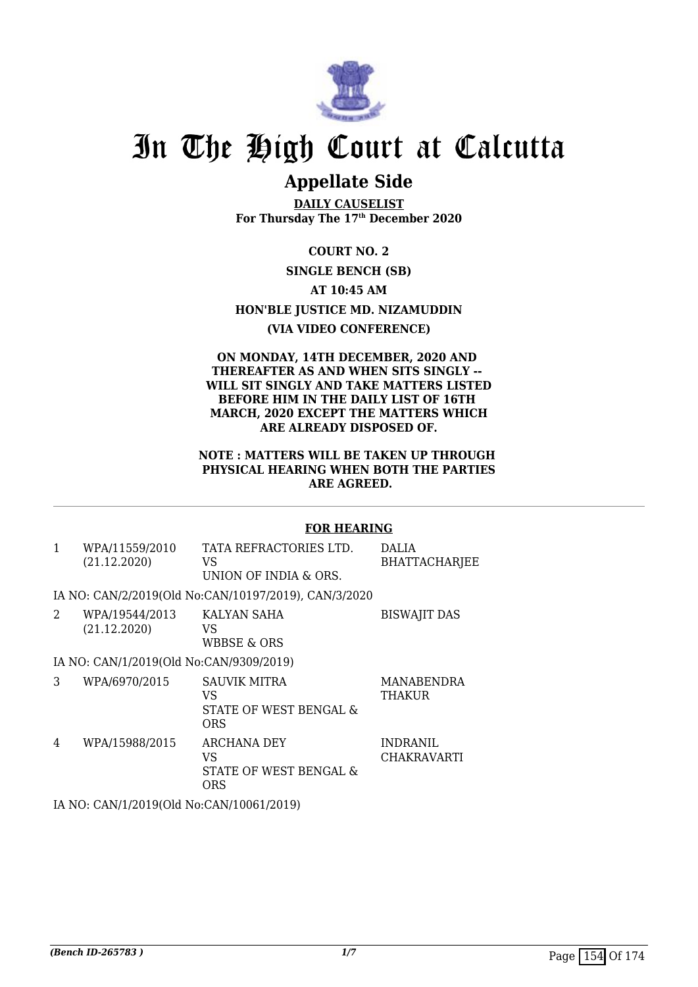

# **Appellate Side**

**DAILY CAUSELIST For Thursday The 17th December 2020**

**COURT NO. 2**

# **SINGLE BENCH (SB)**

**AT 10:45 AM**

**HON'BLE JUSTICE MD. NIZAMUDDIN**

## **(VIA VIDEO CONFERENCE)**

### **ON MONDAY, 14TH DECEMBER, 2020 AND THEREAFTER AS AND WHEN SITS SINGLY -- WILL SIT SINGLY AND TAKE MATTERS LISTED BEFORE HIM IN THE DAILY LIST OF 16TH MARCH, 2020 EXCEPT THE MATTERS WHICH ARE ALREADY DISPOSED OF.**

### **NOTE : MATTERS WILL BE TAKEN UP THROUGH PHYSICAL HEARING WHEN BOTH THE PARTIES ARE AGREED.**

## **FOR HEARING**

1 WPA/11559/2010 (21.12.2020) TATA REFRACTORIES LTD. VS UNION OF INDIA & ORS. DALIA BHATTACHARJEE

IA NO: CAN/2/2019(Old No:CAN/10197/2019), CAN/3/2020

2 WPA/19544/2013 (21.12.2020) KALYAN SAHA VS WBBSE & ORS BISWAJIT DAS IA NO: CAN/1/2019(Old No:CAN/9309/2019) 3 WPA/6970/2015 SAUVIK MITRA VS STATE OF WEST BENGAL & **ORS** MANABENDRA **THAKUR** 4 WPA/15988/2015 ARCHANA DEY VS INDRANIL CHAKRAVARTI

STATE OF WEST BENGAL &

IA NO: CAN/1/2019(Old No:CAN/10061/2019)

ORS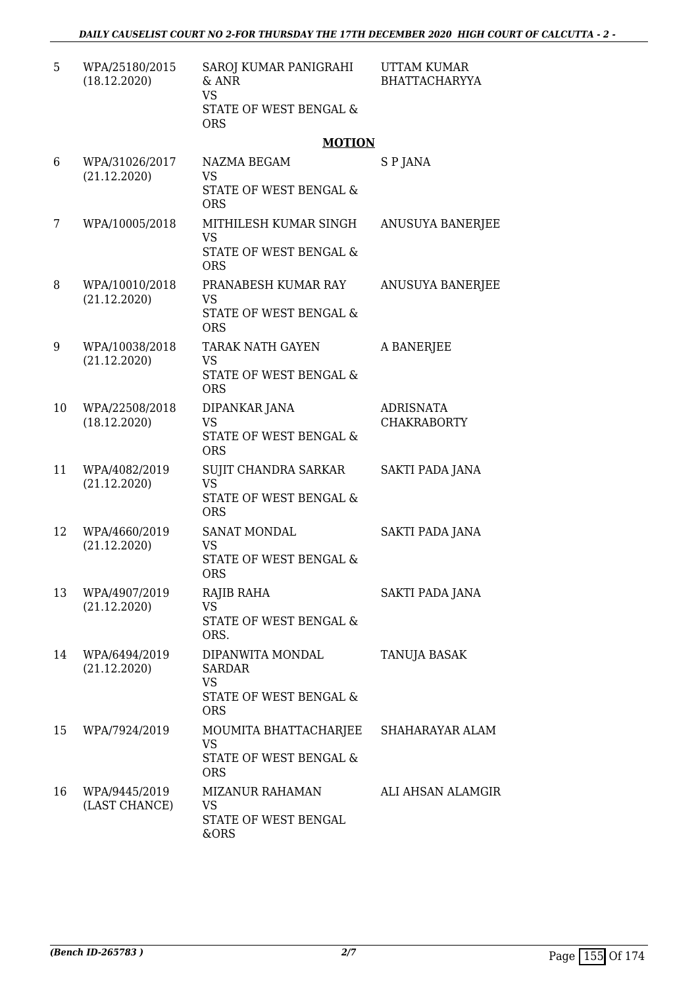| 5  | WPA/25180/2015<br>(18.12.2020) | SAROJ KUMAR PANIGRAHI<br>& ANR<br><b>VS</b><br>STATE OF WEST BENGAL &<br><b>ORS</b>    | <b>UTTAM KUMAR</b><br><b>BHATTACHARYYA</b> |
|----|--------------------------------|----------------------------------------------------------------------------------------|--------------------------------------------|
|    |                                | <b>MOTION</b>                                                                          |                                            |
| 6  | WPA/31026/2017<br>(21.12.2020) | NAZMA BEGAM<br><b>VS</b><br>STATE OF WEST BENGAL &<br><b>ORS</b>                       | S P JANA                                   |
| 7  | WPA/10005/2018                 | MITHILESH KUMAR SINGH<br><b>VS</b><br>STATE OF WEST BENGAL &<br><b>ORS</b>             | ANUSUYA BANERJEE                           |
| 8  | WPA/10010/2018<br>(21.12.2020) | PRANABESH KUMAR RAY<br><b>VS</b><br>STATE OF WEST BENGAL &<br><b>ORS</b>               | <b>ANUSUYA BANERJEE</b>                    |
| 9  | WPA/10038/2018<br>(21.12.2020) | <b>TARAK NATH GAYEN</b><br><b>VS</b><br>STATE OF WEST BENGAL &<br><b>ORS</b>           | A BANERJEE                                 |
| 10 | WPA/22508/2018<br>(18.12.2020) | DIPANKAR JANA<br><b>VS</b><br>STATE OF WEST BENGAL &<br><b>ORS</b>                     | <b>ADRISNATA</b><br><b>CHAKRABORTY</b>     |
| 11 | WPA/4082/2019<br>(21.12.2020)  | SUJIT CHANDRA SARKAR<br><b>VS</b><br>STATE OF WEST BENGAL &<br><b>ORS</b>              | SAKTI PADA JANA                            |
| 12 | WPA/4660/2019<br>(21.12.2020)  | SANAT MONDAL<br><b>VS</b><br><b>STATE OF WEST BENGAL &amp;</b><br><b>ORS</b>           | <b>SAKTI PADA JANA</b>                     |
| 13 | WPA/4907/2019<br>(21.12.2020)  | RAJIB RAHA<br><b>VS</b><br>STATE OF WEST BENGAL &<br>ORS.                              | SAKTI PADA JANA                            |
| 14 | WPA/6494/2019<br>(21.12.2020)  | DIPANWITA MONDAL<br><b>SARDAR</b><br><b>VS</b><br>STATE OF WEST BENGAL &<br><b>ORS</b> | <b>TANUJA BASAK</b>                        |
| 15 | WPA/7924/2019                  | MOUMITA BHATTACHARJEE<br><b>VS</b><br>STATE OF WEST BENGAL &<br><b>ORS</b>             | SHAHARAYAR ALAM                            |
| 16 | WPA/9445/2019<br>(LAST CHANCE) | <b>MIZANUR RAHAMAN</b><br><b>VS</b><br>STATE OF WEST BENGAL<br>&ORS                    | ALI AHSAN ALAMGIR                          |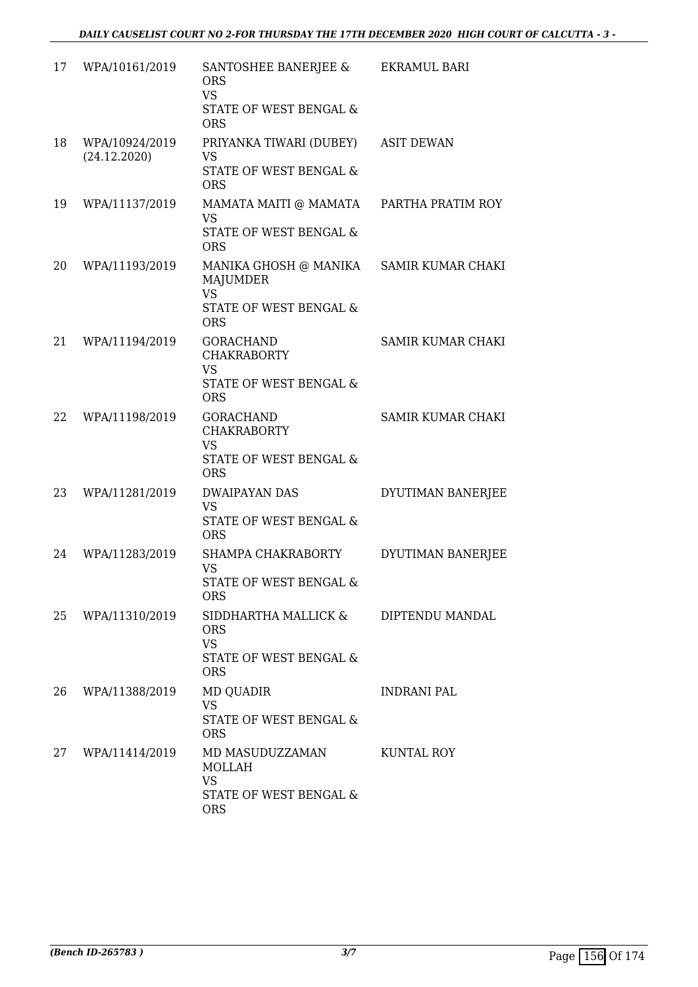| 17 | WPA/10161/2019                 | SANTOSHEE BANERJEE &<br><b>ORS</b><br><b>VS</b><br>STATE OF WEST BENGAL &<br><b>ORS</b>                         | EKRAMUL BARI       |
|----|--------------------------------|-----------------------------------------------------------------------------------------------------------------|--------------------|
| 18 | WPA/10924/2019<br>(24.12.2020) | PRIYANKA TIWARI (DUBEY)<br><b>VS</b><br>STATE OF WEST BENGAL &<br><b>ORS</b>                                    | <b>ASIT DEWAN</b>  |
| 19 | WPA/11137/2019                 | MAMATA MAITI @ MAMATA<br><b>VS</b><br>STATE OF WEST BENGAL &<br><b>ORS</b>                                      | PARTHA PRATIM ROY  |
| 20 | WPA/11193/2019                 | MANIKA GHOSH @ MANIKA SAMIR KUMAR CHAKI<br><b>MAJUMDER</b><br><b>VS</b><br>STATE OF WEST BENGAL &<br><b>ORS</b> |                    |
| 21 | WPA/11194/2019                 | <b>GORACHAND</b><br><b>CHAKRABORTY</b><br><b>VS</b><br>STATE OF WEST BENGAL &<br><b>ORS</b>                     | SAMIR KUMAR CHAKI  |
| 22 | WPA/11198/2019                 | <b>GORACHAND</b><br><b>CHAKRABORTY</b><br><b>VS</b><br>STATE OF WEST BENGAL &<br><b>ORS</b>                     | SAMIR KUMAR CHAKI  |
| 23 | WPA/11281/2019                 | <b>DWAIPAYAN DAS</b><br><b>VS</b><br>STATE OF WEST BENGAL &<br><b>ORS</b>                                       | DYUTIMAN BANERJEE  |
| 24 | WPA/11283/2019                 | SHAMPA CHAKRABORTY<br><b>VS</b><br>STATE OF WEST BENGAL &<br>ORS                                                | DYUTIMAN BANERJEE  |
| 25 | WPA/11310/2019                 | SIDDHARTHA MALLICK &<br><b>ORS</b><br><b>VS</b><br>STATE OF WEST BENGAL &<br><b>ORS</b>                         | DIPTENDU MANDAL    |
| 26 | WPA/11388/2019                 | <b>MD QUADIR</b><br><b>VS</b><br>STATE OF WEST BENGAL &<br><b>ORS</b>                                           | <b>INDRANI PAL</b> |
| 27 | WPA/11414/2019                 | MD MASUDUZZAMAN<br><b>MOLLAH</b><br><b>VS</b><br>STATE OF WEST BENGAL &<br><b>ORS</b>                           | KUNTAL ROY         |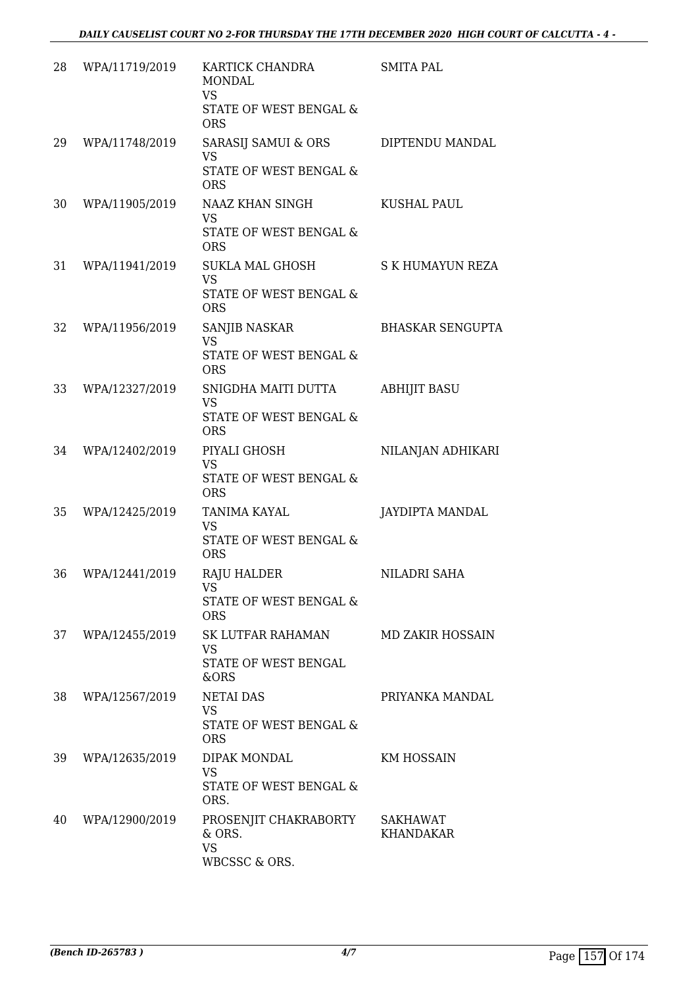| 28 | WPA/11719/2019 | KARTICK CHANDRA<br><b>MONDAL</b><br><b>VS</b><br>STATE OF WEST BENGAL &<br><b>ORS</b> | <b>SMITA PAL</b>        |
|----|----------------|---------------------------------------------------------------------------------------|-------------------------|
| 29 | WPA/11748/2019 | SARASIJ SAMUI & ORS<br><b>VS</b><br>STATE OF WEST BENGAL &<br><b>ORS</b>              | DIPTENDU MANDAL         |
| 30 | WPA/11905/2019 | NAAZ KHAN SINGH<br><b>VS</b><br>STATE OF WEST BENGAL &<br><b>ORS</b>                  | <b>KUSHAL PAUL</b>      |
| 31 | WPA/11941/2019 | SUKLA MAL GHOSH<br><b>VS</b><br>STATE OF WEST BENGAL &<br><b>ORS</b>                  | S K HUMAYUN REZA        |
| 32 | WPA/11956/2019 | SANJIB NASKAR<br><b>VS</b><br><b>STATE OF WEST BENGAL &amp;</b><br><b>ORS</b>         | <b>BHASKAR SENGUPTA</b> |
| 33 | WPA/12327/2019 | SNIGDHA MAITI DUTTA<br><b>VS</b><br>STATE OF WEST BENGAL &<br><b>ORS</b>              | <b>ABHIJIT BASU</b>     |
| 34 | WPA/12402/2019 | PIYALI GHOSH<br><b>VS</b><br><b>STATE OF WEST BENGAL &amp;</b><br><b>ORS</b>          | NILANJAN ADHIKARI       |
| 35 | WPA/12425/2019 | <b>TANIMA KAYAL</b><br>VS<br>STATE OF WEST BENGAL &<br><b>ORS</b>                     | JAYDIPTA MANDAL         |
| 36 | WPA/12441/2019 | <b>RAJU HALDER</b><br>VS<br>STATE OF WEST BENGAL &<br><b>ORS</b>                      | NILADRI SAHA            |
| 37 | WPA/12455/2019 | SK LUTFAR RAHAMAN<br>VS.<br>STATE OF WEST BENGAL<br>&ORS                              | <b>MD ZAKIR HOSSAIN</b> |
| 38 | WPA/12567/2019 | <b>NETAI DAS</b><br>VS<br>STATE OF WEST BENGAL &<br><b>ORS</b>                        | PRIYANKA MANDAL         |
| 39 | WPA/12635/2019 | DIPAK MONDAL<br><b>VS</b><br>STATE OF WEST BENGAL &<br>ORS.                           | KM HOSSAIN              |
| 40 | WPA/12900/2019 | PROSENJIT CHAKRABORTY<br>& ORS.<br><b>VS</b><br>WBCSSC & ORS.                         | SAKHAWAT<br>KHANDAKAR   |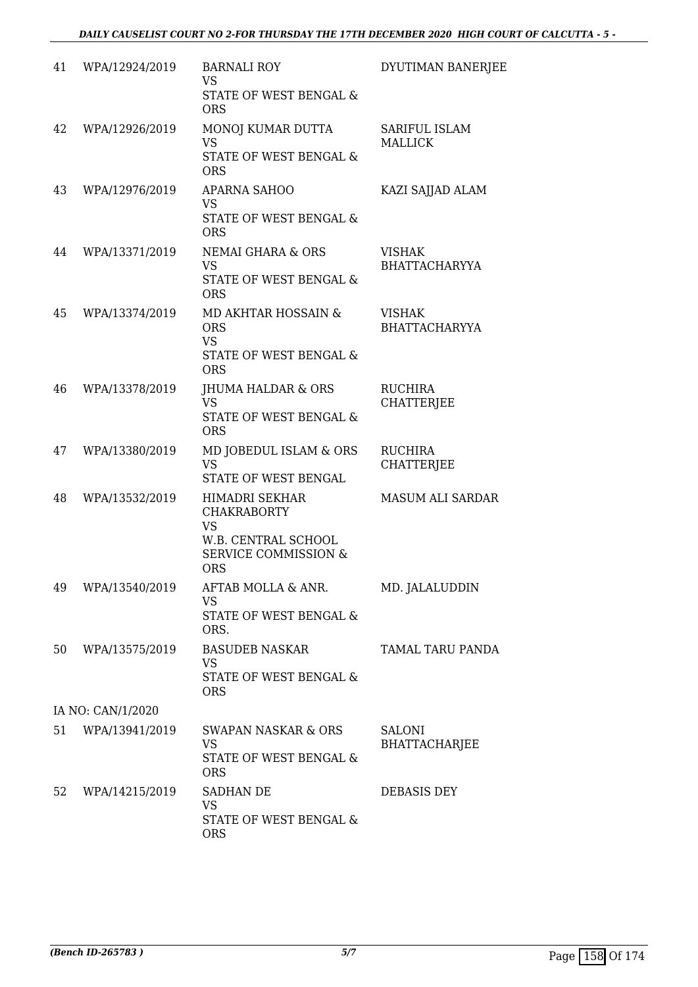| 41 | WPA/12924/2019    | <b>BARNALI ROY</b><br><b>VS</b><br>STATE OF WEST BENGAL &<br><b>ORS</b>                                                   | DYUTIMAN BANERJEE                     |
|----|-------------------|---------------------------------------------------------------------------------------------------------------------------|---------------------------------------|
| 42 | WPA/12926/2019    | MONOJ KUMAR DUTTA<br><b>VS</b><br>STATE OF WEST BENGAL &<br><b>ORS</b>                                                    | SARIFUL ISLAM<br><b>MALLICK</b>       |
| 43 | WPA/12976/2019    | APARNA SAHOO<br><b>VS</b><br><b>STATE OF WEST BENGAL &amp;</b><br><b>ORS</b>                                              | KAZI SAJJAD ALAM                      |
| 44 | WPA/13371/2019    | <b>NEMAI GHARA &amp; ORS</b><br><b>VS</b><br>STATE OF WEST BENGAL &<br><b>ORS</b>                                         | <b>VISHAK</b><br><b>BHATTACHARYYA</b> |
| 45 | WPA/13374/2019    | MD AKHTAR HOSSAIN &<br><b>ORS</b><br><b>VS</b><br>STATE OF WEST BENGAL &<br><b>ORS</b>                                    | <b>VISHAK</b><br><b>BHATTACHARYYA</b> |
| 46 | WPA/13378/2019    | <b>JHUMA HALDAR &amp; ORS</b><br><b>VS</b><br>STATE OF WEST BENGAL &<br><b>ORS</b>                                        | <b>RUCHIRA</b><br><b>CHATTERJEE</b>   |
| 47 | WPA/13380/2019    | MD JOBEDUL ISLAM & ORS<br><b>VS</b><br>STATE OF WEST BENGAL                                                               | <b>RUCHIRA</b><br><b>CHATTERJEE</b>   |
| 48 | WPA/13532/2019    | HIMADRI SEKHAR<br><b>CHAKRABORTY</b><br><b>VS</b><br>W.B. CENTRAL SCHOOL<br><b>SERVICE COMMISSION &amp;</b><br><b>ORS</b> | <b>MASUM ALI SARDAR</b>               |
| 49 | WPA/13540/2019    | AFTAB MOLLA & ANR.<br><b>VS</b><br>STATE OF WEST BENGAL &<br>ORS.                                                         | MD. JALALUDDIN                        |
| 50 | WPA/13575/2019    | <b>BASUDEB NASKAR</b><br><b>VS</b><br>STATE OF WEST BENGAL &<br><b>ORS</b>                                                | TAMAL TARU PANDA                      |
|    | IA NO: CAN/1/2020 |                                                                                                                           |                                       |
| 51 | WPA/13941/2019    | <b>SWAPAN NASKAR &amp; ORS</b><br><b>VS</b><br>STATE OF WEST BENGAL &<br><b>ORS</b>                                       | <b>SALONI</b><br><b>BHATTACHARJEE</b> |
| 52 | WPA/14215/2019    | <b>SADHAN DE</b><br><b>VS</b><br>STATE OF WEST BENGAL &<br><b>ORS</b>                                                     | DEBASIS DEY                           |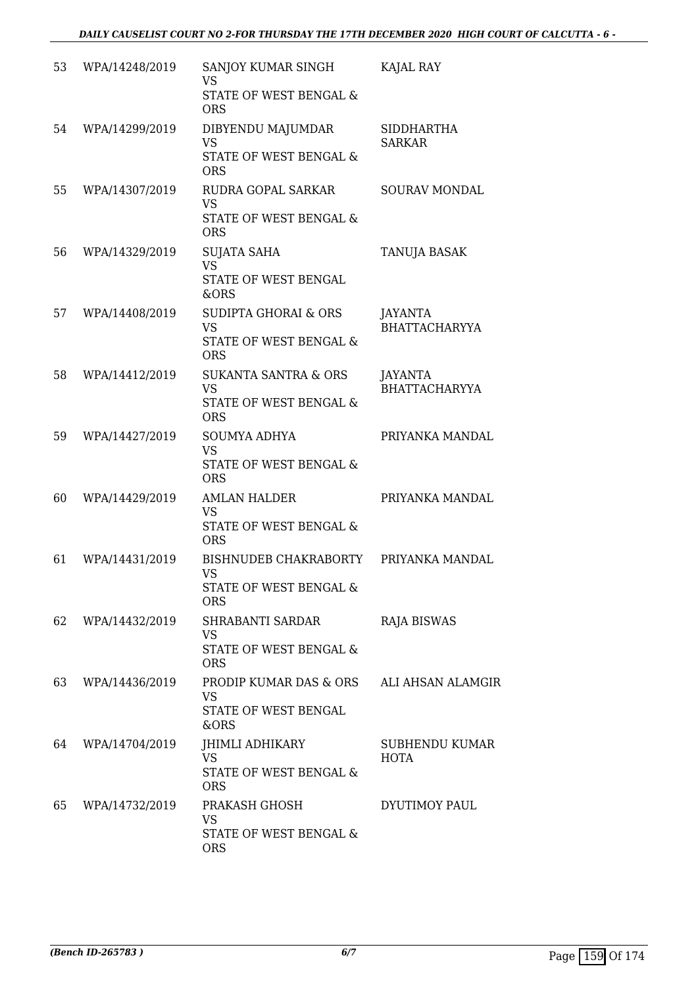| 53 | WPA/14248/2019 | SANJOY KUMAR SINGH<br><b>VS</b><br>STATE OF WEST BENGAL &<br><b>ORS</b>              | KAJAL RAY                          |
|----|----------------|--------------------------------------------------------------------------------------|------------------------------------|
| 54 | WPA/14299/2019 | DIBYENDU MAJUMDAR<br><b>VS</b><br>STATE OF WEST BENGAL &<br><b>ORS</b>               | <b>SIDDHARTHA</b><br><b>SARKAR</b> |
| 55 | WPA/14307/2019 | RUDRA GOPAL SARKAR<br><b>VS</b><br>STATE OF WEST BENGAL &<br><b>ORS</b>              | <b>SOURAV MONDAL</b>               |
| 56 | WPA/14329/2019 | SUJATA SAHA<br><b>VS</b><br>STATE OF WEST BENGAL<br>&ORS                             | TANUJA BASAK                       |
| 57 | WPA/14408/2019 | <b>SUDIPTA GHORAI &amp; ORS</b><br><b>VS</b><br>STATE OF WEST BENGAL &<br><b>ORS</b> | JAYANTA<br><b>BHATTACHARYYA</b>    |
| 58 | WPA/14412/2019 | <b>SUKANTA SANTRA &amp; ORS</b><br><b>VS</b><br>STATE OF WEST BENGAL &<br><b>ORS</b> | JAYANTA<br><b>BHATTACHARYYA</b>    |
| 59 | WPA/14427/2019 | <b>SOUMYA ADHYA</b><br><b>VS</b><br>STATE OF WEST BENGAL &<br><b>ORS</b>             | PRIYANKA MANDAL                    |
| 60 | WPA/14429/2019 | AMLAN HALDER<br><b>VS</b><br>STATE OF WEST BENGAL &<br><b>ORS</b>                    | PRIYANKA MANDAL                    |
| 61 | WPA/14431/2019 | BISHNUDEB CHAKRABORTY<br><b>VS</b><br>STATE OF WEST BENGAL &<br><b>ORS</b>           | PRIYANKA MANDAL                    |
| 62 | WPA/14432/2019 | SHRABANTI SARDAR<br><b>VS</b><br>STATE OF WEST BENGAL &<br><b>ORS</b>                | <b>RAJA BISWAS</b>                 |
| 63 | WPA/14436/2019 | PRODIP KUMAR DAS & ORS<br>VS<br>STATE OF WEST BENGAL<br>&ORS                         | ALI AHSAN ALAMGIR                  |
| 64 | WPA/14704/2019 | JHIMLI ADHIKARY<br><b>VS</b><br>STATE OF WEST BENGAL &<br><b>ORS</b>                 | SUBHENDU KUMAR<br><b>HOTA</b>      |
| 65 | WPA/14732/2019 | PRAKASH GHOSH<br>VS<br>STATE OF WEST BENGAL &<br><b>ORS</b>                          | DYUTIMOY PAUL                      |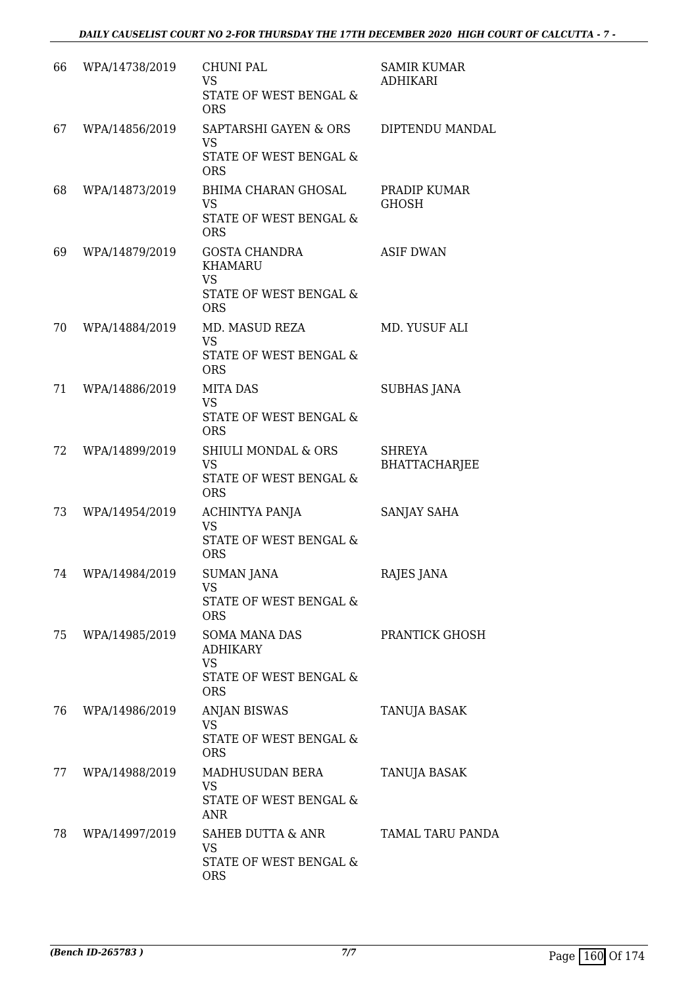| 66 | WPA/14738/2019 | <b>CHUNI PAL</b><br>VS<br>STATE OF WEST BENGAL &<br><b>ORS</b>                                  | <b>SAMIR KUMAR</b><br>ADHIKARI        |
|----|----------------|-------------------------------------------------------------------------------------------------|---------------------------------------|
| 67 | WPA/14856/2019 | SAPTARSHI GAYEN & ORS<br><b>VS</b><br>STATE OF WEST BENGAL &<br><b>ORS</b>                      | DIPTENDU MANDAL                       |
| 68 | WPA/14873/2019 | BHIMA CHARAN GHOSAL<br><b>VS</b><br>STATE OF WEST BENGAL &<br><b>ORS</b>                        | PRADIP KUMAR<br><b>GHOSH</b>          |
| 69 | WPA/14879/2019 | <b>GOSTA CHANDRA</b><br>KHAMARU<br><b>VS</b><br><b>STATE OF WEST BENGAL &amp;</b><br><b>ORS</b> | <b>ASIF DWAN</b>                      |
| 70 | WPA/14884/2019 | MD. MASUD REZA<br><b>VS</b><br>STATE OF WEST BENGAL &<br><b>ORS</b>                             | MD. YUSUF ALI                         |
| 71 | WPA/14886/2019 | <b>MITA DAS</b><br><b>VS</b><br>STATE OF WEST BENGAL &<br><b>ORS</b>                            | <b>SUBHAS JANA</b>                    |
| 72 | WPA/14899/2019 | <b>SHIULI MONDAL &amp; ORS</b><br><b>VS</b><br>STATE OF WEST BENGAL &<br><b>ORS</b>             | <b>SHREYA</b><br><b>BHATTACHARJEE</b> |
| 73 | WPA/14954/2019 | ACHINTYA PANJA<br><b>VS</b><br><b>STATE OF WEST BENGAL &amp;</b><br><b>ORS</b>                  | SANJAY SAHA                           |
| 74 | WPA/14984/2019 | <b>SUMAN JANA</b><br>VS<br>STATE OF WEST BENGAL &<br><b>ORS</b>                                 | RAJES JANA                            |
| 75 | WPA/14985/2019 | <b>SOMA MANA DAS</b><br><b>ADHIKARY</b><br><b>VS</b><br>STATE OF WEST BENGAL &<br><b>ORS</b>    | PRANTICK GHOSH                        |
| 76 | WPA/14986/2019 | ANJAN BISWAS<br><b>VS</b><br>STATE OF WEST BENGAL &<br><b>ORS</b>                               | TANUJA BASAK                          |
| 77 | WPA/14988/2019 | MADHUSUDAN BERA<br><b>VS</b><br>STATE OF WEST BENGAL &<br>ANR                                   | TANUJA BASAK                          |
| 78 | WPA/14997/2019 | SAHEB DUTTA & ANR<br>VS<br>STATE OF WEST BENGAL &<br><b>ORS</b>                                 | TAMAL TARU PANDA                      |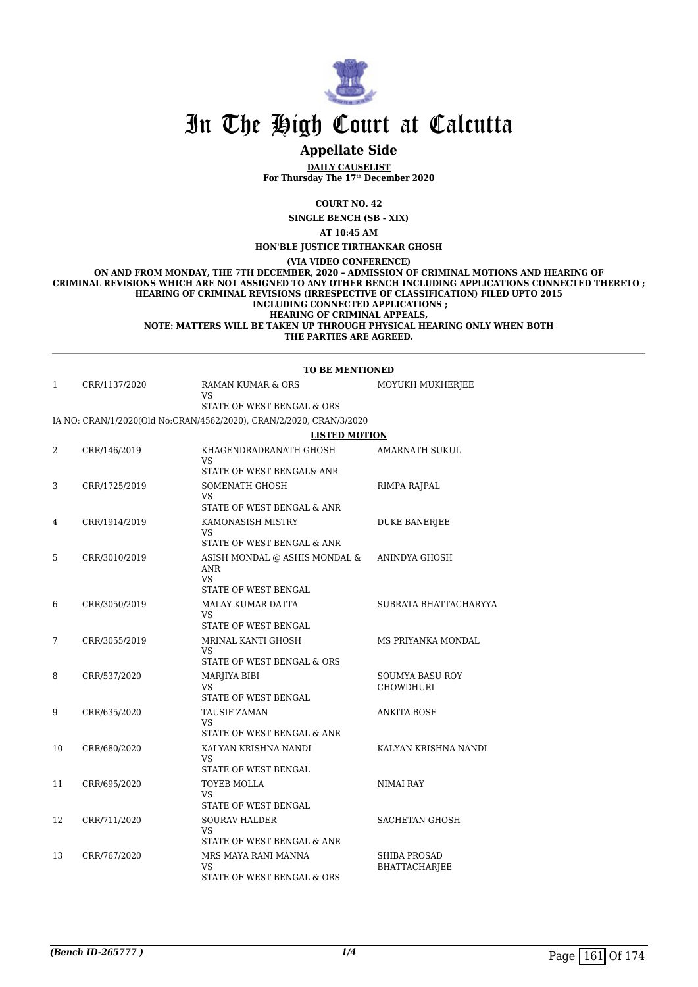

# **Appellate Side**

**DAILY CAUSELIST For Thursday The 17th December 2020**

**COURT NO. 42**

**SINGLE BENCH (SB - XIX)**

**AT 10:45 AM**

**HON'BLE JUSTICE TIRTHANKAR GHOSH**

**(VIA VIDEO CONFERENCE)**

**ON AND FROM MONDAY, THE 7TH DECEMBER, 2020 – ADMISSION OF CRIMINAL MOTIONS AND HEARING OF CRIMINAL REVISIONS WHICH ARE NOT ASSIGNED TO ANY OTHER BENCH INCLUDING APPLICATIONS CONNECTED THERETO ; HEARING OF CRIMINAL REVISIONS (IRRESPECTIVE OF CLASSIFICATION) FILED UPTO 2015 INCLUDING CONNECTED APPLICATIONS ; HEARING OF CRIMINAL APPEALS, NOTE: MATTERS WILL BE TAKEN UP THROUGH PHYSICAL HEARING ONLY WHEN BOTH**

**THE PARTIES ARE AGREED.**

#### **TO BE MENTIONED**

| CRR/1137/2020 | RAMAN KUMAR & ORS<br>VS                                             | MOYUKH MUKHERJEE |
|---------------|---------------------------------------------------------------------|------------------|
|               | STATE OF WEST BENGAL & ORS                                          |                  |
|               | IA NO: CRAN/1/2020(Old No:CRAN/4562/2020), CRAN/2/2020, CRAN/3/2020 |                  |
|               | <b>LISTED MOTION</b>                                                |                  |
| CRR/146/2019  | KHAGENDRADRANATH GHOSH<br>17C                                       | AMARNATH SUKUL   |

| 2  | CRR/146/2019  | KHAGENDRADRANATH GHOSH<br>VS<br>STATE OF WEST BENGAL& ANR                       | AMARNATH SUKUL                              |
|----|---------------|---------------------------------------------------------------------------------|---------------------------------------------|
| 3  | CRR/1725/2019 | SOMENATH GHOSH<br><b>VS</b><br>STATE OF WEST BENGAL & ANR                       | RIMPA RAJPAL                                |
| 4  | CRR/1914/2019 | KAMONASISH MISTRY<br><b>VS</b><br>STATE OF WEST BENGAL & ANR                    | <b>DUKE BANERJEE</b>                        |
| 5  | CRR/3010/2019 | ASISH MONDAL @ ASHIS MONDAL &<br>ANR<br><b>VS</b>                               | ANINDYA GHOSH                               |
| 6  | CRR/3050/2019 | STATE OF WEST BENGAL<br><b>MALAY KUMAR DATTA</b><br>VS.<br>STATE OF WEST BENGAL | SUBRATA BHATTACHARYYA                       |
| 7  | CRR/3055/2019 | MRINAL KANTI GHOSH<br>VS.<br>STATE OF WEST BENGAL & ORS                         | MS PRIYANKA MONDAL                          |
| 8  | CRR/537/2020  | <b>MARJIYA BIBI</b><br><b>VS</b><br>STATE OF WEST BENGAL                        | <b>SOUMYA BASU ROY</b><br><b>CHOWDHURI</b>  |
| 9  | CRR/635/2020  | <b>TAUSIF ZAMAN</b><br>VS.<br>STATE OF WEST BENGAL & ANR                        | <b>ANKITA BOSE</b>                          |
| 10 | CRR/680/2020  | KALYAN KRISHNA NANDI<br><b>VS</b><br>STATE OF WEST BENGAL                       | KALYAN KRISHNA NANDI                        |
| 11 | CRR/695/2020  | TOYEB MOLLA<br><b>VS</b><br>STATE OF WEST BENGAL                                | <b>NIMAI RAY</b>                            |
| 12 | CRR/711/2020  | <b>SOURAV HALDER</b><br>VS.<br>STATE OF WEST BENGAL & ANR                       | SACHETAN GHOSH                              |
| 13 | CRR/767/2020  | MRS MAYA RANI MANNA<br><b>VS</b><br>STATE OF WEST BENGAL & ORS                  | <b>SHIBA PROSAD</b><br><b>BHATTACHARIEE</b> |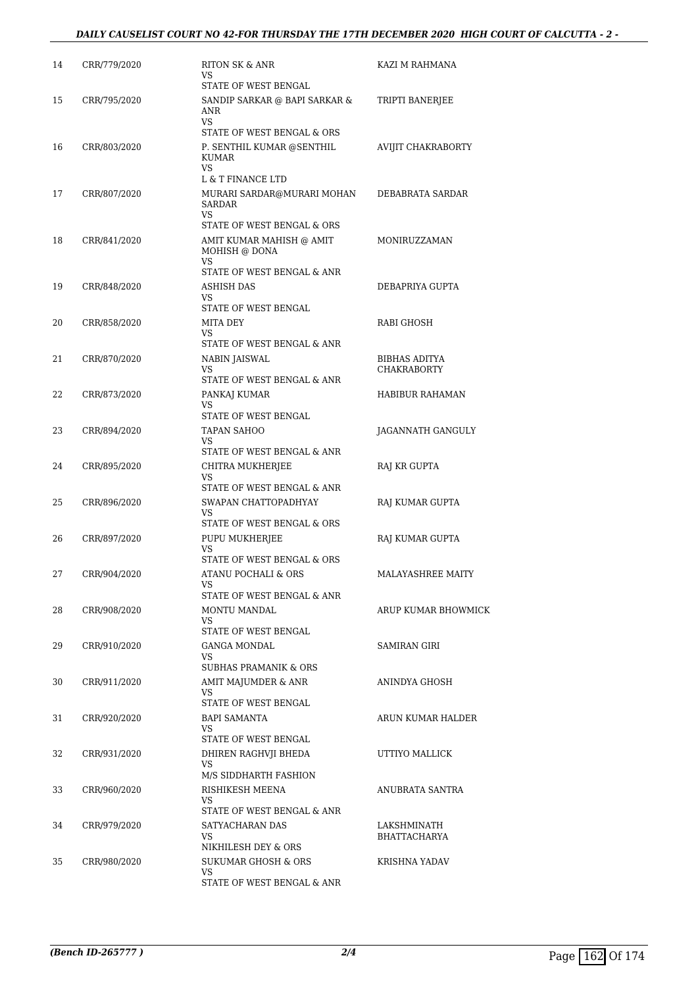## *DAILY CAUSELIST COURT NO 42-FOR THURSDAY THE 17TH DECEMBER 2020 HIGH COURT OF CALCUTTA - 2 -*

| 14 | CRR/779/2020 | RITON SK & ANR<br>VS<br>STATE OF WEST BENGAL                            | KAZI M RAHMANA           |
|----|--------------|-------------------------------------------------------------------------|--------------------------|
| 15 | CRR/795/2020 | SANDIP SARKAR @ BAPI SARKAR &<br>ANR                                    | TRIPTI BANERJEE          |
|    |              | VS<br>STATE OF WEST BENGAL & ORS                                        |                          |
| 16 | CRR/803/2020 | P. SENTHIL KUMAR @SENTHIL<br>KUMAR<br>VS.                               | AVIJIT CHAKRABORTY       |
|    |              | L & T FINANCE LTD                                                       |                          |
| 17 | CRR/807/2020 | MURARI SARDAR@MURARI MOHAN<br>SARDAR<br>VS.                             | DEBABRATA SARDAR         |
| 18 | CRR/841/2020 | STATE OF WEST BENGAL & ORS<br>AMIT KUMAR MAHISH @ AMIT<br>MOHISH @ DONA | MONIRUZZAMAN             |
|    |              | VS                                                                      |                          |
|    |              | STATE OF WEST BENGAL & ANR                                              |                          |
| 19 | CRR/848/2020 | <b>ASHISH DAS</b><br>VS.                                                | DEBAPRIYA GUPTA          |
|    |              | STATE OF WEST BENGAL                                                    |                          |
| 20 | CRR/858/2020 | MITA DEY<br>VS                                                          | RABI GHOSH               |
|    |              | STATE OF WEST BENGAL & ANR                                              |                          |
| 21 | CRR/870/2020 | NABIN JAISWAL                                                           | <b>BIBHAS ADITYA</b>     |
|    |              | VS<br>STATE OF WEST BENGAL & ANR                                        | CHAKRABORTY              |
| 22 | CRR/873/2020 | PANKAJ KUMAR                                                            | HABIBUR RAHAMAN          |
|    |              | VS                                                                      |                          |
| 23 | CRR/894/2020 | STATE OF WEST BENGAL<br><b>TAPAN SAHOO</b>                              | JAGANNATH GANGULY        |
|    |              | VS                                                                      |                          |
|    |              | STATE OF WEST BENGAL & ANR                                              |                          |
| 24 | CRR/895/2020 | CHITRA MUKHERJEE<br>VS<br>STATE OF WEST BENGAL & ANR                    | RAJ KR GUPTA             |
| 25 | CRR/896/2020 | SWAPAN CHATTOPADHYAY<br>VS                                              | RAJ KUMAR GUPTA          |
|    |              | STATE OF WEST BENGAL & ORS                                              |                          |
| 26 | CRR/897/2020 | PUPU MUKHERJEE<br>VS<br>STATE OF WEST BENGAL & ORS                      | RAJ KUMAR GUPTA          |
| 27 | CRR/904/2020 | ATANU POCHALI & ORS                                                     | <b>MALAYASHREE MAITY</b> |
|    |              | VS<br>STATE OF WEST BENGAL & ANR                                        |                          |
| 28 | CRR/908/2020 | MONTU MANDAL<br>VS.                                                     | ARUP KUMAR BHOWMICK      |
|    |              | STATE OF WEST BENGAL                                                    |                          |
| 29 | CRR/910/2020 | GANGA MONDAL<br>VS                                                      | SAMIRAN GIRI             |
|    |              | <b>SUBHAS PRAMANIK &amp; ORS</b>                                        |                          |
| 30 | CRR/911/2020 | AMIT MAJUMDER & ANR<br>VS                                               | ANINDYA GHOSH            |
|    |              | STATE OF WEST BENGAL                                                    |                          |
| 31 | CRR/920/2020 | <b>BAPI SAMANTA</b><br>VS                                               | ARUN KUMAR HALDER        |
|    |              | STATE OF WEST BENGAL                                                    |                          |
| 32 | CRR/931/2020 | DHIREN RAGHVJI BHEDA<br>VS                                              | UTTIYO MALLICK           |
|    |              | M/S SIDDHARTH FASHION                                                   |                          |
| 33 | CRR/960/2020 | RISHIKESH MEENA                                                         | ANUBRATA SANTRA          |
|    |              | VS<br>STATE OF WEST BENGAL & ANR                                        |                          |
| 34 | CRR/979/2020 | SATYACHARAN DAS                                                         | LAKSHMINATH              |
|    |              | VS.<br>NIKHILESH DEY & ORS                                              | <b>BHATTACHARYA</b>      |
| 35 | CRR/980/2020 | SUKUMAR GHOSH & ORS                                                     | KRISHNA YADAV            |
|    |              | VS<br>STATE OF WEST BENGAL & ANR                                        |                          |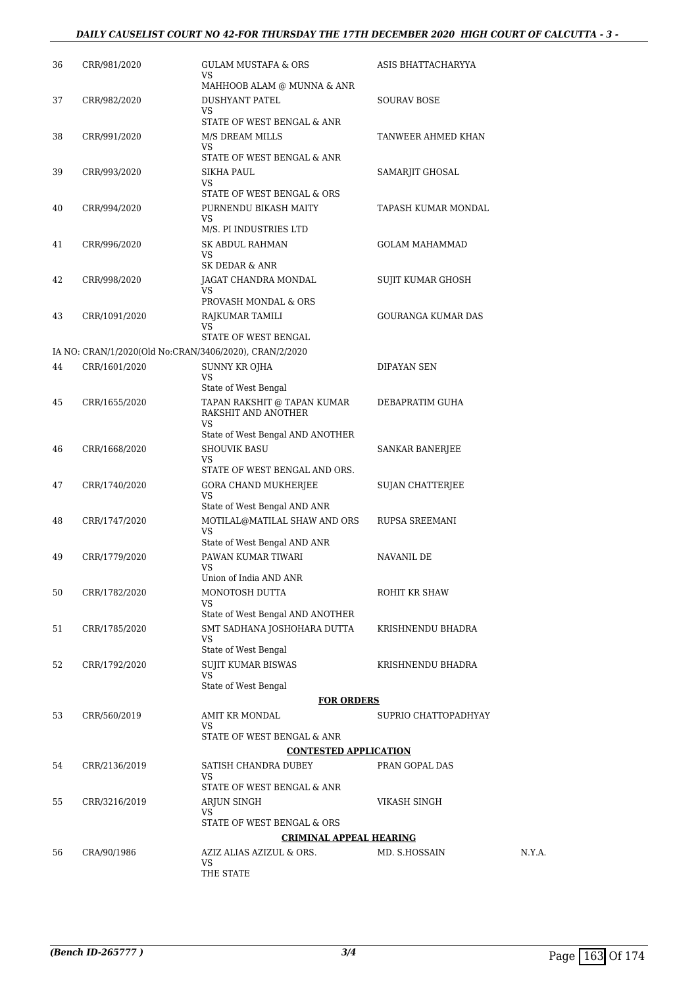## *DAILY CAUSELIST COURT NO 42-FOR THURSDAY THE 17TH DECEMBER 2020 HIGH COURT OF CALCUTTA - 3 -*

| 36                             | CRR/981/2020                                           | <b>GULAM MUSTAFA &amp; ORS</b><br>VS                      | ASIS BHATTACHARYYA        |        |
|--------------------------------|--------------------------------------------------------|-----------------------------------------------------------|---------------------------|--------|
| 37                             | CRR/982/2020                                           | MAHHOOB ALAM @ MUNNA & ANR<br><b>DUSHYANT PATEL</b><br>VS | SOURAV BOSE               |        |
| 38                             | CRR/991/2020                                           | STATE OF WEST BENGAL & ANR<br>M/S DREAM MILLS             | TANWEER AHMED KHAN        |        |
|                                |                                                        | VS<br>STATE OF WEST BENGAL & ANR                          |                           |        |
| 39                             | CRR/993/2020                                           | SIKHA PAUL<br>VS<br>STATE OF WEST BENGAL & ORS            | SAMARJIT GHOSAL           |        |
| 40                             | CRR/994/2020                                           | PURNENDU BIKASH MAITY<br>VS                               | TAPASH KUMAR MONDAL       |        |
| 41                             | CRR/996/2020                                           | M/S. PI INDUSTRIES LTD<br>SK ABDUL RAHMAN<br>VS           | <b>GOLAM MAHAMMAD</b>     |        |
| 42                             | CRR/998/2020                                           | SK DEDAR & ANR<br>JAGAT CHANDRA MONDAL                    | SUJIT KUMAR GHOSH         |        |
|                                |                                                        | VS<br>PROVASH MONDAL & ORS                                |                           |        |
| 43                             | CRR/1091/2020                                          | RAJKUMAR TAMILI<br>VS                                     | <b>GOURANGA KUMAR DAS</b> |        |
|                                |                                                        | STATE OF WEST BENGAL                                      |                           |        |
|                                | IA NO: CRAN/1/2020(Old No:CRAN/3406/2020), CRAN/2/2020 |                                                           |                           |        |
| 44                             | CRR/1601/2020                                          | SUNNY KR OJHA<br>VS                                       | DIPAYAN SEN               |        |
|                                |                                                        | State of West Bengal                                      |                           |        |
| 45                             | CRR/1655/2020                                          | TAPAN RAKSHIT @ TAPAN KUMAR<br>RAKSHIT AND ANOTHER<br>VS  | DEBAPRATIM GUHA           |        |
|                                |                                                        | State of West Bengal AND ANOTHER                          |                           |        |
| 46                             | CRR/1668/2020                                          | <b>SHOUVIK BASU</b><br>VS                                 | <b>SANKAR BANERJEE</b>    |        |
| 47                             | CRR/1740/2020                                          | STATE OF WEST BENGAL AND ORS.<br>GORA CHAND MUKHERJEE     | SUJAN CHATTERJEE          |        |
|                                |                                                        | VS<br>State of West Bengal AND ANR                        |                           |        |
| 48                             | CRR/1747/2020                                          | MOTILAL@MATILAL SHAW AND ORS<br>VS                        | <b>RUPSA SREEMANI</b>     |        |
| 49                             | CRR/1779/2020                                          | State of West Bengal AND ANR<br>PAWAN KUMAR TIWARI        | NAVANIL DE                |        |
|                                |                                                        | VS<br>Union of India AND ANR                              |                           |        |
| 50                             | CRR/1782/2020                                          | MONOTOSH DUTTA<br>VS                                      | ROHIT KR SHAW             |        |
|                                |                                                        | State of West Bengal AND ANOTHER                          |                           |        |
| 51                             | CRR/1785/2020                                          | SMT SADHANA JOSHOHARA DUTTA<br>VS                         | KRISHNENDU BHADRA         |        |
|                                |                                                        | State of West Bengal                                      |                           |        |
| 52                             | CRR/1792/2020                                          | <b>SUJIT KUMAR BISWAS</b><br>VS                           | KRISHNENDU BHADRA         |        |
|                                |                                                        | State of West Bengal                                      |                           |        |
|                                |                                                        | <b>FOR ORDERS</b>                                         |                           |        |
| 53                             | CRR/560/2019                                           | AMIT KR MONDAL<br>VS                                      | SUPRIO CHATTOPADHYAY      |        |
|                                |                                                        | STATE OF WEST BENGAL & ANR                                |                           |        |
|                                |                                                        | <b>CONTESTED APPLICATION</b>                              |                           |        |
| 54                             | CRR/2136/2019                                          | SATISH CHANDRA DUBEY<br>VS                                | PRAN GOPAL DAS            |        |
|                                |                                                        | STATE OF WEST BENGAL & ANR                                |                           |        |
| 55                             | CRR/3216/2019                                          | ARJUN SINGH<br>VS                                         | VIKASH SINGH              |        |
|                                |                                                        | STATE OF WEST BENGAL & ORS                                |                           |        |
| <b>CRIMINAL APPEAL HEARING</b> |                                                        |                                                           |                           |        |
| 56                             | CRA/90/1986                                            | AZIZ ALIAS AZIZUL & ORS.<br>VS                            | MD. S.HOSSAIN             | N.Y.A. |
|                                |                                                        | THE STATE                                                 |                           |        |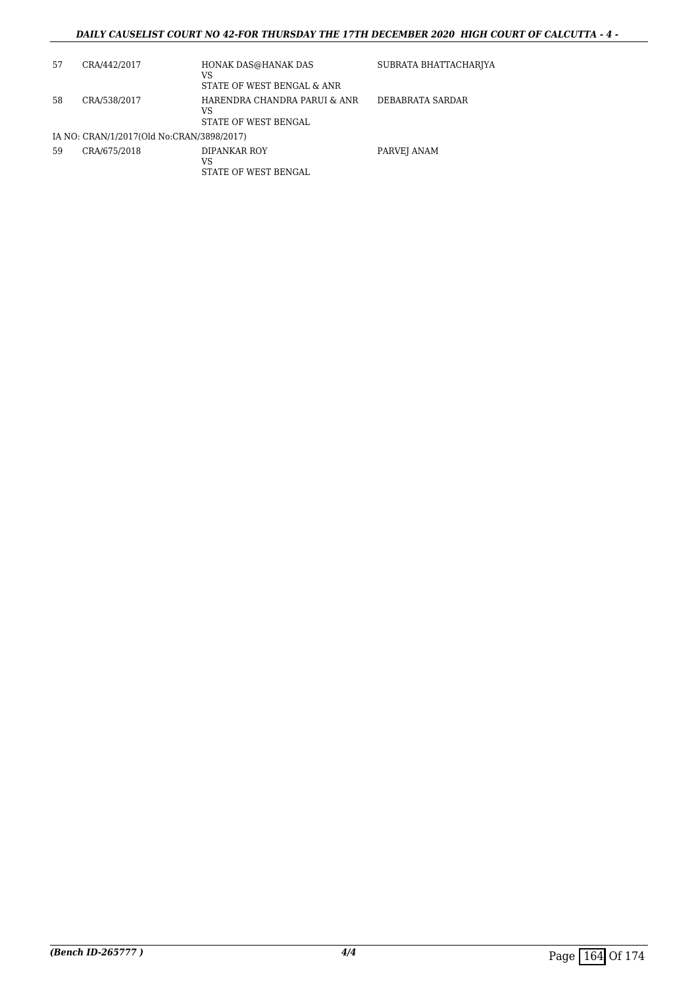## *DAILY CAUSELIST COURT NO 42-FOR THURSDAY THE 17TH DECEMBER 2020 HIGH COURT OF CALCUTTA - 4 -*

| 57 | CRA/442/2017                              | HONAK DAS@HANAK DAS<br>VS<br>STATE OF WEST BENGAL & ANR    | SUBRATA BHATTACHARJYA |
|----|-------------------------------------------|------------------------------------------------------------|-----------------------|
| 58 | CRA/538/2017                              | HARENDRA CHANDRA PARUI & ANR<br>VS<br>STATE OF WEST BENGAL | DEBABRATA SARDAR      |
|    | IA NO: CRAN/1/2017(Old No:CRAN/3898/2017) |                                                            |                       |
| 59 | CRA/675/2018                              | DIPANKAR ROY<br>VS<br>STATE OF WEST BENGAL                 | PARVEJ ANAM           |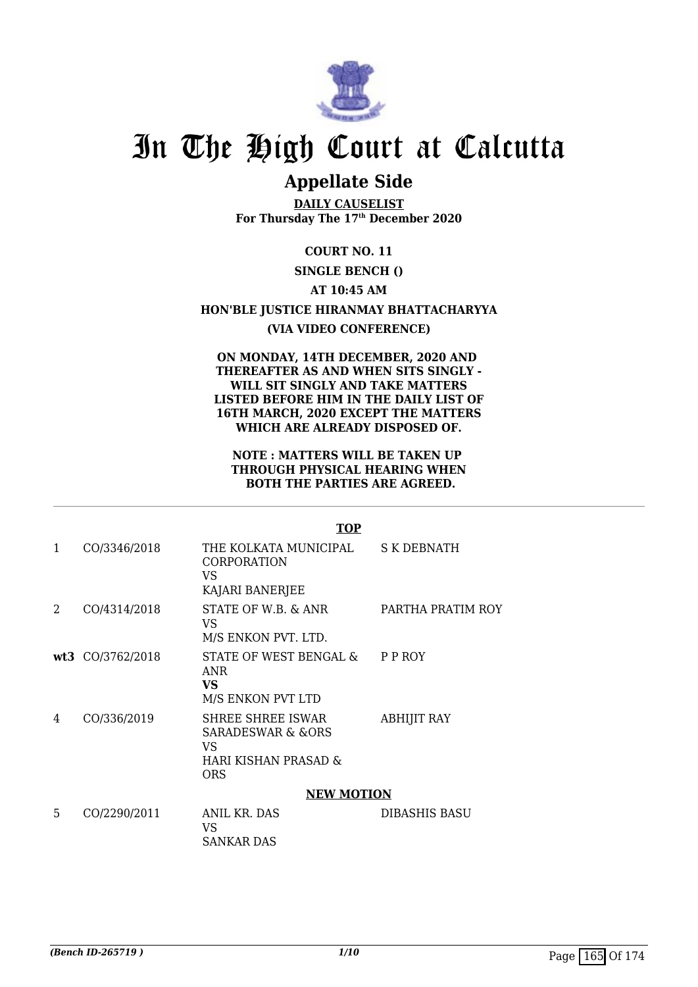

# **Appellate Side**

**DAILY CAUSELIST For Thursday The 17th December 2020**

**COURT NO. 11**

# **SINGLE BENCH ()**

**AT 10:45 AM**

**HON'BLE JUSTICE HIRANMAY BHATTACHARYYA**

## **(VIA VIDEO CONFERENCE)**

**ON MONDAY, 14TH DECEMBER, 2020 AND THEREAFTER AS AND WHEN SITS SINGLY - WILL SIT SINGLY AND TAKE MATTERS LISTED BEFORE HIM IN THE DAILY LIST OF 16TH MARCH, 2020 EXCEPT THE MATTERS WHICH ARE ALREADY DISPOSED OF.**

### **NOTE : MATTERS WILL BE TAKEN UP THROUGH PHYSICAL HEARING WHEN BOTH THE PARTIES ARE AGREED.**

|   |                  | <b>TOP</b>                                                                                |                      |
|---|------------------|-------------------------------------------------------------------------------------------|----------------------|
| 1 | CO/3346/2018     | THE KOLKATA MUNICIPAL<br><b>CORPORATION</b><br>VS<br>KAJARI BANERJEE                      | <b>S K DEBNATH</b>   |
| 2 | CO/4314/2018     | STATE OF W.B. & ANR<br>VS<br>M/S ENKON PVT. LTD.                                          | PARTHA PRATIM ROY    |
|   | wt3 CO/3762/2018 | STATE OF WEST BENGAL &<br><b>ANR</b><br><b>VS</b><br>M/S ENKON PVT LTD                    | P P ROY              |
| 4 | CO/336/2019      | <b>SHREE SHREE ISWAR</b><br>SARADESWAR & &ORS<br>VS<br>HARI KISHAN PRASAD &<br><b>ORS</b> | <b>ABHIJIT RAY</b>   |
|   |                  | <b>NEW MOTION</b>                                                                         |                      |
| 5 | CO/2290/2011     | <b>ANIL KR. DAS</b><br>VS.<br>SANKAR DAS                                                  | <b>DIBASHIS BASU</b> |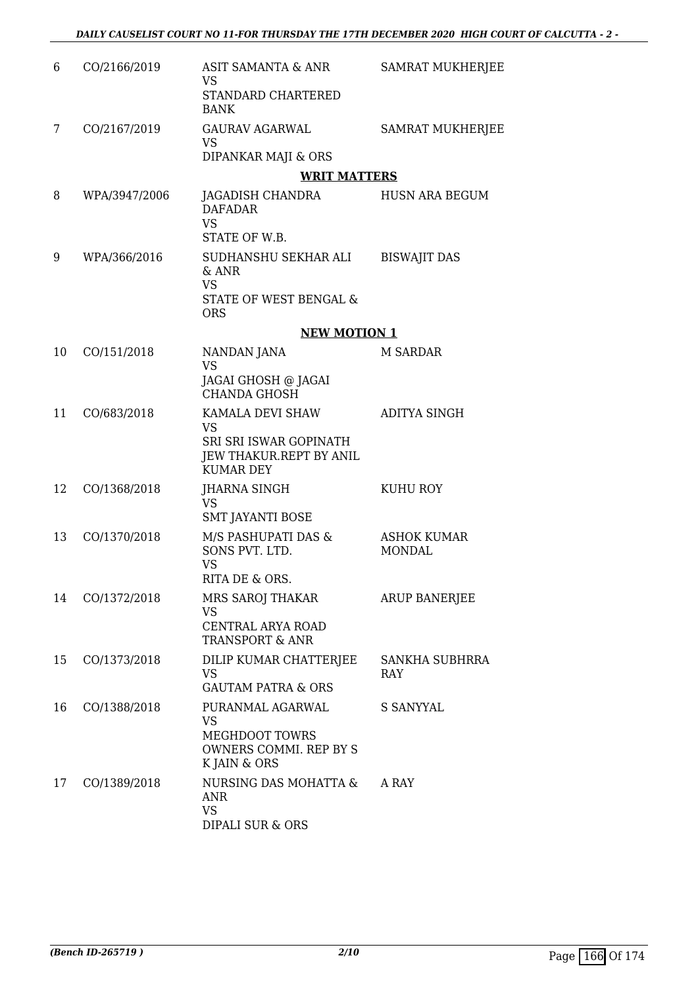| 6  | CO/2166/2019  | ASIT SAMANTA & ANR<br><b>VS</b><br><b>STANDARD CHARTERED</b>                                           | <b>SAMRAT MUKHERJEE</b>             |
|----|---------------|--------------------------------------------------------------------------------------------------------|-------------------------------------|
| 7  | CO/2167/2019  | <b>BANK</b><br>GAURAV AGARWAL<br><b>VS</b>                                                             | <b>SAMRAT MUKHERJEE</b>             |
|    |               | DIPANKAR MAJI & ORS                                                                                    |                                     |
|    |               | <b>WRIT MATTERS</b>                                                                                    |                                     |
| 8  | WPA/3947/2006 | JAGADISH CHANDRA<br><b>DAFADAR</b><br><b>VS</b><br>STATE OF W.B.                                       | HUSN ARA BEGUM                      |
| 9  | WPA/366/2016  | SUDHANSHU SEKHAR ALI<br>& ANR<br><b>VS</b><br>STATE OF WEST BENGAL &<br><b>ORS</b>                     | <b>BISWAJIT DAS</b>                 |
|    |               | <b>NEW MOTION 1</b>                                                                                    |                                     |
| 10 | CO/151/2018   | NANDAN JANA<br><b>VS</b>                                                                               | <b>M SARDAR</b>                     |
|    |               | JAGAI GHOSH @ JAGAI<br><b>CHANDA GHOSH</b>                                                             |                                     |
| 11 | CO/683/2018   | KAMALA DEVI SHAW<br><b>VS</b><br>SRI SRI ISWAR GOPINATH<br>JEW THAKUR.REPT BY ANIL<br><b>KUMAR DEY</b> | ADITYA SINGH                        |
| 12 | CO/1368/2018  | <b>JHARNA SINGH</b><br><b>VS</b>                                                                       | KUHU ROY                            |
| 13 | CO/1370/2018  | SMT JAYANTI BOSE<br>M/S PASHUPATI DAS &<br>SONS PVT. LTD.<br><b>VS</b><br>RITA DE & ORS.               | <b>ASHOK KUMAR</b><br><b>MONDAL</b> |
| 14 | CO/1372/2018  | MRS SAROJ THAKAR<br><b>VS</b><br>CENTRAL ARYA ROAD<br><b>TRANSPORT &amp; ANR</b>                       | ARUP BANERJEE                       |
| 15 | CO/1373/2018  | DILIP KUMAR CHATTERJEE<br>VS<br><b>GAUTAM PATRA &amp; ORS</b>                                          | SANKHA SUBHRRA<br><b>RAY</b>        |
| 16 | CO/1388/2018  | PURANMAL AGARWAL<br>VS<br>MEGHDOOT TOWRS<br>OWNERS COMMI. REP BY S<br>K JAIN & ORS                     | S SANYYAL                           |
| 17 | CO/1389/2018  | NURSING DAS MOHATTA &<br><b>ANR</b><br><b>VS</b><br>DIPALI SUR & ORS                                   | A RAY                               |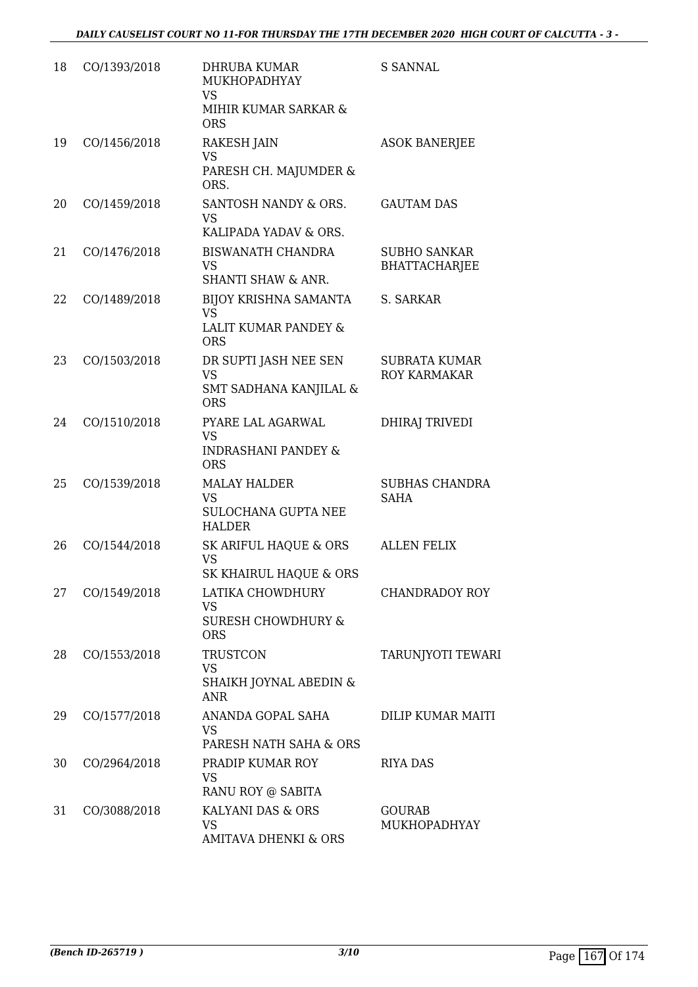| 18 | CO/1393/2018 | <b>DHRUBA KUMAR</b><br>MUKHOPADHYAY<br><b>VS</b><br>MIHIR KUMAR SARKAR &<br><b>ORS</b> | <b>S SANNAL</b>                             |
|----|--------------|----------------------------------------------------------------------------------------|---------------------------------------------|
| 19 | CO/1456/2018 | <b>RAKESH JAIN</b><br><b>VS</b><br>PARESH CH. MAJUMDER &<br>ORS.                       | <b>ASOK BANERJEE</b>                        |
| 20 | CO/1459/2018 | SANTOSH NANDY & ORS.<br><b>VS</b><br>KALIPADA YADAV & ORS.                             | <b>GAUTAM DAS</b>                           |
| 21 | CO/1476/2018 | <b>BISWANATH CHANDRA</b><br><b>VS</b><br><b>SHANTI SHAW &amp; ANR.</b>                 | <b>SUBHO SANKAR</b><br><b>BHATTACHARJEE</b> |
| 22 | CO/1489/2018 | BIJOY KRISHNA SAMANTA<br><b>VS</b><br>LALIT KUMAR PANDEY &<br><b>ORS</b>               | S. SARKAR                                   |
| 23 | CO/1503/2018 | DR SUPTI JASH NEE SEN<br><b>VS</b><br>SMT SADHANA KANJILAL &<br><b>ORS</b>             | <b>SUBRATA KUMAR</b><br><b>ROY KARMAKAR</b> |
| 24 | CO/1510/2018 | PYARE LAL AGARWAL<br><b>VS</b><br><b>INDRASHANI PANDEY &amp;</b><br><b>ORS</b>         | <b>DHIRAJ TRIVEDI</b>                       |
| 25 | CO/1539/2018 | <b>MALAY HALDER</b><br><b>VS</b><br>SULOCHANA GUPTA NEE<br><b>HALDER</b>               | <b>SUBHAS CHANDRA</b><br><b>SAHA</b>        |
| 26 | CO/1544/2018 | SK ARIFUL HAQUE & ORS<br><b>VS</b><br>SK KHAIRUL HAQUE & ORS                           | <b>ALLEN FELIX</b>                          |
| 27 | CO/1549/2018 | LATIKA CHOWDHURY<br><b>VS</b><br><b>SURESH CHOWDHURY &amp;</b><br><b>ORS</b>           | <b>CHANDRADOY ROY</b>                       |
| 28 | CO/1553/2018 | <b>TRUSTCON</b><br><b>VS</b><br>SHAIKH JOYNAL ABEDIN &<br><b>ANR</b>                   | TARUNJYOTI TEWARI                           |
| 29 | CO/1577/2018 | ANANDA GOPAL SAHA<br><b>VS</b><br>PARESH NATH SAHA & ORS                               | DILIP KUMAR MAITI                           |
| 30 | CO/2964/2018 | PRADIP KUMAR ROY<br><b>VS</b><br>RANU ROY @ SABITA                                     | <b>RIYA DAS</b>                             |
| 31 | CO/3088/2018 | KALYANI DAS & ORS<br><b>VS</b><br><b>AMITAVA DHENKI &amp; ORS</b>                      | <b>GOURAB</b><br>MUKHOPADHYAY               |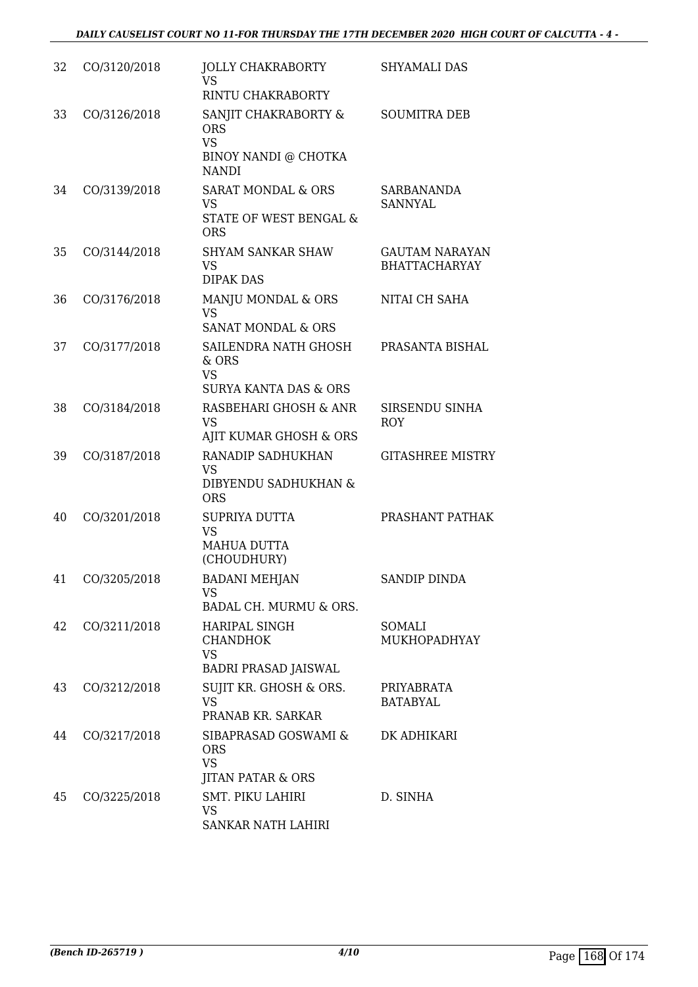| 32 | CO/3120/2018 | <b>JOLLY CHAKRABORTY</b><br>VS                                                                | SHYAMALI DAS                                  |
|----|--------------|-----------------------------------------------------------------------------------------------|-----------------------------------------------|
|    |              | RINTU CHAKRABORTY                                                                             |                                               |
| 33 | CO/3126/2018 | SANJIT CHAKRABORTY &<br><b>ORS</b><br><b>VS</b><br>BINOY NANDI @ CHOTKA<br><b>NANDI</b>       | <b>SOUMITRA DEB</b>                           |
| 34 | CO/3139/2018 | <b>SARAT MONDAL &amp; ORS</b><br><b>VS</b><br><b>STATE OF WEST BENGAL &amp;</b><br><b>ORS</b> | SARBANANDA<br><b>SANNYAL</b>                  |
| 35 | CO/3144/2018 | <b>SHYAM SANKAR SHAW</b><br><b>VS</b><br><b>DIPAK DAS</b>                                     | <b>GAUTAM NARAYAN</b><br><b>BHATTACHARYAY</b> |
| 36 | CO/3176/2018 | MANJU MONDAL & ORS<br><b>VS</b><br><b>SANAT MONDAL &amp; ORS</b>                              | NITAI CH SAHA                                 |
| 37 | CO/3177/2018 | SAILENDRA NATH GHOSH<br>& ORS<br><b>VS</b><br><b>SURYA KANTA DAS &amp; ORS</b>                | PRASANTA BISHAL                               |
| 38 | CO/3184/2018 | RASBEHARI GHOSH & ANR<br><b>VS</b><br>AJIT KUMAR GHOSH & ORS                                  | SIRSENDU SINHA<br><b>ROY</b>                  |
| 39 | CO/3187/2018 | RANADIP SADHUKHAN<br><b>VS</b><br>DIBYENDU SADHUKHAN &<br><b>ORS</b>                          | <b>GITASHREE MISTRY</b>                       |
| 40 | CO/3201/2018 | SUPRIYA DUTTA<br><b>VS</b><br>MAHUA DUTTA<br>(CHOUDHURY)                                      | PRASHANT PATHAK                               |
| 41 | CO/3205/2018 | <b>BADANI MEHJAN</b><br><b>VS</b><br>BADAL CH. MURMU & ORS.                                   | <b>SANDIP DINDA</b>                           |
| 42 | CO/3211/2018 | <b>HARIPAL SINGH</b><br><b>CHANDHOK</b><br><b>VS</b>                                          | SOMALI<br><b>MUKHOPADHYAY</b>                 |
| 43 | CO/3212/2018 | <b>BADRI PRASAD JAISWAL</b><br>SUJIT KR. GHOSH & ORS.<br><b>VS</b><br>PRANAB KR. SARKAR       | PRIYABRATA<br><b>BATABYAL</b>                 |
| 44 | CO/3217/2018 | SIBAPRASAD GOSWAMI &<br><b>ORS</b><br><b>VS</b><br><b>JITAN PATAR &amp; ORS</b>               | DK ADHIKARI                                   |
| 45 | CO/3225/2018 | <b>SMT. PIKU LAHIRI</b><br><b>VS</b><br>SANKAR NATH LAHIRI                                    | D. SINHA                                      |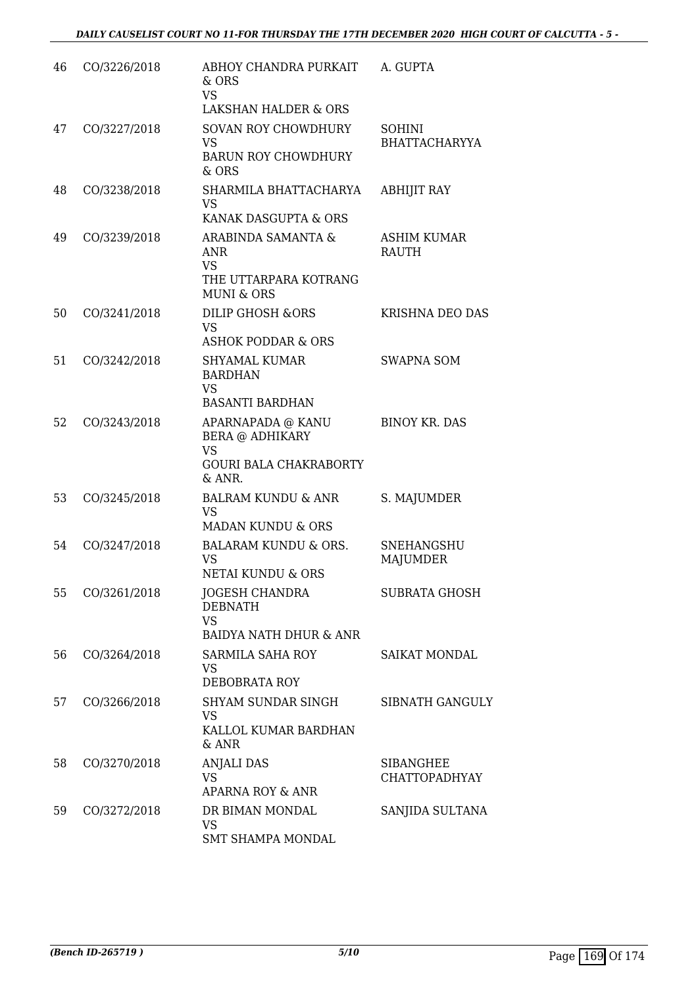| 46 | CO/3226/2018 | ABHOY CHANDRA PURKAIT<br>& ORS<br>VS.<br><b>LAKSHAN HALDER &amp; ORS</b>                            | A. GUPTA                             |
|----|--------------|-----------------------------------------------------------------------------------------------------|--------------------------------------|
| 47 | CO/3227/2018 | <b>SOVAN ROY CHOWDHURY</b><br><b>VS</b><br><b>BARUN ROY CHOWDHURY</b><br>& ORS                      | SOHINI<br><b>BHATTACHARYYA</b>       |
| 48 | CO/3238/2018 | SHARMILA BHATTACHARYA<br>VS.<br>KANAK DASGUPTA & ORS                                                | <b>ABHIJIT RAY</b>                   |
| 49 | CO/3239/2018 | ARABINDA SAMANTA &<br><b>ANR</b><br><b>VS</b><br>THE UTTARPARA KOTRANG<br><b>MUNI &amp; ORS</b>     | ASHIM KUMAR<br><b>RAUTH</b>          |
| 50 | CO/3241/2018 | <b>DILIP GHOSH &amp;ORS</b><br><b>VS</b><br><b>ASHOK PODDAR &amp; ORS</b>                           | <b>KRISHNA DEO DAS</b>               |
| 51 | CO/3242/2018 | <b>SHYAMAL KUMAR</b><br><b>BARDHAN</b><br><b>VS</b><br><b>BASANTI BARDHAN</b>                       | <b>SWAPNA SOM</b>                    |
| 52 | CO/3243/2018 | APARNAPADA @ KANU<br><b>BERA @ ADHIKARY</b><br><b>VS</b><br><b>GOURI BALA CHAKRABORTY</b><br>& ANR. | <b>BINOY KR. DAS</b>                 |
| 53 | CO/3245/2018 | <b>BALRAM KUNDU &amp; ANR</b><br><b>VS</b><br><b>MADAN KUNDU &amp; ORS</b>                          | S. MAJUMDER                          |
| 54 | CO/3247/2018 | <b>BALARAM KUNDU &amp; ORS.</b><br><b>VS</b><br><b>NETAI KUNDU &amp; ORS</b>                        | <b>SNEHANGSHU</b><br><b>MAJUMDER</b> |
| 55 | CO/3261/2018 | <b>JOGESH CHANDRA</b><br><b>DEBNATH</b><br><b>VS</b><br><b>BAIDYA NATH DHUR &amp; ANR</b>           | <b>SUBRATA GHOSH</b>                 |
| 56 | CO/3264/2018 | <b>SARMILA SAHA ROY</b><br><b>VS</b><br><b>DEBOBRATA ROY</b>                                        | <b>SAIKAT MONDAL</b>                 |
| 57 | CO/3266/2018 | SHYAM SUNDAR SINGH<br><b>VS</b><br>KALLOL KUMAR BARDHAN<br>& ANR                                    | SIBNATH GANGULY                      |
| 58 | CO/3270/2018 | <b>ANJALI DAS</b><br>VS.<br>APARNA ROY & ANR                                                        | SIBANGHEE<br><b>CHATTOPADHYAY</b>    |
| 59 | CO/3272/2018 | DR BIMAN MONDAL<br><b>VS</b><br>SMT SHAMPA MONDAL                                                   | SANJIDA SULTANA                      |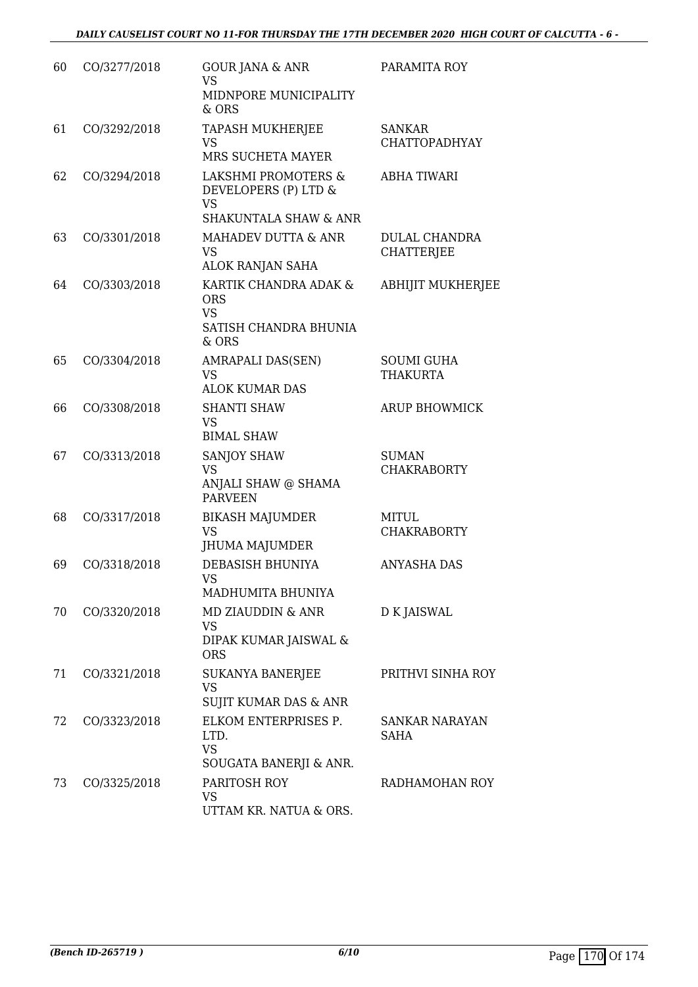| 60 | CO/3277/2018 | <b>GOUR JANA &amp; ANR</b><br><b>VS</b><br>MIDNPORE MUNICIPALITY<br>& ORS                               | PARAMITA ROY                         |
|----|--------------|---------------------------------------------------------------------------------------------------------|--------------------------------------|
| 61 | CO/3292/2018 | TAPASH MUKHERJEE<br><b>VS</b><br>MRS SUCHETA MAYER                                                      | SANKAR<br><b>CHATTOPADHYAY</b>       |
| 62 | CO/3294/2018 | <b>LAKSHMI PROMOTERS &amp;</b><br>DEVELOPERS (P) LTD &<br><b>VS</b><br><b>SHAKUNTALA SHAW &amp; ANR</b> | <b>ABHA TIWARI</b>                   |
| 63 | CO/3301/2018 | MAHADEV DUTTA & ANR<br><b>VS</b><br>ALOK RANJAN SAHA                                                    | DULAL CHANDRA<br><b>CHATTERJEE</b>   |
| 64 | CO/3303/2018 | KARTIK CHANDRA ADAK &<br><b>ORS</b><br><b>VS</b><br>SATISH CHANDRA BHUNIA<br>& ORS                      | <b>ABHIJIT MUKHERJEE</b>             |
| 65 | CO/3304/2018 | <b>AMRAPALI DAS(SEN)</b><br><b>VS</b><br><b>ALOK KUMAR DAS</b>                                          | <b>SOUMI GUHA</b><br><b>THAKURTA</b> |
| 66 | CO/3308/2018 | <b>SHANTI SHAW</b><br><b>VS</b><br><b>BIMAL SHAW</b>                                                    | <b>ARUP BHOWMICK</b>                 |
| 67 | CO/3313/2018 | <b>SANJOY SHAW</b><br>VS<br>ANJALI SHAW @ SHAMA<br><b>PARVEEN</b>                                       | <b>SUMAN</b><br><b>CHAKRABORTY</b>   |
| 68 | CO/3317/2018 | <b>BIKASH MAJUMDER</b><br><b>VS</b><br>JHUMA MAJUMDER                                                   | MITUL<br><b>CHAKRABORTY</b>          |
| 69 | CO/3318/2018 | DEBASISH BHUNIYA<br>VS.<br>MADHUMITA BHUNIYA                                                            | <b>ANYASHA DAS</b>                   |
| 70 | CO/3320/2018 | MD ZIAUDDIN & ANR<br>VS<br>DIPAK KUMAR JAISWAL &<br><b>ORS</b>                                          | D K JAISWAL                          |
| 71 | CO/3321/2018 | <b>SUKANYA BANERJEE</b><br><b>VS</b><br>SUJIT KUMAR DAS & ANR                                           | PRITHVI SINHA ROY                    |
| 72 | CO/3323/2018 | ELKOM ENTERPRISES P.<br>LTD.<br><b>VS</b><br>SOUGATA BANERJI & ANR.                                     | SANKAR NARAYAN<br>SAHA               |
| 73 | CO/3325/2018 | PARITOSH ROY<br>VS<br>UTTAM KR. NATUA & ORS.                                                            | RADHAMOHAN ROY                       |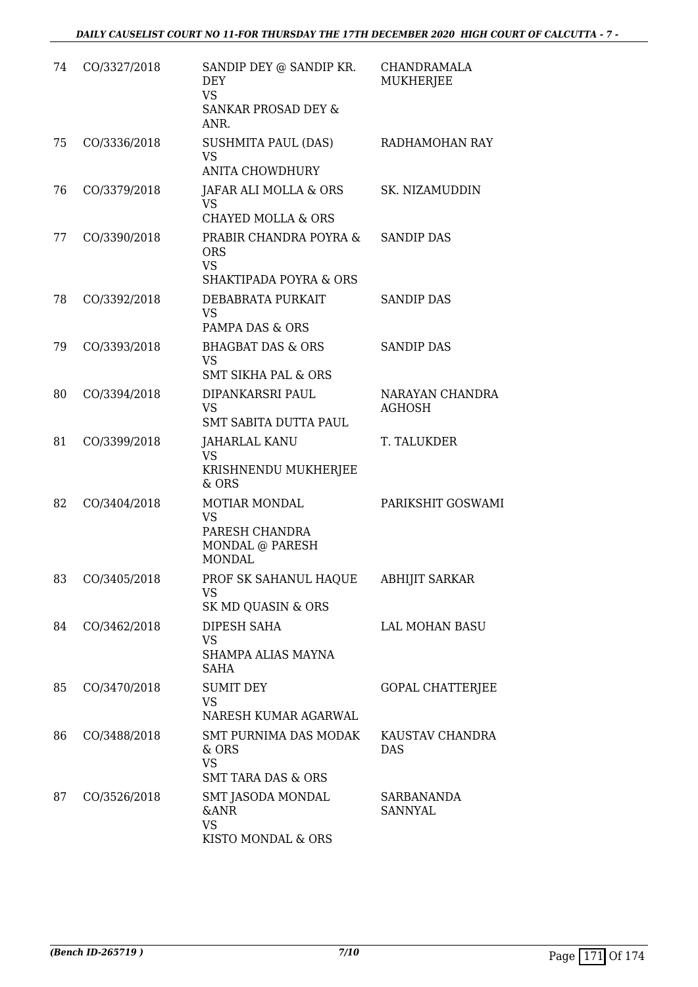| 74 | CO/3327/2018 | SANDIP DEY @ SANDIP KR.<br><b>DEY</b><br><b>VS</b><br>SANKAR PROSAD DEY &               | CHANDRAMALA<br><b>MUKHERJEE</b>  |
|----|--------------|-----------------------------------------------------------------------------------------|----------------------------------|
| 75 | CO/3336/2018 | ANR.<br>SUSHMITA PAUL (DAS)<br><b>VS</b><br><b>ANITA CHOWDHURY</b>                      | RADHAMOHAN RAY                   |
| 76 | CO/3379/2018 | JAFAR ALI MOLLA & ORS<br><b>VS</b><br><b>CHAYED MOLLA &amp; ORS</b>                     | SK. NIZAMUDDIN                   |
| 77 | CO/3390/2018 | PRABIR CHANDRA POYRA &<br><b>ORS</b><br><b>VS</b><br><b>SHAKTIPADA POYRA &amp; ORS</b>  | <b>SANDIP DAS</b>                |
| 78 | CO/3392/2018 | DEBABRATA PURKAIT<br><b>VS</b><br>PAMPA DAS & ORS                                       | <b>SANDIP DAS</b>                |
| 79 | CO/3393/2018 | <b>BHAGBAT DAS &amp; ORS</b><br><b>VS</b><br><b>SMT SIKHA PAL &amp; ORS</b>             | <b>SANDIP DAS</b>                |
| 80 | CO/3394/2018 | DIPANKARSRI PAUL<br><b>VS</b><br><b>SMT SABITA DUTTA PAUL</b>                           | NARAYAN CHANDRA<br><b>AGHOSH</b> |
| 81 | CO/3399/2018 | <b>JAHARLAL KANU</b><br><b>VS</b><br>KRISHNENDU MUKHERJEE<br>& ORS                      | T. TALUKDER                      |
| 82 | CO/3404/2018 | <b>MOTIAR MONDAL</b><br><b>VS</b><br>PARESH CHANDRA<br>MONDAL @ PARESH<br><b>MONDAL</b> | PARIKSHIT GOSWAMI                |
| 83 | CO/3405/2018 | PROF SK SAHANUL HAQUE<br>VS<br>SK MD QUASIN & ORS                                       | <b>ABHIJIT SARKAR</b>            |
| 84 | CO/3462/2018 | DIPESH SAHA<br><b>VS</b><br>SHAMPA ALIAS MAYNA<br><b>SAHA</b>                           | <b>LAL MOHAN BASU</b>            |
| 85 | CO/3470/2018 | <b>SUMIT DEY</b><br><b>VS</b><br>NARESH KUMAR AGARWAL                                   | GOPAL CHATTERJEE                 |
| 86 | CO/3488/2018 | SMT PURNIMA DAS MODAK<br>& ORS<br><b>VS</b><br><b>SMT TARA DAS &amp; ORS</b>            | KAUSTAV CHANDRA<br><b>DAS</b>    |
| 87 | CO/3526/2018 | SMT JASODA MONDAL<br><b>&amp;ANR</b><br><b>VS</b><br>KISTO MONDAL & ORS                 | SARBANANDA<br><b>SANNYAL</b>     |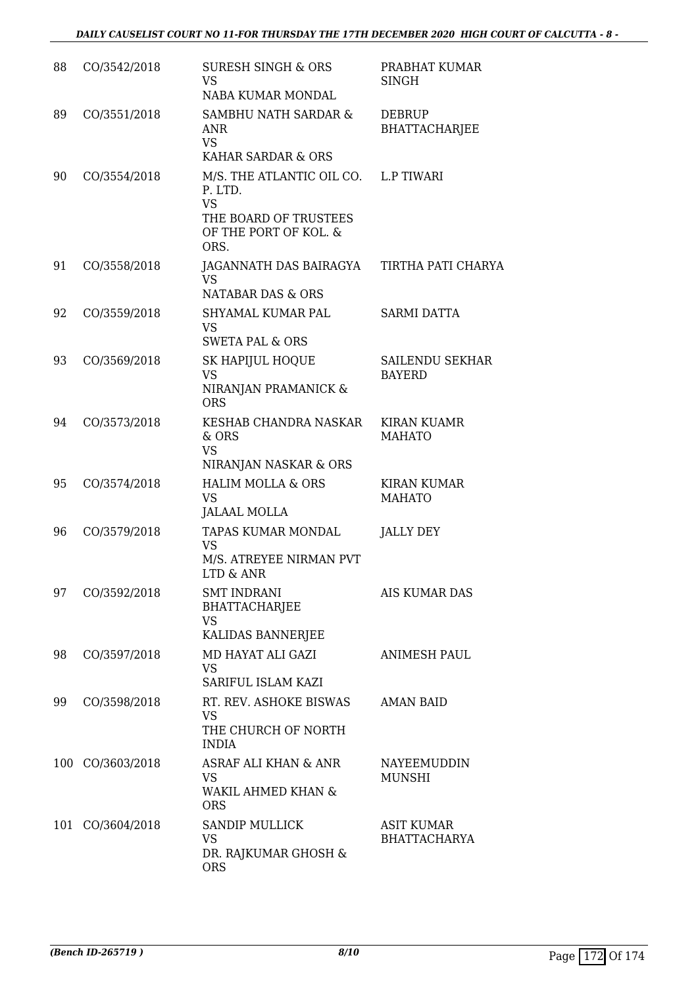| 88  | CO/3542/2018     | <b>SURESH SINGH &amp; ORS</b><br><b>VS</b><br>NABA KUMAR MONDAL                                                        | PRABHAT KUMAR<br><b>SINGH</b>           |
|-----|------------------|------------------------------------------------------------------------------------------------------------------------|-----------------------------------------|
| 89  | CO/3551/2018     | SAMBHU NATH SARDAR &<br><b>ANR</b><br><b>VS</b><br>KAHAR SARDAR & ORS                                                  | DEBRUP<br><b>BHATTACHARJEE</b>          |
| 90  | CO/3554/2018     | M/S. THE ATLANTIC OIL CO. L.P TIWARI<br>P. LTD.<br><b>VS</b><br>THE BOARD OF TRUSTEES<br>OF THE PORT OF KOL. &<br>ORS. |                                         |
| 91  | CO/3558/2018     | JAGANNATH DAS BAIRAGYA TIRTHA PATI CHARYA<br><b>VS</b><br><b>NATABAR DAS &amp; ORS</b>                                 |                                         |
| 92  | CO/3559/2018     | SHYAMAL KUMAR PAL<br><b>VS</b><br><b>SWETA PAL &amp; ORS</b>                                                           | <b>SARMI DATTA</b>                      |
| 93  | CO/3569/2018     | SK HAPIJUL HOQUE<br><b>VS</b><br>NIRANJAN PRAMANICK &<br><b>ORS</b>                                                    | <b>SAILENDU SEKHAR</b><br><b>BAYERD</b> |
| 94  | CO/3573/2018     | KESHAB CHANDRA NASKAR<br>& ORS<br><b>VS</b><br>NIRANJAN NASKAR & ORS                                                   | <b>KIRAN KUAMR</b><br><b>MAHATO</b>     |
| 95  | CO/3574/2018     | <b>HALIM MOLLA &amp; ORS</b><br><b>VS</b><br><b>JALAAL MOLLA</b>                                                       | KIRAN KUMAR<br><b>MAHATO</b>            |
| 96  | CO/3579/2018     | TAPAS KUMAR MONDAL<br><b>VS</b><br>M/S. ATREYEE NIRMAN PVT<br>LTD & ANR                                                | <b>JALLY DEY</b>                        |
| 97  | CO/3592/2018     | <b>SMT INDRANI</b><br><b>BHATTACHARJEE</b><br>VS<br>KALIDAS BANNERJEE                                                  | AIS KUMAR DAS                           |
| 98  | CO/3597/2018     | MD HAYAT ALI GAZI<br><b>VS</b><br>SARIFUL ISLAM KAZI                                                                   | <b>ANIMESH PAUL</b>                     |
| 99  | CO/3598/2018     | RT. REV. ASHOKE BISWAS<br><b>VS</b><br>THE CHURCH OF NORTH<br><b>INDIA</b>                                             | <b>AMAN BAID</b>                        |
| 100 | CO/3603/2018     | ASRAF ALI KHAN & ANR<br><b>VS</b><br>WAKIL AHMED KHAN &<br><b>ORS</b>                                                  | NAYEEMUDDIN<br>MUNSHI                   |
|     | 101 CO/3604/2018 | <b>SANDIP MULLICK</b><br><b>VS</b><br>DR. RAJKUMAR GHOSH &<br><b>ORS</b>                                               | ASIT KUMAR<br><b>BHATTACHARYA</b>       |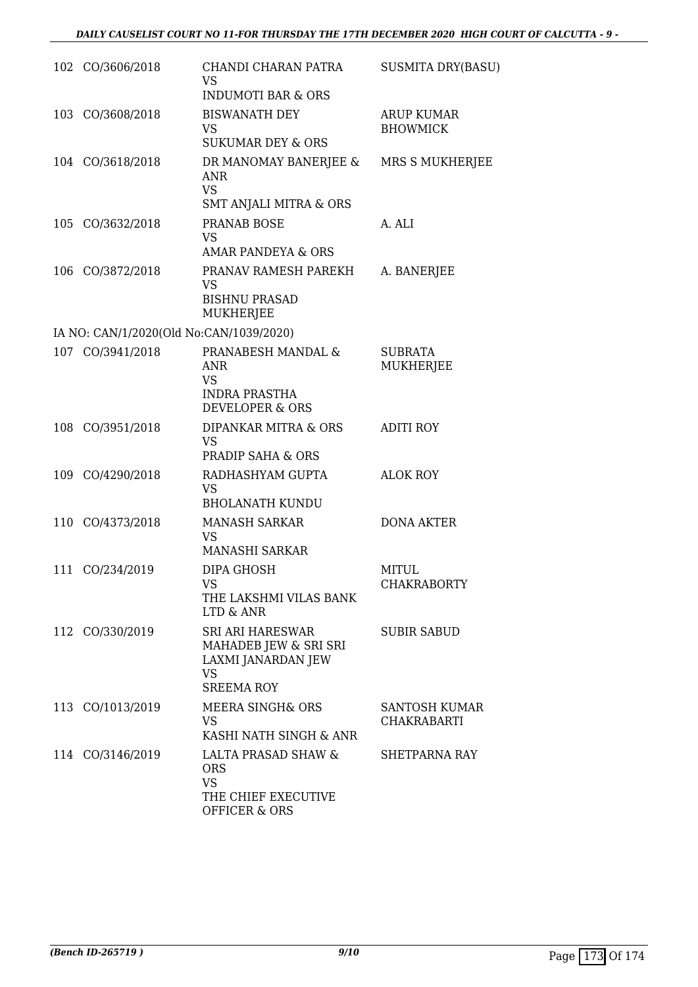|     | 102 CO/3606/2018                        | CHANDI CHARAN PATRA<br><b>VS</b><br><b>INDUMOTI BAR &amp; ORS</b>                                        | <b>SUSMITA DRY(BASU)</b>                   |
|-----|-----------------------------------------|----------------------------------------------------------------------------------------------------------|--------------------------------------------|
| 103 | CO/3608/2018                            | <b>BISWANATH DEY</b><br><b>VS</b><br><b>SUKUMAR DEY &amp; ORS</b>                                        | <b>ARUP KUMAR</b><br><b>BHOWMICK</b>       |
|     | 104 CO/3618/2018                        | DR MANOMAY BANERJEE &<br><b>ANR</b><br><b>VS</b><br><b>SMT ANJALI MITRA &amp; ORS</b>                    | MRS S MUKHERJEE                            |
| 105 | CO/3632/2018                            | <b>PRANAB BOSE</b><br><b>VS</b><br>AMAR PANDEYA & ORS                                                    | A. ALI                                     |
|     | 106 CO/3872/2018                        | PRANAV RAMESH PAREKH<br><b>VS</b><br><b>BISHNU PRASAD</b><br>MUKHERJEE                                   | A. BANERJEE                                |
|     | IA NO: CAN/1/2020(Old No:CAN/1039/2020) |                                                                                                          |                                            |
| 107 | CO/3941/2018                            | PRANABESH MANDAL &<br><b>ANR</b><br><b>VS</b><br><b>INDRA PRASTHA</b><br><b>DEVELOPER &amp; ORS</b>      | <b>SUBRATA</b><br><b>MUKHERJEE</b>         |
| 108 | CO/3951/2018                            | DIPANKAR MITRA & ORS<br><b>VS</b><br><b>PRADIP SAHA &amp; ORS</b>                                        | <b>ADITI ROY</b>                           |
|     | 109 CO/4290/2018                        | RADHASHYAM GUPTA<br><b>VS</b><br><b>BHOLANATH KUNDU</b>                                                  | <b>ALOK ROY</b>                            |
|     | 110 CO/4373/2018                        | <b>MANASH SARKAR</b><br><b>VS</b><br>MANASHI SARKAR                                                      | <b>DONA AKTER</b>                          |
| 111 | CO/234/2019                             | DIPA GHOSH<br><b>VS</b><br>THE LAKSHMI VILAS BANK<br>LTD & ANR                                           | <b>MITUL</b><br><b>CHAKRABORTY</b>         |
|     | 112 CO/330/2019                         | <b>SRI ARI HARESWAR</b><br>MAHADEB JEW & SRI SRI<br>LAXMI JANARDAN JEW<br><b>VS</b><br><b>SREEMA ROY</b> | <b>SUBIR SABUD</b>                         |
|     | 113 CO/1013/2019                        | <b>MEERA SINGH&amp; ORS</b><br><b>VS</b><br>KASHI NATH SINGH & ANR                                       | <b>SANTOSH KUMAR</b><br><b>CHAKRABARTI</b> |
|     | 114 CO/3146/2019                        | LALTA PRASAD SHAW &<br><b>ORS</b><br><b>VS</b><br>THE CHIEF EXECUTIVE<br><b>OFFICER &amp; ORS</b>        | SHETPARNA RAY                              |